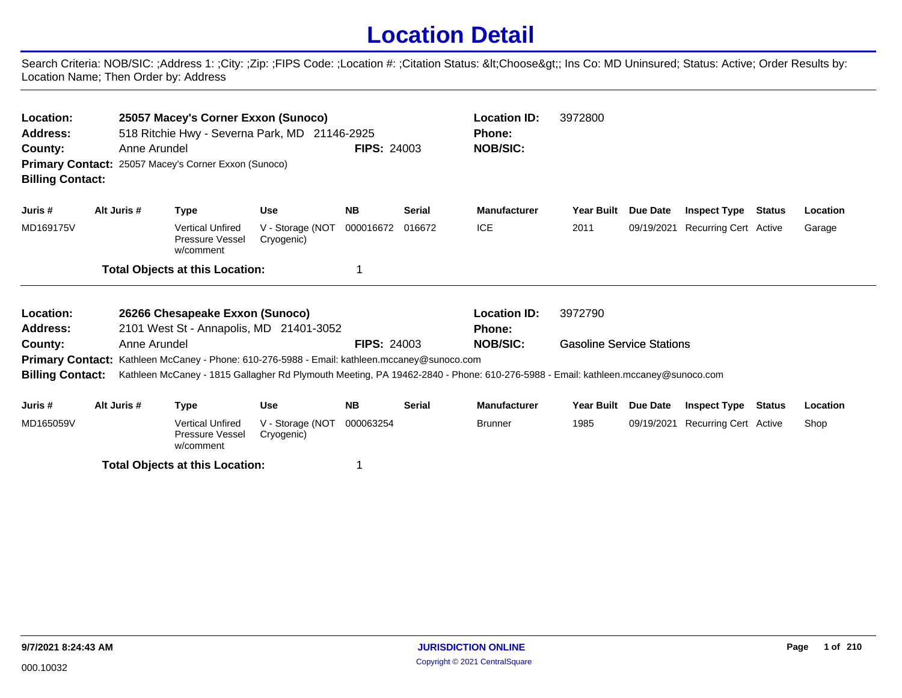## **Location Detail**

Search Criteria: NOB/SIC: ;Address 1: ;City: ;Zip: ;FIPS Code: ;Location #: ;Citation Status: <Choose&gt;; Ins Co: MD Uninsured; Status: Active; Order Results by: Location Name; Then Order by: Address

| Location:<br>Address:<br>County:<br><b>Billing Contact:</b> |             | Anne Arundel | 25057 Macey's Corner Exxon (Sunoco)<br>Primary Contact: 25057 Macey's Corner Exxon (Sunoco) | 518 Ritchie Hwy - Severna Park, MD 21146-2925                                                       | <b>FIPS: 24003</b> |               | <b>Location ID:</b><br><b>Phone:</b><br><b>NOB/SIC:</b>                                                                         | 3972800                          |            |                              |        |          |
|-------------------------------------------------------------|-------------|--------------|---------------------------------------------------------------------------------------------|-----------------------------------------------------------------------------------------------------|--------------------|---------------|---------------------------------------------------------------------------------------------------------------------------------|----------------------------------|------------|------------------------------|--------|----------|
| Juris #                                                     | Alt Juris # |              | <b>Type</b>                                                                                 | Use                                                                                                 | <b>NB</b>          | <b>Serial</b> | <b>Manufacturer</b>                                                                                                             | <b>Year Built</b>                | Due Date   | <b>Inspect Type</b>          | Status | Location |
| MD169175V                                                   |             |              | <b>Vertical Unfired</b><br><b>Pressure Vessel</b><br>w/comment                              | V - Storage (NOT<br>Cryogenic)                                                                      | 000016672          | 016672        | <b>ICE</b>                                                                                                                      | 2011                             | 09/19/2021 | Recurring Cert Active        |        | Garage   |
|                                                             |             |              | <b>Total Objects at this Location:</b>                                                      |                                                                                                     |                    |               |                                                                                                                                 |                                  |            |                              |        |          |
| Location:                                                   |             |              | 26266 Chesapeake Exxon (Sunoco)                                                             |                                                                                                     |                    |               | <b>Location ID:</b>                                                                                                             | 3972790                          |            |                              |        |          |
| <b>Address:</b>                                             |             |              |                                                                                             | 2101 West St - Annapolis, MD 21401-3052                                                             |                    |               | <b>Phone:</b>                                                                                                                   |                                  |            |                              |        |          |
| County:                                                     |             | Anne Arundel |                                                                                             |                                                                                                     | <b>FIPS: 24003</b> |               | <b>NOB/SIC:</b>                                                                                                                 | <b>Gasoline Service Stations</b> |            |                              |        |          |
|                                                             |             |              |                                                                                             | <b>Primary Contact:</b> Kathleen McCaney - Phone: 610-276-5988 - Email: kathleen.mccaney@sunoco.com |                    |               |                                                                                                                                 |                                  |            |                              |        |          |
| <b>Billing Contact:</b>                                     |             |              |                                                                                             |                                                                                                     |                    |               | Kathleen McCaney - 1815 Gallagher Rd Plymouth Meeting, PA 19462-2840 - Phone: 610-276-5988 - Email: kathleen.mccaney@sunoco.com |                                  |            |                              |        |          |
| Juris #                                                     | Alt Juris # |              | <b>Type</b>                                                                                 | <b>Use</b>                                                                                          | <b>NB</b>          | <b>Serial</b> | <b>Manufacturer</b>                                                                                                             | <b>Year Built</b>                | Due Date   | <b>Inspect Type Status</b>   |        | Location |
| MD165059V                                                   |             |              | <b>Vertical Unfired</b><br>Pressure Vessel                                                  | V - Storage (NOT<br>Cryogenic)                                                                      | 000063254          |               | <b>Brunner</b>                                                                                                                  | 1985                             | 09/19/2021 | <b>Recurring Cert Active</b> |        | Shop     |

**Total Objects at this Location:** 1

w/comment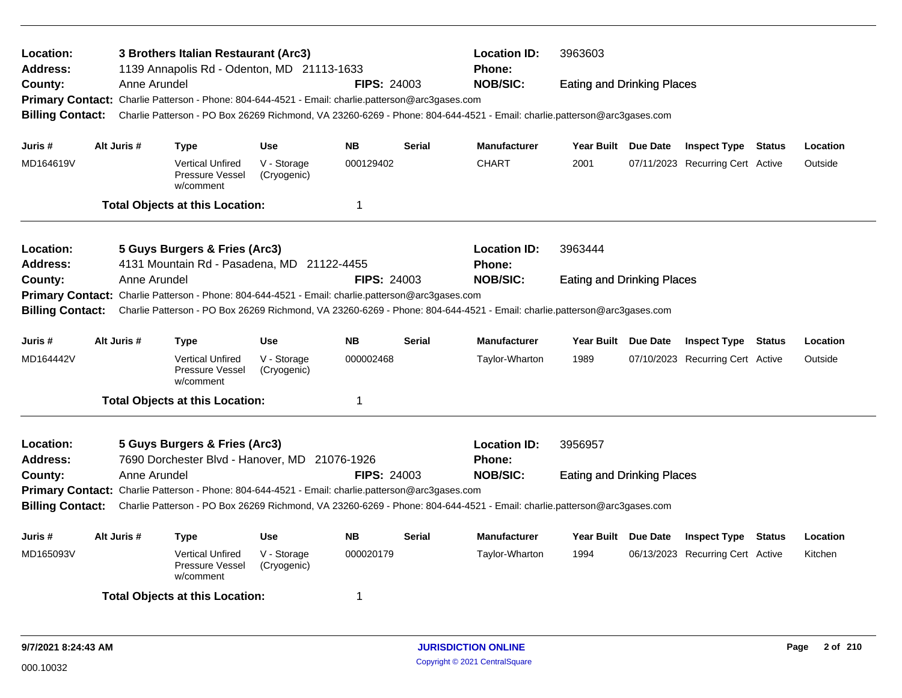| <b>Location:</b><br><b>Address:</b><br>County:<br><b>Billing Contact:</b>                                       |                                                                                                                                                                                                                                                                                                                                             | Anne Arundel | 3 Brothers Italian Restaurant (Arc3)<br>1139 Annapolis Rd - Odenton, MD 21113-1633<br>Primary Contact: Charlie Patterson - Phone: 804-644-4521 - Email: charlie.patterson@arc3gases.com |                            | <b>FIPS: 24003</b> |               | <b>Location ID:</b><br><b>Phone:</b><br><b>NOB/SIC:</b> | 3963603                                      | <b>Eating and Drinking Places</b><br>Charlie Patterson - PO Box 26269 Richmond, VA 23260-6269 - Phone: 804-644-4521 - Email: charlie.patterson@arc3gases.com |                                  |  |          |  |
|-----------------------------------------------------------------------------------------------------------------|---------------------------------------------------------------------------------------------------------------------------------------------------------------------------------------------------------------------------------------------------------------------------------------------------------------------------------------------|--------------|-----------------------------------------------------------------------------------------------------------------------------------------------------------------------------------------|----------------------------|--------------------|---------------|---------------------------------------------------------|----------------------------------------------|--------------------------------------------------------------------------------------------------------------------------------------------------------------|----------------------------------|--|----------|--|
| Juris #                                                                                                         |                                                                                                                                                                                                                                                                                                                                             | Alt Juris #  | <b>Type</b>                                                                                                                                                                             | <b>Use</b>                 | <b>NB</b>          | <b>Serial</b> | <b>Manufacturer</b>                                     | Year Built Due Date                          |                                                                                                                                                              | <b>Inspect Type Status</b>       |  | Location |  |
| MD164619V                                                                                                       |                                                                                                                                                                                                                                                                                                                                             |              | <b>Vertical Unfired</b><br>Pressure Vessel<br>w/comment                                                                                                                                 | V - Storage<br>(Cryogenic) | 000129402          |               | <b>CHART</b>                                            | 2001                                         |                                                                                                                                                              | 07/11/2023 Recurring Cert Active |  | Outside  |  |
|                                                                                                                 |                                                                                                                                                                                                                                                                                                                                             |              | <b>Total Objects at this Location:</b>                                                                                                                                                  |                            | 1                  |               |                                                         |                                              |                                                                                                                                                              |                                  |  |          |  |
| <b>Location:</b><br><b>Address:</b>                                                                             |                                                                                                                                                                                                                                                                                                                                             |              | 5 Guys Burgers & Fries (Arc3)                                                                                                                                                           |                            |                    |               | <b>Location ID:</b><br>Phone:                           | 3963444                                      |                                                                                                                                                              |                                  |  |          |  |
| County:                                                                                                         | 4131 Mountain Rd - Pasadena, MD 21122-4455<br>Anne Arundel<br><b>FIPS: 24003</b><br>Primary Contact: Charlie Patterson - Phone: 804-644-4521 - Email: charlie.patterson@arc3gases.com<br><b>Billing Contact:</b><br>Charlie Patterson - PO Box 26269 Richmond, VA 23260-6269 - Phone: 804-644-4521 - Email: charlie.patterson@arc3gases.com |              |                                                                                                                                                                                         |                            |                    |               | <b>NOB/SIC:</b>                                         | <b>Eating and Drinking Places</b>            |                                                                                                                                                              |                                  |  |          |  |
| Juris #                                                                                                         |                                                                                                                                                                                                                                                                                                                                             | Alt Juris #  | <b>Type</b>                                                                                                                                                                             | <b>Use</b>                 | <b>NB</b>          | <b>Serial</b> | <b>Manufacturer</b>                                     | Year Built Due Date                          |                                                                                                                                                              | <b>Inspect Type Status</b>       |  | Location |  |
| MD164442V                                                                                                       |                                                                                                                                                                                                                                                                                                                                             |              | <b>Vertical Unfired</b><br>Pressure Vessel<br>w/comment                                                                                                                                 | V - Storage<br>(Cryogenic) | 000002468          |               | Taylor-Wharton                                          | 1989                                         |                                                                                                                                                              | 07/10/2023 Recurring Cert Active |  | Outside  |  |
|                                                                                                                 |                                                                                                                                                                                                                                                                                                                                             |              | <b>Total Objects at this Location:</b>                                                                                                                                                  |                            | $\mathbf 1$        |               |                                                         |                                              |                                                                                                                                                              |                                  |  |          |  |
| <b>Location:</b><br><b>Address:</b><br>County:                                                                  |                                                                                                                                                                                                                                                                                                                                             | Anne Arundel | 5 Guys Burgers & Fries (Arc3)<br>7690 Dorchester Blvd - Hanover, MD 21076-1926                                                                                                          |                            | <b>FIPS: 24003</b> |               | <b>Location ID:</b><br>Phone:<br><b>NOB/SIC:</b>        | 3956957<br><b>Eating and Drinking Places</b> |                                                                                                                                                              |                                  |  |          |  |
|                                                                                                                 | Primary Contact: Charlie Patterson - Phone: 804-644-4521 - Email: charlie.patterson@arc3gases.com<br><b>Billing Contact:</b><br>Charlie Patterson - PO Box 26269 Richmond, VA 23260-6269 - Phone: 804-644-4521 - Email: charlie.patterson@arc3gases.com                                                                                     |              |                                                                                                                                                                                         |                            |                    |               |                                                         |                                              |                                                                                                                                                              |                                  |  |          |  |
| Juris #                                                                                                         |                                                                                                                                                                                                                                                                                                                                             | Alt Juris #  | <b>Type</b>                                                                                                                                                                             | <b>Use</b>                 | <b>NB</b>          | <b>Serial</b> | <b>Manufacturer</b>                                     | Year Built Due Date                          |                                                                                                                                                              | <b>Inspect Type Status</b>       |  | Location |  |
| V - Storage<br>000020179<br>MD165093V<br><b>Vertical Unfired</b><br>Pressure Vessel<br>(Cryogenic)<br>w/comment |                                                                                                                                                                                                                                                                                                                                             |              |                                                                                                                                                                                         |                            | Taylor-Wharton     | 1994          |                                                         | 06/13/2023 Recurring Cert Active             |                                                                                                                                                              | Kitchen                          |  |          |  |
|                                                                                                                 |                                                                                                                                                                                                                                                                                                                                             |              | <b>Total Objects at this Location:</b>                                                                                                                                                  |                            | -1                 |               |                                                         |                                              |                                                                                                                                                              |                                  |  |          |  |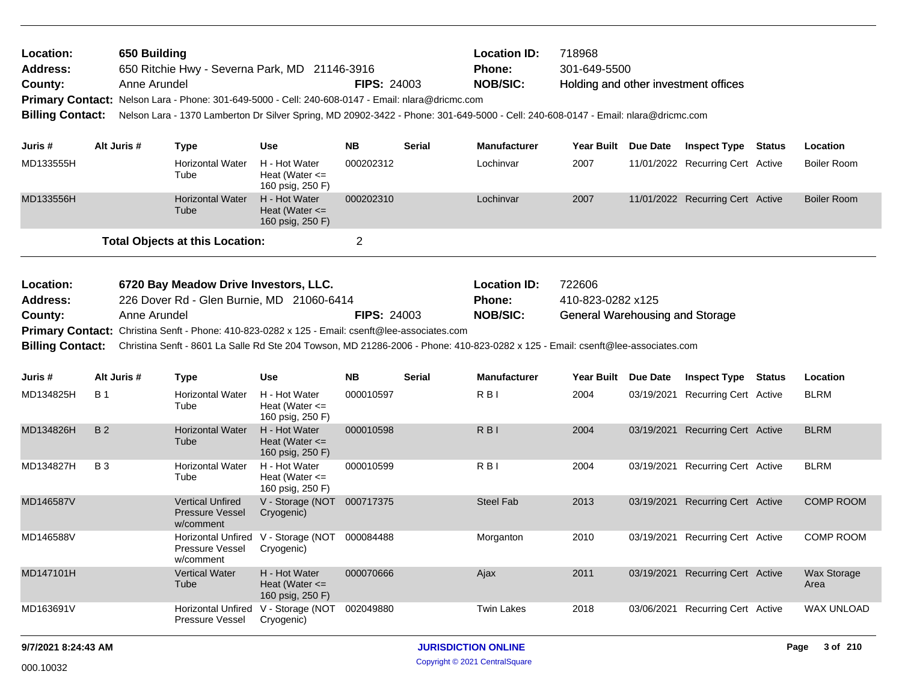| Location:<br>Address:<br>County:                            | 650 Building<br><b>Location ID:</b><br>718968<br>301-649-5500<br>650 Ritchie Hwy - Severna Park, MD 21146-3916<br><b>Phone:</b><br><b>NOB/SIC:</b><br><b>FIPS: 24003</b><br>Anne Arundel<br>Holding and other investment offices<br>Primary Contact: Nelson Lara - Phone: 301-649-5000 - Cell: 240-608-0147 - Email: nlara@dricmc.com<br>Nelson Lara - 1370 Lamberton Dr Silver Spring, MD 20902-3422 - Phone: 301-649-5000 - Cell: 240-608-0147 - Email: nlara@dricmc.com |              |                                                                                                                                                                                                                                                                                                                          |                                                         |                    |               |                                                  |                                                                       |          |                                  |               |                     |
|-------------------------------------------------------------|----------------------------------------------------------------------------------------------------------------------------------------------------------------------------------------------------------------------------------------------------------------------------------------------------------------------------------------------------------------------------------------------------------------------------------------------------------------------------|--------------|--------------------------------------------------------------------------------------------------------------------------------------------------------------------------------------------------------------------------------------------------------------------------------------------------------------------------|---------------------------------------------------------|--------------------|---------------|--------------------------------------------------|-----------------------------------------------------------------------|----------|----------------------------------|---------------|---------------------|
| <b>Billing Contact:</b>                                     |                                                                                                                                                                                                                                                                                                                                                                                                                                                                            |              |                                                                                                                                                                                                                                                                                                                          |                                                         |                    |               |                                                  |                                                                       |          |                                  |               |                     |
| Juris #                                                     | Alt Juris #                                                                                                                                                                                                                                                                                                                                                                                                                                                                |              | <b>Type</b>                                                                                                                                                                                                                                                                                                              | <b>Use</b>                                              | <b>NB</b>          | <b>Serial</b> | <b>Manufacturer</b>                              | Year Built Due Date                                                   |          | <b>Inspect Type</b>              | <b>Status</b> | Location            |
| MD133555H                                                   |                                                                                                                                                                                                                                                                                                                                                                                                                                                                            |              | <b>Horizontal Water</b><br>Tube                                                                                                                                                                                                                                                                                          | H - Hot Water<br>Heat (Water $\leq$<br>160 psig, 250 F) | 000202312          |               | Lochinvar                                        | 2007                                                                  |          | 11/01/2022 Recurring Cert Active |               | <b>Boiler Room</b>  |
| MD133556H                                                   |                                                                                                                                                                                                                                                                                                                                                                                                                                                                            |              | <b>Horizontal Water</b><br>Tube                                                                                                                                                                                                                                                                                          | H - Hot Water<br>Heat (Water $\leq$<br>160 psig, 250 F) | 000202310          |               | Lochinvar                                        | 2007                                                                  |          | 11/01/2022 Recurring Cert Active |               | <b>Boiler Room</b>  |
|                                                             |                                                                                                                                                                                                                                                                                                                                                                                                                                                                            |              | <b>Total Objects at this Location:</b>                                                                                                                                                                                                                                                                                   |                                                         | $\overline{2}$     |               |                                                  |                                                                       |          |                                  |               |                     |
| Location:<br>Address:<br>County:<br><b>Billing Contact:</b> |                                                                                                                                                                                                                                                                                                                                                                                                                                                                            | Anne Arundel | 6720 Bay Meadow Drive Investors, LLC.<br>226 Dover Rd - Glen Burnie, MD 21060-6414<br>Primary Contact: Christina Senft - Phone: 410-823-0282 x 125 - Email: csenft@lee-associates.com<br>Christina Senft - 8601 La Salle Rd Ste 204 Towson, MD 21286-2006 - Phone: 410-823-0282 x 125 - Email: csenft@lee-associates.com |                                                         | <b>FIPS: 24003</b> |               | <b>Location ID:</b><br>Phone:<br><b>NOB/SIC:</b> | 722606<br>410-823-0282 x125<br><b>General Warehousing and Storage</b> |          |                                  |               |                     |
| Juris #                                                     | Alt Juris #                                                                                                                                                                                                                                                                                                                                                                                                                                                                |              | <b>Type</b>                                                                                                                                                                                                                                                                                                              | <b>Use</b>                                              | <b>NB</b>          | <b>Serial</b> | <b>Manufacturer</b>                              | <b>Year Built</b>                                                     | Due Date | <b>Inspect Type</b>              | <b>Status</b> | Location            |
| MD134825H                                                   | <b>B</b> 1                                                                                                                                                                                                                                                                                                                                                                                                                                                                 |              | <b>Horizontal Water</b><br>Tube                                                                                                                                                                                                                                                                                          | H - Hot Water<br>Heat (Water $\leq$<br>160 psig, 250 F) | 000010597          |               | R <sub>BI</sub>                                  | 2004                                                                  |          | 03/19/2021 Recurring Cert Active |               | <b>BLRM</b>         |
| MD134826H                                                   | <b>B2</b>                                                                                                                                                                                                                                                                                                                                                                                                                                                                  |              | <b>Horizontal Water</b><br>Tube                                                                                                                                                                                                                                                                                          | H - Hot Water<br>Heat (Water $\leq$<br>160 psig, 250 F) | 000010598          |               | R <sub>BI</sub>                                  | 2004                                                                  |          | 03/19/2021 Recurring Cert Active |               | <b>BLRM</b>         |
| MD134827H                                                   | <b>B3</b>                                                                                                                                                                                                                                                                                                                                                                                                                                                                  |              | <b>Horizontal Water</b><br>Tube                                                                                                                                                                                                                                                                                          | H - Hot Water<br>Heat (Water $\leq$<br>160 psig, 250 F) | 000010599          |               | R <sub>BI</sub>                                  | 2004                                                                  |          | 03/19/2021 Recurring Cert Active |               | <b>BLRM</b>         |
| MD146587V                                                   |                                                                                                                                                                                                                                                                                                                                                                                                                                                                            |              | <b>Vertical Unfired</b><br><b>Pressure Vessel</b><br>w/comment                                                                                                                                                                                                                                                           | V - Storage (NOT 000717375<br>Cryogenic)                |                    |               | <b>Steel Fab</b>                                 | 2013                                                                  |          | 03/19/2021 Recurring Cert Active |               | <b>COMP ROOM</b>    |
| MD146588V                                                   |                                                                                                                                                                                                                                                                                                                                                                                                                                                                            |              | <b>Horizontal Unfired</b><br>Pressure Vessel<br>w/comment                                                                                                                                                                                                                                                                | V - Storage (NOT<br>Cryogenic)                          | 000084488          |               | Morganton                                        | 2010                                                                  |          | 03/19/2021 Recurring Cert Active |               | <b>COMP ROOM</b>    |
| MD147101H                                                   |                                                                                                                                                                                                                                                                                                                                                                                                                                                                            |              | <b>Vertical Water</b><br>Tube                                                                                                                                                                                                                                                                                            | H - Hot Water<br>Heat (Water $\leq$<br>160 psig, 250 F) | 000070666          |               | Ajax                                             | 2011                                                                  |          | 03/19/2021 Recurring Cert Active |               | Wax Storage<br>Area |
| MD163691V                                                   |                                                                                                                                                                                                                                                                                                                                                                                                                                                                            |              | Horizontal Unfired<br><b>Pressure Vessel</b>                                                                                                                                                                                                                                                                             | V - Storage (NOT<br>Cryogenic)                          | 002049880          |               | <b>Twin Lakes</b>                                | 2018                                                                  |          | 03/06/2021 Recurring Cert Active |               | <b>WAX UNLOAD</b>   |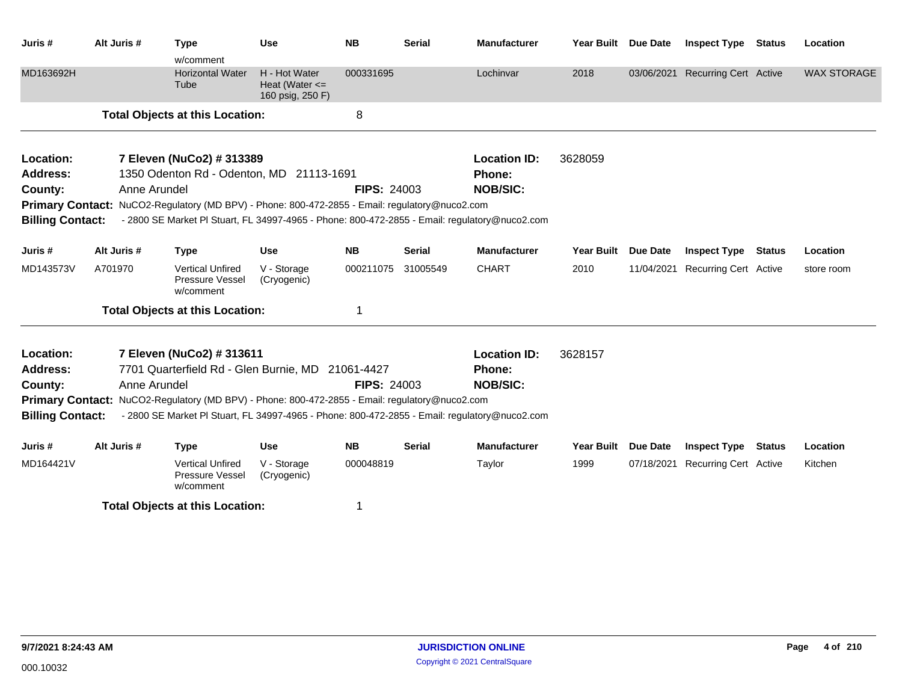| Juris #                      | Alt Juris #  | <b>Type</b><br>w/comment                                                                       | <b>Use</b>                                              | <b>NB</b>          | <b>Serial</b> | <b>Manufacturer</b>           | Year Built Due Date |                 | <b>Inspect Type</b>              | Status        | Location           |
|------------------------------|--------------|------------------------------------------------------------------------------------------------|---------------------------------------------------------|--------------------|---------------|-------------------------------|---------------------|-----------------|----------------------------------|---------------|--------------------|
| MD163692H                    |              | <b>Horizontal Water</b><br>Tube                                                                | H - Hot Water<br>Heat (Water $\leq$<br>160 psig, 250 F) | 000331695          |               | Lochinvar                     | 2018                |                 | 03/06/2021 Recurring Cert Active |               | <b>WAX STORAGE</b> |
|                              |              | <b>Total Objects at this Location:</b>                                                         |                                                         | 8                  |               |                               |                     |                 |                                  |               |                    |
| Location:<br><b>Address:</b> |              | 7 Eleven (NuCo2) # 313389<br>1350 Odenton Rd - Odenton, MD 21113-1691                          |                                                         |                    |               | <b>Location ID:</b><br>Phone: | 3628059             |                 |                                  |               |                    |
| County:                      | Anne Arundel |                                                                                                |                                                         | <b>FIPS: 24003</b> |               | <b>NOB/SIC:</b>               |                     |                 |                                  |               |                    |
|                              |              | Primary Contact: NuCO2-Regulatory (MD BPV) - Phone: 800-472-2855 - Email: regulatory@nuco2.com |                                                         |                    |               |                               |                     |                 |                                  |               |                    |
| <b>Billing Contact:</b>      |              | - 2800 SE Market PI Stuart, FL 34997-4965 - Phone: 800-472-2855 - Email: regulatory@nuco2.com  |                                                         |                    |               |                               |                     |                 |                                  |               |                    |
|                              |              |                                                                                                |                                                         |                    |               |                               |                     |                 |                                  |               |                    |
| Juris #                      | Alt Juris #  | <b>Type</b>                                                                                    | <b>Use</b>                                              | <b>NB</b>          | <b>Serial</b> | <b>Manufacturer</b>           | <b>Year Built</b>   | Due Date        | <b>Inspect Type</b>              | Status        | Location           |
| MD143573V                    | A701970      | <b>Vertical Unfired</b><br>Pressure Vessel<br>w/comment                                        | V - Storage<br>(Cryogenic)                              | 000211075          | 31005549      | <b>CHART</b>                  | 2010                | 11/04/2021      | <b>Recurring Cert Active</b>     |               | store room         |
|                              |              | <b>Total Objects at this Location:</b>                                                         |                                                         | 1                  |               |                               |                     |                 |                                  |               |                    |
| Location:                    |              | 7 Eleven (NuCo2) # 313611                                                                      |                                                         |                    |               | <b>Location ID:</b>           | 3628157             |                 |                                  |               |                    |
| <b>Address:</b>              |              | 7701 Quarterfield Rd - Glen Burnie, MD 21061-4427                                              |                                                         |                    |               | Phone:                        |                     |                 |                                  |               |                    |
| County:                      | Anne Arundel |                                                                                                |                                                         | <b>FIPS: 24003</b> |               | <b>NOB/SIC:</b>               |                     |                 |                                  |               |                    |
|                              |              | Primary Contact: NuCO2-Regulatory (MD BPV) - Phone: 800-472-2855 - Email: regulatory@nuco2.com |                                                         |                    |               |                               |                     |                 |                                  |               |                    |
| <b>Billing Contact:</b>      |              | - 2800 SE Market PI Stuart, FL 34997-4965 - Phone: 800-472-2855 - Email: regulatory@nuco2.com  |                                                         |                    |               |                               |                     |                 |                                  |               |                    |
| Juris #                      | Alt Juris #  | <b>Type</b>                                                                                    | <b>Use</b>                                              | <b>NB</b>          | <b>Serial</b> | <b>Manufacturer</b>           | <b>Year Built</b>   | <b>Due Date</b> | <b>Inspect Type</b>              | <b>Status</b> | Location           |
| MD164421V                    |              | <b>Vertical Unfired</b><br>Pressure Vessel<br>w/comment                                        | V - Storage<br>(Cryogenic)                              | 000048819          |               | Taylor                        | 1999                | 07/18/2021      | <b>Recurring Cert Active</b>     |               | Kitchen            |
|                              |              | <b>Total Objects at this Location:</b>                                                         |                                                         | 1                  |               |                               |                     |                 |                                  |               |                    |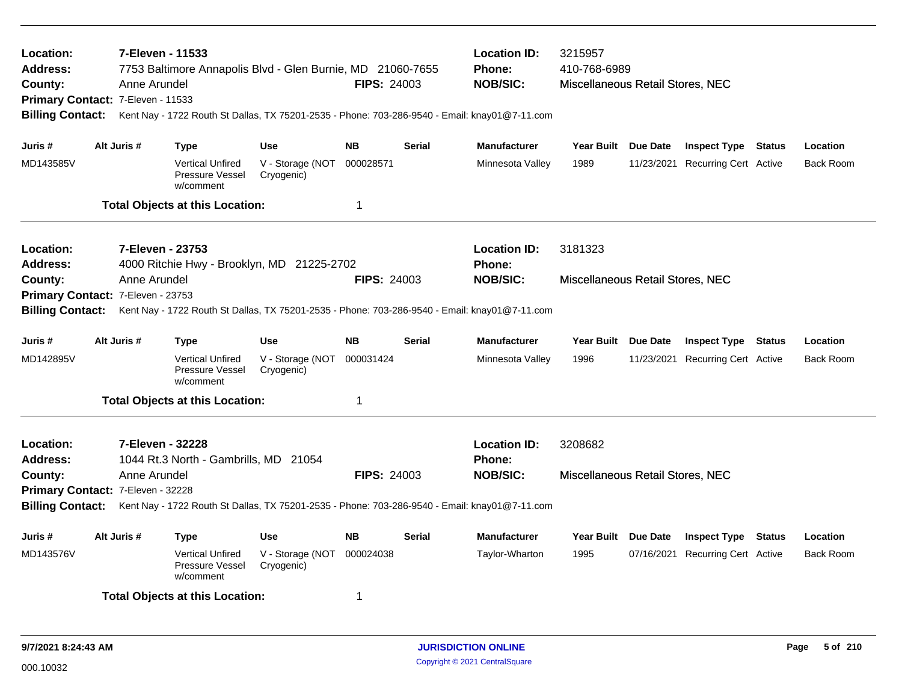| 7-Eleven - 11533<br>Location:<br><b>Address:</b><br>7753 Baltimore Annapolis Blvd - Glen Burnie, MD 21060-7655<br><b>FIPS: 24003</b><br>County:<br>Anne Arundel<br>Primary Contact: 7-Eleven - 11533<br><b>Billing Contact:</b><br>Kent Nay - 1722 Routh St Dallas, TX 75201-2535 - Phone: 703-286-9540 - Email: knay01@7-11.com<br>Alt Juris # |                                                                                                                                                                     |                  |                                                                | <b>Location ID:</b><br>Phone:<br><b>NOB/SIC:</b> | 3215957<br>410-768-6989<br>Miscellaneous Retail Stores, NEC |                 |                                      |                     |                                  |                  |
|-------------------------------------------------------------------------------------------------------------------------------------------------------------------------------------------------------------------------------------------------------------------------------------------------------------------------------------------------|---------------------------------------------------------------------------------------------------------------------------------------------------------------------|------------------|----------------------------------------------------------------|--------------------------------------------------|-------------------------------------------------------------|-----------------|--------------------------------------|---------------------|----------------------------------|------------------|
| Juris #                                                                                                                                                                                                                                                                                                                                         |                                                                                                                                                                     |                  | <b>Type</b>                                                    | <b>Use</b>                                       | <b>NB</b>                                                   | <b>Serial</b>   | <b>Manufacturer</b>                  | Year Built Due Date | <b>Inspect Type Status</b>       | Location         |
| MD143585V                                                                                                                                                                                                                                                                                                                                       |                                                                                                                                                                     |                  | <b>Vertical Unfired</b><br><b>Pressure Vessel</b><br>w/comment | V - Storage (NOT<br>Cryogenic)                   | 000028571                                                   |                 | Minnesota Valley                     | 1989                | 11/23/2021 Recurring Cert Active | <b>Back Room</b> |
|                                                                                                                                                                                                                                                                                                                                                 |                                                                                                                                                                     |                  | <b>Total Objects at this Location:</b>                         |                                                  | 1                                                           |                 |                                      |                     |                                  |                  |
| Location:<br>Address:                                                                                                                                                                                                                                                                                                                           |                                                                                                                                                                     | 7-Eleven - 23753 | 4000 Ritchie Hwy - Brooklyn, MD 21225-2702                     |                                                  |                                                             |                 | <b>Location ID:</b><br><b>Phone:</b> | 3181323             |                                  |                  |
| County:<br>Anne Arundel<br>Primary Contact: 7-Eleven - 23753<br><b>Billing Contact:</b><br>Kent Nay - 1722 Routh St Dallas, TX 75201-2535 - Phone: 703-286-9540 - Email: knay01@7-11.com                                                                                                                                                        |                                                                                                                                                                     |                  |                                                                | <b>FIPS: 24003</b>                               |                                                             | <b>NOB/SIC:</b> | Miscellaneous Retail Stores, NEC     |                     |                                  |                  |
| Juris #                                                                                                                                                                                                                                                                                                                                         |                                                                                                                                                                     | Alt Juris #      | <b>Type</b>                                                    | <b>Use</b>                                       | <b>NB</b>                                                   | <b>Serial</b>   | <b>Manufacturer</b>                  | Year Built Due Date | <b>Inspect Type Status</b>       | Location         |
| MD142895V                                                                                                                                                                                                                                                                                                                                       |                                                                                                                                                                     |                  | <b>Vertical Unfired</b><br><b>Pressure Vessel</b><br>w/comment | V - Storage (NOT<br>Cryogenic)                   | 000031424                                                   |                 | Minnesota Valley                     | 1996                | 11/23/2021 Recurring Cert Active | <b>Back Room</b> |
|                                                                                                                                                                                                                                                                                                                                                 |                                                                                                                                                                     |                  | <b>Total Objects at this Location:</b>                         |                                                  | 1                                                           |                 |                                      |                     |                                  |                  |
| Location:<br>Address:                                                                                                                                                                                                                                                                                                                           |                                                                                                                                                                     | 7-Eleven - 32228 | 1044 Rt.3 North - Gambrills, MD 21054                          |                                                  |                                                             |                 | <b>Location ID:</b><br><b>Phone:</b> | 3208682             |                                  |                  |
| County:                                                                                                                                                                                                                                                                                                                                         | Anne Arundel<br>Primary Contact: 7-Eleven - 32228<br>Billing Contact: Kent Nay - 1722 Routh St Dallas, TX 75201-2535 - Phone: 703-286-9540 - Email: knay01@7-11.com |                  |                                                                | <b>FIPS: 24003</b>                               |                                                             | <b>NOB/SIC:</b> | Miscellaneous Retail Stores, NEC     |                     |                                  |                  |
|                                                                                                                                                                                                                                                                                                                                                 |                                                                                                                                                                     |                  |                                                                |                                                  |                                                             |                 |                                      |                     |                                  |                  |
| Juris #                                                                                                                                                                                                                                                                                                                                         | Alt Juris #                                                                                                                                                         |                  | Type                                                           | <b>Use</b>                                       | <b>NB</b>                                                   | Serial          | <b>Manufacturer</b>                  | Year Built Due Date | <b>Inspect Type Status</b>       | Location         |
| MD143576V                                                                                                                                                                                                                                                                                                                                       |                                                                                                                                                                     |                  | <b>Vertical Unfired</b><br>Pressure Vessel<br>w/comment        | V - Storage (NOT<br>Cryogenic)                   | 000024038                                                   |                 | Taylor-Wharton                       | 1995                | 07/16/2021 Recurring Cert Active | <b>Back Room</b> |
|                                                                                                                                                                                                                                                                                                                                                 |                                                                                                                                                                     |                  | <b>Total Objects at this Location:</b>                         |                                                  | -1                                                          |                 |                                      |                     |                                  |                  |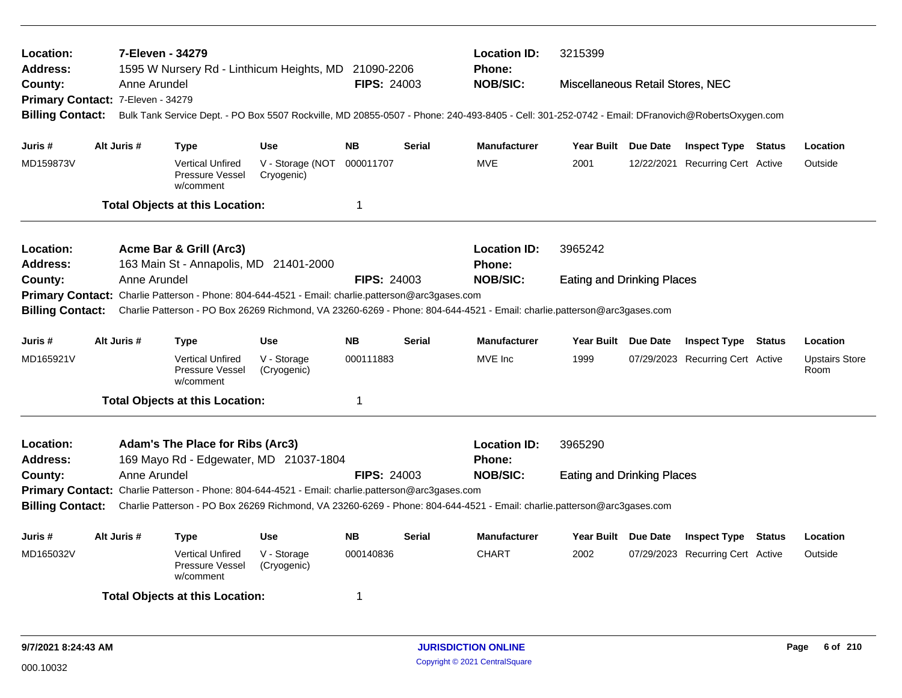| 7-Eleven - 34279<br>Location:<br>Address:<br>1595 W Nursery Rd - Linthicum Heights, MD 21090-2206<br><b>FIPS: 24003</b><br>County:<br>Anne Arundel |                                                                                                                                          |              |                                                         |                                                                                                                                                 |                    |               | <b>Location ID:</b><br><b>Phone:</b> | 3215399                           |  |                                  |  |                               |  |
|----------------------------------------------------------------------------------------------------------------------------------------------------|------------------------------------------------------------------------------------------------------------------------------------------|--------------|---------------------------------------------------------|-------------------------------------------------------------------------------------------------------------------------------------------------|--------------------|---------------|--------------------------------------|-----------------------------------|--|----------------------------------|--|-------------------------------|--|
|                                                                                                                                                    |                                                                                                                                          |              |                                                         |                                                                                                                                                 |                    |               | <b>NOB/SIC:</b>                      | Miscellaneous Retail Stores, NEC  |  |                                  |  |                               |  |
| Primary Contact: 7-Eleven - 34279                                                                                                                  |                                                                                                                                          |              |                                                         | Bulk Tank Service Dept. - PO Box 5507 Rockville, MD 20855-0507 - Phone: 240-493-8405 - Cell: 301-252-0742 - Email: DFranovich@RobertsOxygen.com |                    |               |                                      |                                   |  |                                  |  |                               |  |
| <b>Billing Contact:</b>                                                                                                                            |                                                                                                                                          |              |                                                         |                                                                                                                                                 |                    |               |                                      |                                   |  |                                  |  |                               |  |
| Juris #                                                                                                                                            | Alt Juris #                                                                                                                              |              | <b>Type</b>                                             | <b>Use</b>                                                                                                                                      | <b>NB</b>          | <b>Serial</b> | <b>Manufacturer</b>                  | Year Built Due Date               |  | <b>Inspect Type Status</b>       |  | Location                      |  |
| MD159873V                                                                                                                                          |                                                                                                                                          |              | <b>Vertical Unfired</b><br>Pressure Vessel<br>w/comment | V - Storage (NOT<br>Cryogenic)                                                                                                                  | 000011707          |               | <b>MVE</b>                           | 2001                              |  | 12/22/2021 Recurring Cert Active |  | Outside                       |  |
|                                                                                                                                                    |                                                                                                                                          |              | <b>Total Objects at this Location:</b>                  |                                                                                                                                                 | $\mathbf 1$        |               |                                      |                                   |  |                                  |  |                               |  |
| Location:                                                                                                                                          |                                                                                                                                          |              | Acme Bar & Grill (Arc3)                                 |                                                                                                                                                 |                    |               | <b>Location ID:</b>                  | 3965242                           |  |                                  |  |                               |  |
| <b>Address:</b>                                                                                                                                    |                                                                                                                                          |              | 163 Main St - Annapolis, MD 21401-2000                  |                                                                                                                                                 |                    |               | <b>Phone:</b>                        |                                   |  |                                  |  |                               |  |
| County:                                                                                                                                            |                                                                                                                                          | Anne Arundel |                                                         |                                                                                                                                                 | <b>FIPS: 24003</b> |               | <b>NOB/SIC:</b>                      | <b>Eating and Drinking Places</b> |  |                                  |  |                               |  |
|                                                                                                                                                    | Primary Contact: Charlie Patterson - Phone: 804-644-4521 - Email: charlie.patterson@arc3gases.com                                        |              |                                                         |                                                                                                                                                 |                    |               |                                      |                                   |  |                                  |  |                               |  |
| Charlie Patterson - PO Box 26269 Richmond, VA 23260-6269 - Phone: 804-644-4521 - Email: charlie.patterson@arc3gases.com<br><b>Billing Contact:</b> |                                                                                                                                          |              |                                                         |                                                                                                                                                 |                    |               |                                      |                                   |  |                                  |  |                               |  |
| Juris #                                                                                                                                            | Alt Juris #                                                                                                                              |              | <b>Type</b>                                             | <b>Use</b>                                                                                                                                      | <b>NB</b>          | <b>Serial</b> | <b>Manufacturer</b>                  | Year Built Due Date               |  | <b>Inspect Type Status</b>       |  | Location                      |  |
| MD165921V                                                                                                                                          |                                                                                                                                          |              | <b>Vertical Unfired</b><br>Pressure Vessel<br>w/comment | V - Storage<br>(Cryogenic)                                                                                                                      | 000111883          |               | MVE Inc                              | 1999                              |  | 07/29/2023 Recurring Cert Active |  | <b>Upstairs Store</b><br>Room |  |
|                                                                                                                                                    |                                                                                                                                          |              | <b>Total Objects at this Location:</b>                  |                                                                                                                                                 | $\overline{1}$     |               |                                      |                                   |  |                                  |  |                               |  |
| Location:<br><b>Address:</b>                                                                                                                       |                                                                                                                                          |              | <b>Adam's The Place for Ribs (Arc3)</b>                 | 169 Mayo Rd - Edgewater, MD 21037-1804                                                                                                          |                    |               | <b>Location ID:</b><br>Phone:        | 3965290                           |  |                                  |  |                               |  |
| County:                                                                                                                                            |                                                                                                                                          | Anne Arundel |                                                         |                                                                                                                                                 | <b>FIPS: 24003</b> |               | <b>NOB/SIC:</b>                      | <b>Eating and Drinking Places</b> |  |                                  |  |                               |  |
|                                                                                                                                                    |                                                                                                                                          |              |                                                         | Primary Contact: Charlie Patterson - Phone: 804-644-4521 - Email: charlie.patterson@arc3gases.com                                               |                    |               |                                      |                                   |  |                                  |  |                               |  |
|                                                                                                                                                    | Billing Contact: Charlie Patterson - PO Box 26269 Richmond, VA 23260-6269 - Phone: 804-644-4521 - Email: charlie.patterson@arc3gases.com |              |                                                         |                                                                                                                                                 |                    |               |                                      |                                   |  |                                  |  |                               |  |
| Juris #                                                                                                                                            | Alt Juris #                                                                                                                              |              | <b>Type</b>                                             | <b>Use</b>                                                                                                                                      | <b>NB</b>          | <b>Serial</b> | <b>Manufacturer</b>                  | Year Built Due Date               |  | <b>Inspect Type Status</b>       |  | Location                      |  |
| MD165032V                                                                                                                                          |                                                                                                                                          |              | <b>Vertical Unfired</b><br>Pressure Vessel<br>w/comment | V - Storage<br>(Cryogenic)                                                                                                                      | 000140836          |               | <b>CHART</b>                         | 2002                              |  | 07/29/2023 Recurring Cert Active |  | Outside                       |  |
| <b>Total Objects at this Location:</b><br>-1                                                                                                       |                                                                                                                                          |              |                                                         |                                                                                                                                                 |                    |               |                                      |                                   |  |                                  |  |                               |  |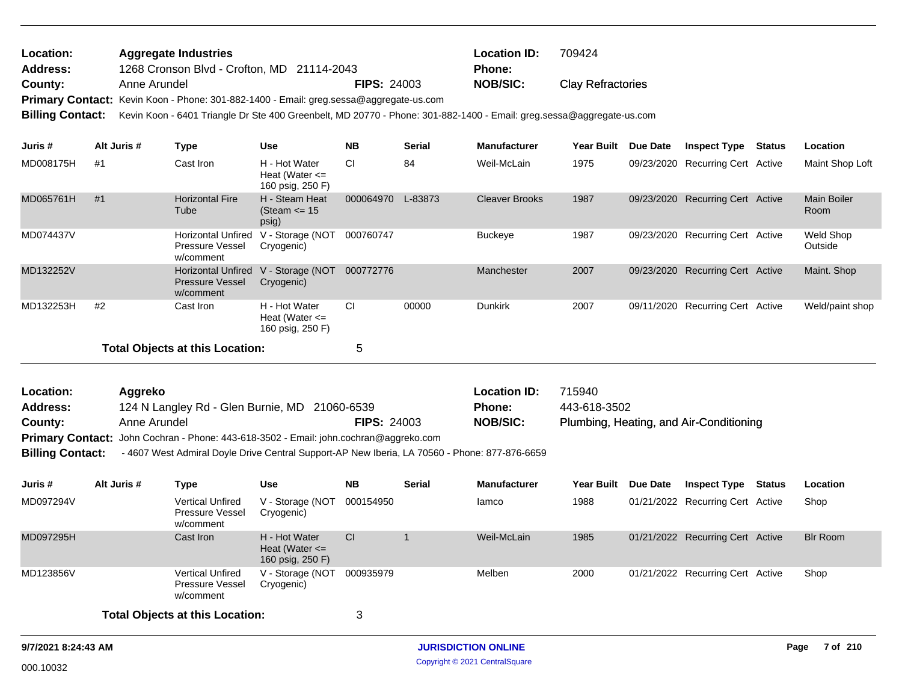| Location: | <b>Aggregate Industries</b>                                                                   |                    | <b>Location ID:</b> | 709424                   |
|-----------|-----------------------------------------------------------------------------------------------|--------------------|---------------------|--------------------------|
| Address:  | 1268 Cronson Blvd - Crofton, MD 21114-2043                                                    |                    | Phone:              |                          |
| County:   | Anne Arundel                                                                                  | <b>FIPS: 24003</b> | NOB/SIC:            | <b>Clay Refractories</b> |
|           | <b>Primary Contact:</b> Kevin Koon - Phone: 301-882-1400 - Email: greg.sessa@aggregate-us.com |                    |                     |                          |

**Billing Contact:** Kevin Koon - 6401 Triangle Dr Ste 400 Greenbelt, MD 20770 - Phone: 301-882-1400 - Email: greg.sessa@aggregate-us.com

| Juris #   | Alt Juris # | Type                                                             | <b>Use</b>                                              | <b>NB</b> | <b>Serial</b> | <b>Manufacturer</b>   | <b>Year Built</b> | Due Date | <b>Inspect Type</b>              | Status | Location                   |
|-----------|-------------|------------------------------------------------------------------|---------------------------------------------------------|-----------|---------------|-----------------------|-------------------|----------|----------------------------------|--------|----------------------------|
| MD008175H | #1          | Cast Iron                                                        | H - Hot Water<br>Heat (Water $\leq$<br>160 psig, 250 F) | СI        | 84            | Weil-McLain           | 1975              |          | 09/23/2020 Recurring Cert Active |        | Maint Shop Loft            |
| MD065761H | #1          | <b>Horizontal Fire</b><br>Tube                                   | H - Steam Heat<br>(Steam $\le$ 15<br>psig)              | 000064970 | L-83873       | <b>Cleaver Brooks</b> | 1987              |          | 09/23/2020 Recurring Cert Active |        | <b>Main Boiler</b><br>Room |
| MD074437V |             | Horizontal Unfired<br><b>Pressure Vessel</b><br>w/comment        | V - Storage (NOT<br>Cryogenic)                          | 000760747 |               | <b>Buckeye</b>        | 1987              |          | 09/23/2020 Recurring Cert Active |        | Weld Shop<br>Outside       |
| MD132252V |             | <b>Horizontal Unfired</b><br><b>Pressure Vessel</b><br>w/comment | V - Storage (NOT<br>Cryogenic)                          | 000772776 |               | Manchester            | 2007              |          | 09/23/2020 Recurring Cert Active |        | Maint. Shop                |
| MD132253H | #2          | Cast Iron                                                        | H - Hot Water<br>Heat (Water $\leq$<br>160 psig, 250 F) | <b>CI</b> | 00000         | <b>Dunkirk</b>        | 2007              |          | 09/11/2020 Recurring Cert Active |        | Weld/paint shop            |
|           |             | Total Objects at this Location:                                  |                                                         | 5         |               |                       |                   |          |                                  |        |                            |

| <b>Location:</b> | Aaareko                                                                                      |                    | <b>Location ID:</b> | 715940                                  |
|------------------|----------------------------------------------------------------------------------------------|--------------------|---------------------|-----------------------------------------|
| <b>Address:</b>  | 124 N Langley Rd - Glen Burnie, MD 21060-6539                                                |                    | <b>Phone:</b>       | 443-618-3502                            |
| County:          | Anne Arundel                                                                                 | <b>FIPS: 24003</b> | <b>NOB/SIC:</b>     | Plumbing, Heating, and Air-Conditioning |
|                  | <b>Primary Contact:</b> John Cochran - Phone: 443-618-3502 - Email: john.cochran@aggreko.com |                    |                     |                                         |

**Billing Contact:** - 4607 West Admiral Doyle Drive Central Support-AP New Iberia, LA 70560 - Phone: 877-876-6659

| Juris #   | Alt Juris # | Type                                                    | Use                                                     | <b>NB</b> | <b>Serial</b> | <b>Manufacturer</b> | <b>Year Built</b> | <b>Due Date</b> | <b>Inspect Type</b>              | Status | Location        |
|-----------|-------------|---------------------------------------------------------|---------------------------------------------------------|-----------|---------------|---------------------|-------------------|-----------------|----------------------------------|--------|-----------------|
| MD097294V |             | <b>Vertical Unfired</b><br>Pressure Vessel<br>w/comment | V - Storage (NOT<br>Cryogenic)                          | 000154950 |               | lamco               | 1988              |                 | 01/21/2022 Recurring Cert Active |        | Shop            |
| MD097295H |             | Cast Iron                                               | H - Hot Water<br>Heat (Water $\leq$<br>160 psig, 250 F) | CI        |               | Weil-McLain         | 1985              |                 | 01/21/2022 Recurring Cert Active |        | <b>Blr Room</b> |
| MD123856V |             | <b>Vertical Unfired</b><br>Pressure Vessel<br>w/comment | V - Storage (NOT<br>Cryogenic)                          | 000935979 |               | Melben              | 2000              |                 | 01/21/2022 Recurring Cert Active |        | Shop            |
|           |             | <b>Total Objects at this Location:</b>                  |                                                         | 3         |               |                     |                   |                 |                                  |        |                 |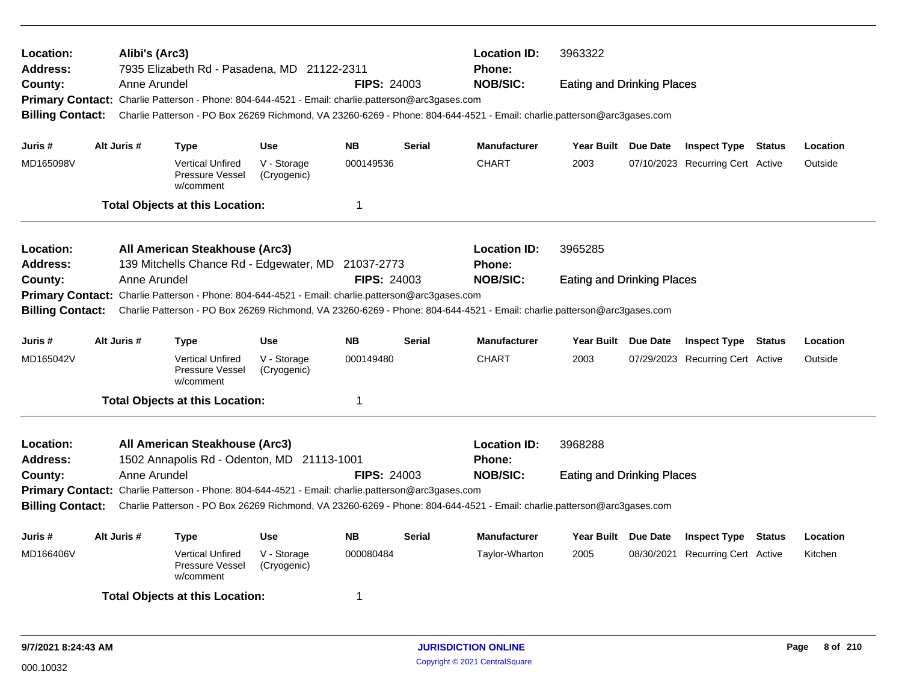| Location:<br>Address:<br>County:                                                                                                                   | Alibi's (Arc3)<br>Anne Arundel                                                                                                                     | 7935 Elizabeth Rd - Pasadena, MD 21122-2311                                                       |                            | <b>Location ID:</b><br>3963322<br><b>Phone:</b><br><b>NOB/SIC:</b><br><b>FIPS: 24003</b><br><b>Eating and Drinking Places</b><br>Primary Contact: Charlie Patterson - Phone: 804-644-4521 - Email: charlie.patterson@arc3gases.com<br>Charlie Patterson - PO Box 26269 Richmond, VA 23260-6269 - Phone: 804-644-4521 - Email: charlie.patterson@arc3gases.com |               |                                      |                                   |  |                                  |  |          |
|----------------------------------------------------------------------------------------------------------------------------------------------------|----------------------------------------------------------------------------------------------------------------------------------------------------|---------------------------------------------------------------------------------------------------|----------------------------|---------------------------------------------------------------------------------------------------------------------------------------------------------------------------------------------------------------------------------------------------------------------------------------------------------------------------------------------------------------|---------------|--------------------------------------|-----------------------------------|--|----------------------------------|--|----------|
| <b>Billing Contact:</b>                                                                                                                            |                                                                                                                                                    |                                                                                                   |                            |                                                                                                                                                                                                                                                                                                                                                               |               |                                      |                                   |  |                                  |  |          |
| Juris #                                                                                                                                            | Alt Juris #                                                                                                                                        | <b>Type</b>                                                                                       | <b>Use</b>                 | <b>NB</b>                                                                                                                                                                                                                                                                                                                                                     | <b>Serial</b> | <b>Manufacturer</b>                  | Year Built Due Date               |  | <b>Inspect Type Status</b>       |  | Location |
| MD165098V                                                                                                                                          |                                                                                                                                                    | <b>Vertical Unfired</b><br>Pressure Vessel<br>w/comment                                           | V - Storage<br>(Cryogenic) | 000149536                                                                                                                                                                                                                                                                                                                                                     |               | <b>CHART</b>                         | 2003                              |  | 07/10/2023 Recurring Cert Active |  | Outside  |
|                                                                                                                                                    |                                                                                                                                                    | <b>Total Objects at this Location:</b>                                                            |                            | -1                                                                                                                                                                                                                                                                                                                                                            |               |                                      |                                   |  |                                  |  |          |
| <b>Location:</b><br><b>Address:</b>                                                                                                                |                                                                                                                                                    | All American Steakhouse (Arc3)<br>139 Mitchells Chance Rd - Edgewater, MD 21037-2773              |                            |                                                                                                                                                                                                                                                                                                                                                               |               | <b>Location ID:</b><br><b>Phone:</b> | 3965285                           |  |                                  |  |          |
| County:                                                                                                                                            | Anne Arundel                                                                                                                                       | Primary Contact: Charlie Patterson - Phone: 804-644-4521 - Email: charlie.patterson@arc3gases.com |                            | <b>FIPS: 24003</b>                                                                                                                                                                                                                                                                                                                                            |               | <b>NOB/SIC:</b>                      | <b>Eating and Drinking Places</b> |  |                                  |  |          |
| Charlie Patterson - PO Box 26269 Richmond, VA 23260-6269 - Phone: 804-644-4521 - Email: charlie.patterson@arc3gases.com<br><b>Billing Contact:</b> |                                                                                                                                                    |                                                                                                   |                            |                                                                                                                                                                                                                                                                                                                                                               |               |                                      |                                   |  |                                  |  |          |
| Juris #                                                                                                                                            | Alt Juris #                                                                                                                                        | <b>Type</b>                                                                                       | <b>Use</b>                 | <b>NB</b>                                                                                                                                                                                                                                                                                                                                                     | <b>Serial</b> | <b>Manufacturer</b>                  | Year Built Due Date               |  | <b>Inspect Type Status</b>       |  | Location |
| MD165042V                                                                                                                                          |                                                                                                                                                    | <b>Vertical Unfired</b><br>Pressure Vessel<br>w/comment                                           | V - Storage<br>(Cryogenic) | 000149480                                                                                                                                                                                                                                                                                                                                                     |               | <b>CHART</b>                         | 2003                              |  | 07/29/2023 Recurring Cert Active |  | Outside  |
|                                                                                                                                                    |                                                                                                                                                    | <b>Total Objects at this Location:</b>                                                            |                            | $\mathbf 1$                                                                                                                                                                                                                                                                                                                                                   |               |                                      |                                   |  |                                  |  |          |
| <b>Location:</b><br><b>Address:</b>                                                                                                                |                                                                                                                                                    | All American Steakhouse (Arc3)<br>1502 Annapolis Rd - Odenton, MD 21113-1001                      |                            |                                                                                                                                                                                                                                                                                                                                                               |               | <b>Location ID:</b><br>Phone:        | 3968288                           |  |                                  |  |          |
| County:                                                                                                                                            | Anne Arundel                                                                                                                                       |                                                                                                   |                            | <b>FIPS: 24003</b>                                                                                                                                                                                                                                                                                                                                            |               | <b>NOB/SIC:</b>                      | <b>Eating and Drinking Places</b> |  |                                  |  |          |
|                                                                                                                                                    | Primary Contact: Charlie Patterson - Phone: 804-644-4521 - Email: charlie.patterson@arc3gases.com                                                  |                                                                                                   |                            |                                                                                                                                                                                                                                                                                                                                                               |               |                                      |                                   |  |                                  |  |          |
|                                                                                                                                                    | <b>Billing Contact:</b><br>Charlie Patterson - PO Box 26269 Richmond, VA 23260-6269 - Phone: 804-644-4521 - Email: charlie.patterson@arc3gases.com |                                                                                                   |                            |                                                                                                                                                                                                                                                                                                                                                               |               |                                      |                                   |  |                                  |  |          |
| Juris #                                                                                                                                            | Alt Juris #                                                                                                                                        | Type                                                                                              | <b>Use</b>                 | <b>NB</b>                                                                                                                                                                                                                                                                                                                                                     | <b>Serial</b> | <b>Manufacturer</b>                  | Year Built Due Date               |  | <b>Inspect Type Status</b>       |  | Location |
| MD166406V                                                                                                                                          |                                                                                                                                                    | <b>Vertical Unfired</b><br>Pressure Vessel<br>w/comment                                           | V - Storage<br>(Cryogenic) | 000080484                                                                                                                                                                                                                                                                                                                                                     |               | Taylor-Wharton                       | 2005                              |  | 08/30/2021 Recurring Cert Active |  | Kitchen  |
|                                                                                                                                                    |                                                                                                                                                    | <b>Total Objects at this Location:</b>                                                            |                            |                                                                                                                                                                                                                                                                                                                                                               |               |                                      |                                   |  |                                  |  |          |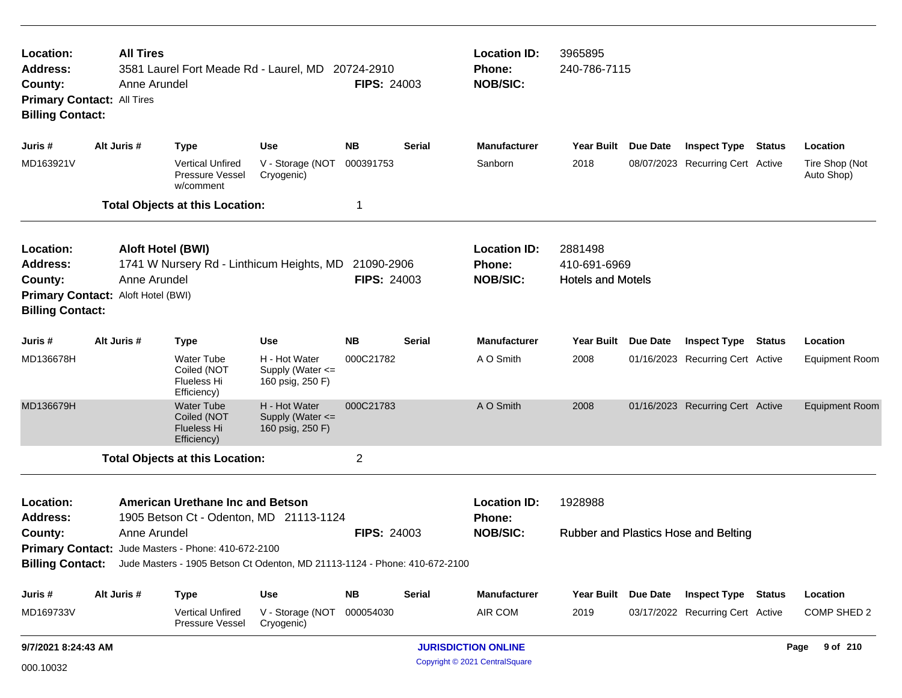| Location:<br><b>Address:</b><br>County:<br><b>Billing Contact:</b> | <b>All Tires</b><br><b>Primary Contact: All Tires</b> | 3581 Laurel Fort Meade Rd - Laurel, MD 20724-2910<br>Anne Arundel                                                                                                                                                                                        |                                                       | <b>FIPS: 24003</b>               |               | <b>Location ID:</b><br><b>Phone:</b><br><b>NOB/SIC:</b> | 3965895<br>240-786-7115                             |                     |                                      |               |                              |
|--------------------------------------------------------------------|-------------------------------------------------------|----------------------------------------------------------------------------------------------------------------------------------------------------------------------------------------------------------------------------------------------------------|-------------------------------------------------------|----------------------------------|---------------|---------------------------------------------------------|-----------------------------------------------------|---------------------|--------------------------------------|---------------|------------------------------|
| Juris #                                                            | Alt Juris #                                           | <b>Type</b>                                                                                                                                                                                                                                              | Use                                                   | <b>NB</b>                        | <b>Serial</b> | <b>Manufacturer</b>                                     | <b>Year Built</b>                                   | Due Date            | <b>Inspect Type</b>                  | <b>Status</b> | Location                     |
| MD163921V                                                          |                                                       | <b>Vertical Unfired</b><br>Pressure Vessel<br>w/comment                                                                                                                                                                                                  | V - Storage (NOT<br>Cryogenic)                        | 000391753                        |               | Sanborn                                                 | 2018                                                |                     | 08/07/2023 Recurring Cert Active     |               | Tire Shop (Not<br>Auto Shop) |
|                                                                    |                                                       | <b>Total Objects at this Location:</b>                                                                                                                                                                                                                   |                                                       | 1                                |               |                                                         |                                                     |                     |                                      |               |                              |
| Location:<br><b>Address:</b><br>County:<br><b>Billing Contact:</b> | Primary Contact: Aloft Hotel (BWI)                    | <b>Aloft Hotel (BWI)</b><br>1741 W Nursery Rd - Linthicum Heights, MD<br>Anne Arundel                                                                                                                                                                    |                                                       | 21090-2906<br><b>FIPS: 24003</b> |               | <b>Location ID:</b><br><b>Phone:</b><br><b>NOB/SIC:</b> | 2881498<br>410-691-6969<br><b>Hotels and Motels</b> |                     |                                      |               |                              |
| Juris #                                                            | Alt Juris #                                           | <b>Type</b>                                                                                                                                                                                                                                              | Use                                                   | <b>NB</b>                        | <b>Serial</b> | <b>Manufacturer</b>                                     | <b>Year Built</b>                                   | Due Date            | <b>Inspect Type</b>                  | Status        | Location                     |
| MD136678H                                                          |                                                       | <b>Water Tube</b><br>Coiled (NOT<br><b>Flueless Hi</b><br>Efficiency)                                                                                                                                                                                    | H - Hot Water<br>Supply (Water <=<br>160 psig, 250 F) | 000C21782                        |               | A O Smith                                               | 2008                                                |                     | 01/16/2023 Recurring Cert Active     |               | <b>Equipment Room</b>        |
| MD136679H                                                          |                                                       | <b>Water Tube</b><br>Coiled (NOT<br><b>Flueless Hi</b><br>Efficiency)                                                                                                                                                                                    | H - Hot Water<br>Supply (Water <=<br>160 psig, 250 F) | 000C21783                        |               | A O Smith                                               | 2008                                                |                     | 01/16/2023 Recurring Cert Active     |               | <b>Equipment Room</b>        |
|                                                                    |                                                       | <b>Total Objects at this Location:</b>                                                                                                                                                                                                                   |                                                       | $\overline{2}$                   |               |                                                         |                                                     |                     |                                      |               |                              |
| Location:<br><b>Address:</b><br>County:                            |                                                       | <b>American Urethane Inc and Betson</b><br>1905 Betson Ct - Odenton, MD 21113-1124<br>Anne Arundel<br>Primary Contact: Jude Masters - Phone: 410-672-2100<br>Billing Contact: Jude Masters - 1905 Betson Ct Odenton, MD 21113-1124 - Phone: 410-672-2100 |                                                       | <b>FIPS: 24003</b>               |               | <b>Location ID:</b><br>Phone:<br><b>NOB/SIC:</b>        | 1928988                                             |                     | Rubber and Plastics Hose and Belting |               |                              |
| Juris #                                                            | Alt Juris #                                           | <b>Type</b>                                                                                                                                                                                                                                              | <b>Use</b>                                            | <b>NB</b>                        | <b>Serial</b> | Manufacturer                                            |                                                     | Year Built Due Date | <b>Inspect Type Status</b>           |               | Location                     |
| MD169733V                                                          |                                                       | Vertical Unfired<br>Pressure Vessel                                                                                                                                                                                                                      | V - Storage (NOT<br>Cryogenic)                        | 000054030                        |               | AIR COM                                                 | 2019                                                |                     | 03/17/2022 Recurring Cert Active     |               | COMP SHED 2                  |
| 9/7/2021 8:24:43 AM                                                |                                                       |                                                                                                                                                                                                                                                          |                                                       |                                  |               | <b>JURISDICTION ONLINE</b>                              |                                                     |                     |                                      |               | 9 of 210<br>Page             |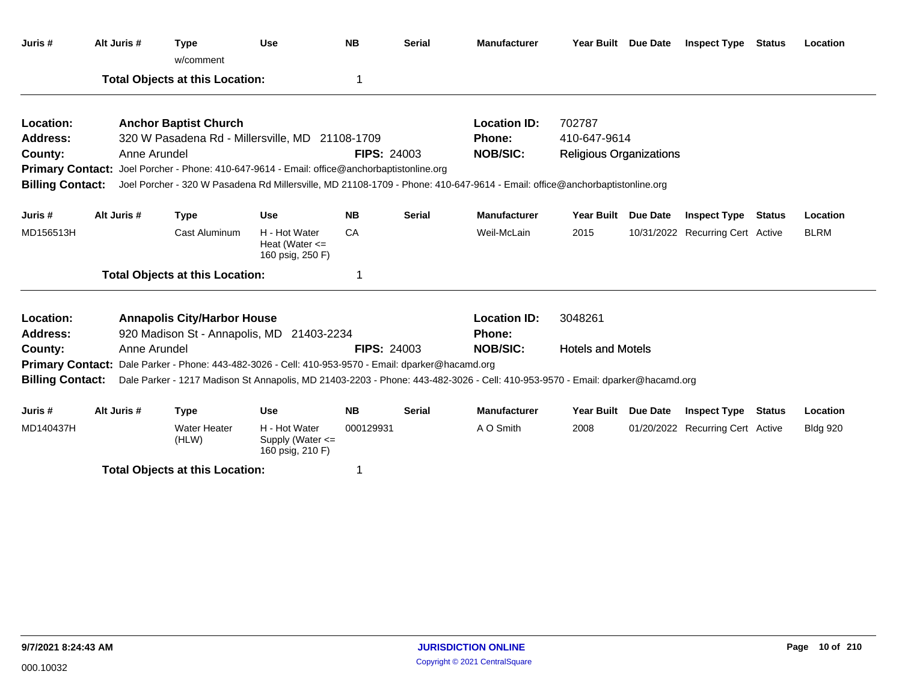| Juris #                 | Alt Juris #  | <b>Type</b><br>w/comment                                                                            | <b>Use</b>                                              | <b>NB</b>          | <b>Serial</b> | <b>Manufacturer</b>                                                                                                           | Year Built Due Date            |                 | <b>Inspect Type</b>              | <b>Status</b> | Location        |
|-------------------------|--------------|-----------------------------------------------------------------------------------------------------|---------------------------------------------------------|--------------------|---------------|-------------------------------------------------------------------------------------------------------------------------------|--------------------------------|-----------------|----------------------------------|---------------|-----------------|
|                         |              | <b>Total Objects at this Location:</b>                                                              |                                                         | 1                  |               |                                                                                                                               |                                |                 |                                  |               |                 |
| Location:               |              | <b>Anchor Baptist Church</b>                                                                        |                                                         |                    |               | <b>Location ID:</b>                                                                                                           | 702787                         |                 |                                  |               |                 |
| <b>Address:</b>         |              | 320 W Pasadena Rd - Millersville, MD 21108-1709                                                     |                                                         |                    |               | Phone:                                                                                                                        | 410-647-9614                   |                 |                                  |               |                 |
| County:                 | Anne Arundel |                                                                                                     |                                                         | <b>FIPS: 24003</b> |               | <b>NOB/SIC:</b>                                                                                                               | <b>Religious Organizations</b> |                 |                                  |               |                 |
|                         |              | Primary Contact: Joel Porcher - Phone: 410-647-9614 - Email: office@anchorbaptistonline.org         |                                                         |                    |               |                                                                                                                               |                                |                 |                                  |               |                 |
| <b>Billing Contact:</b> |              |                                                                                                     |                                                         |                    |               | Joel Porcher - 320 W Pasadena Rd Millersville, MD 21108-1709 - Phone: 410-647-9614 - Email: office@anchorbaptistonline.org    |                                |                 |                                  |               |                 |
| Juris #                 | Alt Juris #  | <b>Type</b>                                                                                         | <b>Use</b>                                              | <b>NB</b>          | <b>Serial</b> | <b>Manufacturer</b>                                                                                                           | <b>Year Built</b>              | Due Date        | <b>Inspect Type</b>              | Status        | Location        |
| MD156513H               |              | <b>Cast Aluminum</b>                                                                                | H - Hot Water<br>Heat (Water $\leq$<br>160 psig, 250 F) | CA                 |               | Weil-McLain                                                                                                                   | 2015                           |                 | 10/31/2022 Recurring Cert Active |               | <b>BLRM</b>     |
|                         |              | <b>Total Objects at this Location:</b>                                                              |                                                         | 1                  |               |                                                                                                                               |                                |                 |                                  |               |                 |
| Location:               |              | <b>Annapolis City/Harbor House</b>                                                                  |                                                         |                    |               | <b>Location ID:</b>                                                                                                           | 3048261                        |                 |                                  |               |                 |
| Address:                |              | 920 Madison St - Annapolis, MD 21403-2234                                                           |                                                         |                    |               | Phone:                                                                                                                        |                                |                 |                                  |               |                 |
| County:                 | Anne Arundel |                                                                                                     |                                                         | <b>FIPS: 24003</b> |               | <b>NOB/SIC:</b>                                                                                                               | <b>Hotels and Motels</b>       |                 |                                  |               |                 |
|                         |              | Primary Contact: Dale Parker - Phone: 443-482-3026 - Cell: 410-953-9570 - Email: dparker@hacamd.org |                                                         |                    |               |                                                                                                                               |                                |                 |                                  |               |                 |
| <b>Billing Contact:</b> |              |                                                                                                     |                                                         |                    |               | Dale Parker - 1217 Madison St Annapolis, MD 21403-2203 - Phone: 443-482-3026 - Cell: 410-953-9570 - Email: dparker@hacamd.org |                                |                 |                                  |               |                 |
| Juris #                 | Alt Juris #  | <b>Type</b>                                                                                         | <b>Use</b>                                              | <b>NB</b>          | <b>Serial</b> | <b>Manufacturer</b>                                                                                                           | <b>Year Built</b>              | <b>Due Date</b> | <b>Inspect Type</b>              | Status        | Location        |
| MD140437H               |              | <b>Water Heater</b><br>(HLW)                                                                        | H - Hot Water<br>Supply (Water <=<br>160 psig, 210 F)   | 000129931          |               | A O Smith                                                                                                                     | 2008                           |                 | 01/20/2022 Recurring Cert Active |               | <b>Bldg 920</b> |
|                         |              | <b>Total Objects at this Location:</b>                                                              |                                                         | 1                  |               |                                                                                                                               |                                |                 |                                  |               |                 |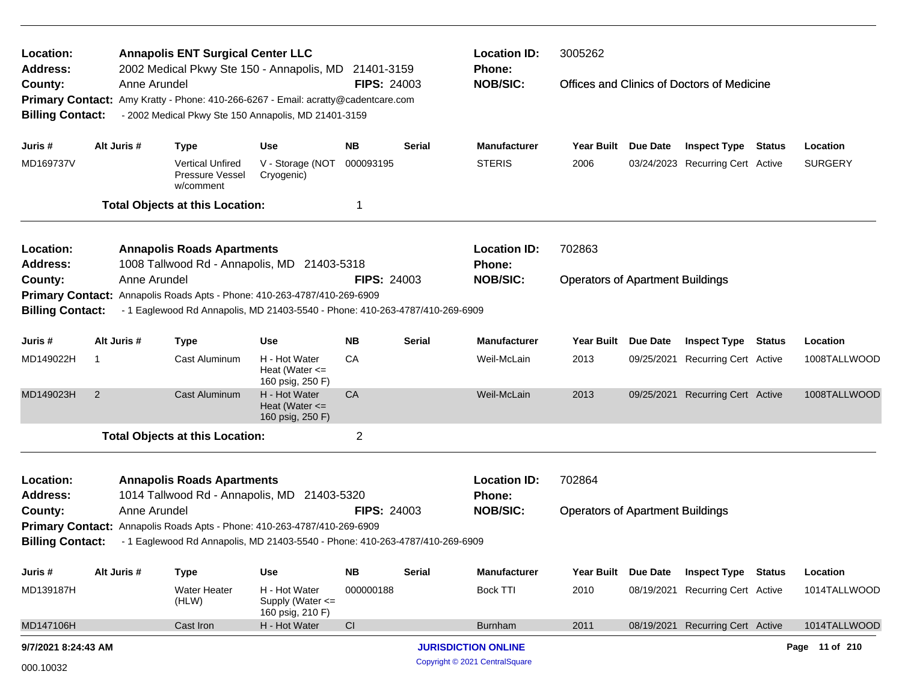| Location:                                                                |                |              | <b>Annapolis ENT Surgical Center LLC</b>                                          |                                                         |                                  |               | <b>Location ID:</b>                  | 3005262                                 |                 |                                            |               |                |
|--------------------------------------------------------------------------|----------------|--------------|-----------------------------------------------------------------------------------|---------------------------------------------------------|----------------------------------|---------------|--------------------------------------|-----------------------------------------|-----------------|--------------------------------------------|---------------|----------------|
| <b>Address:</b><br>County:                                               |                | Anne Arundel | 2002 Medical Pkwy Ste 150 - Annapolis, MD                                         |                                                         | 21401-3159<br><b>FIPS: 24003</b> |               | Phone:<br><b>NOB/SIC:</b>            |                                         |                 | Offices and Clinics of Doctors of Medicine |               |                |
|                                                                          |                |              | Primary Contact: Amy Kratty - Phone: 410-266-6267 - Email: acratty@cadentcare.com |                                                         |                                  |               |                                      |                                         |                 |                                            |               |                |
| <b>Billing Contact:</b>                                                  |                |              | - 2002 Medical Pkwy Ste 150 Annapolis, MD 21401-3159                              |                                                         |                                  |               |                                      |                                         |                 |                                            |               |                |
| Juris #                                                                  |                | Alt Juris #  | <b>Type</b>                                                                       | <b>Use</b>                                              | <b>NB</b>                        | <b>Serial</b> | <b>Manufacturer</b>                  | <b>Year Built</b>                       | Due Date        | <b>Inspect Type</b>                        | <b>Status</b> | Location       |
| MD169737V                                                                |                |              | <b>Vertical Unfired</b><br>Pressure Vessel<br>w/comment                           | V - Storage (NOT<br>Cryogenic)                          | 000093195                        |               | <b>STERIS</b>                        | 2006                                    |                 | 03/24/2023 Recurring Cert Active           |               | <b>SURGERY</b> |
|                                                                          |                |              | <b>Total Objects at this Location:</b>                                            |                                                         | 1                                |               |                                      |                                         |                 |                                            |               |                |
| Location:<br>Address:                                                    |                |              | <b>Annapolis Roads Apartments</b><br>1008 Tallwood Rd - Annapolis, MD 21403-5318  |                                                         |                                  |               | <b>Location ID:</b><br><b>Phone:</b> | 702863                                  |                 |                                            |               |                |
| County:                                                                  |                | Anne Arundel |                                                                                   |                                                         | <b>FIPS: 24003</b>               |               | <b>NOB/SIC:</b>                      | <b>Operators of Apartment Buildings</b> |                 |                                            |               |                |
| <b>Primary Contact:</b>                                                  |                |              | Annapolis Roads Apts - Phone: 410-263-4787/410-269-6909                           |                                                         |                                  |               |                                      |                                         |                 |                                            |               |                |
| <b>Billing Contact:</b>                                                  |                |              | - 1 Eaglewood Rd Annapolis, MD 21403-5540 - Phone: 410-263-4787/410-269-6909      |                                                         |                                  |               |                                      |                                         |                 |                                            |               |                |
| Juris #                                                                  |                | Alt Juris #  | <b>Type</b>                                                                       | <b>Use</b>                                              | <b>NB</b>                        | <b>Serial</b> | <b>Manufacturer</b>                  | <b>Year Built</b>                       | Due Date        | <b>Inspect Type</b>                        | <b>Status</b> | Location       |
| MD149022H                                                                | -1             |              | Cast Aluminum                                                                     | H - Hot Water<br>Heat (Water $\leq$<br>160 psig, 250 F) | CA                               |               | Weil-McLain                          | 2013                                    |                 | 09/25/2021 Recurring Cert Active           |               | 1008TALLWOOD   |
| MD149023H                                                                | $\overline{2}$ |              | <b>Cast Aluminum</b>                                                              | H - Hot Water<br>Heat (Water $\leq$<br>160 psig, 250 F) | CA                               |               | Weil-McLain                          | 2013                                    |                 | 09/25/2021 Recurring Cert Active           |               | 1008TALLWOOD   |
|                                                                          |                |              | <b>Total Objects at this Location:</b>                                            |                                                         | $\overline{2}$                   |               |                                      |                                         |                 |                                            |               |                |
| Location:                                                                |                |              | <b>Annapolis Roads Apartments</b>                                                 |                                                         |                                  |               | <b>Location ID:</b>                  | 702864                                  |                 |                                            |               |                |
| <b>Address:</b>                                                          |                |              | 1014 Tallwood Rd - Annapolis, MD 21403-5320                                       |                                                         |                                  |               | Phone:                               |                                         |                 |                                            |               |                |
| County:                                                                  |                | Anne Arundel |                                                                                   |                                                         | <b>FIPS: 24003</b>               |               | <b>NOB/SIC:</b>                      | <b>Operators of Apartment Buildings</b> |                 |                                            |               |                |
| Primary Contact: Annapolis Roads Apts - Phone: 410-263-4787/410-269-6909 |                |              |                                                                                   |                                                         |                                  |               |                                      |                                         |                 |                                            |               |                |
| <b>Billing Contact:</b>                                                  |                |              | - 1 Eaglewood Rd Annapolis, MD 21403-5540 - Phone: 410-263-4787/410-269-6909      |                                                         |                                  |               |                                      |                                         |                 |                                            |               |                |
| Juris #                                                                  |                | Alt Juris #  | <b>Type</b>                                                                       | <b>Use</b>                                              | <b>NB</b>                        | <b>Serial</b> | <b>Manufacturer</b>                  | <b>Year Built</b>                       | <b>Due Date</b> | <b>Inspect Type Status</b>                 |               | Location       |
| MD139187H                                                                |                |              | <b>Water Heater</b><br>(HLW)                                                      | H - Hot Water<br>Supply (Water <=<br>160 psig, 210 F)   | 000000188                        |               | <b>Bock TTI</b>                      | 2010                                    | 08/19/2021      | <b>Recurring Cert Active</b>               |               | 1014TALLWOOD   |
| MD147106H                                                                |                |              | Cast Iron                                                                         | H - Hot Water                                           | CI                               |               | <b>Burnham</b>                       | 2011                                    |                 | 08/19/2021 Recurring Cert Active           |               | 1014TALLWOOD   |
| 9/7/2021 8:24:43 AM                                                      |                |              |                                                                                   |                                                         |                                  |               | <b>JURISDICTION ONLINE</b>           |                                         |                 |                                            |               | Page 11 of 210 |
| 000.10032                                                                |                |              |                                                                                   |                                                         |                                  |               | Copyright © 2021 CentralSquare       |                                         |                 |                                            |               |                |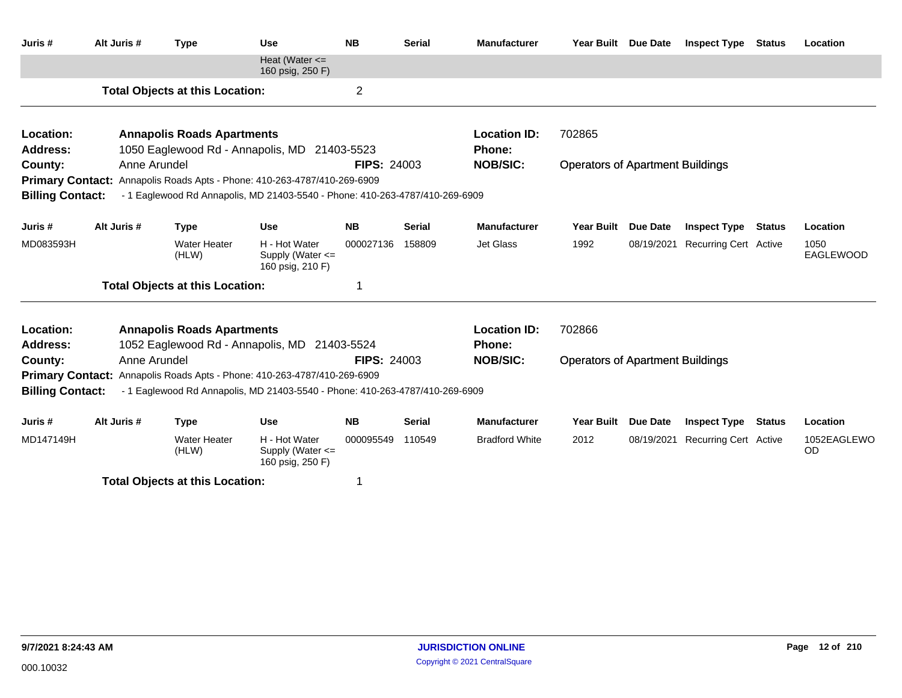| Juris #                      | Alt Juris #  | <b>Type</b>                            | <b>Use</b>                                                                   | <b>NB</b>          | <b>Serial</b> | <b>Manufacturer</b>                  | <b>Year Built</b>                       | <b>Due Date</b> | <b>Inspect Type</b>          | <b>Status</b> | Location          |
|------------------------------|--------------|----------------------------------------|------------------------------------------------------------------------------|--------------------|---------------|--------------------------------------|-----------------------------------------|-----------------|------------------------------|---------------|-------------------|
|                              |              |                                        | Heat (Water $\leq$<br>160 psig, 250 F)                                       |                    |               |                                      |                                         |                 |                              |               |                   |
|                              |              | <b>Total Objects at this Location:</b> |                                                                              | $\overline{2}$     |               |                                      |                                         |                 |                              |               |                   |
| Location:                    |              | <b>Annapolis Roads Apartments</b>      |                                                                              |                    |               | <b>Location ID:</b>                  | 702865                                  |                 |                              |               |                   |
| <b>Address:</b>              |              |                                        | 1050 Eaglewood Rd - Annapolis, MD 21403-5523                                 |                    |               | <b>Phone:</b>                        |                                         |                 |                              |               |                   |
| County:                      | Anne Arundel |                                        |                                                                              | <b>FIPS: 24003</b> |               | <b>NOB/SIC:</b>                      | <b>Operators of Apartment Buildings</b> |                 |                              |               |                   |
|                              |              |                                        | Primary Contact: Annapolis Roads Apts - Phone: 410-263-4787/410-269-6909     |                    |               |                                      |                                         |                 |                              |               |                   |
| <b>Billing Contact:</b>      |              |                                        | - 1 Eaglewood Rd Annapolis, MD 21403-5540 - Phone: 410-263-4787/410-269-6909 |                    |               |                                      |                                         |                 |                              |               |                   |
| Juris #                      | Alt Juris #  | <b>Type</b>                            | <b>Use</b>                                                                   | <b>NB</b>          | <b>Serial</b> | <b>Manufacturer</b>                  | <b>Year Built</b>                       | <b>Due Date</b> | <b>Inspect Type</b>          | <b>Status</b> | Location          |
| MD083593H                    |              | <b>Water Heater</b><br>(HLW)           | H - Hot Water<br>Supply (Water <=<br>160 psig, 210 F)                        | 000027136          | 158809        | Jet Glass                            | 1992                                    | 08/19/2021      | <b>Recurring Cert Active</b> |               | 1050<br>EAGLEWOOD |
|                              |              | <b>Total Objects at this Location:</b> |                                                                              | 1                  |               |                                      |                                         |                 |                              |               |                   |
| Location:<br><b>Address:</b> |              | <b>Annapolis Roads Apartments</b>      | 1052 Eaglewood Rd - Annapolis, MD 21403-5524                                 |                    |               | <b>Location ID:</b><br><b>Phone:</b> | 702866                                  |                 |                              |               |                   |
| County:                      | Anne Arundel |                                        |                                                                              | <b>FIPS: 24003</b> |               | <b>NOB/SIC:</b>                      | <b>Operators of Apartment Buildings</b> |                 |                              |               |                   |
|                              |              |                                        | Primary Contact: Annapolis Roads Apts - Phone: 410-263-4787/410-269-6909     |                    |               |                                      |                                         |                 |                              |               |                   |
| <b>Billing Contact:</b>      |              |                                        | - 1 Eaglewood Rd Annapolis, MD 21403-5540 - Phone: 410-263-4787/410-269-6909 |                    |               |                                      |                                         |                 |                              |               |                   |
| Juris #                      | Alt Juris #  | <b>Type</b>                            | <b>Use</b>                                                                   | <b>NB</b>          | <b>Serial</b> | <b>Manufacturer</b>                  | Year Built                              | <b>Due Date</b> | <b>Inspect Type</b>          | <b>Status</b> | Location          |
| MD147149H                    |              | <b>Water Heater</b><br>(HLW)           | H - Hot Water<br>Supply (Water $\leq$<br>160 psig, 250 F)                    | 000095549          | 110549        | <b>Bradford White</b>                | 2012                                    | 08/19/2021      | <b>Recurring Cert Active</b> |               | 1052EAGLEWO<br>OD |
|                              |              | ディストリ あしきょうそう しんけいきょうしょう ようし           |                                                                              |                    |               |                                      |                                         |                 |                              |               |                   |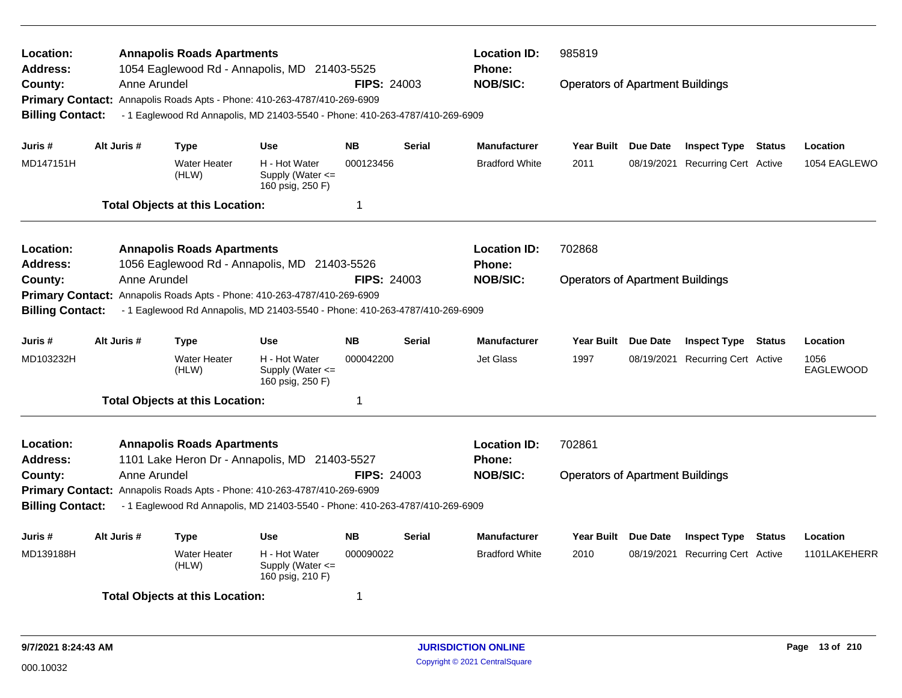| Location:<br><b>Address:</b><br>County:                       | Anne Arundel | <b>Annapolis Roads Apartments</b>      | 1054 Eaglewood Rd - Annapolis, MD 21403-5525                                                                                                             | <b>FIPS: 24003</b> |               | <b>Location ID:</b><br><b>Phone:</b><br><b>NOB/SIC:</b> | 985819<br><b>Operators of Apartment Buildings</b> |                 |                              |               |                          |  |
|---------------------------------------------------------------|--------------|----------------------------------------|----------------------------------------------------------------------------------------------------------------------------------------------------------|--------------------|---------------|---------------------------------------------------------|---------------------------------------------------|-----------------|------------------------------|---------------|--------------------------|--|
| <b>Billing Contact:</b>                                       |              |                                        | Primary Contact: Annapolis Roads Apts - Phone: 410-263-4787/410-269-6909<br>- 1 Eaglewood Rd Annapolis, MD 21403-5540 - Phone: 410-263-4787/410-269-6909 |                    |               |                                                         |                                                   |                 |                              |               |                          |  |
| Juris #                                                       | Alt Juris #  | <b>Type</b>                            | <b>Use</b>                                                                                                                                               | <b>NB</b>          | <b>Serial</b> | <b>Manufacturer</b>                                     | <b>Year Built</b>                                 | Due Date        | <b>Inspect Type Status</b>   |               | Location                 |  |
| MD147151H                                                     |              | <b>Water Heater</b><br>(HLW)           | H - Hot Water<br>Supply (Water $\leq$<br>160 psig, 250 F)                                                                                                | 000123456          |               | <b>Bradford White</b>                                   | 2011                                              | 08/19/2021      | <b>Recurring Cert Active</b> |               | 1054 EAGLEWO             |  |
|                                                               |              | <b>Total Objects at this Location:</b> |                                                                                                                                                          | 1                  |               |                                                         |                                                   |                 |                              |               |                          |  |
| <b>Location:</b><br><b>Address:</b>                           |              | <b>Annapolis Roads Apartments</b>      | 1056 Eaglewood Rd - Annapolis, MD 21403-5526                                                                                                             |                    |               | <b>Location ID:</b><br>Phone:                           | 702868                                            |                 |                              |               |                          |  |
| County:<br><b>Primary Contact:</b><br><b>Billing Contact:</b> | Anne Arundel |                                        | Annapolis Roads Apts - Phone: 410-263-4787/410-269-6909<br>- 1 Eaglewood Rd Annapolis, MD 21403-5540 - Phone: 410-263-4787/410-269-6909                  | <b>FIPS: 24003</b> |               | <b>NOB/SIC:</b>                                         | <b>Operators of Apartment Buildings</b>           |                 |                              |               |                          |  |
| Juris #                                                       | Alt Juris #  | Type                                   | <b>Use</b>                                                                                                                                               | <b>NB</b>          | Serial        | <b>Manufacturer</b>                                     | Year Built                                        | <b>Due Date</b> | <b>Inspect Type Status</b>   |               | Location                 |  |
| MD103232H                                                     |              | <b>Water Heater</b><br>(HLW)           | H - Hot Water<br>Supply (Water $\leq$<br>160 psig, 250 F)                                                                                                | 000042200          |               | <b>Jet Glass</b>                                        | 1997                                              | 08/19/2021      | <b>Recurring Cert Active</b> |               | 1056<br><b>EAGLEWOOD</b> |  |
|                                                               |              | <b>Total Objects at this Location:</b> |                                                                                                                                                          | $\mathbf 1$        |               |                                                         |                                                   |                 |                              |               |                          |  |
| Location:<br><b>Address:</b>                                  |              | <b>Annapolis Roads Apartments</b>      | 1101 Lake Heron Dr - Annapolis, MD 21403-5527                                                                                                            |                    |               | <b>Location ID:</b><br><b>Phone:</b>                    | 702861                                            |                 |                              |               |                          |  |
| County:                                                       | Anne Arundel |                                        |                                                                                                                                                          | <b>FIPS: 24003</b> |               | <b>NOB/SIC:</b>                                         | <b>Operators of Apartment Buildings</b>           |                 |                              |               |                          |  |
| <b>Billing Contact:</b>                                       |              |                                        | Primary Contact: Annapolis Roads Apts - Phone: 410-263-4787/410-269-6909<br>- 1 Eaglewood Rd Annapolis, MD 21403-5540 - Phone: 410-263-4787/410-269-6909 |                    |               |                                                         |                                                   |                 |                              |               |                          |  |
| Juris #                                                       | Alt Juris #  | <b>Type</b>                            | Use                                                                                                                                                      | <b>NB</b>          | Serial        | <b>Manufacturer</b>                                     | <b>Year Built</b>                                 | Due Date        | <b>Inspect Type</b>          | <b>Status</b> | Location                 |  |
| MD139188H                                                     |              | <b>Water Heater</b><br>(HLW)           | H - Hot Water<br>Supply (Water <=<br>160 psig, 210 F)                                                                                                    | 000090022          |               | <b>Bradford White</b>                                   | 2010                                              | 08/19/2021      | <b>Recurring Cert Active</b> |               | 1101LAKEHERR             |  |
|                                                               |              | <b>Total Objects at this Location:</b> |                                                                                                                                                          | 1                  |               |                                                         |                                                   |                 |                              |               |                          |  |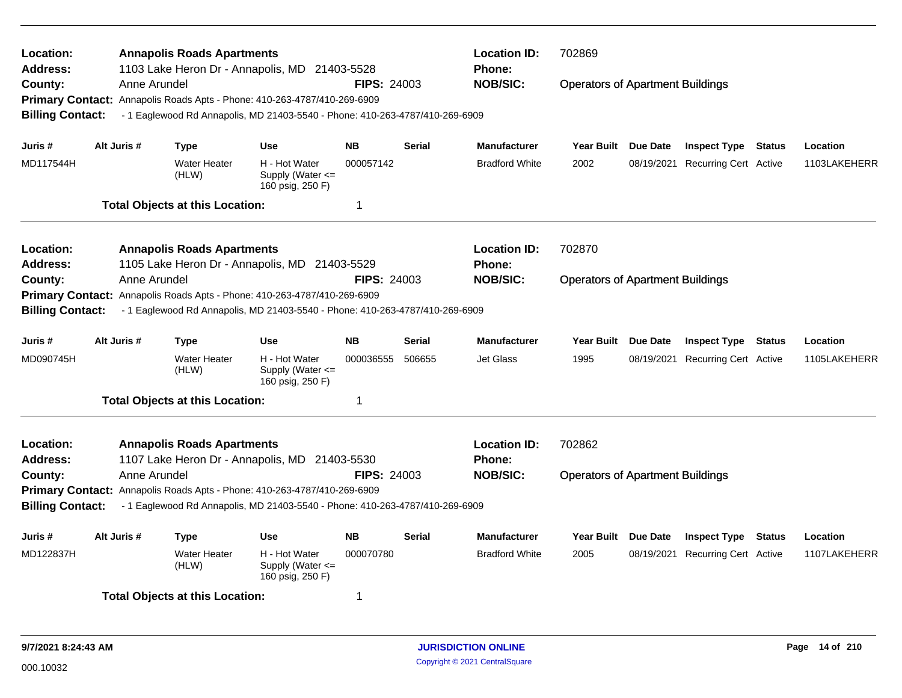| Location:<br><b>Address:</b> |              | <b>Annapolis Roads Apartments</b>      | 1103 Lake Heron Dr - Annapolis, MD 21403-5528                                |                    |                 | <b>Location ID:</b><br><b>Phone:</b>    | 702869                                  |                 |                                  |               |              |
|------------------------------|--------------|----------------------------------------|------------------------------------------------------------------------------|--------------------|-----------------|-----------------------------------------|-----------------------------------------|-----------------|----------------------------------|---------------|--------------|
| County:                      | Anne Arundel |                                        |                                                                              | <b>FIPS: 24003</b> |                 | <b>NOB/SIC:</b>                         | <b>Operators of Apartment Buildings</b> |                 |                                  |               |              |
| <b>Primary Contact:</b>      |              |                                        | Annapolis Roads Apts - Phone: 410-263-4787/410-269-6909                      |                    |                 |                                         |                                         |                 |                                  |               |              |
| <b>Billing Contact:</b>      |              |                                        | - 1 Eaglewood Rd Annapolis, MD 21403-5540 - Phone: 410-263-4787/410-269-6909 |                    |                 |                                         |                                         |                 |                                  |               |              |
| Juris #                      | Alt Juris #  | <b>Type</b>                            | <b>Use</b>                                                                   | <b>NB</b>          | <b>Serial</b>   | <b>Manufacturer</b>                     | <b>Year Built</b>                       | <b>Due Date</b> | <b>Inspect Type Status</b>       |               | Location     |
| MD117544H                    |              | <b>Water Heater</b><br>(HLW)           | H - Hot Water<br>Supply (Water $\leq$<br>160 psig, 250 F)                    | 000057142          |                 | <b>Bradford White</b>                   | 2002                                    | 08/19/2021      | <b>Recurring Cert Active</b>     |               | 1103LAKEHERR |
|                              |              | <b>Total Objects at this Location:</b> |                                                                              | 1                  |                 |                                         |                                         |                 |                                  |               |              |
| Location:                    |              | <b>Annapolis Roads Apartments</b>      |                                                                              |                    |                 | <b>Location ID:</b>                     | 702870                                  |                 |                                  |               |              |
| <b>Address:</b>              |              |                                        | 1105 Lake Heron Dr - Annapolis, MD 21403-5529                                |                    |                 | <b>Phone:</b>                           |                                         |                 |                                  |               |              |
| County:                      | Anne Arundel |                                        |                                                                              | <b>FIPS: 24003</b> |                 | <b>NOB/SIC:</b>                         | <b>Operators of Apartment Buildings</b> |                 |                                  |               |              |
| <b>Primary Contact:</b>      |              |                                        | Annapolis Roads Apts - Phone: 410-263-4787/410-269-6909                      |                    |                 |                                         |                                         |                 |                                  |               |              |
| <b>Billing Contact:</b>      |              |                                        | - 1 Eaglewood Rd Annapolis, MD 21403-5540 - Phone: 410-263-4787/410-269-6909 |                    |                 |                                         |                                         |                 |                                  |               |              |
| Juris #                      | Alt Juris #  | <b>Type</b>                            | <b>Use</b>                                                                   | <b>NB</b>          | <b>Serial</b>   | <b>Manufacturer</b>                     | Year Built                              | <b>Due Date</b> | <b>Inspect Type</b>              | <b>Status</b> | Location     |
| MD090745H                    |              | Water Heater<br>(HLW)                  | H - Hot Water<br>Supply (Water $\leq$<br>160 psig, 250 F)                    | 000036555          | 506655          | Jet Glass                               | 1995                                    | 08/19/2021      | <b>Recurring Cert Active</b>     |               | 1105LAKEHERR |
|                              |              | <b>Total Objects at this Location:</b> |                                                                              | 1                  |                 |                                         |                                         |                 |                                  |               |              |
| Location:                    |              | <b>Annapolis Roads Apartments</b>      |                                                                              |                    |                 | <b>Location ID:</b>                     | 702862                                  |                 |                                  |               |              |
| <b>Address:</b>              |              |                                        | 1107 Lake Heron Dr - Annapolis, MD 21403-5530                                | <b>FIPS: 24003</b> |                 | <b>Phone:</b>                           |                                         |                 |                                  |               |              |
| County:                      | Anne Arundel |                                        |                                                                              |                    | <b>NOB/SIC:</b> | <b>Operators of Apartment Buildings</b> |                                         |                 |                                  |               |              |
|                              |              |                                        | Primary Contact: Annapolis Roads Apts - Phone: 410-263-4787/410-269-6909     |                    |                 |                                         |                                         |                 |                                  |               |              |
| <b>Billing Contact:</b>      |              |                                        | - 1 Eaglewood Rd Annapolis, MD 21403-5540 - Phone: 410-263-4787/410-269-6909 |                    |                 |                                         |                                         |                 |                                  |               |              |
| Juris #                      | Alt Juris #  | Type                                   | <b>Use</b>                                                                   | <b>NB</b>          | <b>Serial</b>   | <b>Manufacturer</b>                     | <b>Year Built</b>                       | <b>Due Date</b> | <b>Inspect Type</b>              | <b>Status</b> | Location     |
| MD122837H                    |              | <b>Water Heater</b><br>(HLW)           | H - Hot Water<br>Supply (Water $\leq$<br>160 psig, 250 F)                    | 000070780          |                 | <b>Bradford White</b>                   | 2005                                    |                 | 08/19/2021 Recurring Cert Active |               | 1107LAKEHERR |
|                              |              | <b>Total Objects at this Location:</b> |                                                                              | 1                  |                 |                                         |                                         |                 |                                  |               |              |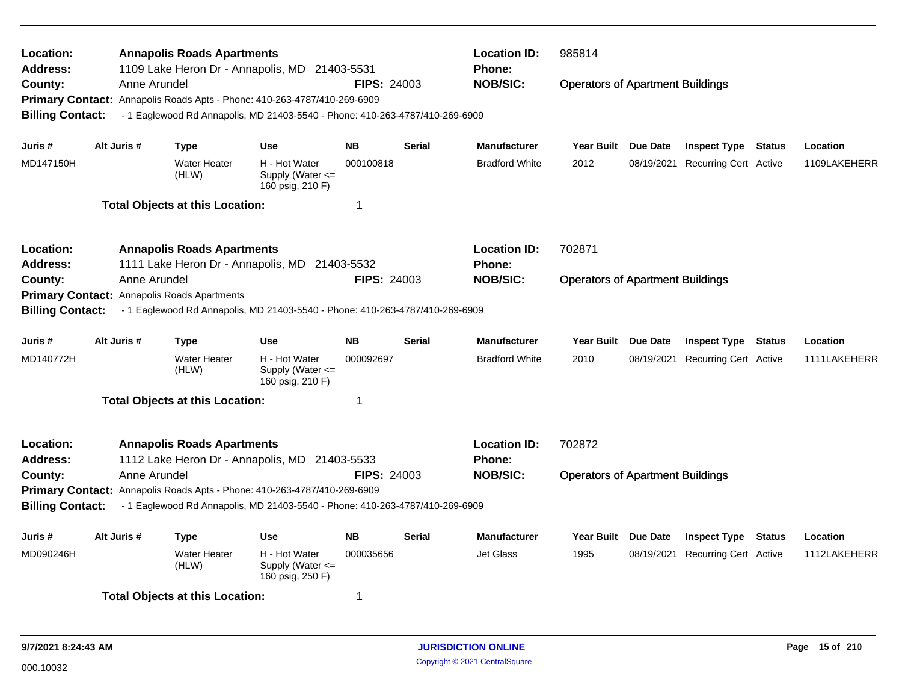| Location:<br><b>Address:</b> |                                                                                             | <b>Annapolis Roads Apartments</b>      | 1109 Lake Heron Dr - Annapolis, MD 21403-5531                                |                    |               | <b>Location ID:</b><br><b>Phone:</b> | 985814<br><b>Operators of Apartment Buildings</b> |                 |                              |               |              |  |  |
|------------------------------|---------------------------------------------------------------------------------------------|----------------------------------------|------------------------------------------------------------------------------|--------------------|---------------|--------------------------------------|---------------------------------------------------|-----------------|------------------------------|---------------|--------------|--|--|
| County:                      | Anne Arundel                                                                                |                                        | Primary Contact: Annapolis Roads Apts - Phone: 410-263-4787/410-269-6909     | <b>FIPS: 24003</b> |               | <b>NOB/SIC:</b>                      |                                                   |                 |                              |               |              |  |  |
| <b>Billing Contact:</b>      |                                                                                             |                                        | - 1 Eaglewood Rd Annapolis, MD 21403-5540 - Phone: 410-263-4787/410-269-6909 |                    |               |                                      |                                                   |                 |                              |               |              |  |  |
|                              |                                                                                             |                                        |                                                                              |                    |               |                                      |                                                   |                 |                              |               |              |  |  |
| Juris #                      | Alt Juris #                                                                                 | <b>Type</b>                            | <b>Use</b>                                                                   | NΒ                 | <b>Serial</b> | <b>Manufacturer</b>                  | <b>Year Built</b>                                 | <b>Due Date</b> | <b>Inspect Type Status</b>   |               | Location     |  |  |
| MD147150H                    |                                                                                             | <b>Water Heater</b><br>(HLW)           | H - Hot Water<br>Supply (Water $\leq$<br>160 psig, 210 F)                    | 000100818          |               | <b>Bradford White</b>                | 2012                                              | 08/19/2021      | Recurring Cert Active        |               | 1109LAKEHERR |  |  |
|                              |                                                                                             | <b>Total Objects at this Location:</b> |                                                                              | 1                  |               |                                      |                                                   |                 |                              |               |              |  |  |
| Location:                    |                                                                                             | <b>Annapolis Roads Apartments</b>      |                                                                              |                    |               | <b>Location ID:</b>                  | 702871                                            |                 |                              |               |              |  |  |
| Address:                     |                                                                                             |                                        | 1111 Lake Heron Dr - Annapolis, MD 21403-5532                                |                    |               | Phone:<br><b>NOB/SIC:</b>            |                                                   |                 |                              |               |              |  |  |
| County:                      | Anne Arundel<br><b>FIPS: 24003</b><br><b>Primary Contact:</b><br>Annapolis Roads Apartments |                                        |                                                                              |                    |               |                                      | <b>Operators of Apartment Buildings</b>           |                 |                              |               |              |  |  |
|                              |                                                                                             |                                        |                                                                              |                    |               |                                      |                                                   |                 |                              |               |              |  |  |
| <b>Billing Contact:</b>      |                                                                                             |                                        | - 1 Eaglewood Rd Annapolis, MD 21403-5540 - Phone: 410-263-4787/410-269-6909 |                    |               |                                      |                                                   |                 |                              |               |              |  |  |
| Juris #                      | Alt Juris #                                                                                 | <b>Type</b>                            | Use                                                                          | <b>NB</b>          | Serial        | <b>Manufacturer</b>                  | <b>Year Built</b>                                 | <b>Due Date</b> | <b>Inspect Type</b>          | Status        | Location     |  |  |
| MD140772H                    |                                                                                             | <b>Water Heater</b><br>(HLW)           | H - Hot Water<br>Supply (Water $\leq$<br>160 psig, 210 F)                    | 000092697          |               | <b>Bradford White</b>                | 2010                                              | 08/19/2021      | <b>Recurring Cert Active</b> |               | 1111LAKEHERR |  |  |
|                              |                                                                                             | <b>Total Objects at this Location:</b> |                                                                              | 1                  |               |                                      |                                                   |                 |                              |               |              |  |  |
| Location:                    |                                                                                             | <b>Annapolis Roads Apartments</b>      |                                                                              |                    |               | <b>Location ID:</b>                  | 702872                                            |                 |                              |               |              |  |  |
| Address:                     |                                                                                             |                                        | 1112 Lake Heron Dr - Annapolis, MD 21403-5533                                |                    |               | <b>Phone:</b>                        |                                                   |                 |                              |               |              |  |  |
| County:                      | Anne Arundel                                                                                |                                        |                                                                              | <b>FIPS: 24003</b> |               | <b>NOB/SIC:</b>                      | <b>Operators of Apartment Buildings</b>           |                 |                              |               |              |  |  |
|                              |                                                                                             |                                        | Primary Contact: Annapolis Roads Apts - Phone: 410-263-4787/410-269-6909     |                    |               |                                      |                                                   |                 |                              |               |              |  |  |
| <b>Billing Contact:</b>      |                                                                                             |                                        | - 1 Eaglewood Rd Annapolis, MD 21403-5540 - Phone: 410-263-4787/410-269-6909 |                    |               |                                      |                                                   |                 |                              |               |              |  |  |
| Juris #                      | Alt Juris #                                                                                 | Type                                   | <b>Use</b>                                                                   | <b>NB</b>          | <b>Serial</b> | <b>Manufacturer</b>                  | <b>Year Built</b>                                 | <b>Due Date</b> | <b>Inspect Type</b>          | <b>Status</b> | Location     |  |  |
| MD090246H                    |                                                                                             | <b>Water Heater</b><br>(HLW)           | H - Hot Water<br>Supply (Water <=<br>160 psig, 250 F)                        | 000035656          |               | <b>Jet Glass</b>                     | 1995                                              | 08/19/2021      | Recurring Cert Active        |               | 1112LAKEHERR |  |  |
|                              |                                                                                             | <b>Total Objects at this Location:</b> |                                                                              | 1                  |               |                                      |                                                   |                 |                              |               |              |  |  |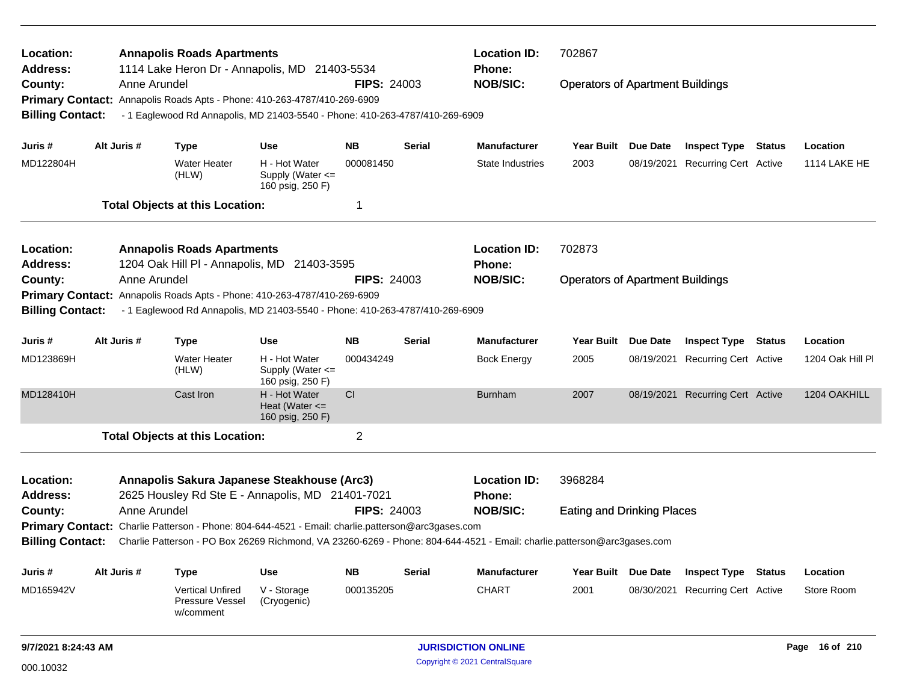| Location:<br><b>Address:</b>                                                                                      |              | <b>Annapolis Roads Apartments</b><br>1114 Lake Heron Dr - Annapolis, MD 21403-5534 |                                                         |                    |                            | <b>Location ID:</b><br>Phone:                                                                                           | 702867                                  |            |                                  |                |                  |
|-------------------------------------------------------------------------------------------------------------------|--------------|------------------------------------------------------------------------------------|---------------------------------------------------------|--------------------|----------------------------|-------------------------------------------------------------------------------------------------------------------------|-----------------------------------------|------------|----------------------------------|----------------|------------------|
| County:                                                                                                           | Anne Arundel |                                                                                    |                                                         | <b>FIPS: 24003</b> |                            | <b>NOB/SIC:</b>                                                                                                         | <b>Operators of Apartment Buildings</b> |            |                                  |                |                  |
|                                                                                                                   |              | Primary Contact: Annapolis Roads Apts - Phone: 410-263-4787/410-269-6909           |                                                         |                    |                            |                                                                                                                         |                                         |            |                                  |                |                  |
| <b>Billing Contact:</b>                                                                                           |              | - 1 Eaglewood Rd Annapolis, MD 21403-5540 - Phone: 410-263-4787/410-269-6909       |                                                         |                    |                            |                                                                                                                         |                                         |            |                                  |                |                  |
| Juris #                                                                                                           | Alt Juris #  | <b>Type</b>                                                                        | <b>Use</b>                                              | <b>NB</b>          | Serial                     | <b>Manufacturer</b>                                                                                                     | Year Built Due Date                     |            | <b>Inspect Type Status</b>       |                | Location         |
| MD122804H                                                                                                         |              | <b>Water Heater</b><br>(HLW)                                                       | H - Hot Water<br>Supply (Water <=<br>160 psig, 250 F)   | 000081450          |                            | <b>State Industries</b>                                                                                                 | 2003                                    | 08/19/2021 | <b>Recurring Cert Active</b>     |                | 1114 LAKE HE     |
|                                                                                                                   |              | <b>Total Objects at this Location:</b>                                             |                                                         | 1                  |                            |                                                                                                                         |                                         |            |                                  |                |                  |
| Location:                                                                                                         |              | <b>Annapolis Roads Apartments</b>                                                  |                                                         |                    |                            | <b>Location ID:</b>                                                                                                     | 702873                                  |            |                                  |                |                  |
| <b>Address:</b>                                                                                                   |              | 1204 Oak Hill PI - Annapolis, MD 21403-3595                                        |                                                         |                    |                            | <b>Phone:</b>                                                                                                           |                                         |            |                                  |                |                  |
| County:                                                                                                           | Anne Arundel |                                                                                    |                                                         | <b>FIPS: 24003</b> |                            | <b>NOB/SIC:</b>                                                                                                         | <b>Operators of Apartment Buildings</b> |            |                                  |                |                  |
| <b>Primary Contact:</b>                                                                                           |              | Annapolis Roads Apts - Phone: 410-263-4787/410-269-6909                            |                                                         |                    |                            |                                                                                                                         |                                         |            |                                  |                |                  |
| <b>Billing Contact:</b>                                                                                           |              | - 1 Eaglewood Rd Annapolis, MD 21403-5540 - Phone: 410-263-4787/410-269-6909       |                                                         |                    |                            |                                                                                                                         |                                         |            |                                  |                |                  |
| Juris #                                                                                                           | Alt Juris #  | <b>Type</b>                                                                        | <b>Use</b>                                              | <b>NB</b>          | <b>Serial</b>              | <b>Manufacturer</b>                                                                                                     | <b>Year Built</b>                       | Due Date   | <b>Inspect Type</b>              | <b>Status</b>  | Location         |
| MD123869H                                                                                                         |              | <b>Water Heater</b><br>(HLW)                                                       | H - Hot Water<br>Supply (Water <=<br>160 psig, 250 F)   | 000434249          |                            | <b>Bock Energy</b>                                                                                                      | 2005                                    |            | 08/19/2021 Recurring Cert Active |                | 1204 Oak Hill Pl |
| MD128410H                                                                                                         |              | Cast Iron                                                                          | H - Hot Water<br>Heat (Water $\leq$<br>160 psig, 250 F) | CI                 |                            | <b>Burnham</b>                                                                                                          | 2007                                    |            | 08/19/2021 Recurring Cert Active |                | 1204 OAKHILL     |
|                                                                                                                   |              | <b>Total Objects at this Location:</b>                                             |                                                         | $\overline{2}$     |                            |                                                                                                                         |                                         |            |                                  |                |                  |
| Location:                                                                                                         |              | Annapolis Sakura Japanese Steakhouse (Arc3)                                        |                                                         |                    |                            | <b>Location ID:</b>                                                                                                     | 3968284                                 |            |                                  |                |                  |
| Address:                                                                                                          |              | 2625 Housley Rd Ste E - Annapolis, MD 21401-7021                                   |                                                         |                    |                            | Phone:                                                                                                                  |                                         |            |                                  |                |                  |
| County:                                                                                                           |              |                                                                                    |                                                         | <b>FIPS: 24003</b> |                            | <b>NOB/SIC:</b>                                                                                                         | <b>Eating and Drinking Places</b>       |            |                                  |                |                  |
| Anne Arundel<br>Primary Contact: Charlie Patterson - Phone: 804-644-4521 - Email: charlie.patterson@arc3gases.com |              |                                                                                    |                                                         |                    |                            |                                                                                                                         |                                         |            |                                  |                |                  |
| <b>Billing Contact:</b>                                                                                           |              |                                                                                    |                                                         |                    |                            | Charlie Patterson - PO Box 26269 Richmond, VA 23260-6269 - Phone: 804-644-4521 - Email: charlie.patterson@arc3gases.com |                                         |            |                                  |                |                  |
| Juris #                                                                                                           | Alt Juris #  | <b>Type</b>                                                                        | <b>Use</b>                                              | <b>NB</b>          | <b>Serial</b>              | <b>Manufacturer</b>                                                                                                     | Year Built Due Date                     |            | <b>Inspect Type Status</b>       |                | Location         |
| MD165942V                                                                                                         |              | <b>Vertical Unfired</b><br><b>Pressure Vessel</b><br>w/comment                     | V - Storage<br>(Cryogenic)                              | 000135205          |                            | <b>CHART</b>                                                                                                            | 2001                                    |            | 08/30/2021 Recurring Cert Active |                | Store Room       |
| 9/7/2021 8:24:43 AM                                                                                               |              |                                                                                    |                                                         |                    | <b>JURISDICTION ONLINE</b> |                                                                                                                         |                                         |            |                                  | Page 16 of 210 |                  |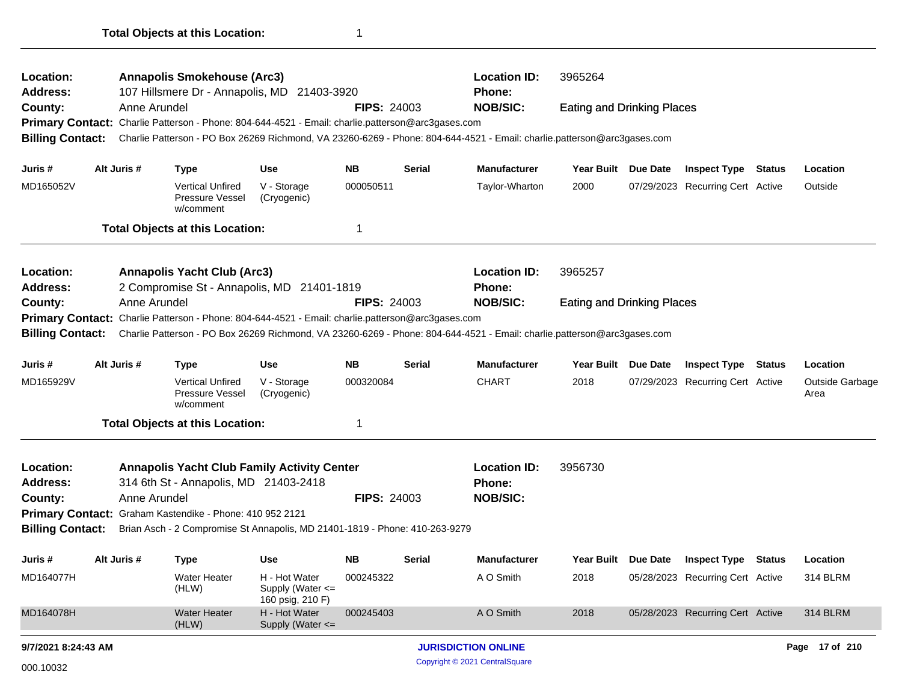| Location:<br><b>Address:</b> |              | <b>Annapolis Smokehouse (Arc3)</b><br>107 Hillsmere Dr - Annapolis, MD 21403-3920                 |                                                           |                    |                                | <b>Location ID:</b><br>3965264<br>Phone:                                                                                |                                   |                 |                                  |        |                         |  |
|------------------------------|--------------|---------------------------------------------------------------------------------------------------|-----------------------------------------------------------|--------------------|--------------------------------|-------------------------------------------------------------------------------------------------------------------------|-----------------------------------|-----------------|----------------------------------|--------|-------------------------|--|
| County:                      | Anne Arundel |                                                                                                   |                                                           | <b>FIPS: 24003</b> |                                | <b>NOB/SIC:</b>                                                                                                         | <b>Eating and Drinking Places</b> |                 |                                  |        |                         |  |
|                              |              | Primary Contact: Charlie Patterson - Phone: 804-644-4521 - Email: charlie.patterson@arc3gases.com |                                                           |                    |                                |                                                                                                                         |                                   |                 |                                  |        |                         |  |
| <b>Billing Contact:</b>      |              |                                                                                                   |                                                           |                    |                                | Charlie Patterson - PO Box 26269 Richmond, VA 23260-6269 - Phone: 804-644-4521 - Email: charlie.patterson@arc3gases.com |                                   |                 |                                  |        |                         |  |
| Juris #                      | Alt Juris #  | Type                                                                                              | Use                                                       | NB.                | <b>Serial</b>                  | <b>Manufacturer</b>                                                                                                     | Year Built Due Date               |                 | <b>Inspect Type Status</b>       |        | Location                |  |
| MD165052V                    |              | <b>Vertical Unfired</b><br>Pressure Vessel<br>w/comment                                           | V - Storage<br>(Cryogenic)                                | 000050511          |                                | Taylor-Wharton                                                                                                          | 2000                              |                 | 07/29/2023 Recurring Cert Active |        | Outside                 |  |
|                              |              | <b>Total Objects at this Location:</b>                                                            |                                                           | 1                  |                                |                                                                                                                         |                                   |                 |                                  |        |                         |  |
| Location:<br><b>Address:</b> |              | <b>Annapolis Yacht Club (Arc3)</b><br>2 Compromise St - Annapolis, MD 21401-1819                  |                                                           |                    | <b>Location ID:</b><br>Phone:  | 3965257                                                                                                                 |                                   |                 |                                  |        |                         |  |
| County:                      | Anne Arundel |                                                                                                   |                                                           | <b>FIPS: 24003</b> |                                | <b>NOB/SIC:</b>                                                                                                         | <b>Eating and Drinking Places</b> |                 |                                  |        |                         |  |
| <b>Primary Contact:</b>      |              | Charlie Patterson - Phone: 804-644-4521 - Email: charlie.patterson@arc3gases.com                  |                                                           |                    |                                |                                                                                                                         |                                   |                 |                                  |        |                         |  |
| <b>Billing Contact:</b>      |              |                                                                                                   |                                                           |                    |                                | Charlie Patterson - PO Box 26269 Richmond, VA 23260-6269 - Phone: 804-644-4521 - Email: charlie.patterson@arc3gases.com |                                   |                 |                                  |        |                         |  |
| Juris #                      | Alt Juris #  | <b>Type</b>                                                                                       | Use                                                       | <b>NB</b>          | <b>Serial</b>                  | <b>Manufacturer</b>                                                                                                     | <b>Year Built</b>                 | <b>Due Date</b> | <b>Inspect Type</b>              | Status | Location                |  |
| MD165929V                    |              | <b>Vertical Unfired</b><br><b>Pressure Vessel</b><br>w/comment                                    | V - Storage<br>(Cryogenic)                                | 000320084          |                                | <b>CHART</b>                                                                                                            | 2018                              |                 | 07/29/2023 Recurring Cert Active |        | Outside Garbage<br>Area |  |
|                              |              | <b>Total Objects at this Location:</b>                                                            |                                                           | 1                  |                                |                                                                                                                         |                                   |                 |                                  |        |                         |  |
| Location:<br><b>Address:</b> |              | <b>Annapolis Yacht Club Family Activity Center</b><br>314 6th St - Annapolis, MD 21403-2418       |                                                           |                    |                                | <b>Location ID:</b><br>Phone:                                                                                           | 3956730                           |                 |                                  |        |                         |  |
| County:                      | Anne Arundel |                                                                                                   |                                                           | <b>FIPS: 24003</b> |                                | <b>NOB/SIC:</b>                                                                                                         |                                   |                 |                                  |        |                         |  |
|                              |              | Primary Contact: Graham Kastendike - Phone: 410 952 2121                                          |                                                           |                    |                                |                                                                                                                         |                                   |                 |                                  |        |                         |  |
| <b>Billing Contact:</b>      |              | Brian Asch - 2 Compromise St Annapolis, MD 21401-1819 - Phone: 410-263-9279                       |                                                           |                    |                                |                                                                                                                         |                                   |                 |                                  |        |                         |  |
| Juris #                      | Alt Juris #  | Type                                                                                              | <b>Use</b>                                                | NΒ                 | Serial                         | <b>Manufacturer</b>                                                                                                     | Year Built Due Date               |                 | <b>Inspect Type Status</b>       |        | Location                |  |
| MD164077H                    |              | Water Heater<br>(HLW)                                                                             | H - Hot Water<br>Supply (Water $\leq$<br>160 psig, 210 F) | 000245322          |                                | A O Smith                                                                                                               | 2018                              |                 | 05/28/2023 Recurring Cert Active |        | <b>314 BLRM</b>         |  |
| MD164078H                    |              | <b>Water Heater</b><br>(HLW)                                                                      | H - Hot Water<br>Supply (Water <=                         | 000245403          |                                | A O Smith                                                                                                               | 2018                              |                 | 05/28/2023 Recurring Cert Active |        | 314 BLRM                |  |
| 9/7/2021 8:24:43 AM          |              |                                                                                                   |                                                           |                    |                                | <b>JURISDICTION ONLINE</b>                                                                                              |                                   |                 |                                  |        | Page 17 of 210          |  |
| 000.10032                    |              |                                                                                                   |                                                           |                    | Copyright © 2021 CentralSquare |                                                                                                                         |                                   |                 |                                  |        |                         |  |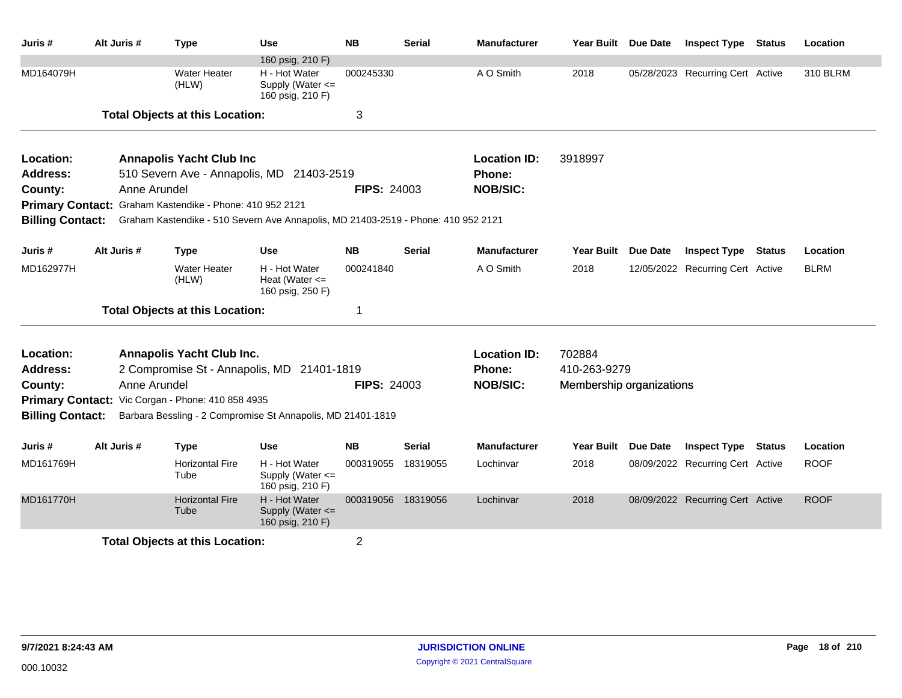| Juris #                 | Alt Juris #  | <b>Type</b>                                                                       | Use                                                     | <b>NB</b>          | <b>Serial</b> | <b>Manufacturer</b> | Year Built Due Date      |                 | <b>Inspect Type</b>              | <b>Status</b> | Location    |
|-------------------------|--------------|-----------------------------------------------------------------------------------|---------------------------------------------------------|--------------------|---------------|---------------------|--------------------------|-----------------|----------------------------------|---------------|-------------|
|                         |              |                                                                                   | 160 psig, 210 F)                                        |                    |               |                     |                          |                 |                                  |               |             |
| MD164079H               |              | <b>Water Heater</b><br>(HLW)                                                      | H - Hot Water<br>Supply (Water <=<br>160 psig, 210 F)   | 000245330          |               | A O Smith           | 2018                     |                 | 05/28/2023 Recurring Cert Active |               | 310 BLRM    |
|                         |              | <b>Total Objects at this Location:</b>                                            |                                                         | 3                  |               |                     |                          |                 |                                  |               |             |
| Location:               |              | <b>Annapolis Yacht Club Inc</b>                                                   |                                                         |                    |               | <b>Location ID:</b> | 3918997                  |                 |                                  |               |             |
| <b>Address:</b>         |              | 510 Severn Ave - Annapolis, MD 21403-2519                                         |                                                         |                    |               | Phone:              |                          |                 |                                  |               |             |
| County:                 | Anne Arundel |                                                                                   |                                                         | <b>FIPS: 24003</b> |               | <b>NOB/SIC:</b>     |                          |                 |                                  |               |             |
|                         |              | Primary Contact: Graham Kastendike - Phone: 410 952 2121                          |                                                         |                    |               |                     |                          |                 |                                  |               |             |
| <b>Billing Contact:</b> |              | Graham Kastendike - 510 Severn Ave Annapolis, MD 21403-2519 - Phone: 410 952 2121 |                                                         |                    |               |                     |                          |                 |                                  |               |             |
| Juris #                 | Alt Juris #  | <b>Type</b>                                                                       | <b>Use</b>                                              | <b>NB</b>          | <b>Serial</b> | <b>Manufacturer</b> | <b>Year Built</b>        | <b>Due Date</b> | <b>Inspect Type</b>              | <b>Status</b> | Location    |
| MD162977H               |              | <b>Water Heater</b><br>(HLW)                                                      | H - Hot Water<br>Heat (Water $\leq$<br>160 psig, 250 F) | 000241840          |               | A O Smith           | 2018                     |                 | 12/05/2022 Recurring Cert Active |               | <b>BLRM</b> |
|                         |              | <b>Total Objects at this Location:</b>                                            |                                                         | 1                  |               |                     |                          |                 |                                  |               |             |
| Location:               |              | Annapolis Yacht Club Inc.                                                         |                                                         |                    |               | <b>Location ID:</b> | 702884                   |                 |                                  |               |             |
| <b>Address:</b>         |              | 2 Compromise St - Annapolis, MD 21401-1819                                        |                                                         |                    |               | <b>Phone:</b>       | 410-263-9279             |                 |                                  |               |             |
| County:                 | Anne Arundel |                                                                                   |                                                         | <b>FIPS: 24003</b> |               | <b>NOB/SIC:</b>     | Membership organizations |                 |                                  |               |             |
| <b>Primary Contact:</b> |              | Vic Corgan - Phone: 410 858 4935                                                  |                                                         |                    |               |                     |                          |                 |                                  |               |             |
| <b>Billing Contact:</b> |              | Barbara Bessling - 2 Compromise St Annapolis, MD 21401-1819                       |                                                         |                    |               |                     |                          |                 |                                  |               |             |
| Juris #                 | Alt Juris #  | <b>Type</b>                                                                       | <b>Use</b>                                              | <b>NB</b>          | Serial        | <b>Manufacturer</b> | Year Built Due Date      |                 | <b>Inspect Type</b>              | <b>Status</b> | Location    |
| MD161769H               |              | <b>Horizontal Fire</b><br>Tube                                                    | H - Hot Water<br>Supply (Water <=<br>160 psig, 210 F)   | 000319055          | 18319055      | Lochinvar           | 2018                     |                 | 08/09/2022 Recurring Cert Active |               | <b>ROOF</b> |
| MD161770H               |              | <b>Horizontal Fire</b><br>Tube                                                    | H - Hot Water<br>Supply (Water <=<br>160 psig, 210 F)   | 000319056 18319056 |               | Lochinvar           | 2018                     |                 | 08/09/2022 Recurring Cert Active |               | <b>ROOF</b> |
|                         |              | <b>Total Objects at this Location:</b>                                            |                                                         | $\overline{2}$     |               |                     |                          |                 |                                  |               |             |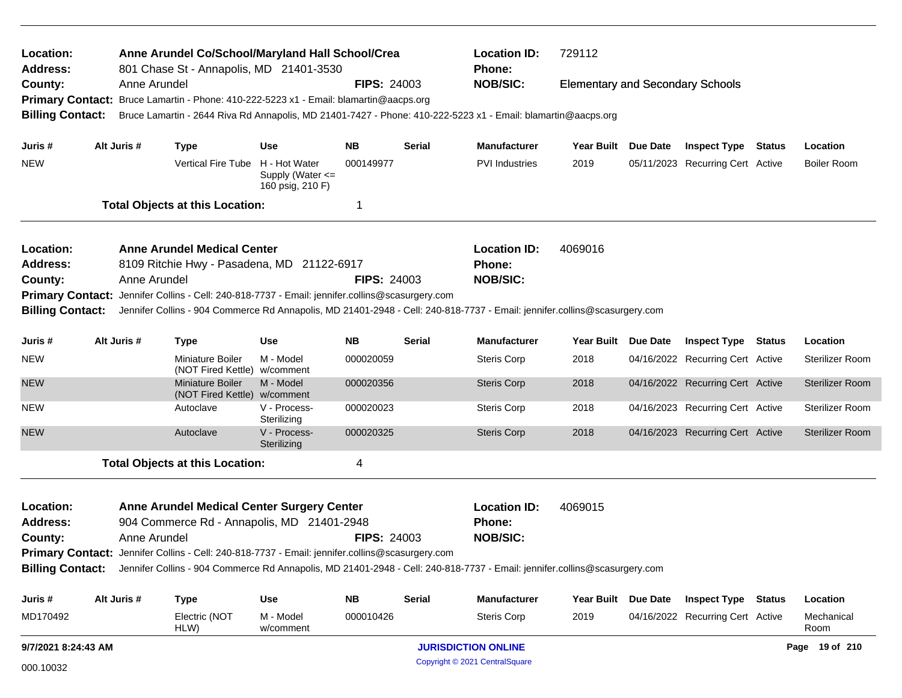| Location:<br>Address:   |                     | Anne Arundel Co/School/Maryland Hall School/Crea<br>801 Chase St - Annapolis, MD 21401-3530                                                                                                                                  |                                                       |                    |                    | <b>Location ID:</b><br>Phone: | 729112                                  |  |                                  |  |                        |
|-------------------------|---------------------|------------------------------------------------------------------------------------------------------------------------------------------------------------------------------------------------------------------------------|-------------------------------------------------------|--------------------|--------------------|-------------------------------|-----------------------------------------|--|----------------------------------|--|------------------------|
| County:                 |                     | Anne Arundel<br>Primary Contact: Bruce Lamartin - Phone: 410-222-5223 x1 - Email: blamartin@aacps.org                                                                                                                        |                                                       | <b>FIPS: 24003</b> |                    | <b>NOB/SIC:</b>               | <b>Elementary and Secondary Schools</b> |  |                                  |  |                        |
| <b>Billing Contact:</b> |                     | Bruce Lamartin - 2644 Riva Rd Annapolis, MD 21401-7427 - Phone: 410-222-5223 x1 - Email: blamartin@aacps.org                                                                                                                 |                                                       |                    |                    |                               |                                         |  |                                  |  |                        |
| Juris #                 | Alt Juris #         | Type                                                                                                                                                                                                                         | Use                                                   | NB.                | Serial             | <b>Manufacturer</b>           | Year Built Due Date                     |  | <b>Inspect Type Status</b>       |  | Location               |
| <b>NEW</b>              |                     | Vertical Fire Tube                                                                                                                                                                                                           | H - Hot Water<br>Supply (Water <=<br>160 psig, 210 F) | 000149977          |                    | PVI Industries                | 2019                                    |  | 05/11/2023 Recurring Cert Active |  | <b>Boiler Room</b>     |
|                         |                     | <b>Total Objects at this Location:</b>                                                                                                                                                                                       |                                                       | -1                 |                    |                               |                                         |  |                                  |  |                        |
| Location:               |                     | <b>Anne Arundel Medical Center</b>                                                                                                                                                                                           |                                                       |                    |                    | <b>Location ID:</b>           | 4069016                                 |  |                                  |  |                        |
| Address:                |                     | 8109 Ritchie Hwy - Pasadena, MD 21122-6917                                                                                                                                                                                   |                                                       |                    |                    | Phone:                        |                                         |  |                                  |  |                        |
| County:                 |                     | Anne Arundel                                                                                                                                                                                                                 |                                                       | <b>FIPS: 24003</b> |                    | <b>NOB/SIC:</b>               |                                         |  |                                  |  |                        |
| <b>Billing Contact:</b> |                     | Primary Contact: Jennifer Collins - Cell: 240-818-7737 - Email: jennifer.collins@scasurgery.com<br>Jennifer Collins - 904 Commerce Rd Annapolis, MD 21401-2948 - Cell: 240-818-7737 - Email: jennifer.collins@scasurgery.com |                                                       |                    |                    |                               |                                         |  |                                  |  |                        |
| Juris #                 | Alt Juris #         | <b>NB</b><br><b>Serial</b><br><b>Use</b><br><b>Type</b>                                                                                                                                                                      |                                                       |                    |                    | <b>Manufacturer</b>           | Year Built Due Date                     |  | <b>Inspect Type Status</b>       |  | Location               |
| <b>NEW</b>              |                     | Miniature Boiler<br>(NOT Fired Kettle) w/comment                                                                                                                                                                             | M - Model                                             | 000020059          |                    | <b>Steris Corp</b>            | 2018                                    |  | 04/16/2022 Recurring Cert Active |  | Sterilizer Room        |
| <b>NEW</b>              |                     | <b>Miniature Boiler</b><br>(NOT Fired Kettle) w/comment                                                                                                                                                                      | M - Model                                             | 000020356          |                    | <b>Steris Corp</b>            | 2018                                    |  | 04/16/2022 Recurring Cert Active |  | <b>Sterilizer Room</b> |
| <b>NEW</b>              |                     | Autoclave                                                                                                                                                                                                                    | V - Process-<br>Sterilizing                           | 000020023          |                    | <b>Steris Corp</b>            | 2018                                    |  | 04/16/2023 Recurring Cert Active |  | Sterilizer Room        |
| <b>NEW</b>              |                     | Autoclave                                                                                                                                                                                                                    | V - Process-<br>Sterilizing                           | 000020325          |                    | <b>Steris Corp</b>            | 2018                                    |  | 04/16/2023 Recurring Cert Active |  | <b>Sterilizer Room</b> |
|                         |                     | <b>Total Objects at this Location:</b>                                                                                                                                                                                       |                                                       | 4                  |                    |                               |                                         |  |                                  |  |                        |
| Location:               |                     | <b>Anne Arundel Medical Center Surgery Center</b>                                                                                                                                                                            |                                                       |                    |                    | <b>Location ID:</b>           | 4069015                                 |  |                                  |  |                        |
| <b>Address:</b>         |                     | 904 Commerce Rd - Annapolis, MD 21401-2948                                                                                                                                                                                   |                                                       |                    |                    | Phone:                        |                                         |  |                                  |  |                        |
| Anne Arundel<br>County: |                     |                                                                                                                                                                                                                              |                                                       |                    | <b>FIPS: 24003</b> | <b>NOB/SIC:</b>               |                                         |  |                                  |  |                        |
| <b>Billing Contact:</b> |                     | Primary Contact: Jennifer Collins - Cell: 240-818-7737 - Email: jennifer.collins@scasurgery.com<br>Jennifer Collins - 904 Commerce Rd Annapolis, MD 21401-2948 - Cell: 240-818-7737 - Email: jennifer.collins@scasurgery.com |                                                       |                    |                    |                               |                                         |  |                                  |  |                        |
| Juris #                 | Alt Juris #         | <b>Type</b>                                                                                                                                                                                                                  | <b>Use</b>                                            | <b>NB</b>          | <b>Serial</b>      | <b>Manufacturer</b>           | Year Built Due Date                     |  | <b>Inspect Type Status</b>       |  | Location               |
| MD170492                |                     | Electric (NOT<br>HLW)                                                                                                                                                                                                        | M - Model<br>w/comment                                | 000010426          |                    | Steris Corp                   | 2019                                    |  | 04/16/2022 Recurring Cert Active |  | Mechanical<br>Room     |
|                         | 9/7/2021 8:24:43 AM |                                                                                                                                                                                                                              |                                                       |                    |                    | <b>JURISDICTION ONLINE</b>    |                                         |  |                                  |  | Page 19 of 210         |

Copyright © 2021 CentralSquare 000.10032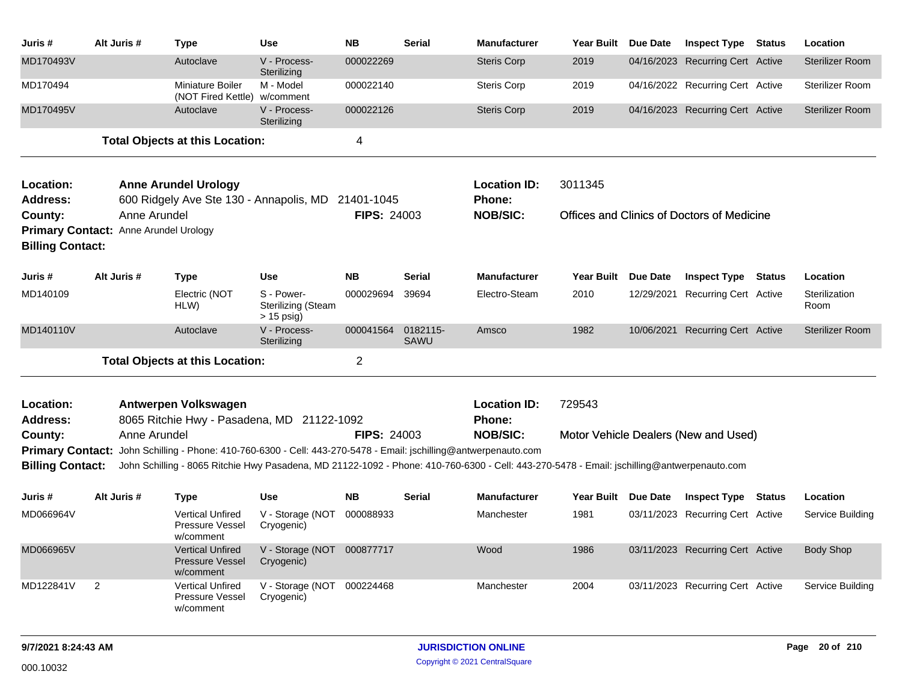| Juris #                            | Alt Juris #                                           | <b>Type</b>                                                                                                                                                                                                                                                    | <b>Use</b>                                              | <b>NB</b>          | <b>Serial</b>           | <b>Manufacturer</b>                  | Year Built Due Date |            | <b>Inspect Type Status</b>                 |               | Location               |
|------------------------------------|-------------------------------------------------------|----------------------------------------------------------------------------------------------------------------------------------------------------------------------------------------------------------------------------------------------------------------|---------------------------------------------------------|--------------------|-------------------------|--------------------------------------|---------------------|------------|--------------------------------------------|---------------|------------------------|
| MD170493V                          |                                                       | Autoclave                                                                                                                                                                                                                                                      | V - Process-<br>Sterilizing                             | 000022269          |                         | <b>Steris Corp</b>                   | 2019                |            | 04/16/2023 Recurring Cert Active           |               | <b>Sterilizer Room</b> |
| MD170494                           |                                                       | Miniature Boiler<br>(NOT Fired Kettle)                                                                                                                                                                                                                         | M - Model<br>w/comment                                  | 000022140          |                         | Steris Corp                          | 2019                |            | 04/16/2022 Recurring Cert Active           |               | Sterilizer Room        |
| MD170495V                          |                                                       | Autoclave                                                                                                                                                                                                                                                      | V - Process-<br>Sterilizing                             | 000022126          |                         | <b>Steris Corp</b>                   | 2019                |            | 04/16/2023 Recurring Cert Active           |               | <b>Sterilizer Room</b> |
|                                    |                                                       | <b>Total Objects at this Location:</b>                                                                                                                                                                                                                         |                                                         | $\overline{4}$     |                         |                                      |                     |            |                                            |               |                        |
| Location:<br><b>Address:</b>       |                                                       | <b>Anne Arundel Urology</b><br>600 Ridgely Ave Ste 130 - Annapolis, MD                                                                                                                                                                                         |                                                         | 21401-1045         |                         | <b>Location ID:</b><br><b>Phone:</b> | 3011345             |            |                                            |               |                        |
| County:<br><b>Billing Contact:</b> | Anne Arundel<br>Primary Contact: Anne Arundel Urology |                                                                                                                                                                                                                                                                |                                                         | <b>FIPS: 24003</b> |                         | <b>NOB/SIC:</b>                      |                     |            | Offices and Clinics of Doctors of Medicine |               |                        |
| Juris #                            | Alt Juris #                                           | Type                                                                                                                                                                                                                                                           | <b>Use</b>                                              | <b>NB</b>          | <b>Serial</b>           | <b>Manufacturer</b>                  | Year Built Due Date |            | <b>Inspect Type</b>                        | <b>Status</b> | Location               |
| MD140109                           |                                                       | Electric (NOT<br>HLW)                                                                                                                                                                                                                                          | S - Power-<br><b>Sterilizing (Steam</b><br>$> 15$ psig) | 000029694          | 39694                   | Electro-Steam                        | 2010                | 12/29/2021 | <b>Recurring Cert Active</b>               |               | Sterilization<br>Room  |
| MD140110V                          |                                                       | Autoclave                                                                                                                                                                                                                                                      | V - Process-<br>Sterilizing                             | 000041564          | 0182115-<br><b>SAWU</b> | Amsco                                | 1982                |            | 10/06/2021 Recurring Cert Active           |               | <b>Sterilizer Room</b> |
|                                    |                                                       | <b>Total Objects at this Location:</b>                                                                                                                                                                                                                         |                                                         | $\overline{2}$     |                         |                                      |                     |            |                                            |               |                        |
| Location:<br><b>Address:</b>       |                                                       | Antwerpen Volkswagen<br>8065 Ritchie Hwy - Pasadena, MD 21122-1092                                                                                                                                                                                             |                                                         |                    |                         | <b>Location ID:</b><br><b>Phone:</b> | 729543              |            |                                            |               |                        |
| County:                            | Anne Arundel                                          |                                                                                                                                                                                                                                                                |                                                         | <b>FIPS: 24003</b> |                         | <b>NOB/SIC:</b>                      |                     |            | Motor Vehicle Dealers (New and Used)       |               |                        |
| <b>Billing Contact:</b>            |                                                       | Primary Contact: John Schilling - Phone: 410-760-6300 - Cell: 443-270-5478 - Email: jschilling@antwerpenauto.com<br>John Schilling - 8065 Ritchie Hwy Pasadena, MD 21122-1092 - Phone: 410-760-6300 - Cell: 443-270-5478 - Email: jschilling@antwerpenauto.com |                                                         |                    |                         |                                      |                     |            |                                            |               |                        |
| Juris #                            | Alt Juris #                                           | <b>Type</b>                                                                                                                                                                                                                                                    | <b>Use</b>                                              | <b>NB</b>          | <b>Serial</b>           | <b>Manufacturer</b>                  | Year Built Due Date |            | <b>Inspect Type</b>                        | <b>Status</b> | Location               |
| MD066964V                          |                                                       | <b>Vertical Unfired</b><br>Pressure Vessel<br>w/comment                                                                                                                                                                                                        | V - Storage (NOT 000088933<br>Cryogenic)                |                    |                         | Manchester                           | 1981                |            | 03/11/2023 Recurring Cert Active           |               | Service Building       |
| MD066965V                          |                                                       | <b>Vertical Unfired</b><br><b>Pressure Vessel</b><br>w/comment                                                                                                                                                                                                 | V - Storage (NOT 000877717<br>Cryogenic)                |                    |                         | Wood                                 | 1986                |            | 03/11/2023 Recurring Cert Active           |               | <b>Body Shop</b>       |
| MD122841V                          | $\overline{c}$                                        | <b>Vertical Unfired</b><br>Pressure Vessel<br>w/comment                                                                                                                                                                                                        | V - Storage (NOT 000224468<br>Cryogenic)                |                    |                         | Manchester                           | 2004                |            | 03/11/2023 Recurring Cert Active           |               | Service Building       |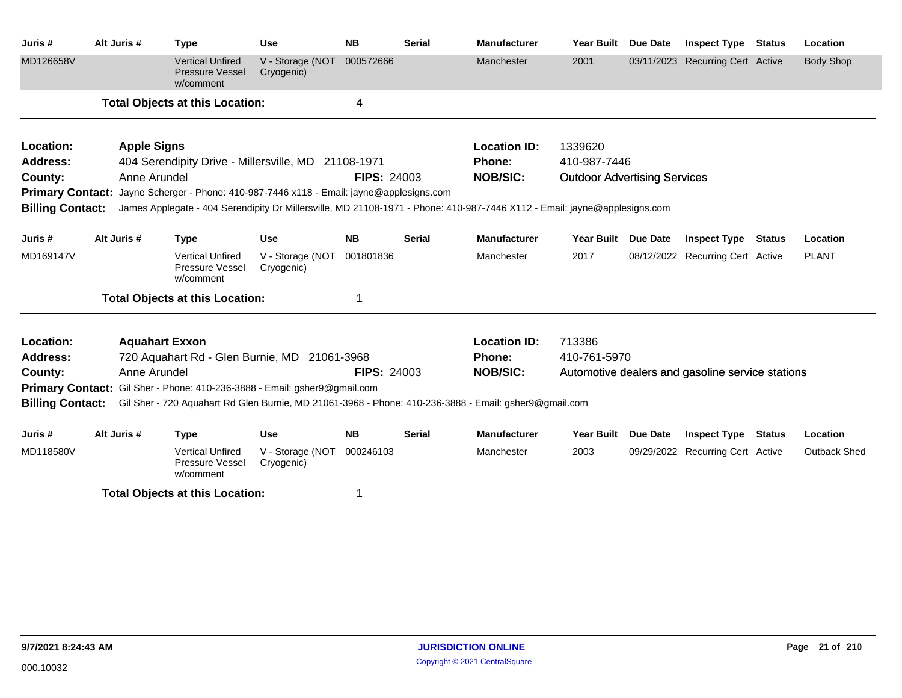| Juris#                                                                    | Alt Juris #        | <b>Type</b>                                                                                                                                                                                                                  | <b>Use</b>                     | <b>NB</b>               | <b>Serial</b> | <b>Manufacturer</b> | <b>Year Built</b>                   | Due Date        | <b>Inspect Type</b>                              | <b>Status</b> | Location            |
|---------------------------------------------------------------------------|--------------------|------------------------------------------------------------------------------------------------------------------------------------------------------------------------------------------------------------------------------|--------------------------------|-------------------------|---------------|---------------------|-------------------------------------|-----------------|--------------------------------------------------|---------------|---------------------|
| MD126658V                                                                 |                    | <b>Vertical Unfired</b><br><b>Pressure Vessel</b><br>w/comment                                                                                                                                                               | V - Storage (NOT<br>Cryogenic) | 000572666               |               | Manchester          | 2001                                |                 | 03/11/2023 Recurring Cert Active                 |               | <b>Body Shop</b>    |
|                                                                           |                    | <b>Total Objects at this Location:</b>                                                                                                                                                                                       |                                | $\overline{\mathbf{4}}$ |               |                     |                                     |                 |                                                  |               |                     |
| Location:                                                                 | <b>Apple Signs</b> |                                                                                                                                                                                                                              |                                |                         |               | <b>Location ID:</b> | 1339620                             |                 |                                                  |               |                     |
| Address:                                                                  |                    | 404 Serendipity Drive - Millersville, MD 21108-1971                                                                                                                                                                          |                                |                         |               | Phone:              | 410-987-7446                        |                 |                                                  |               |                     |
| County:                                                                   | Anne Arundel       |                                                                                                                                                                                                                              |                                | <b>FIPS: 24003</b>      |               | <b>NOB/SIC:</b>     | <b>Outdoor Advertising Services</b> |                 |                                                  |               |                     |
| <b>Billing Contact:</b>                                                   |                    | <b>Primary Contact:</b> Jayne Scherger - Phone: 410-987-7446 x118 - Email: jayne@applesigns.com<br>James Applegate - 404 Serendipity Dr Millersville, MD 21108-1971 - Phone: 410-987-7446 X112 - Email: jayne@applesigns.com |                                |                         |               |                     |                                     |                 |                                                  |               |                     |
|                                                                           |                    |                                                                                                                                                                                                                              |                                |                         |               |                     |                                     |                 |                                                  |               |                     |
| Juris #                                                                   | Alt Juris #        | <b>Type</b>                                                                                                                                                                                                                  | <b>Use</b>                     | <b>NB</b>               | <b>Serial</b> | <b>Manufacturer</b> | <b>Year Built</b>                   | Due Date        | <b>Inspect Type</b>                              | Status        | Location            |
| MD169147V                                                                 |                    | <b>Vertical Unfired</b><br>Pressure Vessel<br>w/comment                                                                                                                                                                      | V - Storage (NOT<br>Cryogenic) | 001801836               |               | Manchester          | 2017                                |                 | 08/12/2022 Recurring Cert Active                 |               | <b>PLANT</b>        |
|                                                                           |                    | <b>Total Objects at this Location:</b>                                                                                                                                                                                       |                                | 1                       |               |                     |                                     |                 |                                                  |               |                     |
| Location:                                                                 |                    | <b>Aquahart Exxon</b>                                                                                                                                                                                                        |                                |                         |               | <b>Location ID:</b> | 713386                              |                 |                                                  |               |                     |
| <b>Address:</b>                                                           |                    | 720 Aquahart Rd - Glen Burnie, MD 21061-3968                                                                                                                                                                                 |                                |                         |               | Phone:              | 410-761-5970                        |                 |                                                  |               |                     |
| County:                                                                   | Anne Arundel       |                                                                                                                                                                                                                              |                                | <b>FIPS: 24003</b>      |               | <b>NOB/SIC:</b>     |                                     |                 | Automotive dealers and gasoline service stations |               |                     |
| Primary Contact: Gil Sher - Phone: 410-236-3888 - Email: gsher9@gmail.com |                    |                                                                                                                                                                                                                              |                                |                         |               |                     |                                     |                 |                                                  |               |                     |
| <b>Billing Contact:</b>                                                   |                    | Gil Sher - 720 Aquahart Rd Glen Burnie, MD 21061-3968 - Phone: 410-236-3888 - Email: gsher9@gmail.com                                                                                                                        |                                |                         |               |                     |                                     |                 |                                                  |               |                     |
| Juris #                                                                   | Alt Juris #        | <b>Type</b>                                                                                                                                                                                                                  | <b>Use</b>                     | <b>NB</b>               | <b>Serial</b> | <b>Manufacturer</b> | <b>Year Built</b>                   | <b>Due Date</b> | <b>Inspect Type</b>                              | <b>Status</b> | Location            |
| MD118580V                                                                 |                    | <b>Vertical Unfired</b><br>Pressure Vessel<br>w/comment                                                                                                                                                                      | V - Storage (NOT<br>Cryogenic) | 000246103               |               | Manchester          | 2003                                |                 | 09/29/2022 Recurring Cert Active                 |               | <b>Outback Shed</b> |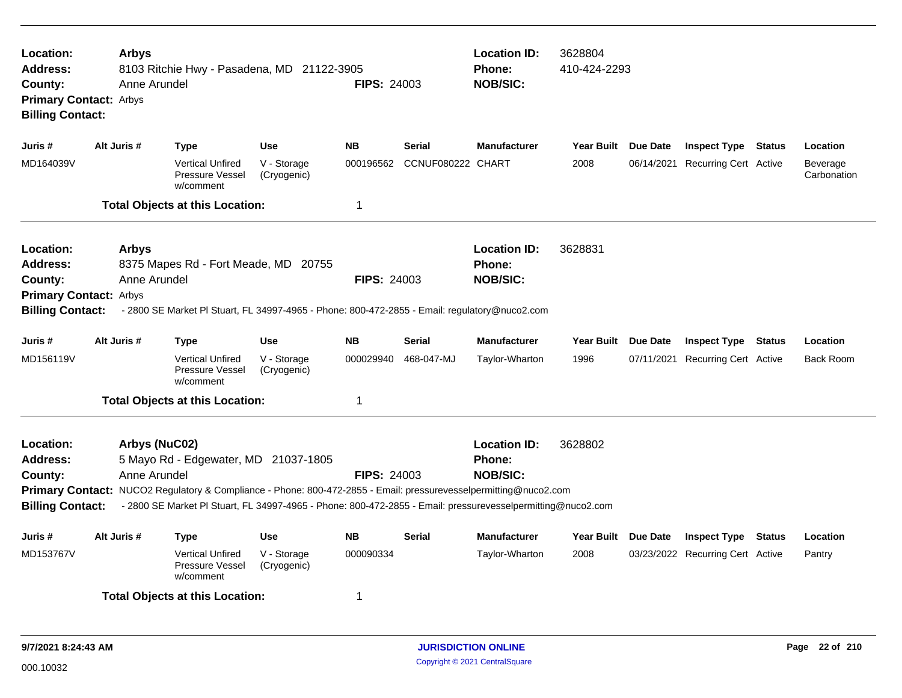| Location:<br>Address:<br>County:<br><b>Primary Contact: Arbys</b><br><b>Billing Contact:</b>                                                                                                                                                                                                                                                                                                                             | <b>Arbys</b><br>Anne Arundel | 8103 Ritchie Hwy - Pasadena, MD 21122-3905                                                    |                                          | <b>FIPS: 24003</b>     |                             | <b>Location ID:</b><br><b>Phone:</b><br><b>NOB/SIC:</b> | 3628804<br>410-424-2293     |                                                                |                              |
|--------------------------------------------------------------------------------------------------------------------------------------------------------------------------------------------------------------------------------------------------------------------------------------------------------------------------------------------------------------------------------------------------------------------------|------------------------------|-----------------------------------------------------------------------------------------------|------------------------------------------|------------------------|-----------------------------|---------------------------------------------------------|-----------------------------|----------------------------------------------------------------|------------------------------|
| Juris #                                                                                                                                                                                                                                                                                                                                                                                                                  | Alt Juris #                  | <b>Type</b>                                                                                   | <b>Use</b>                               | <b>NB</b>              | Serial                      | <b>Manufacturer</b>                                     | Year Built Due Date         | <b>Inspect Type Status</b>                                     | Location                     |
| MD164039V                                                                                                                                                                                                                                                                                                                                                                                                                |                              | <b>Vertical Unfired</b><br>Pressure Vessel<br>w/comment                                       | V - Storage<br>(Cryogenic)               | 000196562              | CCNUF080222 CHART           |                                                         | 2008                        | 06/14/2021 Recurring Cert Active                               | Beverage<br>Carbonation      |
|                                                                                                                                                                                                                                                                                                                                                                                                                          |                              | <b>Total Objects at this Location:</b>                                                        |                                          | 1                      |                             |                                                         |                             |                                                                |                              |
| Location:<br>Address:<br>County:<br><b>Primary Contact: Arbys</b>                                                                                                                                                                                                                                                                                                                                                        | <b>Arbys</b><br>Anne Arundel | 8375 Mapes Rd - Fort Meade, MD 20755                                                          |                                          | <b>FIPS: 24003</b>     |                             | <b>Location ID:</b><br><b>Phone:</b><br><b>NOB/SIC:</b> | 3628831                     |                                                                |                              |
| <b>Billing Contact:</b>                                                                                                                                                                                                                                                                                                                                                                                                  |                              | - 2800 SE Market PI Stuart, FL 34997-4965 - Phone: 800-472-2855 - Email: regulatory@nuco2.com |                                          |                        |                             |                                                         |                             |                                                                |                              |
| Juris #<br>MD156119V                                                                                                                                                                                                                                                                                                                                                                                                     | Alt Juris #                  | <b>Type</b><br><b>Vertical Unfired</b><br>Pressure Vessel<br>w/comment                        | <b>Use</b><br>V - Storage<br>(Cryogenic) | <b>NB</b><br>000029940 | <b>Serial</b><br>468-047-MJ | <b>Manufacturer</b><br>Taylor-Wharton                   | Year Built Due Date<br>1996 | <b>Inspect Type Status</b><br>07/11/2021 Recurring Cert Active | Location<br><b>Back Room</b> |
|                                                                                                                                                                                                                                                                                                                                                                                                                          |                              |                                                                                               |                                          | 1                      |                             |                                                         |                             |                                                                |                              |
| <b>Total Objects at this Location:</b><br>Location:<br>Arbys (NuC02)<br>5 Mayo Rd - Edgewater, MD 21037-1805<br><b>Address:</b><br>Anne Arundel<br>County:<br>Primary Contact: NUCO2 Regulatory & Compliance - Phone: 800-472-2855 - Email: pressurevesselpermitting@nuco2.com<br>- 2800 SE Market PI Stuart, FL 34997-4965 - Phone: 800-472-2855 - Email: pressurevesselpermitting@nuco2.com<br><b>Billing Contact:</b> |                              |                                                                                               |                                          | <b>FIPS: 24003</b>     |                             | <b>Location ID:</b><br><b>Phone:</b><br><b>NOB/SIC:</b> | 3628802                     |                                                                |                              |
| Juris #                                                                                                                                                                                                                                                                                                                                                                                                                  | Alt Juris #                  | <b>Type</b>                                                                                   | <b>Use</b>                               | <b>NB</b>              | <b>Serial</b>               | <b>Manufacturer</b>                                     | Year Built Due Date         | <b>Inspect Type Status</b>                                     | Location                     |
| MD153767V                                                                                                                                                                                                                                                                                                                                                                                                                |                              | <b>Vertical Unfired</b><br>Pressure Vessel<br>w/comment                                       | V - Storage<br>(Cryogenic)               | 000090334              |                             | Taylor-Wharton                                          | 2008                        | 03/23/2022 Recurring Cert Active                               | Pantry                       |
|                                                                                                                                                                                                                                                                                                                                                                                                                          |                              | <b>Total Objects at this Location:</b>                                                        |                                          | 1                      |                             |                                                         |                             |                                                                |                              |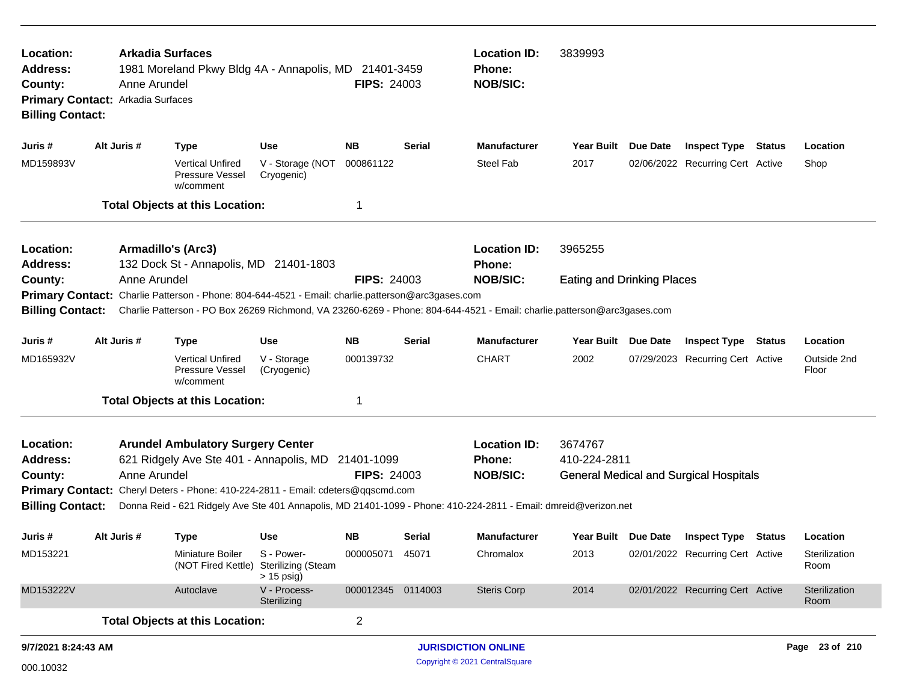| Location:<br><b>Address:</b><br>County:<br>Primary Contact: Arkadia Surfaces<br><b>Billing Contact:</b>                                                                                                                                                                                 |                                                | Anne Arundel | <b>Arkadia Surfaces</b><br><b>Location ID:</b><br>3839993<br>1981 Moreland Pkwy Bldg 4A - Annapolis, MD 21401-3459<br>Phone:<br><b>NOB/SIC:</b><br><b>FIPS: 24003</b><br><b>NB</b><br><b>Use</b><br><b>Serial</b><br><b>Manufacturer</b><br><b>Year Built</b><br>Due Date<br><b>Inspect Type Status</b><br><b>Type</b> |                                                                     |                    |        |                                                                                                                         |                                   |                                               |  |                       |
|-----------------------------------------------------------------------------------------------------------------------------------------------------------------------------------------------------------------------------------------------------------------------------------------|------------------------------------------------|--------------|------------------------------------------------------------------------------------------------------------------------------------------------------------------------------------------------------------------------------------------------------------------------------------------------------------------------|---------------------------------------------------------------------|--------------------|--------|-------------------------------------------------------------------------------------------------------------------------|-----------------------------------|-----------------------------------------------|--|-----------------------|
| Juris #                                                                                                                                                                                                                                                                                 | Alt Juris #                                    |              |                                                                                                                                                                                                                                                                                                                        |                                                                     |                    |        |                                                                                                                         |                                   |                                               |  | Location              |
| MD159893V                                                                                                                                                                                                                                                                               |                                                |              | <b>Vertical Unfired</b><br>Pressure Vessel<br>w/comment                                                                                                                                                                                                                                                                | V - Storage (NOT<br>Cryogenic)                                      | 000861122          |        | <b>Steel Fab</b>                                                                                                        | 2017                              | 02/06/2022 Recurring Cert Active              |  | Shop                  |
|                                                                                                                                                                                                                                                                                         |                                                |              | <b>Total Objects at this Location:</b>                                                                                                                                                                                                                                                                                 |                                                                     | -1                 |        |                                                                                                                         |                                   |                                               |  |                       |
| Location:<br><b>Address:</b>                                                                                                                                                                                                                                                            |                                                |              | Armadillo's (Arc3)<br>132 Dock St - Annapolis, MD 21401-1803                                                                                                                                                                                                                                                           |                                                                     |                    |        | <b>Location ID:</b><br>Phone:                                                                                           | 3965255                           |                                               |  |                       |
| County:                                                                                                                                                                                                                                                                                 |                                                | Anne Arundel |                                                                                                                                                                                                                                                                                                                        |                                                                     | <b>FIPS: 24003</b> |        | <b>NOB/SIC:</b>                                                                                                         | <b>Eating and Drinking Places</b> |                                               |  |                       |
| <b>Billing Contact:</b>                                                                                                                                                                                                                                                                 |                                                |              | Primary Contact: Charlie Patterson - Phone: 804-644-4521 - Email: charlie.patterson@arc3gases.com                                                                                                                                                                                                                      |                                                                     |                    |        | Charlie Patterson - PO Box 26269 Richmond, VA 23260-6269 - Phone: 804-644-4521 - Email: charlie.patterson@arc3gases.com |                                   |                                               |  |                       |
| Juris #                                                                                                                                                                                                                                                                                 | <b>NB</b><br>Alt Juris #<br>Use<br><b>Type</b> |              |                                                                                                                                                                                                                                                                                                                        |                                                                     |                    |        | <b>Manufacturer</b>                                                                                                     | Year Built Due Date               | <b>Inspect Type Status</b>                    |  | Location              |
| MD165932V                                                                                                                                                                                                                                                                               |                                                |              | <b>Vertical Unfired</b><br>Pressure Vessel<br>w/comment                                                                                                                                                                                                                                                                | V - Storage<br>(Cryogenic)                                          | 000139732          |        | <b>CHART</b>                                                                                                            | 2002                              | 07/29/2023 Recurring Cert Active              |  | Outside 2nd<br>Floor  |
|                                                                                                                                                                                                                                                                                         |                                                |              |                                                                                                                                                                                                                                                                                                                        |                                                                     | -1                 |        |                                                                                                                         |                                   |                                               |  |                       |
| <b>Total Objects at this Location:</b><br>Location:<br><b>Arundel Ambulatory Surgery Center</b><br>621 Ridgely Ave Ste 401 - Annapolis, MD 21401-1099<br><b>Address:</b><br>Anne Arundel<br>County:<br>Primary Contact: Cheryl Deters - Phone: 410-224-2811 - Email: cdeters@qqscmd.com |                                                |              |                                                                                                                                                                                                                                                                                                                        |                                                                     | <b>FIPS: 24003</b> |        | <b>Location ID:</b><br><b>Phone:</b><br><b>NOB/SIC:</b>                                                                 | 3674767<br>410-224-2811           | <b>General Medical and Surgical Hospitals</b> |  |                       |
| <b>Billing Contact:</b><br>Donna Reid - 621 Ridgely Ave Ste 401 Annapolis, MD 21401-1099 - Phone: 410-224-2811 - Email: dmreid@verizon.net                                                                                                                                              |                                                |              |                                                                                                                                                                                                                                                                                                                        |                                                                     |                    |        |                                                                                                                         |                                   |                                               |  |                       |
| Juris #                                                                                                                                                                                                                                                                                 | Alt Juris #                                    |              | <b>Type</b>                                                                                                                                                                                                                                                                                                            | <b>Use</b>                                                          | NB.                | Serial | <b>Manufacturer</b>                                                                                                     |                                   | Year Built Due Date Inspect Type Status       |  | Location              |
| MD153221                                                                                                                                                                                                                                                                                |                                                |              | Miniature Boiler                                                                                                                                                                                                                                                                                                       | S - Power-<br>(NOT Fired Kettle) Sterilizing (Steam<br>$> 15$ psig) | 000005071 45071    |        | Chromalox                                                                                                               | 2013                              | 02/01/2022 Recurring Cert Active              |  | Sterilization<br>Room |
| MD153222V                                                                                                                                                                                                                                                                               |                                                |              | Autoclave                                                                                                                                                                                                                                                                                                              | V - Process-<br>Sterilizing                                         | 000012345 0114003  |        | <b>Steris Corp</b>                                                                                                      | 2014                              | 02/01/2022 Recurring Cert Active              |  | Sterilization<br>Room |
|                                                                                                                                                                                                                                                                                         |                                                |              | <b>Total Objects at this Location:</b>                                                                                                                                                                                                                                                                                 |                                                                     | $\overline{2}$     |        |                                                                                                                         |                                   |                                               |  |                       |
| 9/7/2021 8:24:43 AM                                                                                                                                                                                                                                                                     |                                                |              |                                                                                                                                                                                                                                                                                                                        |                                                                     |                    |        | <b>JURISDICTION ONLINE</b>                                                                                              |                                   |                                               |  | Page 23 of 210        |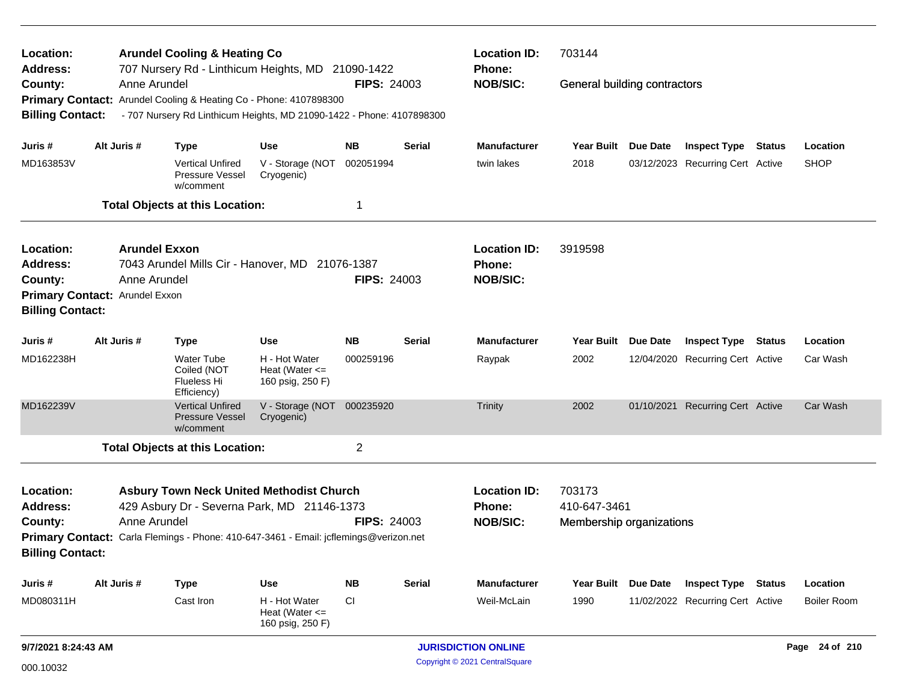| Location:                                                          |                                          | <b>Arundel Cooling &amp; Heating Co</b>                                                                                                                                                         |                                                                |                                                  |                                                    | <b>Location ID:</b>                | 703144                       |                 |                                                                |                                |
|--------------------------------------------------------------------|------------------------------------------|-------------------------------------------------------------------------------------------------------------------------------------------------------------------------------------------------|----------------------------------------------------------------|--------------------------------------------------|----------------------------------------------------|------------------------------------|------------------------------|-----------------|----------------------------------------------------------------|--------------------------------|
| <b>Address:</b><br>County:<br><b>Billing Contact:</b>              | Anne Arundel                             | 707 Nursery Rd - Linthicum Heights, MD 21090-1422<br>Primary Contact: Arundel Cooling & Heating Co - Phone: 4107898300<br>- 707 Nursery Rd Linthicum Heights, MD 21090-1422 - Phone: 4107898300 |                                                                | <b>FIPS: 24003</b>                               |                                                    | <b>Phone:</b><br><b>NOB/SIC:</b>   | General building contractors |                 |                                                                |                                |
| Juris #                                                            | Alt Juris #                              | <b>Type</b>                                                                                                                                                                                     | <b>Use</b>                                                     | NΒ                                               | Serial                                             | <b>Manufacturer</b>                | Year Built Due Date          |                 | <b>Inspect Type Status</b>                                     | Location                       |
| MD163853V                                                          |                                          | <b>Vertical Unfired</b><br>Pressure Vessel<br>w/comment                                                                                                                                         | V - Storage (NOT<br>Cryogenic)                                 | 002051994                                        |                                                    | twin lakes                         | 2018                         |                 | 03/12/2023 Recurring Cert Active                               | <b>SHOP</b>                    |
|                                                                    |                                          | <b>Total Objects at this Location:</b>                                                                                                                                                          |                                                                | 1                                                |                                                    |                                    |                              |                 |                                                                |                                |
| Location:                                                          |                                          | <b>Arundel Exxon</b>                                                                                                                                                                            |                                                                |                                                  |                                                    | <b>Location ID:</b>                | 3919598                      |                 |                                                                |                                |
| <b>Address:</b><br>County:                                         | Anne Arundel                             | 7043 Arundel Mills Cir - Hanover, MD 21076-1387                                                                                                                                                 |                                                                | <b>FIPS: 24003</b>                               |                                                    | Phone:<br><b>NOB/SIC:</b>          |                              |                 |                                                                |                                |
| <b>Billing Contact:</b>                                            | Primary Contact: Arundel Exxon           |                                                                                                                                                                                                 |                                                                |                                                  |                                                    |                                    |                              |                 |                                                                |                                |
| Juris #                                                            | Alt Juris #<br><b>Type</b><br><b>Use</b> |                                                                                                                                                                                                 |                                                                | <b>NB</b>                                        | <b>Serial</b>                                      | <b>Manufacturer</b>                | <b>Year Built</b>            | <b>Due Date</b> | <b>Inspect Type Status</b>                                     | Location                       |
| MD162238H                                                          |                                          | <b>Water Tube</b><br>Coiled (NOT<br>Flueless Hi<br>Efficiency)                                                                                                                                  | H - Hot Water<br>Heat (Water $\leq$<br>160 psig, 250 F)        | 000259196                                        |                                                    | Raypak                             | 2002                         |                 | 12/04/2020 Recurring Cert Active                               | Car Wash                       |
| MD162239V                                                          |                                          | <b>Vertical Unfired</b><br><b>Pressure Vessel</b><br>w/comment                                                                                                                                  | V - Storage (NOT 000235920<br>Cryogenic)                       |                                                  |                                                    | Trinity                            | 2002                         |                 | 01/10/2021 Recurring Cert Active                               | Car Wash                       |
|                                                                    |                                          | <b>Total Objects at this Location:</b>                                                                                                                                                          |                                                                | $\overline{2}$                                   |                                                    |                                    |                              |                 |                                                                |                                |
| Location:<br><b>Address:</b><br>County:<br><b>Billing Contact:</b> | Anne Arundel                             | <b>Asbury Town Neck United Methodist Church</b><br>429 Asbury Dr - Severna Park, MD 21146-1373<br>Primary Contact: Carla Flemings - Phone: 410-647-3461 - Email: jcflemings@verizon.net         | <b>FIPS: 24003</b>                                             | <b>Location ID:</b><br>Phone:<br><b>NOB/SIC:</b> | 703173<br>410-647-3461<br>Membership organizations |                                    |                              |                 |                                                                |                                |
|                                                                    |                                          |                                                                                                                                                                                                 |                                                                |                                                  |                                                    |                                    |                              |                 |                                                                |                                |
| Juris #<br>MD080311H                                               | Alt Juris #                              | <b>Type</b><br>Cast Iron                                                                                                                                                                        | Use<br>H - Hot Water<br>Heat (Water $\leq$<br>160 psig, 250 F) | <b>NB</b><br><b>CI</b>                           | <b>Serial</b>                                      | <b>Manufacturer</b><br>Weil-McLain | <b>Year Built</b><br>1990    | Due Date        | <b>Inspect Type Status</b><br>11/02/2022 Recurring Cert Active | Location<br><b>Boiler Room</b> |
| 9/7/2021 8:24:43 AM                                                |                                          |                                                                                                                                                                                                 |                                                                |                                                  |                                                    | <b>JURISDICTION ONLINE</b>         |                              |                 |                                                                | Page 24 of 210                 |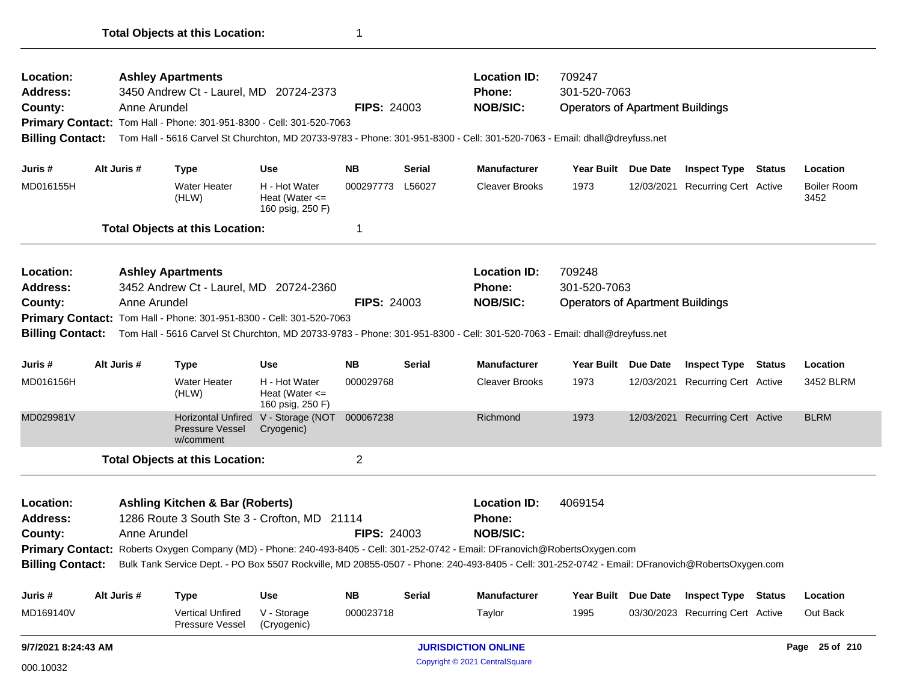| Location:                                                                                                                                                        |                                                                      |              | <b>Ashley Apartments</b>                                             |                                                             |                    |               | <b>Location ID:</b>                                                                                                                        | 709247                                  |                                  |                            |
|------------------------------------------------------------------------------------------------------------------------------------------------------------------|----------------------------------------------------------------------|--------------|----------------------------------------------------------------------|-------------------------------------------------------------|--------------------|---------------|--------------------------------------------------------------------------------------------------------------------------------------------|-----------------------------------------|----------------------------------|----------------------------|
| <b>Address:</b>                                                                                                                                                  |                                                                      |              | 3450 Andrew Ct - Laurel, MD 20724-2373                               |                                                             |                    |               | <b>Phone:</b>                                                                                                                              | 301-520-7063                            |                                  |                            |
| County:                                                                                                                                                          |                                                                      | Anne Arundel |                                                                      |                                                             | <b>FIPS: 24003</b> |               | <b>NOB/SIC:</b>                                                                                                                            | <b>Operators of Apartment Buildings</b> |                                  |                            |
|                                                                                                                                                                  |                                                                      |              | Primary Contact: Tom Hall - Phone: 301-951-8300 - Cell: 301-520-7063 |                                                             |                    |               |                                                                                                                                            |                                         |                                  |                            |
|                                                                                                                                                                  |                                                                      |              |                                                                      |                                                             |                    |               | Billing Contact: Tom Hall - 5616 Carvel St Churchton, MD 20733-9783 - Phone: 301-951-8300 - Cell: 301-520-7063 - Email: dhall@dreyfuss.net |                                         |                                  |                            |
| Juris#                                                                                                                                                           |                                                                      | Alt Juris #  | <b>Type</b>                                                          | <b>Use</b>                                                  | <b>NB</b>          | <b>Serial</b> | <b>Manufacturer</b>                                                                                                                        | Year Built Due Date                     | <b>Inspect Type Status</b>       | Location                   |
| MD016155H                                                                                                                                                        |                                                                      |              | <b>Water Heater</b><br>(HLW)                                         | H - Hot Water<br>Heat (Water $\leq$<br>160 psig, 250 F)     | 000297773          | L56027        | <b>Cleaver Brooks</b>                                                                                                                      | 1973                                    | 12/03/2021 Recurring Cert Active | <b>Boiler Room</b><br>3452 |
|                                                                                                                                                                  |                                                                      |              | <b>Total Objects at this Location:</b>                               |                                                             | 1                  |               |                                                                                                                                            |                                         |                                  |                            |
| Location:                                                                                                                                                        |                                                                      |              | <b>Ashley Apartments</b>                                             |                                                             |                    |               | <b>Location ID:</b>                                                                                                                        | 709248                                  |                                  |                            |
| <b>Address:</b>                                                                                                                                                  |                                                                      |              | 3452 Andrew Ct - Laurel, MD 20724-2360                               |                                                             |                    |               | <b>Phone:</b>                                                                                                                              | 301-520-7063                            |                                  |                            |
| County:                                                                                                                                                          |                                                                      | Anne Arundel |                                                                      |                                                             | <b>FIPS: 24003</b> |               | <b>NOB/SIC:</b>                                                                                                                            | <b>Operators of Apartment Buildings</b> |                                  |                            |
|                                                                                                                                                                  | Primary Contact: Tom Hall - Phone: 301-951-8300 - Cell: 301-520-7063 |              |                                                                      |                                                             |                    |               |                                                                                                                                            |                                         |                                  |                            |
| <b>Billing Contact:</b>                                                                                                                                          |                                                                      |              |                                                                      |                                                             |                    |               | Tom Hall - 5616 Carvel St Churchton, MD 20733-9783 - Phone: 301-951-8300 - Cell: 301-520-7063 - Email: dhall@dreyfuss.net                  |                                         |                                  |                            |
| Juris #                                                                                                                                                          |                                                                      | Alt Juris #  | <b>Type</b>                                                          | <b>Use</b>                                                  | <b>NB</b>          | <b>Serial</b> | <b>Manufacturer</b>                                                                                                                        | Year Built Due Date                     | <b>Inspect Type Status</b>       | Location                   |
| MD016156H                                                                                                                                                        |                                                                      |              | <b>Water Heater</b><br>(HLW)                                         | H - Hot Water<br>Heat (Water $\leq$<br>160 psig, 250 F)     | 000029768          |               | <b>Cleaver Brooks</b>                                                                                                                      | 1973                                    | 12/03/2021 Recurring Cert Active | 3452 BLRM                  |
| MD029981V                                                                                                                                                        |                                                                      |              | <b>Pressure Vessel</b><br>w/comment                                  | Horizontal Unfired V - Storage (NOT 000067238<br>Cryogenic) |                    |               | Richmond                                                                                                                                   | 1973                                    | 12/03/2021 Recurring Cert Active | <b>BLRM</b>                |
|                                                                                                                                                                  |                                                                      |              | <b>Total Objects at this Location:</b>                               |                                                             | $\overline{2}$     |               |                                                                                                                                            |                                         |                                  |                            |
| Location:<br><b>Ashling Kitchen &amp; Bar (Roberts)</b><br>1286 Route 3 South Ste 3 - Crofton, MD 21114<br><b>Address:</b><br>Anne Arundel<br>County:            |                                                                      |              |                                                                      |                                                             | <b>FIPS: 24003</b> |               | <b>Location ID:</b><br><b>Phone:</b><br><b>NOB/SIC:</b>                                                                                    | 4069154                                 |                                  |                            |
|                                                                                                                                                                  |                                                                      |              |                                                                      |                                                             |                    |               | Primary Contact: Roberts Oxygen Company (MD) - Phone: 240-493-8405 - Cell: 301-252-0742 - Email: DFranovich@RobertsOxygen.com              |                                         |                                  |                            |
| Billing Contact: Bulk Tank Service Dept. - PO Box 5507 Rockville, MD 20855-0507 - Phone: 240-493-8405 - Cell: 301-252-0742 - Email: DFranovich@RobertsOxygen.com |                                                                      |              |                                                                      |                                                             |                    |               |                                                                                                                                            |                                         |                                  |                            |
| Juris #                                                                                                                                                          |                                                                      | Alt Juris #  | <b>Type</b>                                                          | <b>Use</b>                                                  | <b>NB</b>          | <b>Serial</b> | Manufacturer                                                                                                                               | Year Built Due Date                     | <b>Inspect Type Status</b>       | Location                   |
| MD169140V                                                                                                                                                        |                                                                      |              | Vertical Unfired<br>Pressure Vessel                                  | V - Storage<br>(Cryogenic)                                  | 000023718          |               | Taylor                                                                                                                                     | 1995                                    | 03/30/2023 Recurring Cert Active | Out Back                   |
| 9/7/2021 8:24:43 AM                                                                                                                                              |                                                                      |              |                                                                      |                                                             |                    |               | <b>JURISDICTION ONLINE</b>                                                                                                                 |                                         |                                  | Page 25 of 210             |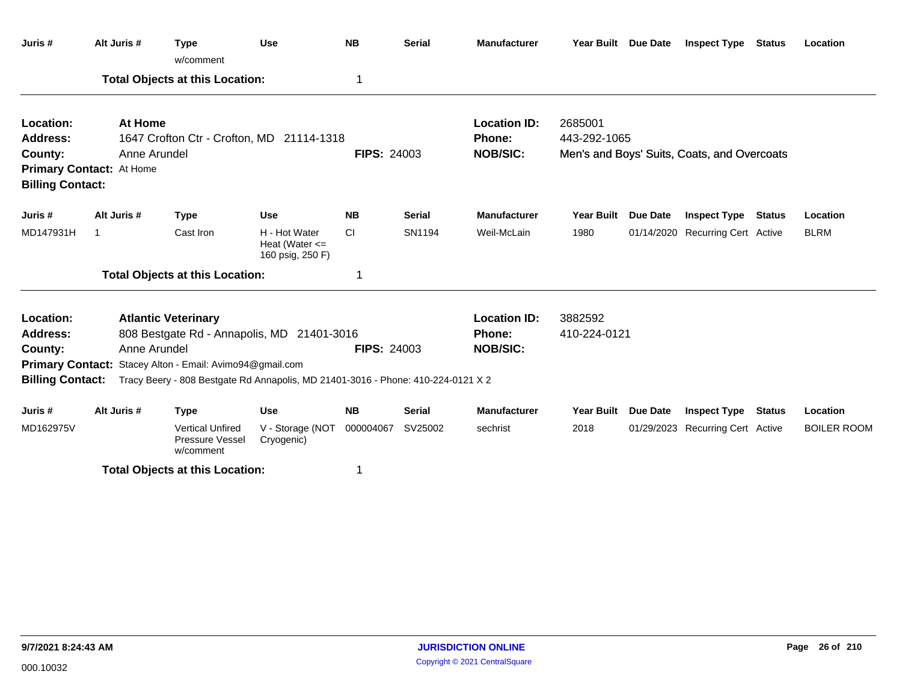| Juris #                                                                                                                                                                                                                                                                                                                       | Alt Juris #                                                                                                                                                                                   | <b>Type</b><br>w/comment                                | <b>Use</b>                                              | <b>NB</b>          | <b>Serial</b> | <b>Manufacturer</b>                                     | Year Built Due Date     | <b>Inspect Type Status</b>                  |               | Location           |
|-------------------------------------------------------------------------------------------------------------------------------------------------------------------------------------------------------------------------------------------------------------------------------------------------------------------------------|-----------------------------------------------------------------------------------------------------------------------------------------------------------------------------------------------|---------------------------------------------------------|---------------------------------------------------------|--------------------|---------------|---------------------------------------------------------|-------------------------|---------------------------------------------|---------------|--------------------|
|                                                                                                                                                                                                                                                                                                                               |                                                                                                                                                                                               | <b>Total Objects at this Location:</b>                  |                                                         | 1                  |               |                                                         |                         |                                             |               |                    |
| Location:<br><b>Address:</b><br>County:                                                                                                                                                                                                                                                                                       | At Home<br>1647 Crofton Ctr - Crofton, MD 21114-1318<br>Anne Arundel<br><b>FIPS: 24003</b><br>Primary Contact: At Home<br><b>Billing Contact:</b><br>Alt Juris #<br><b>Type</b><br><b>Use</b> |                                                         |                                                         |                    |               | <b>Location ID:</b><br><b>Phone:</b><br><b>NOB/SIC:</b> | 2685001<br>443-292-1065 | Men's and Boys' Suits, Coats, and Overcoats |               |                    |
|                                                                                                                                                                                                                                                                                                                               |                                                                                                                                                                                               |                                                         |                                                         |                    |               |                                                         |                         |                                             |               |                    |
| Juris #                                                                                                                                                                                                                                                                                                                       |                                                                                                                                                                                               |                                                         |                                                         | <b>NB</b>          | <b>Serial</b> | <b>Manufacturer</b>                                     | Year Built Due Date     | <b>Inspect Type Status</b>                  |               | Location           |
| MD147931H                                                                                                                                                                                                                                                                                                                     | -1                                                                                                                                                                                            | Cast Iron                                               | H - Hot Water<br>Heat (Water $\leq$<br>160 psig, 250 F) | <b>CI</b>          | SN1194        | Weil-McLain                                             | 1980                    | 01/14/2020 Recurring Cert Active            |               | <b>BLRM</b>        |
|                                                                                                                                                                                                                                                                                                                               |                                                                                                                                                                                               |                                                         |                                                         | 1                  |               |                                                         |                         |                                             |               |                    |
| <b>Total Objects at this Location:</b><br>Location:<br><b>Atlantic Veterinary</b><br><b>Address:</b><br>808 Bestgate Rd - Annapolis, MD 21401-3016<br>Anne Arundel<br>County:<br>Primary Contact: Stacey Alton - Email: Avimo94@gmail.com<br>Tracy Beery - 808 Bestgate Rd Annapolis, MD 21401-3016 - Phone: 410-224-0121 X 2 |                                                                                                                                                                                               |                                                         |                                                         | <b>FIPS: 24003</b> |               | <b>Location ID:</b><br><b>Phone:</b><br><b>NOB/SIC:</b> | 3882592<br>410-224-0121 |                                             |               |                    |
| <b>Billing Contact:</b>                                                                                                                                                                                                                                                                                                       |                                                                                                                                                                                               |                                                         |                                                         |                    |               |                                                         |                         |                                             |               |                    |
| Juris #                                                                                                                                                                                                                                                                                                                       | Alt Juris #                                                                                                                                                                                   | <b>Type</b>                                             | <b>Use</b>                                              | <b>NB</b>          | <b>Serial</b> | <b>Manufacturer</b>                                     | Year Built Due Date     | <b>Inspect Type</b>                         | <b>Status</b> | Location           |
| MD162975V                                                                                                                                                                                                                                                                                                                     |                                                                                                                                                                                               | <b>Vertical Unfired</b><br>Pressure Vessel<br>w/comment | V - Storage (NOT<br>Cryogenic)                          | 000004067          | SV25002       | sechrist                                                | 2018                    | 01/29/2023 Recurring Cert Active            |               | <b>BOILER ROOM</b> |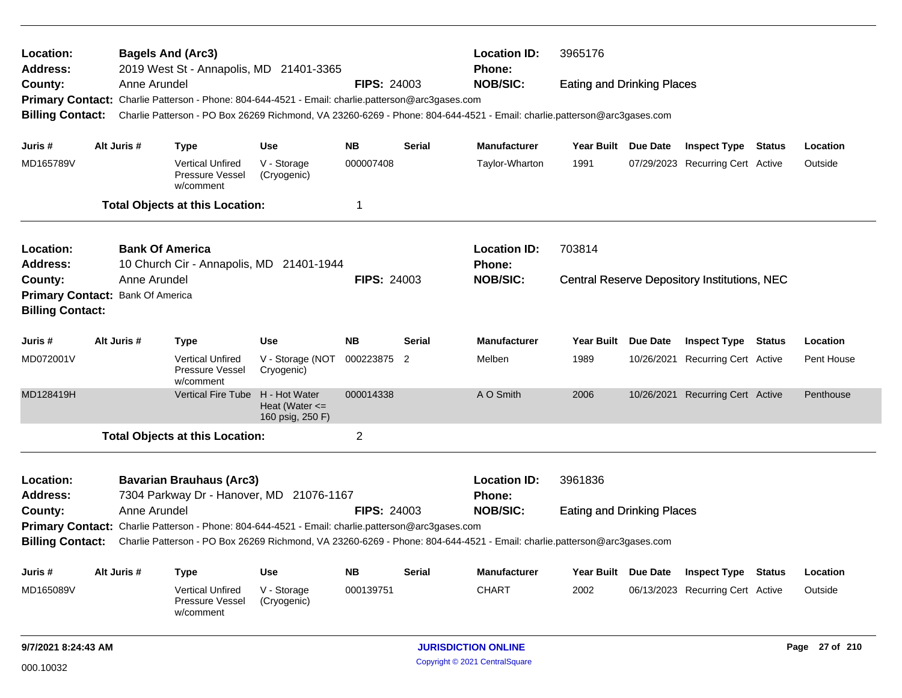| Location:<br>Address:                                       |                                                                                                                                         | <b>Bagels And (Arc3)</b><br>2019 West St - Annapolis, MD 21401-3365 |                                                                                                   |                                                         |                    | <b>Location ID:</b><br>Phone: | 3965176                                                                                                                 |                                   |                                                     |            |
|-------------------------------------------------------------|-----------------------------------------------------------------------------------------------------------------------------------------|---------------------------------------------------------------------|---------------------------------------------------------------------------------------------------|---------------------------------------------------------|--------------------|-------------------------------|-------------------------------------------------------------------------------------------------------------------------|-----------------------------------|-----------------------------------------------------|------------|
| County:                                                     |                                                                                                                                         | Anne Arundel                                                        |                                                                                                   |                                                         | <b>FIPS: 24003</b> |                               | <b>NOB/SIC:</b>                                                                                                         | <b>Eating and Drinking Places</b> |                                                     |            |
|                                                             |                                                                                                                                         |                                                                     | Primary Contact: Charlie Patterson - Phone: 804-644-4521 - Email: charlie.patterson@arc3gases.com |                                                         |                    |                               |                                                                                                                         |                                   |                                                     |            |
| <b>Billing Contact:</b>                                     |                                                                                                                                         |                                                                     |                                                                                                   |                                                         |                    |                               | Charlie Patterson - PO Box 26269 Richmond, VA 23260-6269 - Phone: 804-644-4521 - Email: charlie.patterson@arc3gases.com |                                   |                                                     |            |
| Juris #                                                     | Alt Juris #                                                                                                                             |                                                                     | <b>Type</b>                                                                                       | Use                                                     | <b>NB</b>          | Serial                        | <b>Manufacturer</b>                                                                                                     | Year Built Due Date               | <b>Inspect Type Status</b>                          | Location   |
| MD165789V                                                   |                                                                                                                                         |                                                                     | <b>Vertical Unfired</b><br>Pressure Vessel<br>w/comment                                           | V - Storage<br>(Cryogenic)                              | 000007408          |                               | Taylor-Wharton                                                                                                          | 1991                              | 07/29/2023 Recurring Cert Active                    | Outside    |
|                                                             |                                                                                                                                         |                                                                     | <b>Total Objects at this Location:</b>                                                            |                                                         | 1                  |                               |                                                                                                                         |                                   |                                                     |            |
| Location:<br><b>Address:</b>                                |                                                                                                                                         | <b>Bank Of America</b>                                              | 10 Church Cir - Annapolis, MD 21401-1944                                                          |                                                         |                    |                               | <b>Location ID:</b><br>Phone:                                                                                           | 703814                            |                                                     |            |
| County:                                                     |                                                                                                                                         | Anne Arundel                                                        |                                                                                                   |                                                         | <b>FIPS: 24003</b> |                               | <b>NOB/SIC:</b>                                                                                                         |                                   | <b>Central Reserve Depository Institutions, NEC</b> |            |
| Primary Contact: Bank Of America<br><b>Billing Contact:</b> |                                                                                                                                         |                                                                     |                                                                                                   |                                                         |                    |                               |                                                                                                                         |                                   |                                                     |            |
| Juris #                                                     | Alt Juris #                                                                                                                             |                                                                     | <b>Type</b>                                                                                       | Use                                                     | <b>NB</b>          | <b>Serial</b>                 | <b>Manufacturer</b>                                                                                                     | Year Built Due Date               | <b>Inspect Type Status</b>                          | Location   |
| MD072001V                                                   |                                                                                                                                         |                                                                     | <b>Vertical Unfired</b><br>Pressure Vessel<br>w/comment                                           | V - Storage (NOT<br>Cryogenic)                          | 000223875 2        |                               | Melben                                                                                                                  | 1989                              | 10/26/2021 Recurring Cert Active                    | Pent House |
| MD128419H                                                   |                                                                                                                                         |                                                                     | <b>Vertical Fire Tube</b>                                                                         | H - Hot Water<br>Heat (Water $\leq$<br>160 psig, 250 F) | 000014338          |                               | A O Smith                                                                                                               | 2006                              | 10/26/2021 Recurring Cert Active                    | Penthouse  |
|                                                             |                                                                                                                                         |                                                                     | <b>Total Objects at this Location:</b>                                                            |                                                         | $\overline{c}$     |                               |                                                                                                                         |                                   |                                                     |            |
| Location:<br><b>Address:</b>                                |                                                                                                                                         |                                                                     | <b>Bavarian Brauhaus (Arc3)</b><br>7304 Parkway Dr - Hanover, MD 21076-1167                       |                                                         |                    |                               | <b>Location ID:</b><br><b>Phone:</b>                                                                                    | 3961836                           |                                                     |            |
| County:                                                     |                                                                                                                                         |                                                                     |                                                                                                   |                                                         |                    |                               | <b>NOB/SIC:</b>                                                                                                         | <b>Eating and Drinking Places</b> |                                                     |            |
|                                                             | Anne Arundel<br><b>FIPS: 24003</b><br>Primary Contact: Charlie Patterson - Phone: 804-644-4521 - Email: charlie.patterson@arc3gases.com |                                                                     |                                                                                                   |                                                         |                    |                               |                                                                                                                         |                                   |                                                     |            |
| <b>Billing Contact:</b>                                     |                                                                                                                                         |                                                                     |                                                                                                   |                                                         |                    |                               | Charlie Patterson - PO Box 26269 Richmond, VA 23260-6269 - Phone: 804-644-4521 - Email: charlie.patterson@arc3gases.com |                                   |                                                     |            |
| Juris #                                                     | Alt Juris #                                                                                                                             |                                                                     | <b>Type</b>                                                                                       | <b>Use</b>                                              | <b>NB</b>          | <b>Serial</b>                 | <b>Manufacturer</b>                                                                                                     | Year Built Due Date               | <b>Inspect Type Status</b>                          | Location   |
| MD165089V                                                   |                                                                                                                                         |                                                                     | <b>Vertical Unfired</b><br>Pressure Vessel<br>w/comment                                           | V - Storage<br>(Cryogenic)                              | 000139751          |                               | <b>CHART</b>                                                                                                            | 2002                              | 06/13/2023 Recurring Cert Active                    | Outside    |
|                                                             |                                                                                                                                         |                                                                     |                                                                                                   |                                                         |                    |                               |                                                                                                                         |                                   |                                                     |            |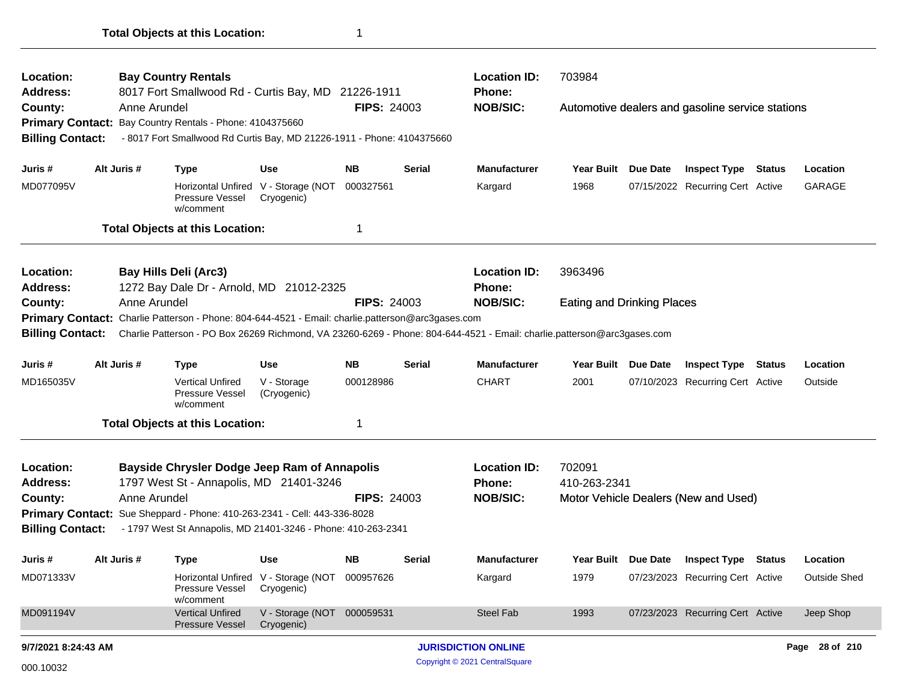| Location:<br>Address:   |                                                                                                                                                                                                                              |              | <b>Bay Country Rentals</b><br>8017 Fort Smallwood Rd - Curtis Bay, MD 21226-1911 |                                                   |                    |               | <b>Location ID:</b><br><b>Phone:</b> | 703984                            |                 |                                                  |               |                     |
|-------------------------|------------------------------------------------------------------------------------------------------------------------------------------------------------------------------------------------------------------------------|--------------|----------------------------------------------------------------------------------|---------------------------------------------------|--------------------|---------------|--------------------------------------|-----------------------------------|-----------------|--------------------------------------------------|---------------|---------------------|
| County:                 |                                                                                                                                                                                                                              | Anne Arundel |                                                                                  |                                                   | <b>FIPS: 24003</b> |               | <b>NOB/SIC:</b>                      |                                   |                 | Automotive dealers and gasoline service stations |               |                     |
|                         |                                                                                                                                                                                                                              |              | Primary Contact: Bay Country Rentals - Phone: 4104375660                         |                                                   |                    |               |                                      |                                   |                 |                                                  |               |                     |
| <b>Billing Contact:</b> |                                                                                                                                                                                                                              |              | - 8017 Fort Smallwood Rd Curtis Bay, MD 21226-1911 - Phone: 4104375660           |                                                   |                    |               |                                      |                                   |                 |                                                  |               |                     |
| Juris #                 |                                                                                                                                                                                                                              | Alt Juris #  | Type                                                                             | Use                                               | NB.                | Serial        | <b>Manufacturer</b>                  | Year Built                        | Due Date        | <b>Inspect Type</b>                              | <b>Status</b> | Location            |
| MD077095V               |                                                                                                                                                                                                                              |              | Pressure Vessel<br>w/comment                                                     | Horizontal Unfired V - Storage (NOT<br>Cryogenic) | 000327561          |               | Kargard                              | 1968                              |                 | 07/15/2022 Recurring Cert Active                 |               | <b>GARAGE</b>       |
|                         |                                                                                                                                                                                                                              |              | <b>Total Objects at this Location:</b>                                           |                                                   | 1                  |               |                                      |                                   |                 |                                                  |               |                     |
| Location:               |                                                                                                                                                                                                                              |              | <b>Bay Hills Deli (Arc3)</b>                                                     |                                                   |                    |               | <b>Location ID:</b>                  | 3963496                           |                 |                                                  |               |                     |
| <b>Address:</b>         |                                                                                                                                                                                                                              |              | 1272 Bay Dale Dr - Arnold, MD 21012-2325                                         |                                                   |                    |               | <b>Phone:</b>                        |                                   |                 |                                                  |               |                     |
| County:                 | Anne Arundel<br><b>FIPS: 24003</b>                                                                                                                                                                                           |              |                                                                                  |                                                   |                    |               | <b>NOB/SIC:</b>                      | <b>Eating and Drinking Places</b> |                 |                                                  |               |                     |
|                         | Primary Contact: Charlie Patterson - Phone: 804-644-4521 - Email: charlie.patterson@arc3gases.com<br>Charlie Patterson - PO Box 26269 Richmond, VA 23260-6269 - Phone: 804-644-4521 - Email: charlie.patterson@arc3gases.com |              |                                                                                  |                                                   |                    |               |                                      |                                   |                 |                                                  |               |                     |
| <b>Billing Contact:</b> |                                                                                                                                                                                                                              |              |                                                                                  |                                                   |                    |               |                                      |                                   |                 |                                                  |               |                     |
| Juris #                 |                                                                                                                                                                                                                              | Alt Juris #  | <b>Type</b>                                                                      | Use                                               | <b>NB</b>          | <b>Serial</b> | <b>Manufacturer</b>                  | Year Built Due Date               |                 | <b>Inspect Type Status</b>                       |               | Location            |
| MD165035V               |                                                                                                                                                                                                                              |              | <b>Vertical Unfired</b><br>Pressure Vessel<br>w/comment                          | V - Storage<br>(Cryogenic)                        | 000128986          |               | <b>CHART</b>                         | 2001                              |                 | 07/10/2023 Recurring Cert Active                 |               | Outside             |
|                         |                                                                                                                                                                                                                              |              | <b>Total Objects at this Location:</b>                                           |                                                   | 1                  |               |                                      |                                   |                 |                                                  |               |                     |
| Location:               |                                                                                                                                                                                                                              |              | <b>Bayside Chrysler Dodge Jeep Ram of Annapolis</b>                              |                                                   |                    |               | <b>Location ID:</b>                  | 702091                            |                 |                                                  |               |                     |
| <b>Address:</b>         |                                                                                                                                                                                                                              |              | 1797 West St - Annapolis, MD 21401-3246                                          |                                                   |                    |               | <b>Phone:</b>                        | 410-263-2341                      |                 |                                                  |               |                     |
| County:                 |                                                                                                                                                                                                                              | Anne Arundel |                                                                                  |                                                   | <b>FIPS: 24003</b> |               | <b>NOB/SIC:</b>                      |                                   |                 | Motor Vehicle Dealers (New and Used)             |               |                     |
|                         |                                                                                                                                                                                                                              |              | Primary Contact: Sue Sheppard - Phone: 410-263-2341 - Cell: 443-336-8028         |                                                   |                    |               |                                      |                                   |                 |                                                  |               |                     |
| <b>Billing Contact:</b> |                                                                                                                                                                                                                              |              | - 1797 West St Annapolis, MD 21401-3246 - Phone: 410-263-2341                    |                                                   |                    |               |                                      |                                   |                 |                                                  |               |                     |
| Juris #                 |                                                                                                                                                                                                                              | Alt Juris #  | Type                                                                             | Use                                               | <b>NB</b>          | <b>Serial</b> | <b>Manufacturer</b>                  | <b>Year Built</b>                 | <b>Due Date</b> | <b>Inspect Type Status</b>                       |               | Location            |
| MD071333V               |                                                                                                                                                                                                                              |              | <b>Horizontal Unfired</b><br>Pressure Vessel<br>w/comment                        | V - Storage (NOT<br>Cryogenic)                    | 000957626          |               | Kargard                              | 1979                              |                 | 07/23/2023 Recurring Cert Active                 |               | <b>Outside Shed</b> |
| MD091194V               |                                                                                                                                                                                                                              |              | <b>Vertical Unfired</b><br><b>Pressure Vessel</b>                                | V - Storage (NOT 000059531<br>Cryogenic)          |                    |               | Steel Fab                            | 1993                              |                 | 07/23/2023 Recurring Cert Active                 |               | Jeep Shop           |
| 9/7/2021 8:24:43 AM     |                                                                                                                                                                                                                              |              |                                                                                  |                                                   |                    |               | <b>JURISDICTION ONLINE</b>           |                                   |                 |                                                  |               | Page 28 of 210      |
| 000.10032               |                                                                                                                                                                                                                              |              |                                                                                  |                                                   |                    |               | Copyright © 2021 CentralSquare       |                                   |                 |                                                  |               |                     |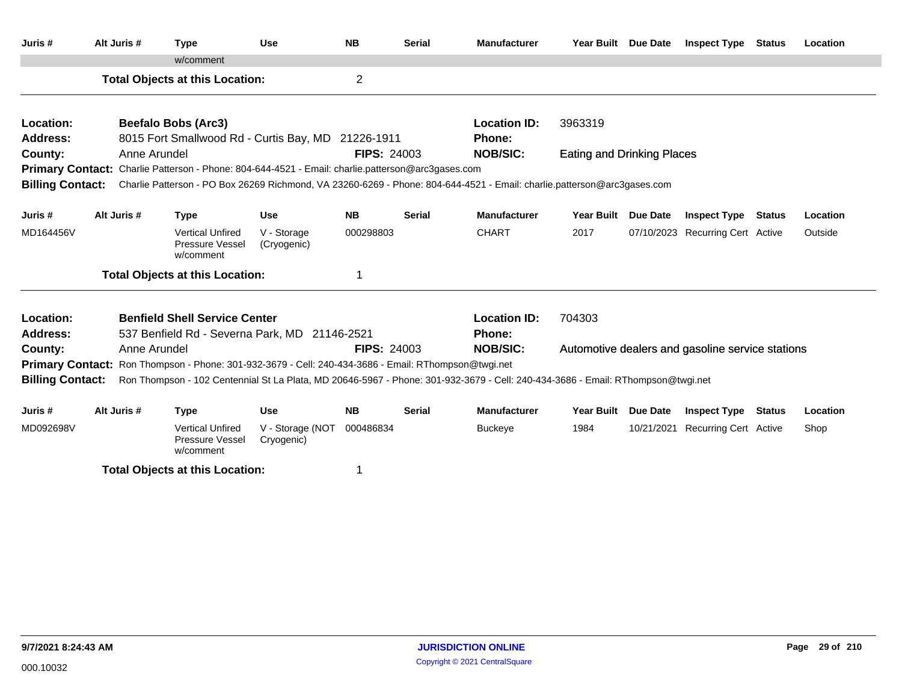| Juris #                                                                                              | Alt Juris #  | <b>Type</b>                                                                                              | <b>Use</b>                     | <b>NB</b>          | <b>Serial</b> | <b>Manufacturer</b>                                                                                                             | Year Built Due Date               |                 | <b>Inspect Type Status</b>                       |               | Location |
|------------------------------------------------------------------------------------------------------|--------------|----------------------------------------------------------------------------------------------------------|--------------------------------|--------------------|---------------|---------------------------------------------------------------------------------------------------------------------------------|-----------------------------------|-----------------|--------------------------------------------------|---------------|----------|
|                                                                                                      |              | w/comment                                                                                                |                                |                    |               |                                                                                                                                 |                                   |                 |                                                  |               |          |
|                                                                                                      |              | <b>Total Objects at this Location:</b>                                                                   |                                | $\overline{c}$     |               |                                                                                                                                 |                                   |                 |                                                  |               |          |
| Location:                                                                                            |              | <b>Beefalo Bobs (Arc3)</b>                                                                               |                                |                    |               | <b>Location ID:</b>                                                                                                             | 3963319                           |                 |                                                  |               |          |
| <b>Address:</b>                                                                                      |              | 8015 Fort Smallwood Rd - Curtis Bay, MD 21226-1911                                                       |                                |                    |               | <b>Phone:</b>                                                                                                                   |                                   |                 |                                                  |               |          |
| County:                                                                                              | Anne Arundel |                                                                                                          |                                | <b>FIPS: 24003</b> |               | <b>NOB/SIC:</b>                                                                                                                 | <b>Eating and Drinking Places</b> |                 |                                                  |               |          |
|                                                                                                      |              | <b>Primary Contact:</b> Charlie Patterson - Phone: 804-644-4521 - Email: charlie.patterson@arc3gases.com |                                |                    |               |                                                                                                                                 |                                   |                 |                                                  |               |          |
| <b>Billing Contact:</b>                                                                              |              |                                                                                                          |                                |                    |               | Charlie Patterson - PO Box 26269 Richmond, VA 23260-6269 - Phone: 804-644-4521 - Email: charlie.patterson@arc3gases.com         |                                   |                 |                                                  |               |          |
| Juris #                                                                                              | Alt Juris #  | <b>Type</b>                                                                                              | <b>Use</b>                     | <b>NB</b>          | <b>Serial</b> | <b>Manufacturer</b>                                                                                                             | Year Built Due Date               |                 | <b>Inspect Type Status</b>                       |               | Location |
| MD164456V                                                                                            |              | <b>Vertical Unfired</b><br>Pressure Vessel<br>w/comment                                                  | V - Storage<br>(Cryogenic)     | 000298803          |               | <b>CHART</b>                                                                                                                    | 2017                              |                 | 07/10/2023 Recurring Cert Active                 |               | Outside  |
|                                                                                                      |              | <b>Total Objects at this Location:</b>                                                                   |                                | 1                  |               |                                                                                                                                 |                                   |                 |                                                  |               |          |
| Location:                                                                                            |              | <b>Benfield Shell Service Center</b>                                                                     |                                |                    |               | <b>Location ID:</b>                                                                                                             | 704303                            |                 |                                                  |               |          |
| Address:                                                                                             |              | 537 Benfield Rd - Severna Park, MD 21146-2521                                                            |                                |                    |               | <b>Phone:</b>                                                                                                                   |                                   |                 |                                                  |               |          |
| County:                                                                                              | Anne Arundel |                                                                                                          |                                | <b>FIPS: 24003</b> |               | <b>NOB/SIC:</b>                                                                                                                 |                                   |                 | Automotive dealers and gasoline service stations |               |          |
| Primary Contact: Ron Thompson - Phone: 301-932-3679 - Cell: 240-434-3686 - Email: RThompson@twgi.net |              |                                                                                                          |                                |                    |               |                                                                                                                                 |                                   |                 |                                                  |               |          |
| <b>Billing Contact:</b>                                                                              |              |                                                                                                          |                                |                    |               | Ron Thompson - 102 Centennial St La Plata, MD 20646-5967 - Phone: 301-932-3679 - Cell: 240-434-3686 - Email: RThompson@twgi.net |                                   |                 |                                                  |               |          |
| Juris #                                                                                              | Alt Juris #  | <b>Type</b>                                                                                              | <b>Use</b>                     | <b>NB</b>          | <b>Serial</b> | <b>Manufacturer</b>                                                                                                             | <b>Year Built</b>                 | <b>Due Date</b> | <b>Inspect Type</b>                              | <b>Status</b> | Location |
| MD092698V                                                                                            |              | <b>Vertical Unfired</b><br><b>Pressure Vessel</b><br>w/comment                                           | V - Storage (NOT<br>Cryogenic) | 000486834          |               | <b>Buckeye</b>                                                                                                                  | 1984                              | 10/21/2021      | <b>Recurring Cert Active</b>                     |               | Shop     |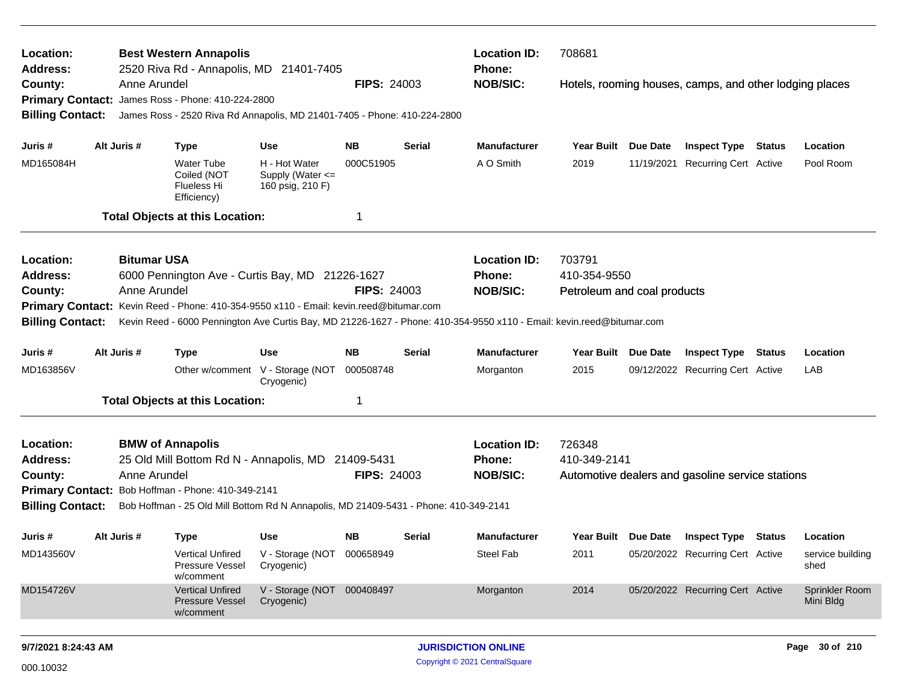| Location:<br>Address:              |             | <b>Best Western Annapolis</b><br>2520 Riva Rd - Annapolis, MD 21401-7405                                                                      |                                                           |                    |               | <b>Location ID:</b><br><b>Phone:</b> | 708681                      |                                                         |                             |
|------------------------------------|-------------|-----------------------------------------------------------------------------------------------------------------------------------------------|-----------------------------------------------------------|--------------------|---------------|--------------------------------------|-----------------------------|---------------------------------------------------------|-----------------------------|
| County:<br><b>Billing Contact:</b> |             | Anne Arundel<br>Primary Contact: James Ross - Phone: 410-224-2800<br>James Ross - 2520 Riva Rd Annapolis, MD 21401-7405 - Phone: 410-224-2800 |                                                           | <b>FIPS: 24003</b> |               | <b>NOB/SIC:</b>                      |                             | Hotels, rooming houses, camps, and other lodging places |                             |
|                                    |             |                                                                                                                                               |                                                           |                    |               |                                      |                             |                                                         |                             |
| Juris #                            | Alt Juris # | <b>Type</b>                                                                                                                                   | <b>Use</b>                                                | NB.                | Serial        | <b>Manufacturer</b>                  | Year Built Due Date         | <b>Inspect Type Status</b>                              | Location                    |
| MD165084H                          |             | <b>Water Tube</b><br>Coiled (NOT<br>Flueless Hi<br>Efficiency)                                                                                | H - Hot Water<br>Supply (Water <=<br>160 psig, 210 F)     | 000C51905          |               | A O Smith                            | 2019                        | 11/19/2021 Recurring Cert Active                        | Pool Room                   |
|                                    |             | <b>Total Objects at this Location:</b>                                                                                                        |                                                           | -1                 |               |                                      |                             |                                                         |                             |
| Location:                          |             | <b>Bitumar USA</b>                                                                                                                            |                                                           |                    |               | <b>Location ID:</b>                  | 703791                      |                                                         |                             |
| <b>Address:</b>                    |             | 6000 Pennington Ave - Curtis Bay, MD 21226-1627                                                                                               |                                                           |                    |               | <b>Phone:</b>                        | 410-354-9550                |                                                         |                             |
| County:                            |             | Anne Arundel                                                                                                                                  |                                                           | <b>FIPS: 24003</b> |               | <b>NOB/SIC:</b>                      | Petroleum and coal products |                                                         |                             |
|                                    |             | Primary Contact: Kevin Reed - Phone: 410-354-9550 x110 - Email: kevin.reed@bitumar.com                                                        |                                                           |                    |               |                                      |                             |                                                         |                             |
| <b>Billing Contact:</b>            |             | Kevin Reed - 6000 Pennington Ave Curtis Bay, MD 21226-1627 - Phone: 410-354-9550 x110 - Email: kevin.reed@bitumar.com                         |                                                           |                    |               |                                      |                             |                                                         |                             |
| Juris #                            | Alt Juris # | <b>Type</b>                                                                                                                                   | <b>Use</b>                                                | NB.                | <b>Serial</b> | <b>Manufacturer</b>                  | Year Built Due Date         | <b>Inspect Type Status</b>                              | Location                    |
| MD163856V                          |             |                                                                                                                                               | Other w/comment V - Storage (NOT<br>Cryogenic)            | 000508748          |               | Morganton                            | 2015                        | 09/12/2022 Recurring Cert Active                        | LAB                         |
|                                    |             | <b>Total Objects at this Location:</b>                                                                                                        |                                                           | -1                 |               |                                      |                             |                                                         |                             |
| Location:                          |             | <b>BMW of Annapolis</b>                                                                                                                       |                                                           |                    |               | <b>Location ID:</b>                  | 726348                      |                                                         |                             |
| <b>Address:</b>                    |             | 25 Old Mill Bottom Rd N - Annapolis, MD 21409-5431                                                                                            |                                                           |                    |               | <b>Phone:</b>                        | 410-349-2141                |                                                         |                             |
| County:                            |             | Anne Arundel                                                                                                                                  |                                                           | <b>FIPS: 24003</b> |               | <b>NOB/SIC:</b>                      |                             | Automotive dealers and gasoline service stations        |                             |
|                                    |             | Primary Contact: Bob Hoffman - Phone: 410-349-2141                                                                                            |                                                           |                    |               |                                      |                             |                                                         |                             |
| <b>Billing Contact:</b>            |             | Bob Hoffman - 25 Old Mill Bottom Rd N Annapolis, MD 21409-5431 - Phone: 410-349-2141                                                          |                                                           |                    |               |                                      |                             |                                                         |                             |
| Juris #                            | Alt Juris # | <b>Type</b>                                                                                                                                   | <b>Use</b>                                                | NB.                | <b>Serial</b> | <b>Manufacturer</b>                  |                             | Year Built Due Date Inspect Type Status                 | Location                    |
| MD143560V                          |             | <b>Pressure Vessel</b><br>w/comment                                                                                                           | Vertical Unfired V - Storage (NOT 000658949<br>Cryogenic) |                    |               | Steel Fab                            | 2011                        | 05/20/2022 Recurring Cert Active                        | service building<br>shed    |
| MD154726V                          |             | <b>Vertical Unfired</b><br><b>Pressure Vessel</b><br>w/comment                                                                                | V - Storage (NOT 000408497<br>Cryogenic)                  |                    |               | Morganton                            | 2014                        | 05/20/2022 Recurring Cert Active                        | Sprinkler Room<br>Mini Bldg |
| 9/7/2021 8:24:43 AM                |             |                                                                                                                                               |                                                           |                    |               | <b>JURISDICTION ONLINE</b>           |                             |                                                         | Page 30 of 210              |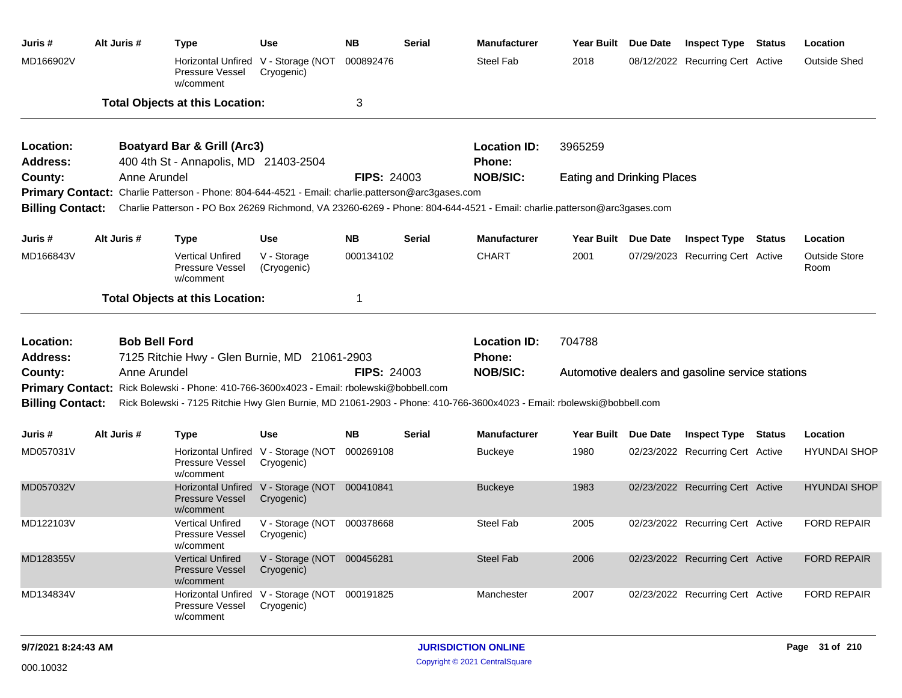| Juris #                    | Alt Juris #          | <b>Type</b>                                                                                       | <b>Use</b>                                                  | <b>NB</b>          | Serial        | <b>Manufacturer</b>                                                                                                     | Year Built Due Date               | <b>Inspect Type Status</b>                       | Location                     |
|----------------------------|----------------------|---------------------------------------------------------------------------------------------------|-------------------------------------------------------------|--------------------|---------------|-------------------------------------------------------------------------------------------------------------------------|-----------------------------------|--------------------------------------------------|------------------------------|
| MD166902V                  |                      | Pressure Vessel<br>w/comment                                                                      | Horizontal Unfired V - Storage (NOT<br>Cryogenic)           | 000892476          |               | <b>Steel Fab</b>                                                                                                        | 2018                              | 08/12/2022 Recurring Cert Active                 | <b>Outside Shed</b>          |
|                            |                      | <b>Total Objects at this Location:</b>                                                            |                                                             | 3                  |               |                                                                                                                         |                                   |                                                  |                              |
| Location:                  |                      | <b>Boatyard Bar &amp; Grill (Arc3)</b>                                                            |                                                             |                    |               | <b>Location ID:</b>                                                                                                     | 3965259                           |                                                  |                              |
| <b>Address:</b>            |                      | 400 4th St - Annapolis, MD 21403-2504                                                             |                                                             |                    |               | <b>Phone:</b>                                                                                                           |                                   |                                                  |                              |
| County:                    | Anne Arundel         |                                                                                                   |                                                             | <b>FIPS: 24003</b> |               | <b>NOB/SIC:</b>                                                                                                         | <b>Eating and Drinking Places</b> |                                                  |                              |
|                            |                      | Primary Contact: Charlie Patterson - Phone: 804-644-4521 - Email: charlie.patterson@arc3gases.com |                                                             |                    |               |                                                                                                                         |                                   |                                                  |                              |
| <b>Billing Contact:</b>    |                      |                                                                                                   |                                                             |                    |               | Charlie Patterson - PO Box 26269 Richmond, VA 23260-6269 - Phone: 804-644-4521 - Email: charlie.patterson@arc3gases.com |                                   |                                                  |                              |
| Juris #                    | Alt Juris #          | <b>Type</b>                                                                                       | <b>Use</b>                                                  | <b>NB</b>          | <b>Serial</b> | <b>Manufacturer</b>                                                                                                     | Year Built Due Date               | <b>Inspect Type Status</b>                       | Location                     |
| MD166843V                  |                      | <b>Vertical Unfired</b><br><b>Pressure Vessel</b><br>w/comment                                    | V - Storage<br>(Cryogenic)                                  | 000134102          |               | <b>CHART</b>                                                                                                            | 2001                              | 07/29/2023 Recurring Cert Active                 | <b>Outside Store</b><br>Room |
|                            |                      | <b>Total Objects at this Location:</b>                                                            |                                                             | $\mathbf 1$        |               |                                                                                                                         |                                   |                                                  |                              |
|                            |                      |                                                                                                   |                                                             |                    |               |                                                                                                                         |                                   |                                                  |                              |
| Location:                  | <b>Bob Bell Ford</b> |                                                                                                   |                                                             |                    |               | <b>Location ID:</b>                                                                                                     | 704788                            |                                                  |                              |
| <b>Address:</b><br>County: | Anne Arundel         | 7125 Ritchie Hwy - Glen Burnie, MD 21061-2903                                                     |                                                             | <b>FIPS: 24003</b> |               | Phone:<br><b>NOB/SIC:</b>                                                                                               |                                   | Automotive dealers and gasoline service stations |                              |
|                            |                      | Primary Contact: Rick Bolewski - Phone: 410-766-3600x4023 - Email: rbolewski@bobbell.com          |                                                             |                    |               |                                                                                                                         |                                   |                                                  |                              |
| <b>Billing Contact:</b>    |                      |                                                                                                   |                                                             |                    |               | Rick Bolewski - 7125 Ritchie Hwy Glen Burnie, MD 21061-2903 - Phone: 410-766-3600x4023 - Email: rbolewski@bobbell.com   |                                   |                                                  |                              |
| Juris #                    | Alt Juris #          | <b>Type</b>                                                                                       | <b>Use</b>                                                  | <b>NB</b>          | <b>Serial</b> | <b>Manufacturer</b>                                                                                                     | Year Built Due Date               | <b>Inspect Type Status</b>                       | Location                     |
| MD057031V                  |                      | <b>Pressure Vessel</b><br>w/comment                                                               | Horizontal Unfired V - Storage (NOT<br>Cryogenic)           | 000269108          |               | <b>Buckeye</b>                                                                                                          | 1980                              | 02/23/2022 Recurring Cert Active                 | <b>HYUNDAI SHOP</b>          |
| MD057032V                  |                      | <b>Pressure Vessel</b><br>w/comment                                                               | Horizontal Unfired V - Storage (NOT 000410841<br>Cryogenic) |                    |               | <b>Buckeye</b>                                                                                                          | 1983                              | 02/23/2022 Recurring Cert Active                 | <b>HYUNDAI SHOP</b>          |
| MD122103V                  |                      | <b>Vertical Unfired</b><br><b>Pressure Vessel</b><br>w/comment                                    | V - Storage (NOT 000378668<br>Cryogenic)                    |                    |               | <b>Steel Fab</b>                                                                                                        | 2005                              | 02/23/2022 Recurring Cert Active                 | <b>FORD REPAIR</b>           |
| MD128355V                  |                      | <b>Vertical Unfired</b><br><b>Pressure Vessel</b><br>w/comment                                    | V - Storage (NOT 000456281<br>Cryogenic)                    |                    |               | <b>Steel Fab</b>                                                                                                        | 2006                              | 02/23/2022 Recurring Cert Active                 | <b>FORD REPAIR</b>           |
| MD134834V                  |                      | <b>Horizontal Unfired</b><br>Pressure Vessel<br>w/comment                                         | V - Storage (NOT 000191825<br>Cryogenic)                    |                    |               | Manchester                                                                                                              | 2007                              | 02/23/2022 Recurring Cert Active                 | <b>FORD REPAIR</b>           |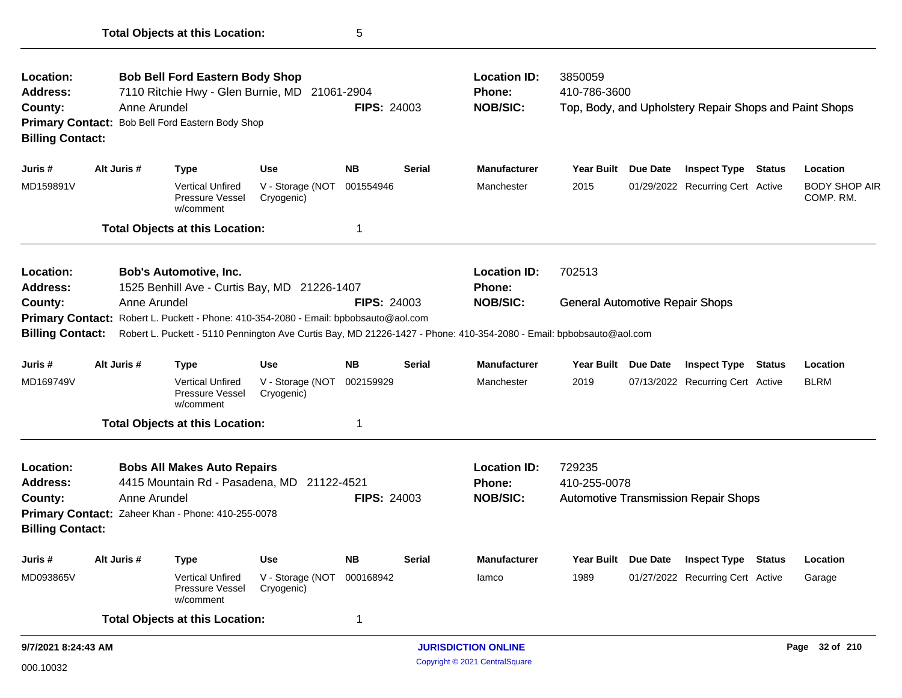| Location:<br><b>Address:</b>                                                                                                                                                                 |  | <b>Bob Bell Ford Eastern Body Shop</b><br>7110 Ritchie Hwy - Glen Burnie, MD 21061-2904 |                                                                                      |                                |                    | <b>Location ID:</b><br><b>Phone:</b> | 3850059<br>410-786-3600                                                                                             |                                        |                 |                                                        |               |                                   |
|----------------------------------------------------------------------------------------------------------------------------------------------------------------------------------------------|--|-----------------------------------------------------------------------------------------|--------------------------------------------------------------------------------------|--------------------------------|--------------------|--------------------------------------|---------------------------------------------------------------------------------------------------------------------|----------------------------------------|-----------------|--------------------------------------------------------|---------------|-----------------------------------|
| County:<br><b>Billing Contact:</b>                                                                                                                                                           |  | Anne Arundel                                                                            | Primary Contact: Bob Bell Ford Eastern Body Shop                                     |                                | <b>FIPS: 24003</b> |                                      | <b>NOB/SIC:</b>                                                                                                     |                                        |                 | Top, Body, and Upholstery Repair Shops and Paint Shops |               |                                   |
| Juris #                                                                                                                                                                                      |  | Alt Juris #                                                                             | <b>Type</b>                                                                          | <b>Use</b>                     | <b>NB</b>          | Serial                               | <b>Manufacturer</b>                                                                                                 | <b>Year Built</b>                      | Due Date        | <b>Inspect Type</b>                                    | Status        | Location                          |
| MD159891V                                                                                                                                                                                    |  |                                                                                         | <b>Vertical Unfired</b><br><b>Pressure Vessel</b><br>w/comment                       | V - Storage (NOT<br>Cryogenic) | 001554946          |                                      | Manchester                                                                                                          | 2015                                   |                 | 01/29/2022 Recurring Cert Active                       |               | <b>BODY SHOP AIR</b><br>COMP. RM. |
|                                                                                                                                                                                              |  |                                                                                         | <b>Total Objects at this Location:</b>                                               |                                | $\mathbf{1}$       |                                      |                                                                                                                     |                                        |                 |                                                        |               |                                   |
| Location:<br><b>Address:</b>                                                                                                                                                                 |  |                                                                                         | <b>Bob's Automotive, Inc.</b><br>1525 Benhill Ave - Curtis Bay, MD 21226-1407        |                                |                    |                                      | <b>Location ID:</b><br><b>Phone:</b>                                                                                | 702513                                 |                 |                                                        |               |                                   |
| County:                                                                                                                                                                                      |  | Anne Arundel                                                                            |                                                                                      |                                | <b>FIPS: 24003</b> |                                      | <b>NOB/SIC:</b>                                                                                                     | <b>General Automotive Repair Shops</b> |                 |                                                        |               |                                   |
|                                                                                                                                                                                              |  |                                                                                         | Primary Contact: Robert L. Puckett - Phone: 410-354-2080 - Email: bpbobsauto@aol.com |                                |                    |                                      |                                                                                                                     |                                        |                 |                                                        |               |                                   |
| <b>Billing Contact:</b>                                                                                                                                                                      |  |                                                                                         |                                                                                      |                                |                    |                                      | Robert L. Puckett - 5110 Pennington Ave Curtis Bay, MD 21226-1427 - Phone: 410-354-2080 - Email: bpbobsauto@aol.com |                                        |                 |                                                        |               |                                   |
| Juris #                                                                                                                                                                                      |  | Alt Juris #                                                                             | <b>Type</b>                                                                          | <b>Use</b>                     | <b>NB</b>          | <b>Serial</b>                        | <b>Manufacturer</b>                                                                                                 | <b>Year Built</b>                      | <b>Due Date</b> | <b>Inspect Type</b>                                    | <b>Status</b> | Location                          |
| MD169749V                                                                                                                                                                                    |  |                                                                                         | <b>Vertical Unfired</b><br>Pressure Vessel<br>w/comment                              | V - Storage (NOT<br>Cryogenic) | 002159929          |                                      | Manchester                                                                                                          | 2019                                   |                 | 07/13/2022 Recurring Cert Active                       |               | <b>BLRM</b>                       |
|                                                                                                                                                                                              |  |                                                                                         |                                                                                      |                                | $\mathbf 1$        |                                      |                                                                                                                     |                                        |                 |                                                        |               |                                   |
| <b>Total Objects at this Location:</b><br><b>Location:</b><br><b>Bobs All Makes Auto Repairs</b><br>4415 Mountain Rd - Pasadena, MD 21122-4521<br><b>Address:</b><br>Anne Arundel<br>County: |  |                                                                                         |                                                                                      |                                | <b>FIPS: 24003</b> |                                      | <b>Location ID:</b><br><b>Phone:</b><br><b>NOB/SIC:</b>                                                             | 729235<br>410-255-0078                 |                 | <b>Automotive Transmission Repair Shops</b>            |               |                                   |
| <b>Billing Contact:</b>                                                                                                                                                                      |  |                                                                                         | Primary Contact: Zaheer Khan - Phone: 410-255-0078                                   |                                |                    |                                      |                                                                                                                     |                                        |                 |                                                        |               |                                   |
| Juris #                                                                                                                                                                                      |  | Alt Juris #                                                                             | <b>Type</b>                                                                          | <b>Use</b>                     | <b>NB</b>          | Serial                               | <b>Manufacturer</b>                                                                                                 | <b>Year Built</b>                      | <b>Due Date</b> | <b>Inspect Type Status</b>                             |               | Location                          |
| MD093865V                                                                                                                                                                                    |  |                                                                                         | <b>Vertical Unfired</b><br>Pressure Vessel<br>w/comment                              | V - Storage (NOT<br>Cryogenic) | 000168942          |                                      | lamco                                                                                                               | 1989                                   |                 | 01/27/2022 Recurring Cert Active                       |               | Garage                            |
|                                                                                                                                                                                              |  |                                                                                         | <b>Total Objects at this Location:</b>                                               |                                | $\mathbf 1$        |                                      |                                                                                                                     |                                        |                 |                                                        |               |                                   |
| 9/7/2021 8:24:43 AM                                                                                                                                                                          |  |                                                                                         |                                                                                      |                                |                    |                                      | <b>JURISDICTION ONLINE</b>                                                                                          |                                        |                 |                                                        |               | Page 32 of 210                    |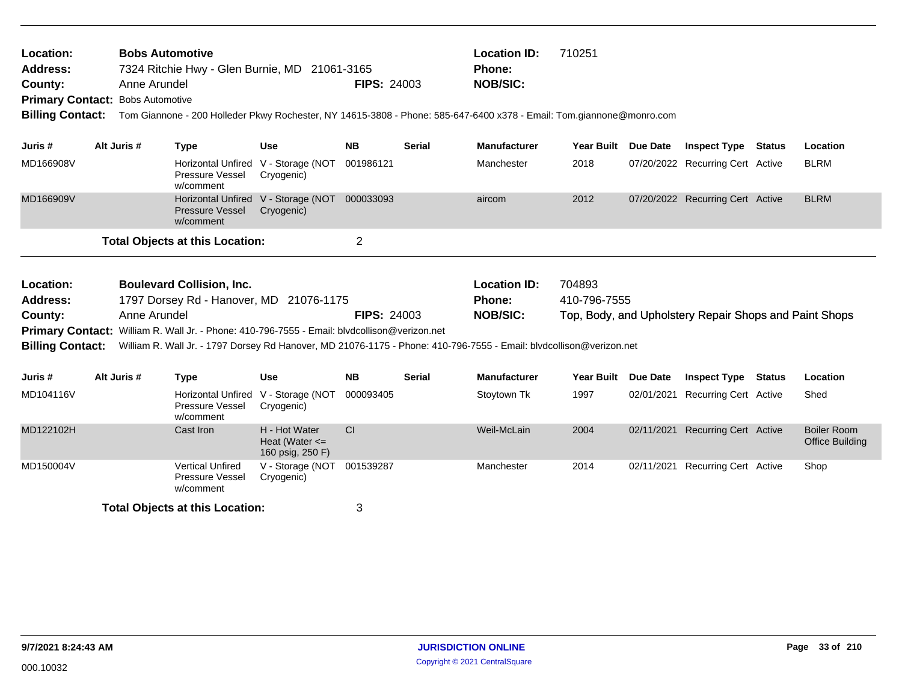| 710251<br><b>Location ID:</b><br><b>Bobs Automotive</b><br>Location:<br>7324 Ritchie Hwy - Glen Burnie, MD 21061-3165<br><b>Address:</b><br><b>Phone:</b><br><b>FIPS: 24003</b><br><b>NOB/SIC:</b><br>Anne Arundel<br>County:<br><b>Primary Contact: Bobs Automotive</b><br><b>Billing Contact:</b><br>Tom Giannone - 200 Holleder Pkwy Rochester, NY 14615-3808 - Phone: 585-647-6400 x378 - Email: Tom.giannone@monro.com<br>Alt Juris #<br><b>Year Built</b><br>Juris #<br><b>Type</b><br>Use<br><b>NB</b><br>Serial<br><b>Manufacturer</b> |  |              |                                                                                                                                                                                                                                                                                                    |                                                         |                    |               |                                                         |                        |                 |                                                        |               |                                              |
|------------------------------------------------------------------------------------------------------------------------------------------------------------------------------------------------------------------------------------------------------------------------------------------------------------------------------------------------------------------------------------------------------------------------------------------------------------------------------------------------------------------------------------------------|--|--------------|----------------------------------------------------------------------------------------------------------------------------------------------------------------------------------------------------------------------------------------------------------------------------------------------------|---------------------------------------------------------|--------------------|---------------|---------------------------------------------------------|------------------------|-----------------|--------------------------------------------------------|---------------|----------------------------------------------|
|                                                                                                                                                                                                                                                                                                                                                                                                                                                                                                                                                |  |              |                                                                                                                                                                                                                                                                                                    |                                                         |                    |               |                                                         |                        | <b>Due Date</b> | <b>Inspect Type</b>                                    | Status        | Location                                     |
| MD166908V                                                                                                                                                                                                                                                                                                                                                                                                                                                                                                                                      |  |              | Pressure Vessel<br>w/comment                                                                                                                                                                                                                                                                       | Horizontal Unfired V - Storage (NOT<br>Cryogenic)       | 001986121          |               | Manchester                                              | 2018                   |                 | 07/20/2022 Recurring Cert Active                       |               | <b>BLRM</b>                                  |
| MD166909V                                                                                                                                                                                                                                                                                                                                                                                                                                                                                                                                      |  |              | <b>Pressure Vessel</b><br>w/comment                                                                                                                                                                                                                                                                | Horizontal Unfired V - Storage (NOT<br>Cryogenic)       | 000033093          |               | aircom                                                  | 2012                   |                 | 07/20/2022 Recurring Cert Active                       |               | <b>BLRM</b>                                  |
|                                                                                                                                                                                                                                                                                                                                                                                                                                                                                                                                                |  |              | <b>Total Objects at this Location:</b>                                                                                                                                                                                                                                                             |                                                         | $\overline{2}$     |               |                                                         |                        |                 |                                                        |               |                                              |
| Location:<br><b>Address:</b><br>County:<br><b>Billing Contact:</b>                                                                                                                                                                                                                                                                                                                                                                                                                                                                             |  | Anne Arundel | <b>Boulevard Collision, Inc.</b><br>1797 Dorsey Rd - Hanover, MD 21076-1175<br>Primary Contact: William R. Wall Jr. - Phone: 410-796-7555 - Email: blvdcollison@verizon.net<br>William R. Wall Jr. - 1797 Dorsey Rd Hanover, MD 21076-1175 - Phone: 410-796-7555 - Email: blvdcollison@verizon.net |                                                         | <b>FIPS: 24003</b> |               | <b>Location ID:</b><br><b>Phone:</b><br><b>NOB/SIC:</b> | 704893<br>410-796-7555 |                 | Top, Body, and Upholstery Repair Shops and Paint Shops |               |                                              |
| Juris #                                                                                                                                                                                                                                                                                                                                                                                                                                                                                                                                        |  | Alt Juris #  | <b>Type</b>                                                                                                                                                                                                                                                                                        | <b>Use</b>                                              | <b>NB</b>          | <b>Serial</b> | <b>Manufacturer</b>                                     | <b>Year Built</b>      | <b>Due Date</b> | <b>Inspect Type</b>                                    | <b>Status</b> | Location                                     |
| MD104116V                                                                                                                                                                                                                                                                                                                                                                                                                                                                                                                                      |  |              | <b>Horizontal Unfired</b><br>Pressure Vessel<br>w/comment                                                                                                                                                                                                                                          | V - Storage (NOT<br>Cryogenic)                          | 000093405          |               | Stoytown Tk                                             | 1997                   | 02/01/2021      | <b>Recurring Cert Active</b>                           |               | Shed                                         |
| MD122102H                                                                                                                                                                                                                                                                                                                                                                                                                                                                                                                                      |  |              | Cast Iron                                                                                                                                                                                                                                                                                          | H - Hot Water<br>Heat (Water $\leq$<br>160 psig, 250 F) | <b>CI</b>          |               | Weil-McLain                                             | 2004                   |                 | 02/11/2021 Recurring Cert Active                       |               | <b>Boiler Room</b><br><b>Office Building</b> |
| MD150004V                                                                                                                                                                                                                                                                                                                                                                                                                                                                                                                                      |  |              | <b>Vertical Unfired</b><br>Pressure Vessel<br>w/comment                                                                                                                                                                                                                                            | V - Storage (NOT 001539287<br>Cryogenic)                |                    |               | Manchester                                              | 2014                   |                 | 02/11/2021 Recurring Cert Active                       |               | Shop                                         |
|                                                                                                                                                                                                                                                                                                                                                                                                                                                                                                                                                |  |              | <b>Total Objects at this Location:</b>                                                                                                                                                                                                                                                             |                                                         | 3                  |               |                                                         |                        |                 |                                                        |               |                                              |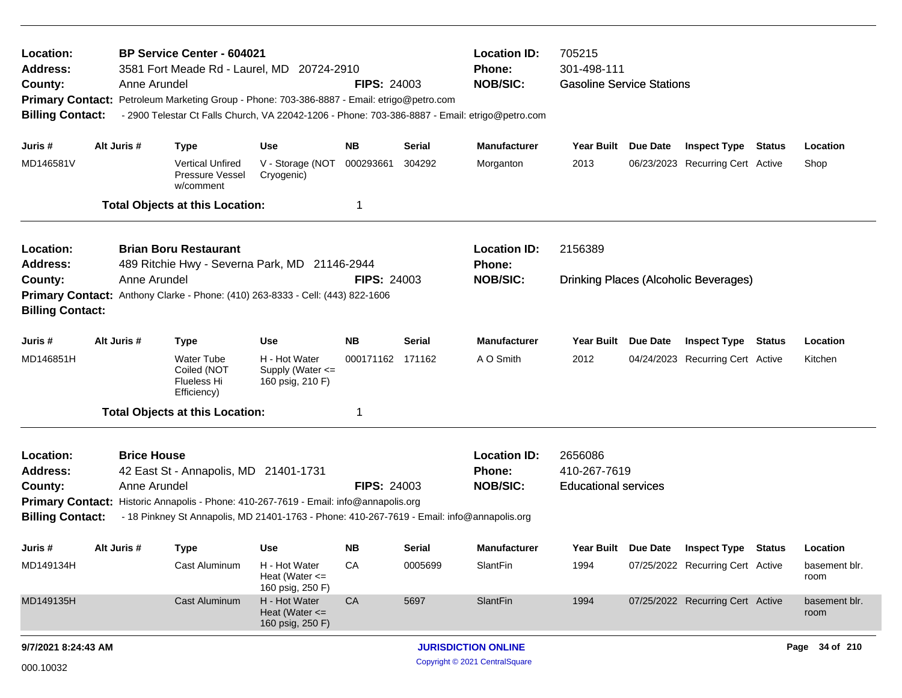| Location:<br>Address:<br>County:<br><b>Primary Contact:</b><br><b>Billing Contact:</b>                                                                     | Anne Arundel                                                                                                                                                                               | <b>BP Service Center - 604021</b><br>3581 Fort Meade Rd - Laurel, MD 20724-2910<br>Petroleum Marketing Group - Phone: 703-386-8887 - Email: etrigo@petro.com<br>- 2900 Telestar Ct Falls Church, VA 22042-1206 - Phone: 703-386-8887 - Email: etrigo@petro.com |                                                         | <b>FIPS: 24003</b> |         | <b>Location ID:</b><br><b>Phone:</b><br><b>NOB/SIC:</b> | 705215<br>301-498-111<br><b>Gasoline Service Stations</b> |                 |                                  |               |                       |  |
|------------------------------------------------------------------------------------------------------------------------------------------------------------|--------------------------------------------------------------------------------------------------------------------------------------------------------------------------------------------|----------------------------------------------------------------------------------------------------------------------------------------------------------------------------------------------------------------------------------------------------------------|---------------------------------------------------------|--------------------|---------|---------------------------------------------------------|-----------------------------------------------------------|-----------------|----------------------------------|---------------|-----------------------|--|
| Juris #                                                                                                                                                    | Alt Juris #                                                                                                                                                                                | <b>Type</b>                                                                                                                                                                                                                                                    | <b>Use</b>                                              | NB                 | Serial  | <b>Manufacturer</b>                                     | Year Built Due Date                                       |                 | <b>Inspect Type</b>              | Status        | Location              |  |
| MD146581V                                                                                                                                                  |                                                                                                                                                                                            | <b>Vertical Unfired</b><br><b>Pressure Vessel</b><br>w/comment                                                                                                                                                                                                 | V - Storage (NOT<br>Cryogenic)                          | 000293661          | 304292  | Morganton                                               | 2013                                                      |                 | 06/23/2023 Recurring Cert Active |               | Shop                  |  |
|                                                                                                                                                            |                                                                                                                                                                                            | <b>Total Objects at this Location:</b>                                                                                                                                                                                                                         |                                                         | 1                  |         |                                                         |                                                           |                 |                                  |               |                       |  |
| Location:<br>Address:                                                                                                                                      |                                                                                                                                                                                            | <b>Brian Boru Restaurant</b><br>489 Ritchie Hwy - Severna Park, MD 21146-2944                                                                                                                                                                                  | <b>Location ID:</b><br>Phone:                           | 2156389            |         |                                                         |                                                           |                 |                                  |               |                       |  |
| Anne Arundel<br><b>FIPS: 24003</b><br>County:<br>Primary Contact: Anthony Clarke - Phone: (410) 263-8333 - Cell: (443) 822-1606<br><b>Billing Contact:</b> |                                                                                                                                                                                            |                                                                                                                                                                                                                                                                |                                                         |                    |         | <b>NOB/SIC:</b>                                         | <b>Drinking Places (Alcoholic Beverages)</b>              |                 |                                  |               |                       |  |
| Juris #                                                                                                                                                    | Alt Juris #                                                                                                                                                                                | <b>Type</b>                                                                                                                                                                                                                                                    | <b>Use</b>                                              | NB.                | Serial  | <b>Manufacturer</b>                                     | <b>Year Built</b>                                         | <b>Due Date</b> | <b>Inspect Type Status</b>       |               | Location              |  |
| MD146851H                                                                                                                                                  |                                                                                                                                                                                            | <b>Water Tube</b><br>Coiled (NOT<br>Flueless Hi<br>Efficiency)                                                                                                                                                                                                 | H - Hot Water<br>Supply (Water <=<br>160 psig, 210 F)   | 000171162 171162   |         | A O Smith                                               | 2012                                                      |                 | 04/24/2023 Recurring Cert Active |               | Kitchen               |  |
|                                                                                                                                                            |                                                                                                                                                                                            | <b>Total Objects at this Location:</b>                                                                                                                                                                                                                         |                                                         |                    |         |                                                         |                                                           |                 |                                  |               |                       |  |
| Location:<br><b>Address:</b><br>County:                                                                                                                    | <b>Brice House</b><br>42 East St - Annapolis, MD 21401-1731<br>Anne Arundel<br><b>FIPS: 24003</b><br>Primary Contact: Historic Annapolis - Phone: 410-267-7619 - Email: info@annapolis.org |                                                                                                                                                                                                                                                                |                                                         |                    |         | <b>Location ID:</b><br><b>Phone:</b><br><b>NOB/SIC:</b> | 2656086<br>410-267-7619<br><b>Educational services</b>    |                 |                                  |               |                       |  |
| <b>Billing Contact:</b>                                                                                                                                    |                                                                                                                                                                                            | - 18 Pinkney St Annapolis, MD 21401-1763 - Phone: 410-267-7619 - Email: info@annapolis.org                                                                                                                                                                     |                                                         |                    |         |                                                         |                                                           |                 |                                  |               |                       |  |
| Juris #                                                                                                                                                    | Alt Juris #                                                                                                                                                                                | Type                                                                                                                                                                                                                                                           | <b>Use</b>                                              | NB.                | Serial  | <b>Manufacturer</b>                                     | Year Built                                                | Due Date        | <b>Inspect Type</b>              | <b>Status</b> | Location              |  |
| MD149134H                                                                                                                                                  |                                                                                                                                                                                            | Cast Aluminum                                                                                                                                                                                                                                                  | H - Hot Water<br>Heat (Water $\leq$<br>160 psig, 250 F) | CA                 | 0005699 | SlantFin                                                | 1994                                                      |                 | 07/25/2022 Recurring Cert Active |               | basement blr.<br>room |  |
| MD149135H                                                                                                                                                  |                                                                                                                                                                                            | Cast Aluminum                                                                                                                                                                                                                                                  | H - Hot Water<br>Heat (Water $\leq$<br>160 psig, 250 F) | CA                 | 5697    | SlantFin                                                | 1994                                                      |                 | 07/25/2022 Recurring Cert Active |               | basement blr.<br>room |  |
| 9/7/2021 8:24:43 AM                                                                                                                                        |                                                                                                                                                                                            |                                                                                                                                                                                                                                                                |                                                         |                    |         | <b>JURISDICTION ONLINE</b>                              |                                                           |                 |                                  |               | Page 34 of 210        |  |
| 000.10032                                                                                                                                                  |                                                                                                                                                                                            |                                                                                                                                                                                                                                                                |                                                         |                    |         | Copyright © 2021 CentralSquare                          |                                                           |                 |                                  |               |                       |  |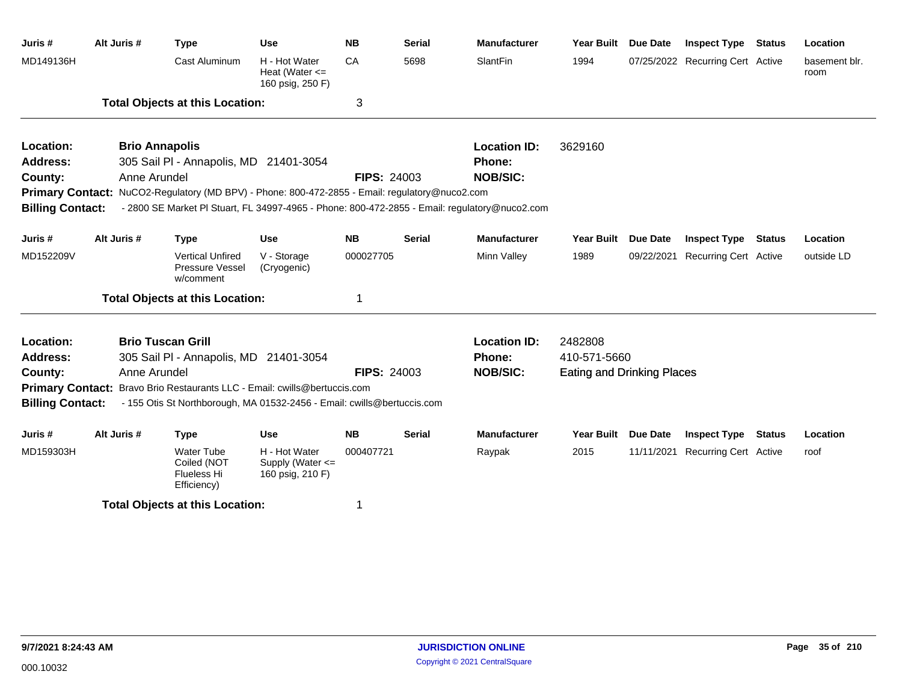| Juris #                 | Alt Juris #                            | <b>Type</b>                                                                                    | <b>Use</b>                                              | <b>NB</b>          | <b>Serial</b> | <b>Manufacturer</b>                                                                           | <b>Year Built</b>                 | Due Date        | <b>Inspect Type</b>              | <b>Status</b> | Location              |
|-------------------------|----------------------------------------|------------------------------------------------------------------------------------------------|---------------------------------------------------------|--------------------|---------------|-----------------------------------------------------------------------------------------------|-----------------------------------|-----------------|----------------------------------|---------------|-----------------------|
| MD149136H               |                                        | Cast Aluminum                                                                                  | H - Hot Water<br>Heat (Water $\leq$<br>160 psig, 250 F) | CA                 | 5698          | SlantFin                                                                                      | 1994                              |                 | 07/25/2022 Recurring Cert Active |               | basement blr.<br>room |
|                         | <b>Total Objects at this Location:</b> |                                                                                                |                                                         | 3                  |               |                                                                                               |                                   |                 |                                  |               |                       |
| Location:               |                                        | <b>Brio Annapolis</b>                                                                          |                                                         |                    |               | <b>Location ID:</b>                                                                           | 3629160                           |                 |                                  |               |                       |
| <b>Address:</b>         | 305 Sail PI - Annapolis, MD 21401-3054 |                                                                                                |                                                         |                    |               | <b>Phone:</b>                                                                                 |                                   |                 |                                  |               |                       |
| County:                 | Anne Arundel                           |                                                                                                |                                                         | <b>FIPS: 24003</b> |               | <b>NOB/SIC:</b>                                                                               |                                   |                 |                                  |               |                       |
|                         |                                        | Primary Contact: NuCO2-Regulatory (MD BPV) - Phone: 800-472-2855 - Email: regulatory@nuco2.com |                                                         |                    |               |                                                                                               |                                   |                 |                                  |               |                       |
| <b>Billing Contact:</b> |                                        |                                                                                                |                                                         |                    |               | - 2800 SE Market PI Stuart, FL 34997-4965 - Phone: 800-472-2855 - Email: regulatory@nuco2.com |                                   |                 |                                  |               |                       |
| Juris #                 | Alt Juris #                            | <b>Type</b>                                                                                    | <b>Use</b>                                              | <b>NB</b>          | <b>Serial</b> | <b>Manufacturer</b>                                                                           | Year Built                        | <b>Due Date</b> | <b>Inspect Type Status</b>       |               | Location              |
| MD152209V               |                                        | <b>Vertical Unfired</b><br>Pressure Vessel<br>w/comment                                        | V - Storage<br>(Cryogenic)                              | 000027705          |               | Minn Valley                                                                                   | 1989                              | 09/22/2021      | <b>Recurring Cert Active</b>     |               | outside LD            |
|                         |                                        | <b>Total Objects at this Location:</b>                                                         |                                                         | 1                  |               |                                                                                               |                                   |                 |                                  |               |                       |
| Location:               |                                        | <b>Brio Tuscan Grill</b>                                                                       |                                                         |                    |               | <b>Location ID:</b>                                                                           | 2482808                           |                 |                                  |               |                       |
| Address:                | 305 Sail PI - Annapolis, MD 21401-3054 |                                                                                                |                                                         |                    |               | <b>Phone:</b>                                                                                 | 410-571-5660                      |                 |                                  |               |                       |
| County:                 |                                        | Anne Arundel<br><b>FIPS: 24003</b>                                                             |                                                         |                    |               | <b>NOB/SIC:</b>                                                                               | <b>Eating and Drinking Places</b> |                 |                                  |               |                       |
|                         |                                        | Primary Contact: Bravo Brio Restaurants LLC - Email: cwills@bertuccis.com                      |                                                         |                    |               |                                                                                               |                                   |                 |                                  |               |                       |
| <b>Billing Contact:</b> |                                        | - 155 Otis St Northborough, MA 01532-2456 - Email: cwills@bertuccis.com                        |                                                         |                    |               |                                                                                               |                                   |                 |                                  |               |                       |
| Juris #                 | Alt Juris #                            | <b>Type</b>                                                                                    | <b>Use</b>                                              | <b>NB</b>          | <b>Serial</b> | <b>Manufacturer</b>                                                                           | <b>Year Built</b>                 | <b>Due Date</b> | <b>Inspect Type</b>              | <b>Status</b> | Location              |
| MD159303H               |                                        | <b>Water Tube</b><br>Coiled (NOT<br>Flueless Hi<br>Efficiency)                                 | H - Hot Water<br>Supply (Water <=<br>160 psig, 210 F)   | 000407721          |               | Raypak                                                                                        | 2015                              |                 | 11/11/2021 Recurring Cert Active |               | roof                  |
|                         |                                        | <b>Total Objects at this Location:</b>                                                         |                                                         | 1                  |               |                                                                                               |                                   |                 |                                  |               |                       |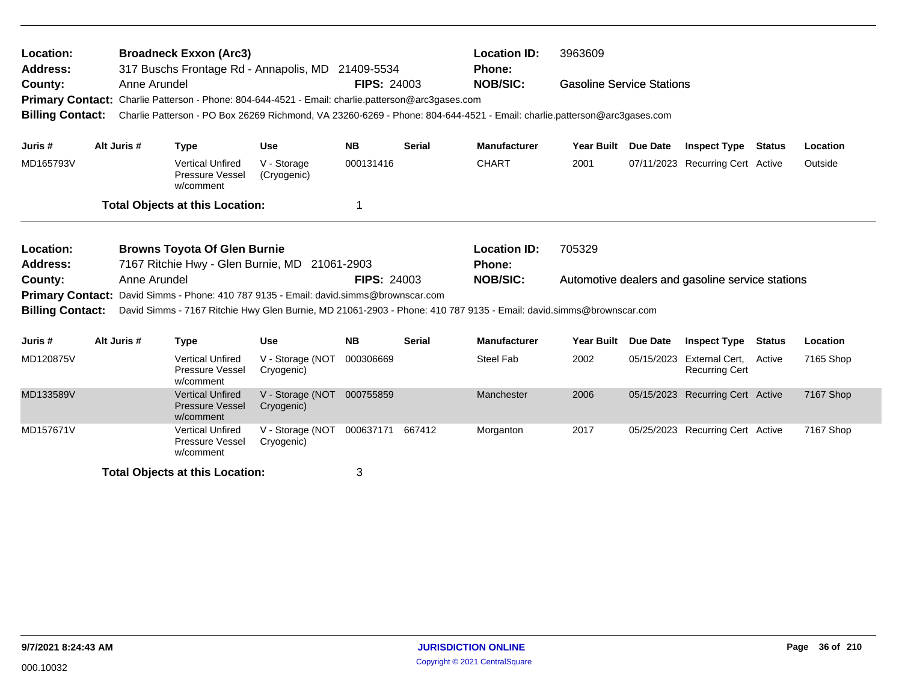| Location:<br><b>Address:</b><br>County:<br><b>Billing Contact:</b> |                                                                                                                                                                                                                                                                                                                                                     | <b>Broadneck Exxon (Arc3)</b><br>317 Buschs Frontage Rd - Annapolis, MD 21409-5534<br><b>FIPS: 24003</b><br>Anne Arundel<br>Primary Contact: Charlie Patterson - Phone: 804-644-4521 - Email: charlie.patterson@arc3gases.com<br>Charlie Patterson - PO Box 26269 Richmond, VA 23260-6269 - Phone: 804-644-4521 - Email: charlie.patterson@arc3gases.com |                                |                  |               |                                                         | 3963609<br><b>Gasoline Service Stations</b>                |                 |                                         |               |           |  |  |
|--------------------------------------------------------------------|-----------------------------------------------------------------------------------------------------------------------------------------------------------------------------------------------------------------------------------------------------------------------------------------------------------------------------------------------------|----------------------------------------------------------------------------------------------------------------------------------------------------------------------------------------------------------------------------------------------------------------------------------------------------------------------------------------------------------|--------------------------------|------------------|---------------|---------------------------------------------------------|------------------------------------------------------------|-----------------|-----------------------------------------|---------------|-----------|--|--|
| Juris #                                                            | Alt Juris #                                                                                                                                                                                                                                                                                                                                         | <b>Type</b>                                                                                                                                                                                                                                                                                                                                              | <b>Use</b>                     | <b>NB</b>        | <b>Serial</b> | <b>Manufacturer</b>                                     | <b>Year Built</b>                                          | Due Date        | <b>Inspect Type</b>                     | Status        | Location  |  |  |
| MD165793V                                                          |                                                                                                                                                                                                                                                                                                                                                     | <b>Vertical Unfired</b><br>Pressure Vessel<br>w/comment                                                                                                                                                                                                                                                                                                  | V - Storage<br>(Cryogenic)     | 000131416        |               | <b>CHART</b>                                            | 2001                                                       |                 | 07/11/2023 Recurring Cert Active        |               | Outside   |  |  |
|                                                                    |                                                                                                                                                                                                                                                                                                                                                     | <b>Total Objects at this Location:</b>                                                                                                                                                                                                                                                                                                                   |                                | 1                |               |                                                         |                                                            |                 |                                         |               |           |  |  |
| Location:<br><b>Address:</b><br>County:<br><b>Billing Contact:</b> | <b>Browns Toyota Of Glen Burnie</b><br>7167 Ritchie Hwy - Glen Burnie, MD 21061-2903<br><b>FIPS: 24003</b><br>Anne Arundel<br><b>Primary Contact:</b><br>David Simms - Phone: 410 787 9135 - Email: david.simms@brownscar.com<br>David Simms - 7167 Ritchie Hwy Glen Burnie, MD 21061-2903 - Phone: 410 787 9135 - Email: david.simms@brownscar.com |                                                                                                                                                                                                                                                                                                                                                          |                                |                  |               | <b>Location ID:</b><br><b>Phone:</b><br><b>NOB/SIC:</b> | 705329<br>Automotive dealers and gasoline service stations |                 |                                         |               |           |  |  |
| Juris #                                                            | Alt Juris #                                                                                                                                                                                                                                                                                                                                         | <b>Type</b>                                                                                                                                                                                                                                                                                                                                              | <b>Use</b>                     | <b>NB</b>        | <b>Serial</b> | <b>Manufacturer</b>                                     | <b>Year Built</b>                                          | <b>Due Date</b> | <b>Inspect Type</b>                     | <b>Status</b> | Location  |  |  |
| MD120875V                                                          |                                                                                                                                                                                                                                                                                                                                                     | <b>Vertical Unfired</b><br>Pressure Vessel<br>w/comment                                                                                                                                                                                                                                                                                                  | V - Storage (NOT<br>Cryogenic) | 000306669        |               | <b>Steel Fab</b>                                        | 2002                                                       | 05/15/2023      | External Cert,<br><b>Recurring Cert</b> | Active        | 7165 Shop |  |  |
| MD133589V                                                          |                                                                                                                                                                                                                                                                                                                                                     | <b>Vertical Unfired</b><br><b>Pressure Vessel</b><br>w/comment                                                                                                                                                                                                                                                                                           | V - Storage (NOT<br>Cryogenic) | 000755859        |               | Manchester                                              | 2006                                                       |                 | 05/15/2023 Recurring Cert Active        |               | 7167 Shop |  |  |
| MD157671V                                                          |                                                                                                                                                                                                                                                                                                                                                     | <b>Vertical Unfired</b><br>Pressure Vessel<br>w/comment                                                                                                                                                                                                                                                                                                  | V - Storage (NOT<br>Cryogenic) | 000637171 667412 |               | Morganton                                               | 2017                                                       |                 | 05/25/2023 Recurring Cert Active        |               | 7167 Shop |  |  |
|                                                                    |                                                                                                                                                                                                                                                                                                                                                     | <b>Total Objects at this Location:</b>                                                                                                                                                                                                                                                                                                                   |                                | 3                |               |                                                         |                                                            |                 |                                         |               |           |  |  |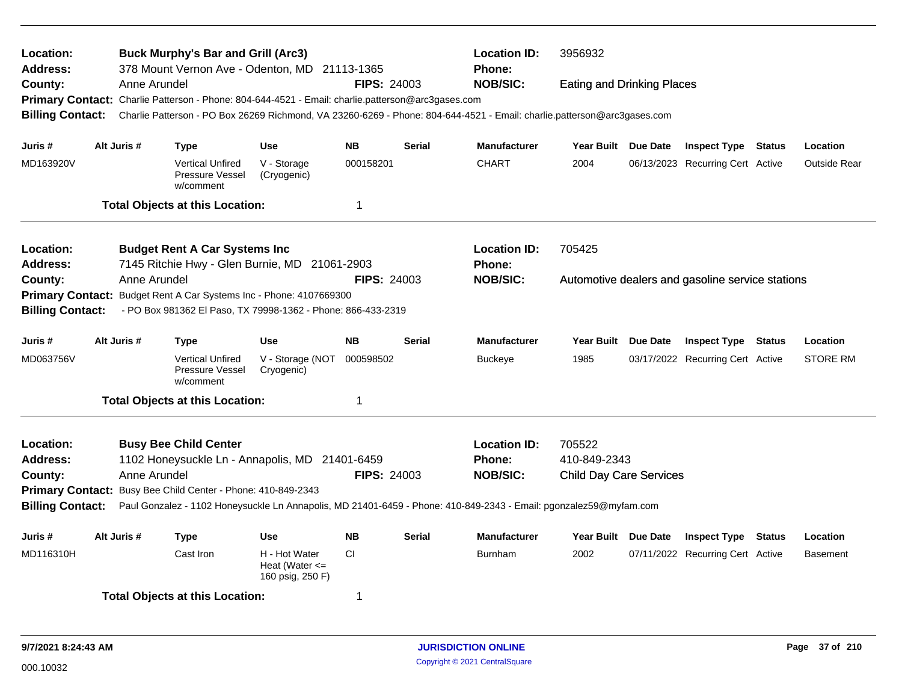| Location:<br>Address:                                                                                                                                                                                        |                                                                                         |              | <b>Buck Murphy's Bar and Grill (Arc3)</b>               | 378 Mount Vernon Ave - Odenton, MD 21113-1365                                                     |                    |               | <b>Location ID:</b><br><b>Phone:</b>                                                                                    | 3956932                                          |  |                                  |        |                     |
|--------------------------------------------------------------------------------------------------------------------------------------------------------------------------------------------------------------|-----------------------------------------------------------------------------------------|--------------|---------------------------------------------------------|---------------------------------------------------------------------------------------------------|--------------------|---------------|-------------------------------------------------------------------------------------------------------------------------|--------------------------------------------------|--|----------------------------------|--------|---------------------|
| County:                                                                                                                                                                                                      |                                                                                         | Anne Arundel |                                                         |                                                                                                   | <b>FIPS: 24003</b> |               | <b>NOB/SIC:</b>                                                                                                         | <b>Eating and Drinking Places</b>                |  |                                  |        |                     |
|                                                                                                                                                                                                              |                                                                                         |              |                                                         | Primary Contact: Charlie Patterson - Phone: 804-644-4521 - Email: charlie.patterson@arc3gases.com |                    |               |                                                                                                                         |                                                  |  |                                  |        |                     |
| <b>Billing Contact:</b>                                                                                                                                                                                      |                                                                                         |              |                                                         |                                                                                                   |                    |               | Charlie Patterson - PO Box 26269 Richmond, VA 23260-6269 - Phone: 804-644-4521 - Email: charlie.patterson@arc3gases.com |                                                  |  |                                  |        |                     |
| Juris #                                                                                                                                                                                                      | Alt Juris #                                                                             |              | <b>Type</b>                                             | <b>Use</b>                                                                                        | <b>NB</b>          | <b>Serial</b> | <b>Manufacturer</b>                                                                                                     | Year Built Due Date                              |  | <b>Inspect Type Status</b>       |        | Location            |
| MD163920V                                                                                                                                                                                                    |                                                                                         |              | <b>Vertical Unfired</b><br>Pressure Vessel<br>w/comment | V - Storage<br>(Cryogenic)                                                                        | 000158201          |               | <b>CHART</b>                                                                                                            | 2004                                             |  | 06/13/2023 Recurring Cert Active |        | <b>Outside Rear</b> |
|                                                                                                                                                                                                              |                                                                                         |              | <b>Total Objects at this Location:</b>                  |                                                                                                   | 1                  |               |                                                                                                                         |                                                  |  |                                  |        |                     |
| Location:                                                                                                                                                                                                    |                                                                                         |              | <b>Budget Rent A Car Systems Inc</b>                    |                                                                                                   |                    |               | <b>Location ID:</b>                                                                                                     | 705425                                           |  |                                  |        |                     |
| <b>Address:</b>                                                                                                                                                                                              |                                                                                         |              |                                                         | 7145 Ritchie Hwy - Glen Burnie, MD 21061-2903                                                     |                    |               | <b>Phone:</b>                                                                                                           |                                                  |  |                                  |        |                     |
| County:                                                                                                                                                                                                      |                                                                                         | Anne Arundel |                                                         |                                                                                                   | <b>FIPS: 24003</b> |               | <b>NOB/SIC:</b>                                                                                                         | Automotive dealers and gasoline service stations |  |                                  |        |                     |
| <b>Primary Contact:</b>                                                                                                                                                                                      |                                                                                         |              |                                                         | Budget Rent A Car Systems Inc - Phone: 4107669300                                                 |                    |               |                                                                                                                         |                                                  |  |                                  |        |                     |
|                                                                                                                                                                                                              | - PO Box 981362 El Paso, TX 79998-1362 - Phone: 866-433-2319<br><b>Billing Contact:</b> |              |                                                         |                                                                                                   |                    |               |                                                                                                                         |                                                  |  |                                  |        |                     |
| Juris #                                                                                                                                                                                                      | Alt Juris #                                                                             |              | Type                                                    | Use                                                                                               | <b>NB</b>          | <b>Serial</b> | <b>Manufacturer</b>                                                                                                     | Year Built Due Date                              |  | <b>Inspect Type Status</b>       |        | Location            |
| MD063756V                                                                                                                                                                                                    |                                                                                         |              | <b>Vertical Unfired</b><br>Pressure Vessel<br>w/comment | V - Storage (NOT<br>Cryogenic)                                                                    | 000598502          |               | <b>Buckeye</b>                                                                                                          | 1985                                             |  | 03/17/2022 Recurring Cert Active |        | <b>STORE RM</b>     |
|                                                                                                                                                                                                              |                                                                                         |              | <b>Total Objects at this Location:</b>                  |                                                                                                   | 1                  |               |                                                                                                                         |                                                  |  |                                  |        |                     |
| Location:                                                                                                                                                                                                    |                                                                                         |              | <b>Busy Bee Child Center</b>                            |                                                                                                   |                    |               | <b>Location ID:</b>                                                                                                     | 705522                                           |  |                                  |        |                     |
| <b>Address:</b>                                                                                                                                                                                              |                                                                                         |              |                                                         | 1102 Honeysuckle Ln - Annapolis, MD 21401-6459                                                    |                    |               | <b>Phone:</b>                                                                                                           | 410-849-2343                                     |  |                                  |        |                     |
| County:                                                                                                                                                                                                      |                                                                                         | Anne Arundel |                                                         |                                                                                                   | <b>FIPS: 24003</b> |               | <b>NOB/SIC:</b>                                                                                                         | <b>Child Day Care Services</b>                   |  |                                  |        |                     |
|                                                                                                                                                                                                              |                                                                                         |              |                                                         |                                                                                                   |                    |               |                                                                                                                         |                                                  |  |                                  |        |                     |
| Primary Contact: Busy Bee Child Center - Phone: 410-849-2343<br><b>Billing Contact:</b><br>Paul Gonzalez - 1102 Honeysuckle Ln Annapolis, MD 21401-6459 - Phone: 410-849-2343 - Email: pgonzalez59@myfam.com |                                                                                         |              |                                                         |                                                                                                   |                    |               |                                                                                                                         |                                                  |  |                                  |        |                     |
| Juris #                                                                                                                                                                                                      | Alt Juris #                                                                             |              | <b>Type</b>                                             | Use                                                                                               | <b>NB</b>          | <b>Serial</b> | <b>Manufacturer</b>                                                                                                     | Year Built Due Date                              |  | <b>Inspect Type</b>              | Status | Location            |
| MD116310H                                                                                                                                                                                                    |                                                                                         |              | Cast Iron                                               | H - Hot Water<br>Heat (Water $\leq$<br>160 psig, 250 F)                                           | <b>CI</b>          |               | <b>Burnham</b>                                                                                                          | 2002                                             |  | 07/11/2022 Recurring Cert Active |        | Basement            |
|                                                                                                                                                                                                              |                                                                                         |              | <b>Total Objects at this Location:</b>                  |                                                                                                   | 1                  |               |                                                                                                                         |                                                  |  |                                  |        |                     |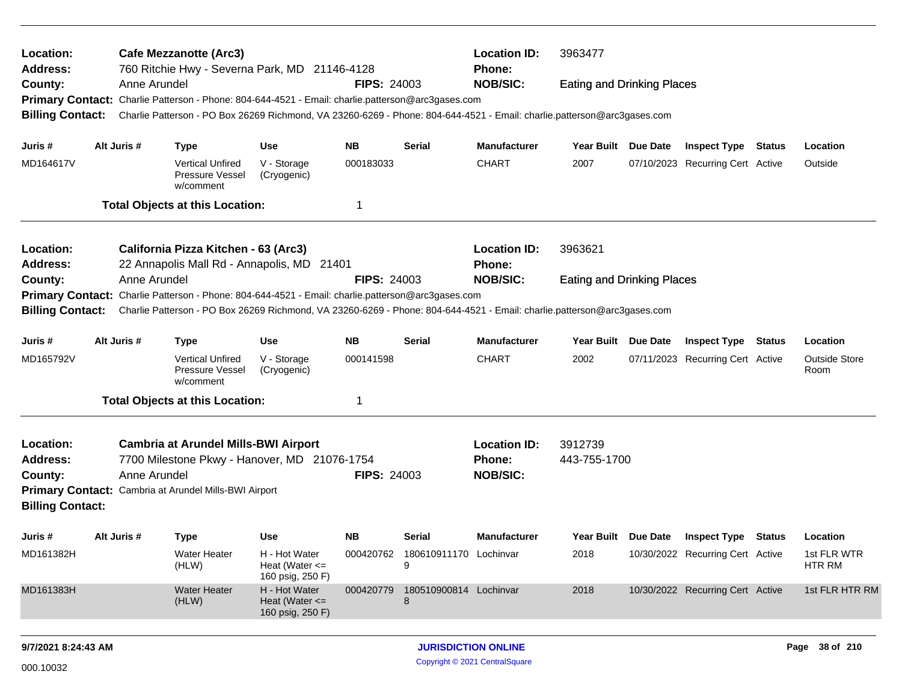| Location:<br>Address:                                                                                                                              | <b>Location ID:</b><br>3963477<br><b>Cafe Mezzanotte (Arc3)</b><br>760 Ritchie Hwy - Severna Park, MD 21146-4128<br><b>Phone:</b><br><b>FIPS: 24003</b><br><b>NOB/SIC:</b><br>Anne Arundel<br><b>Eating and Drinking Places</b> |              |                                                                                                                         |                                                         |                    |                                       |                     |                                                                     |  |                                  |               |                              |
|----------------------------------------------------------------------------------------------------------------------------------------------------|---------------------------------------------------------------------------------------------------------------------------------------------------------------------------------------------------------------------------------|--------------|-------------------------------------------------------------------------------------------------------------------------|---------------------------------------------------------|--------------------|---------------------------------------|---------------------|---------------------------------------------------------------------|--|----------------------------------|---------------|------------------------------|
| County:                                                                                                                                            |                                                                                                                                                                                                                                 |              |                                                                                                                         |                                                         |                    |                                       |                     |                                                                     |  |                                  |               |                              |
| <b>Primary Contact:</b>                                                                                                                            |                                                                                                                                                                                                                                 |              | Charlie Patterson - Phone: 804-644-4521 - Email: charlie.patterson@arc3gases.com                                        |                                                         |                    |                                       |                     |                                                                     |  |                                  |               |                              |
| <b>Billing Contact:</b>                                                                                                                            |                                                                                                                                                                                                                                 |              | Charlie Patterson - PO Box 26269 Richmond, VA 23260-6269 - Phone: 804-644-4521 - Email: charlie.patterson@arc3gases.com |                                                         |                    |                                       |                     |                                                                     |  |                                  |               |                              |
| Juris #                                                                                                                                            |                                                                                                                                                                                                                                 | Alt Juris #  | <b>Type</b>                                                                                                             | <b>Use</b>                                              | <b>NB</b>          | Serial                                | <b>Manufacturer</b> | Year Built Due Date                                                 |  | <b>Inspect Type Status</b>       |               | Location                     |
| MD164617V                                                                                                                                          |                                                                                                                                                                                                                                 |              | <b>Vertical Unfired</b><br>Pressure Vessel<br>w/comment                                                                 | V - Storage<br>(Cryogenic)                              | 000183033          |                                       | <b>CHART</b>        | 2007                                                                |  | 07/10/2023 Recurring Cert Active |               | Outside                      |
|                                                                                                                                                    |                                                                                                                                                                                                                                 |              | <b>Total Objects at this Location:</b>                                                                                  |                                                         | 1                  |                                       |                     |                                                                     |  |                                  |               |                              |
| Location:                                                                                                                                          |                                                                                                                                                                                                                                 |              | California Pizza Kitchen - 63 (Arc3)                                                                                    |                                                         |                    |                                       | <b>Location ID:</b> |                                                                     |  |                                  |               |                              |
| Address:                                                                                                                                           |                                                                                                                                                                                                                                 |              | 22 Annapolis Mall Rd - Annapolis, MD 21401                                                                              |                                                         |                    |                                       | <b>Phone:</b>       | 3963621<br><b>Eating and Drinking Places</b><br>Year Built Due Date |  |                                  |               |                              |
| County:                                                                                                                                            |                                                                                                                                                                                                                                 | Anne Arundel |                                                                                                                         |                                                         | <b>FIPS: 24003</b> |                                       | <b>NOB/SIC:</b>     |                                                                     |  |                                  |               |                              |
| <b>Primary Contact:</b>                                                                                                                            |                                                                                                                                                                                                                                 |              | Charlie Patterson - Phone: 804-644-4521 - Email: charlie.patterson@arc3gases.com                                        |                                                         |                    |                                       |                     |                                                                     |  |                                  |               |                              |
| Charlie Patterson - PO Box 26269 Richmond, VA 23260-6269 - Phone: 804-644-4521 - Email: charlie.patterson@arc3gases.com<br><b>Billing Contact:</b> |                                                                                                                                                                                                                                 |              |                                                                                                                         |                                                         |                    |                                       |                     |                                                                     |  |                                  |               |                              |
| Juris #                                                                                                                                            |                                                                                                                                                                                                                                 | Alt Juris #  | <b>Type</b>                                                                                                             | <b>Use</b>                                              | <b>NB</b>          | Serial                                | <b>Manufacturer</b> |                                                                     |  | <b>Inspect Type</b>              | <b>Status</b> | Location                     |
| MD165792V                                                                                                                                          |                                                                                                                                                                                                                                 |              | <b>Vertical Unfired</b><br>Pressure Vessel<br>w/comment                                                                 | V - Storage<br>(Cryogenic)                              | 000141598          |                                       | <b>CHART</b>        | 2002                                                                |  | 07/11/2023 Recurring Cert Active |               | <b>Outside Store</b><br>Room |
|                                                                                                                                                    |                                                                                                                                                                                                                                 |              | <b>Total Objects at this Location:</b>                                                                                  |                                                         | 1                  |                                       |                     |                                                                     |  |                                  |               |                              |
| Location:                                                                                                                                          |                                                                                                                                                                                                                                 |              | <b>Cambria at Arundel Mills-BWI Airport</b>                                                                             |                                                         |                    |                                       | <b>Location ID:</b> | 3912739                                                             |  |                                  |               |                              |
| <b>Address:</b>                                                                                                                                    |                                                                                                                                                                                                                                 |              | 7700 Milestone Pkwy - Hanover, MD 21076-1754                                                                            |                                                         |                    |                                       | <b>Phone:</b>       | 443-755-1700                                                        |  |                                  |               |                              |
| County:                                                                                                                                            |                                                                                                                                                                                                                                 | Anne Arundel |                                                                                                                         |                                                         | <b>FIPS: 24003</b> |                                       | <b>NOB/SIC:</b>     |                                                                     |  |                                  |               |                              |
| <b>Billing Contact:</b>                                                                                                                            |                                                                                                                                                                                                                                 |              | Primary Contact: Cambria at Arundel Mills-BWI Airport                                                                   |                                                         |                    |                                       |                     |                                                                     |  |                                  |               |                              |
| Juris #                                                                                                                                            |                                                                                                                                                                                                                                 | Alt Juris #  | <b>Type</b>                                                                                                             | Use                                                     | <b>NB</b>          | Serial                                | <b>Manufacturer</b> | Year Built Due Date                                                 |  | <b>Inspect Type Status</b>       |               | Location                     |
| MD161382H                                                                                                                                          |                                                                                                                                                                                                                                 |              | <b>Water Heater</b><br>(HLW)                                                                                            | H - Hot Water<br>Heat (Water $\leq$<br>160 psig, 250 F) |                    | 000420762 180610911170 Lochinvar<br>9 |                     | 2018                                                                |  | 10/30/2022 Recurring Cert Active |               | 1st FLR WTR<br>HTR RM        |
| MD161383H                                                                                                                                          |                                                                                                                                                                                                                                 |              | <b>Water Heater</b><br>(HLW)                                                                                            | H - Hot Water<br>Heat (Water $\leq$<br>160 psig, 250 F) | 000420779          | 180510900814 Lochinvar<br>8           |                     | 2018                                                                |  | 10/30/2022 Recurring Cert Active |               | 1st FLR HTR RM               |
|                                                                                                                                                    |                                                                                                                                                                                                                                 |              |                                                                                                                         |                                                         |                    |                                       |                     |                                                                     |  |                                  |               |                              |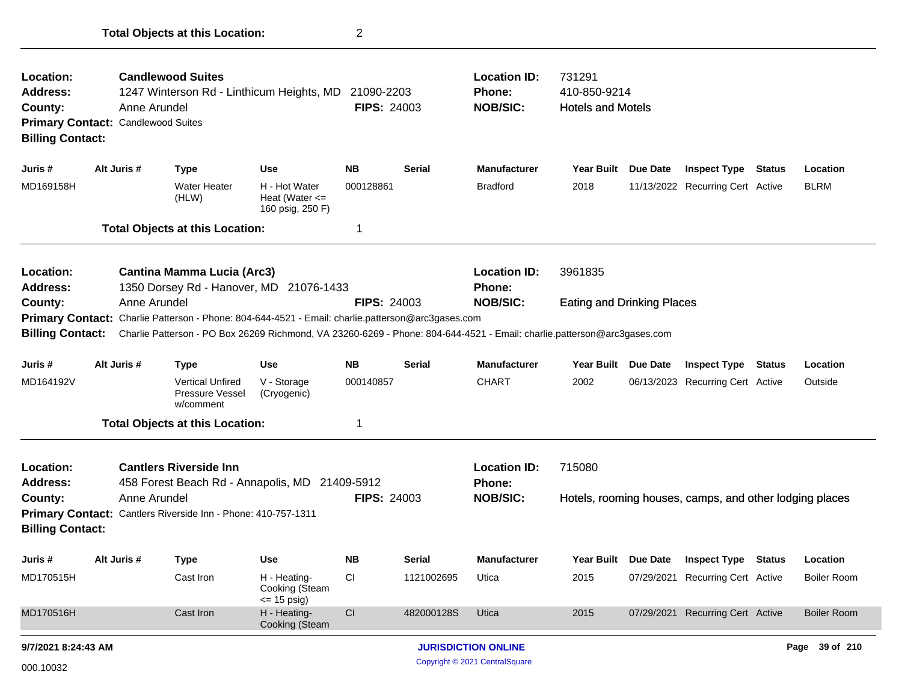| Location:<br><b>Address:</b><br>County:<br><b>Billing Contact:</b> |                                                                                                                         | <b>Candlewood Suites</b><br><b>Location ID:</b><br>731291<br>1247 Winterson Rd - Linthicum Heights, MD<br>21090-2203<br><b>Phone:</b><br><b>FIPS: 24003</b><br><b>NOB/SIC:</b><br>Anne Arundel<br><b>Primary Contact: Candlewood Suites</b> |                                                         |                    |               | 410-850-9214<br><b>Hotels and Motels</b> |                                   |                                                         |        |                    |
|--------------------------------------------------------------------|-------------------------------------------------------------------------------------------------------------------------|---------------------------------------------------------------------------------------------------------------------------------------------------------------------------------------------------------------------------------------------|---------------------------------------------------------|--------------------|---------------|------------------------------------------|-----------------------------------|---------------------------------------------------------|--------|--------------------|
| Juris #                                                            | Alt Juris #                                                                                                             | <b>Type</b>                                                                                                                                                                                                                                 | <b>Use</b>                                              | <b>NB</b>          | Serial        | <b>Manufacturer</b>                      | Year Built Due Date               | <b>Inspect Type</b>                                     | Status | Location           |
| MD169158H                                                          |                                                                                                                         | <b>Water Heater</b><br>(HLW)                                                                                                                                                                                                                | H - Hot Water<br>Heat (Water $\leq$<br>160 psig, 250 F) | 000128861          |               | <b>Bradford</b>                          | 2018                              | 11/13/2022 Recurring Cert Active                        |        | <b>BLRM</b>        |
|                                                                    |                                                                                                                         | <b>Total Objects at this Location:</b>                                                                                                                                                                                                      |                                                         | -1                 |               |                                          |                                   |                                                         |        |                    |
| Location:<br><b>Address:</b>                                       |                                                                                                                         | <b>Cantina Mamma Lucia (Arc3)</b><br>1350 Dorsey Rd - Hanover, MD 21076-1433                                                                                                                                                                |                                                         |                    |               | <b>Location ID:</b><br><b>Phone:</b>     | 3961835                           |                                                         |        |                    |
| County:                                                            | Anne Arundel                                                                                                            |                                                                                                                                                                                                                                             |                                                         | <b>FIPS: 24003</b> |               | <b>NOB/SIC:</b>                          | <b>Eating and Drinking Places</b> |                                                         |        |                    |
|                                                                    | Primary Contact: Charlie Patterson - Phone: 804-644-4521 - Email: charlie.patterson@arc3gases.com                       |                                                                                                                                                                                                                                             |                                                         |                    |               |                                          |                                   |                                                         |        |                    |
| <b>Billing Contact:</b>                                            | Charlie Patterson - PO Box 26269 Richmond, VA 23260-6269 - Phone: 804-644-4521 - Email: charlie.patterson@arc3gases.com |                                                                                                                                                                                                                                             |                                                         |                    |               |                                          |                                   |                                                         |        |                    |
| Juris #                                                            | Alt Juris #                                                                                                             | <b>Type</b>                                                                                                                                                                                                                                 | <b>Use</b>                                              | <b>NB</b>          | <b>Serial</b> | <b>Manufacturer</b>                      | Year Built Due Date               | <b>Inspect Type Status</b>                              |        | Location           |
| MD164192V                                                          |                                                                                                                         | <b>Vertical Unfired</b><br>Pressure Vessel<br>w/comment                                                                                                                                                                                     | V - Storage<br>(Cryogenic)                              | 000140857          |               | <b>CHART</b>                             | 2002                              | 06/13/2023 Recurring Cert Active                        |        | Outside            |
|                                                                    |                                                                                                                         | <b>Total Objects at this Location:</b>                                                                                                                                                                                                      |                                                         | -1                 |               |                                          |                                   |                                                         |        |                    |
| Location:<br><b>Address:</b>                                       |                                                                                                                         | <b>Cantlers Riverside Inn</b><br>458 Forest Beach Rd - Annapolis, MD 21409-5912                                                                                                                                                             |                                                         |                    |               | <b>Location ID:</b><br><b>Phone:</b>     | 715080                            |                                                         |        |                    |
| County:                                                            | Anne Arundel                                                                                                            |                                                                                                                                                                                                                                             |                                                         | <b>FIPS: 24003</b> |               | <b>NOB/SIC:</b>                          |                                   | Hotels, rooming houses, camps, and other lodging places |        |                    |
| <b>Billing Contact:</b>                                            |                                                                                                                         | Primary Contact: Cantlers Riverside Inn - Phone: 410-757-1311                                                                                                                                                                               |                                                         |                    |               |                                          |                                   |                                                         |        |                    |
|                                                                    |                                                                                                                         |                                                                                                                                                                                                                                             |                                                         |                    |               |                                          |                                   |                                                         |        |                    |
| Juris #                                                            | Alt Juris #                                                                                                             | Type                                                                                                                                                                                                                                        | <b>Use</b>                                              | <b>NB</b>          | Serial        | <b>Manufacturer</b>                      | Year Built Due Date               | <b>Inspect Type Status</b>                              |        | Location           |
| MD170515H                                                          |                                                                                                                         | Cast Iron                                                                                                                                                                                                                                   | H - Heating-<br>Cooking (Steam<br>$\le$ 15 psig)        | CI                 | 1121002695    | Utica                                    | 2015                              | 07/29/2021 Recurring Cert Active                        |        | <b>Boiler Room</b> |
| MD170516H                                                          |                                                                                                                         | Cast Iron                                                                                                                                                                                                                                   | H - Heating-<br>Cooking (Steam                          | CI                 | 482000128S    | Utica                                    | 2015                              | 07/29/2021 Recurring Cert Active                        |        | <b>Boiler Room</b> |
| 9/7/2021 8:24:43 AM                                                |                                                                                                                         |                                                                                                                                                                                                                                             |                                                         |                    |               | <b>JURISDICTION ONLINE</b>               |                                   |                                                         |        | Page 39 of 210     |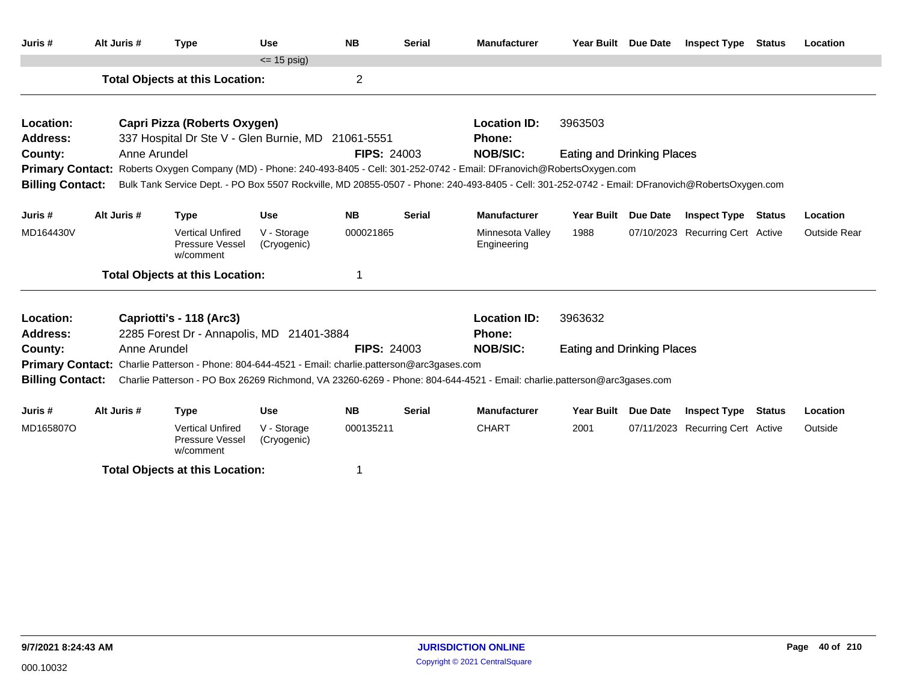| Juris #                      | Alt Juris # | <b>Type</b>                                                                                                                                                                               |                                                                | <b>Use</b>                                                                                               | <b>NB</b>          | <b>Serial</b> | <b>Manufacturer</b>                                                                                                           | Year Built Due Date               |          | <b>Inspect Type Status</b>       | Location     |
|------------------------------|-------------|-------------------------------------------------------------------------------------------------------------------------------------------------------------------------------------------|----------------------------------------------------------------|----------------------------------------------------------------------------------------------------------|--------------------|---------------|-------------------------------------------------------------------------------------------------------------------------------|-----------------------------------|----------|----------------------------------|--------------|
|                              |             |                                                                                                                                                                                           |                                                                | $\leq$ 15 psig)                                                                                          |                    |               |                                                                                                                               |                                   |          |                                  |              |
|                              |             |                                                                                                                                                                                           | <b>Total Objects at this Location:</b>                         |                                                                                                          | $\overline{2}$     |               |                                                                                                                               |                                   |          |                                  |              |
| Location:                    |             |                                                                                                                                                                                           | Capri Pizza (Roberts Oxygen)                                   |                                                                                                          |                    |               | <b>Location ID:</b>                                                                                                           | 3963503                           |          |                                  |              |
| <b>Address:</b>              |             |                                                                                                                                                                                           |                                                                | 337 Hospital Dr Ste V - Glen Burnie, MD 21061-5551                                                       |                    |               | <b>Phone:</b>                                                                                                                 |                                   |          |                                  |              |
| County:                      |             | Anne Arundel                                                                                                                                                                              |                                                                |                                                                                                          | <b>FIPS: 24003</b> |               | <b>NOB/SIC:</b>                                                                                                               | <b>Eating and Drinking Places</b> |          |                                  |              |
|                              |             |                                                                                                                                                                                           |                                                                |                                                                                                          |                    |               | Primary Contact: Roberts Oxygen Company (MD) - Phone: 240-493-8405 - Cell: 301-252-0742 - Email: DFranovich@RobertsOxygen.com |                                   |          |                                  |              |
| <b>Billing Contact:</b>      |             | Bulk Tank Service Dept. - PO Box 5507 Rockville, MD 20855-0507 - Phone: 240-493-8405 - Cell: 301-252-0742 - Email: DFranovich@RobertsOxygen.com<br><b>NB</b><br><b>Type</b><br><b>Use</b> |                                                                |                                                                                                          |                    |               |                                                                                                                               |                                   |          |                                  |              |
| Juris #                      | Alt Juris # |                                                                                                                                                                                           |                                                                |                                                                                                          |                    | <b>Serial</b> | <b>Manufacturer</b>                                                                                                           | <b>Year Built</b>                 | Due Date | <b>Inspect Type Status</b>       | Location     |
| MD164430V                    |             |                                                                                                                                                                                           | <b>Vertical Unfired</b><br>Pressure Vessel<br>w/comment        | V - Storage<br>(Cryogenic)                                                                               | 000021865          |               | Minnesota Valley<br>Engineering                                                                                               | 1988                              |          | 07/10/2023 Recurring Cert Active | Outside Rear |
|                              |             |                                                                                                                                                                                           | <b>Total Objects at this Location:</b>                         |                                                                                                          |                    |               |                                                                                                                               |                                   |          |                                  |              |
| Location:<br><b>Address:</b> |             | Capriotti's - 118 (Arc3)                                                                                                                                                                  |                                                                | 2285 Forest Dr - Annapolis, MD 21401-3884                                                                |                    |               | <b>Location ID:</b><br>Phone:                                                                                                 | 3963632                           |          |                                  |              |
| County:                      |             | Anne Arundel                                                                                                                                                                              |                                                                |                                                                                                          | <b>FIPS: 24003</b> |               | <b>NOB/SIC:</b>                                                                                                               | <b>Eating and Drinking Places</b> |          |                                  |              |
|                              |             |                                                                                                                                                                                           |                                                                | <b>Primary Contact:</b> Charlie Patterson - Phone: 804-644-4521 - Email: charlie.patterson@arc3gases.com |                    |               |                                                                                                                               |                                   |          |                                  |              |
| <b>Billing Contact:</b>      |             |                                                                                                                                                                                           |                                                                |                                                                                                          |                    |               | Charlie Patterson - PO Box 26269 Richmond, VA 23260-6269 - Phone: 804-644-4521 - Email: charlie.patterson@arc3gases.com       |                                   |          |                                  |              |
|                              |             |                                                                                                                                                                                           |                                                                |                                                                                                          |                    |               |                                                                                                                               |                                   |          |                                  |              |
| Juris #                      | Alt Juris # | <b>Type</b>                                                                                                                                                                               |                                                                | <b>Use</b>                                                                                               | <b>NB</b>          | <b>Serial</b> | <b>Manufacturer</b>                                                                                                           | Year Built Due Date               |          | <b>Inspect Type Status</b>       | Location     |
| MD165807O                    |             |                                                                                                                                                                                           | <b>Vertical Unfired</b><br><b>Pressure Vessel</b><br>w/comment | V - Storage<br>(Cryogenic)                                                                               | 000135211          |               | <b>CHART</b>                                                                                                                  | 2001                              |          | 07/11/2023 Recurring Cert Active | Outside      |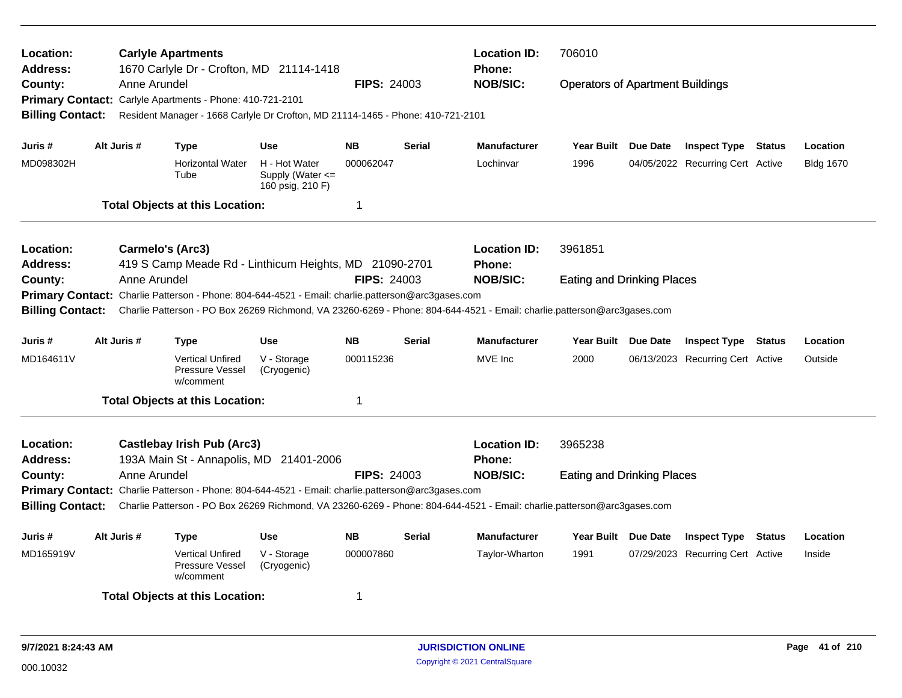| Location:<br><b>Address:</b>                                                                                |                                                                                                                                                                                                                                                         |                  | <b>Carlyle Apartments</b><br>1670 Carlyle Dr - Crofton, MD 21114-1418           |                                                           |                    |               | <b>Location ID:</b><br>Phone:        | 706010                                  |  |                                  |        |                  |
|-------------------------------------------------------------------------------------------------------------|---------------------------------------------------------------------------------------------------------------------------------------------------------------------------------------------------------------------------------------------------------|------------------|---------------------------------------------------------------------------------|-----------------------------------------------------------|--------------------|---------------|--------------------------------------|-----------------------------------------|--|----------------------------------|--------|------------------|
| County:                                                                                                     |                                                                                                                                                                                                                                                         | Anne Arundel     |                                                                                 |                                                           | <b>FIPS: 24003</b> |               | <b>NOB/SIC:</b>                      | <b>Operators of Apartment Buildings</b> |  |                                  |        |                  |
|                                                                                                             |                                                                                                                                                                                                                                                         |                  | Primary Contact: Carlyle Apartments - Phone: 410-721-2101                       |                                                           |                    |               |                                      |                                         |  |                                  |        |                  |
| <b>Billing Contact:</b>                                                                                     |                                                                                                                                                                                                                                                         |                  | Resident Manager - 1668 Carlyle Dr Crofton, MD 21114-1465 - Phone: 410-721-2101 |                                                           |                    |               |                                      |                                         |  |                                  |        |                  |
|                                                                                                             |                                                                                                                                                                                                                                                         |                  |                                                                                 |                                                           |                    |               |                                      |                                         |  |                                  |        |                  |
| Juris #                                                                                                     |                                                                                                                                                                                                                                                         | Alt Juris #      | <b>Type</b>                                                                     | <b>Use</b>                                                | <b>NB</b>          | <b>Serial</b> | <b>Manufacturer</b>                  | Year Built Due Date                     |  | <b>Inspect Type Status</b>       |        | Location         |
| MD098302H                                                                                                   |                                                                                                                                                                                                                                                         |                  | <b>Horizontal Water</b><br>Tube                                                 | H - Hot Water<br>Supply (Water $\leq$<br>160 psig, 210 F) | 000062047          |               | Lochinvar                            | 1996                                    |  | 04/05/2022 Recurring Cert Active |        | <b>Bldg 1670</b> |
|                                                                                                             |                                                                                                                                                                                                                                                         |                  | <b>Total Objects at this Location:</b>                                          |                                                           | -1                 |               |                                      |                                         |  |                                  |        |                  |
| <b>Location:</b>                                                                                            |                                                                                                                                                                                                                                                         | Carmelo's (Arc3) |                                                                                 |                                                           |                    |               | <b>Location ID:</b>                  | 3961851                                 |  |                                  |        |                  |
| <b>Address:</b>                                                                                             |                                                                                                                                                                                                                                                         |                  | 419 S Camp Meade Rd - Linthicum Heights, MD 21090-2701                          |                                                           |                    |               | Phone:                               |                                         |  |                                  |        |                  |
| County:                                                                                                     |                                                                                                                                                                                                                                                         | Anne Arundel     |                                                                                 |                                                           | <b>FIPS: 24003</b> |               | <b>NOB/SIC:</b>                      | <b>Eating and Drinking Places</b>       |  |                                  |        |                  |
| Charlie Patterson - Phone: 804-644-4521 - Email: charlie.patterson@arc3gases.com<br><b>Primary Contact:</b> |                                                                                                                                                                                                                                                         |                  |                                                                                 |                                                           |                    |               |                                      |                                         |  |                                  |        |                  |
|                                                                                                             | Charlie Patterson - PO Box 26269 Richmond, VA 23260-6269 - Phone: 804-644-4521 - Email: charlie.patterson@arc3gases.com<br><b>Billing Contact:</b>                                                                                                      |                  |                                                                                 |                                                           |                    |               |                                      |                                         |  |                                  |        |                  |
| Juris #                                                                                                     |                                                                                                                                                                                                                                                         | Alt Juris #      | Type                                                                            | <b>Use</b>                                                | <b>NB</b>          | Serial        | <b>Manufacturer</b>                  | Year Built Due Date                     |  | <b>Inspect Type</b>              | Status | Location         |
| MD164611V                                                                                                   |                                                                                                                                                                                                                                                         |                  | <b>Vertical Unfired</b><br>Pressure Vessel<br>w/comment                         | V - Storage<br>(Cryogenic)                                | 000115236          |               | MVE Inc                              | 2000                                    |  | 06/13/2023 Recurring Cert Active |        | Outside          |
|                                                                                                             |                                                                                                                                                                                                                                                         |                  | <b>Total Objects at this Location:</b>                                          |                                                           | -1                 |               |                                      |                                         |  |                                  |        |                  |
| Location:<br><b>Address:</b>                                                                                |                                                                                                                                                                                                                                                         |                  | <b>Castlebay Irish Pub (Arc3)</b><br>193A Main St - Annapolis, MD 21401-2006    |                                                           |                    |               | <b>Location ID:</b><br><b>Phone:</b> | 3965238                                 |  |                                  |        |                  |
| County:                                                                                                     |                                                                                                                                                                                                                                                         | Anne Arundel     |                                                                                 |                                                           | <b>FIPS: 24003</b> |               | <b>NOB/SIC:</b>                      | <b>Eating and Drinking Places</b>       |  |                                  |        |                  |
|                                                                                                             |                                                                                                                                                                                                                                                         |                  |                                                                                 |                                                           |                    |               |                                      |                                         |  |                                  |        |                  |
|                                                                                                             | Primary Contact: Charlie Patterson - Phone: 804-644-4521 - Email: charlie.patterson@arc3gases.com<br>Charlie Patterson - PO Box 26269 Richmond, VA 23260-6269 - Phone: 804-644-4521 - Email: charlie.patterson@arc3gases.com<br><b>Billing Contact:</b> |                  |                                                                                 |                                                           |                    |               |                                      |                                         |  |                                  |        |                  |
| Juris #                                                                                                     |                                                                                                                                                                                                                                                         | Alt Juris #      | <b>Type</b>                                                                     | <b>Use</b>                                                | <b>NB</b>          | <b>Serial</b> | <b>Manufacturer</b>                  | Year Built Due Date                     |  | <b>Inspect Type Status</b>       |        | Location         |
|                                                                                                             |                                                                                                                                                                                                                                                         |                  |                                                                                 |                                                           |                    |               |                                      |                                         |  |                                  |        |                  |
| MD165919V                                                                                                   |                                                                                                                                                                                                                                                         |                  | <b>Vertical Unfired</b><br>Pressure Vessel<br>w/comment                         | V - Storage<br>(Cryogenic)                                | 000007860          |               | Taylor-Wharton                       | 1991                                    |  | 07/29/2023 Recurring Cert Active |        | Inside           |
|                                                                                                             |                                                                                                                                                                                                                                                         |                  | <b>Total Objects at this Location:</b>                                          |                                                           | -1                 |               |                                      |                                         |  |                                  |        |                  |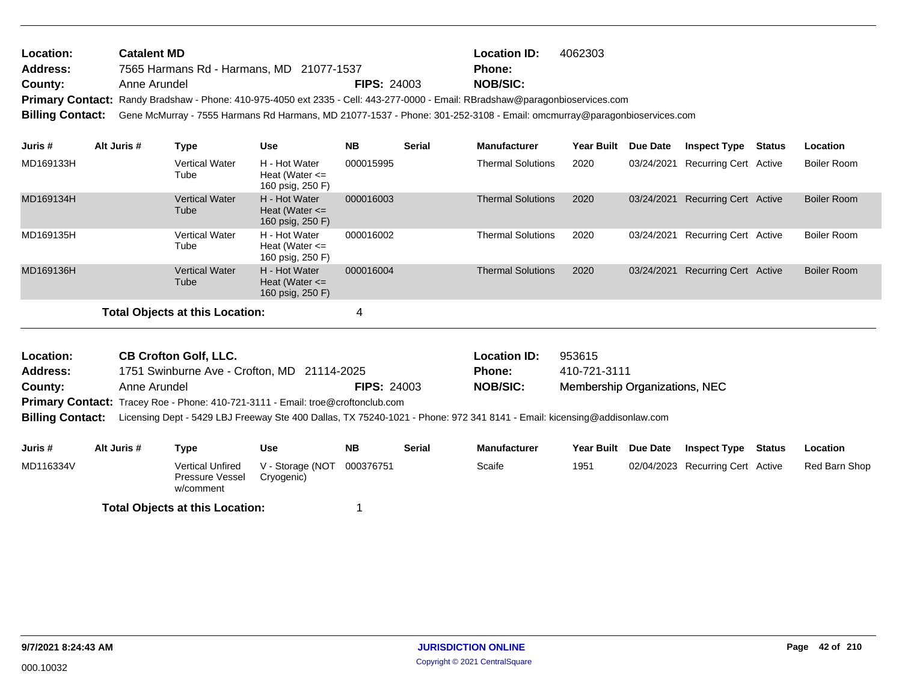| <b>Location:</b> | <b>Catalent MD</b>                                                                                                                      |                    | <b>Location ID:</b> | 4062303 |
|------------------|-----------------------------------------------------------------------------------------------------------------------------------------|--------------------|---------------------|---------|
| <b>Address:</b>  | 7565 Harmans Rd - Harmans, MD 21077-1537                                                                                                |                    | <b>Phone:</b>       |         |
| <b>County:</b>   | Anne Arundel                                                                                                                            | <b>FIPS: 24003</b> | <b>NOB/SIC:</b>     |         |
|                  | Primary Contact: Randy Bradshaw - Phone: 410-975-4050 ext 2335 - Cell: 443-277-0000 - Email: RBradshaw@paragonbioservices.com           |                    |                     |         |
|                  | Billing Contact: Gene McMurray - 7555 Harmans Rd Harmans, MD 21077-1537 - Phone: 301-252-3108 - Email: omcmurray@paragonbioservices.com |                    |                     |         |
|                  |                                                                                                                                         |                    |                     |         |

| Juris #   | Alt Juris # | Type                            | <b>Use</b>                                              | <b>NB</b> | <b>Serial</b> | <b>Manufacturer</b>      | <b>Year Built</b> | <b>Due Date</b> | <b>Inspect Type</b>          | Status | Location           |
|-----------|-------------|---------------------------------|---------------------------------------------------------|-----------|---------------|--------------------------|-------------------|-----------------|------------------------------|--------|--------------------|
| MD169133H |             | <b>Vertical Water</b><br>Tube   | H - Hot Water<br>Heat (Water $\leq$<br>160 psig, 250 F) | 000015995 |               | <b>Thermal Solutions</b> | 2020              | 03/24/2021      | Recurring Cert Active        |        | <b>Boiler Room</b> |
| MD169134H |             | <b>Vertical Water</b><br>Tube   | H - Hot Water<br>Heat (Water $\leq$<br>160 psig, 250 F) | 000016003 |               | <b>Thermal Solutions</b> | 2020              | 03/24/2021      | <b>Recurring Cert Active</b> |        | <b>Boiler Room</b> |
| MD169135H |             | <b>Vertical Water</b><br>Tube   | H - Hot Water<br>Heat (Water $\leq$<br>160 psig, 250 F) | 000016002 |               | <b>Thermal Solutions</b> | 2020              | 03/24/2021      | Recurring Cert Active        |        | <b>Boiler Room</b> |
| MD169136H |             | <b>Vertical Water</b><br>Tube   | H - Hot Water<br>Heat (Water $\leq$<br>160 psig, 250 F) | 000016004 |               | <b>Thermal Solutions</b> | 2020              | 03/24/2021      | <b>Recurring Cert Active</b> |        | <b>Boiler Room</b> |
|           |             | Total Objects at this Location: |                                                         | 4         |               |                          |                   |                 |                              |        |                    |

| Location:               | <b>CB Crofton Golf, LLC.</b>                                                                                            |                    | <b>Location ID:</b> | 953615                        |
|-------------------------|-------------------------------------------------------------------------------------------------------------------------|--------------------|---------------------|-------------------------------|
| <b>Address:</b>         | 1751 Swinburne Ave - Crofton, MD 21114-2025                                                                             |                    | <b>Phone:</b>       | 410-721-3111                  |
| County:                 | Anne Arundel                                                                                                            | <b>FIPS: 24003</b> | <b>NOB/SIC:</b>     | Membership Organizations, NEC |
|                         | Primary Contact: Tracey Roe - Phone: 410-721-3111 - Email: troe@croftonclub.com                                         |                    |                     |                               |
| <b>Billing Contact:</b> | Licensing Dept - 5429 LBJ Freeway Ste 400 Dallas, TX 75240-1021 - Phone: 972 341 8141 - Email: kicensing@addisonlaw.com |                    |                     |                               |

| Juris #   | Alt Juris # | Type                                             | <b>Use</b>                               | <b>NB</b> | <b>Serial</b> | <b>Manufacturer</b> | Year Built Due Date | Inspect Type                     | Status | Location      |
|-----------|-------------|--------------------------------------------------|------------------------------------------|-----------|---------------|---------------------|---------------------|----------------------------------|--------|---------------|
| MD116334V |             | Vertical Unfired<br>Pressure Vessel<br>w/comment | V - Storage (NOT 000376751<br>Cryogenic) |           |               | Scaife              | 1951                | 02/04/2023 Recurring Cert Active |        | Red Barn Shop |
|           |             | <b>Total Objects at this Location:</b>           |                                          |           |               |                     |                     |                                  |        |               |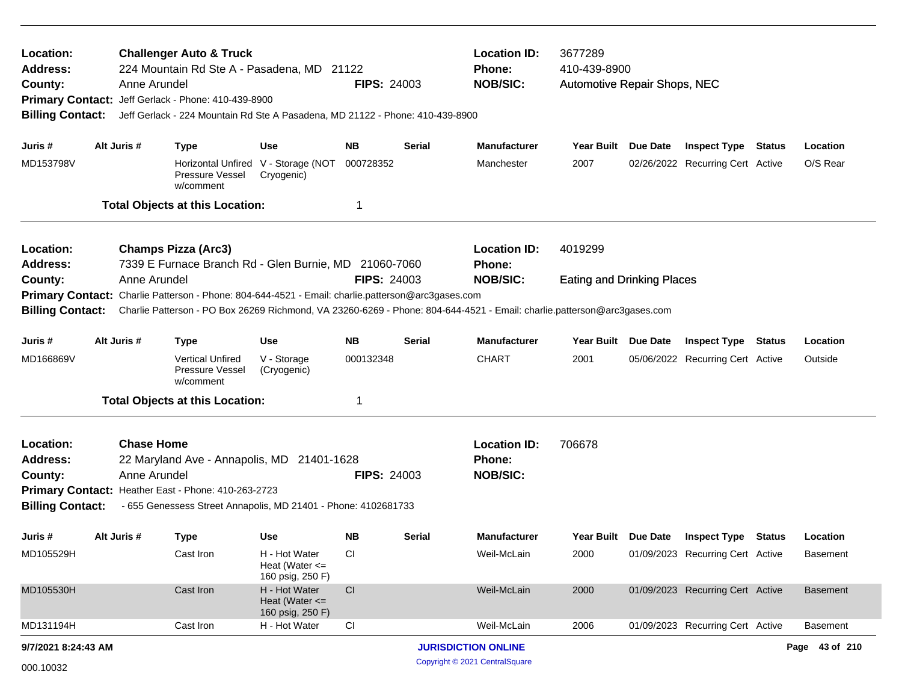| Location:<br>Address:<br>County:<br><b>Billing Contact:</b> | Anne Arundel                                                                                                                                                                                                                                            | <b>Challenger Auto &amp; Truck</b><br>Primary Contact: Jeff Gerlack - Phone: 410-439-8900                                                                           |                                                         | 224 Mountain Rd Ste A - Pasadena, MD 21122<br><b>FIPS: 24003</b><br>Jeff Gerlack - 224 Mountain Rd Ste A Pasadena, MD 21122 - Phone: 410-439-8900 |        |                                                         | 3677289<br>410-439-8900<br>Automotive Repair Shops, NEC |                 |                                  |  |                 |
|-------------------------------------------------------------|---------------------------------------------------------------------------------------------------------------------------------------------------------------------------------------------------------------------------------------------------------|---------------------------------------------------------------------------------------------------------------------------------------------------------------------|---------------------------------------------------------|---------------------------------------------------------------------------------------------------------------------------------------------------|--------|---------------------------------------------------------|---------------------------------------------------------|-----------------|----------------------------------|--|-----------------|
| Juris #                                                     | Alt Juris #                                                                                                                                                                                                                                             | <b>Type</b>                                                                                                                                                         | <b>Use</b>                                              | NB.                                                                                                                                               | Serial | <b>Manufacturer</b>                                     | Year Built Due Date                                     |                 | <b>Inspect Type Status</b>       |  | Location        |
| MD153798V                                                   |                                                                                                                                                                                                                                                         | Pressure Vessel<br>w/comment                                                                                                                                        | Horizontal Unfired V - Storage (NOT<br>Cryogenic)       | 000728352                                                                                                                                         |        | Manchester                                              | 2007                                                    |                 | 02/26/2022 Recurring Cert Active |  | O/S Rear        |
|                                                             |                                                                                                                                                                                                                                                         | <b>Total Objects at this Location:</b>                                                                                                                              |                                                         |                                                                                                                                                   |        |                                                         |                                                         |                 |                                  |  |                 |
| Location:<br><b>Address:</b>                                |                                                                                                                                                                                                                                                         | <b>Champs Pizza (Arc3)</b><br>7339 E Furnace Branch Rd - Glen Burnie, MD 21060-7060                                                                                 |                                                         |                                                                                                                                                   |        | <b>Location ID:</b><br>Phone:                           | 4019299                                                 |                 |                                  |  |                 |
| County:                                                     | Anne Arundel                                                                                                                                                                                                                                            |                                                                                                                                                                     |                                                         | <b>FIPS: 24003</b>                                                                                                                                |        | <b>NOB/SIC:</b><br><b>Eating and Drinking Places</b>    |                                                         |                 |                                  |  |                 |
|                                                             | Primary Contact: Charlie Patterson - Phone: 804-644-4521 - Email: charlie.patterson@arc3gases.com<br><b>Billing Contact:</b><br>Charlie Patterson - PO Box 26269 Richmond, VA 23260-6269 - Phone: 804-644-4521 - Email: charlie.patterson@arc3gases.com |                                                                                                                                                                     |                                                         |                                                                                                                                                   |        |                                                         |                                                         |                 |                                  |  |                 |
|                                                             |                                                                                                                                                                                                                                                         |                                                                                                                                                                     |                                                         |                                                                                                                                                   |        |                                                         |                                                         |                 |                                  |  |                 |
| Juris #                                                     | Alt Juris #                                                                                                                                                                                                                                             | <b>Type</b>                                                                                                                                                         | <b>Use</b>                                              | <b>NB</b>                                                                                                                                         | Serial | <b>Manufacturer</b>                                     | Year Built                                              | <b>Due Date</b> | <b>Inspect Type Status</b>       |  | Location        |
| MD166869V                                                   |                                                                                                                                                                                                                                                         | <b>Vertical Unfired</b><br><b>Pressure Vessel</b><br>w/comment                                                                                                      | V - Storage<br>(Cryogenic)                              | 000132348                                                                                                                                         |        | <b>CHART</b>                                            | 2001                                                    |                 | 05/06/2022 Recurring Cert Active |  | Outside         |
|                                                             |                                                                                                                                                                                                                                                         | <b>Total Objects at this Location:</b>                                                                                                                              |                                                         | 1                                                                                                                                                 |        |                                                         |                                                         |                 |                                  |  |                 |
| Location:<br>Address:<br>County:<br><b>Billing Contact:</b> | <b>Chase Home</b><br>Anne Arundel                                                                                                                                                                                                                       | 22 Maryland Ave - Annapolis, MD 21401-1628<br>Primary Contact: Heather East - Phone: 410-263-2723<br>- 655 Genessess Street Annapolis, MD 21401 - Phone: 4102681733 |                                                         | <b>FIPS: 24003</b>                                                                                                                                |        | <b>Location ID:</b><br><b>Phone:</b><br><b>NOB/SIC:</b> | 706678                                                  |                 |                                  |  |                 |
| Juris #                                                     | Alt Juris #                                                                                                                                                                                                                                             | <b>Type</b>                                                                                                                                                         | Use                                                     | NB.                                                                                                                                               | Serial | <b>Manufacturer</b>                                     | Year Built Due Date                                     |                 | <b>Inspect Type Status</b>       |  | Location        |
| MD105529H                                                   |                                                                                                                                                                                                                                                         | Cast Iron                                                                                                                                                           | H - Hot Water<br>Heat (Water $\leq$<br>160 psig, 250 F) | CI.                                                                                                                                               |        | Weil-McLain                                             | 2000                                                    |                 | 01/09/2023 Recurring Cert Active |  | <b>Basement</b> |
| MD105530H                                                   |                                                                                                                                                                                                                                                         | Cast Iron                                                                                                                                                           | H - Hot Water<br>Heat (Water $\leq$<br>160 psig, 250 F) | CI                                                                                                                                                |        | Weil-McLain                                             | 2000                                                    |                 | 01/09/2023 Recurring Cert Active |  | <b>Basement</b> |
| MD131194H                                                   |                                                                                                                                                                                                                                                         | Cast Iron                                                                                                                                                           | H - Hot Water                                           | CI                                                                                                                                                |        | Weil-McLain                                             | 2006                                                    |                 | 01/09/2023 Recurring Cert Active |  | <b>Basement</b> |
| 9/7/2021 8:24:43 AM                                         |                                                                                                                                                                                                                                                         |                                                                                                                                                                     |                                                         |                                                                                                                                                   |        | <b>JURISDICTION ONLINE</b>                              |                                                         |                 |                                  |  | Page 43 of 210  |
| 000.10032                                                   |                                                                                                                                                                                                                                                         |                                                                                                                                                                     |                                                         |                                                                                                                                                   |        | Copyright © 2021 CentralSquare                          |                                                         |                 |                                  |  |                 |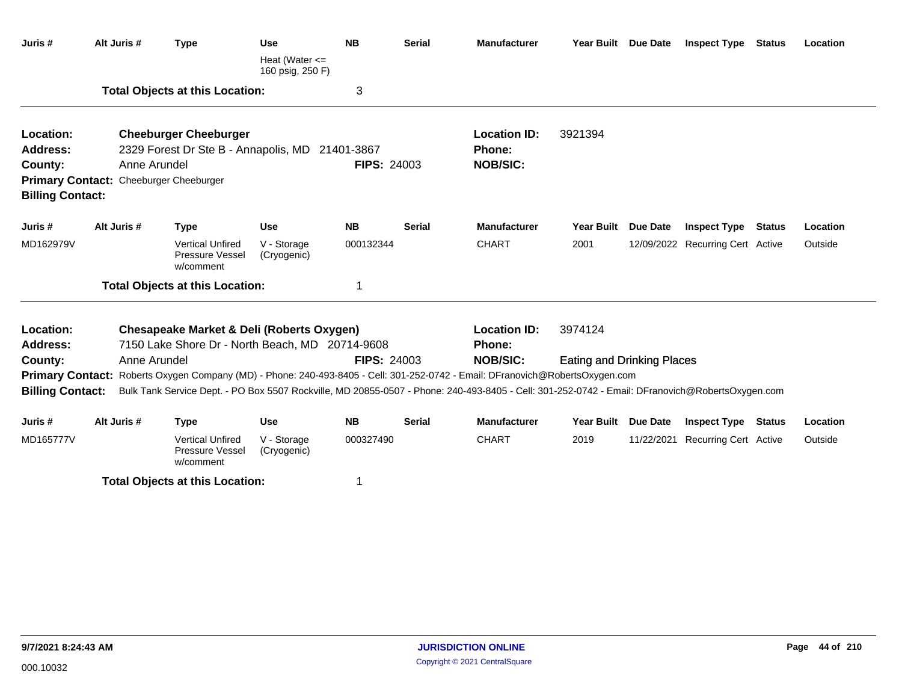| Juris #                                                     | Alt Juris #                                            | <b>Type</b>                                                                                             | <b>Use</b><br>Heat (Water $\leq$<br>160 psig, 250 F) | <b>NB</b>          | <b>Serial</b> | <b>Manufacturer</b>                                                                                                                             | Year Built Due Date               |                 | <b>Inspect Type</b>              | <b>Status</b> | Location |
|-------------------------------------------------------------|--------------------------------------------------------|---------------------------------------------------------------------------------------------------------|------------------------------------------------------|--------------------|---------------|-------------------------------------------------------------------------------------------------------------------------------------------------|-----------------------------------|-----------------|----------------------------------|---------------|----------|
|                                                             |                                                        | <b>Total Objects at this Location:</b>                                                                  |                                                      | 3                  |               |                                                                                                                                                 |                                   |                 |                                  |               |          |
| Location:<br>Address:<br>County:<br><b>Billing Contact:</b> | Anne Arundel<br>Primary Contact: Cheeburger Cheeburger | <b>Cheeburger Cheeburger</b><br>2329 Forest Dr Ste B - Annapolis, MD 21401-3867                         |                                                      | <b>FIPS: 24003</b> |               | <b>Location ID:</b><br><b>Phone:</b><br><b>NOB/SIC:</b>                                                                                         | 3921394                           |                 |                                  |               |          |
| Juris #                                                     | Alt Juris #                                            | <b>Type</b>                                                                                             | <b>Use</b>                                           | <b>NB</b>          | <b>Serial</b> | <b>Manufacturer</b>                                                                                                                             | <b>Year Built</b>                 | <b>Due Date</b> | <b>Inspect Type Status</b>       |               | Location |
| MD162979V                                                   |                                                        | <b>Vertical Unfired</b><br>Pressure Vessel<br>w/comment                                                 | V - Storage<br>(Cryogenic)                           | 000132344          |               | <b>CHART</b>                                                                                                                                    | 2001                              |                 | 12/09/2022 Recurring Cert Active |               | Outside  |
|                                                             |                                                        | <b>Total Objects at this Location:</b>                                                                  |                                                      | 1                  |               |                                                                                                                                                 |                                   |                 |                                  |               |          |
| Location:<br><b>Address:</b>                                |                                                        | <b>Chesapeake Market &amp; Deli (Roberts Oxygen)</b><br>7150 Lake Shore Dr - North Beach, MD 20714-9608 |                                                      |                    |               | <b>Location ID:</b><br><b>Phone:</b>                                                                                                            | 3974124                           |                 |                                  |               |          |
| County:                                                     | Anne Arundel                                           |                                                                                                         |                                                      | <b>FIPS: 24003</b> |               | <b>NOB/SIC:</b>                                                                                                                                 | <b>Eating and Drinking Places</b> |                 |                                  |               |          |
|                                                             |                                                        |                                                                                                         |                                                      |                    |               | Primary Contact: Roberts Oxygen Company (MD) - Phone: 240-493-8405 - Cell: 301-252-0742 - Email: DFranovich@RobertsOxygen.com                   |                                   |                 |                                  |               |          |
| <b>Billing Contact:</b>                                     |                                                        |                                                                                                         |                                                      |                    |               | Bulk Tank Service Dept. - PO Box 5507 Rockville, MD 20855-0507 - Phone: 240-493-8405 - Cell: 301-252-0742 - Email: DFranovich@RobertsOxygen.com |                                   |                 |                                  |               |          |
| Juris #                                                     | Alt Juris #                                            | <b>Type</b>                                                                                             | <b>Use</b>                                           | <b>NB</b>          | <b>Serial</b> | <b>Manufacturer</b>                                                                                                                             | Year Built Due Date               |                 | <b>Inspect Type</b>              | <b>Status</b> | Location |
| MD165777V                                                   |                                                        | <b>Vertical Unfired</b><br>Pressure Vessel<br>w/comment                                                 | V - Storage<br>(Cryogenic)                           | 000327490          |               | <b>CHART</b>                                                                                                                                    | 2019                              | 11/22/2021      | Recurring Cert Active            |               | Outside  |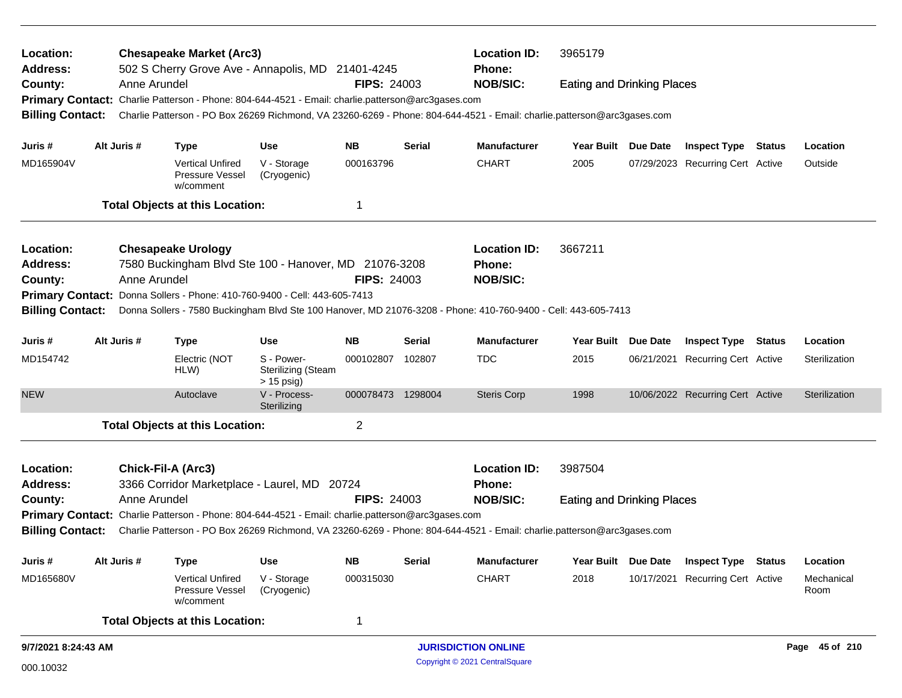| Location:<br><b>Address:</b> |                                                                                                                                                                                                                                                         | <b>Chesapeake Market (Arc3)</b><br>502 S Cherry Grove Ave - Annapolis, MD 21401-4245              |                                                         |                    |               | <b>Location ID:</b><br>Phone:                                                                                           | 3965179                           |                     |                                  |                    |
|------------------------------|---------------------------------------------------------------------------------------------------------------------------------------------------------------------------------------------------------------------------------------------------------|---------------------------------------------------------------------------------------------------|---------------------------------------------------------|--------------------|---------------|-------------------------------------------------------------------------------------------------------------------------|-----------------------------------|---------------------|----------------------------------|--------------------|
| County:                      | Anne Arundel                                                                                                                                                                                                                                            |                                                                                                   |                                                         | <b>FIPS: 24003</b> |               | <b>NOB/SIC:</b>                                                                                                         | <b>Eating and Drinking Places</b> |                     |                                  |                    |
|                              |                                                                                                                                                                                                                                                         | Primary Contact: Charlie Patterson - Phone: 804-644-4521 - Email: charlie.patterson@arc3gases.com |                                                         |                    |               |                                                                                                                         |                                   |                     |                                  |                    |
| <b>Billing Contact:</b>      |                                                                                                                                                                                                                                                         |                                                                                                   |                                                         |                    |               | Charlie Patterson - PO Box 26269 Richmond, VA 23260-6269 - Phone: 804-644-4521 - Email: charlie.patterson@arc3gases.com |                                   |                     |                                  |                    |
| Juris #                      | Alt Juris #                                                                                                                                                                                                                                             | <b>Type</b>                                                                                       | <b>Use</b>                                              | <b>NB</b>          | <b>Serial</b> | <b>Manufacturer</b>                                                                                                     |                                   | Year Built Due Date | <b>Inspect Type Status</b>       | Location           |
| MD165904V                    |                                                                                                                                                                                                                                                         | <b>Vertical Unfired</b><br>Pressure Vessel<br>w/comment                                           | V - Storage<br>(Cryogenic)                              | 000163796          |               | <b>CHART</b>                                                                                                            | 2005                              |                     | 07/29/2023 Recurring Cert Active | Outside            |
|                              |                                                                                                                                                                                                                                                         | <b>Total Objects at this Location:</b>                                                            |                                                         | 1                  |               |                                                                                                                         |                                   |                     |                                  |                    |
| Location:                    |                                                                                                                                                                                                                                                         | <b>Chesapeake Urology</b>                                                                         |                                                         |                    |               | <b>Location ID:</b>                                                                                                     | 3667211                           |                     |                                  |                    |
| Address:                     |                                                                                                                                                                                                                                                         | 7580 Buckingham Blvd Ste 100 - Hanover, MD 21076-3208                                             |                                                         |                    |               | Phone:                                                                                                                  |                                   |                     |                                  |                    |
| County:                      | Anne Arundel                                                                                                                                                                                                                                            |                                                                                                   |                                                         | <b>FIPS: 24003</b> |               | <b>NOB/SIC:</b>                                                                                                         |                                   |                     |                                  |                    |
|                              |                                                                                                                                                                                                                                                         | Primary Contact: Donna Sollers - Phone: 410-760-9400 - Cell: 443-605-7413                         |                                                         |                    |               |                                                                                                                         |                                   |                     |                                  |                    |
| <b>Billing Contact:</b>      |                                                                                                                                                                                                                                                         |                                                                                                   |                                                         |                    |               | Donna Sollers - 7580 Buckingham Blvd Ste 100 Hanover, MD 21076-3208 - Phone: 410-760-9400 - Cell: 443-605-7413          |                                   |                     |                                  |                    |
| Juris #                      | Alt Juris #                                                                                                                                                                                                                                             | <b>Type</b>                                                                                       | <b>Use</b>                                              | <b>NB</b>          | <b>Serial</b> | <b>Manufacturer</b>                                                                                                     | <b>Year Built</b>                 | <b>Due Date</b>     | <b>Inspect Type Status</b>       | Location           |
| MD154742                     |                                                                                                                                                                                                                                                         | Electric (NOT<br>HLW)                                                                             | S - Power-<br><b>Sterilizing (Steam</b><br>$> 15$ psig) | 000102807          | 102807        | <b>TDC</b>                                                                                                              | 2015                              |                     | 06/21/2021 Recurring Cert Active | Sterilization      |
| <b>NEW</b>                   |                                                                                                                                                                                                                                                         | Autoclave                                                                                         | V - Process-<br>Sterilizing                             | 000078473 1298004  |               | <b>Steris Corp</b>                                                                                                      | 1998                              |                     | 10/06/2022 Recurring Cert Active | Sterilization      |
|                              |                                                                                                                                                                                                                                                         | <b>Total Objects at this Location:</b>                                                            |                                                         | $\overline{2}$     |               |                                                                                                                         |                                   |                     |                                  |                    |
| Location:                    |                                                                                                                                                                                                                                                         | Chick-Fil-A (Arc3)                                                                                |                                                         |                    |               | <b>Location ID:</b>                                                                                                     | 3987504                           |                     |                                  |                    |
| <b>Address:</b>              |                                                                                                                                                                                                                                                         | 3366 Corridor Marketplace - Laurel, MD 20724                                                      |                                                         |                    |               | <b>Phone:</b>                                                                                                           |                                   |                     |                                  |                    |
| County:                      | Anne Arundel                                                                                                                                                                                                                                            |                                                                                                   |                                                         | <b>FIPS: 24003</b> |               | <b>NOB/SIC:</b>                                                                                                         | <b>Eating and Drinking Places</b> |                     |                                  |                    |
|                              |                                                                                                                                                                                                                                                         |                                                                                                   |                                                         |                    |               |                                                                                                                         |                                   |                     |                                  |                    |
|                              | Primary Contact: Charlie Patterson - Phone: 804-644-4521 - Email: charlie.patterson@arc3gases.com<br><b>Billing Contact:</b><br>Charlie Patterson - PO Box 26269 Richmond, VA 23260-6269 - Phone: 804-644-4521 - Email: charlie.patterson@arc3gases.com |                                                                                                   |                                                         |                    |               |                                                                                                                         |                                   |                     |                                  |                    |
| Juris #                      | Alt Juris #                                                                                                                                                                                                                                             | <b>Type</b>                                                                                       | <b>Use</b>                                              | <b>NB</b>          | <b>Serial</b> | Manufacturer                                                                                                            | Year Built                        | Due Date            | <b>Inspect Type Status</b>       | Location           |
| MD165680V                    |                                                                                                                                                                                                                                                         | <b>Vertical Unfired</b><br>Pressure Vessel<br>w/comment                                           | V - Storage<br>(Cryogenic)                              | 000315030          |               | <b>CHART</b>                                                                                                            | 2018                              |                     | 10/17/2021 Recurring Cert Active | Mechanical<br>Room |
|                              |                                                                                                                                                                                                                                                         | <b>Total Objects at this Location:</b>                                                            |                                                         | $\mathbf 1$        |               |                                                                                                                         |                                   |                     |                                  |                    |
| 9/7/2021 8:24:43 AM          |                                                                                                                                                                                                                                                         |                                                                                                   |                                                         |                    |               | <b>JURISDICTION ONLINE</b>                                                                                              |                                   |                     |                                  | Page 45 of 210     |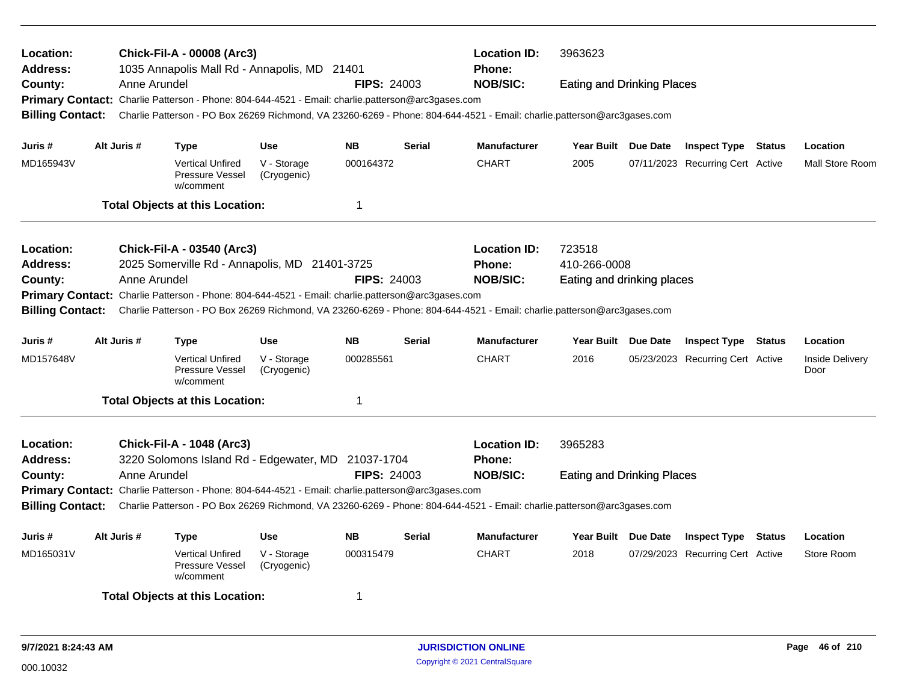| Location:<br><b>Address:</b><br>County:<br><b>Billing Contact:</b> | Anne Arundel | <b>Chick-Fil-A - 00008 (Arc3)</b><br>1035 Annapolis Mall Rd - Annapolis, MD 21401<br>Primary Contact: Charlie Patterson - Phone: 804-644-4521 - Email: charlie.patterson@arc3gases.com      |                            | <b>FIPS: 24003</b> |               | <b>Location ID:</b><br><b>Phone:</b><br><b>NOB/SIC:</b><br>Charlie Patterson - PO Box 26269 Richmond, VA 23260-6269 - Phone: 804-644-4521 - Email: charlie.patterson@arc3gases.com | 3963623<br><b>Eating and Drinking Places</b>         |          |                                  |               |                         |
|--------------------------------------------------------------------|--------------|---------------------------------------------------------------------------------------------------------------------------------------------------------------------------------------------|----------------------------|--------------------|---------------|------------------------------------------------------------------------------------------------------------------------------------------------------------------------------------|------------------------------------------------------|----------|----------------------------------|---------------|-------------------------|
| Juris #                                                            | Alt Juris #  | <b>Type</b>                                                                                                                                                                                 | <b>Use</b>                 | <b>NB</b>          | <b>Serial</b> | <b>Manufacturer</b>                                                                                                                                                                | Year Built Due Date                                  |          | <b>Inspect Type Status</b>       |               | Location                |
| MD165943V                                                          |              | <b>Vertical Unfired</b><br>Pressure Vessel<br>w/comment                                                                                                                                     | V - Storage<br>(Cryogenic) | 000164372          |               | <b>CHART</b>                                                                                                                                                                       | 2005                                                 |          | 07/11/2023 Recurring Cert Active |               | Mall Store Room         |
|                                                                    |              | <b>Total Objects at this Location:</b>                                                                                                                                                      |                            | $\mathbf 1$        |               |                                                                                                                                                                                    |                                                      |          |                                  |               |                         |
| Location:<br>Address:<br>County:<br><b>Billing Contact:</b>        | Anne Arundel | Chick-Fil-A - 03540 (Arc3)<br>2025 Somerville Rd - Annapolis, MD 21401-3725<br>Primary Contact: Charlie Patterson - Phone: 804-644-4521 - Email: charlie.patterson@arc3gases.com            |                            | <b>FIPS: 24003</b> |               | <b>Location ID:</b><br>Phone:<br><b>NOB/SIC:</b><br>Charlie Patterson - PO Box 26269 Richmond, VA 23260-6269 - Phone: 804-644-4521 - Email: charlie.patterson@arc3gases.com        | 723518<br>410-266-0008<br>Eating and drinking places |          |                                  |               |                         |
| Juris #                                                            | Alt Juris #  | <b>Type</b>                                                                                                                                                                                 | <b>Use</b>                 | <b>NB</b>          | <b>Serial</b> | <b>Manufacturer</b>                                                                                                                                                                | Year Built Due Date                                  |          | <b>Inspect Type Status</b>       |               | Location                |
| MD157648V                                                          |              | <b>Vertical Unfired</b><br>Pressure Vessel<br>w/comment                                                                                                                                     | V - Storage<br>(Cryogenic) | 000285561          |               | <b>CHART</b>                                                                                                                                                                       | 2016                                                 |          | 05/23/2023 Recurring Cert Active |               | Inside Delivery<br>Door |
|                                                                    |              | <b>Total Objects at this Location:</b>                                                                                                                                                      |                            | $\mathbf 1$        |               |                                                                                                                                                                                    |                                                      |          |                                  |               |                         |
| Location:<br><b>Address:</b><br>County:<br><b>Billing Contact:</b> | Anne Arundel | <b>Chick-Fil-A - 1048 (Arc3)</b><br>3220 Solomons Island Rd - Edgewater, MD 21037-1704<br>Primary Contact: Charlie Patterson - Phone: 804-644-4521 - Email: charlie.patterson@arc3gases.com |                            | <b>FIPS: 24003</b> |               | <b>Location ID:</b><br><b>Phone:</b><br><b>NOB/SIC:</b><br>Charlie Patterson - PO Box 26269 Richmond, VA 23260-6269 - Phone: 804-644-4521 - Email: charlie.patterson@arc3gases.com | 3965283<br><b>Eating and Drinking Places</b>         |          |                                  |               |                         |
| Juris #                                                            | Alt Juris #  | <b>Type</b>                                                                                                                                                                                 | <b>Use</b>                 | <b>NB</b>          | <b>Serial</b> | <b>Manufacturer</b>                                                                                                                                                                | <b>Year Built</b>                                    | Due Date | <b>Inspect Type</b>              | <b>Status</b> | Location                |
| MD165031V                                                          |              | <b>Vertical Unfired</b><br>Pressure Vessel<br>w/comment                                                                                                                                     | V - Storage<br>(Cryogenic) | 000315479          |               | <b>CHART</b>                                                                                                                                                                       | 2018                                                 |          | 07/29/2023 Recurring Cert Active |               | Store Room              |
|                                                                    |              | <b>Total Objects at this Location:</b>                                                                                                                                                      |                            | 1                  |               |                                                                                                                                                                                    |                                                      |          |                                  |               |                         |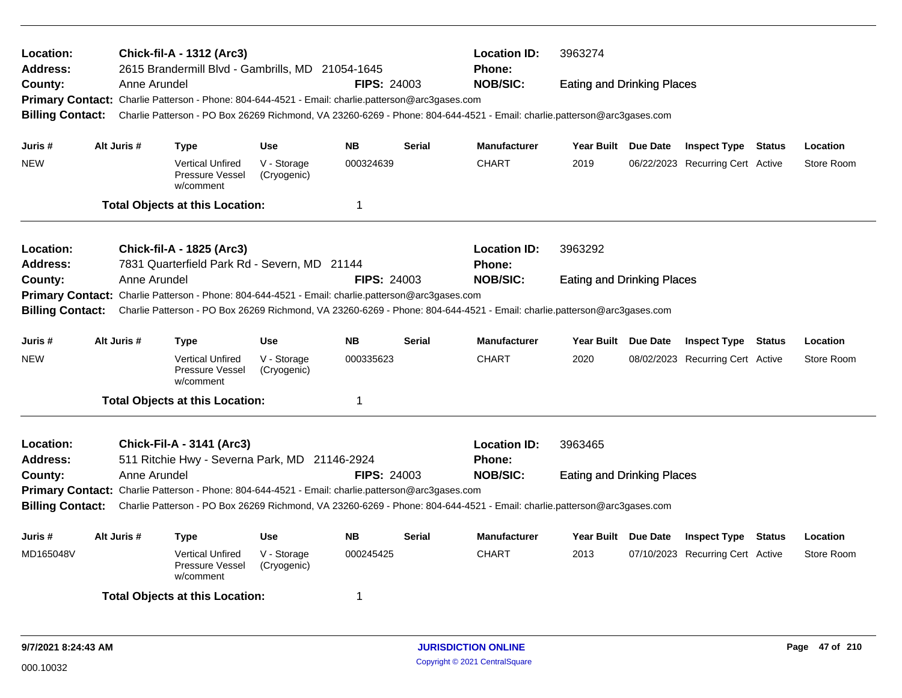| Location:<br><b>Address:</b><br>County:<br><b>Billing Contact:</b> | Anne Arundel                                                    | Chick-fil-A - 1312 (Arc3)<br>2615 Brandermill Blvd - Gambrills, MD 21054-1645<br>Primary Contact: Charlie Patterson - Phone: 804-644-4521 - Email: charlie.patterson@arc3gases.com |                            | <b>FIPS: 24003</b> |               | <b>Location ID:</b><br><b>Phone:</b><br><b>NOB/SIC:</b><br>Charlie Patterson - PO Box 26269 Richmond, VA 23260-6269 - Phone: 804-644-4521 - Email: charlie.patterson@arc3gases.com | 3963274<br><b>Eating and Drinking Places</b> |                                  |            |
|--------------------------------------------------------------------|-----------------------------------------------------------------|------------------------------------------------------------------------------------------------------------------------------------------------------------------------------------|----------------------------|--------------------|---------------|------------------------------------------------------------------------------------------------------------------------------------------------------------------------------------|----------------------------------------------|----------------------------------|------------|
| Juris #                                                            | Alt Juris #                                                     | <b>Type</b>                                                                                                                                                                        | <b>Use</b>                 | NΒ                 | <b>Serial</b> | <b>Manufacturer</b>                                                                                                                                                                | Year Built Due Date                          | <b>Inspect Type Status</b>       | Location   |
| <b>NEW</b>                                                         |                                                                 | <b>Vertical Unfired</b><br>Pressure Vessel<br>w/comment                                                                                                                            | V - Storage<br>(Cryogenic) | 000324639          |               | <b>CHART</b>                                                                                                                                                                       | 2019                                         | 06/22/2023 Recurring Cert Active | Store Room |
|                                                                    |                                                                 | <b>Total Objects at this Location:</b>                                                                                                                                             |                            | $\mathbf 1$        |               |                                                                                                                                                                                    |                                              |                                  |            |
| Location:<br><b>Address:</b>                                       |                                                                 | Chick-fil-A - 1825 (Arc3)<br>7831 Quarterfield Park Rd - Severn, MD 21144                                                                                                          |                            |                    |               | <b>Location ID:</b><br>Phone:                                                                                                                                                      | 3963292                                      |                                  |            |
| County:<br><b>Billing Contact:</b>                                 | Anne Arundel                                                    | Primary Contact: Charlie Patterson - Phone: 804-644-4521 - Email: charlie.patterson@arc3gases.com                                                                                  |                            | <b>FIPS: 24003</b> |               | <b>NOB/SIC:</b><br>Charlie Patterson - PO Box 26269 Richmond, VA 23260-6269 - Phone: 804-644-4521 - Email: charlie.patterson@arc3gases.com                                         | <b>Eating and Drinking Places</b>            |                                  |            |
| Juris #                                                            | Alt Juris #                                                     | <b>Type</b>                                                                                                                                                                        | <b>Use</b>                 | <b>NB</b>          | <b>Serial</b> | <b>Manufacturer</b>                                                                                                                                                                | Year Built Due Date                          | <b>Inspect Type Status</b>       | Location   |
| <b>NEW</b>                                                         |                                                                 | <b>Vertical Unfired</b><br>Pressure Vessel<br>w/comment                                                                                                                            | V - Storage<br>(Cryogenic) | 000335623          |               | <b>CHART</b>                                                                                                                                                                       | 2020                                         | 08/02/2023 Recurring Cert Active | Store Room |
|                                                                    |                                                                 | <b>Total Objects at this Location:</b>                                                                                                                                             |                            | 1                  |               |                                                                                                                                                                                    |                                              |                                  |            |
| Location:<br><b>Address:</b><br>County:                            | Anne Arundel                                                    | <b>Chick-Fil-A - 3141 (Arc3)</b><br>511 Ritchie Hwy - Severna Park, MD 21146-2924                                                                                                  |                            | <b>FIPS: 24003</b> |               | <b>Location ID:</b><br>Phone:<br><b>NOB/SIC:</b>                                                                                                                                   | 3963465<br><b>Eating and Drinking Places</b> |                                  |            |
| <b>Billing Contact:</b>                                            |                                                                 | Primary Contact: Charlie Patterson - Phone: 804-644-4521 - Email: charlie.patterson@arc3gases.com                                                                                  |                            |                    |               | Charlie Patterson - PO Box 26269 Richmond, VA 23260-6269 - Phone: 804-644-4521 - Email: charlie.patterson@arc3gases.com                                                            |                                              |                                  |            |
| Juris #                                                            | Alt Juris #<br><b>Use</b><br><b>NB</b><br><b>Serial</b><br>Type |                                                                                                                                                                                    |                            |                    |               | <b>Manufacturer</b>                                                                                                                                                                | Year Built Due Date                          | <b>Inspect Type Status</b>       | Location   |
| MD165048V                                                          |                                                                 | <b>Vertical Unfired</b><br>Pressure Vessel<br>w/comment                                                                                                                            | V - Storage<br>(Cryogenic) | 000245425          |               | <b>CHART</b>                                                                                                                                                                       | 2013                                         | 07/10/2023 Recurring Cert Active | Store Room |
|                                                                    |                                                                 | <b>Total Objects at this Location:</b>                                                                                                                                             |                            | 1                  |               |                                                                                                                                                                                    |                                              |                                  |            |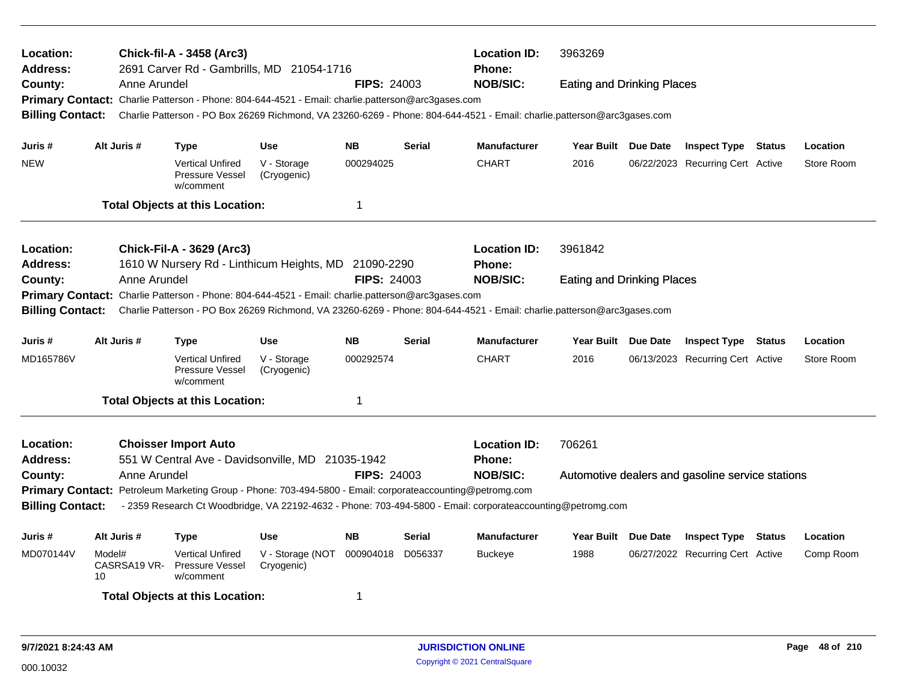| Location:<br>Address:   |                                                                        | Chick-fil-A - 3458 (Arc3)<br>2691 Carver Rd - Gambrills, MD 21054-1716                                                  |                                |                    |               | <b>Location ID:</b><br><b>Phone:</b> | 3963269                           |                                                  |            |
|-------------------------|------------------------------------------------------------------------|-------------------------------------------------------------------------------------------------------------------------|--------------------------------|--------------------|---------------|--------------------------------------|-----------------------------------|--------------------------------------------------|------------|
| County:                 | Anne Arundel                                                           |                                                                                                                         |                                | <b>FIPS: 24003</b> |               | <b>NOB/SIC:</b>                      | <b>Eating and Drinking Places</b> |                                                  |            |
|                         |                                                                        | Primary Contact: Charlie Patterson - Phone: 804-644-4521 - Email: charlie.patterson@arc3gases.com                       |                                |                    |               |                                      |                                   |                                                  |            |
| <b>Billing Contact:</b> |                                                                        | Charlie Patterson - PO Box 26269 Richmond, VA 23260-6269 - Phone: 804-644-4521 - Email: charlie.patterson@arc3gases.com |                                |                    |               |                                      |                                   |                                                  |            |
| Juris #                 | Alt Juris #                                                            | <b>Type</b>                                                                                                             | <b>Use</b>                     | <b>NB</b>          | <b>Serial</b> | <b>Manufacturer</b>                  | Year Built Due Date               | <b>Inspect Type Status</b>                       | Location   |
| <b>NEW</b>              |                                                                        | <b>Vertical Unfired</b>                                                                                                 | V - Storage                    | 000294025          |               | <b>CHART</b>                         | 2016                              |                                                  | Store Room |
|                         |                                                                        | Pressure Vessel<br>w/comment                                                                                            | (Cryogenic)                    |                    |               |                                      |                                   | 06/22/2023 Recurring Cert Active                 |            |
|                         |                                                                        | <b>Total Objects at this Location:</b>                                                                                  |                                | $\mathbf 1$        |               |                                      |                                   |                                                  |            |
| Location:               |                                                                        | <b>Chick-Fil-A - 3629 (Arc3)</b>                                                                                        |                                |                    |               | <b>Location ID:</b>                  | 3961842                           |                                                  |            |
| <b>Address:</b>         |                                                                        | 1610 W Nursery Rd - Linthicum Heights, MD 21090-2290                                                                    |                                |                    |               | <b>Phone:</b>                        |                                   |                                                  |            |
| County:                 | Anne Arundel                                                           |                                                                                                                         |                                | <b>FIPS: 24003</b> |               | <b>NOB/SIC:</b>                      | <b>Eating and Drinking Places</b> |                                                  |            |
| <b>Primary Contact:</b> |                                                                        | Charlie Patterson - Phone: 804-644-4521 - Email: charlie.patterson@arc3gases.com                                        |                                |                    |               |                                      |                                   |                                                  |            |
| <b>Billing Contact:</b> |                                                                        | Charlie Patterson - PO Box 26269 Richmond, VA 23260-6269 - Phone: 804-644-4521 - Email: charlie.patterson@arc3gases.com |                                |                    |               |                                      |                                   |                                                  |            |
| Juris #                 | Alt Juris #                                                            | <b>Type</b>                                                                                                             | <b>Use</b>                     | <b>NB</b>          | <b>Serial</b> | <b>Manufacturer</b>                  | Year Built Due Date               | <b>Inspect Type Status</b>                       | Location   |
| MD165786V               |                                                                        | <b>Vertical Unfired</b><br>Pressure Vessel<br>w/comment                                                                 | V - Storage<br>(Cryogenic)     | 000292574          |               | <b>CHART</b>                         | 2016                              | 06/13/2023 Recurring Cert Active                 | Store Room |
|                         |                                                                        | <b>Total Objects at this Location:</b>                                                                                  |                                | $\mathbf 1$        |               |                                      |                                   |                                                  |            |
| Location:               |                                                                        | <b>Choisser Import Auto</b>                                                                                             |                                |                    |               | <b>Location ID:</b>                  | 706261                            |                                                  |            |
| Address:                |                                                                        | 551 W Central Ave - Davidsonville, MD 21035-1942                                                                        |                                |                    |               | <b>Phone:</b>                        |                                   |                                                  |            |
| County:                 | Anne Arundel                                                           |                                                                                                                         |                                | <b>FIPS: 24003</b> |               | <b>NOB/SIC:</b>                      |                                   | Automotive dealers and gasoline service stations |            |
|                         |                                                                        | Primary Contact: Petroleum Marketing Group - Phone: 703-494-5800 - Email: corporateaccounting@petromg.com               |                                |                    |               |                                      |                                   |                                                  |            |
| <b>Billing Contact:</b> |                                                                        | - 2359 Research Ct Woodbridge, VA 22192-4632 - Phone: 703-494-5800 - Email: corporateaccounting@petromg.com             |                                |                    |               |                                      |                                   |                                                  |            |
| Juris #                 | Alt Juris #<br><b>Use</b><br><b>NB</b><br><b>Serial</b><br><b>Type</b> |                                                                                                                         |                                |                    |               | <b>Manufacturer</b>                  | Year Built Due Date               | <b>Inspect Type Status</b>                       | Location   |
| MD070144V               | Model#<br>CASRSA19 VR-<br>10                                           | <b>Vertical Unfired</b><br>Pressure Vessel<br>w/comment                                                                 | V - Storage (NOT<br>Cryogenic) | 000904018 D056337  |               | <b>Buckeye</b>                       | 1988                              | 06/27/2022 Recurring Cert Active                 | Comp Room  |
|                         |                                                                        | <b>Total Objects at this Location:</b>                                                                                  |                                | -1                 |               |                                      |                                   |                                                  |            |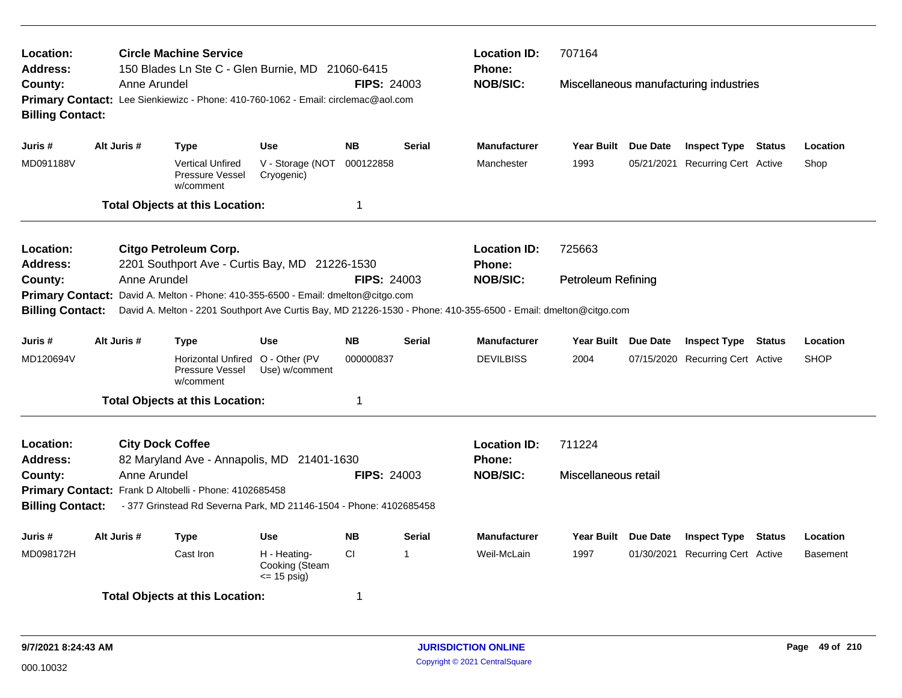| Location:<br><b>Address:</b><br>County: | Anne Arundel | <b>Circle Machine Service</b><br>150 Blades Ln Ste C - Glen Burnie, MD 21060-6415                                            |                                                | <b>FIPS: 24003</b> |               | <b>Location ID:</b><br>Phone:<br><b>NOB/SIC:</b> | 707164                    | Miscellaneous manufacturing industries |                 |
|-----------------------------------------|--------------|------------------------------------------------------------------------------------------------------------------------------|------------------------------------------------|--------------------|---------------|--------------------------------------------------|---------------------------|----------------------------------------|-----------------|
| <b>Billing Contact:</b>                 |              | Primary Contact: Lee Sienkiewizc - Phone: 410-760-1062 - Email: circlemac@aol.com                                            |                                                |                    |               |                                                  |                           |                                        |                 |
| Juris #                                 | Alt Juris #  | Type                                                                                                                         | <b>Use</b>                                     | <b>NB</b>          | <b>Serial</b> | <b>Manufacturer</b>                              | Year Built Due Date       | <b>Inspect Type Status</b>             | Location        |
| MD091188V                               |              | <b>Vertical Unfired</b><br>Pressure Vessel<br>w/comment                                                                      | V - Storage (NOT<br>Cryogenic)                 | 000122858          |               | Manchester                                       | 1993                      | 05/21/2021 Recurring Cert Active       | Shop            |
|                                         |              | <b>Total Objects at this Location:</b>                                                                                       |                                                | $\mathbf 1$        |               |                                                  |                           |                                        |                 |
| Location:<br><b>Address:</b>            |              | <b>Citgo Petroleum Corp.</b><br>2201 Southport Ave - Curtis Bay, MD 21226-1530                                               |                                                |                    |               | <b>Location ID:</b><br><b>Phone:</b>             | 725663                    |                                        |                 |
| County:<br><b>Primary Contact:</b>      | Anne Arundel | David A. Melton - Phone: 410-355-6500 - Email: dmelton@citgo.com                                                             |                                                | <b>FIPS: 24003</b> |               | <b>NOB/SIC:</b>                                  | <b>Petroleum Refining</b> |                                        |                 |
| <b>Billing Contact:</b>                 |              | David A. Melton - 2201 Southport Ave Curtis Bay, MD 21226-1530 - Phone: 410-355-6500 - Email: dmelton@citgo.com              |                                                |                    |               |                                                  |                           |                                        |                 |
| Juris #                                 | Alt Juris #  | <b>Type</b>                                                                                                                  | Use                                            | <b>NB</b>          | <b>Serial</b> | <b>Manufacturer</b>                              | Year Built Due Date       | <b>Inspect Type Status</b>             | Location        |
| MD120694V                               |              | Horizontal Unfired O - Other (PV<br>Pressure Vessel<br>w/comment                                                             | Use) w/comment                                 | 000000837          |               | <b>DEVILBISS</b>                                 | 2004                      | 07/15/2020 Recurring Cert Active       | <b>SHOP</b>     |
|                                         |              | <b>Total Objects at this Location:</b>                                                                                       |                                                | $\mathbf 1$        |               |                                                  |                           |                                        |                 |
| Location:<br><b>Address:</b>            |              | <b>City Dock Coffee</b><br>82 Maryland Ave - Annapolis, MD 21401-1630                                                        |                                                |                    |               | <b>Location ID:</b><br><b>Phone:</b>             | 711224                    |                                        |                 |
| County:<br><b>Billing Contact:</b>      | Anne Arundel | Primary Contact: Frank D Altobelli - Phone: 4102685458<br>- 377 Grinstead Rd Severna Park, MD 21146-1504 - Phone: 4102685458 |                                                | <b>FIPS: 24003</b> |               | <b>NOB/SIC:</b>                                  | Miscellaneous retail      |                                        |                 |
|                                         |              |                                                                                                                              |                                                |                    |               |                                                  |                           |                                        |                 |
| Juris #                                 | Alt Juris #  | <b>Type</b>                                                                                                                  | Use                                            | <b>NB</b>          | <b>Serial</b> | Manufacturer                                     | Year Built Due Date       | <b>Inspect Type Status</b>             | Location        |
| MD098172H                               |              | Cast Iron                                                                                                                    | H - Heating-<br>Cooking (Steam<br>$= 15$ psig) | <b>CI</b>          | 1             | Weil-McLain                                      | 1997                      | 01/30/2021 Recurring Cert Active       | <b>Basement</b> |
|                                         |              | <b>Total Objects at this Location:</b>                                                                                       |                                                | 1                  |               |                                                  |                           |                                        |                 |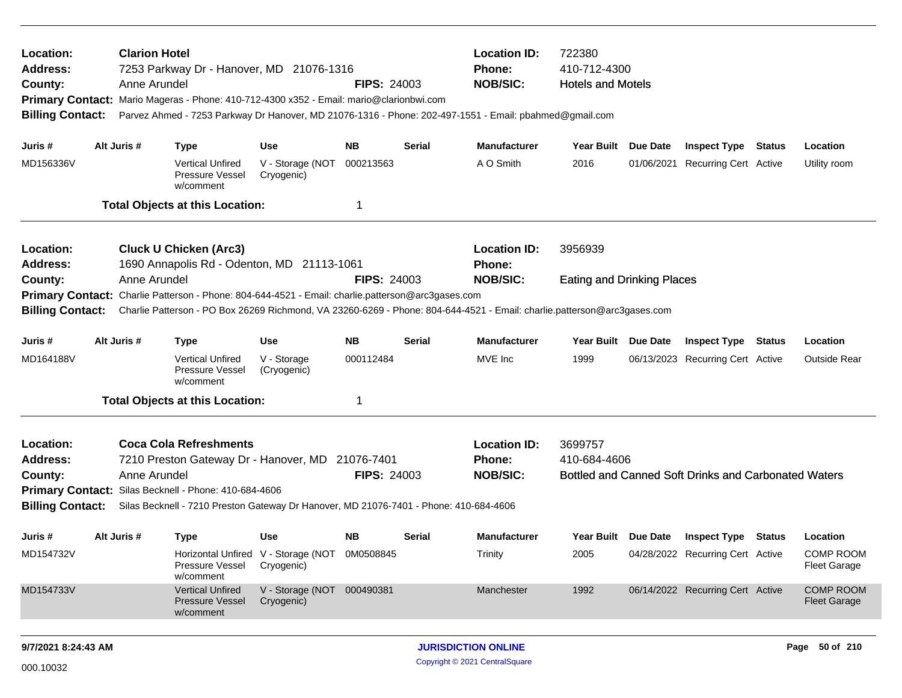| Location:<br>Address:<br>County:<br><b>Billing Contact:</b>        |                                                                                                                                                                                                                                                                                                                     | <b>Clarion Hotel</b><br>Anne Arundel | 7253 Parkway Dr - Hanover, MD 21076-1316<br>Primary Contact: Mario Mageras - Phone: 410-712-4300 x352 - Email: mario@clarionbwi.com                                              |                                                                              | <b>FIPS: 24003</b>                    |               | <b>Location ID:</b><br>Phone:<br><b>NOB/SIC:</b><br>Parvez Ahmed - 7253 Parkway Dr Hanover, MD 21076-1316 - Phone: 202-497-1551 - Email: pbahmed@gmail.com                         | 722380<br>410-712-4300<br><b>Hotels and Motels</b> |                                                                                                    |        |                                                                         |
|--------------------------------------------------------------------|---------------------------------------------------------------------------------------------------------------------------------------------------------------------------------------------------------------------------------------------------------------------------------------------------------------------|--------------------------------------|----------------------------------------------------------------------------------------------------------------------------------------------------------------------------------|------------------------------------------------------------------------------|---------------------------------------|---------------|------------------------------------------------------------------------------------------------------------------------------------------------------------------------------------|----------------------------------------------------|----------------------------------------------------------------------------------------------------|--------|-------------------------------------------------------------------------|
| Juris #<br>MD156336V                                               |                                                                                                                                                                                                                                                                                                                     | Alt Juris #                          | <b>Type</b><br><b>Vertical Unfired</b><br><b>Pressure Vessel</b><br>w/comment<br><b>Total Objects at this Location:</b>                                                          | <b>Use</b><br>V - Storage (NOT<br>Cryogenic)                                 | <b>NB</b><br>000213563<br>$\mathbf 1$ | <b>Serial</b> | <b>Manufacturer</b><br>A O Smith                                                                                                                                                   | Year Built Due Date<br>2016                        | <b>Inspect Type Status</b><br>01/06/2021 Recurring Cert Active                                     |        | Location<br>Utility room                                                |
| Location:<br><b>Address:</b><br>County:<br><b>Billing Contact:</b> |                                                                                                                                                                                                                                                                                                                     | Anne Arundel                         | <b>Cluck U Chicken (Arc3)</b><br>1690 Annapolis Rd - Odenton, MD 21113-1061<br>Primary Contact: Charlie Patterson - Phone: 804-644-4521 - Email: charlie.patterson@arc3gases.com |                                                                              | <b>FIPS: 24003</b>                    |               | <b>Location ID:</b><br><b>Phone:</b><br><b>NOB/SIC:</b><br>Charlie Patterson - PO Box 26269 Richmond, VA 23260-6269 - Phone: 804-644-4521 - Email: charlie.patterson@arc3gases.com | 3956939<br><b>Eating and Drinking Places</b>       |                                                                                                    |        |                                                                         |
| Juris #<br>MD164188V                                               |                                                                                                                                                                                                                                                                                                                     | Alt Juris #                          | <b>Type</b><br><b>Vertical Unfired</b><br><b>Pressure Vessel</b><br>w/comment                                                                                                    | <b>Use</b><br>V - Storage<br>(Cryogenic)                                     | <b>NB</b><br>000112484<br>$\mathbf 1$ | <b>Serial</b> | <b>Manufacturer</b><br>MVE Inc                                                                                                                                                     | Year Built Due Date<br>1999                        | <b>Inspect Type</b><br>06/13/2023 Recurring Cert Active                                            | Status | Location<br><b>Outside Rear</b>                                         |
| Location:<br><b>Address:</b><br>County:<br><b>Billing Contact:</b> | <b>Total Objects at this Location:</b><br><b>Coca Cola Refreshments</b><br>7210 Preston Gateway Dr - Hanover, MD 21076-7401<br>Anne Arundel<br><b>FIPS: 24003</b><br>Primary Contact: Silas Becknell - Phone: 410-684-4606<br>Silas Becknell - 7210 Preston Gateway Dr Hanover, MD 21076-7401 - Phone: 410-684-4606 |                                      |                                                                                                                                                                                  |                                                                              |                                       |               | <b>Location ID:</b><br>Phone:<br><b>NOB/SIC:</b>                                                                                                                                   | 3699757<br>410-684-4606                            | Bottled and Canned Soft Drinks and Carbonated Waters                                               |        |                                                                         |
| Juris #<br>MD154732V<br>MD154733V                                  |                                                                                                                                                                                                                                                                                                                     | Alt Juris #                          | <b>Type</b><br><b>Pressure Vessel</b><br>w/comment<br><b>Vertical Unfired</b>                                                                                                    | Use<br>Horizontal Unfired V - Storage (NOT<br>Cryogenic)<br>V - Storage (NOT | <b>NB</b><br>0M0508845<br>000490381   | Serial        | <b>Manufacturer</b><br>Trinity<br>Manchester                                                                                                                                       | Year Built Due Date<br>2005<br>1992                | <b>Inspect Type Status</b><br>04/28/2022 Recurring Cert Active<br>06/14/2022 Recurring Cert Active |        | Location<br><b>COMP ROOM</b><br><b>Fleet Garage</b><br><b>COMP ROOM</b> |
|                                                                    |                                                                                                                                                                                                                                                                                                                     |                                      | <b>Pressure Vessel</b><br>w/comment                                                                                                                                              | Cryogenic)                                                                   |                                       |               |                                                                                                                                                                                    |                                                    |                                                                                                    |        | <b>Fleet Garage</b>                                                     |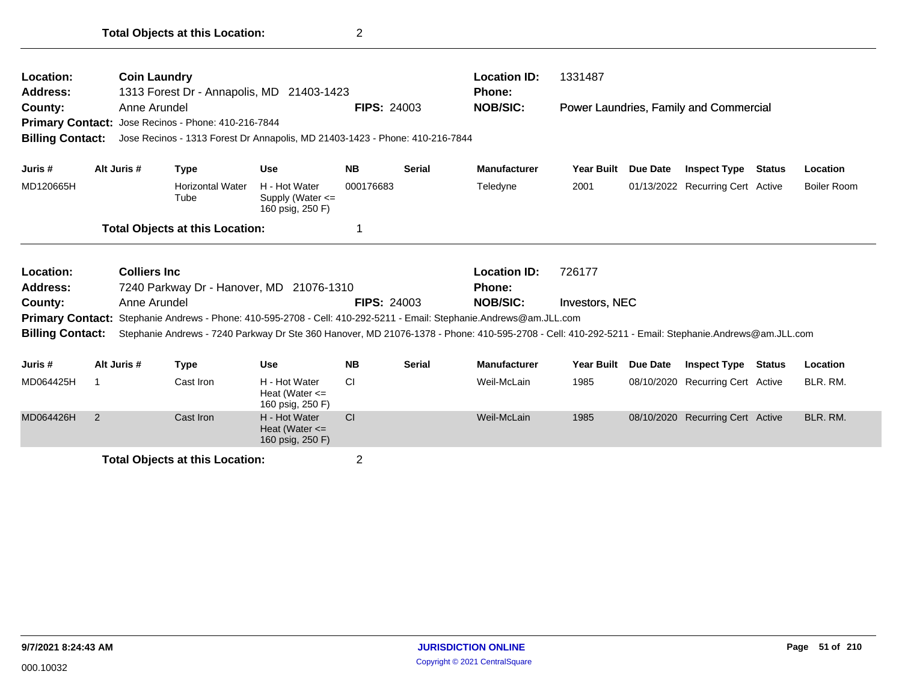| Location:<br>Address:<br>County:<br><b>Billing Contact:</b> | <b>Coin Laundry</b><br>Anne Arundel | 1313 Forest Dr - Annapolis, MD 21403-1423<br>Primary Contact: Jose Recinos - Phone: 410-216-7844<br>Jose Recinos - 1313 Forest Dr Annapolis, MD 21403-1423 - Phone: 410-216-7844                                                                          |                                                           | <b>FIPS: 24003</b> |               | <b>Location ID:</b><br>Phone:<br><b>NOB/SIC:</b> | 1331487           |                 | Power Laundries, Family and Commercial |               |                    |
|-------------------------------------------------------------|-------------------------------------|-----------------------------------------------------------------------------------------------------------------------------------------------------------------------------------------------------------------------------------------------------------|-----------------------------------------------------------|--------------------|---------------|--------------------------------------------------|-------------------|-----------------|----------------------------------------|---------------|--------------------|
| Juris #                                                     | Alt Juris #                         | <b>Type</b>                                                                                                                                                                                                                                               | <b>Use</b>                                                | <b>NB</b>          | <b>Serial</b> | <b>Manufacturer</b>                              | <b>Year Built</b> | Due Date        | <b>Inspect Type</b>                    | Status        | Location           |
| MD120665H                                                   |                                     | <b>Horizontal Water</b><br>Tube                                                                                                                                                                                                                           | H - Hot Water<br>Supply (Water $\leq$<br>160 psig, 250 F) | 000176683          |               | Teledyne                                         | 2001              |                 | 01/13/2022 Recurring Cert Active       |               | <b>Boiler Room</b> |
|                                                             |                                     | <b>Total Objects at this Location:</b>                                                                                                                                                                                                                    |                                                           | 1                  |               |                                                  |                   |                 |                                        |               |                    |
| Location:<br><b>Address:</b>                                | <b>Colliers Inc.</b>                | 7240 Parkway Dr - Hanover, MD 21076-1310                                                                                                                                                                                                                  |                                                           |                    |               | <b>Location ID:</b><br><b>Phone:</b>             | 726177            |                 |                                        |               |                    |
| County:                                                     | Anne Arundel                        |                                                                                                                                                                                                                                                           |                                                           | <b>FIPS: 24003</b> |               | <b>NOB/SIC:</b>                                  | Investors, NEC    |                 |                                        |               |                    |
| <b>Primary Contact:</b><br><b>Billing Contact:</b>          |                                     | Stephanie Andrews - Phone: 410-595-2708 - Cell: 410-292-5211 - Email: Stephanie.Andrews@am.JLL.com<br>Stephanie Andrews - 7240 Parkway Dr Ste 360 Hanover, MD 21076-1378 - Phone: 410-595-2708 - Cell: 410-292-5211 - Email: Stephanie.Andrews@am.JLL.com |                                                           |                    |               |                                                  |                   |                 |                                        |               |                    |
| Juris #                                                     | Alt Juris #                         | <b>Type</b>                                                                                                                                                                                                                                               | <b>Use</b>                                                | <b>NB</b>          | <b>Serial</b> | <b>Manufacturer</b>                              | <b>Year Built</b> | <b>Due Date</b> | <b>Inspect Type</b>                    | <b>Status</b> | Location           |
| MD064425H                                                   |                                     | Cast Iron                                                                                                                                                                                                                                                 | H - Hot Water<br>Heat (Water $\leq$<br>160 psig, 250 F)   | <b>CI</b>          |               | Weil-McLain                                      | 1985              |                 | 08/10/2020 Recurring Cert Active       |               | BLR. RM.           |
| MD064426H                                                   | 2                                   | Cast Iron                                                                                                                                                                                                                                                 | H - Hot Water<br>Heat (Water $\leq$<br>160 psig, 250 F)   | <b>CI</b>          |               | Weil-McLain                                      | 1985              |                 | 08/10/2020 Recurring Cert Active       |               | BLR. RM.           |
|                                                             |                                     | <b>Total Objects at this Location:</b>                                                                                                                                                                                                                    |                                                           | $\overline{2}$     |               |                                                  |                   |                 |                                        |               |                    |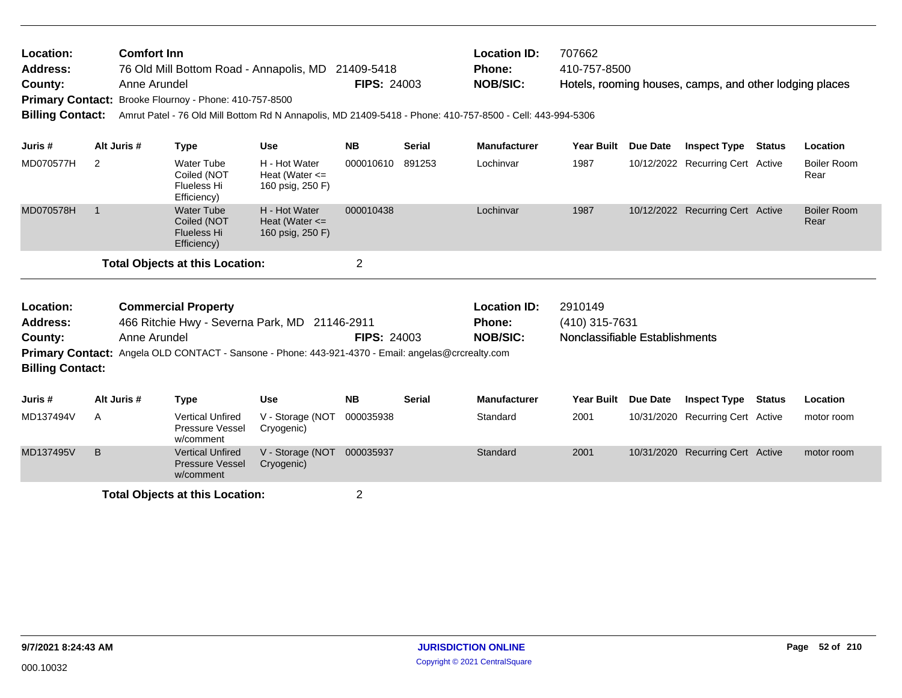| Location:<br><b>Address:</b><br>County:<br><b>Billing Contact:</b> |                                                                                                                                                                                                                                             | <b>Comfort Inn</b><br>Anne Arundel | Primary Contact: Brooke Flournoy - Phone: 410-757-8500                | 76 Old Mill Bottom Road - Annapolis, MD 21409-5418<br>Amrut Patel - 76 Old Mill Bottom Rd N Annapolis, MD 21409-5418 - Phone: 410-757-8500 - Cell: 443-994-5306 | <b>FIPS: 24003</b> |                    | <b>Location ID:</b><br>Phone:<br><b>NOB/SIC:</b> | 707662<br>410-757-8500                                      |                 | Hotels, rooming houses, camps, and other lodging places |               |                            |
|--------------------------------------------------------------------|---------------------------------------------------------------------------------------------------------------------------------------------------------------------------------------------------------------------------------------------|------------------------------------|-----------------------------------------------------------------------|-----------------------------------------------------------------------------------------------------------------------------------------------------------------|--------------------|--------------------|--------------------------------------------------|-------------------------------------------------------------|-----------------|---------------------------------------------------------|---------------|----------------------------|
| Juris #                                                            |                                                                                                                                                                                                                                             | Alt Juris #                        | <b>Type</b>                                                           | <b>Use</b>                                                                                                                                                      | <b>NB</b>          | <b>Serial</b>      | <b>Manufacturer</b>                              | <b>Year Built</b>                                           | Due Date        | <b>Inspect Type Status</b>                              |               | Location                   |
| MD070577H                                                          | 2                                                                                                                                                                                                                                           |                                    | <b>Water Tube</b><br>Coiled (NOT<br>Flueless Hi<br>Efficiency)        | H - Hot Water<br>Heat (Water $\leq$<br>160 psig, 250 F)                                                                                                         | 000010610          | 891253             | Lochinvar                                        | 1987                                                        |                 | 10/12/2022 Recurring Cert Active                        |               | <b>Boiler Room</b><br>Rear |
| MD070578H                                                          | $\overline{1}$                                                                                                                                                                                                                              |                                    | <b>Water Tube</b><br>Coiled (NOT<br><b>Flueless Hi</b><br>Efficiency) | H - Hot Water<br>Heat (Water $\leq$<br>160 psig, 250 F)                                                                                                         | 000010438          |                    | Lochinvar                                        | 1987                                                        |                 | 10/12/2022 Recurring Cert Active                        |               | <b>Boiler Room</b><br>Rear |
|                                                                    |                                                                                                                                                                                                                                             |                                    |                                                                       |                                                                                                                                                                 | $\overline{2}$     |                    |                                                  |                                                             |                 |                                                         |               |                            |
| Location:<br><b>Address:</b><br>County:<br><b>Billing Contact:</b> | <b>Total Objects at this Location:</b><br><b>Commercial Property</b><br>466 Ritchie Hwy - Severna Park, MD 21146-2911<br>Anne Arundel<br>Primary Contact: Angela OLD CONTACT - Sansone - Phone: 443-921-4370 - Email: angelas@crcrealty.com |                                    |                                                                       |                                                                                                                                                                 |                    | <b>FIPS: 24003</b> | <b>Location ID:</b><br>Phone:<br><b>NOB/SIC:</b> | 2910149<br>(410) 315-7631<br>Nonclassifiable Establishments |                 |                                                         |               |                            |
| Juris #                                                            |                                                                                                                                                                                                                                             | Alt Juris #                        | <b>Type</b>                                                           | <b>Use</b>                                                                                                                                                      | <b>NB</b>          | <b>Serial</b>      | <b>Manufacturer</b>                              | <b>Year Built</b>                                           | <b>Due Date</b> | <b>Inspect Type</b>                                     | <b>Status</b> | Location                   |
| MD137494V                                                          | A                                                                                                                                                                                                                                           |                                    | <b>Vertical Unfired</b><br>Pressure Vessel<br>w/comment               | V - Storage (NOT<br>Cryogenic)                                                                                                                                  | 000035938          |                    | Standard                                         | 2001                                                        |                 | 10/31/2020 Recurring Cert Active                        |               | motor room                 |
| MD137495V                                                          | B                                                                                                                                                                                                                                           |                                    | <b>Vertical Unfired</b><br><b>Pressure Vessel</b><br>w/comment        | V - Storage (NOT 000035937<br>Cryogenic)                                                                                                                        |                    |                    | Standard                                         | 2001                                                        |                 | 10/31/2020 Recurring Cert Active                        |               | motor room                 |
|                                                                    |                                                                                                                                                                                                                                             |                                    | <b>Total Objects at this Location:</b>                                |                                                                                                                                                                 | $\overline{2}$     |                    |                                                  |                                                             |                 |                                                         |               |                            |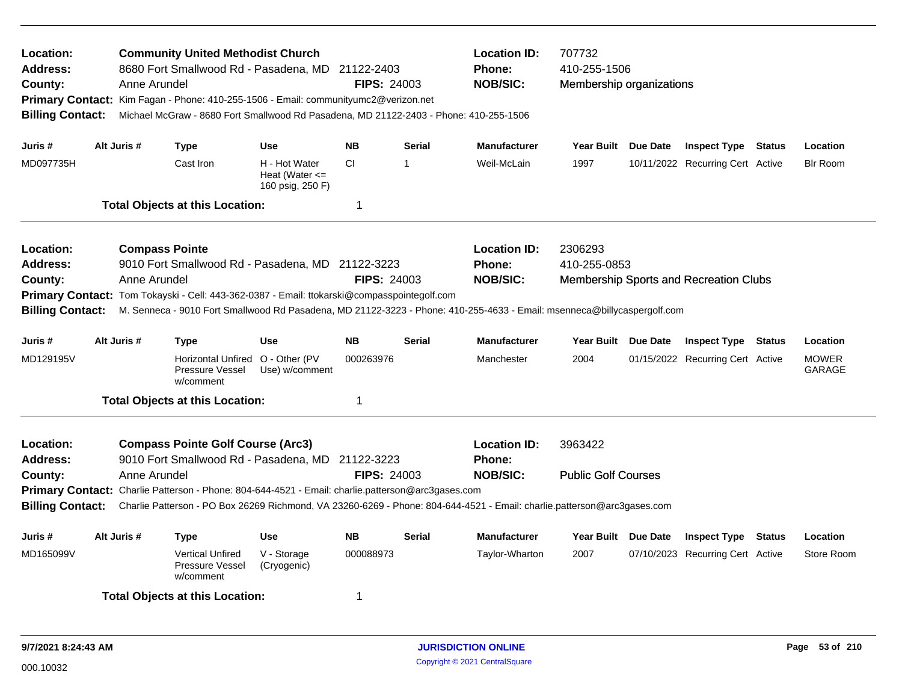| Location:<br><b>Address:</b><br>County:<br><b>Billing Contact:</b>                                                                                                                                                                                                                                                                                                                                                                                                                 |                                                                        | Anne Arundel                          | <b>Community United Methodist Church</b><br>8680 Fort Smallwood Rd - Pasadena, MD 21122-2403<br>Primary Contact: Kim Fagan - Phone: 410-255-1506 - Email: communityumc2@verizon.net<br>Michael McGraw - 8680 Fort Smallwood Rd Pasadena, MD 21122-2403 - Phone: 410-255-1506 |                                                         | <b>FIPS: 24003</b> |                     | <b>Location ID:</b><br><b>Phone:</b><br><b>NOB/SIC:</b>                                                                                                                            | 707732<br>410-255-1506<br>Membership organizations |                                        |            |                        |
|------------------------------------------------------------------------------------------------------------------------------------------------------------------------------------------------------------------------------------------------------------------------------------------------------------------------------------------------------------------------------------------------------------------------------------------------------------------------------------|------------------------------------------------------------------------|---------------------------------------|------------------------------------------------------------------------------------------------------------------------------------------------------------------------------------------------------------------------------------------------------------------------------|---------------------------------------------------------|--------------------|---------------------|------------------------------------------------------------------------------------------------------------------------------------------------------------------------------------|----------------------------------------------------|----------------------------------------|------------|------------------------|
| Juris #                                                                                                                                                                                                                                                                                                                                                                                                                                                                            | Alt Juris #                                                            |                                       | <b>Type</b>                                                                                                                                                                                                                                                                  | <b>Use</b>                                              | <b>NB</b>          | <b>Serial</b>       | <b>Manufacturer</b>                                                                                                                                                                | Year Built Due Date                                | <b>Inspect Type Status</b>             |            | Location               |
| MD097735H                                                                                                                                                                                                                                                                                                                                                                                                                                                                          |                                                                        |                                       | Cast Iron                                                                                                                                                                                                                                                                    | H - Hot Water<br>Heat (Water $\leq$<br>160 psig, 250 F) | <b>CI</b>          | $\mathbf 1$         | Weil-McLain                                                                                                                                                                        | 1997                                               | 10/11/2022 Recurring Cert Active       |            | <b>Blr Room</b>        |
|                                                                                                                                                                                                                                                                                                                                                                                                                                                                                    |                                                                        |                                       | <b>Total Objects at this Location:</b>                                                                                                                                                                                                                                       |                                                         | -1                 |                     |                                                                                                                                                                                    |                                                    |                                        |            |                        |
| Location:<br><b>Address:</b><br>County:<br><b>Billing Contact:</b>                                                                                                                                                                                                                                                                                                                                                                                                                 |                                                                        | <b>Compass Pointe</b><br>Anne Arundel | 9010 Fort Smallwood Rd - Pasadena, MD 21122-3223<br>Primary Contact: Tom Tokayski - Cell: 443-362-0387 - Email: ttokarski@compasspointegolf.com                                                                                                                              |                                                         | <b>FIPS: 24003</b> |                     | <b>Location ID:</b><br><b>Phone:</b><br><b>NOB/SIC:</b><br>M. Senneca - 9010 Fort Smallwood Rd Pasadena, MD 21122-3223 - Phone: 410-255-4633 - Email: msenneca@billycaspergolf.com | 2306293<br>410-255-0853                            | Membership Sports and Recreation Clubs |            |                        |
| Juris #                                                                                                                                                                                                                                                                                                                                                                                                                                                                            | Alt Juris #                                                            |                                       | <b>Type</b>                                                                                                                                                                                                                                                                  | <b>Use</b>                                              | <b>Serial</b>      | <b>Manufacturer</b> | Year Built Due Date                                                                                                                                                                | <b>Inspect Type Status</b>                         |                                        | Location   |                        |
| MD129195V                                                                                                                                                                                                                                                                                                                                                                                                                                                                          |                                                                        |                                       | Horizontal Unfired O - Other (PV<br>Pressure Vessel<br>w/comment                                                                                                                                                                                                             | Use) w/comment                                          | 000263976          |                     | Manchester                                                                                                                                                                         | 2004                                               | 01/15/2022 Recurring Cert Active       |            | <b>MOWER</b><br>GARAGE |
|                                                                                                                                                                                                                                                                                                                                                                                                                                                                                    |                                                                        |                                       |                                                                                                                                                                                                                                                                              |                                                         | -1                 |                     |                                                                                                                                                                                    |                                                    |                                        |            |                        |
| <b>Total Objects at this Location:</b><br>Location:<br><b>Compass Pointe Golf Course (Arc3)</b><br>9010 Fort Smallwood Rd - Pasadena, MD 21122-3223<br><b>Address:</b><br><b>FIPS: 24003</b><br>Anne Arundel<br>County:<br>Primary Contact: Charlie Patterson - Phone: 804-644-4521 - Email: charlie.patterson@arc3gases.com<br>Charlie Patterson - PO Box 26269 Richmond, VA 23260-6269 - Phone: 804-644-4521 - Email: charlie.patterson@arc3gases.com<br><b>Billing Contact:</b> |                                                                        |                                       |                                                                                                                                                                                                                                                                              |                                                         |                    |                     | <b>Location ID:</b><br><b>Phone:</b><br><b>NOB/SIC:</b>                                                                                                                            | 3963422<br><b>Public Golf Courses</b>              |                                        |            |                        |
| Juris #                                                                                                                                                                                                                                                                                                                                                                                                                                                                            | Alt Juris #<br><b>NB</b><br><b>Use</b><br><b>Serial</b><br><b>Type</b> |                                       |                                                                                                                                                                                                                                                                              |                                                         |                    | <b>Manufacturer</b> | Year Built Due Date                                                                                                                                                                | <b>Inspect Type</b>                                | Status                                 | Location   |                        |
| MD165099V<br><b>Vertical Unfired</b><br>V - Storage<br>000088973<br><b>Pressure Vessel</b><br>(Cryogenic)<br>w/comment                                                                                                                                                                                                                                                                                                                                                             |                                                                        |                                       |                                                                                                                                                                                                                                                                              |                                                         |                    | Taylor-Wharton      | 2007                                                                                                                                                                               | 07/10/2023 Recurring Cert Active                   |                                        | Store Room |                        |
|                                                                                                                                                                                                                                                                                                                                                                                                                                                                                    |                                                                        |                                       | <b>Total Objects at this Location:</b>                                                                                                                                                                                                                                       |                                                         | -1                 |                     |                                                                                                                                                                                    |                                                    |                                        |            |                        |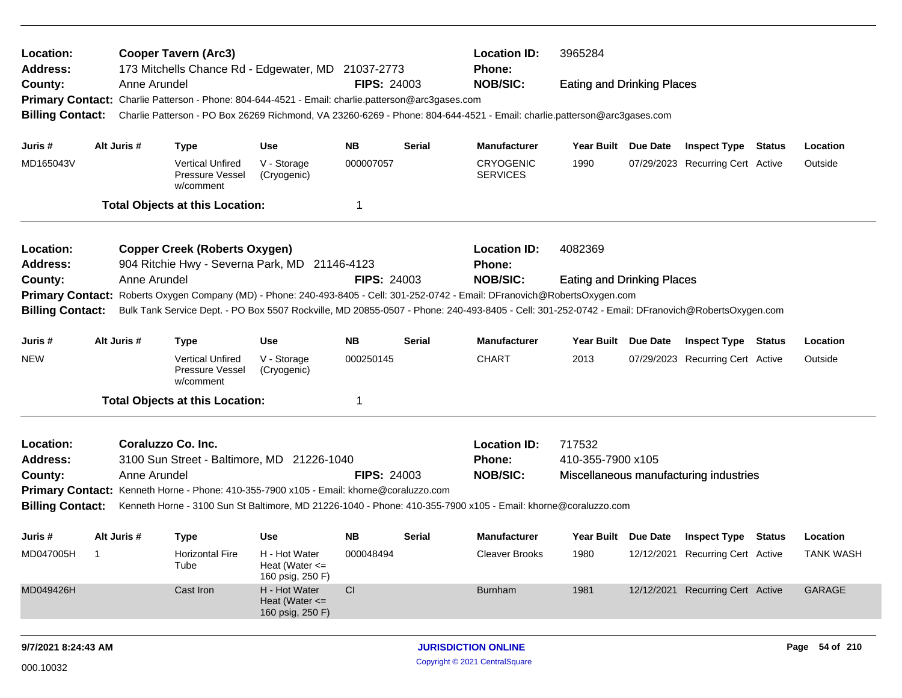| Location:<br><b>Address:</b><br>County:<br><b>Billing Contact:</b>                     |                                                                                                                                                                                                                                                                                                                                                                                         | Anne Arundel | <b>Cooper Tavern (Arc3)</b>                                                                                      | 173 Mitchells Chance Rd - Edgewater, MD 21037-2773<br>Primary Contact: Charlie Patterson - Phone: 804-644-4521 - Email: charlie.patterson@arc3gases.com<br>Charlie Patterson - PO Box 26269 Richmond, VA 23260-6269 - Phone: 804-644-4521 - Email: charlie.patterson@arc3gases.com                               | <b>FIPS: 24003</b>           |               | <b>Location ID:</b><br>Phone:<br><b>NOB/SIC:</b>           | 3965284<br><b>Eating and Drinking Places</b> |          |                                                                |                              |
|----------------------------------------------------------------------------------------|-----------------------------------------------------------------------------------------------------------------------------------------------------------------------------------------------------------------------------------------------------------------------------------------------------------------------------------------------------------------------------------------|--------------|------------------------------------------------------------------------------------------------------------------|------------------------------------------------------------------------------------------------------------------------------------------------------------------------------------------------------------------------------------------------------------------------------------------------------------------|------------------------------|---------------|------------------------------------------------------------|----------------------------------------------|----------|----------------------------------------------------------------|------------------------------|
| Juris #<br>MD165043V                                                                   | Alt Juris #                                                                                                                                                                                                                                                                                                                                                                             |              | <b>Type</b><br><b>Vertical Unfired</b><br>Pressure Vessel<br>w/comment<br><b>Total Objects at this Location:</b> | Use<br>V - Storage<br>(Cryogenic)                                                                                                                                                                                                                                                                                | <b>NB</b><br>000007057<br>1  | <b>Serial</b> | <b>Manufacturer</b><br><b>CRYOGENIC</b><br><b>SERVICES</b> | Year Built Due Date<br>1990                  |          | <b>Inspect Type Status</b><br>07/29/2023 Recurring Cert Active | Location<br>Outside          |
| Location:<br>Address:<br>County:<br><b>Primary Contact:</b><br><b>Billing Contact:</b> |                                                                                                                                                                                                                                                                                                                                                                                         | Anne Arundel | <b>Copper Creek (Roberts Oxygen)</b>                                                                             | 904 Ritchie Hwy - Severna Park, MD 21146-4123<br>Roberts Oxygen Company (MD) - Phone: 240-493-8405 - Cell: 301-252-0742 - Email: DFranovich@RobertsOxygen.com<br>Bulk Tank Service Dept. - PO Box 5507 Rockville, MD 20855-0507 - Phone: 240-493-8405 - Cell: 301-252-0742 - Email: DFranovich@RobertsOxygen.com | <b>FIPS: 24003</b>           |               | <b>Location ID:</b><br><b>Phone:</b><br><b>NOB/SIC:</b>    | 4082369<br><b>Eating and Drinking Places</b> |          |                                                                |                              |
| Juris #<br><b>NEW</b>                                                                  | Alt Juris #                                                                                                                                                                                                                                                                                                                                                                             |              | <b>Type</b><br><b>Vertical Unfired</b><br>Pressure Vessel<br>w/comment                                           | Use<br>V - Storage<br>(Cryogenic)                                                                                                                                                                                                                                                                                | <b>NB</b><br>000250145<br>-1 | <b>Serial</b> | <b>Manufacturer</b><br><b>CHART</b>                        | Year Built<br>2013                           | Due Date | <b>Inspect Type Status</b><br>07/29/2023 Recurring Cert Active | Location<br>Outside          |
| Location:<br><b>Address:</b><br>County:                                                | <b>Total Objects at this Location:</b><br>Coraluzzo Co. Inc.<br>3100 Sun Street - Baltimore, MD 21226-1040<br>Anne Arundel<br><b>FIPS: 24003</b><br>Primary Contact: Kenneth Horne - Phone: 410-355-7900 x105 - Email: khorne@coraluzzo.com<br><b>Billing Contact:</b><br>Kenneth Horne - 3100 Sun St Baltimore, MD 21226-1040 - Phone: 410-355-7900 x105 - Email: khorne@coraluzzo.com |              |                                                                                                                  |                                                                                                                                                                                                                                                                                                                  |                              |               |                                                            | 717532<br>410-355-7900 x105                  |          | Miscellaneous manufacturing industries                         |                              |
| Juris #<br>MD047005H                                                                   | Alt Juris #<br>$\overline{\phantom{1}}$                                                                                                                                                                                                                                                                                                                                                 |              | <b>Type</b><br><b>Horizontal Fire</b><br>Tube                                                                    | Use<br>H - Hot Water<br>Heat (Water $\leq$<br>160 psig, 250 F)                                                                                                                                                                                                                                                   | <b>NB</b><br>000048494       | <b>Serial</b> | <b>Manufacturer</b><br>Cleaver Brooks                      | Year Built Due Date<br>1980                  |          | <b>Inspect Type Status</b><br>12/12/2021 Recurring Cert Active | Location<br><b>TANK WASH</b> |
| MD049426H                                                                              |                                                                                                                                                                                                                                                                                                                                                                                         |              | Cast Iron                                                                                                        | H - Hot Water<br>Heat (Water $\leq$<br>160 psig, 250 F)                                                                                                                                                                                                                                                          | CI                           |               | <b>Burnham</b>                                             | 1981                                         |          | 12/12/2021 Recurring Cert Active                               | GARAGE                       |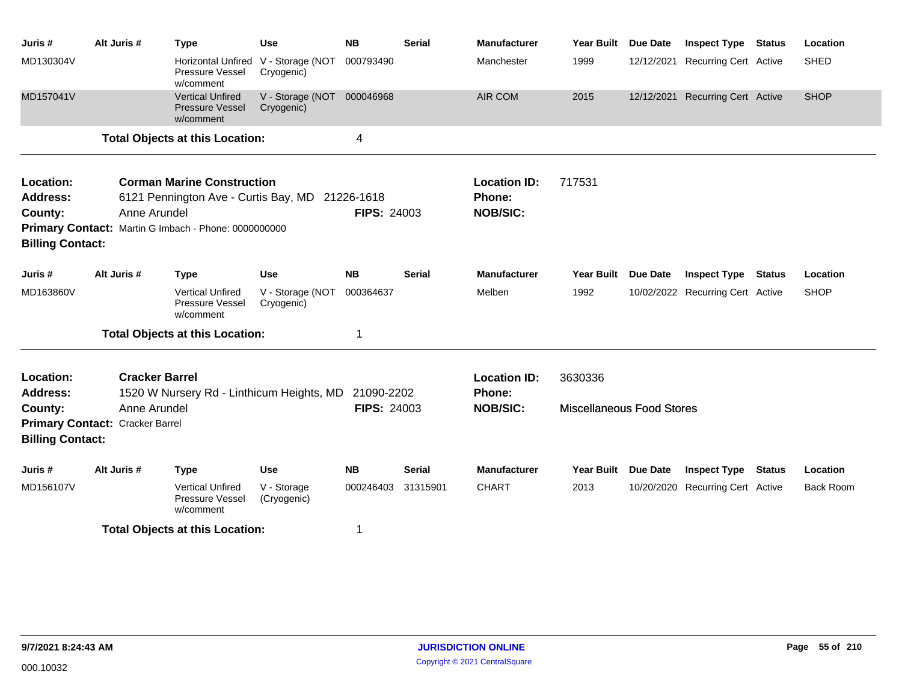| Juris #                                                            | Alt Juris #                     | <b>Type</b>                                                                                                                                  | <b>Use</b>                               | <b>NB</b>          | <b>Serial</b> | <b>Manufacturer</b>                              | <b>Year Built</b>                | <b>Due Date</b> | <b>Inspect Type</b>              | <b>Status</b> | Location         |
|--------------------------------------------------------------------|---------------------------------|----------------------------------------------------------------------------------------------------------------------------------------------|------------------------------------------|--------------------|---------------|--------------------------------------------------|----------------------------------|-----------------|----------------------------------|---------------|------------------|
| MD130304V                                                          |                                 | <b>Horizontal Unfired</b><br>Pressure Vessel<br>w/comment                                                                                    | V - Storage (NOT<br>Cryogenic)           | 000793490          |               | Manchester                                       | 1999                             |                 | 12/12/2021 Recurring Cert Active |               | <b>SHED</b>      |
| MD157041V                                                          |                                 | <b>Vertical Unfired</b><br><b>Pressure Vessel</b><br>w/comment                                                                               | V - Storage (NOT 000046968<br>Cryogenic) |                    |               | <b>AIR COM</b>                                   | 2015                             |                 | 12/12/2021 Recurring Cert Active |               | <b>SHOP</b>      |
|                                                                    |                                 | <b>Total Objects at this Location:</b>                                                                                                       |                                          | 4                  |               |                                                  |                                  |                 |                                  |               |                  |
| Location:<br><b>Address:</b><br>County:<br><b>Billing Contact:</b> | Anne Arundel                    | <b>Corman Marine Construction</b><br>6121 Pennington Ave - Curtis Bay, MD 21226-1618<br>Primary Contact: Martin G Imbach - Phone: 0000000000 |                                          | <b>FIPS: 24003</b> |               | <b>Location ID:</b><br>Phone:<br><b>NOB/SIC:</b> | 717531                           |                 |                                  |               |                  |
| Juris #                                                            | Alt Juris #                     | <b>Type</b>                                                                                                                                  | <b>Use</b>                               | <b>NB</b>          | <b>Serial</b> | <b>Manufacturer</b>                              | <b>Year Built</b>                | Due Date        | <b>Inspect Type</b>              | <b>Status</b> | Location         |
| MD163860V                                                          |                                 | <b>Vertical Unfired</b><br>Pressure Vessel<br>w/comment                                                                                      | V - Storage (NOT<br>Cryogenic)           | 000364637          |               | Melben                                           | 1992                             |                 | 10/02/2022 Recurring Cert Active |               | <b>SHOP</b>      |
|                                                                    |                                 | <b>Total Objects at this Location:</b>                                                                                                       |                                          | 1                  |               |                                                  |                                  |                 |                                  |               |                  |
| Location:<br><b>Address:</b>                                       | <b>Cracker Barrel</b>           | 1520 W Nursery Rd - Linthicum Heights, MD                                                                                                    |                                          | 21090-2202         |               | <b>Location ID:</b><br>Phone:                    | 3630336                          |                 |                                  |               |                  |
| County:                                                            | Anne Arundel                    |                                                                                                                                              |                                          | <b>FIPS: 24003</b> |               | <b>NOB/SIC:</b>                                  | <b>Miscellaneous Food Stores</b> |                 |                                  |               |                  |
| <b>Billing Contact:</b>                                            | Primary Contact: Cracker Barrel |                                                                                                                                              |                                          |                    |               |                                                  |                                  |                 |                                  |               |                  |
| Juris#                                                             | Alt Juris #                     | <b>Type</b>                                                                                                                                  | Use                                      | <b>NB</b>          | Serial        | <b>Manufacturer</b>                              | Year Built Due Date              |                 | <b>Inspect Type</b>              | <b>Status</b> | Location         |
| MD156107V                                                          |                                 | <b>Vertical Unfired</b><br>Pressure Vessel<br>w/comment                                                                                      | V - Storage<br>(Cryogenic)               | 000246403          | 31315901      | <b>CHART</b>                                     | 2013                             |                 | 10/20/2020 Recurring Cert Active |               | <b>Back Room</b> |
|                                                                    |                                 | <b>Total Objects at this Location:</b>                                                                                                       |                                          |                    |               |                                                  |                                  |                 |                                  |               |                  |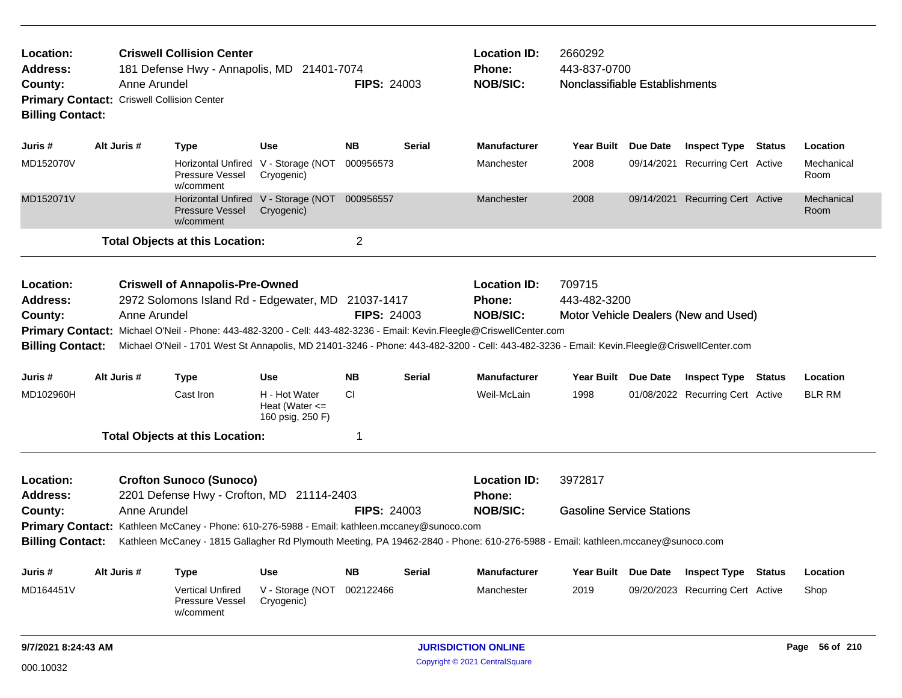| Location:<br><b>Address:</b><br>County: | <b>Criswell Collision Center</b><br>181 Defense Hwy - Annapolis, MD 21401-7074<br>Anne Arundel<br>Primary Contact: Criswell Collision Center<br><b>Billing Contact:</b><br>Alt Juris #                                                                                                                                                                                                                         |              |                                                                                                                                                                             |                                                             |                    | <b>FIPS: 24003</b> | <b>Location ID:</b><br>Phone:<br><b>NOB/SIC:</b>        | 2660292<br>443-837-0700<br>Nonclassifiable Establishments |                                      |                    |
|-----------------------------------------|----------------------------------------------------------------------------------------------------------------------------------------------------------------------------------------------------------------------------------------------------------------------------------------------------------------------------------------------------------------------------------------------------------------|--------------|-----------------------------------------------------------------------------------------------------------------------------------------------------------------------------|-------------------------------------------------------------|--------------------|--------------------|---------------------------------------------------------|-----------------------------------------------------------|--------------------------------------|--------------------|
| Juris #                                 |                                                                                                                                                                                                                                                                                                                                                                                                                |              | <b>Type</b>                                                                                                                                                                 | <b>Use</b>                                                  | <b>NB</b>          | <b>Serial</b>      | <b>Manufacturer</b>                                     | Year Built Due Date                                       | <b>Inspect Type Status</b>           | Location           |
| MD152070V                               |                                                                                                                                                                                                                                                                                                                                                                                                                |              | Pressure Vessel<br>w/comment                                                                                                                                                | Horizontal Unfired V - Storage (NOT<br>Cryogenic)           | 000956573          |                    | Manchester                                              | 2008                                                      | 09/14/2021 Recurring Cert Active     | Mechanical<br>Room |
| MD152071V                               |                                                                                                                                                                                                                                                                                                                                                                                                                |              | <b>Pressure Vessel</b><br>w/comment                                                                                                                                         | Horizontal Unfired V - Storage (NOT 000956557<br>Cryogenic) |                    |                    | Manchester                                              | 2008                                                      | 09/14/2021 Recurring Cert Active     | Mechanical<br>Room |
|                                         |                                                                                                                                                                                                                                                                                                                                                                                                                |              | <b>Total Objects at this Location:</b>                                                                                                                                      |                                                             | $\overline{c}$     |                    |                                                         |                                                           |                                      |                    |
| Location:<br><b>Address:</b><br>County: | <b>Criswell of Annapolis-Pre-Owned</b><br>2972 Solomons Island Rd - Edgewater, MD 21037-1417<br>Anne Arundel<br>Primary Contact: Michael O'Neil - Phone: 443-482-3200 - Cell: 443-482-3236 - Email: Kevin.Fleegle@CriswellCenter.com<br><b>Billing Contact:</b><br>Michael O'Neil - 1701 West St Annapolis, MD 21401-3246 - Phone: 443-482-3200 - Cell: 443-482-3236 - Email: Kevin.Fleegle@CriswellCenter.com |              |                                                                                                                                                                             |                                                             |                    | <b>FIPS: 24003</b> | <b>Location ID:</b><br><b>Phone:</b><br><b>NOB/SIC:</b> | 709715<br>443-482-3200                                    | Motor Vehicle Dealers (New and Used) |                    |
| Juris #                                 | Alt Juris #                                                                                                                                                                                                                                                                                                                                                                                                    |              | <b>Type</b>                                                                                                                                                                 | <b>Use</b>                                                  | <b>NB</b>          | <b>Serial</b>      | <b>Manufacturer</b>                                     | Year Built Due Date                                       | <b>Inspect Type Status</b>           | Location           |
| MD102960H                               |                                                                                                                                                                                                                                                                                                                                                                                                                |              | Cast Iron                                                                                                                                                                   | H - Hot Water<br>Heat (Water $\leq$<br>160 psig, 250 F)     | <b>CI</b>          |                    | Weil-McLain                                             | 1998                                                      | 01/08/2022 Recurring Cert Active     | <b>BLR RM</b>      |
|                                         |                                                                                                                                                                                                                                                                                                                                                                                                                |              | <b>Total Objects at this Location:</b>                                                                                                                                      |                                                             | 1                  |                    |                                                         |                                                           |                                      |                    |
| Location:<br><b>Address:</b><br>County: |                                                                                                                                                                                                                                                                                                                                                                                                                | Anne Arundel | <b>Crofton Sunoco (Sunoco)</b><br>2201 Defense Hwy - Crofton, MD 21114-2403<br>Primary Contact: Kathleen McCaney - Phone: 610-276-5988 - Email: kathleen.mccaney@sunoco.com |                                                             | <b>FIPS: 24003</b> |                    | <b>Location ID:</b><br>Phone:<br><b>NOB/SIC:</b>        | 3972817<br><b>Gasoline Service Stations</b>               |                                      |                    |
| <b>Billing Contact:</b>                 |                                                                                                                                                                                                                                                                                                                                                                                                                |              | Kathleen McCaney - 1815 Gallagher Rd Plymouth Meeting, PA 19462-2840 - Phone: 610-276-5988 - Email: kathleen.mccaney@sunoco.com                                             |                                                             |                    |                    |                                                         |                                                           |                                      |                    |
| Juris #                                 | Alt Juris #                                                                                                                                                                                                                                                                                                                                                                                                    |              | <b>Type</b>                                                                                                                                                                 | Use                                                         | <b>NB</b>          | Serial             | <b>Manufacturer</b>                                     | Year Built Due Date                                       | <b>Inspect Type Status</b>           | Location           |
| MD164451V                               |                                                                                                                                                                                                                                                                                                                                                                                                                |              | <b>Vertical Unfired</b><br>Pressure Vessel<br>w/comment                                                                                                                     | V - Storage (NOT<br>Cryogenic)                              | 002122466          |                    | Manchester                                              | 2019                                                      | 09/20/2023 Recurring Cert Active     | Shop               |
| 9/7/2021 8:24:43 AM                     |                                                                                                                                                                                                                                                                                                                                                                                                                |              |                                                                                                                                                                             |                                                             |                    |                    | <b>JURISDICTION ONLINE</b>                              |                                                           |                                      | Page 56 of 210     |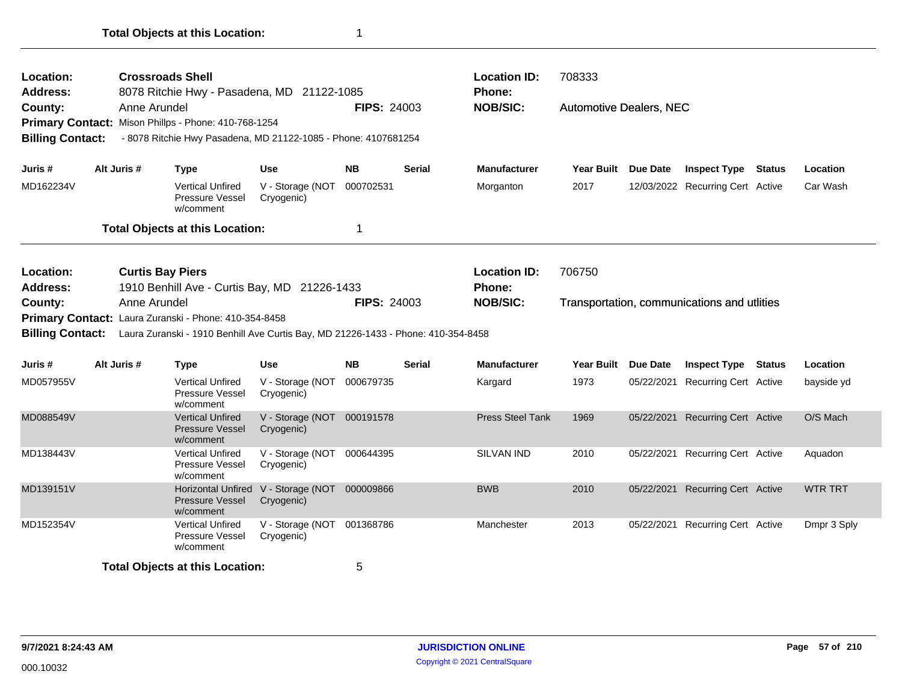| Location:<br>Address:<br>County: | <b>Crossroads Shell</b><br>8078 Ritchie Hwy - Pasadena, MD 21122-1085<br>Anne Arundel<br>Primary Contact: Mison Phillps - Phone: 410-768-1254 |                                                                                   |                                                             |                    |               | <b>Location ID:</b><br>Phone:<br><b>NOB/SIC:</b> | 708333<br><b>Automotive Dealers, NEC</b> |                 |                                             |                |
|----------------------------------|-----------------------------------------------------------------------------------------------------------------------------------------------|-----------------------------------------------------------------------------------|-------------------------------------------------------------|--------------------|---------------|--------------------------------------------------|------------------------------------------|-----------------|---------------------------------------------|----------------|
|                                  |                                                                                                                                               |                                                                                   |                                                             | <b>FIPS: 24003</b> |               |                                                  |                                          |                 |                                             |                |
| <b>Billing Contact:</b>          |                                                                                                                                               | - 8078 Ritchie Hwy Pasadena, MD 21122-1085 - Phone: 4107681254                    |                                                             |                    |               |                                                  |                                          |                 |                                             |                |
|                                  |                                                                                                                                               |                                                                                   |                                                             |                    |               |                                                  |                                          |                 |                                             |                |
| Juris #                          | Alt Juris #                                                                                                                                   | Type                                                                              | <b>Use</b>                                                  | <b>NB</b>          | <b>Serial</b> | <b>Manufacturer</b>                              | <b>Year Built</b>                        | <b>Due Date</b> | <b>Inspect Type Status</b>                  | Location       |
| MD162234V                        |                                                                                                                                               | <b>Vertical Unfired</b><br>Pressure Vessel<br>w/comment                           | V - Storage (NOT<br>Cryogenic)                              | 000702531          |               | Morganton                                        | 2017                                     |                 | 12/03/2022 Recurring Cert Active            | Car Wash       |
|                                  |                                                                                                                                               | <b>Total Objects at this Location:</b>                                            |                                                             | 1                  |               |                                                  |                                          |                 |                                             |                |
| Location:<br><b>Address:</b>     |                                                                                                                                               | <b>Curtis Bay Piers</b><br>1910 Benhill Ave - Curtis Bay, MD 21226-1433           |                                                             |                    |               | <b>Location ID:</b><br>Phone:                    | 706750                                   |                 |                                             |                |
| County:                          | Anne Arundel                                                                                                                                  |                                                                                   |                                                             | <b>FIPS: 24003</b> |               | <b>NOB/SIC:</b>                                  |                                          |                 | Transportation, communications and utlities |                |
|                                  |                                                                                                                                               | Primary Contact: Laura Zuranski - Phone: 410-354-8458                             |                                                             |                    |               |                                                  |                                          |                 |                                             |                |
| <b>Billing Contact:</b>          |                                                                                                                                               | Laura Zuranski - 1910 Benhill Ave Curtis Bay, MD 21226-1433 - Phone: 410-354-8458 |                                                             |                    |               |                                                  |                                          |                 |                                             |                |
|                                  |                                                                                                                                               |                                                                                   |                                                             |                    |               |                                                  |                                          |                 |                                             |                |
| Juris #                          | Alt Juris #                                                                                                                                   | <b>Type</b>                                                                       | <b>Use</b>                                                  | <b>NB</b>          | <b>Serial</b> | <b>Manufacturer</b>                              | Year Built Due Date                      |                 | <b>Inspect Type Status</b>                  | Location       |
| MD057955V                        |                                                                                                                                               | <b>Vertical Unfired</b><br>Pressure Vessel<br>w/comment                           | V - Storage (NOT 000679735<br>Cryogenic)                    |                    |               | Kargard                                          | 1973                                     | 05/22/2021      | <b>Recurring Cert Active</b>                | bayside yd     |
| MD088549V                        |                                                                                                                                               | <b>Vertical Unfired</b><br><b>Pressure Vessel</b><br>w/comment                    | V - Storage (NOT 000191578<br>Cryogenic)                    |                    |               | <b>Press Steel Tank</b>                          | 1969                                     |                 | 05/22/2021 Recurring Cert Active            | O/S Mach       |
| MD138443V                        |                                                                                                                                               | <b>Vertical Unfired</b><br>Pressure Vessel<br>w/comment                           | V - Storage (NOT 000644395<br>Cryogenic)                    |                    |               | SILVAN IND                                       | 2010                                     |                 | 05/22/2021 Recurring Cert Active            | Aquadon        |
| MD139151V                        |                                                                                                                                               | <b>Pressure Vessel</b><br>w/comment                                               | Horizontal Unfired V - Storage (NOT 000009866<br>Cryogenic) |                    |               | <b>BWB</b>                                       | 2010                                     |                 | 05/22/2021 Recurring Cert Active            | <b>WTR TRT</b> |
| MD152354V                        |                                                                                                                                               | <b>Vertical Unfired</b><br>Pressure Vessel<br>w/comment                           | V - Storage (NOT 001368786<br>Cryogenic)                    |                    |               | Manchester                                       | 2013                                     |                 | 05/22/2021 Recurring Cert Active            | Dmpr 3 Sply    |
|                                  |                                                                                                                                               | <b>Total Objects at this Location:</b>                                            |                                                             | 5                  |               |                                                  |                                          |                 |                                             |                |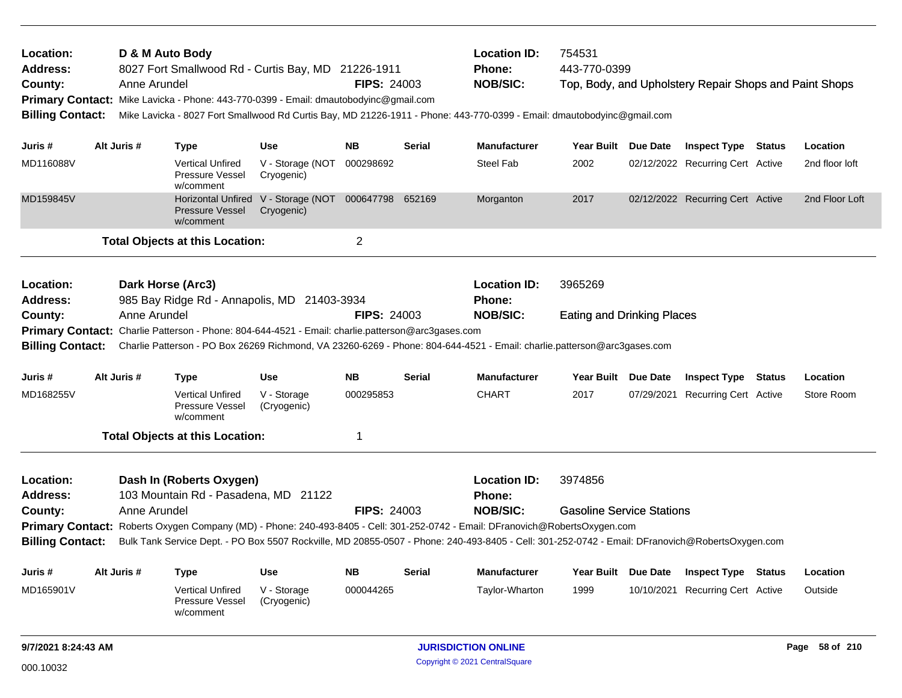|                                                       |  |                   | Pressure Vessel<br>w/comment                                                                                                                     | (Cryogenic)                                                        |                    |               |                                                                                                                                                      |                                   |                                                        |        |                |
|-------------------------------------------------------|--|-------------------|--------------------------------------------------------------------------------------------------------------------------------------------------|--------------------------------------------------------------------|--------------------|---------------|------------------------------------------------------------------------------------------------------------------------------------------------------|-----------------------------------|--------------------------------------------------------|--------|----------------|
| MD165901V                                             |  |                   | <b>Vertical Unfired</b>                                                                                                                          | V - Storage                                                        | 000044265          |               | Taylor-Wharton                                                                                                                                       | 1999                              | 10/10/2021 Recurring Cert Active                       |        | Outside        |
| Juris #                                               |  | Alt Juris #       | Type                                                                                                                                             | Use                                                                | <b>NB</b>          | Serial        | <b>Manufacturer</b>                                                                                                                                  | Year Built Due Date               | <b>Inspect Type</b>                                    | Status | Location       |
| <b>Billing Contact:</b>                               |  |                   |                                                                                                                                                  |                                                                    |                    |               | Bulk Tank Service Dept. - PO Box 5507 Rockville, MD 20855-0507 - Phone: 240-493-8405 - Cell: 301-252-0742 - Email: DFranovich@RobertsOxygen.com      |                                   |                                                        |        |                |
|                                                       |  |                   |                                                                                                                                                  |                                                                    |                    |               | Primary Contact: Roberts Oxygen Company (MD) - Phone: 240-493-8405 - Cell: 301-252-0742 - Email: DFranovich@RobertsOxygen.com                        |                                   |                                                        |        |                |
| County:                                               |  | Anne Arundel      |                                                                                                                                                  |                                                                    | <b>FIPS: 24003</b> |               | <b>NOB/SIC:</b>                                                                                                                                      | <b>Gasoline Service Stations</b>  |                                                        |        |                |
| <b>Address:</b>                                       |  |                   | 103 Mountain Rd - Pasadena, MD 21122                                                                                                             |                                                                    |                    |               | <b>Phone:</b>                                                                                                                                        |                                   |                                                        |        |                |
| Location:                                             |  |                   | Dash In (Roberts Oxygen)                                                                                                                         |                                                                    |                    |               | <b>Location ID:</b>                                                                                                                                  | 3974856                           |                                                        |        |                |
|                                                       |  |                   | <b>Total Objects at this Location:</b>                                                                                                           |                                                                    | 1                  |               |                                                                                                                                                      |                                   |                                                        |        |                |
| MD168255V                                             |  |                   | <b>Vertical Unfired</b><br>Pressure Vessel<br>w/comment                                                                                          | V - Storage<br>(Cryogenic)                                         | 000295853          |               | <b>CHART</b>                                                                                                                                         | 2017                              | 07/29/2021 Recurring Cert Active                       |        | Store Room     |
| Juris #                                               |  | Alt Juris #       | <b>Type</b>                                                                                                                                      | <b>Use</b>                                                         | <b>NB</b>          | <b>Serial</b> | <b>Manufacturer</b>                                                                                                                                  | Year Built Due Date               | <b>Inspect Type Status</b>                             |        | Location       |
| <b>Address:</b><br>County:<br><b>Billing Contact:</b> |  | Anne Arundel      | 985 Bay Ridge Rd - Annapolis, MD 21403-3934<br>Primary Contact: Charlie Patterson - Phone: 804-644-4521 - Email: charlie.patterson@arc3gases.com |                                                                    | <b>FIPS: 24003</b> |               | Phone:<br><b>NOB/SIC:</b><br>Charlie Patterson - PO Box 26269 Richmond, VA 23260-6269 - Phone: 804-644-4521 - Email: charlie.patterson@arc3gases.com | <b>Eating and Drinking Places</b> |                                                        |        |                |
| Location:                                             |  | Dark Horse (Arc3) |                                                                                                                                                  |                                                                    |                    |               | <b>Location ID:</b>                                                                                                                                  | 3965269                           |                                                        |        |                |
|                                                       |  |                   | <b>Total Objects at this Location:</b>                                                                                                           |                                                                    | $\overline{c}$     |               |                                                                                                                                                      |                                   |                                                        |        |                |
| MD159845V                                             |  |                   | <b>Pressure Vessel</b><br>w/comment                                                                                                              | Horizontal Unfired V - Storage (NOT 000647798 652169<br>Cryogenic) |                    |               | Morganton                                                                                                                                            | 2017                              | 02/12/2022 Recurring Cert Active                       |        | 2nd Floor Loft |
| MD116088V                                             |  |                   | <b>Vertical Unfired</b><br>Pressure Vessel<br>w/comment                                                                                          | V - Storage (NOT<br>Cryogenic)                                     | 000298692          |               | <b>Steel Fab</b>                                                                                                                                     | 2002                              | 02/12/2022 Recurring Cert Active                       |        | 2nd floor loft |
| Juris #                                               |  | Alt Juris #       | <b>Type</b>                                                                                                                                      | <b>Use</b>                                                         | NΒ                 | <b>Serial</b> | <b>Manufacturer</b>                                                                                                                                  | Year Built Due Date               | <b>Inspect Type Status</b>                             |        | Location       |
| <b>Billing Contact:</b>                               |  |                   |                                                                                                                                                  |                                                                    |                    |               | Mike Lavicka - 8027 Fort Smallwood Rd Curtis Bay, MD 21226-1911 - Phone: 443-770-0399 - Email: dmautobodyinc@gmail.com                               |                                   |                                                        |        |                |
| County:                                               |  | Anne Arundel      | Primary Contact: Mike Lavicka - Phone: 443-770-0399 - Email: dmautobodyinc@gmail.com                                                             |                                                                    | <b>FIPS: 24003</b> |               | <b>NOB/SIC:</b>                                                                                                                                      |                                   | Top, Body, and Upholstery Repair Shops and Paint Shops |        |                |
| Address:                                              |  |                   | 8027 Fort Smallwood Rd - Curtis Bay, MD 21226-1911                                                                                               |                                                                    |                    |               | Phone:                                                                                                                                               | 443-770-0399                      |                                                        |        |                |
| Location:                                             |  |                   | D & M Auto Body                                                                                                                                  |                                                                    |                    |               | <b>Location ID:</b>                                                                                                                                  | 754531                            |                                                        |        |                |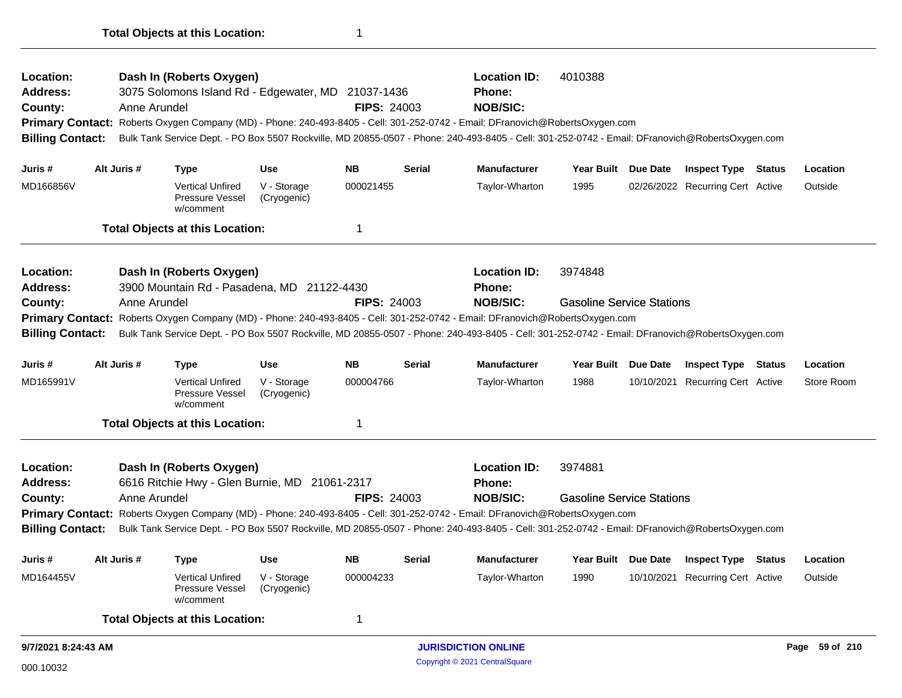| Location:<br>Address:<br>County:<br><b>Primary Contact:</b>                                                                             |  | Anne Arundel | Dash In (Roberts Oxygen)<br>3075 Solomons Island Rd - Edgewater, MD 21037-1436 |                            | <b>FIPS: 24003</b> |               | <b>Location ID:</b><br><b>Phone:</b><br><b>NOB/SIC:</b><br>Roberts Oxygen Company (MD) - Phone: 240-493-8405 - Cell: 301-252-0742 - Email: DFranovich@RobertsOxygen.com | 4010388                          |                 |                                  |                |
|-----------------------------------------------------------------------------------------------------------------------------------------|--|--------------|--------------------------------------------------------------------------------|----------------------------|--------------------|---------------|-------------------------------------------------------------------------------------------------------------------------------------------------------------------------|----------------------------------|-----------------|----------------------------------|----------------|
| <b>Billing Contact:</b>                                                                                                                 |  |              |                                                                                |                            |                    |               | Bulk Tank Service Dept. - PO Box 5507 Rockville, MD 20855-0507 - Phone: 240-493-8405 - Cell: 301-252-0742 - Email: DFranovich@RobertsOxygen.com                         |                                  |                 |                                  |                |
| Juris #                                                                                                                                 |  | Alt Juris #  | <b>Type</b>                                                                    | <b>Use</b>                 | <b>NB</b>          | <b>Serial</b> | <b>Manufacturer</b>                                                                                                                                                     | Year Built Due Date              |                 | <b>Inspect Type Status</b>       | Location       |
| MD166856V                                                                                                                               |  |              | <b>Vertical Unfired</b><br>Pressure Vessel<br>w/comment                        | V - Storage<br>(Cryogenic) | 000021455          |               | Taylor-Wharton                                                                                                                                                          | 1995                             |                 | 02/26/2022 Recurring Cert Active | Outside        |
|                                                                                                                                         |  |              | <b>Total Objects at this Location:</b>                                         |                            | 1                  |               |                                                                                                                                                                         |                                  |                 |                                  |                |
| Location:<br><b>Address:</b>                                                                                                            |  |              | Dash In (Roberts Oxygen)<br>3900 Mountain Rd - Pasadena, MD 21122-4430         |                            |                    |               | <b>Location ID:</b><br>Phone:                                                                                                                                           | 3974848                          |                 |                                  |                |
| County:                                                                                                                                 |  | Anne Arundel |                                                                                |                            | <b>FIPS: 24003</b> |               | <b>NOB/SIC:</b>                                                                                                                                                         | <b>Gasoline Service Stations</b> |                 |                                  |                |
| Roberts Oxygen Company (MD) - Phone: 240-493-8405 - Cell: 301-252-0742 - Email: DFranovich@RobertsOxygen.com<br><b>Primary Contact:</b> |  |              |                                                                                |                            |                    |               |                                                                                                                                                                         |                                  |                 |                                  |                |
| <b>Billing Contact:</b>                                                                                                                 |  |              |                                                                                |                            |                    |               | Bulk Tank Service Dept. - PO Box 5507 Rockville, MD 20855-0507 - Phone: 240-493-8405 - Cell: 301-252-0742 - Email: DFranovich@RobertsOxygen.com                         |                                  |                 |                                  |                |
| Juris #                                                                                                                                 |  | Alt Juris #  | <b>Type</b>                                                                    | <b>Use</b>                 | <b>NB</b>          | <b>Serial</b> | <b>Manufacturer</b>                                                                                                                                                     | <b>Year Built</b>                | <b>Due Date</b> | <b>Inspect Type Status</b>       | Location       |
| MD165991V                                                                                                                               |  |              | <b>Vertical Unfired</b><br>Pressure Vessel<br>w/comment                        | V - Storage<br>(Cryogenic) | 000004766          |               | Taylor-Wharton                                                                                                                                                          | 1988                             |                 | 10/10/2021 Recurring Cert Active | Store Room     |
|                                                                                                                                         |  |              | <b>Total Objects at this Location:</b>                                         |                            | 1                  |               |                                                                                                                                                                         |                                  |                 |                                  |                |
| Location:<br>Address:                                                                                                                   |  |              | Dash In (Roberts Oxygen)<br>6616 Ritchie Hwy - Glen Burnie, MD 21061-2317      |                            |                    |               | <b>Location ID:</b><br><b>Phone:</b>                                                                                                                                    | 3974881                          |                 |                                  |                |
| County:                                                                                                                                 |  | Anne Arundel |                                                                                |                            | <b>FIPS: 24003</b> |               | <b>NOB/SIC:</b>                                                                                                                                                         | <b>Gasoline Service Stations</b> |                 |                                  |                |
|                                                                                                                                         |  |              |                                                                                |                            |                    |               | Primary Contact: Roberts Oxygen Company (MD) - Phone: 240-493-8405 - Cell: 301-252-0742 - Email: DFranovich@RobertsOxygen.com                                           |                                  |                 |                                  |                |
| <b>Billing Contact:</b>                                                                                                                 |  |              |                                                                                |                            |                    |               | Bulk Tank Service Dept. - PO Box 5507 Rockville, MD 20855-0507 - Phone: 240-493-8405 - Cell: 301-252-0742 - Email: DFranovich@RobertsOxygen.com                         |                                  |                 |                                  |                |
| Juris #                                                                                                                                 |  | Alt Juris #  | Type                                                                           | <b>Use</b>                 | <b>NB</b>          | <b>Serial</b> | <b>Manufacturer</b>                                                                                                                                                     | Year Built                       | Due Date        | <b>Inspect Type Status</b>       | Location       |
| MD164455V                                                                                                                               |  |              | <b>Vertical Unfired</b><br>Pressure Vessel<br>w/comment                        | V - Storage<br>(Cryogenic) | 000004233          |               | Taylor-Wharton                                                                                                                                                          | 1990                             |                 | 10/10/2021 Recurring Cert Active | Outside        |
|                                                                                                                                         |  |              | <b>Total Objects at this Location:</b>                                         |                            | 1                  |               |                                                                                                                                                                         |                                  |                 |                                  |                |
| 9/7/2021 8:24:43 AM                                                                                                                     |  |              |                                                                                |                            |                    |               | <b>JURISDICTION ONLINE</b>                                                                                                                                              |                                  |                 |                                  | Page 59 of 210 |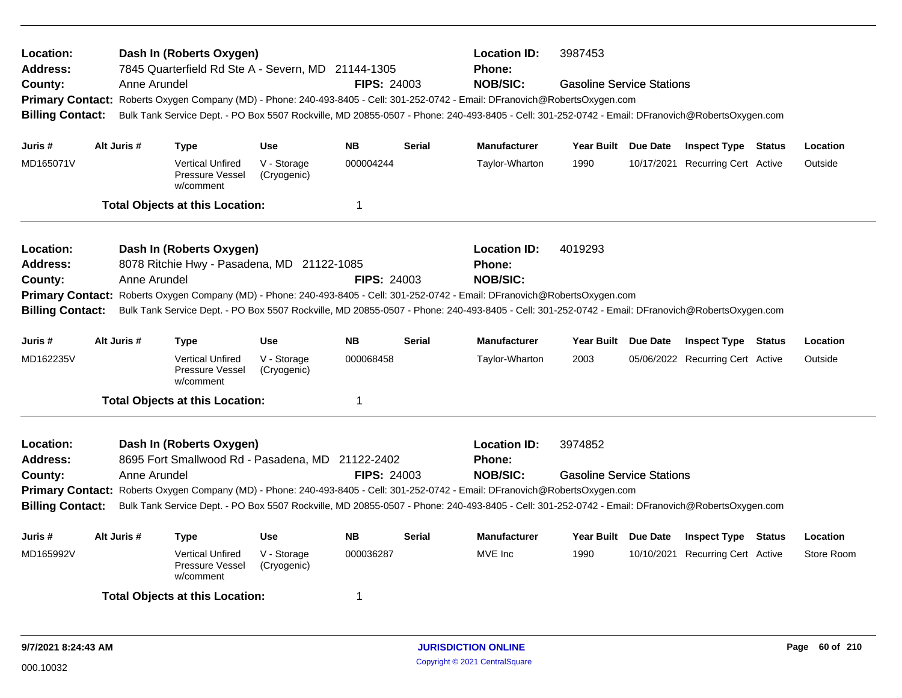| Dash In (Roberts Oxygen)<br><b>Location ID:</b><br>3987453<br>Location:<br>7845 Quarterfield Rd Ste A - Severn, MD 21144-1305<br><b>Address:</b><br><b>Phone:</b><br><b>NOB/SIC:</b><br><b>FIPS: 24003</b><br><b>Gasoline Service Stations</b><br>County:<br>Anne Arundel<br>Primary Contact: Roberts Oxygen Company (MD) - Phone: 240-493-8405 - Cell: 301-252-0742 - Email: DFranovich@RobertsOxygen.com<br>Bulk Tank Service Dept. - PO Box 5507 Rockville, MD 20855-0507 - Phone: 240-493-8405 - Cell: 301-252-0742 - Email: DFranovich@RobertsOxygen.com<br><b>Billing Contact:</b><br><b>NB</b><br>Alt Juris #<br><b>Use</b><br><b>Serial</b><br><b>Manufacturer</b><br>Year Built Due Date<br>Juris # |              |                                                                              |                            |                    |                                                                                                                                                                                                                                                                                                                                      |                                                                                                                                                                                                                                                                                                                                             |                     |  |                                                                |                     |
|--------------------------------------------------------------------------------------------------------------------------------------------------------------------------------------------------------------------------------------------------------------------------------------------------------------------------------------------------------------------------------------------------------------------------------------------------------------------------------------------------------------------------------------------------------------------------------------------------------------------------------------------------------------------------------------------------------------|--------------|------------------------------------------------------------------------------|----------------------------|--------------------|--------------------------------------------------------------------------------------------------------------------------------------------------------------------------------------------------------------------------------------------------------------------------------------------------------------------------------------|---------------------------------------------------------------------------------------------------------------------------------------------------------------------------------------------------------------------------------------------------------------------------------------------------------------------------------------------|---------------------|--|----------------------------------------------------------------|---------------------|
|                                                                                                                                                                                                                                                                                                                                                                                                                                                                                                                                                                                                                                                                                                              |              |                                                                              |                            |                    |                                                                                                                                                                                                                                                                                                                                      |                                                                                                                                                                                                                                                                                                                                             |                     |  |                                                                |                     |
| MD165071V                                                                                                                                                                                                                                                                                                                                                                                                                                                                                                                                                                                                                                                                                                    |              | <b>Type</b><br><b>Vertical Unfired</b><br>Pressure Vessel<br>w/comment       | V - Storage<br>(Cryogenic) | 000004244          |                                                                                                                                                                                                                                                                                                                                      | Taylor-Wharton                                                                                                                                                                                                                                                                                                                              | 1990                |  | <b>Inspect Type Status</b><br>10/17/2021 Recurring Cert Active | Location<br>Outside |
|                                                                                                                                                                                                                                                                                                                                                                                                                                                                                                                                                                                                                                                                                                              |              | <b>Total Objects at this Location:</b>                                       |                            | $\mathbf 1$        |                                                                                                                                                                                                                                                                                                                                      |                                                                                                                                                                                                                                                                                                                                             |                     |  |                                                                |                     |
| Location:<br><b>Address:</b><br>County:<br><b>Billing Contact:</b>                                                                                                                                                                                                                                                                                                                                                                                                                                                                                                                                                                                                                                           | Anne Arundel | Dash In (Roberts Oxygen)<br>8078 Ritchie Hwy - Pasadena, MD 21122-1085       |                            | <b>FIPS: 24003</b> |                                                                                                                                                                                                                                                                                                                                      | <b>Location ID:</b><br><b>Phone:</b><br><b>NOB/SIC:</b><br>Primary Contact: Roberts Oxygen Company (MD) - Phone: 240-493-8405 - Cell: 301-252-0742 - Email: DFranovich@RobertsOxygen.com<br>Bulk Tank Service Dept. - PO Box 5507 Rockville, MD 20855-0507 - Phone: 240-493-8405 - Cell: 301-252-0742 - Email: DFranovich@RobertsOxygen.com | 4019293             |  |                                                                |                     |
| Juris #                                                                                                                                                                                                                                                                                                                                                                                                                                                                                                                                                                                                                                                                                                      | Alt Juris #  | <b>Type</b>                                                                  | <b>Use</b>                 | <b>NB</b>          | Serial                                                                                                                                                                                                                                                                                                                               | <b>Manufacturer</b>                                                                                                                                                                                                                                                                                                                         | Year Built Due Date |  | <b>Inspect Type Status</b>                                     | Location            |
| MD162235V                                                                                                                                                                                                                                                                                                                                                                                                                                                                                                                                                                                                                                                                                                    |              | <b>Vertical Unfired</b><br>Pressure Vessel<br>w/comment                      | V - Storage<br>(Cryogenic) | 000068458          |                                                                                                                                                                                                                                                                                                                                      | Taylor-Wharton                                                                                                                                                                                                                                                                                                                              | 2003                |  | 05/06/2022 Recurring Cert Active                               | Outside             |
|                                                                                                                                                                                                                                                                                                                                                                                                                                                                                                                                                                                                                                                                                                              |              | <b>Total Objects at this Location:</b>                                       |                            | $\mathbf 1$        |                                                                                                                                                                                                                                                                                                                                      |                                                                                                                                                                                                                                                                                                                                             |                     |  |                                                                |                     |
| Location:<br><b>Address:</b><br>County:<br><b>Billing Contact:</b>                                                                                                                                                                                                                                                                                                                                                                                                                                                                                                                                                                                                                                           | Anne Arundel | Dash In (Roberts Oxygen)<br>8695 Fort Smallwood Rd - Pasadena, MD 21122-2402 |                            | <b>FIPS: 24003</b> | <b>Location ID:</b><br>Phone:<br><b>NOB/SIC:</b><br>Primary Contact: Roberts Oxygen Company (MD) - Phone: 240-493-8405 - Cell: 301-252-0742 - Email: DFranovich@RobertsOxygen.com<br>Bulk Tank Service Dept. - PO Box 5507 Rockville, MD 20855-0507 - Phone: 240-493-8405 - Cell: 301-252-0742 - Email: DFranovich@RobertsOxygen.com | 3974852<br><b>Gasoline Service Stations</b>                                                                                                                                                                                                                                                                                                 |                     |  |                                                                |                     |
| Juris #                                                                                                                                                                                                                                                                                                                                                                                                                                                                                                                                                                                                                                                                                                      | Alt Juris #  | <b>Type</b>                                                                  | <b>Use</b>                 | <b>NB</b>          | <b>Serial</b>                                                                                                                                                                                                                                                                                                                        | <b>Manufacturer</b>                                                                                                                                                                                                                                                                                                                         | Year Built Due Date |  | <b>Inspect Type Status</b>                                     | Location            |
| MD165992V                                                                                                                                                                                                                                                                                                                                                                                                                                                                                                                                                                                                                                                                                                    |              | <b>Vertical Unfired</b><br>Pressure Vessel<br>w/comment                      | V - Storage<br>(Cryogenic) | 000036287          |                                                                                                                                                                                                                                                                                                                                      | MVE Inc                                                                                                                                                                                                                                                                                                                                     | 1990                |  | 10/10/2021 Recurring Cert Active                               | Store Room          |
|                                                                                                                                                                                                                                                                                                                                                                                                                                                                                                                                                                                                                                                                                                              |              | <b>Total Objects at this Location:</b>                                       |                            | 1                  |                                                                                                                                                                                                                                                                                                                                      |                                                                                                                                                                                                                                                                                                                                             |                     |  |                                                                |                     |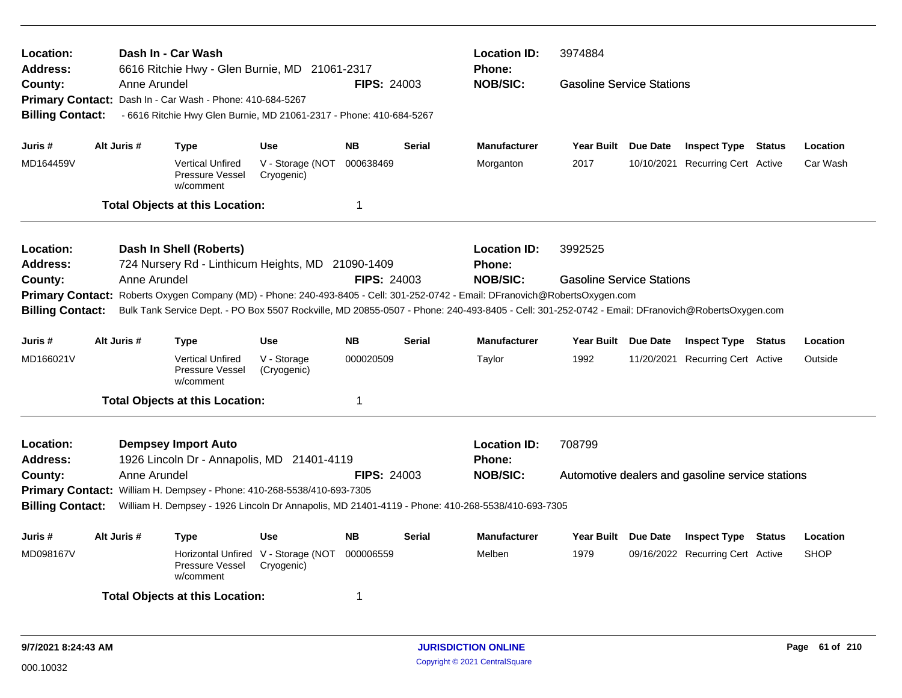| Location:<br><b>Address:</b> |              | Dash In - Car Wash<br>6616 Ritchie Hwy - Glen Burnie, MD 21061-2317                                                                             |                                                   |                         |               | <b>Location ID:</b><br><b>Phone:</b> | 3974884                          |                                                  |             |
|------------------------------|--------------|-------------------------------------------------------------------------------------------------------------------------------------------------|---------------------------------------------------|-------------------------|---------------|--------------------------------------|----------------------------------|--------------------------------------------------|-------------|
| County:                      | Anne Arundel |                                                                                                                                                 |                                                   | <b>FIPS: 24003</b>      |               | <b>NOB/SIC:</b>                      | <b>Gasoline Service Stations</b> |                                                  |             |
|                              |              | Primary Contact: Dash In - Car Wash - Phone: 410-684-5267                                                                                       |                                                   |                         |               |                                      |                                  |                                                  |             |
| <b>Billing Contact:</b>      |              | - 6616 Ritchie Hwy Glen Burnie, MD 21061-2317 - Phone: 410-684-5267                                                                             |                                                   |                         |               |                                      |                                  |                                                  |             |
|                              |              |                                                                                                                                                 |                                                   |                         |               |                                      |                                  |                                                  |             |
| Juris #                      | Alt Juris #  | <b>Type</b>                                                                                                                                     | <b>Use</b>                                        | <b>NB</b>               | <b>Serial</b> | <b>Manufacturer</b>                  | Year Built Due Date              | <b>Inspect Type Status</b>                       | Location    |
| MD164459V                    |              | <b>Vertical Unfired</b><br>Pressure Vessel<br>w/comment                                                                                         | V - Storage (NOT<br>Cryogenic)                    | 000638469               |               | Morganton                            | 2017                             | 10/10/2021 Recurring Cert Active                 | Car Wash    |
|                              |              | <b>Total Objects at this Location:</b>                                                                                                          |                                                   | $\overline{\mathbf{1}}$ |               |                                      |                                  |                                                  |             |
| Location:                    |              | Dash In Shell (Roberts)                                                                                                                         |                                                   |                         |               | <b>Location ID:</b>                  | 3992525                          |                                                  |             |
| <b>Address:</b>              |              | 724 Nursery Rd - Linthicum Heights, MD 21090-1409                                                                                               |                                                   |                         |               | <b>Phone:</b>                        |                                  |                                                  |             |
| County:                      | Anne Arundel |                                                                                                                                                 |                                                   | <b>FIPS: 24003</b>      |               | <b>NOB/SIC:</b>                      | <b>Gasoline Service Stations</b> |                                                  |             |
|                              |              | Primary Contact: Roberts Oxygen Company (MD) - Phone: 240-493-8405 - Cell: 301-252-0742 - Email: DFranovich@RobertsOxygen.com                   |                                                   |                         |               |                                      |                                  |                                                  |             |
| <b>Billing Contact:</b>      |              | Bulk Tank Service Dept. - PO Box 5507 Rockville, MD 20855-0507 - Phone: 240-493-8405 - Cell: 301-252-0742 - Email: DFranovich@RobertsOxygen.com |                                                   |                         |               |                                      |                                  |                                                  |             |
| Juris #                      | Alt Juris #  | <b>Type</b>                                                                                                                                     | <b>Use</b>                                        | <b>NB</b>               | <b>Serial</b> | <b>Manufacturer</b>                  | Year Built Due Date              | <b>Inspect Type Status</b>                       | Location    |
| MD166021V                    |              | <b>Vertical Unfired</b><br>Pressure Vessel<br>w/comment                                                                                         | V - Storage<br>(Cryogenic)                        | 000020509               |               | Taylor                               | 1992                             | 11/20/2021 Recurring Cert Active                 | Outside     |
|                              |              | <b>Total Objects at this Location:</b>                                                                                                          |                                                   | $\overline{\mathbf{1}}$ |               |                                      |                                  |                                                  |             |
| Location:                    |              | <b>Dempsey Import Auto</b>                                                                                                                      |                                                   |                         |               | <b>Location ID:</b>                  | 708799                           |                                                  |             |
| <b>Address:</b>              |              | 1926 Lincoln Dr - Annapolis, MD 21401-4119                                                                                                      |                                                   |                         |               | <b>Phone:</b>                        |                                  |                                                  |             |
| County:                      | Anne Arundel |                                                                                                                                                 |                                                   | <b>FIPS: 24003</b>      |               | <b>NOB/SIC:</b>                      |                                  | Automotive dealers and gasoline service stations |             |
|                              |              | Primary Contact: William H. Dempsey - Phone: 410-268-5538/410-693-7305                                                                          |                                                   |                         |               |                                      |                                  |                                                  |             |
| <b>Billing Contact:</b>      |              | William H. Dempsey - 1926 Lincoln Dr Annapolis, MD 21401-4119 - Phone: 410-268-5538/410-693-7305                                                |                                                   |                         |               |                                      |                                  |                                                  |             |
| Juris #                      | Alt Juris #  | <b>Type</b>                                                                                                                                     | <b>Use</b>                                        | <b>NB</b>               | <b>Serial</b> | Manufacturer                         | Year Built Due Date              | <b>Inspect Type Status</b>                       | Location    |
| MD098167V                    |              | Pressure Vessel<br>w/comment                                                                                                                    | Horizontal Unfired V - Storage (NOT<br>Cryogenic) | 000006559               |               | Melben                               | 1979                             | 09/16/2022 Recurring Cert Active                 | <b>SHOP</b> |
|                              |              | <b>Total Objects at this Location:</b>                                                                                                          |                                                   | -1                      |               |                                      |                                  |                                                  |             |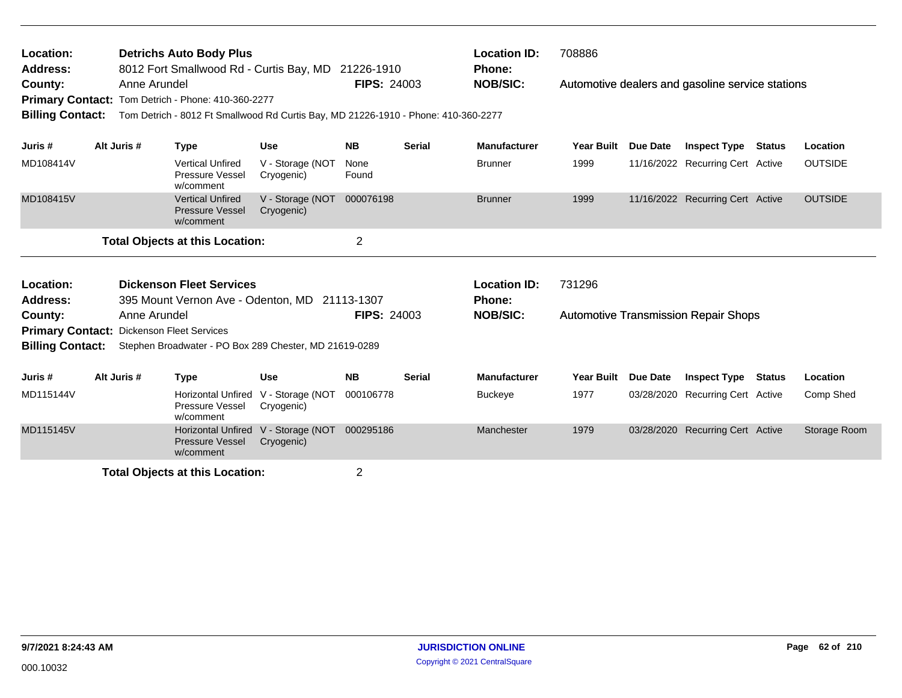| Location:<br><b>Address:</b>                                                |              | <b>Detrichs Auto Body Plus</b><br>8012 Fort Smallwood Rd - Curtis Bay, MD 21226-1910                                                     |                                                   |                    |               | <b>Location ID:</b><br><b>Phone:</b> | 708886            |                 |                                                  |        |                |
|-----------------------------------------------------------------------------|--------------|------------------------------------------------------------------------------------------------------------------------------------------|---------------------------------------------------|--------------------|---------------|--------------------------------------|-------------------|-----------------|--------------------------------------------------|--------|----------------|
| County:<br><b>Billing Contact:</b>                                          | Anne Arundel | Primary Contact: Tom Detrich - Phone: 410-360-2277<br>Tom Detrich - 8012 Ft Smallwood Rd Curtis Bay, MD 21226-1910 - Phone: 410-360-2277 |                                                   | <b>FIPS: 24003</b> |               | <b>NOB/SIC:</b>                      |                   |                 | Automotive dealers and gasoline service stations |        |                |
| Juris #                                                                     | Alt Juris #  | <b>Type</b>                                                                                                                              | <b>Use</b>                                        | <b>NB</b>          | <b>Serial</b> | <b>Manufacturer</b>                  | <b>Year Built</b> | <b>Due Date</b> | <b>Inspect Type Status</b>                       |        | Location       |
| MD108414V                                                                   |              | <b>Vertical Unfired</b><br><b>Pressure Vessel</b><br>w/comment                                                                           | V - Storage (NOT<br>Cryogenic)                    | None<br>Found      |               | <b>Brunner</b>                       | 1999              |                 | 11/16/2022 Recurring Cert Active                 |        | <b>OUTSIDE</b> |
| MD108415V                                                                   |              | <b>Vertical Unfired</b><br><b>Pressure Vessel</b><br>w/comment                                                                           | V - Storage (NOT<br>Cryogenic)                    | 000076198          |               | <b>Brunner</b>                       | 1999              |                 | 11/16/2022 Recurring Cert Active                 |        | <b>OUTSIDE</b> |
|                                                                             |              | <b>Total Objects at this Location:</b>                                                                                                   |                                                   | 2                  |               |                                      |                   |                 |                                                  |        |                |
| Location:                                                                   |              | <b>Dickenson Fleet Services</b>                                                                                                          |                                                   |                    |               | <b>Location ID:</b>                  | 731296            |                 |                                                  |        |                |
| Address:                                                                    |              | 395 Mount Vernon Ave - Odenton, MD 21113-1307                                                                                            |                                                   |                    |               | <b>Phone:</b>                        |                   |                 |                                                  |        |                |
| County:                                                                     | Anne Arundel |                                                                                                                                          |                                                   | <b>FIPS: 24003</b> |               | <b>NOB/SIC:</b>                      |                   |                 | <b>Automotive Transmission Repair Shops</b>      |        |                |
| <b>Primary Contact: Dickenson Fleet Services</b><br><b>Billing Contact:</b> |              | Stephen Broadwater - PO Box 289 Chester, MD 21619-0289                                                                                   |                                                   |                    |               |                                      |                   |                 |                                                  |        |                |
| Juris #                                                                     | Alt Juris #  | <b>Type</b>                                                                                                                              | <b>Use</b>                                        | <b>NB</b>          | <b>Serial</b> | <b>Manufacturer</b>                  | Year Built        | Due Date        | <b>Inspect Type</b>                              | Status | Location       |
| MD115144V                                                                   |              | Pressure Vessel<br>w/comment                                                                                                             | Horizontal Unfired V - Storage (NOT<br>Cryogenic) | 000106778          |               | <b>Buckeye</b>                       | 1977              |                 | 03/28/2020 Recurring Cert Active                 |        | Comp Shed      |
| MD115145V                                                                   |              | <b>Pressure Vessel</b><br>w/comment                                                                                                      | Horizontal Unfired V - Storage (NOT<br>Cryogenic) | 000295186          |               | Manchester                           | 1979              |                 | 03/28/2020 Recurring Cert Active                 |        | Storage Room   |
|                                                                             |              | Tatal Okiaata at this Lagatian.                                                                                                          |                                                   | $\sim$             |               |                                      |                   |                 |                                                  |        |                |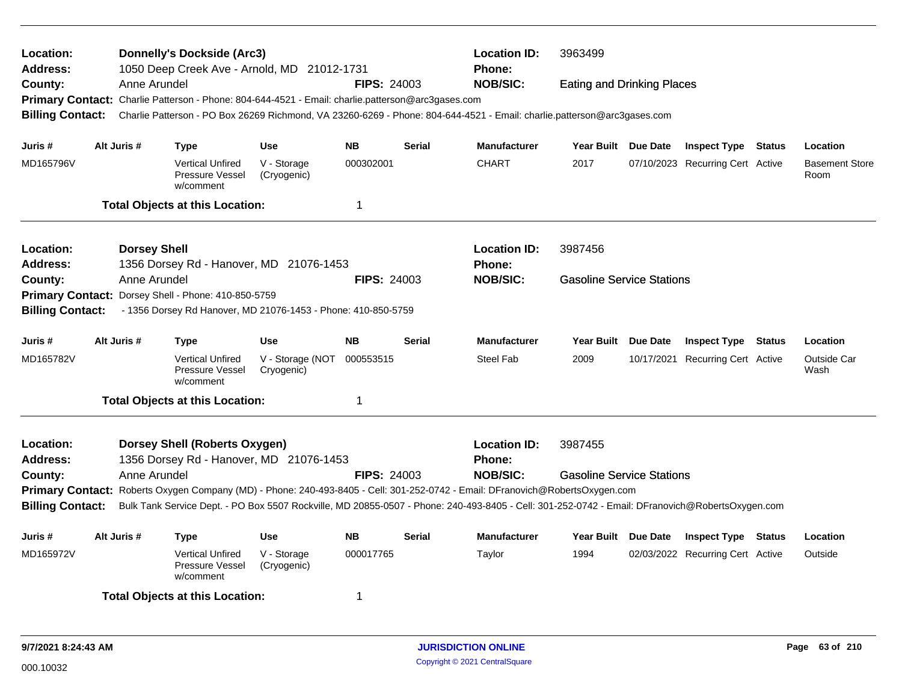| <b>Donnelly's Dockside (Arc3)</b><br><b>Location ID:</b><br>3963499<br>Location:<br><b>Address:</b><br>1050 Deep Creek Ave - Arnold, MD 21012-1731<br>Phone:<br><b>NOB/SIC:</b><br><b>FIPS: 24003</b><br>County:<br>Anne Arundel<br><b>Eating and Drinking Places</b><br>Primary Contact: Charlie Patterson - Phone: 804-644-4521 - Email: charlie.patterson@arc3gases.com<br>Charlie Patterson - PO Box 26269 Richmond, VA 23260-6269 - Phone: 804-644-4521 - Email: charlie.patterson@arc3gases.com<br><b>Billing Contact:</b><br>Alt Juris #<br><b>NB</b><br>Manufacturer<br><b>Use</b><br><b>Serial</b><br>Year Built Due Date<br><b>Inspect Type Status</b><br>Juris # |  |                     |                                                                        |                                                               |                    |               |                                                                                                                                                                                                                                                                                                     |                                  |                                  |  |                                           |
|-----------------------------------------------------------------------------------------------------------------------------------------------------------------------------------------------------------------------------------------------------------------------------------------------------------------------------------------------------------------------------------------------------------------------------------------------------------------------------------------------------------------------------------------------------------------------------------------------------------------------------------------------------------------------------|--|---------------------|------------------------------------------------------------------------|---------------------------------------------------------------|--------------------|---------------|-----------------------------------------------------------------------------------------------------------------------------------------------------------------------------------------------------------------------------------------------------------------------------------------------------|----------------------------------|----------------------------------|--|-------------------------------------------|
| MD165796V                                                                                                                                                                                                                                                                                                                                                                                                                                                                                                                                                                                                                                                                   |  |                     | <b>Type</b><br><b>Vertical Unfired</b><br>Pressure Vessel<br>w/comment | V - Storage<br>(Cryogenic)                                    | 000302001          |               | <b>CHART</b>                                                                                                                                                                                                                                                                                        | 2017                             | 07/10/2023 Recurring Cert Active |  | Location<br><b>Basement Store</b><br>Room |
|                                                                                                                                                                                                                                                                                                                                                                                                                                                                                                                                                                                                                                                                             |  |                     | <b>Total Objects at this Location:</b>                                 |                                                               | 1                  |               |                                                                                                                                                                                                                                                                                                     |                                  |                                  |  |                                           |
| Location:<br>Address:                                                                                                                                                                                                                                                                                                                                                                                                                                                                                                                                                                                                                                                       |  | <b>Dorsey Shell</b> |                                                                        | 1356 Dorsey Rd - Hanover, MD 21076-1453                       |                    |               | <b>Location ID:</b><br><b>Phone:</b>                                                                                                                                                                                                                                                                | 3987456                          |                                  |  |                                           |
| County:<br><b>Primary Contact:</b><br><b>Billing Contact:</b>                                                                                                                                                                                                                                                                                                                                                                                                                                                                                                                                                                                                               |  | Anne Arundel        | Dorsey Shell - Phone: 410-850-5759                                     | - 1356 Dorsey Rd Hanover, MD 21076-1453 - Phone: 410-850-5759 | <b>FIPS: 24003</b> |               | <b>NOB/SIC:</b>                                                                                                                                                                                                                                                                                     | <b>Gasoline Service Stations</b> |                                  |  |                                           |
| Juris #                                                                                                                                                                                                                                                                                                                                                                                                                                                                                                                                                                                                                                                                     |  | Alt Juris #         | <b>Type</b>                                                            | <b>Use</b>                                                    | <b>NB</b>          | <b>Serial</b> | <b>Manufacturer</b>                                                                                                                                                                                                                                                                                 | Year Built Due Date              | <b>Inspect Type Status</b>       |  | Location                                  |
| MD165782V                                                                                                                                                                                                                                                                                                                                                                                                                                                                                                                                                                                                                                                                   |  |                     | <b>Vertical Unfired</b><br>Pressure Vessel<br>w/comment                | V - Storage (NOT<br>Cryogenic)                                | 000553515          |               | <b>Steel Fab</b>                                                                                                                                                                                                                                                                                    | 2009                             | 10/17/2021 Recurring Cert Active |  | <b>Outside Car</b><br>Wash                |
|                                                                                                                                                                                                                                                                                                                                                                                                                                                                                                                                                                                                                                                                             |  |                     | <b>Total Objects at this Location:</b>                                 |                                                               | -1                 |               |                                                                                                                                                                                                                                                                                                     |                                  |                                  |  |                                           |
| Location:<br><b>Address:</b>                                                                                                                                                                                                                                                                                                                                                                                                                                                                                                                                                                                                                                                |  |                     | <b>Dorsey Shell (Roberts Oxygen)</b>                                   | 1356 Dorsey Rd - Hanover, MD 21076-1453                       |                    |               | <b>Location ID:</b><br><b>Phone:</b>                                                                                                                                                                                                                                                                | 3987455                          |                                  |  |                                           |
| County:<br><b>Billing Contact:</b>                                                                                                                                                                                                                                                                                                                                                                                                                                                                                                                                                                                                                                          |  | Anne Arundel        |                                                                        |                                                               | <b>FIPS: 24003</b> |               | <b>NOB/SIC:</b><br>Primary Contact: Roberts Oxygen Company (MD) - Phone: 240-493-8405 - Cell: 301-252-0742 - Email: DFranovich@RobertsOxygen.com<br>Bulk Tank Service Dept. - PO Box 5507 Rockville, MD 20855-0507 - Phone: 240-493-8405 - Cell: 301-252-0742 - Email: DFranovich@RobertsOxygen.com | <b>Gasoline Service Stations</b> |                                  |  |                                           |
| Juris #                                                                                                                                                                                                                                                                                                                                                                                                                                                                                                                                                                                                                                                                     |  | Alt Juris #         | Type                                                                   | <b>Use</b>                                                    | <b>NB</b>          | <b>Serial</b> | <b>Manufacturer</b>                                                                                                                                                                                                                                                                                 | Year Built Due Date              | <b>Inspect Type Status</b>       |  | Location                                  |
| MD165972V                                                                                                                                                                                                                                                                                                                                                                                                                                                                                                                                                                                                                                                                   |  |                     | <b>Vertical Unfired</b><br>Pressure Vessel<br>w/comment                | V - Storage<br>(Cryogenic)                                    | 000017765          |               | Taylor                                                                                                                                                                                                                                                                                              | 1994                             | 02/03/2022 Recurring Cert Active |  | Outside                                   |
|                                                                                                                                                                                                                                                                                                                                                                                                                                                                                                                                                                                                                                                                             |  |                     | <b>Total Objects at this Location:</b>                                 |                                                               | -1                 |               |                                                                                                                                                                                                                                                                                                     |                                  |                                  |  |                                           |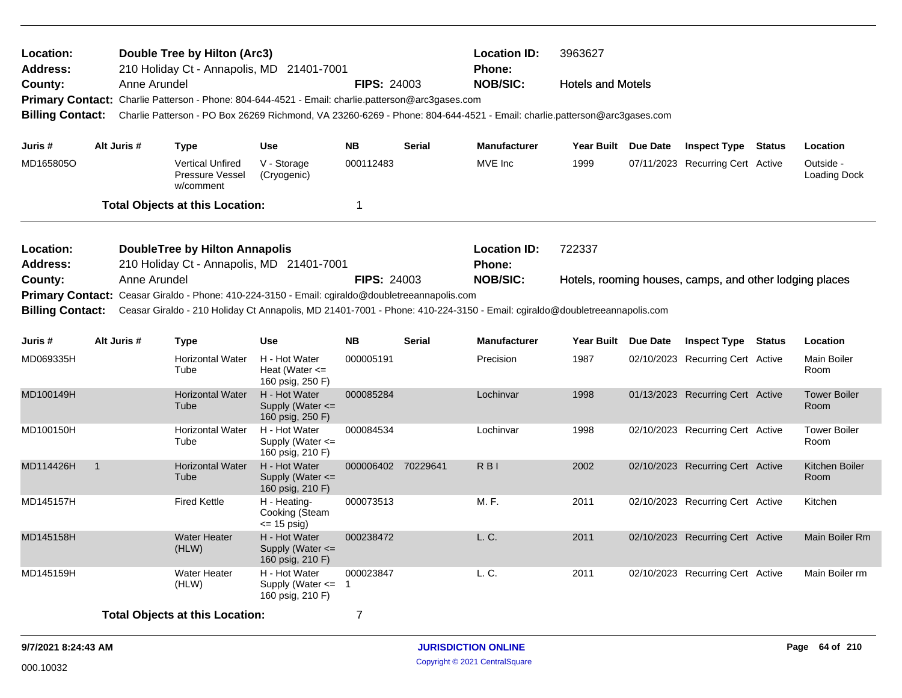| Location:<br><b>Address:</b> |                |              | Double Tree by Hilton (Arc3)<br>210 Holiday Ct - Annapolis, MD 21401-7001                                                                                                                                                   |                                                             |                    |               | <b>Location ID:</b><br>Phone: | 3963627                  |                                                         |                             |
|------------------------------|----------------|--------------|-----------------------------------------------------------------------------------------------------------------------------------------------------------------------------------------------------------------------------|-------------------------------------------------------------|--------------------|---------------|-------------------------------|--------------------------|---------------------------------------------------------|-----------------------------|
| County:                      |                | Anne Arundel |                                                                                                                                                                                                                             |                                                             | <b>FIPS: 24003</b> |               | <b>NOB/SIC:</b>               | <b>Hotels and Motels</b> |                                                         |                             |
|                              |                |              | Primary Contact: Charlie Patterson - Phone: 804-644-4521 - Email: charlie.patterson@arc3gases.com                                                                                                                           |                                                             |                    |               |                               |                          |                                                         |                             |
| <b>Billing Contact:</b>      |                |              | Charlie Patterson - PO Box 26269 Richmond, VA 23260-6269 - Phone: 804-644-4521 - Email: charlie.patterson@arc3gases.com                                                                                                     |                                                             |                    |               |                               |                          |                                                         |                             |
| Juris #                      |                | Alt Juris #  | <b>Type</b>                                                                                                                                                                                                                 | <b>Use</b>                                                  | <b>NB</b>          | <b>Serial</b> | <b>Manufacturer</b>           | Year Built Due Date      | <b>Inspect Type Status</b>                              | Location                    |
| MD165805O                    |                |              | <b>Vertical Unfired</b><br>Pressure Vessel<br>w/comment                                                                                                                                                                     | V - Storage<br>(Cryogenic)                                  | 000112483          |               | MVE Inc                       | 1999                     | 07/11/2023 Recurring Cert Active                        | Outside -<br>Loading Dock   |
|                              |                |              | <b>Total Objects at this Location:</b>                                                                                                                                                                                      |                                                             | 1                  |               |                               |                          |                                                         |                             |
| Location:                    |                |              | <b>DoubleTree by Hilton Annapolis</b>                                                                                                                                                                                       |                                                             |                    |               | <b>Location ID:</b>           | 722337                   |                                                         |                             |
| <b>Address:</b>              |                |              | 210 Holiday Ct - Annapolis, MD 21401-7001                                                                                                                                                                                   |                                                             |                    |               | Phone:                        |                          |                                                         |                             |
| County:                      |                | Anne Arundel |                                                                                                                                                                                                                             |                                                             | <b>FIPS: 24003</b> |               | <b>NOB/SIC:</b>               |                          | Hotels, rooming houses, camps, and other lodging places |                             |
| <b>Billing Contact:</b>      |                |              | Primary Contact: Ceasar Giraldo - Phone: 410-224-3150 - Email: cgiraldo@doubletreeannapolis.com<br>Ceasar Giraldo - 210 Holiday Ct Annapolis, MD 21401-7001 - Phone: 410-224-3150 - Email: cgiraldo@doubletreeannapolis.com |                                                             |                    |               |                               |                          |                                                         |                             |
| Juris #                      |                | Alt Juris #  | Type                                                                                                                                                                                                                        | <b>Use</b>                                                  | <b>NB</b>          | <b>Serial</b> | <b>Manufacturer</b>           | Year Built Due Date      | <b>Inspect Type Status</b>                              | Location                    |
| MD069335H                    |                |              | <b>Horizontal Water</b><br>Tube                                                                                                                                                                                             | H - Hot Water<br>Heat (Water $\leq$<br>160 psig, 250 F)     | 000005191          |               | Precision                     | 1987                     | 02/10/2023 Recurring Cert Active                        | Main Boiler<br>Room         |
| MD100149H                    |                |              | <b>Horizontal Water</b><br>Tube                                                                                                                                                                                             | H - Hot Water<br>Supply (Water $\leq$<br>160 psig, 250 F)   | 000085284          |               | Lochinvar                     | 1998                     | 01/13/2023 Recurring Cert Active                        | <b>Tower Boiler</b><br>Room |
| MD100150H                    |                |              | <b>Horizontal Water</b><br>Tube                                                                                                                                                                                             | H - Hot Water<br>Supply (Water $\leq$<br>160 psig, 210 F)   | 000084534          |               | Lochinvar                     | 1998                     | 02/10/2023 Recurring Cert Active                        | <b>Tower Boiler</b><br>Room |
| MD114426H                    | $\overline{1}$ |              | <b>Horizontal Water</b><br>Tube                                                                                                                                                                                             | H - Hot Water<br>Supply (Water <=<br>160 psig, 210 F)       | 000006402 70229641 |               | R <sub>BI</sub>               | 2002                     | 02/10/2023 Recurring Cert Active                        | Kitchen Boiler<br>Room      |
| MD145157H                    |                |              | <b>Fired Kettle</b>                                                                                                                                                                                                         | H - Heating-<br>Cooking (Steam<br>$= 15$ psig)              | 000073513          |               | M. F.                         | 2011                     | 02/10/2023 Recurring Cert Active                        | Kitchen                     |
| MD145158H                    |                |              | <b>Water Heater</b><br>(HLW)                                                                                                                                                                                                | H - Hot Water<br>Supply (Water $\leq$<br>160 psig, 210 F)   | 000238472          |               | L. C.                         | 2011                     | 02/10/2023 Recurring Cert Active                        | Main Boiler Rm              |
| MD145159H                    |                |              | <b>Water Heater</b><br>(HLW)                                                                                                                                                                                                | H - Hot Water<br>Supply (Water $\leq$ 1<br>160 psig, 210 F) | 000023847          |               | L. C.                         | 2011                     | 02/10/2023 Recurring Cert Active                        | Main Boiler rm              |
|                              |                |              | <b>Total Objects at this Location:</b>                                                                                                                                                                                      |                                                             | $\overline{7}$     |               |                               |                          |                                                         |                             |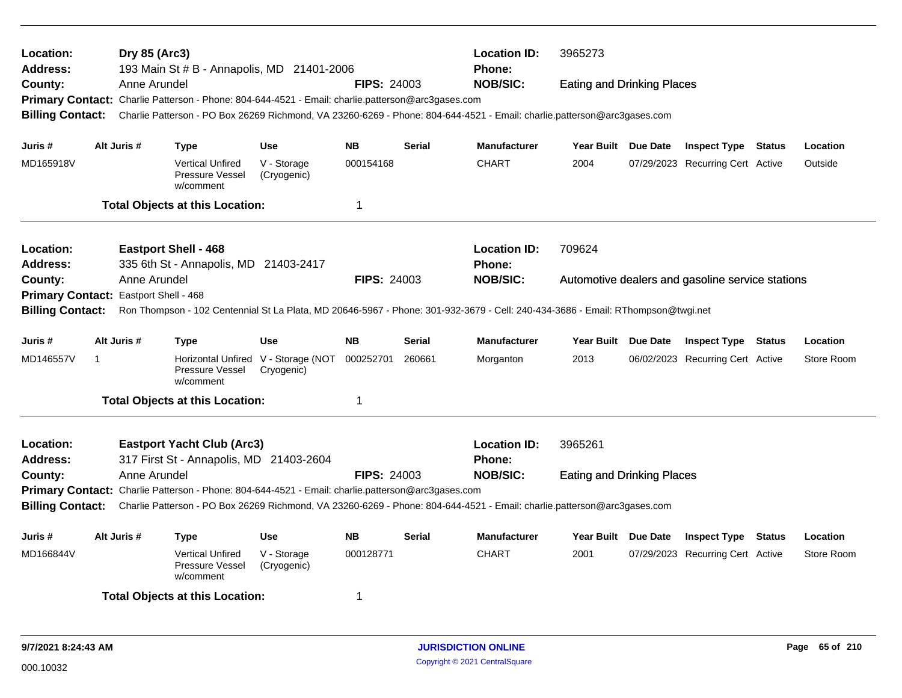| <b>Location:</b><br><b>Address:</b> |                                       | Dry 85 (Arc3) | 193 Main St # B - Annapolis, MD 21401-2006                                                                                      |                            |                    |               | <b>Location ID:</b><br>Phone: | 3965273                           |                                                  |               |            |
|-------------------------------------|---------------------------------------|---------------|---------------------------------------------------------------------------------------------------------------------------------|----------------------------|--------------------|---------------|-------------------------------|-----------------------------------|--------------------------------------------------|---------------|------------|
| County:                             |                                       | Anne Arundel  |                                                                                                                                 |                            | <b>FIPS: 24003</b> |               | <b>NOB/SIC:</b>               | <b>Eating and Drinking Places</b> |                                                  |               |            |
|                                     |                                       |               | Primary Contact: Charlie Patterson - Phone: 804-644-4521 - Email: charlie.patterson@arc3gases.com                               |                            |                    |               |                               |                                   |                                                  |               |            |
| <b>Billing Contact:</b>             |                                       |               | Charlie Patterson - PO Box 26269 Richmond, VA 23260-6269 - Phone: 804-644-4521 - Email: charlie.patterson@arc3gases.com         |                            |                    |               |                               |                                   |                                                  |               |            |
| Juris #                             | Alt Juris #                           |               | <b>Type</b>                                                                                                                     | <b>Use</b>                 | <b>NB</b>          | <b>Serial</b> | <b>Manufacturer</b>           | Year Built Due Date               | <b>Inspect Type Status</b>                       |               | Location   |
| MD165918V                           |                                       |               | <b>Vertical Unfired</b><br><b>Pressure Vessel</b><br>w/comment                                                                  | V - Storage<br>(Cryogenic) | 000154168          |               | <b>CHART</b>                  | 2004                              | 07/29/2023 Recurring Cert Active                 |               | Outside    |
|                                     |                                       |               | <b>Total Objects at this Location:</b>                                                                                          |                            | $\overline{1}$     |               |                               |                                   |                                                  |               |            |
| <b>Location:</b>                    |                                       |               | <b>Eastport Shell - 468</b>                                                                                                     |                            |                    |               | <b>Location ID:</b>           | 709624                            |                                                  |               |            |
| <b>Address:</b>                     |                                       |               | 335 6th St - Annapolis, MD 21403-2417                                                                                           |                            |                    |               | Phone:                        |                                   |                                                  |               |            |
| County:                             |                                       | Anne Arundel  |                                                                                                                                 |                            | <b>FIPS: 24003</b> |               | <b>NOB/SIC:</b>               |                                   | Automotive dealers and gasoline service stations |               |            |
|                                     | Primary Contact: Eastport Shell - 468 |               |                                                                                                                                 |                            |                    |               |                               |                                   |                                                  |               |            |
| <b>Billing Contact:</b>             |                                       |               | Ron Thompson - 102 Centennial St La Plata, MD 20646-5967 - Phone: 301-932-3679 - Cell: 240-434-3686 - Email: RThompson@twgi.net |                            |                    |               |                               |                                   |                                                  |               |            |
| Juris #                             | Alt Juris #                           |               | <b>Type</b>                                                                                                                     | <b>Use</b>                 | <b>NB</b>          | <b>Serial</b> | <b>Manufacturer</b>           | Year Built Due Date               | <b>Inspect Type Status</b>                       |               | Location   |
| MD146557V                           | -1                                    |               | Horizontal Unfired V - Storage (NOT<br>Pressure Vessel<br>w/comment                                                             | Cryogenic)                 | 000252701          | 260661        | Morganton                     | 2013                              | 06/02/2023 Recurring Cert Active                 |               | Store Room |
|                                     |                                       |               | <b>Total Objects at this Location:</b>                                                                                          |                            | $\overline{1}$     |               |                               |                                   |                                                  |               |            |
| <b>Location:</b><br><b>Address:</b> |                                       |               | <b>Eastport Yacht Club (Arc3)</b><br>317 First St - Annapolis, MD 21403-2604                                                    |                            |                    |               | <b>Location ID:</b><br>Phone: | 3965261                           |                                                  |               |            |
| County:                             |                                       | Anne Arundel  |                                                                                                                                 |                            | <b>FIPS: 24003</b> |               | <b>NOB/SIC:</b>               | <b>Eating and Drinking Places</b> |                                                  |               |            |
|                                     |                                       |               | Primary Contact: Charlie Patterson - Phone: 804-644-4521 - Email: charlie.patterson@arc3gases.com                               |                            |                    |               |                               |                                   |                                                  |               |            |
| <b>Billing Contact:</b>             |                                       |               | Charlie Patterson - PO Box 26269 Richmond, VA 23260-6269 - Phone: 804-644-4521 - Email: charlie.patterson@arc3gases.com         |                            |                    |               |                               |                                   |                                                  |               |            |
| Juris #                             | Alt Juris #                           |               | <b>Type</b>                                                                                                                     | <b>Use</b>                 | <b>NB</b>          | <b>Serial</b> | <b>Manufacturer</b>           | Year Built Due Date               | <b>Inspect Type</b>                              | <b>Status</b> | Location   |
| MD166844V                           |                                       |               | <b>Vertical Unfired</b><br>Pressure Vessel<br>w/comment                                                                         | V - Storage<br>(Cryogenic) | 000128771          |               | <b>CHART</b>                  | 2001                              | 07/29/2023 Recurring Cert Active                 |               | Store Room |
|                                     |                                       |               | <b>Total Objects at this Location:</b>                                                                                          |                            | -1                 |               |                               |                                   |                                                  |               |            |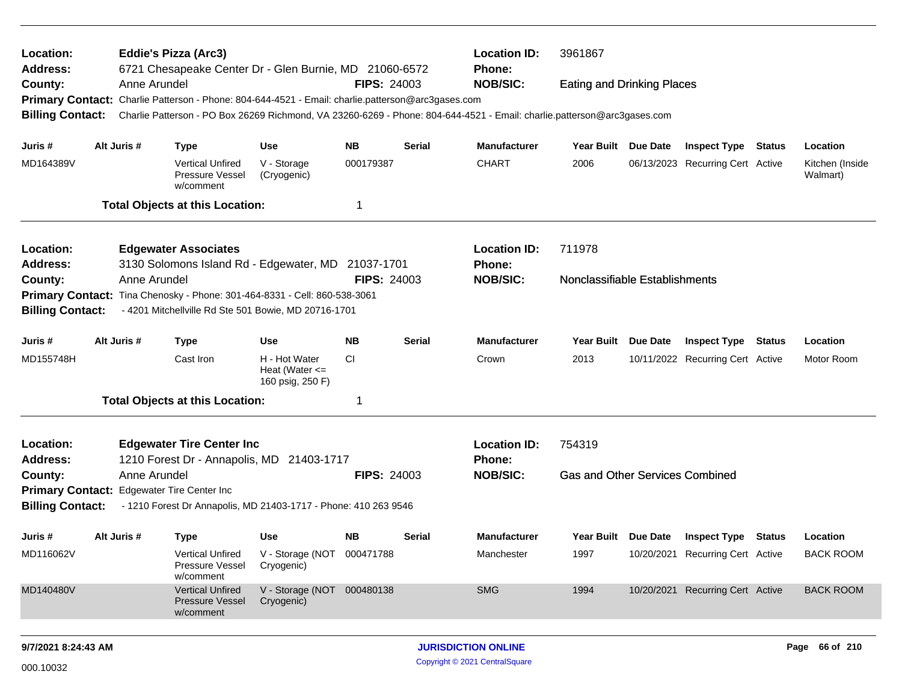| Location:                    |             | <b>Eddie's Pizza (Arc3)</b>                                                                                                                                                                                                  |                                                         |                    |               | <b>Location ID:</b>                  | 3961867                                |          |                                  |               |                             |
|------------------------------|-------------|------------------------------------------------------------------------------------------------------------------------------------------------------------------------------------------------------------------------------|---------------------------------------------------------|--------------------|---------------|--------------------------------------|----------------------------------------|----------|----------------------------------|---------------|-----------------------------|
| <b>Address:</b><br>County:   |             | 6721 Chesapeake Center Dr - Glen Burnie, MD 21060-6572<br>Anne Arundel                                                                                                                                                       |                                                         | <b>FIPS: 24003</b> |               | Phone:<br><b>NOB/SIC:</b>            | <b>Eating and Drinking Places</b>      |          |                                  |               |                             |
| <b>Billing Contact:</b>      |             | Primary Contact: Charlie Patterson - Phone: 804-644-4521 - Email: charlie.patterson@arc3gases.com<br>Charlie Patterson - PO Box 26269 Richmond, VA 23260-6269 - Phone: 804-644-4521 - Email: charlie.patterson@arc3gases.com |                                                         |                    |               |                                      |                                        |          |                                  |               |                             |
| Juris #                      | Alt Juris # | <b>Type</b>                                                                                                                                                                                                                  | <b>Use</b>                                              | <b>NB</b>          | <b>Serial</b> | <b>Manufacturer</b>                  | Year Built Due Date                    |          | <b>Inspect Type Status</b>       |               | Location                    |
| MD164389V                    |             | <b>Vertical Unfired</b><br>Pressure Vessel<br>w/comment                                                                                                                                                                      | V - Storage<br>(Cryogenic)                              | 000179387          |               | <b>CHART</b>                         | 2006                                   |          | 06/13/2023 Recurring Cert Active |               | Kitchen (Inside<br>Walmart) |
|                              |             | <b>Total Objects at this Location:</b>                                                                                                                                                                                       |                                                         | -1                 |               |                                      |                                        |          |                                  |               |                             |
| Location:                    |             | <b>Edgewater Associates</b>                                                                                                                                                                                                  |                                                         |                    |               | <b>Location ID:</b>                  | 711978                                 |          |                                  |               |                             |
| <b>Address:</b>              |             | 3130 Solomons Island Rd - Edgewater, MD 21037-1701                                                                                                                                                                           |                                                         |                    |               | Phone:                               |                                        |          |                                  |               |                             |
| County:                      |             | Anne Arundel                                                                                                                                                                                                                 |                                                         | <b>FIPS: 24003</b> |               | <b>NOB/SIC:</b>                      | Nonclassifiable Establishments         |          |                                  |               |                             |
| <b>Billing Contact:</b>      |             | Primary Contact: Tina Chenosky - Phone: 301-464-8331 - Cell: 860-538-3061<br>- 4201 Mitchellville Rd Ste 501 Bowie, MD 20716-1701                                                                                            |                                                         |                    |               |                                      |                                        |          |                                  |               |                             |
|                              |             |                                                                                                                                                                                                                              |                                                         |                    |               |                                      |                                        |          |                                  |               |                             |
| Juris #                      | Alt Juris # | <b>Type</b>                                                                                                                                                                                                                  | <b>Use</b>                                              | <b>NB</b>          | <b>Serial</b> | <b>Manufacturer</b>                  | Year Built                             | Due Date | <b>Inspect Type</b>              | <b>Status</b> | Location                    |
| MD155748H                    |             | Cast Iron                                                                                                                                                                                                                    | H - Hot Water<br>Heat (Water $\leq$<br>160 psig, 250 F) | <b>CI</b>          |               | Crown                                | 2013                                   |          | 10/11/2022 Recurring Cert Active |               | Motor Room                  |
|                              |             | <b>Total Objects at this Location:</b>                                                                                                                                                                                       |                                                         | -1                 |               |                                      |                                        |          |                                  |               |                             |
| Location:<br><b>Address:</b> |             | <b>Edgewater Tire Center Inc</b><br>1210 Forest Dr - Annapolis, MD 21403-1717                                                                                                                                                |                                                         |                    |               | <b>Location ID:</b><br><b>Phone:</b> | 754319                                 |          |                                  |               |                             |
| County:                      |             | Anne Arundel                                                                                                                                                                                                                 |                                                         | <b>FIPS: 24003</b> |               | <b>NOB/SIC:</b>                      | <b>Gas and Other Services Combined</b> |          |                                  |               |                             |
|                              |             | Primary Contact: Edgewater Tire Center Inc                                                                                                                                                                                   |                                                         |                    |               |                                      |                                        |          |                                  |               |                             |
| <b>Billing Contact:</b>      |             | - 1210 Forest Dr Annapolis, MD 21403-1717 - Phone: 410 263 9546                                                                                                                                                              |                                                         |                    |               |                                      |                                        |          |                                  |               |                             |
| Juris #                      | Alt Juris # | <b>Type</b>                                                                                                                                                                                                                  | <b>Use</b>                                              | NB.                | <b>Serial</b> | <b>Manufacturer</b>                  | Year Built Due Date                    |          | <b>Inspect Type</b>              | Status        | Location                    |
| MD116062V                    |             | <b>Vertical Unfired</b><br>Pressure Vessel<br>w/comment                                                                                                                                                                      | V - Storage (NOT 000471788<br>Cryogenic)                |                    |               | Manchester                           | 1997                                   |          | 10/20/2021 Recurring Cert Active |               | <b>BACK ROOM</b>            |
| MD140480V                    |             | <b>Vertical Unfired</b><br><b>Pressure Vessel</b><br>w/comment                                                                                                                                                               | V - Storage (NOT 000480138<br>Cryogenic)                |                    |               | <b>SMG</b>                           | 1994                                   |          | 10/20/2021 Recurring Cert Active |               | <b>BACK ROOM</b>            |
| 9/7/2021 8:24:43 AM          |             |                                                                                                                                                                                                                              |                                                         |                    |               | <b>JURISDICTION ONLINE</b>           |                                        |          |                                  |               | Page 66 of 210              |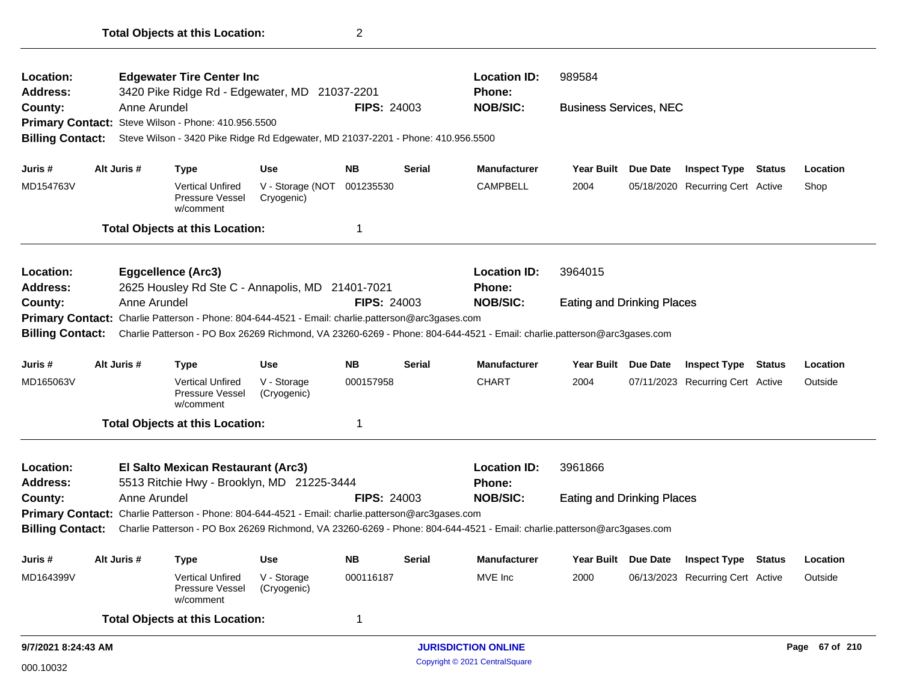| Location:               |             |              | <b>Edgewater Tire Center Inc</b>                                                                  |                                          |                    |               | <b>Location ID:</b>                                                                                                     | 989584                            |                 |                                  |        |          |
|-------------------------|-------------|--------------|---------------------------------------------------------------------------------------------------|------------------------------------------|--------------------|---------------|-------------------------------------------------------------------------------------------------------------------------|-----------------------------------|-----------------|----------------------------------|--------|----------|
| <b>Address:</b>         |             |              | 3420 Pike Ridge Rd - Edgewater, MD 21037-2201                                                     |                                          |                    |               | <b>Phone:</b>                                                                                                           |                                   |                 |                                  |        |          |
| County:                 |             | Anne Arundel |                                                                                                   |                                          | <b>FIPS: 24003</b> |               | <b>NOB/SIC:</b>                                                                                                         | <b>Business Services, NEC</b>     |                 |                                  |        |          |
|                         |             |              | Primary Contact: Steve Wilson - Phone: 410.956.5500                                               |                                          |                    |               |                                                                                                                         |                                   |                 |                                  |        |          |
| <b>Billing Contact:</b> |             |              | Steve Wilson - 3420 Pike Ridge Rd Edgewater, MD 21037-2201 - Phone: 410.956.5500                  |                                          |                    |               |                                                                                                                         |                                   |                 |                                  |        |          |
| Juris #                 |             | Alt Juris #  | <b>Type</b>                                                                                       | <b>Use</b>                               | <b>NB</b>          | Serial        | <b>Manufacturer</b>                                                                                                     | <b>Year Built</b>                 | Due Date        | <b>Inspect Type</b>              | Status | Location |
| MD154763V               |             |              | <b>Vertical Unfired</b><br>Pressure Vessel<br>w/comment                                           | V - Storage (NOT 001235530<br>Cryogenic) |                    |               | <b>CAMPBELL</b>                                                                                                         | 2004                              |                 | 05/18/2020 Recurring Cert Active |        | Shop     |
|                         |             |              | <b>Total Objects at this Location:</b>                                                            |                                          |                    |               |                                                                                                                         |                                   |                 |                                  |        |          |
| Location:               |             |              | <b>Eggcellence (Arc3)</b>                                                                         |                                          |                    |               | <b>Location ID:</b>                                                                                                     | 3964015                           |                 |                                  |        |          |
| <b>Address:</b>         |             |              | 2625 Housley Rd Ste C - Annapolis, MD 21401-7021                                                  |                                          |                    |               | <b>Phone:</b>                                                                                                           |                                   |                 |                                  |        |          |
| County:                 |             | Anne Arundel |                                                                                                   |                                          | <b>FIPS: 24003</b> |               | <b>NOB/SIC:</b>                                                                                                         | <b>Eating and Drinking Places</b> |                 |                                  |        |          |
|                         |             |              | Primary Contact: Charlie Patterson - Phone: 804-644-4521 - Email: charlie.patterson@arc3gases.com |                                          |                    |               |                                                                                                                         |                                   |                 |                                  |        |          |
| <b>Billing Contact:</b> |             |              |                                                                                                   |                                          |                    |               | Charlie Patterson - PO Box 26269 Richmond, VA 23260-6269 - Phone: 804-644-4521 - Email: charlie.patterson@arc3gases.com |                                   |                 |                                  |        |          |
| Juris #                 |             | Alt Juris #  | <b>Type</b>                                                                                       | <b>Use</b>                               | <b>NB</b>          | <b>Serial</b> | <b>Manufacturer</b>                                                                                                     | <b>Year Built</b>                 | <b>Due Date</b> | <b>Inspect Type Status</b>       |        | Location |
| MD165063V               |             |              | <b>Vertical Unfired</b><br>Pressure Vessel<br>w/comment                                           | V - Storage<br>(Cryogenic)               | 000157958          |               | <b>CHART</b>                                                                                                            | 2004                              |                 | 07/11/2023 Recurring Cert Active |        | Outside  |
|                         |             |              | <b>Total Objects at this Location:</b>                                                            |                                          | 1                  |               |                                                                                                                         |                                   |                 |                                  |        |          |
| Location:               |             |              | El Salto Mexican Restaurant (Arc3)                                                                |                                          |                    |               | <b>Location ID:</b>                                                                                                     | 3961866                           |                 |                                  |        |          |
| <b>Address:</b>         |             |              | 5513 Ritchie Hwy - Brooklyn, MD 21225-3444                                                        |                                          |                    |               | Phone:                                                                                                                  |                                   |                 |                                  |        |          |
| County:                 |             | Anne Arundel |                                                                                                   |                                          | <b>FIPS: 24003</b> |               | <b>NOB/SIC:</b>                                                                                                         | <b>Eating and Drinking Places</b> |                 |                                  |        |          |
|                         |             |              | Primary Contact: Charlie Patterson - Phone: 804-644-4521 - Email: charlie.patterson@arc3gases.com |                                          |                    |               |                                                                                                                         |                                   |                 |                                  |        |          |
| <b>Billing Contact:</b> |             |              |                                                                                                   |                                          |                    |               | Charlie Patterson - PO Box 26269 Richmond, VA 23260-6269 - Phone: 804-644-4521 - Email: charlie.patterson@arc3gases.com |                                   |                 |                                  |        |          |
| Juris #                 | Alt Juris # |              | <b>Type</b>                                                                                       | <b>Use</b>                               | <b>NB</b>          | <b>Serial</b> | <b>Manufacturer</b>                                                                                                     | <b>Year Built</b>                 | <b>Due Date</b> | <b>Inspect Type Status</b>       |        | Location |
| MD164399V               |             |              | <b>Vertical Unfired</b><br>Pressure Vessel<br>w/comment                                           | V - Storage<br>(Cryogenic)               | 000116187          |               | MVE Inc                                                                                                                 | 2000                              |                 | 06/13/2023 Recurring Cert Active |        | Outside  |
|                         |             |              |                                                                                                   |                                          |                    |               |                                                                                                                         |                                   |                 |                                  |        |          |
|                         |             |              | <b>Total Objects at this Location:</b>                                                            |                                          | 1                  |               |                                                                                                                         |                                   |                 |                                  |        |          |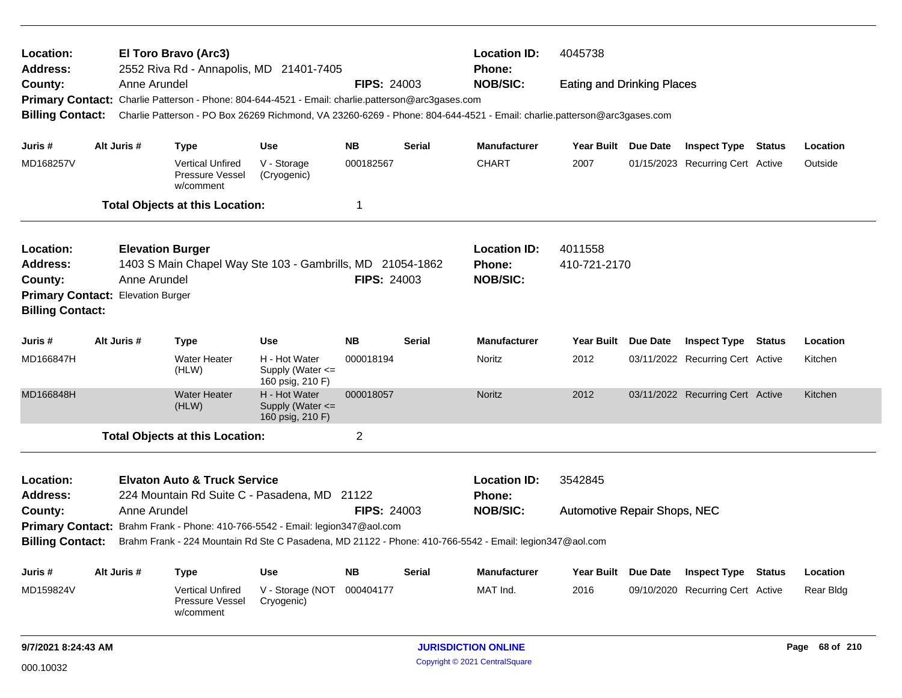| Location:<br>Address:<br>County:                                              |                         |                         | El Toro Bravo (Arc3)<br>2552 Riva Rd - Annapolis, MD 21401-7405                                   |                                                                                                         |                    |               | <b>Location ID:</b><br>Phone:                                                                                           | 4045738                             |          |                                  |  |                |
|-------------------------------------------------------------------------------|-------------------------|-------------------------|---------------------------------------------------------------------------------------------------|---------------------------------------------------------------------------------------------------------|--------------------|---------------|-------------------------------------------------------------------------------------------------------------------------|-------------------------------------|----------|----------------------------------|--|----------------|
|                                                                               |                         | Anne Arundel            |                                                                                                   |                                                                                                         | <b>FIPS: 24003</b> |               | <b>NOB/SIC:</b>                                                                                                         | <b>Eating and Drinking Places</b>   |          |                                  |  |                |
|                                                                               |                         |                         | Primary Contact: Charlie Patterson - Phone: 804-644-4521 - Email: charlie.patterson@arc3gases.com |                                                                                                         |                    |               |                                                                                                                         |                                     |          |                                  |  |                |
| <b>Billing Contact:</b>                                                       |                         |                         |                                                                                                   |                                                                                                         |                    |               | Charlie Patterson - PO Box 26269 Richmond, VA 23260-6269 - Phone: 804-644-4521 - Email: charlie.patterson@arc3gases.com |                                     |          |                                  |  |                |
| Juris #                                                                       |                         | Alt Juris #             | <b>Type</b>                                                                                       | Use                                                                                                     | <b>NB</b>          | Serial        | <b>Manufacturer</b>                                                                                                     | Year Built Due Date                 |          | <b>Inspect Type Status</b>       |  | Location       |
| MD168257V                                                                     |                         |                         | <b>Vertical Unfired</b><br>Pressure Vessel<br>w/comment                                           | V - Storage<br>(Cryogenic)                                                                              | 000182567          |               | <b>CHART</b>                                                                                                            | 2007                                |          | 01/15/2023 Recurring Cert Active |  | Outside        |
|                                                                               |                         |                         | <b>Total Objects at this Location:</b>                                                            |                                                                                                         | 1                  |               |                                                                                                                         |                                     |          |                                  |  |                |
| Location:                                                                     |                         | <b>Elevation Burger</b> |                                                                                                   |                                                                                                         |                    |               | <b>Location ID:</b>                                                                                                     | 4011558                             |          |                                  |  |                |
| <b>Address:</b>                                                               |                         |                         | 1403 S Main Chapel Way Ste 103 - Gambrills, MD 21054-1862                                         |                                                                                                         |                    |               | <b>Phone:</b>                                                                                                           | 410-721-2170                        |          |                                  |  |                |
| County:                                                                       |                         | Anne Arundel            |                                                                                                   |                                                                                                         | <b>FIPS: 24003</b> |               | <b>NOB/SIC:</b>                                                                                                         |                                     |          |                                  |  |                |
| Primary Contact: Elevation Burger                                             |                         |                         |                                                                                                   |                                                                                                         |                    |               |                                                                                                                         |                                     |          |                                  |  |                |
|                                                                               | <b>Billing Contact:</b> |                         |                                                                                                   |                                                                                                         |                    |               |                                                                                                                         |                                     |          |                                  |  |                |
| Juris #                                                                       |                         | Alt Juris #             | <b>Type</b>                                                                                       | <b>Use</b>                                                                                              | <b>NB</b>          | <b>Serial</b> | <b>Manufacturer</b>                                                                                                     | Year Built Due Date                 |          | <b>Inspect Type Status</b>       |  | Location       |
| MD166847H                                                                     |                         |                         | <b>Water Heater</b><br>(HLW)                                                                      | H - Hot Water<br>Supply (Water <=<br>160 psig, 210 F)                                                   | 000018194          |               | Noritz                                                                                                                  | 2012                                |          | 03/11/2022 Recurring Cert Active |  | Kitchen        |
| MD166848H                                                                     |                         |                         | <b>Water Heater</b><br>(HLW)                                                                      | H - Hot Water<br>Supply (Water $\leq$<br>160 psig, 210 F)                                               | 000018057          |               | <b>Noritz</b>                                                                                                           | 2012                                |          | 03/11/2022 Recurring Cert Active |  | Kitchen        |
|                                                                               |                         |                         | <b>Total Objects at this Location:</b>                                                            |                                                                                                         | $\overline{c}$     |               |                                                                                                                         |                                     |          |                                  |  |                |
| Location:                                                                     |                         |                         | <b>Elvaton Auto &amp; Truck Service</b>                                                           |                                                                                                         |                    |               | <b>Location ID:</b>                                                                                                     | 3542845                             |          |                                  |  |                |
| <b>Address:</b>                                                               |                         |                         | 224 Mountain Rd Suite C - Pasadena, MD 21122                                                      |                                                                                                         |                    |               | <b>Phone:</b>                                                                                                           |                                     |          |                                  |  |                |
| County:                                                                       |                         | Anne Arundel            |                                                                                                   |                                                                                                         | <b>FIPS: 24003</b> |               | <b>NOB/SIC:</b>                                                                                                         | <b>Automotive Repair Shops, NEC</b> |          |                                  |  |                |
| Primary Contact: Brahm Frank - Phone: 410-766-5542 - Email: legion347@aol.com |                         |                         |                                                                                                   |                                                                                                         |                    |               |                                                                                                                         |                                     |          |                                  |  |                |
| <b>Billing Contact:</b>                                                       |                         |                         |                                                                                                   | Brahm Frank - 224 Mountain Rd Ste C Pasadena, MD 21122 - Phone: 410-766-5542 - Email: legion347@aol.com |                    |               |                                                                                                                         |                                     |          |                                  |  |                |
| Juris #                                                                       |                         | Alt Juris #             | <b>Type</b>                                                                                       | Use                                                                                                     | <b>NB</b>          | Serial        | <b>Manufacturer</b>                                                                                                     | <b>Year Built</b>                   | Due Date | <b>Inspect Type Status</b>       |  | Location       |
| MD159824V                                                                     |                         |                         | <b>Vertical Unfired</b><br>Pressure Vessel<br>w/comment                                           | V - Storage (NOT<br>Cryogenic)                                                                          | 000404177          |               | MAT Ind.                                                                                                                | 2016                                |          | 09/10/2020 Recurring Cert Active |  | Rear Bldg      |
| 9/7/2021 8:24:43 AM                                                           |                         |                         |                                                                                                   |                                                                                                         |                    |               | <b>JURISDICTION ONLINE</b>                                                                                              |                                     |          |                                  |  | Page 68 of 210 |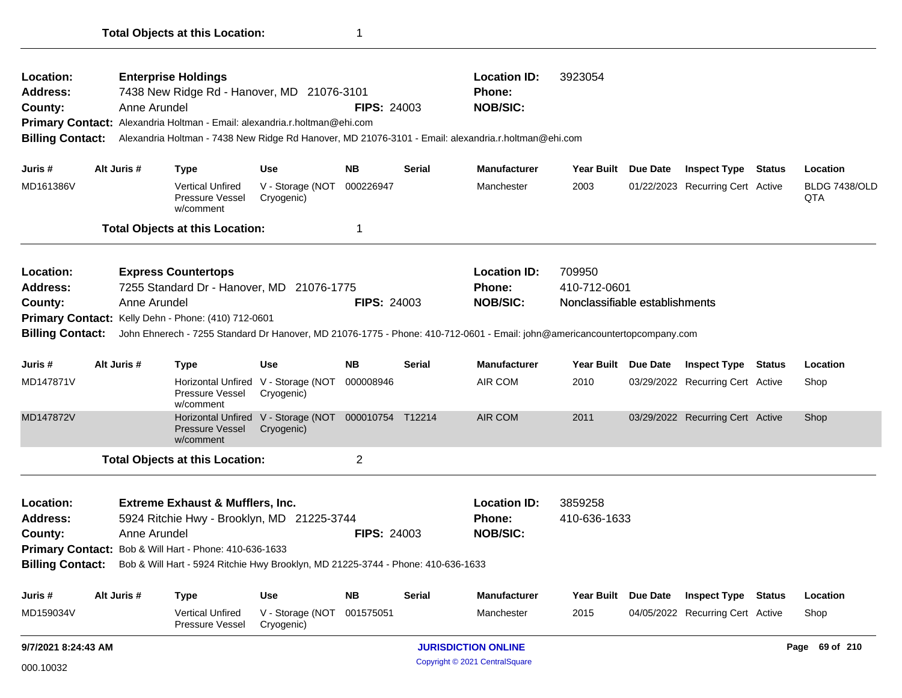| Location:<br>Address:<br>County:<br><b>Billing Contact:</b>                                                                                                                                                                                                                                                                                                      |  | Anne Arundel | <b>Enterprise Holdings</b><br>7438 New Ridge Rd - Hanover, MD 21076-3101<br>Primary Contact: Alexandria Holtman - Email: alexandria.r.holtman@ehi.com |                                                                    | <b>FIPS: 24003</b> |               | <b>Location ID:</b><br><b>Phone:</b><br><b>NOB/SIC:</b><br>Alexandria Holtman - 7438 New Ridge Rd Hanover, MD 21076-3101 - Email: alexandria.r.holtman@ehi.com | 3923054                                                  |          |                                                                |               |                                  |
|------------------------------------------------------------------------------------------------------------------------------------------------------------------------------------------------------------------------------------------------------------------------------------------------------------------------------------------------------------------|--|--------------|-------------------------------------------------------------------------------------------------------------------------------------------------------|--------------------------------------------------------------------|--------------------|---------------|----------------------------------------------------------------------------------------------------------------------------------------------------------------|----------------------------------------------------------|----------|----------------------------------------------------------------|---------------|----------------------------------|
|                                                                                                                                                                                                                                                                                                                                                                  |  |              |                                                                                                                                                       |                                                                    |                    |               |                                                                                                                                                                |                                                          |          |                                                                |               |                                  |
| Juris #<br>MD161386V                                                                                                                                                                                                                                                                                                                                             |  | Alt Juris #  | <b>Type</b><br><b>Vertical Unfired</b><br>Pressure Vessel<br>w/comment                                                                                | <b>Use</b><br>V - Storage (NOT<br>Cryogenic)                       | NΒ<br>000226947    | <b>Serial</b> | <b>Manufacturer</b><br>Manchester                                                                                                                              | Year Built Due Date<br>2003                              |          | <b>Inspect Type Status</b><br>01/22/2023 Recurring Cert Active |               | Location<br>BLDG 7438/OLD<br>QTA |
|                                                                                                                                                                                                                                                                                                                                                                  |  |              | <b>Total Objects at this Location:</b>                                                                                                                |                                                                    | -1                 |               |                                                                                                                                                                |                                                          |          |                                                                |               |                                  |
| Location:<br><b>Address:</b><br>County:                                                                                                                                                                                                                                                                                                                          |  | Anne Arundel | <b>Express Countertops</b><br>7255 Standard Dr - Hanover, MD 21076-1775<br>Primary Contact: Kelly Dehn - Phone: (410) 712-0601                        |                                                                    | <b>FIPS: 24003</b> |               | <b>Location ID:</b><br>Phone:<br><b>NOB/SIC:</b>                                                                                                               | 709950<br>410-712-0601<br>Nonclassifiable establishments |          |                                                                |               |                                  |
| <b>Billing Contact:</b>                                                                                                                                                                                                                                                                                                                                          |  |              |                                                                                                                                                       |                                                                    |                    |               | John Ehnerech - 7255 Standard Dr Hanover, MD 21076-1775 - Phone: 410-712-0601 - Email: john@americancountertopcompany.com                                      |                                                          |          |                                                                |               |                                  |
| Juris #                                                                                                                                                                                                                                                                                                                                                          |  | Alt Juris #  | <b>Type</b>                                                                                                                                           | <b>Use</b>                                                         | <b>NB</b>          | <b>Serial</b> | <b>Manufacturer</b>                                                                                                                                            | <b>Year Built</b>                                        | Due Date | <b>Inspect Type</b>                                            | Status        | Location                         |
| MD147871V                                                                                                                                                                                                                                                                                                                                                        |  |              | Pressure Vessel<br>w/comment                                                                                                                          | Horizontal Unfired V - Storage (NOT<br>Cryogenic)                  | 000008946          |               | AIR COM                                                                                                                                                        | 2010                                                     |          | 03/29/2022 Recurring Cert Active                               |               | Shop                             |
| MD147872V                                                                                                                                                                                                                                                                                                                                                        |  |              | <b>Pressure Vessel</b><br>w/comment                                                                                                                   | Horizontal Unfired V - Storage (NOT 000010754 T12214<br>Cryogenic) |                    |               | AIR COM                                                                                                                                                        | 2011                                                     |          | 03/29/2022 Recurring Cert Active                               |               | Shop                             |
|                                                                                                                                                                                                                                                                                                                                                                  |  |              |                                                                                                                                                       |                                                                    | $\overline{2}$     |               |                                                                                                                                                                |                                                          |          |                                                                |               |                                  |
| <b>Total Objects at this Location:</b><br><b>Extreme Exhaust &amp; Mufflers, Inc.</b><br>Location:<br>Address:<br>5924 Ritchie Hwy - Brooklyn, MD 21225-3744<br>Anne Arundel<br>County:<br>Primary Contact: Bob & Will Hart - Phone: 410-636-1633<br><b>Billing Contact:</b><br>Bob & Will Hart - 5924 Ritchie Hwy Brooklyn, MD 21225-3744 - Phone: 410-636-1633 |  |              |                                                                                                                                                       |                                                                    | <b>FIPS: 24003</b> |               | <b>Location ID:</b><br>Phone:<br><b>NOB/SIC:</b>                                                                                                               | 3859258<br>410-636-1633                                  |          |                                                                |               |                                  |
| Juris #                                                                                                                                                                                                                                                                                                                                                          |  | Alt Juris #  | Type                                                                                                                                                  | <b>Use</b>                                                         | <b>NB</b>          | <b>Serial</b> | <b>Manufacturer</b>                                                                                                                                            | Year Built                                               | Due Date | <b>Inspect Type</b>                                            | <b>Status</b> | Location                         |
| MD159034V                                                                                                                                                                                                                                                                                                                                                        |  |              | <b>Vertical Unfired</b><br>Pressure Vessel                                                                                                            | V - Storage (NOT<br>Cryogenic)                                     | 001575051          |               | Manchester                                                                                                                                                     | 2015                                                     |          | 04/05/2022 Recurring Cert Active                               |               | Shop                             |
| 9/7/2021 8:24:43 AM                                                                                                                                                                                                                                                                                                                                              |  |              |                                                                                                                                                       |                                                                    |                    |               | <b>JURISDICTION ONLINE</b>                                                                                                                                     |                                                          |          |                                                                |               | Page 69 of 210                   |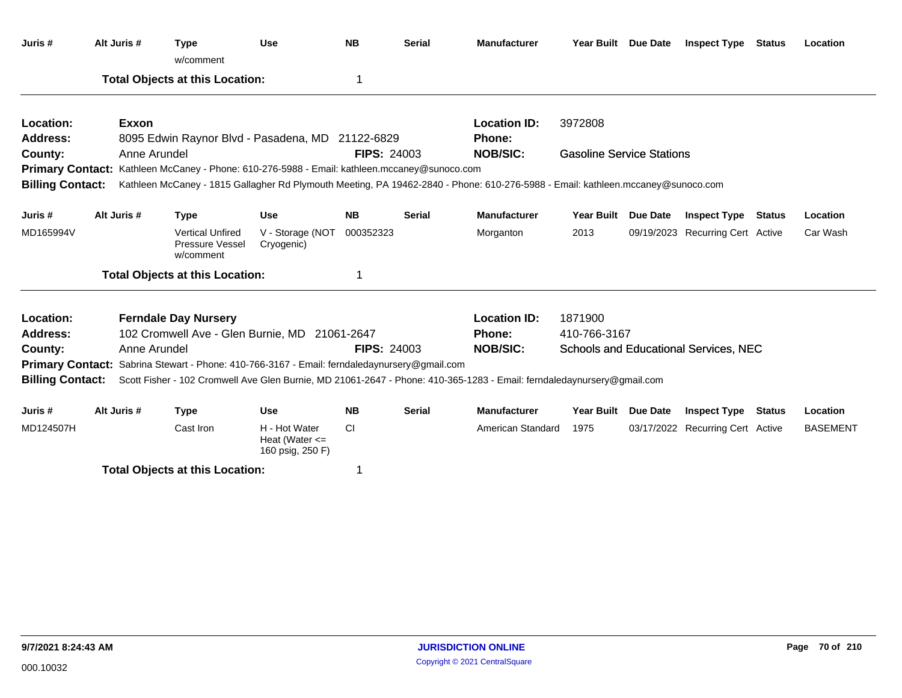| Juris #                 | Alt Juris #                                      |              | <b>Type</b><br>w/comment                                                                            | <b>Use</b>                                              | <b>NB</b>          | <b>Serial</b>                         | <b>Manufacturer</b>                                                                                                             | Year Built Due Date              |  | <b>Inspect Type</b>              | Status | Location        |  |
|-------------------------|--------------------------------------------------|--------------|-----------------------------------------------------------------------------------------------------|---------------------------------------------------------|--------------------|---------------------------------------|---------------------------------------------------------------------------------------------------------------------------------|----------------------------------|--|----------------------------------|--------|-----------------|--|
|                         |                                                  |              | <b>Total Objects at this Location:</b>                                                              |                                                         | 1                  |                                       |                                                                                                                                 |                                  |  |                                  |        |                 |  |
| Location:               |                                                  | Exxon        |                                                                                                     |                                                         |                    |                                       | <b>Location ID:</b>                                                                                                             | 3972808                          |  |                                  |        |                 |  |
| <b>Address:</b>         | 8095 Edwin Raynor Blvd - Pasadena, MD 21122-6829 |              |                                                                                                     |                                                         |                    |                                       | Phone:                                                                                                                          |                                  |  |                                  |        |                 |  |
| County:                 |                                                  | Anne Arundel |                                                                                                     |                                                         | <b>FIPS: 24003</b> |                                       | <b>NOB/SIC:</b>                                                                                                                 | <b>Gasoline Service Stations</b> |  |                                  |        |                 |  |
|                         |                                                  |              | <b>Primary Contact:</b> Kathleen McCaney - Phone: 610-276-5988 - Email: kathleen.mccaney@sunoco.com |                                                         |                    |                                       |                                                                                                                                 |                                  |  |                                  |        |                 |  |
| <b>Billing Contact:</b> |                                                  |              |                                                                                                     |                                                         |                    |                                       | Kathleen McCaney - 1815 Gallagher Rd Plymouth Meeting, PA 19462-2840 - Phone: 610-276-5988 - Email: kathleen.mccaney@sunoco.com |                                  |  |                                  |        |                 |  |
| Juris #                 | Alt Juris #                                      |              | <b>Type</b>                                                                                         | <b>Use</b>                                              | <b>NB</b>          | <b>Serial</b>                         | <b>Manufacturer</b>                                                                                                             | Year Built Due Date              |  | <b>Inspect Type</b>              | Status | Location        |  |
| MD165994V               |                                                  |              | <b>Vertical Unfired</b><br>Pressure Vessel<br>w/comment                                             | V - Storage (NOT<br>Cryogenic)                          | 000352323          |                                       | Morganton                                                                                                                       | 2013                             |  | 09/19/2023 Recurring Cert Active |        | Car Wash        |  |
|                         |                                                  |              | <b>Total Objects at this Location:</b>                                                              |                                                         | -1                 |                                       |                                                                                                                                 |                                  |  |                                  |        |                 |  |
| Location:               |                                                  |              | <b>Ferndale Day Nursery</b>                                                                         |                                                         |                    |                                       | <b>Location ID:</b>                                                                                                             | 1871900                          |  |                                  |        |                 |  |
| <b>Address:</b>         |                                                  |              | 102 Cromwell Ave - Glen Burnie, MD 21061-2647                                                       |                                                         |                    | <b>Phone:</b>                         | 410-766-3167                                                                                                                    |                                  |  |                                  |        |                 |  |
| County:                 |                                                  | Anne Arundel |                                                                                                     |                                                         | <b>NOB/SIC:</b>    | Schools and Educational Services, NEC |                                                                                                                                 |                                  |  |                                  |        |                 |  |
|                         |                                                  |              | <b>Primary Contact:</b> Sabrina Stewart - Phone: 410-766-3167 - Email: ferndaledaynursery@gmail.com |                                                         |                    |                                       |                                                                                                                                 |                                  |  |                                  |        |                 |  |
| <b>Billing Contact:</b> |                                                  |              |                                                                                                     |                                                         |                    |                                       | Scott Fisher - 102 Cromwell Ave Glen Burnie, MD 21061-2647 - Phone: 410-365-1283 - Email: ferndaledaynursery@gmail.com          |                                  |  |                                  |        |                 |  |
| Juris #                 | Alt Juris #                                      |              | <b>Type</b>                                                                                         | <b>Use</b>                                              | <b>NB</b>          | <b>Serial</b>                         | <b>Manufacturer</b>                                                                                                             | Year Built Due Date              |  | <b>Inspect Type</b>              | Status | Location        |  |
| MD124507H               |                                                  |              | Cast Iron                                                                                           | H - Hot Water<br>Heat (Water $\leq$<br>160 psig, 250 F) | CI.                |                                       | American Standard                                                                                                               | 1975                             |  | 03/17/2022 Recurring Cert Active |        | <b>BASEMENT</b> |  |
|                         |                                                  |              | <b>Total Objects at this Location:</b>                                                              |                                                         |                    |                                       |                                                                                                                                 |                                  |  |                                  |        |                 |  |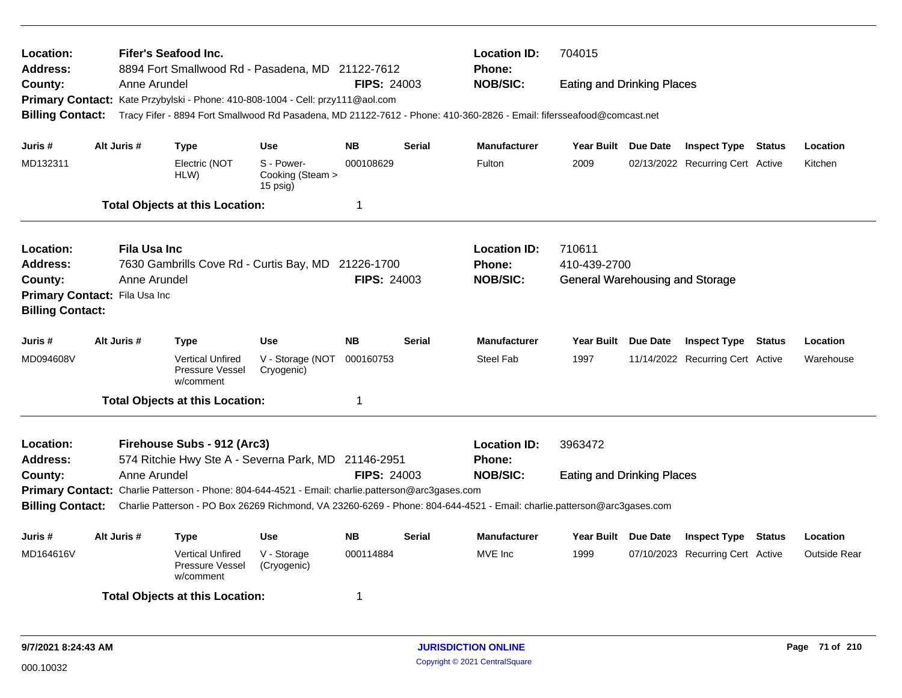| Location:<br><b>Address:</b>                                                   |              |                     | Fifer's Seafood Inc.                                    | 8894 Fort Smallwood Rd - Pasadena, MD 21122-7612                                                  |                    | <b>Location ID:</b><br><b>Phone:</b> | 704015<br><b>Eating and Drinking Places</b>                                                                             |                                        |  |                                  |        |                     |  |  |
|--------------------------------------------------------------------------------|--------------|---------------------|---------------------------------------------------------|---------------------------------------------------------------------------------------------------|--------------------|--------------------------------------|-------------------------------------------------------------------------------------------------------------------------|----------------------------------------|--|----------------------------------|--------|---------------------|--|--|
| County:                                                                        |              | Anne Arundel        |                                                         | <b>FIPS: 24003</b>                                                                                |                    | <b>NOB/SIC:</b>                      |                                                                                                                         |                                        |  |                                  |        |                     |  |  |
| Primary Contact: Kate Przybylski - Phone: 410-808-1004 - Cell: przy111@aol.com |              |                     |                                                         |                                                                                                   |                    |                                      |                                                                                                                         |                                        |  |                                  |        |                     |  |  |
| <b>Billing Contact:</b>                                                        |              |                     |                                                         |                                                                                                   |                    |                                      | Tracy Fifer - 8894 Fort Smallwood Rd Pasadena, MD 21122-7612 - Phone: 410-360-2826 - Email: fifersseafood@comcast.net   |                                        |  |                                  |        |                     |  |  |
| Juris #                                                                        |              | Alt Juris #         | Type                                                    | <b>Use</b>                                                                                        | <b>NB</b>          | <b>Serial</b>                        | <b>Manufacturer</b>                                                                                                     | Year Built Due Date                    |  | <b>Inspect Type Status</b>       |        | Location            |  |  |
| MD132311                                                                       |              |                     | Electric (NOT<br>HLW)                                   | S - Power-<br>Cooking (Steam ><br>$15$ psig)                                                      | 000108629          |                                      | Fulton                                                                                                                  | 2009                                   |  | 02/13/2022 Recurring Cert Active |        | Kitchen             |  |  |
|                                                                                |              |                     | <b>Total Objects at this Location:</b>                  |                                                                                                   | 1                  |                                      |                                                                                                                         |                                        |  |                                  |        |                     |  |  |
| Location:                                                                      |              | <b>Fila Usa Inc</b> |                                                         |                                                                                                   |                    |                                      | <b>Location ID:</b>                                                                                                     | 710611                                 |  |                                  |        |                     |  |  |
| <b>Address:</b>                                                                |              |                     |                                                         | 7630 Gambrills Cove Rd - Curtis Bay, MD 21226-1700                                                |                    |                                      | <b>Phone:</b>                                                                                                           | 410-439-2700                           |  |                                  |        |                     |  |  |
| County:                                                                        | Anne Arundel |                     |                                                         |                                                                                                   | <b>FIPS: 24003</b> |                                      | <b>NOB/SIC:</b>                                                                                                         | <b>General Warehousing and Storage</b> |  |                                  |        |                     |  |  |
| Primary Contact: Fila Usa Inc                                                  |              |                     |                                                         |                                                                                                   |                    |                                      |                                                                                                                         |                                        |  |                                  |        |                     |  |  |
| <b>Billing Contact:</b>                                                        |              |                     |                                                         |                                                                                                   |                    |                                      |                                                                                                                         |                                        |  |                                  |        |                     |  |  |
| Juris #                                                                        |              | Alt Juris #         | <b>Type</b>                                             | Use                                                                                               | <b>NB</b>          | <b>Serial</b>                        | <b>Manufacturer</b>                                                                                                     | Year Built Due Date                    |  | <b>Inspect Type</b>              | Status | Location            |  |  |
| MD094608V                                                                      |              |                     | <b>Vertical Unfired</b><br>Pressure Vessel<br>w/comment | V - Storage (NOT<br>Cryogenic)                                                                    | 000160753          |                                      | <b>Steel Fab</b>                                                                                                        | 1997                                   |  | 11/14/2022 Recurring Cert Active |        | Warehouse           |  |  |
|                                                                                |              |                     | <b>Total Objects at this Location:</b>                  |                                                                                                   | 1                  |                                      |                                                                                                                         |                                        |  |                                  |        |                     |  |  |
| Location:                                                                      |              |                     | Firehouse Subs - 912 (Arc3)                             |                                                                                                   |                    | <b>Location ID:</b>                  | 3963472                                                                                                                 |                                        |  |                                  |        |                     |  |  |
| Address:                                                                       |              |                     |                                                         | 574 Ritchie Hwy Ste A - Severna Park, MD 21146-2951                                               |                    |                                      | Phone:                                                                                                                  |                                        |  |                                  |        |                     |  |  |
| County:                                                                        |              | Anne Arundel        |                                                         |                                                                                                   | <b>FIPS: 24003</b> |                                      | <b>NOB/SIC:</b>                                                                                                         | <b>Eating and Drinking Places</b>      |  |                                  |        |                     |  |  |
|                                                                                |              |                     |                                                         | Primary Contact: Charlie Patterson - Phone: 804-644-4521 - Email: charlie.patterson@arc3gases.com |                    |                                      |                                                                                                                         |                                        |  |                                  |        |                     |  |  |
| <b>Billing Contact:</b>                                                        |              |                     |                                                         |                                                                                                   |                    |                                      | Charlie Patterson - PO Box 26269 Richmond, VA 23260-6269 - Phone: 804-644-4521 - Email: charlie.patterson@arc3gases.com |                                        |  |                                  |        |                     |  |  |
| Juris #                                                                        |              | Alt Juris #         | <b>Type</b>                                             | <b>Use</b>                                                                                        | <b>NB</b>          | <b>Serial</b>                        | <b>Manufacturer</b>                                                                                                     | Year Built Due Date                    |  | <b>Inspect Type</b>              | Status | Location            |  |  |
| MD164616V                                                                      |              |                     | <b>Vertical Unfired</b><br>Pressure Vessel<br>w/comment | V - Storage<br>(Cryogenic)                                                                        | 000114884          |                                      | MVE Inc                                                                                                                 | 1999                                   |  | 07/10/2023 Recurring Cert Active |        | <b>Outside Rear</b> |  |  |
|                                                                                |              |                     | <b>Total Objects at this Location:</b>                  |                                                                                                   | 1                  |                                      |                                                                                                                         |                                        |  |                                  |        |                     |  |  |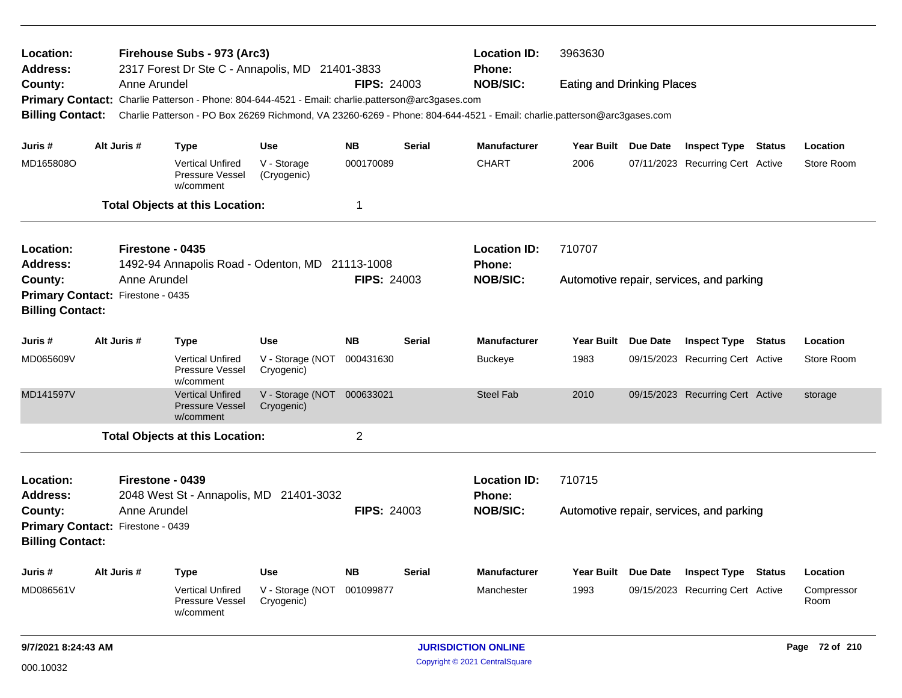| <b>Location:</b><br><b>Address:</b><br>County:                                                                                                     |                                                                                                                    |                                                                                                                         | Firehouse Subs - 973 (Arc3)<br>2317 Forest Dr Ste C - Annapolis, MD 21401-3833 |                                          | <b>Location ID:</b><br>Phone: | 3963630<br><b>Eating and Drinking Places</b> |                                      |                                          |                 |                                  |        |                    |  |
|----------------------------------------------------------------------------------------------------------------------------------------------------|--------------------------------------------------------------------------------------------------------------------|-------------------------------------------------------------------------------------------------------------------------|--------------------------------------------------------------------------------|------------------------------------------|-------------------------------|----------------------------------------------|--------------------------------------|------------------------------------------|-----------------|----------------------------------|--------|--------------------|--|
|                                                                                                                                                    |                                                                                                                    | Anne Arundel                                                                                                            |                                                                                |                                          | <b>NOB/SIC:</b>               |                                              |                                      |                                          |                 |                                  |        |                    |  |
|                                                                                                                                                    |                                                                                                                    | <b>FIPS: 24003</b><br>Primary Contact: Charlie Patterson - Phone: 804-644-4521 - Email: charlie.patterson@arc3gases.com |                                                                                |                                          |                               |                                              |                                      |                                          |                 |                                  |        |                    |  |
| Charlie Patterson - PO Box 26269 Richmond, VA 23260-6269 - Phone: 804-644-4521 - Email: charlie.patterson@arc3gases.com<br><b>Billing Contact:</b> |                                                                                                                    |                                                                                                                         |                                                                                |                                          |                               |                                              |                                      |                                          |                 |                                  |        |                    |  |
| Juris #                                                                                                                                            |                                                                                                                    | Alt Juris #                                                                                                             | <b>Type</b>                                                                    | <b>Use</b>                               | <b>NB</b>                     | <b>Serial</b>                                | <b>Manufacturer</b>                  | Year Built Due Date                      |                 | <b>Inspect Type Status</b>       |        | Location           |  |
| MD165808O                                                                                                                                          |                                                                                                                    |                                                                                                                         | <b>Vertical Unfired</b><br>Pressure Vessel<br>w/comment                        | V - Storage<br>(Cryogenic)               | 000170089                     |                                              | <b>CHART</b>                         | 2006                                     |                 | 07/11/2023 Recurring Cert Active |        | Store Room         |  |
|                                                                                                                                                    |                                                                                                                    |                                                                                                                         | <b>Total Objects at this Location:</b>                                         |                                          | 1                             |                                              |                                      |                                          |                 |                                  |        |                    |  |
| <b>Location:</b><br><b>Address:</b>                                                                                                                | Firestone - 0435<br>1492-94 Annapolis Road - Odenton, MD 21113-1008                                                |                                                                                                                         |                                                                                |                                          |                               |                                              | <b>Location ID:</b><br><b>Phone:</b> | 710707                                   |                 |                                  |        |                    |  |
| County:                                                                                                                                            | Anne Arundel                                                                                                       |                                                                                                                         |                                                                                |                                          |                               | <b>FIPS: 24003</b>                           | <b>NOB/SIC:</b>                      | Automotive repair, services, and parking |                 |                                  |        |                    |  |
| Primary Contact: Firestone - 0435                                                                                                                  |                                                                                                                    |                                                                                                                         |                                                                                |                                          |                               |                                              |                                      |                                          |                 |                                  |        |                    |  |
| <b>Billing Contact:</b>                                                                                                                            |                                                                                                                    |                                                                                                                         |                                                                                |                                          |                               |                                              |                                      |                                          |                 |                                  |        |                    |  |
| Juris #                                                                                                                                            |                                                                                                                    | Alt Juris #                                                                                                             | <b>Type</b>                                                                    | <b>Use</b>                               | <b>NB</b>                     | <b>Serial</b>                                | <b>Manufacturer</b>                  | <b>Year Built</b>                        | <b>Due Date</b> | <b>Inspect Type</b>              | Status | Location           |  |
| MD065609V                                                                                                                                          |                                                                                                                    |                                                                                                                         | <b>Vertical Unfired</b><br>Pressure Vessel<br>w/comment                        | V - Storage (NOT<br>Cryogenic)           | 000431630                     |                                              | <b>Buckeye</b>                       | 1983                                     |                 | 09/15/2023 Recurring Cert Active |        | Store Room         |  |
| MD141597V                                                                                                                                          |                                                                                                                    |                                                                                                                         | <b>Vertical Unfired</b><br><b>Pressure Vessel</b><br>w/comment                 | V - Storage (NOT 000633021<br>Cryogenic) |                               |                                              | <b>Steel Fab</b>                     | 2010                                     |                 | 09/15/2023 Recurring Cert Active |        | storage            |  |
|                                                                                                                                                    |                                                                                                                    |                                                                                                                         | <b>Total Objects at this Location:</b>                                         |                                          | $\overline{2}$                |                                              |                                      |                                          |                 |                                  |        |                    |  |
| <b>Location:</b><br><b>Address:</b>                                                                                                                |                                                                                                                    | Firestone - 0439                                                                                                        |                                                                                |                                          |                               |                                              | <b>Location ID:</b><br>Phone:        | 710715                                   |                 |                                  |        |                    |  |
| County:                                                                                                                                            | 2048 West St - Annapolis, MD 21401-3032<br>Anne Arundel<br><b>FIPS: 24003</b><br>Primary Contact: Firestone - 0439 |                                                                                                                         |                                                                                |                                          |                               |                                              | <b>NOB/SIC:</b>                      | Automotive repair, services, and parking |                 |                                  |        |                    |  |
| <b>Billing Contact:</b>                                                                                                                            |                                                                                                                    |                                                                                                                         |                                                                                |                                          |                               |                                              |                                      |                                          |                 |                                  |        |                    |  |
| Juris #                                                                                                                                            |                                                                                                                    | Alt Juris #                                                                                                             | Type                                                                           | <b>Use</b>                               | <b>NB</b>                     | <b>Serial</b>                                | <b>Manufacturer</b>                  | Year Built Due Date                      |                 | <b>Inspect Type Status</b>       |        | <b>Location</b>    |  |
| MD086561V                                                                                                                                          |                                                                                                                    |                                                                                                                         | <b>Vertical Unfired</b><br>Pressure Vessel<br>w/comment                        | V - Storage (NOT<br>Cryogenic)           | 001099877                     |                                              | Manchester                           | 1993                                     |                 | 09/15/2023 Recurring Cert Active |        | Compressor<br>Room |  |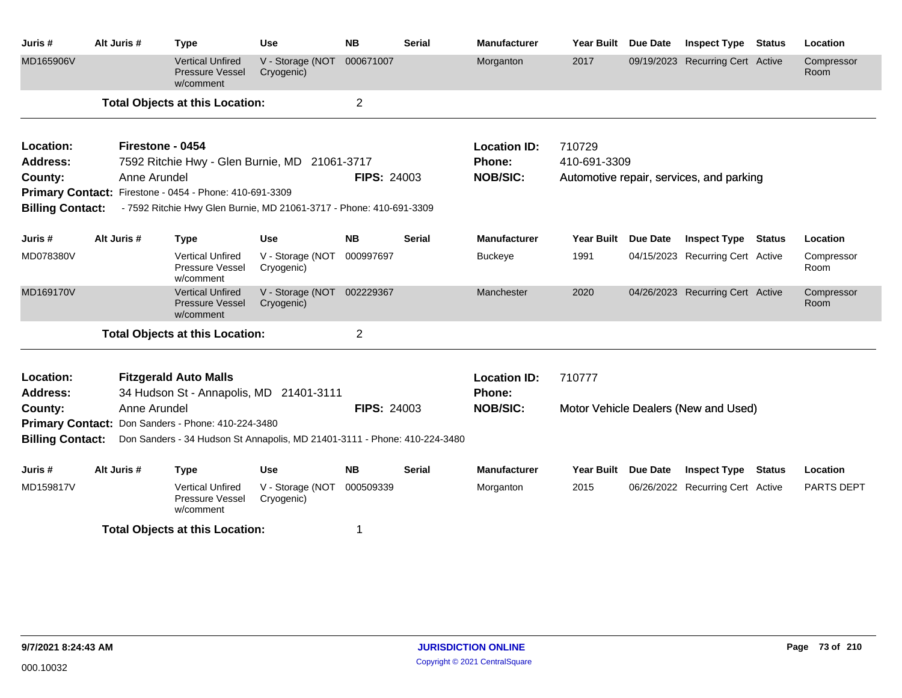| Juris #                      | Alt Juris #      | <b>Type</b>                                                               | <b>Use</b>                     | <b>NB</b>          | <b>Serial</b> | <b>Manufacturer</b>           | <b>Year Built</b>   | <b>Due Date</b> | <b>Inspect Type</b>                      | <b>Status</b> | Location           |
|------------------------------|------------------|---------------------------------------------------------------------------|--------------------------------|--------------------|---------------|-------------------------------|---------------------|-----------------|------------------------------------------|---------------|--------------------|
| MD165906V                    |                  | <b>Vertical Unfired</b><br><b>Pressure Vessel</b><br>w/comment            | V - Storage (NOT<br>Cryogenic) | 000671007          |               | Morganton                     | 2017                |                 | 09/19/2023 Recurring Cert Active         |               | Compressor<br>Room |
|                              |                  | <b>Total Objects at this Location:</b>                                    |                                | $\overline{2}$     |               |                               |                     |                 |                                          |               |                    |
| Location:                    | Firestone - 0454 |                                                                           |                                |                    |               | <b>Location ID:</b>           | 710729              |                 |                                          |               |                    |
| <b>Address:</b>              |                  | 7592 Ritchie Hwy - Glen Burnie, MD 21061-3717                             |                                |                    |               | Phone:                        | 410-691-3309        |                 |                                          |               |                    |
| County:                      | Anne Arundel     |                                                                           |                                | <b>FIPS: 24003</b> |               | <b>NOB/SIC:</b>               |                     |                 | Automotive repair, services, and parking |               |                    |
|                              |                  | Primary Contact: Firestone - 0454 - Phone: 410-691-3309                   |                                |                    |               |                               |                     |                 |                                          |               |                    |
| <b>Billing Contact:</b>      |                  | - 7592 Ritchie Hwy Glen Burnie, MD 21061-3717 - Phone: 410-691-3309       |                                |                    |               |                               |                     |                 |                                          |               |                    |
| Juris #                      | Alt Juris #      | <b>Type</b>                                                               | <b>Use</b>                     | <b>NB</b>          | Serial        | <b>Manufacturer</b>           | <b>Year Built</b>   | Due Date        | <b>Inspect Type Status</b>               |               | Location           |
| MD078380V                    |                  | <b>Vertical Unfired</b><br>Pressure Vessel<br>w/comment                   | V - Storage (NOT<br>Cryogenic) | 000997697          |               | <b>Buckeye</b>                | 1991                |                 | 04/15/2023 Recurring Cert Active         |               | Compressor<br>Room |
| MD169170V                    |                  | <b>Vertical Unfired</b><br><b>Pressure Vessel</b><br>w/comment            | V - Storage (NOT<br>Cryogenic) | 002229367          |               | Manchester                    | 2020                |                 | 04/26/2023 Recurring Cert Active         |               | Compressor<br>Room |
|                              |                  | <b>Total Objects at this Location:</b>                                    |                                | $\overline{2}$     |               |                               |                     |                 |                                          |               |                    |
| Location:<br><b>Address:</b> |                  | <b>Fitzgerald Auto Malls</b><br>34 Hudson St - Annapolis, MD 21401-3111   |                                |                    |               | <b>Location ID:</b><br>Phone: | 710777              |                 |                                          |               |                    |
| County:                      | Anne Arundel     |                                                                           |                                | <b>FIPS: 24003</b> |               | <b>NOB/SIC:</b>               |                     |                 | Motor Vehicle Dealers (New and Used)     |               |                    |
|                              |                  | Primary Contact: Don Sanders - Phone: 410-224-3480                        |                                |                    |               |                               |                     |                 |                                          |               |                    |
| <b>Billing Contact:</b>      |                  | Don Sanders - 34 Hudson St Annapolis, MD 21401-3111 - Phone: 410-224-3480 |                                |                    |               |                               |                     |                 |                                          |               |                    |
| Juris #                      | Alt Juris #      | <b>Type</b>                                                               | <b>Use</b>                     | <b>NB</b>          | <b>Serial</b> | <b>Manufacturer</b>           | Year Built Due Date |                 | <b>Inspect Type</b>                      | <b>Status</b> | Location           |
| MD159817V                    |                  | <b>Vertical Unfired</b><br>Pressure Vessel<br>w/comment                   | V - Storage (NOT<br>Cryogenic) | 000509339          |               | Morganton                     | 2015                |                 | 06/26/2022 Recurring Cert Active         |               | PARTS DEPT         |
|                              |                  | <b>Total Objects at this Location:</b>                                    |                                | 1                  |               |                               |                     |                 |                                          |               |                    |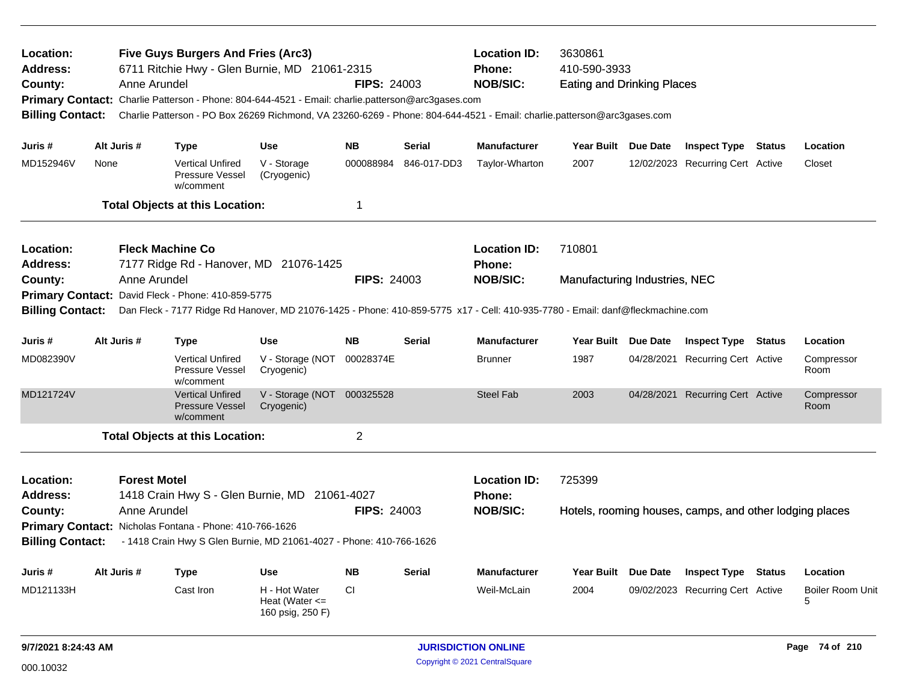| Location:<br><b>Five Guys Burgers And Fries (Arc3)</b><br><b>Location ID:</b><br>3630861<br>6711 Ritchie Hwy - Glen Burnie, MD 21061-2315<br>410-590-3933<br>Address:<br><b>Phone:</b><br><b>FIPS: 24003</b><br><b>NOB/SIC:</b><br>Anne Arundel<br><b>Eating and Drinking Places</b><br>County:<br>Primary Contact: Charlie Patterson - Phone: 804-644-4521 - Email: charlie.patterson@arc3gases.com<br><b>Billing Contact:</b><br>Charlie Patterson - PO Box 26269 Richmond, VA 23260-6269 - Phone: 804-644-4521 - Email: charlie.patterson@arc3gases.com<br>Alt Juris #<br><b>NB</b><br>Manufacturer<br>Juris #<br><b>Use</b><br><b>Serial</b><br>Year Built Due Date |                                                                                                                                                                                                |                                     |                                                                                                                                                                                 |                                                         |                    |               |                                                         |                                                                   |            |                                  |        |                       |
|-------------------------------------------------------------------------------------------------------------------------------------------------------------------------------------------------------------------------------------------------------------------------------------------------------------------------------------------------------------------------------------------------------------------------------------------------------------------------------------------------------------------------------------------------------------------------------------------------------------------------------------------------------------------------|------------------------------------------------------------------------------------------------------------------------------------------------------------------------------------------------|-------------------------------------|---------------------------------------------------------------------------------------------------------------------------------------------------------------------------------|---------------------------------------------------------|--------------------|---------------|---------------------------------------------------------|-------------------------------------------------------------------|------------|----------------------------------|--------|-----------------------|
|                                                                                                                                                                                                                                                                                                                                                                                                                                                                                                                                                                                                                                                                         |                                                                                                                                                                                                |                                     | <b>Type</b>                                                                                                                                                                     |                                                         |                    |               |                                                         |                                                                   |            | <b>Inspect Type Status</b>       |        | Location              |
| MD152946V                                                                                                                                                                                                                                                                                                                                                                                                                                                                                                                                                                                                                                                               | None                                                                                                                                                                                           |                                     | <b>Vertical Unfired</b><br><b>Pressure Vessel</b><br>w/comment                                                                                                                  | V - Storage<br>(Cryogenic)                              | 000088984          | 846-017-DD3   | Taylor-Wharton                                          | 2007                                                              |            | 12/02/2023 Recurring Cert Active |        | Closet                |
|                                                                                                                                                                                                                                                                                                                                                                                                                                                                                                                                                                                                                                                                         |                                                                                                                                                                                                |                                     | <b>Total Objects at this Location:</b>                                                                                                                                          |                                                         | 1                  |               |                                                         |                                                                   |            |                                  |        |                       |
| <b>Location:</b><br><b>Address:</b>                                                                                                                                                                                                                                                                                                                                                                                                                                                                                                                                                                                                                                     | <b>Fleck Machine Co</b><br>7177 Ridge Rd - Hanover, MD 21076-1425<br>Anne Arundel                                                                                                              |                                     |                                                                                                                                                                                 |                                                         |                    |               | <b>Location ID:</b><br><b>Phone:</b>                    | 710801                                                            |            |                                  |        |                       |
| County:                                                                                                                                                                                                                                                                                                                                                                                                                                                                                                                                                                                                                                                                 | David Fleck - Phone: 410-859-5775<br><b>Primary Contact:</b><br>Dan Fleck - 7177 Ridge Rd Hanover, MD 21076-1425 - Phone: 410-859-5775 x17 - Cell: 410-935-7780 - Email: danf@fleckmachine.com |                                     |                                                                                                                                                                                 |                                                         | <b>FIPS: 24003</b> |               | <b>NOB/SIC:</b>                                         | Manufacturing Industries, NEC                                     |            |                                  |        |                       |
| <b>Billing Contact:</b>                                                                                                                                                                                                                                                                                                                                                                                                                                                                                                                                                                                                                                                 |                                                                                                                                                                                                |                                     |                                                                                                                                                                                 |                                                         |                    |               |                                                         |                                                                   |            |                                  |        |                       |
| Juris #                                                                                                                                                                                                                                                                                                                                                                                                                                                                                                                                                                                                                                                                 |                                                                                                                                                                                                | Alt Juris #                         | <b>Type</b>                                                                                                                                                                     | <b>Use</b>                                              | <b>NB</b>          | <b>Serial</b> | <b>Manufacturer</b>                                     | <b>Year Built</b>                                                 | Due Date   | <b>Inspect Type Status</b>       |        | Location              |
| MD082390V                                                                                                                                                                                                                                                                                                                                                                                                                                                                                                                                                                                                                                                               |                                                                                                                                                                                                |                                     | <b>Vertical Unfired</b><br>Pressure Vessel<br>w/comment                                                                                                                         | V - Storage (NOT<br>Cryogenic)                          | 00028374E          |               | <b>Brunner</b>                                          | 1987                                                              | 04/28/2021 | <b>Recurring Cert Active</b>     |        | Compressor<br>Room    |
| MD121724V                                                                                                                                                                                                                                                                                                                                                                                                                                                                                                                                                                                                                                                               |                                                                                                                                                                                                |                                     | <b>Vertical Unfired</b><br><b>Pressure Vessel</b><br>w/comment                                                                                                                  | V - Storage (NOT 000325528<br>Cryogenic)                |                    |               | <b>Steel Fab</b>                                        | 2003                                                              |            | 04/28/2021 Recurring Cert Active |        | Compressor<br>Room    |
|                                                                                                                                                                                                                                                                                                                                                                                                                                                                                                                                                                                                                                                                         |                                                                                                                                                                                                |                                     | <b>Total Objects at this Location:</b>                                                                                                                                          |                                                         | $\overline{2}$     |               |                                                         |                                                                   |            |                                  |        |                       |
| Location:<br>Address:<br>County:<br><b>Billing Contact:</b>                                                                                                                                                                                                                                                                                                                                                                                                                                                                                                                                                                                                             |                                                                                                                                                                                                | <b>Forest Motel</b><br>Anne Arundel | 1418 Crain Hwy S - Glen Burnie, MD 21061-4027<br>Primary Contact: Nicholas Fontana - Phone: 410-766-1626<br>- 1418 Crain Hwy S Glen Burnie, MD 21061-4027 - Phone: 410-766-1626 |                                                         | <b>FIPS: 24003</b> |               | <b>Location ID:</b><br><b>Phone:</b><br><b>NOB/SIC:</b> | 725399<br>Hotels, rooming houses, camps, and other lodging places |            |                                  |        |                       |
| Juris #                                                                                                                                                                                                                                                                                                                                                                                                                                                                                                                                                                                                                                                                 |                                                                                                                                                                                                | Alt Juris #                         | <b>Type</b>                                                                                                                                                                     | <b>Use</b>                                              | <b>NB</b>          | <b>Serial</b> | Manufacturer                                            | Year Built Due Date                                               |            | <b>Inspect Type</b>              | Status | Location              |
| MD121133H                                                                                                                                                                                                                                                                                                                                                                                                                                                                                                                                                                                                                                                               |                                                                                                                                                                                                |                                     | Cast Iron                                                                                                                                                                       | H - Hot Water<br>Heat (Water $\leq$<br>160 psig, 250 F) | <b>CI</b>          |               | Weil-McLain                                             | 2004                                                              |            | 09/02/2023 Recurring Cert Active |        | Boiler Room Unit<br>5 |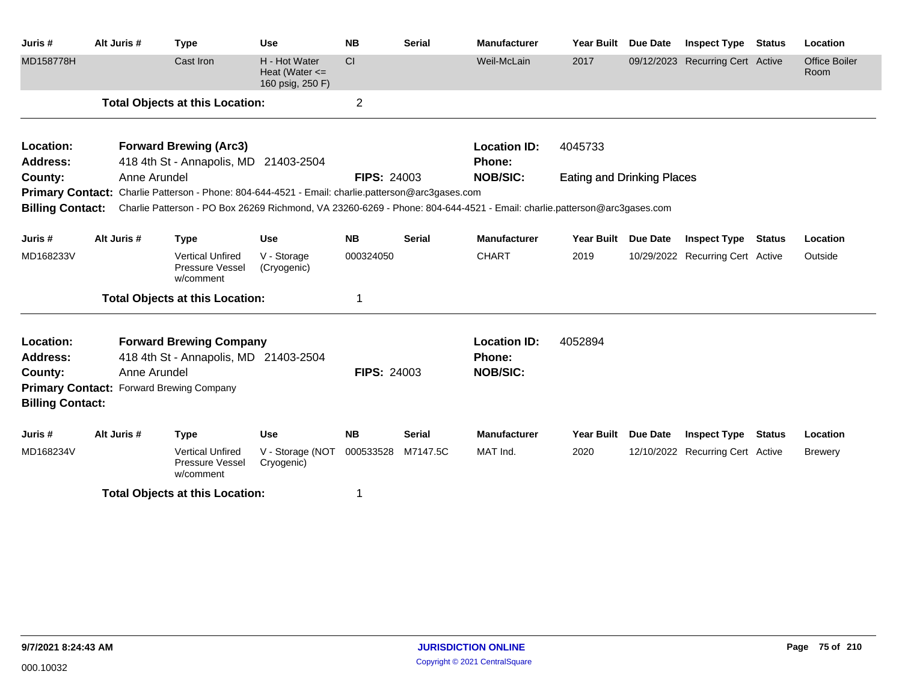| Juris#                  | Alt Juris #  | <b>Type</b>                                                                                                                                                                                                                                   | <b>Use</b>                                              | <b>NB</b>          | <b>Serial</b> | <b>Manufacturer</b>       | <b>Year Built</b>                 | <b>Due Date</b> | <b>Inspect Type</b>              | <b>Status</b> | Location                     |
|-------------------------|--------------|-----------------------------------------------------------------------------------------------------------------------------------------------------------------------------------------------------------------------------------------------|---------------------------------------------------------|--------------------|---------------|---------------------------|-----------------------------------|-----------------|----------------------------------|---------------|------------------------------|
| MD158778H               |              | Cast Iron                                                                                                                                                                                                                                     | H - Hot Water<br>Heat (Water $\leq$<br>160 psig, 250 F) | CI                 |               | Weil-McLain               | 2017                              |                 | 09/12/2023 Recurring Cert Active |               | <b>Office Boiler</b><br>Room |
|                         |              | <b>Total Objects at this Location:</b>                                                                                                                                                                                                        |                                                         | $\overline{2}$     |               |                           |                                   |                 |                                  |               |                              |
| Location:               |              | <b>Forward Brewing (Arc3)</b>                                                                                                                                                                                                                 |                                                         |                    |               | <b>Location ID:</b>       | 4045733                           |                 |                                  |               |                              |
| <b>Address:</b>         |              | 418 4th St - Annapolis, MD 21403-2504                                                                                                                                                                                                         |                                                         |                    |               | Phone:<br><b>NOB/SIC:</b> |                                   |                 |                                  |               |                              |
| County:                 | Anne Arundel |                                                                                                                                                                                                                                               |                                                         | <b>FIPS: 24003</b> |               |                           | <b>Eating and Drinking Places</b> |                 |                                  |               |                              |
|                         |              | Primary Contact: Charlie Patterson - Phone: 804-644-4521 - Email: charlie.patterson@arc3gases.com<br>Billing Contact: Charlie Patterson - PO Box 26269 Richmond, VA 23260-6269 - Phone: 804-644-4521 - Email: charlie.patterson@arc3gases.com |                                                         |                    |               |                           |                                   |                 |                                  |               |                              |
|                         |              |                                                                                                                                                                                                                                               |                                                         |                    |               |                           |                                   |                 |                                  |               |                              |
| Juris #                 | Alt Juris #  | <b>Type</b>                                                                                                                                                                                                                                   | <b>Use</b>                                              | <b>NB</b>          | <b>Serial</b> | <b>Manufacturer</b>       | <b>Year Built</b>                 | <b>Due Date</b> | <b>Inspect Type</b>              | <b>Status</b> | Location                     |
| MD168233V               |              | <b>Vertical Unfired</b><br>Pressure Vessel<br>w/comment                                                                                                                                                                                       | V - Storage<br>(Cryogenic)                              | 000324050          |               | <b>CHART</b>              | 2019                              |                 | 10/29/2022 Recurring Cert Active |               | Outside                      |
|                         |              | <b>Total Objects at this Location:</b>                                                                                                                                                                                                        |                                                         |                    |               |                           |                                   |                 |                                  |               |                              |
| Location:               |              | <b>Forward Brewing Company</b>                                                                                                                                                                                                                |                                                         |                    |               | <b>Location ID:</b>       | 4052894                           |                 |                                  |               |                              |
| <b>Address:</b>         |              | 418 4th St - Annapolis, MD 21403-2504                                                                                                                                                                                                         |                                                         |                    |               | Phone:                    |                                   |                 |                                  |               |                              |
| County:                 | Anne Arundel |                                                                                                                                                                                                                                               |                                                         | <b>FIPS: 24003</b> |               | <b>NOB/SIC:</b>           |                                   |                 |                                  |               |                              |
| <b>Billing Contact:</b> |              | <b>Primary Contact: Forward Brewing Company</b>                                                                                                                                                                                               |                                                         |                    |               |                           |                                   |                 |                                  |               |                              |
| Juris #                 | Alt Juris #  | <b>Type</b>                                                                                                                                                                                                                                   | <b>Use</b>                                              | <b>NB</b>          | <b>Serial</b> | <b>Manufacturer</b>       | <b>Year Built</b>                 | <b>Due Date</b> | <b>Inspect Type</b>              | <b>Status</b> | Location                     |
| MD168234V               |              | <b>Vertical Unfired</b><br>Pressure Vessel<br>w/comment                                                                                                                                                                                       | V - Storage (NOT<br>Cryogenic)                          | 000533528          | M7147.5C      | MAT Ind.                  | 2020                              |                 | 12/10/2022 Recurring Cert Active |               | <b>Brewery</b>               |
|                         |              | <b>Total Objects at this Location:</b>                                                                                                                                                                                                        |                                                         |                    |               |                           |                                   |                 |                                  |               |                              |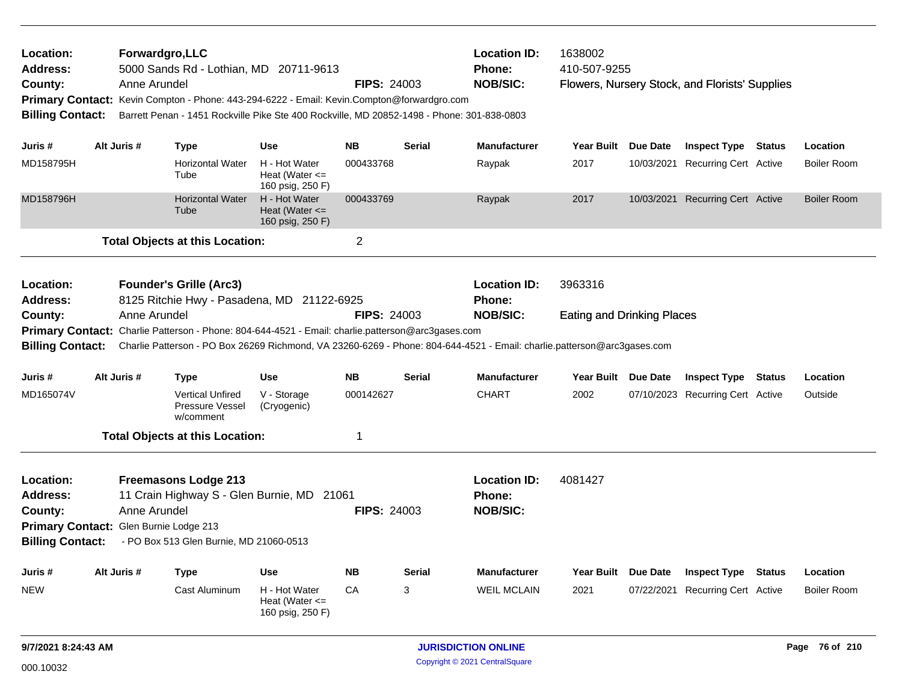| Location:<br><b>Address:</b><br>County:<br><b>Billing Contact:</b> |                                                                                                                                                                                                           | Forwardgro, LLC<br>5000 Sands Rd - Lothian, MD 20711-9613<br>Anne Arundel<br>Primary Contact: Kevin Compton - Phone: 443-294-6222 - Email: Kevin.Compton@forwardgro.com<br>Barrett Penan - 1451 Rockville Pike Ste 400 Rockville, MD 20852-1498 - Phone: 301-838-0803 |                                                         | <b>FIPS: 24003</b> |                                                  | <b>Location ID:</b><br><b>Phone:</b><br><b>NOB/SIC:</b> | 1638002<br>410-507-9255                      |            | Flowers, Nursery Stock, and Florists' Supplies |               |                    |
|--------------------------------------------------------------------|-----------------------------------------------------------------------------------------------------------------------------------------------------------------------------------------------------------|-----------------------------------------------------------------------------------------------------------------------------------------------------------------------------------------------------------------------------------------------------------------------|---------------------------------------------------------|--------------------|--------------------------------------------------|---------------------------------------------------------|----------------------------------------------|------------|------------------------------------------------|---------------|--------------------|
| Juris #                                                            | Alt Juris #                                                                                                                                                                                               | <b>Type</b>                                                                                                                                                                                                                                                           | <b>Use</b>                                              | <b>NB</b>          | <b>Serial</b>                                    | <b>Manufacturer</b>                                     | Year Built Due Date                          |            | <b>Inspect Type Status</b>                     |               | Location           |
| MD158795H                                                          |                                                                                                                                                                                                           | <b>Horizontal Water</b><br>Tube                                                                                                                                                                                                                                       | H - Hot Water<br>Heat (Water $\leq$<br>160 psig, 250 F) | 000433768          |                                                  | Raypak                                                  | 2017                                         | 10/03/2021 | <b>Recurring Cert Active</b>                   |               | <b>Boiler Room</b> |
| MD158796H                                                          |                                                                                                                                                                                                           | <b>Horizontal Water</b><br>Tube                                                                                                                                                                                                                                       | H - Hot Water<br>Heat (Water $\leq$<br>160 psig, 250 F) | 000433769          |                                                  | Raypak                                                  | 2017                                         |            | 10/03/2021 Recurring Cert Active               |               | <b>Boiler Room</b> |
|                                                                    |                                                                                                                                                                                                           | <b>Total Objects at this Location:</b>                                                                                                                                                                                                                                |                                                         | $\overline{c}$     |                                                  |                                                         |                                              |            |                                                |               |                    |
| Location:<br><b>Address:</b><br>County:                            |                                                                                                                                                                                                           | <b>Founder's Grille (Arc3)</b><br>8125 Ritchie Hwy - Pasadena, MD 21122-6925<br>Anne Arundel                                                                                                                                                                          |                                                         | <b>FIPS: 24003</b> |                                                  | <b>Location ID:</b><br>Phone:<br><b>NOB/SIC:</b>        | 3963316<br><b>Eating and Drinking Places</b> |            |                                                |               |                    |
|                                                                    |                                                                                                                                                                                                           | Primary Contact: Charlie Patterson - Phone: 804-644-4521 - Email: charlie.patterson@arc3gases.com                                                                                                                                                                     |                                                         |                    |                                                  |                                                         |                                              |            |                                                |               |                    |
| <b>Billing Contact:</b>                                            |                                                                                                                                                                                                           | Charlie Patterson - PO Box 26269 Richmond, VA 23260-6269 - Phone: 804-644-4521 - Email: charlie.patterson@arc3gases.com                                                                                                                                               |                                                         |                    |                                                  |                                                         |                                              |            |                                                |               |                    |
| Juris #                                                            | Alt Juris #                                                                                                                                                                                               | <b>Type</b>                                                                                                                                                                                                                                                           | <b>Use</b>                                              | <b>NB</b>          | <b>Serial</b>                                    | <b>Manufacturer</b>                                     | Year Built Due Date                          |            | <b>Inspect Type Status</b>                     |               | Location           |
| MD165074V                                                          |                                                                                                                                                                                                           | <b>Vertical Unfired</b><br><b>Pressure Vessel</b><br>w/comment                                                                                                                                                                                                        | V - Storage<br>(Cryogenic)                              | 000142627          |                                                  | <b>CHART</b>                                            | 2002                                         |            | 07/10/2023 Recurring Cert Active               |               | Outside            |
|                                                                    |                                                                                                                                                                                                           | <b>Total Objects at this Location:</b>                                                                                                                                                                                                                                |                                                         | 1                  |                                                  |                                                         |                                              |            |                                                |               |                    |
| Location:<br>Address:<br>County:                                   | <b>Freemasons Lodge 213</b><br>11 Crain Highway S - Glen Burnie, MD 21061<br>Anne Arundel<br>Primary Contact: Glen Burnie Lodge 213<br><b>Billing Contact:</b><br>- PO Box 513 Glen Burnie, MD 21060-0513 |                                                                                                                                                                                                                                                                       | <b>FIPS: 24003</b>                                      |                    | <b>Location ID:</b><br>Phone:<br><b>NOB/SIC:</b> | 4081427                                                 |                                              |            |                                                |               |                    |
| Juris #                                                            | Alt Juris #                                                                                                                                                                                               | <b>Type</b>                                                                                                                                                                                                                                                           | <b>Use</b>                                              | <b>NB</b>          | <b>Serial</b>                                    | <b>Manufacturer</b>                                     | Year Built Due Date                          |            | <b>Inspect Type</b>                            | <b>Status</b> | Location           |
|                                                                    |                                                                                                                                                                                                           |                                                                                                                                                                                                                                                                       |                                                         |                    |                                                  |                                                         |                                              |            |                                                |               |                    |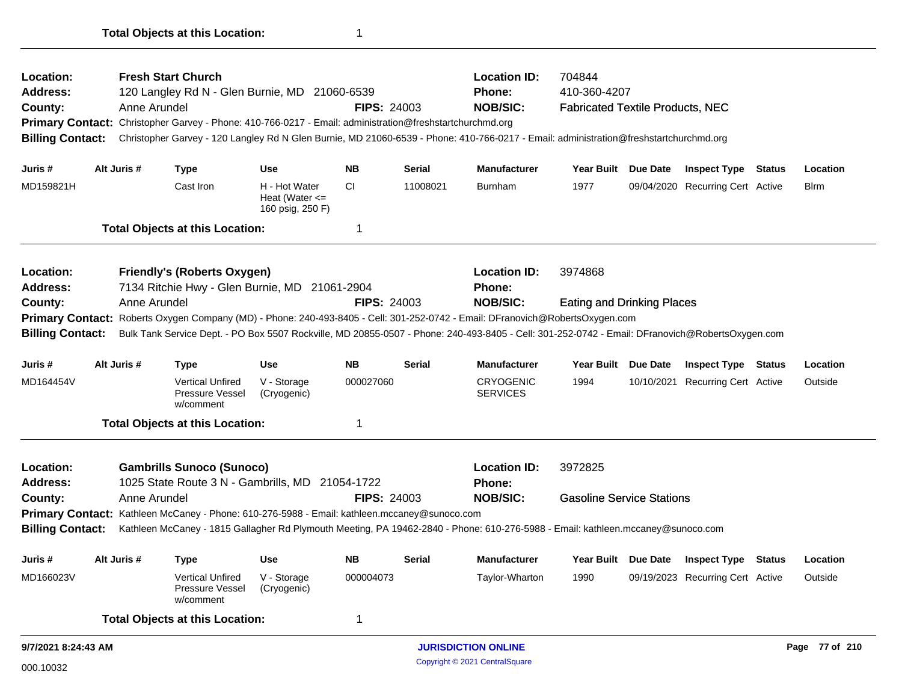| <b>Address:</b><br>County:                                                                                                    |  | Anne Arundel | 120 Langley Rd N - Glen Burnie, MD 21060-6539                                                            |                                                         | <b>FIPS: 24003</b> |               | <b>Phone:</b><br><b>NOB/SIC:</b>                                                                                                                | 410-360-4207<br><b>Fabricated Textile Products, NEC</b> |                                  |               |                |
|-------------------------------------------------------------------------------------------------------------------------------|--|--------------|----------------------------------------------------------------------------------------------------------|---------------------------------------------------------|--------------------|---------------|-------------------------------------------------------------------------------------------------------------------------------------------------|---------------------------------------------------------|----------------------------------|---------------|----------------|
|                                                                                                                               |  |              | Primary Contact: Christopher Garvey - Phone: 410-766-0217 - Email: administration@freshstartchurchmd.org |                                                         |                    |               |                                                                                                                                                 |                                                         |                                  |               |                |
| <b>Billing Contact:</b>                                                                                                       |  |              |                                                                                                          |                                                         |                    |               | Christopher Garvey - 120 Langley Rd N Glen Burnie, MD 21060-6539 - Phone: 410-766-0217 - Email: administration@freshstartchurchmd.org           |                                                         |                                  |               |                |
|                                                                                                                               |  |              |                                                                                                          |                                                         |                    |               |                                                                                                                                                 |                                                         |                                  |               |                |
| Juris #                                                                                                                       |  | Alt Juris #  | <b>Type</b>                                                                                              | <b>Use</b>                                              | NΒ                 | <b>Serial</b> | <b>Manufacturer</b>                                                                                                                             | Year Built Due Date                                     | <b>Inspect Type Status</b>       |               | Location       |
| MD159821H                                                                                                                     |  |              | Cast Iron                                                                                                | H - Hot Water<br>Heat (Water $\leq$<br>160 psig, 250 F) | CI                 | 11008021      | <b>Burnham</b>                                                                                                                                  | 1977                                                    | 09/04/2020 Recurring Cert Active |               | <b>B</b> lrm   |
|                                                                                                                               |  |              | <b>Total Objects at this Location:</b>                                                                   |                                                         | 1                  |               |                                                                                                                                                 |                                                         |                                  |               |                |
| Location:                                                                                                                     |  |              | <b>Friendly's (Roberts Oxygen)</b>                                                                       |                                                         |                    |               | <b>Location ID:</b>                                                                                                                             | 3974868                                                 |                                  |               |                |
| <b>Address:</b>                                                                                                               |  |              | 7134 Ritchie Hwy - Glen Burnie, MD 21061-2904                                                            |                                                         |                    |               | <b>Phone:</b>                                                                                                                                   |                                                         |                                  |               |                |
| County:                                                                                                                       |  | Anne Arundel |                                                                                                          |                                                         | <b>FIPS: 24003</b> |               | <b>NOB/SIC:</b>                                                                                                                                 | <b>Eating and Drinking Places</b>                       |                                  |               |                |
| Primary Contact: Roberts Oxygen Company (MD) - Phone: 240-493-8405 - Cell: 301-252-0742 - Email: DFranovich@RobertsOxygen.com |  |              |                                                                                                          |                                                         |                    |               |                                                                                                                                                 |                                                         |                                  |               |                |
| <b>Billing Contact:</b>                                                                                                       |  |              |                                                                                                          |                                                         |                    |               | Bulk Tank Service Dept. - PO Box 5507 Rockville, MD 20855-0507 - Phone: 240-493-8405 - Cell: 301-252-0742 - Email: DFranovich@RobertsOxygen.com |                                                         |                                  |               |                |
| Juris #                                                                                                                       |  | Alt Juris #  | <b>Type</b>                                                                                              | <b>Use</b>                                              | <b>NB</b>          | <b>Serial</b> | <b>Manufacturer</b>                                                                                                                             | Year Built Due Date                                     | <b>Inspect Type Status</b>       |               | Location       |
| MD164454V                                                                                                                     |  |              | <b>Vertical Unfired</b><br>Pressure Vessel<br>w/comment                                                  | V - Storage<br>(Cryogenic)                              | 000027060          |               | <b>CRYOGENIC</b><br><b>SERVICES</b>                                                                                                             | 1994                                                    | 10/10/2021 Recurring Cert Active |               | Outside        |
|                                                                                                                               |  |              | <b>Total Objects at this Location:</b>                                                                   |                                                         | 1                  |               |                                                                                                                                                 |                                                         |                                  |               |                |
| Location:                                                                                                                     |  |              | <b>Gambrills Sunoco (Sunoco)</b>                                                                         |                                                         |                    |               | <b>Location ID:</b>                                                                                                                             | 3972825                                                 |                                  |               |                |
| <b>Address:</b>                                                                                                               |  |              | 1025 State Route 3 N - Gambrills, MD 21054-1722                                                          |                                                         |                    |               | <b>Phone:</b>                                                                                                                                   |                                                         |                                  |               |                |
| County:                                                                                                                       |  | Anne Arundel |                                                                                                          |                                                         | <b>FIPS: 24003</b> |               | <b>NOB/SIC:</b>                                                                                                                                 | <b>Gasoline Service Stations</b>                        |                                  |               |                |
|                                                                                                                               |  |              | Primary Contact: Kathleen McCaney - Phone: 610-276-5988 - Email: kathleen.mccaney@sunoco.com             |                                                         |                    |               |                                                                                                                                                 |                                                         |                                  |               |                |
| <b>Billing Contact:</b>                                                                                                       |  |              |                                                                                                          |                                                         |                    |               | Kathleen McCaney - 1815 Gallagher Rd Plymouth Meeting, PA 19462-2840 - Phone: 610-276-5988 - Email: kathleen.mccaney@sunoco.com                 |                                                         |                                  |               |                |
| Juris#                                                                                                                        |  | Alt Juris #  | Type                                                                                                     | <b>Use</b>                                              | <b>NB</b>          | <b>Serial</b> | <b>Manufacturer</b>                                                                                                                             | Year Built Due Date                                     | <b>Inspect Type</b>              | <b>Status</b> | Location       |
| MD166023V                                                                                                                     |  |              | <b>Vertical Unfired</b><br>Pressure Vessel<br>w/comment                                                  | V - Storage<br>(Cryogenic)                              | 000004073          |               | Taylor-Wharton                                                                                                                                  | 1990                                                    | 09/19/2023 Recurring Cert Active |               | Outside        |
|                                                                                                                               |  |              | <b>Total Objects at this Location:</b>                                                                   |                                                         | 1                  |               |                                                                                                                                                 |                                                         |                                  |               |                |
| 9/7/2021 8:24:43 AM                                                                                                           |  |              |                                                                                                          |                                                         |                    |               | <b>JURISDICTION ONLINE</b>                                                                                                                      |                                                         |                                  |               | Page 77 of 210 |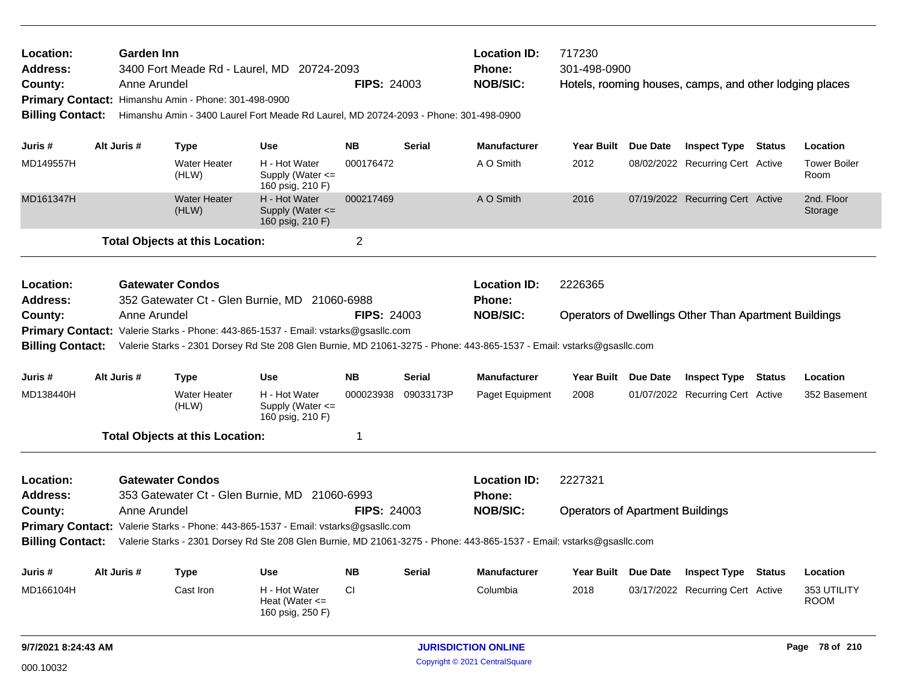| Location:<br><b>Address:</b><br>County:<br><b>Billing Contact:</b> | <b>Garden Inn</b> | 3400 Fort Meade Rd - Laurel, MD 20724-2093<br>Anne Arundel<br>Primary Contact: Himanshu Amin - Phone: 301-498-0900<br>Himanshu Amin - 3400 Laurel Fort Meade Rd Laurel, MD 20724-2093 - Phone: 301-498-0900                                                                                                    |                                                           | <b>FIPS: 24003</b> |               | <b>Location ID:</b><br><b>Phone:</b><br><b>NOB/SIC:</b> | 717230<br>301-498-0900                             |                 | Hotels, rooming houses, camps, and other lodging places      |               |                             |
|--------------------------------------------------------------------|-------------------|----------------------------------------------------------------------------------------------------------------------------------------------------------------------------------------------------------------------------------------------------------------------------------------------------------------|-----------------------------------------------------------|--------------------|---------------|---------------------------------------------------------|----------------------------------------------------|-----------------|--------------------------------------------------------------|---------------|-----------------------------|
| Juris #                                                            | Alt Juris #       | Type                                                                                                                                                                                                                                                                                                           | <b>Use</b>                                                | <b>NB</b>          | <b>Serial</b> | <b>Manufacturer</b>                                     | <b>Year Built</b>                                  | <b>Due Date</b> | <b>Inspect Type Status</b>                                   |               | Location                    |
| MD149557H                                                          |                   | <b>Water Heater</b><br>(HLW)                                                                                                                                                                                                                                                                                   | H - Hot Water<br>Supply (Water <=<br>160 psig, 210 F)     | 000176472          |               | A O Smith                                               | 2012                                               |                 | 08/02/2022 Recurring Cert Active                             |               | <b>Tower Boiler</b><br>Room |
| MD161347H                                                          |                   | <b>Water Heater</b><br>(HLW)                                                                                                                                                                                                                                                                                   | H - Hot Water<br>Supply (Water $\leq$<br>160 psig, 210 F) | 000217469          |               | A O Smith                                               | 2016                                               |                 | 07/19/2022 Recurring Cert Active                             |               | 2nd. Floor<br>Storage       |
|                                                                    |                   | <b>Total Objects at this Location:</b>                                                                                                                                                                                                                                                                         |                                                           | $\overline{2}$     |               |                                                         |                                                    |                 |                                                              |               |                             |
| Location:<br><b>Address:</b><br>County:<br><b>Billing Contact:</b> |                   | <b>Gatewater Condos</b><br>352 Gatewater Ct - Glen Burnie, MD 21060-6988<br>Anne Arundel<br><b>Primary Contact:</b> Valerie Starks - Phone: 443-865-1537 - Email: vstarks@gsasllc.com<br>Valerie Starks - 2301 Dorsey Rd Ste 208 Glen Burnie, MD 21061-3275 - Phone: 443-865-1537 - Email: vstarks@gsasllc.com |                                                           | <b>FIPS: 24003</b> |               | <b>Location ID:</b><br><b>Phone:</b><br><b>NOB/SIC:</b> | 2226365                                            |                 | <b>Operators of Dwellings Other Than Apartment Buildings</b> |               |                             |
| Juris #                                                            | Alt Juris #       | Type                                                                                                                                                                                                                                                                                                           | <b>Use</b>                                                | <b>NB</b>          | <b>Serial</b> | <b>Manufacturer</b>                                     | Year Built Due Date                                |                 | <b>Inspect Type</b>                                          | <b>Status</b> | Location                    |
| MD138440H                                                          |                   | <b>Water Heater</b><br>(HLW)                                                                                                                                                                                                                                                                                   | H - Hot Water<br>Supply (Water <=<br>160 psig, 210 F)     | 000023938          | 09033173P     | Paget Equipment                                         | 2008                                               |                 | 01/07/2022 Recurring Cert Active                             |               | 352 Basement                |
|                                                                    |                   | <b>Total Objects at this Location:</b>                                                                                                                                                                                                                                                                         |                                                           | 1                  |               |                                                         |                                                    |                 |                                                              |               |                             |
| Location:<br><b>Address:</b><br>County:<br><b>Billing Contact:</b> |                   | <b>Gatewater Condos</b><br>353 Gatewater Ct - Glen Burnie, MD 21060-6993<br>Anne Arundel<br><b>Primary Contact:</b> Valerie Starks - Phone: 443-865-1537 - Email: vstarks@gsasllc.com<br>Valerie Starks - 2301 Dorsey Rd Ste 208 Glen Burnie, MD 21061-3275 - Phone: 443-865-1537 - Email: vstarks@gsasllc.com |                                                           | <b>FIPS: 24003</b> |               | <b>Location ID:</b><br><b>Phone:</b><br><b>NOB/SIC:</b> | 2227321<br><b>Operators of Apartment Buildings</b> |                 |                                                              |               |                             |
| Juris #                                                            | Alt Juris #       | <b>Type</b>                                                                                                                                                                                                                                                                                                    | <b>Use</b>                                                | <b>NB</b>          | <b>Serial</b> | <b>Manufacturer</b>                                     | <b>Year Built</b>                                  | <b>Due Date</b> | <b>Inspect Type Status</b>                                   |               | Location                    |
| MD166104H                                                          |                   | Cast Iron                                                                                                                                                                                                                                                                                                      | H - Hot Water<br>Heat (Water $\leq$                       | CI                 |               | Columbia                                                | 2018                                               |                 | 03/17/2022 Recurring Cert Active                             |               | 353 UTILITY<br><b>ROOM</b>  |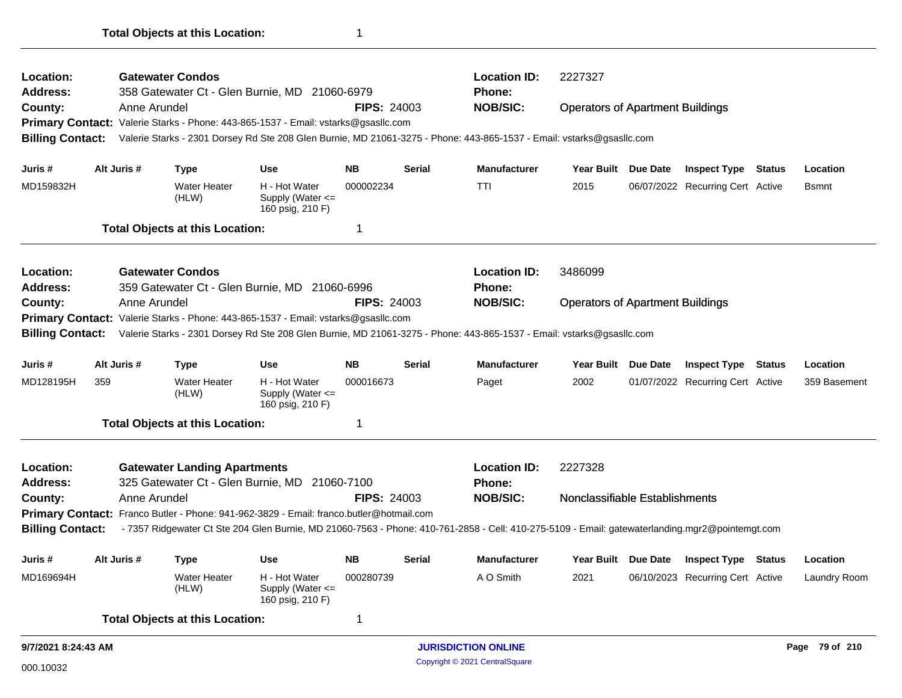| Location:               |     |              | <b>Gatewater Condos</b>                |                                                                                         |                    |               | <b>Location ID:</b>                                                                                                   | 2227327                                                                                                                                         |  |                                                                                                                                                                                                                                        |  |                |  |
|-------------------------|-----|--------------|----------------------------------------|-----------------------------------------------------------------------------------------|--------------------|---------------|-----------------------------------------------------------------------------------------------------------------------|-------------------------------------------------------------------------------------------------------------------------------------------------|--|----------------------------------------------------------------------------------------------------------------------------------------------------------------------------------------------------------------------------------------|--|----------------|--|
| <b>Address:</b>         |     |              |                                        | 358 Gatewater Ct - Glen Burnie, MD 21060-6979                                           |                    |               | <b>Phone:</b>                                                                                                         |                                                                                                                                                 |  |                                                                                                                                                                                                                                        |  |                |  |
| County:                 |     | Anne Arundel |                                        |                                                                                         | <b>FIPS: 24003</b> |               | <b>NOB/SIC:</b>                                                                                                       |                                                                                                                                                 |  |                                                                                                                                                                                                                                        |  |                |  |
| <b>Billing Contact:</b> |     |              |                                        | Primary Contact: Valerie Starks - Phone: 443-865-1537 - Email: vstarks@gsasllc.com      |                    |               | Valerie Starks - 2301 Dorsey Rd Ste 208 Glen Burnie, MD 21061-3275 - Phone: 443-865-1537 - Email: vstarks@gsasllc.com |                                                                                                                                                 |  | <b>Operators of Apartment Buildings</b><br><b>Inspect Type Status</b><br>Location<br>06/07/2022 Recurring Cert Active<br><b>Bsmnt</b><br><b>Due Date</b><br><b>Inspect Type Status</b><br>Location<br>01/07/2022 Recurring Cert Active |  |                |  |
|                         |     |              |                                        |                                                                                         |                    |               |                                                                                                                       |                                                                                                                                                 |  |                                                                                                                                                                                                                                        |  |                |  |
| Juris #                 |     | Alt Juris #  | <b>Type</b>                            | <b>Use</b>                                                                              | <b>NB</b>          | <b>Serial</b> | <b>Manufacturer</b>                                                                                                   | Year Built Due Date                                                                                                                             |  |                                                                                                                                                                                                                                        |  |                |  |
| MD159832H               |     |              | Water Heater<br>(HLW)                  | H - Hot Water<br>Supply (Water $\leq$<br>160 psig, 210 F)                               | 000002234          |               | <b>TTI</b>                                                                                                            | 2015                                                                                                                                            |  |                                                                                                                                                                                                                                        |  |                |  |
|                         |     |              | <b>Total Objects at this Location:</b> |                                                                                         | $\mathbf 1$        |               |                                                                                                                       |                                                                                                                                                 |  |                                                                                                                                                                                                                                        |  |                |  |
| Location:               |     |              | <b>Gatewater Condos</b>                |                                                                                         |                    |               | <b>Location ID:</b>                                                                                                   | 3486099                                                                                                                                         |  |                                                                                                                                                                                                                                        |  |                |  |
| <b>Address:</b>         |     |              |                                        | 359 Gatewater Ct - Glen Burnie, MD 21060-6996<br><b>Phone:</b>                          |                    |               |                                                                                                                       |                                                                                                                                                 |  |                                                                                                                                                                                                                                        |  |                |  |
| County:                 |     | Anne Arundel |                                        |                                                                                         | <b>FIPS: 24003</b> |               | <b>NOB/SIC:</b>                                                                                                       | <b>Operators of Apartment Buildings</b>                                                                                                         |  |                                                                                                                                                                                                                                        |  |                |  |
|                         |     |              |                                        | Primary Contact: Valerie Starks - Phone: 443-865-1537 - Email: vstarks@gsasllc.com      |                    |               |                                                                                                                       |                                                                                                                                                 |  |                                                                                                                                                                                                                                        |  |                |  |
| <b>Billing Contact:</b> |     |              |                                        |                                                                                         |                    |               | Valerie Starks - 2301 Dorsey Rd Ste 208 Glen Burnie, MD 21061-3275 - Phone: 443-865-1537 - Email: vstarks@gsasllc.com |                                                                                                                                                 |  |                                                                                                                                                                                                                                        |  |                |  |
| Juris #                 |     | Alt Juris #  | <b>Type</b>                            | <b>Use</b>                                                                              | <b>NB</b>          | <b>Serial</b> | <b>Manufacturer</b>                                                                                                   | <b>Year Built</b>                                                                                                                               |  |                                                                                                                                                                                                                                        |  |                |  |
| MD128195H               | 359 |              | <b>Water Heater</b><br>(HLW)           | H - Hot Water<br>Supply (Water $\leq$<br>160 psig, 210 F)                               | 000016673          |               | Paget                                                                                                                 | 2002                                                                                                                                            |  |                                                                                                                                                                                                                                        |  | 359 Basement   |  |
|                         |     |              | <b>Total Objects at this Location:</b> |                                                                                         | 1                  |               |                                                                                                                       |                                                                                                                                                 |  |                                                                                                                                                                                                                                        |  |                |  |
| Location:               |     |              | <b>Gatewater Landing Apartments</b>    |                                                                                         |                    |               | <b>Location ID:</b>                                                                                                   | 2227328                                                                                                                                         |  |                                                                                                                                                                                                                                        |  |                |  |
| <b>Address:</b>         |     |              |                                        | 325 Gatewater Ct - Glen Burnie, MD 21060-7100                                           |                    |               | <b>Phone:</b>                                                                                                         |                                                                                                                                                 |  |                                                                                                                                                                                                                                        |  |                |  |
| County:                 |     | Anne Arundel |                                        |                                                                                         | <b>FIPS: 24003</b> |               | <b>NOB/SIC:</b>                                                                                                       | Nonclassifiable Establishments                                                                                                                  |  |                                                                                                                                                                                                                                        |  |                |  |
|                         |     |              |                                        | Primary Contact: Franco Butler - Phone: 941-962-3829 - Email: franco.butler@hotmail.com |                    |               |                                                                                                                       |                                                                                                                                                 |  |                                                                                                                                                                                                                                        |  |                |  |
| <b>Billing Contact:</b> |     |              |                                        |                                                                                         |                    |               |                                                                                                                       | - 7357 Ridgewater Ct Ste 204 Glen Burnie, MD 21060-7563 - Phone: 410-761-2858 - Cell: 410-275-5109 - Email: gatewaterlanding.mgr2@pointemgt.com |  |                                                                                                                                                                                                                                        |  |                |  |
| Juris #                 |     | Alt Juris #  | <b>Type</b>                            | <b>Use</b>                                                                              | <b>NB</b>          | <b>Serial</b> | <b>Manufacturer</b>                                                                                                   | Year Built Due Date                                                                                                                             |  | <b>Inspect Type Status</b>                                                                                                                                                                                                             |  | Location       |  |
| MD169694H               |     |              | <b>Water Heater</b><br>(HLW)           | H - Hot Water<br>Supply (Water <=<br>160 psig, 210 F)                                   | 000280739          |               | A O Smith                                                                                                             | 2021                                                                                                                                            |  | 06/10/2023 Recurring Cert Active                                                                                                                                                                                                       |  | Laundry Room   |  |
|                         |     |              | <b>Total Objects at this Location:</b> |                                                                                         | $\mathbf 1$        |               |                                                                                                                       |                                                                                                                                                 |  |                                                                                                                                                                                                                                        |  |                |  |
| 9/7/2021 8:24:43 AM     |     |              |                                        |                                                                                         |                    |               | <b>JURISDICTION ONLINE</b>                                                                                            |                                                                                                                                                 |  |                                                                                                                                                                                                                                        |  | Page 79 of 210 |  |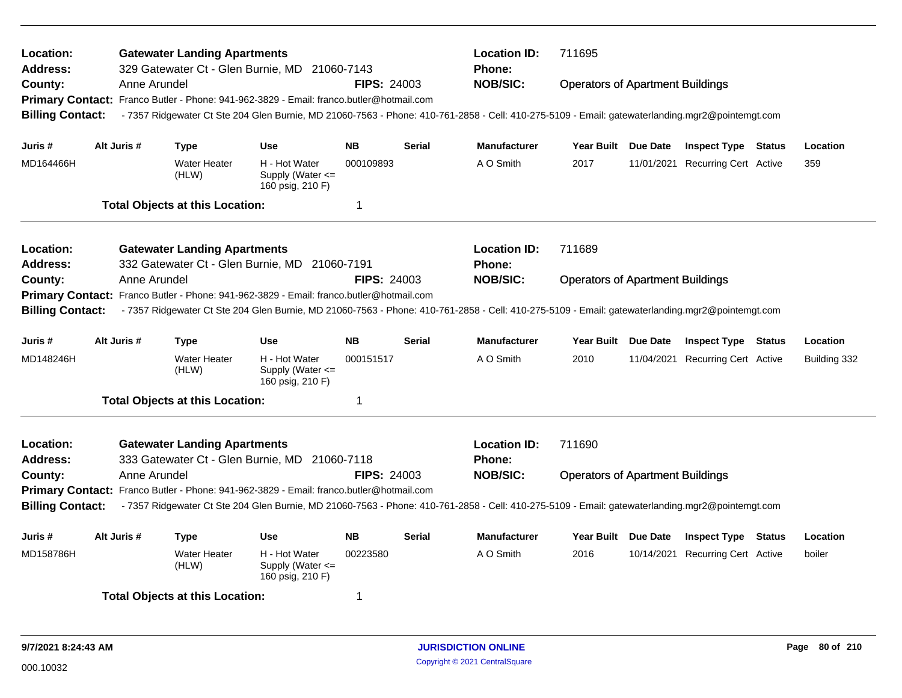| Location:<br><b>Address:</b>                                                                      |  |              | <b>Gatewater Landing Apartments</b>    | 329 Gatewater Ct - Glen Burnie, MD 21060-7143                                                                                                   |                    |               | <b>Location ID:</b><br>Phone: | 711695                                  |            |                                  |        |              |
|---------------------------------------------------------------------------------------------------|--|--------------|----------------------------------------|-------------------------------------------------------------------------------------------------------------------------------------------------|--------------------|---------------|-------------------------------|-----------------------------------------|------------|----------------------------------|--------|--------------|
| County:                                                                                           |  | Anne Arundel |                                        |                                                                                                                                                 | <b>FIPS: 24003</b> |               | <b>NOB/SIC:</b>               | <b>Operators of Apartment Buildings</b> |            |                                  |        |              |
| <b>Primary Contact:</b>                                                                           |  |              |                                        | Franco Butler - Phone: 941-962-3829 - Email: franco.butler@hotmail.com                                                                          |                    |               |                               |                                         |            |                                  |        |              |
| <b>Billing Contact:</b>                                                                           |  |              |                                        | - 7357 Ridgewater Ct Ste 204 Glen Burnie, MD 21060-7563 - Phone: 410-761-2858 - Cell: 410-275-5109 - Email: gatewaterlanding.mgr2@pointemgt.com |                    |               |                               |                                         |            |                                  |        |              |
|                                                                                                   |  |              |                                        |                                                                                                                                                 |                    |               |                               |                                         |            |                                  |        |              |
| Juris #                                                                                           |  | Alt Juris #  | <b>Type</b>                            | <b>Use</b>                                                                                                                                      | <b>NB</b>          | <b>Serial</b> | <b>Manufacturer</b>           | Year Built Due Date                     |            | <b>Inspect Type Status</b>       |        | Location     |
| MD164466H                                                                                         |  |              | <b>Water Heater</b><br>(HLW)           | H - Hot Water<br>Supply (Water $\leq$<br>160 psig, 210 F)                                                                                       | 000109893          |               | A O Smith                     | 2017                                    |            | 11/01/2021 Recurring Cert Active |        | 359          |
|                                                                                                   |  |              | <b>Total Objects at this Location:</b> |                                                                                                                                                 | 1                  |               |                               |                                         |            |                                  |        |              |
| Location:                                                                                         |  |              | <b>Gatewater Landing Apartments</b>    |                                                                                                                                                 |                    |               | <b>Location ID:</b>           | 711689                                  |            |                                  |        |              |
| <b>Address:</b>                                                                                   |  |              |                                        | 332 Gatewater Ct - Glen Burnie, MD 21060-7191                                                                                                   |                    |               | <b>Phone:</b>                 |                                         |            |                                  |        |              |
| County:                                                                                           |  | Anne Arundel |                                        |                                                                                                                                                 | <b>FIPS: 24003</b> |               | <b>NOB/SIC:</b>               | <b>Operators of Apartment Buildings</b> |            |                                  |        |              |
| Franco Butler - Phone: 941-962-3829 - Email: franco.butler@hotmail.com<br><b>Primary Contact:</b> |  |              |                                        |                                                                                                                                                 |                    |               |                               |                                         |            |                                  |        |              |
| <b>Billing Contact:</b>                                                                           |  |              |                                        | - 7357 Ridgewater Ct Ste 204 Glen Burnie, MD 21060-7563 - Phone: 410-761-2858 - Cell: 410-275-5109 - Email: gatewaterlanding.mgr2@pointemgt.com |                    |               |                               |                                         |            |                                  |        |              |
| Juris #                                                                                           |  | Alt Juris #  | <b>Type</b>                            | <b>Use</b>                                                                                                                                      | <b>NB</b>          | <b>Serial</b> | <b>Manufacturer</b>           | Year Built Due Date                     |            | <b>Inspect Type Status</b>       |        | Location     |
| MD148246H                                                                                         |  |              | Water Heater<br>(HLW)                  | H - Hot Water<br>Supply (Water $\leq$<br>160 psig, 210 F)                                                                                       | 000151517          |               | A O Smith                     | 2010                                    | 11/04/2021 | <b>Recurring Cert Active</b>     |        | Building 332 |
|                                                                                                   |  |              | <b>Total Objects at this Location:</b> |                                                                                                                                                 | 1                  |               |                               |                                         |            |                                  |        |              |
| Location:                                                                                         |  |              | <b>Gatewater Landing Apartments</b>    |                                                                                                                                                 |                    |               | <b>Location ID:</b>           | 711690                                  |            |                                  |        |              |
| Address:                                                                                          |  |              |                                        | 333 Gatewater Ct - Glen Burnie, MD 21060-7118                                                                                                   |                    |               | Phone:                        |                                         |            |                                  |        |              |
| County:                                                                                           |  | Anne Arundel |                                        |                                                                                                                                                 | <b>FIPS: 24003</b> |               | <b>NOB/SIC:</b>               | <b>Operators of Apartment Buildings</b> |            |                                  |        |              |
| Primary Contact: Franco Butler - Phone: 941-962-3829 - Email: franco.butler@hotmail.com           |  |              |                                        |                                                                                                                                                 |                    |               |                               |                                         |            |                                  |        |              |
| <b>Billing Contact:</b>                                                                           |  |              |                                        | -7357 Ridgewater Ct Ste 204 Glen Burnie, MD 21060-7563 - Phone: 410-761-2858 - Cell: 410-275-5109 - Email: gatewaterlanding.mgr2@pointemgt.com  |                    |               |                               |                                         |            |                                  |        |              |
| Juris #                                                                                           |  | Alt Juris #  | <b>Type</b>                            | <b>Use</b>                                                                                                                                      | <b>NB</b>          | <b>Serial</b> | <b>Manufacturer</b>           | Year Built Due Date                     |            | <b>Inspect Type</b>              | Status | Location     |
| MD158786H                                                                                         |  |              | <b>Water Heater</b><br>(HLW)           | H - Hot Water<br>Supply (Water $\leq$<br>160 psig, 210 F)                                                                                       | 00223580           |               | A O Smith                     | 2016                                    |            | 10/14/2021 Recurring Cert Active |        | boiler       |
|                                                                                                   |  |              | <b>Total Objects at this Location:</b> |                                                                                                                                                 | 1                  |               |                               |                                         |            |                                  |        |              |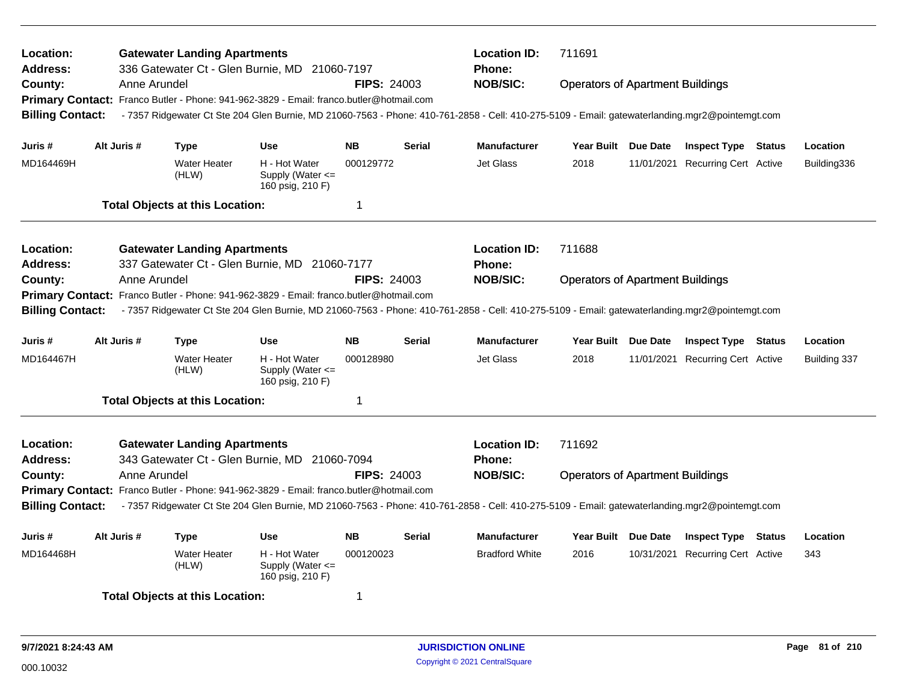| Location:<br>Address:<br>County:                                                                                                                                                                                                                                                                                                                                           |             | Anne Arundel | <b>Gatewater Landing Apartments</b>    | 336 Gatewater Ct - Glen Burnie, MD 21060-7197<br>Primary Contact: Franco Butler - Phone: 941-962-3829 - Email: franco.butler@hotmail.com | <b>FIPS: 24003</b> |                                         | <b>Location ID:</b><br><b>Phone:</b><br><b>NOB/SIC:</b>                                                                                         | 711691<br><b>Operators of Apartment Buildings</b> |                                  |               |              |
|----------------------------------------------------------------------------------------------------------------------------------------------------------------------------------------------------------------------------------------------------------------------------------------------------------------------------------------------------------------------------|-------------|--------------|----------------------------------------|------------------------------------------------------------------------------------------------------------------------------------------|--------------------|-----------------------------------------|-------------------------------------------------------------------------------------------------------------------------------------------------|---------------------------------------------------|----------------------------------|---------------|--------------|
| <b>Billing Contact:</b>                                                                                                                                                                                                                                                                                                                                                    |             |              |                                        |                                                                                                                                          |                    |                                         | - 7357 Ridgewater Ct Ste 204 Glen Burnie, MD 21060-7563 - Phone: 410-761-2858 - Cell: 410-275-5109 - Email: gatewaterlanding.mgr2@pointemgt.com |                                                   |                                  |               |              |
| Juris #                                                                                                                                                                                                                                                                                                                                                                    | Alt Juris # |              | <b>Type</b>                            | <b>Use</b>                                                                                                                               | <b>NB</b>          | <b>Serial</b>                           | <b>Manufacturer</b>                                                                                                                             | Year Built Due Date                               | <b>Inspect Type Status</b>       |               | Location     |
| MD164469H                                                                                                                                                                                                                                                                                                                                                                  |             |              | <b>Water Heater</b><br>(HLW)           | H - Hot Water<br>Supply (Water $\leq$<br>160 psig, 210 F)                                                                                | 000129772          |                                         | Jet Glass                                                                                                                                       | 2018                                              | 11/01/2021 Recurring Cert Active |               | Building336  |
|                                                                                                                                                                                                                                                                                                                                                                            |             |              | <b>Total Objects at this Location:</b> |                                                                                                                                          | 1                  |                                         |                                                                                                                                                 |                                                   |                                  |               |              |
| Location:<br><b>Address:</b>                                                                                                                                                                                                                                                                                                                                               |             |              | <b>Gatewater Landing Apartments</b>    |                                                                                                                                          |                    |                                         | <b>Location ID:</b><br><b>Phone:</b>                                                                                                            | 711688                                            |                                  |               |              |
| 337 Gatewater Ct - Glen Burnie, MD 21060-7177<br>FIPS: 24003<br>County:<br>Anne Arundel<br>Franco Butler - Phone: 941-962-3829 - Email: franco.butler@hotmail.com<br><b>Primary Contact:</b><br>- 7357 Ridgewater Ct Ste 204 Glen Burnie, MD 21060-7563 - Phone: 410-761-2858 - Cell: 410-275-5109 - Email: gatewaterlanding.mgr2@pointemgt.com<br><b>Billing Contact:</b> |             |              |                                        |                                                                                                                                          |                    |                                         | <b>NOB/SIC:</b>                                                                                                                                 | <b>Operators of Apartment Buildings</b>           |                                  |               |              |
| Juris #                                                                                                                                                                                                                                                                                                                                                                    | Alt Juris # |              | <b>Type</b>                            | Use                                                                                                                                      | <b>NB</b>          | <b>Serial</b>                           | <b>Manufacturer</b>                                                                                                                             | Year Built Due Date                               | <b>Inspect Type Status</b>       |               | Location     |
| MD164467H                                                                                                                                                                                                                                                                                                                                                                  |             |              | <b>Water Heater</b><br>(HLW)           | H - Hot Water<br>Supply (Water $\leq$<br>160 psig, 210 F)                                                                                | 000128980          |                                         | <b>Jet Glass</b>                                                                                                                                | 2018                                              | 11/01/2021 Recurring Cert Active |               | Building 337 |
|                                                                                                                                                                                                                                                                                                                                                                            |             |              | <b>Total Objects at this Location:</b> |                                                                                                                                          | 1                  |                                         |                                                                                                                                                 |                                                   |                                  |               |              |
| Location:<br>Address:                                                                                                                                                                                                                                                                                                                                                      |             |              | <b>Gatewater Landing Apartments</b>    |                                                                                                                                          |                    |                                         | <b>Location ID:</b><br><b>Phone:</b>                                                                                                            | 711692                                            |                                  |               |              |
| 343 Gatewater Ct - Glen Burnie, MD 21060-7094<br>Anne Arundel<br><b>FIPS: 24003</b><br>County:<br>Primary Contact: Franco Butler - Phone: 941-962-3829 - Email: franco.butler@hotmail.com                                                                                                                                                                                  |             |              |                                        |                                                                                                                                          | <b>NOB/SIC:</b>    | <b>Operators of Apartment Buildings</b> |                                                                                                                                                 |                                                   |                                  |               |              |
| <b>Billing Contact:</b><br>-7357 Ridgewater Ct Ste 204 Glen Burnie, MD 21060-7563 - Phone: 410-761-2858 - Cell: 410-275-5109 - Email: gatewaterlanding.mgr2@pointemgt.com                                                                                                                                                                                                  |             |              |                                        |                                                                                                                                          |                    |                                         |                                                                                                                                                 |                                                   |                                  |               |              |
| Juris #                                                                                                                                                                                                                                                                                                                                                                    | Alt Juris # |              | <b>Type</b>                            | <b>Use</b>                                                                                                                               | <b>NB</b>          | <b>Serial</b>                           | <b>Manufacturer</b>                                                                                                                             | Year Built Due Date                               | <b>Inspect Type</b>              | <b>Status</b> | Location     |
| MD164468H                                                                                                                                                                                                                                                                                                                                                                  |             |              | Water Heater<br>(HLW)                  | H - Hot Water<br>Supply (Water $\leq$<br>160 psig, 210 F)                                                                                | 000120023          |                                         | <b>Bradford White</b>                                                                                                                           | 2016                                              | 10/31/2021 Recurring Cert Active |               | 343          |
|                                                                                                                                                                                                                                                                                                                                                                            |             |              | <b>Total Objects at this Location:</b> |                                                                                                                                          | 1                  |                                         |                                                                                                                                                 |                                                   |                                  |               |              |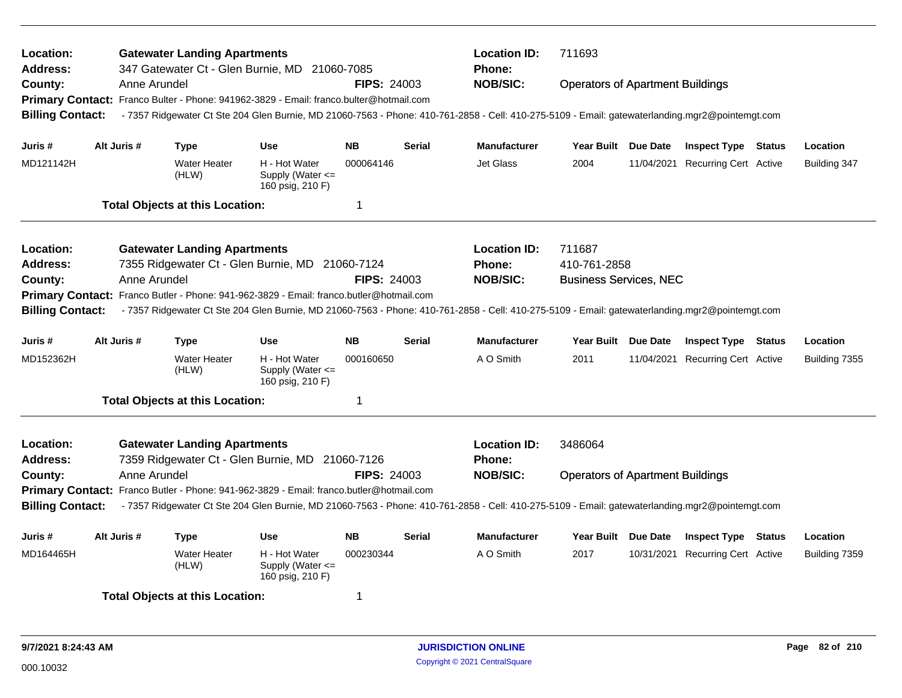| Location:<br>Address:<br>County:<br><b>Billing Contact:</b>                       |                                                                                                                                          | Anne Arundel | <b>Gatewater Landing Apartments</b>    | 347 Gatewater Ct - Glen Burnie, MD 21060-7085<br>Primary Contact: Franco Bulter - Phone: 941962-3829 - Email: franco.bulter@hotmail.com | <b>FIPS: 24003</b>     |                 | <b>Location ID:</b><br>Phone:<br><b>NOB/SIC:</b><br>-7357 Ridgewater Ct Ste 204 Glen Burnie, MD 21060-7563 - Phone: 410-761-2858 - Cell: 410-275-5109 - Email: gatewaterlanding.mgr2@pointemgt.com | 711693<br><b>Operators of Apartment Buildings</b> |                                                                |                          |
|-----------------------------------------------------------------------------------|------------------------------------------------------------------------------------------------------------------------------------------|--------------|----------------------------------------|-----------------------------------------------------------------------------------------------------------------------------------------|------------------------|-----------------|----------------------------------------------------------------------------------------------------------------------------------------------------------------------------------------------------|---------------------------------------------------|----------------------------------------------------------------|--------------------------|
| Juris #<br>MD121142H                                                              | Alt Juris #                                                                                                                              |              | <b>Type</b><br><b>Water Heater</b>     | Use<br>H - Hot Water                                                                                                                    | <b>NB</b><br>000064146 | <b>Serial</b>   | <b>Manufacturer</b><br>Jet Glass                                                                                                                                                                   | Year Built Due Date<br>2004                       | <b>Inspect Type Status</b><br>11/04/2021 Recurring Cert Active | Location<br>Building 347 |
|                                                                                   |                                                                                                                                          |              | (HLW)                                  | Supply (Water <=<br>160 psig, 210 F)                                                                                                    |                        |                 |                                                                                                                                                                                                    |                                                   |                                                                |                          |
|                                                                                   |                                                                                                                                          |              | <b>Total Objects at this Location:</b> |                                                                                                                                         | 1                      |                 |                                                                                                                                                                                                    |                                                   |                                                                |                          |
| Location:                                                                         |                                                                                                                                          |              | <b>Gatewater Landing Apartments</b>    |                                                                                                                                         |                        |                 | <b>Location ID:</b>                                                                                                                                                                                | 711687                                            |                                                                |                          |
| 7355 Ridgewater Ct - Glen Burnie, MD 21060-7124<br>Address:<br><b>FIPS: 24003</b> |                                                                                                                                          |              |                                        |                                                                                                                                         |                        |                 | <b>Phone:</b>                                                                                                                                                                                      | 410-761-2858                                      |                                                                |                          |
| County:                                                                           |                                                                                                                                          | Anne Arundel |                                        |                                                                                                                                         |                        | <b>NOB/SIC:</b> | <b>Business Services, NEC</b>                                                                                                                                                                      |                                                   |                                                                |                          |
| <b>Primary Contact:</b>                                                           |                                                                                                                                          |              |                                        | Franco Butler - Phone: 941-962-3829 - Email: franco.butler@hotmail.com                                                                  |                        |                 |                                                                                                                                                                                                    |                                                   |                                                                |                          |
| <b>Billing Contact:</b>                                                           |                                                                                                                                          |              |                                        |                                                                                                                                         |                        |                 | - 7357 Ridgewater Ct Ste 204 Glen Burnie, MD 21060-7563 - Phone: 410-761-2858 - Cell: 410-275-5109 - Email: gatewaterlanding.mgr2@pointemgt.com                                                    |                                                   |                                                                |                          |
| Juris #                                                                           | Alt Juris #                                                                                                                              |              | <b>Type</b>                            | <b>Use</b>                                                                                                                              | <b>NB</b>              | <b>Serial</b>   | <b>Manufacturer</b>                                                                                                                                                                                | Year Built Due Date                               | <b>Inspect Type Status</b>                                     | Location                 |
| MD152362H                                                                         |                                                                                                                                          |              | <b>Water Heater</b><br>(HLW)           | H - Hot Water<br>Supply (Water <=<br>160 psig, 210 F)                                                                                   | 000160650              |                 | A O Smith                                                                                                                                                                                          | 2011                                              | 11/04/2021 Recurring Cert Active                               | Building 7355            |
|                                                                                   |                                                                                                                                          |              | <b>Total Objects at this Location:</b> |                                                                                                                                         | 1                      |                 |                                                                                                                                                                                                    |                                                   |                                                                |                          |
| Location:                                                                         |                                                                                                                                          |              | <b>Gatewater Landing Apartments</b>    | 7359 Ridgewater Ct - Glen Burnie, MD 21060-7126                                                                                         |                        |                 | <b>Location ID:</b>                                                                                                                                                                                | 3486064                                           |                                                                |                          |
| Address:                                                                          |                                                                                                                                          |              |                                        |                                                                                                                                         |                        |                 | <b>Phone:</b><br><b>NOB/SIC:</b>                                                                                                                                                                   | <b>Operators of Apartment Buildings</b>           |                                                                |                          |
|                                                                                   | Anne Arundel<br><b>FIPS: 24003</b><br>County:<br>Primary Contact: Franco Butler - Phone: 941-962-3829 - Email: franco.butler@hotmail.com |              |                                        |                                                                                                                                         |                        |                 |                                                                                                                                                                                                    |                                                   |                                                                |                          |
| <b>Billing Contact:</b>                                                           |                                                                                                                                          |              |                                        |                                                                                                                                         |                        |                 | - 7357 Ridgewater Ct Ste 204 Glen Burnie, MD 21060-7563 - Phone: 410-761-2858 - Cell: 410-275-5109 - Email: gatewaterlanding.mgr2@pointemgt.com                                                    |                                                   |                                                                |                          |
| Juris #                                                                           | Alt Juris #                                                                                                                              |              | <b>Type</b>                            | <b>Use</b>                                                                                                                              | <b>NB</b>              | <b>Serial</b>   | <b>Manufacturer</b>                                                                                                                                                                                | Year Built Due Date                               | <b>Inspect Type Status</b>                                     | Location                 |
| MD164465H                                                                         |                                                                                                                                          |              | <b>Water Heater</b><br>(HLW)           | H - Hot Water<br>Supply (Water <=<br>160 psig, 210 F)                                                                                   | 000230344              |                 | A O Smith                                                                                                                                                                                          | 2017                                              | 10/31/2021 Recurring Cert Active                               | Building 7359            |
|                                                                                   |                                                                                                                                          |              | <b>Total Objects at this Location:</b> |                                                                                                                                         | 1                      |                 |                                                                                                                                                                                                    |                                                   |                                                                |                          |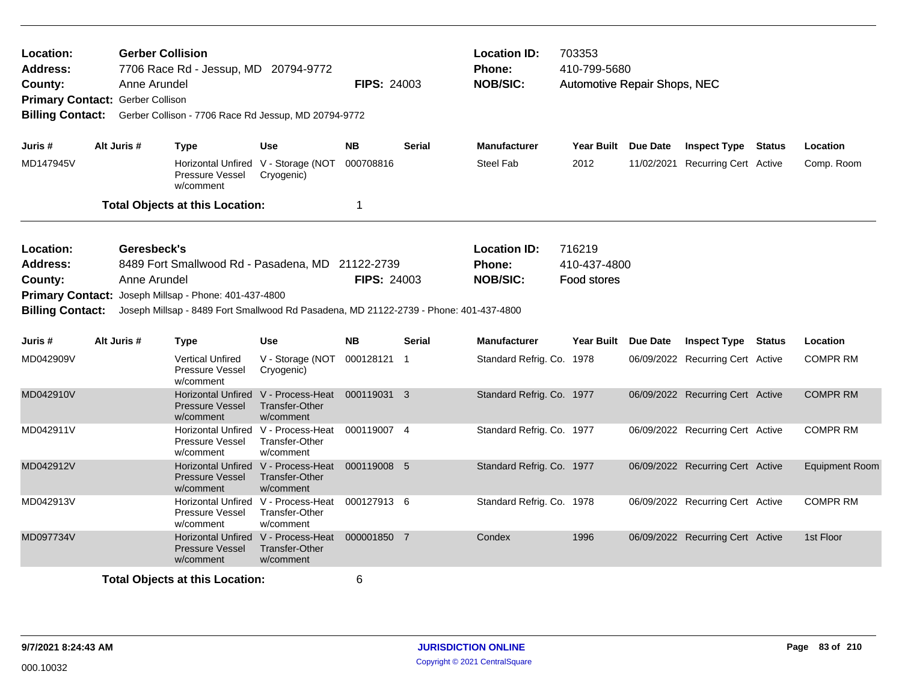| Location:<br><b>Address:</b><br>County:<br>Primary Contact: Gerber Collison<br><b>Billing Contact:</b><br>Alt Juris #<br>Juris # |  | <b>Gerber Collision</b><br>Anne Arundel | 7706 Race Rd - Jessup, MD 20794-9772<br>Gerber Collison - 7706 Race Rd Jessup, MD 20794-9772                                                                                                       |                                                                    | <b>FIPS: 24003</b> |               | <b>Location ID:</b><br>Phone:<br><b>NOB/SIC:</b> | 703353<br>410-799-5680<br>Automotive Repair Shops, NEC |                                  |                       |
|----------------------------------------------------------------------------------------------------------------------------------|--|-----------------------------------------|----------------------------------------------------------------------------------------------------------------------------------------------------------------------------------------------------|--------------------------------------------------------------------|--------------------|---------------|--------------------------------------------------|--------------------------------------------------------|----------------------------------|-----------------------|
|                                                                                                                                  |  |                                         | <b>Type</b>                                                                                                                                                                                        | <b>Use</b>                                                         | <b>NB</b>          | <b>Serial</b> | <b>Manufacturer</b>                              | Year Built Due Date                                    | <b>Inspect Type Status</b>       | Location              |
| MD147945V                                                                                                                        |  |                                         | Pressure Vessel<br>w/comment                                                                                                                                                                       | Horizontal Unfired V - Storage (NOT<br>Cryogenic)                  | 000708816          |               | <b>Steel Fab</b>                                 | 2012                                                   | 11/02/2021 Recurring Cert Active | Comp. Room            |
|                                                                                                                                  |  |                                         | <b>Total Objects at this Location:</b>                                                                                                                                                             |                                                                    | 1                  |               |                                                  |                                                        |                                  |                       |
| Location:<br><b>Address:</b><br>County:<br><b>Billing Contact:</b>                                                               |  | Geresbeck's<br>Anne Arundel             | 8489 Fort Smallwood Rd - Pasadena, MD 21122-2739<br>Primary Contact: Joseph Millsap - Phone: 401-437-4800<br>Joseph Millsap - 8489 Fort Smallwood Rd Pasadena, MD 21122-2739 - Phone: 401-437-4800 |                                                                    | <b>FIPS: 24003</b> |               | <b>Location ID:</b><br>Phone:<br><b>NOB/SIC:</b> | 716219<br>410-437-4800<br>Food stores                  |                                  |                       |
| Juris #                                                                                                                          |  | Alt Juris #                             | Type                                                                                                                                                                                               | <b>Use</b>                                                         | <b>NB</b>          | <b>Serial</b> | <b>Manufacturer</b>                              | Year Built Due Date                                    | <b>Inspect Type Status</b>       | Location              |
| MD042909V                                                                                                                        |  |                                         | <b>Vertical Unfired</b><br><b>Pressure Vessel</b><br>w/comment                                                                                                                                     | V - Storage (NOT<br>Cryogenic)                                     | 000128121 1        |               | Standard Refrig. Co. 1978                        |                                                        | 06/09/2022 Recurring Cert Active | <b>COMPR RM</b>       |
| MD042910V                                                                                                                        |  |                                         | <b>Horizontal Unfired</b><br>Pressure Vessel<br>w/comment                                                                                                                                          | V - Process-Heat<br><b>Transfer-Other</b><br>w/comment             | 000119031 3        |               | Standard Refrig. Co. 1977                        |                                                        | 06/09/2022 Recurring Cert Active | <b>COMPR RM</b>       |
| MD042911V                                                                                                                        |  |                                         | Pressure Vessel<br>w/comment                                                                                                                                                                       | Horizontal Unfired V - Process-Heat<br>Transfer-Other<br>w/comment | 000119007 4        |               | Standard Refrig. Co. 1977                        |                                                        | 06/09/2022 Recurring Cert Active | <b>COMPR RM</b>       |
| MD042912V                                                                                                                        |  |                                         | <b>Horizontal Unfired</b><br><b>Pressure Vessel</b><br>w/comment                                                                                                                                   | V - Process-Heat<br>Transfer-Other<br>w/comment                    | 000119008 5        |               | Standard Refrig. Co. 1977                        |                                                        | 06/09/2022 Recurring Cert Active | <b>Equipment Room</b> |
| MD042913V                                                                                                                        |  |                                         | Horizontal Unfired V - Process-Heat<br><b>Pressure Vessel</b><br>w/comment                                                                                                                         | <b>Transfer-Other</b><br>w/comment                                 | 000127913 6        |               | Standard Refrig. Co. 1978                        |                                                        | 06/09/2022 Recurring Cert Active | <b>COMPR RM</b>       |
| MD097734V                                                                                                                        |  |                                         | <b>Horizontal Unfired</b><br><b>Pressure Vessel</b><br>w/comment                                                                                                                                   | V - Process-Heat<br><b>Transfer-Other</b><br>w/comment             | 000001850 7        |               | Condex                                           | 1996                                                   | 06/09/2022 Recurring Cert Active | 1st Floor             |
|                                                                                                                                  |  |                                         | <b>Total Objects at this Location:</b>                                                                                                                                                             |                                                                    | 6                  |               |                                                  |                                                        |                                  |                       |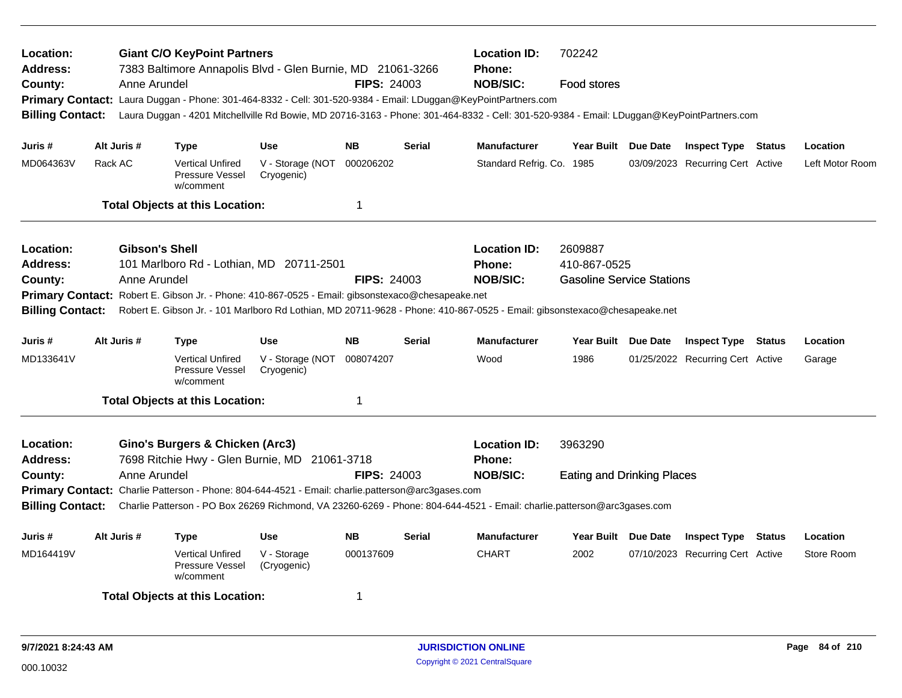| Location:<br><b>Address:</b><br>County:<br><b>Billing Contact:</b>                                                                                                                                                                                                                                                                                                                                                                                                  | Anne Arundel | <b>Giant C/O KeyPoint Partners</b><br>7383 Baltimore Annapolis Blvd - Glen Burnie, MD 21061-3266                                                                                      |                                | <b>FIPS: 24003</b>                                                                                                                                                          | <b>Location ID:</b><br><b>Phone:</b><br><b>NOB/SIC:</b><br>Primary Contact: Laura Duggan - Phone: 301-464-8332 - Cell: 301-520-9384 - Email: LDuggan@KeyPointPartners.com<br>Laura Duggan - 4201 Mitchellville Rd Bowie, MD 20716-3163 - Phone: 301-464-8332 - Cell: 301-520-9384 - Email: LDuggan@KeyPointPartners.com | 702242<br>Food stores     |                     |                                                  |                                  |               |                 |
|---------------------------------------------------------------------------------------------------------------------------------------------------------------------------------------------------------------------------------------------------------------------------------------------------------------------------------------------------------------------------------------------------------------------------------------------------------------------|--------------|---------------------------------------------------------------------------------------------------------------------------------------------------------------------------------------|--------------------------------|-----------------------------------------------------------------------------------------------------------------------------------------------------------------------------|-------------------------------------------------------------------------------------------------------------------------------------------------------------------------------------------------------------------------------------------------------------------------------------------------------------------------|---------------------------|---------------------|--------------------------------------------------|----------------------------------|---------------|-----------------|
| Juris #                                                                                                                                                                                                                                                                                                                                                                                                                                                             | Alt Juris #  | Type                                                                                                                                                                                  | <b>Use</b>                     | <b>NB</b>                                                                                                                                                                   | <b>Serial</b>                                                                                                                                                                                                                                                                                                           | <b>Manufacturer</b>       | Year Built Due Date |                                                  | <b>Inspect Type Status</b>       |               | Location        |
| MD064363V                                                                                                                                                                                                                                                                                                                                                                                                                                                           | Rack AC      | <b>Vertical Unfired</b><br><b>Pressure Vessel</b><br>w/comment                                                                                                                        | V - Storage (NOT<br>Cryogenic) | 000206202                                                                                                                                                                   |                                                                                                                                                                                                                                                                                                                         | Standard Refrig. Co. 1985 |                     |                                                  | 03/09/2023 Recurring Cert Active |               | Left Motor Room |
|                                                                                                                                                                                                                                                                                                                                                                                                                                                                     |              | <b>Total Objects at this Location:</b>                                                                                                                                                |                                | $\mathbf 1$                                                                                                                                                                 |                                                                                                                                                                                                                                                                                                                         |                           |                     |                                                  |                                  |               |                 |
| <b>Gibson's Shell</b><br><b>Location ID:</b><br>Location:<br>Phone:<br><b>Address:</b><br>101 Marlboro Rd - Lothian, MD 20711-2501<br><b>NOB/SIC:</b><br><b>FIPS: 24003</b><br>County:<br>Anne Arundel<br>Primary Contact: Robert E. Gibson Jr. - Phone: 410-867-0525 - Email: gibsonstexaco@chesapeake.net<br><b>Billing Contact:</b><br>Robert E. Gibson Jr. - 101 Marlboro Rd Lothian, MD 20711-9628 - Phone: 410-867-0525 - Email: gibsonstexaco@chesapeake.net |              |                                                                                                                                                                                       |                                |                                                                                                                                                                             |                                                                                                                                                                                                                                                                                                                         |                           |                     | 410-867-0525<br><b>Gasoline Service Stations</b> |                                  |               |                 |
| Juris #                                                                                                                                                                                                                                                                                                                                                                                                                                                             | Alt Juris #  | <b>Type</b>                                                                                                                                                                           | <b>Use</b>                     | <b>NB</b>                                                                                                                                                                   | <b>Serial</b>                                                                                                                                                                                                                                                                                                           | <b>Manufacturer</b>       | Year Built Due Date |                                                  | <b>Inspect Type Status</b>       |               | Location        |
| MD133641V                                                                                                                                                                                                                                                                                                                                                                                                                                                           |              | <b>Vertical Unfired</b><br><b>Pressure Vessel</b><br>w/comment                                                                                                                        | V - Storage (NOT<br>Cryogenic) | 008074207                                                                                                                                                                   |                                                                                                                                                                                                                                                                                                                         | Wood                      | 1986                |                                                  | 01/25/2022 Recurring Cert Active |               | Garage          |
|                                                                                                                                                                                                                                                                                                                                                                                                                                                                     |              | <b>Total Objects at this Location:</b>                                                                                                                                                |                                | $\mathbf 1$                                                                                                                                                                 |                                                                                                                                                                                                                                                                                                                         |                           |                     |                                                  |                                  |               |                 |
| Location:<br><b>Address:</b><br>County:<br><b>Billing Contact:</b>                                                                                                                                                                                                                                                                                                                                                                                                  | Anne Arundel | Gino's Burgers & Chicken (Arc3)<br>7698 Ritchie Hwy - Glen Burnie, MD 21061-3718<br>Primary Contact: Charlie Patterson - Phone: 804-644-4521 - Email: charlie.patterson@arc3gases.com | <b>FIPS: 24003</b>             | <b>Location ID:</b><br>Phone:<br><b>NOB/SIC:</b><br>Charlie Patterson - PO Box 26269 Richmond, VA 23260-6269 - Phone: 804-644-4521 - Email: charlie.patterson@arc3gases.com | 3963290<br><b>Eating and Drinking Places</b>                                                                                                                                                                                                                                                                            |                           |                     |                                                  |                                  |               |                 |
| Juris #                                                                                                                                                                                                                                                                                                                                                                                                                                                             | Alt Juris #  | <b>Type</b>                                                                                                                                                                           | <b>Use</b>                     | <b>NB</b>                                                                                                                                                                   | <b>Serial</b>                                                                                                                                                                                                                                                                                                           | <b>Manufacturer</b>       | Year Built Due Date |                                                  | <b>Inspect Type</b>              | <b>Status</b> | Location        |
| MD164419V                                                                                                                                                                                                                                                                                                                                                                                                                                                           |              | <b>Vertical Unfired</b><br><b>Pressure Vessel</b><br>w/comment                                                                                                                        | V - Storage<br>(Cryogenic)     | 000137609                                                                                                                                                                   |                                                                                                                                                                                                                                                                                                                         | <b>CHART</b>              | 2002                |                                                  | 07/10/2023 Recurring Cert Active |               | Store Room      |
|                                                                                                                                                                                                                                                                                                                                                                                                                                                                     |              | <b>Total Objects at this Location:</b>                                                                                                                                                |                                | -1                                                                                                                                                                          |                                                                                                                                                                                                                                                                                                                         |                           |                     |                                                  |                                  |               |                 |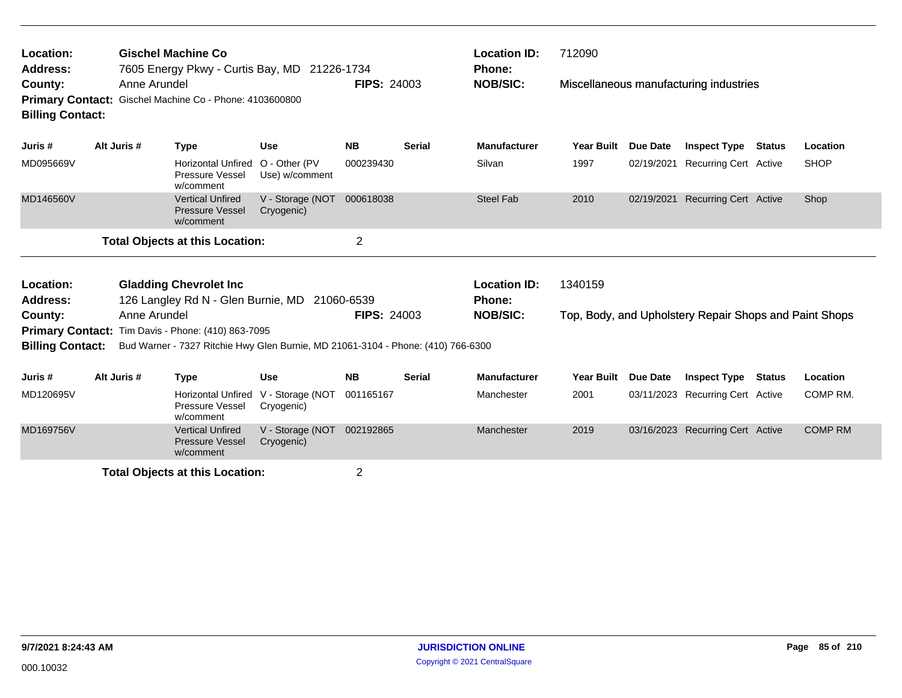| Location:<br><b>Address:</b>                             |  |              | <b>Gischel Machine Co</b><br>7605 Energy Pkwy - Curtis Bay, MD 21226-1734        |                                 |                    |               | <b>Location ID:</b><br><b>Phone:</b> | 712090     |                 |                                                        |               |                |
|----------------------------------------------------------|--|--------------|----------------------------------------------------------------------------------|---------------------------------|--------------------|---------------|--------------------------------------|------------|-----------------|--------------------------------------------------------|---------------|----------------|
| County:<br><b>Billing Contact:</b>                       |  | Anne Arundel | Primary Contact: Gischel Machine Co - Phone: 4103600800                          |                                 | <b>FIPS: 24003</b> |               | <b>NOB/SIC:</b>                      |            |                 | Miscellaneous manufacturing industries                 |               |                |
| Juris #                                                  |  | Alt Juris #  | <b>Type</b>                                                                      | <b>Use</b>                      | <b>NB</b>          | <b>Serial</b> | <b>Manufacturer</b>                  | Year Built | Due Date        | <b>Inspect Type</b>                                    | <b>Status</b> | Location       |
| MD095669V                                                |  |              | <b>Horizontal Unfired</b><br>Pressure Vessel<br>w/comment                        | O - Other (PV<br>Use) w/comment | 000239430          |               | Silvan                               | 1997       | 02/19/2021      | <b>Recurring Cert Active</b>                           |               | <b>SHOP</b>    |
| MD146560V                                                |  |              | <b>Vertical Unfired</b><br><b>Pressure Vessel</b><br>w/comment                   | V - Storage (NOT<br>Cryogenic)  | 000618038          |               | <b>Steel Fab</b>                     | 2010       | 02/19/2021      | <b>Recurring Cert Active</b>                           |               | Shop           |
| $\overline{2}$<br><b>Total Objects at this Location:</b> |  |              |                                                                                  |                                 |                    |               |                                      |            |                 |                                                        |               |                |
| Location:                                                |  |              | <b>Gladding Chevrolet Inc.</b>                                                   |                                 |                    |               | <b>Location ID:</b>                  | 1340159    |                 |                                                        |               |                |
| <b>Address:</b>                                          |  |              | 126 Langley Rd N - Glen Burnie, MD                                               |                                 | 21060-6539         |               | <b>Phone:</b>                        |            |                 |                                                        |               |                |
| County:                                                  |  | Anne Arundel |                                                                                  |                                 | <b>FIPS: 24003</b> |               | <b>NOB/SIC:</b>                      |            |                 | Top, Body, and Upholstery Repair Shops and Paint Shops |               |                |
|                                                          |  |              | Primary Contact: Tim Davis - Phone: (410) 863-7095                               |                                 |                    |               |                                      |            |                 |                                                        |               |                |
| <b>Billing Contact:</b>                                  |  |              | Bud Warner - 7327 Ritchie Hwy Glen Burnie, MD 21061-3104 - Phone: (410) 766-6300 |                                 |                    |               |                                      |            |                 |                                                        |               |                |
| Juris #                                                  |  | Alt Juris #  | <b>Type</b>                                                                      | <b>Use</b>                      | <b>NB</b>          | <b>Serial</b> | <b>Manufacturer</b>                  | Year Built | <b>Due Date</b> | <b>Inspect Type</b>                                    | <b>Status</b> | Location       |
| MD120695V                                                |  |              | <b>Horizontal Unfired</b><br>Pressure Vessel<br>w/comment                        | V - Storage (NOT<br>Cryogenic)  | 001165167          |               | Manchester                           | 2001       | 03/11/2023      | <b>Recurring Cert Active</b>                           |               | COMP RM.       |
| MD169756V                                                |  |              | <b>Vertical Unfired</b><br><b>Pressure Vessel</b><br>w/comment                   | V - Storage (NOT<br>Cryogenic)  | 002192865          |               | Manchester                           | 2019       |                 | 03/16/2023 Recurring Cert Active                       |               | <b>COMP RM</b> |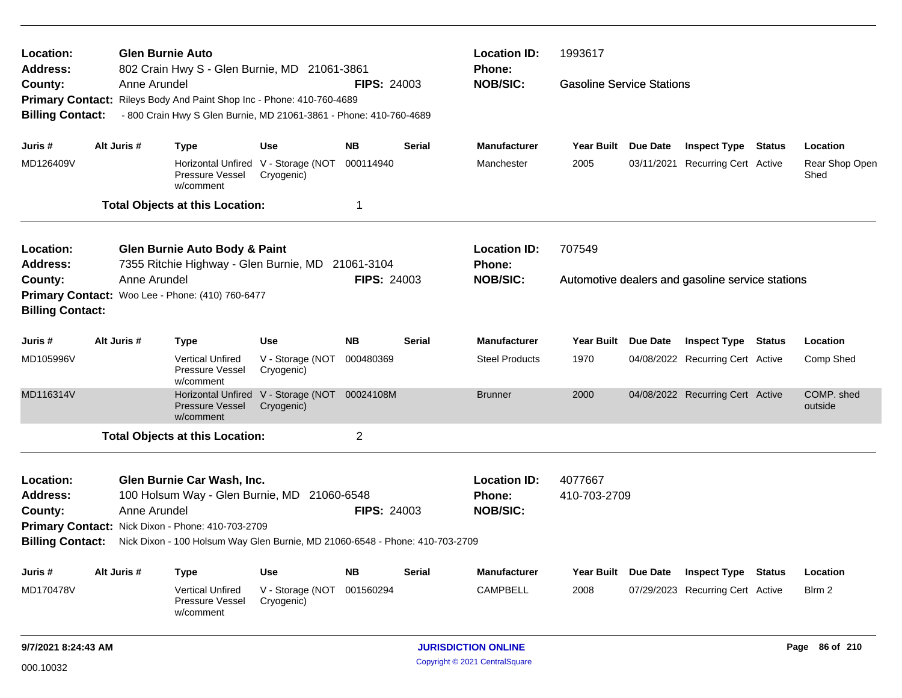| Location:<br><b>Address:</b> |             | <b>Glen Burnie Auto</b> | 802 Crain Hwy S - Glen Burnie, MD 21061-3861                                 |                                                   |                    |        | <b>Location ID:</b><br><b>Phone:</b> | 1993617                          |                                                  |                        |
|------------------------------|-------------|-------------------------|------------------------------------------------------------------------------|---------------------------------------------------|--------------------|--------|--------------------------------------|----------------------------------|--------------------------------------------------|------------------------|
| County:                      |             | Anne Arundel            |                                                                              |                                                   | <b>FIPS: 24003</b> |        | <b>NOB/SIC:</b>                      | <b>Gasoline Service Stations</b> |                                                  |                        |
|                              |             |                         | Primary Contact: Rileys Body And Paint Shop Inc - Phone: 410-760-4689        |                                                   |                    |        |                                      |                                  |                                                  |                        |
| <b>Billing Contact:</b>      |             |                         | - 800 Crain Hwy S Glen Burnie, MD 21061-3861 - Phone: 410-760-4689           |                                                   |                    |        |                                      |                                  |                                                  |                        |
| Juris #                      | Alt Juris # |                         | <b>Type</b>                                                                  | Use                                               | <b>NB</b>          | Serial | <b>Manufacturer</b>                  | Year Built Due Date              | <b>Inspect Type Status</b>                       | Location               |
| MD126409V                    |             |                         | Pressure Vessel<br>w/comment                                                 | Horizontal Unfired V - Storage (NOT<br>Cryogenic) | 000114940          |        | Manchester                           | 2005                             | 03/11/2021 Recurring Cert Active                 | Rear Shop Open<br>Shed |
|                              |             |                         | <b>Total Objects at this Location:</b>                                       |                                                   | 1                  |        |                                      |                                  |                                                  |                        |
| Location:                    |             |                         | <b>Glen Burnie Auto Body &amp; Paint</b>                                     |                                                   |                    |        | <b>Location ID:</b>                  | 707549                           |                                                  |                        |
| <b>Address:</b>              |             |                         | 7355 Ritchie Highway - Glen Burnie, MD 21061-3104                            |                                                   |                    |        | <b>Phone:</b>                        |                                  |                                                  |                        |
| County:                      |             | Anne Arundel            |                                                                              |                                                   | <b>FIPS: 24003</b> |        | <b>NOB/SIC:</b>                      |                                  | Automotive dealers and gasoline service stations |                        |
| <b>Billing Contact:</b>      |             |                         | Primary Contact: Woo Lee - Phone: (410) 760-6477                             |                                                   |                    |        |                                      |                                  |                                                  |                        |
| Juris #                      | Alt Juris # |                         | <b>Type</b>                                                                  | <b>Use</b>                                        | <b>NB</b>          | Serial | <b>Manufacturer</b>                  | Year Built Due Date              | <b>Inspect Type Status</b>                       | Location               |
| MD105996V                    |             |                         | <b>Vertical Unfired</b><br>Pressure Vessel<br>w/comment                      | V - Storage (NOT<br>Cryogenic)                    | 000480369          |        | <b>Steel Products</b>                | 1970                             | 04/08/2022 Recurring Cert Active                 | Comp Shed              |
| MD116314V                    |             |                         | <b>Pressure Vessel</b><br>w/comment                                          | Horizontal Unfired V - Storage (NOT<br>Cryogenic) | 00024108M          |        | <b>Brunner</b>                       | 2000                             | 04/08/2022 Recurring Cert Active                 | COMP. shed<br>outside  |
|                              |             |                         | <b>Total Objects at this Location:</b>                                       |                                                   | $\overline{2}$     |        |                                      |                                  |                                                  |                        |
| Location:                    |             |                         | Glen Burnie Car Wash, Inc.                                                   |                                                   |                    |        | <b>Location ID:</b>                  | 4077667                          |                                                  |                        |
| <b>Address:</b>              |             |                         | 100 Holsum Way - Glen Burnie, MD 21060-6548                                  |                                                   |                    |        | <b>Phone:</b>                        | 410-703-2709                     |                                                  |                        |
| County:                      |             | Anne Arundel            |                                                                              |                                                   | <b>FIPS: 24003</b> |        | <b>NOB/SIC:</b>                      |                                  |                                                  |                        |
|                              |             |                         | Primary Contact: Nick Dixon - Phone: 410-703-2709                            |                                                   |                    |        |                                      |                                  |                                                  |                        |
| <b>Billing Contact:</b>      |             |                         | Nick Dixon - 100 Holsum Way Glen Burnie, MD 21060-6548 - Phone: 410-703-2709 |                                                   |                    |        |                                      |                                  |                                                  |                        |
| Juris #                      | Alt Juris # |                         | <b>Type</b>                                                                  | <b>Use</b>                                        | <b>NB</b>          | Serial | <b>Manufacturer</b>                  | Year Built Due Date              | <b>Inspect Type Status</b>                       | Location               |
| MD170478V                    |             |                         | <b>Vertical Unfired</b><br><b>Pressure Vessel</b><br>w/comment               | V - Storage (NOT 001560294<br>Cryogenic)          |                    |        | CAMPBELL                             | 2008                             | 07/29/2023 Recurring Cert Active                 | Blrm 2                 |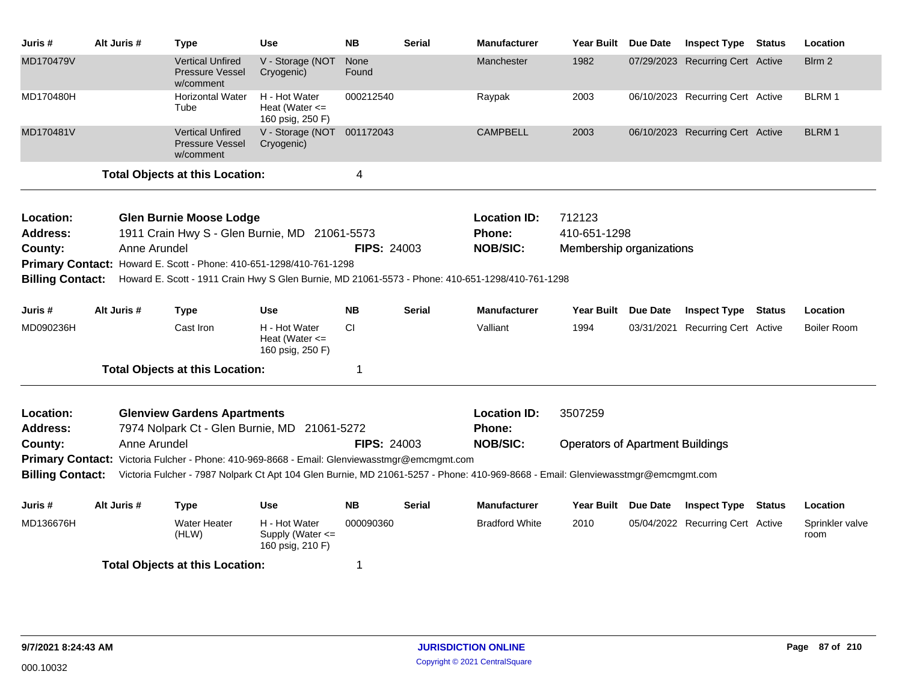| Juris #                      | Alt Juris #  | <b>Type</b>                                                                                                                      | <b>Use</b>                                              | <b>NB</b>          | <b>Serial</b> | <b>Manufacturer</b>           | Year Built Due Date                     | <b>Inspect Type Status</b>       | Location                |
|------------------------------|--------------|----------------------------------------------------------------------------------------------------------------------------------|---------------------------------------------------------|--------------------|---------------|-------------------------------|-----------------------------------------|----------------------------------|-------------------------|
| MD170479V                    |              | <b>Vertical Unfired</b><br><b>Pressure Vessel</b><br>w/comment                                                                   | V - Storage (NOT<br>Cryogenic)                          | None<br>Found      |               | Manchester                    | 1982                                    | 07/29/2023 Recurring Cert Active | Blrm 2                  |
| MD170480H                    |              | <b>Horizontal Water</b><br>Tube                                                                                                  | H - Hot Water<br>Heat (Water $\leq$<br>160 psig, 250 F) | 000212540          |               | Raypak                        | 2003                                    | 06/10/2023 Recurring Cert Active | <b>BLRM1</b>            |
| MD170481V                    |              | <b>Vertical Unfired</b><br><b>Pressure Vessel</b><br>w/comment                                                                   | V - Storage (NOT 001172043<br>Cryogenic)                |                    |               | <b>CAMPBELL</b>               | 2003                                    | 06/10/2023 Recurring Cert Active | <b>BLRM1</b>            |
|                              |              | <b>Total Objects at this Location:</b>                                                                                           |                                                         | 4                  |               |                               |                                         |                                  |                         |
| Location:                    |              | <b>Glen Burnie Moose Lodge</b>                                                                                                   |                                                         |                    |               | <b>Location ID:</b>           | 712123                                  |                                  |                         |
| <b>Address:</b>              |              | 1911 Crain Hwy S - Glen Burnie, MD 21061-5573                                                                                    |                                                         |                    |               | Phone:                        | 410-651-1298                            |                                  |                         |
| County:                      | Anne Arundel |                                                                                                                                  |                                                         | <b>FIPS: 24003</b> |               | <b>NOB/SIC:</b>               | Membership organizations                |                                  |                         |
|                              |              | Primary Contact: Howard E. Scott - Phone: 410-651-1298/410-761-1298                                                              |                                                         |                    |               |                               |                                         |                                  |                         |
| <b>Billing Contact:</b>      |              | Howard E. Scott - 1911 Crain Hwy S Glen Burnie, MD 21061-5573 - Phone: 410-651-1298/410-761-1298                                 |                                                         |                    |               |                               |                                         |                                  |                         |
| Juris #                      | Alt Juris #  | <b>Type</b>                                                                                                                      | <b>Use</b>                                              | <b>NB</b>          | <b>Serial</b> | <b>Manufacturer</b>           | Year Built Due Date                     | <b>Inspect Type Status</b>       | Location                |
| MD090236H                    |              | Cast Iron                                                                                                                        | H - Hot Water<br>Heat (Water $\leq$<br>160 psig, 250 F) | <b>CI</b>          |               | Valliant                      | 1994                                    | 03/31/2021 Recurring Cert Active | <b>Boiler Room</b>      |
|                              |              | <b>Total Objects at this Location:</b>                                                                                           |                                                         | 1                  |               |                               |                                         |                                  |                         |
| Location:<br><b>Address:</b> |              | <b>Glenview Gardens Apartments</b><br>7974 Nolpark Ct - Glen Burnie, MD 21061-5272                                               |                                                         |                    |               | <b>Location ID:</b><br>Phone: | 3507259                                 |                                  |                         |
| County:                      | Anne Arundel |                                                                                                                                  |                                                         | <b>FIPS: 24003</b> |               | <b>NOB/SIC:</b>               | <b>Operators of Apartment Buildings</b> |                                  |                         |
|                              |              | Primary Contact: Victoria Fulcher - Phone: 410-969-8668 - Email: Glenviewasstmgr@emcmgmt.com                                     |                                                         |                    |               |                               |                                         |                                  |                         |
| <b>Billing Contact:</b>      |              | Victoria Fulcher - 7987 Nolpark Ct Apt 104 Glen Burnie, MD 21061-5257 - Phone: 410-969-8668 - Email: Glenviewasstmgr@emcmgmt.com |                                                         |                    |               |                               |                                         |                                  |                         |
| Juris #                      | Alt Juris #  | <b>Type</b>                                                                                                                      | <b>Use</b>                                              | <b>NB</b>          | <b>Serial</b> | <b>Manufacturer</b>           | Year Built Due Date                     | <b>Inspect Type Status</b>       | Location                |
| MD136676H                    |              | <b>Water Heater</b><br>(HLW)                                                                                                     | H - Hot Water<br>Supply (Water <=<br>160 psig, 210 F)   | 000090360          |               | <b>Bradford White</b>         | 2010                                    | 05/04/2022 Recurring Cert Active | Sprinkler valve<br>room |
|                              |              | <b>Total Objects at this Location:</b>                                                                                           |                                                         | 1                  |               |                               |                                         |                                  |                         |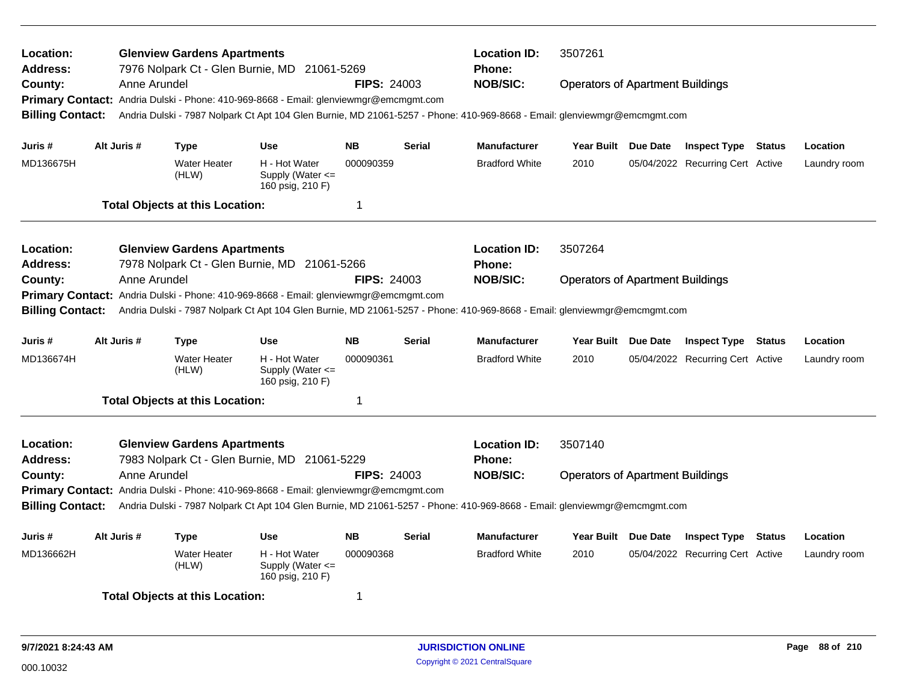| Location:<br><b>Address:</b>                                               |  |              | <b>Glenview Gardens Apartments</b><br>7976 Nolpark Ct - Glen Burnie, MD 21061-5269    |                                                           |                    |               | <b>Location ID:</b><br>Phone:                                                                                             | 3507261                                 |                                  |        |              |
|----------------------------------------------------------------------------|--|--------------|---------------------------------------------------------------------------------------|-----------------------------------------------------------|--------------------|---------------|---------------------------------------------------------------------------------------------------------------------------|-----------------------------------------|----------------------------------|--------|--------------|
| County:                                                                    |  | Anne Arundel |                                                                                       |                                                           | <b>FIPS: 24003</b> |               | <b>NOB/SIC:</b>                                                                                                           | <b>Operators of Apartment Buildings</b> |                                  |        |              |
|                                                                            |  |              | Primary Contact: Andria Dulski - Phone: 410-969-8668 - Email: glenviewmgr@emcmgmt.com |                                                           |                    |               |                                                                                                                           |                                         |                                  |        |              |
| <b>Billing Contact:</b>                                                    |  |              |                                                                                       |                                                           |                    |               | Andria Dulski - 7987 Nolpark Ct Apt 104 Glen Burnie, MD 21061-5257 - Phone: 410-969-8668 - Email: glenviewmgr@emcmgmt.com |                                         |                                  |        |              |
| Juris #                                                                    |  | Alt Juris #  | Type                                                                                  | <b>Use</b>                                                | <b>NB</b>          | <b>Serial</b> | <b>Manufacturer</b>                                                                                                       | Year Built Due Date                     | <b>Inspect Type Status</b>       |        | Location     |
| MD136675H                                                                  |  |              | Water Heater<br>(HLW)                                                                 | H - Hot Water<br>Supply (Water $\leq$<br>160 psig, 210 F) | 000090359          |               | <b>Bradford White</b>                                                                                                     | 2010                                    | 05/04/2022 Recurring Cert Active |        | Laundry room |
|                                                                            |  |              | <b>Total Objects at this Location:</b>                                                |                                                           | -1                 |               |                                                                                                                           |                                         |                                  |        |              |
| Location:                                                                  |  |              | <b>Glenview Gardens Apartments</b>                                                    |                                                           |                    |               | <b>Location ID:</b>                                                                                                       | 3507264                                 |                                  |        |              |
| Address:                                                                   |  |              | 7978 Nolpark Ct - Glen Burnie, MD 21061-5266                                          |                                                           |                    |               | <b>Phone:</b>                                                                                                             |                                         |                                  |        |              |
| County:                                                                    |  | Anne Arundel |                                                                                       |                                                           | <b>FIPS: 24003</b> |               | <b>NOB/SIC:</b>                                                                                                           | <b>Operators of Apartment Buildings</b> |                                  |        |              |
| <b>Primary Contact:</b>                                                    |  |              | Andria Dulski - Phone: 410-969-8668 - Email: glenviewmgr@emcmgmt.com                  |                                                           |                    |               |                                                                                                                           |                                         |                                  |        |              |
| <b>Billing Contact:</b>                                                    |  |              |                                                                                       |                                                           |                    |               | Andria Dulski - 7987 Nolpark Ct Apt 104 Glen Burnie, MD 21061-5257 - Phone: 410-969-8668 - Email: glenviewmgr@emcmgmt.com |                                         |                                  |        |              |
| Juris #                                                                    |  | Alt Juris #  | Type                                                                                  | <b>Use</b>                                                | <b>NB</b>          | <b>Serial</b> | <b>Manufacturer</b>                                                                                                       | Year Built Due Date                     | <b>Inspect Type</b>              | Status | Location     |
| MD136674H                                                                  |  |              | Water Heater<br>(HLW)                                                                 | H - Hot Water<br>Supply (Water <=<br>160 psig, 210 F)     | 000090361          |               | <b>Bradford White</b>                                                                                                     | 2010                                    | 05/04/2022 Recurring Cert Active |        | Laundry room |
|                                                                            |  |              | <b>Total Objects at this Location:</b>                                                |                                                           | $\overline{1}$     |               |                                                                                                                           |                                         |                                  |        |              |
| Location:                                                                  |  |              | <b>Glenview Gardens Apartments</b>                                                    |                                                           |                    |               | <b>Location ID:</b>                                                                                                       | 3507140                                 |                                  |        |              |
| <b>Address:</b>                                                            |  |              | 7983 Nolpark Ct - Glen Burnie, MD 21061-5229                                          |                                                           |                    |               | <b>Phone:</b>                                                                                                             |                                         |                                  |        |              |
| County:                                                                    |  | Anne Arundel |                                                                                       |                                                           | <b>FIPS: 24003</b> |               | <b>NOB/SIC:</b>                                                                                                           | <b>Operators of Apartment Buildings</b> |                                  |        |              |
|                                                                            |  |              | Primary Contact: Andria Dulski - Phone: 410-969-8668 - Email: glenviewmgr@emcmgmt.com |                                                           |                    |               |                                                                                                                           |                                         |                                  |        |              |
| <b>Billing Contact:</b>                                                    |  |              |                                                                                       |                                                           |                    |               | Andria Dulski - 7987 Nolpark Ct Apt 104 Glen Burnie, MD 21061-5257 - Phone: 410-969-8668 - Email: glenviewmgr@emcmgmt.com |                                         |                                  |        |              |
| Alt Juris #<br><b>NB</b><br>Juris #<br><b>Type</b><br>Use<br><b>Serial</b> |  |              |                                                                                       |                                                           |                    |               | <b>Manufacturer</b>                                                                                                       | Year Built Due Date                     | <b>Inspect Type</b>              | Status | Location     |
| MD136662H                                                                  |  |              | Water Heater<br>(HLW)                                                                 | H - Hot Water<br>Supply (Water $\leq$<br>160 psig, 210 F) | 000090368          |               | <b>Bradford White</b>                                                                                                     | 2010                                    | 05/04/2022 Recurring Cert Active |        | Laundry room |
|                                                                            |  |              | <b>Total Objects at this Location:</b>                                                |                                                           | -1                 |               |                                                                                                                           |                                         |                                  |        |              |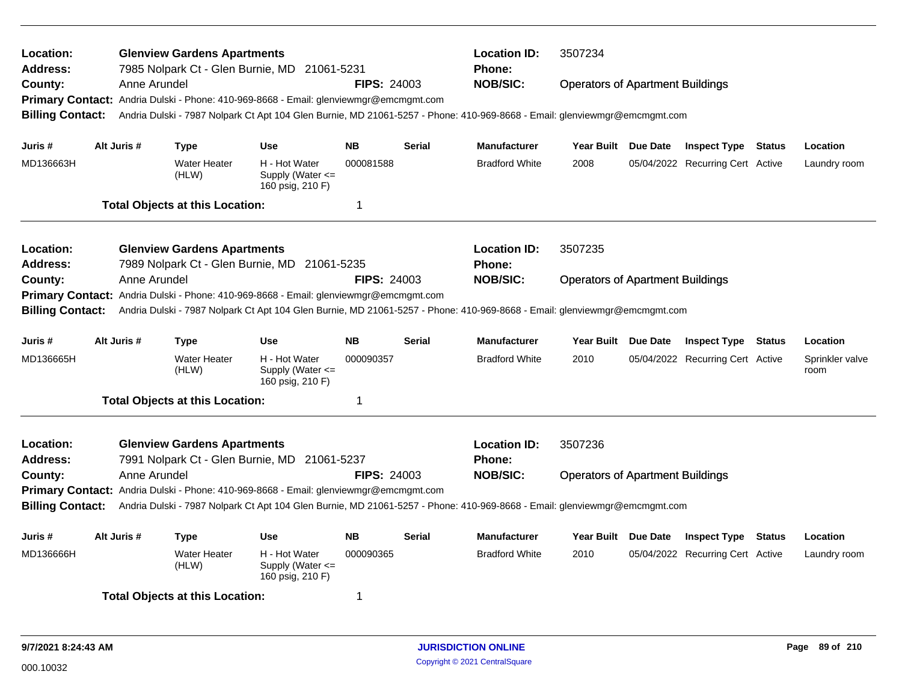| Location:<br><b>Address:</b><br>County: | Anne Arundel | <b>Glenview Gardens Apartments</b>     | 7985 Nolpark Ct - Glen Burnie, MD 21061-5231                                          | <b>FIPS: 24003</b> |               | <b>Location ID:</b><br>Phone:<br><b>NOB/SIC:</b>                                                                          | 3507234<br><b>Operators of Apartment Buildings</b> |                                  |               |                         |
|-----------------------------------------|--------------|----------------------------------------|---------------------------------------------------------------------------------------|--------------------|---------------|---------------------------------------------------------------------------------------------------------------------------|----------------------------------------------------|----------------------------------|---------------|-------------------------|
| <b>Billing Contact:</b>                 |              |                                        | Primary Contact: Andria Dulski - Phone: 410-969-8668 - Email: glenviewmgr@emcmgmt.com |                    |               | Andria Dulski - 7987 Nolpark Ct Apt 104 Glen Burnie, MD 21061-5257 - Phone: 410-969-8668 - Email: glenviewmgr@emcmgmt.com |                                                    |                                  |               |                         |
| Juris #                                 | Alt Juris #  | <b>Type</b>                            | <b>Use</b>                                                                            | <b>NB</b>          | <b>Serial</b> | <b>Manufacturer</b>                                                                                                       | Year Built Due Date                                | <b>Inspect Type Status</b>       |               | Location                |
| MD136663H                               |              | <b>Water Heater</b><br>(HLW)           | H - Hot Water<br>Supply (Water <=<br>160 psig, 210 F)                                 | 000081588          |               | <b>Bradford White</b>                                                                                                     | 2008                                               | 05/04/2022 Recurring Cert Active |               | Laundry room            |
|                                         |              | <b>Total Objects at this Location:</b> |                                                                                       | $\mathbf 1$        |               |                                                                                                                           |                                                    |                                  |               |                         |
| Location:<br><b>Address:</b>            |              | <b>Glenview Gardens Apartments</b>     | 7989 Nolpark Ct - Glen Burnie, MD 21061-5235                                          |                    |               | <b>Location ID:</b><br><b>Phone:</b>                                                                                      | 3507235                                            |                                  |               |                         |
| County:                                 | Anne Arundel |                                        | Primary Contact: Andria Dulski - Phone: 410-969-8668 - Email: glenviewmgr@emcmgmt.com | <b>FIPS: 24003</b> |               | <b>NOB/SIC:</b>                                                                                                           | <b>Operators of Apartment Buildings</b>            |                                  |               |                         |
| <b>Billing Contact:</b>                 |              |                                        |                                                                                       |                    |               | Andria Dulski - 7987 Nolpark Ct Apt 104 Glen Burnie, MD 21061-5257 - Phone: 410-969-8668 - Email: glenviewmgr@emcmgmt.com |                                                    |                                  |               |                         |
| Juris #                                 | Alt Juris #  | <b>Type</b>                            | <b>Use</b>                                                                            | <b>NB</b>          | <b>Serial</b> | <b>Manufacturer</b>                                                                                                       | Year Built Due Date                                | <b>Inspect Type</b>              | Status        | Location                |
| MD136665H                               |              | <b>Water Heater</b><br>(HLW)           | H - Hot Water<br>Supply (Water <=<br>160 psig, 210 F)                                 | 000090357          |               | <b>Bradford White</b>                                                                                                     | 2010                                               | 05/04/2022 Recurring Cert Active |               | Sprinkler valve<br>room |
|                                         |              | <b>Total Objects at this Location:</b> |                                                                                       | $\mathbf 1$        |               |                                                                                                                           |                                                    |                                  |               |                         |
| Location:<br>Address:                   |              | <b>Glenview Gardens Apartments</b>     | 7991 Nolpark Ct - Glen Burnie, MD 21061-5237                                          |                    |               | <b>Location ID:</b><br>Phone:                                                                                             | 3507236                                            |                                  |               |                         |
| County:                                 | Anne Arundel |                                        |                                                                                       | <b>FIPS: 24003</b> |               | <b>NOB/SIC:</b>                                                                                                           | <b>Operators of Apartment Buildings</b>            |                                  |               |                         |
| <b>Billing Contact:</b>                 |              |                                        | Primary Contact: Andria Dulski - Phone: 410-969-8668 - Email: glenviewmgr@emcmgmt.com |                    |               | Andria Dulski - 7987 Nolpark Ct Apt 104 Glen Burnie, MD 21061-5257 - Phone: 410-969-8668 - Email: glenviewmgr@emcmgmt.com |                                                    |                                  |               |                         |
| Juris #                                 | Alt Juris #  | <b>Type</b>                            | <b>Use</b>                                                                            | <b>NB</b>          | <b>Serial</b> | <b>Manufacturer</b>                                                                                                       | Year Built Due Date                                | <b>Inspect Type</b>              | <b>Status</b> | Location                |
| MD136666H                               |              | <b>Water Heater</b><br>(HLW)           | H - Hot Water<br>Supply (Water $\leq$<br>160 psig, 210 F)                             | 000090365          |               | <b>Bradford White</b>                                                                                                     | 2010                                               | 05/04/2022 Recurring Cert Active |               | Laundry room            |
|                                         |              | <b>Total Objects at this Location:</b> |                                                                                       | 1                  |               |                                                                                                                           |                                                    |                                  |               |                         |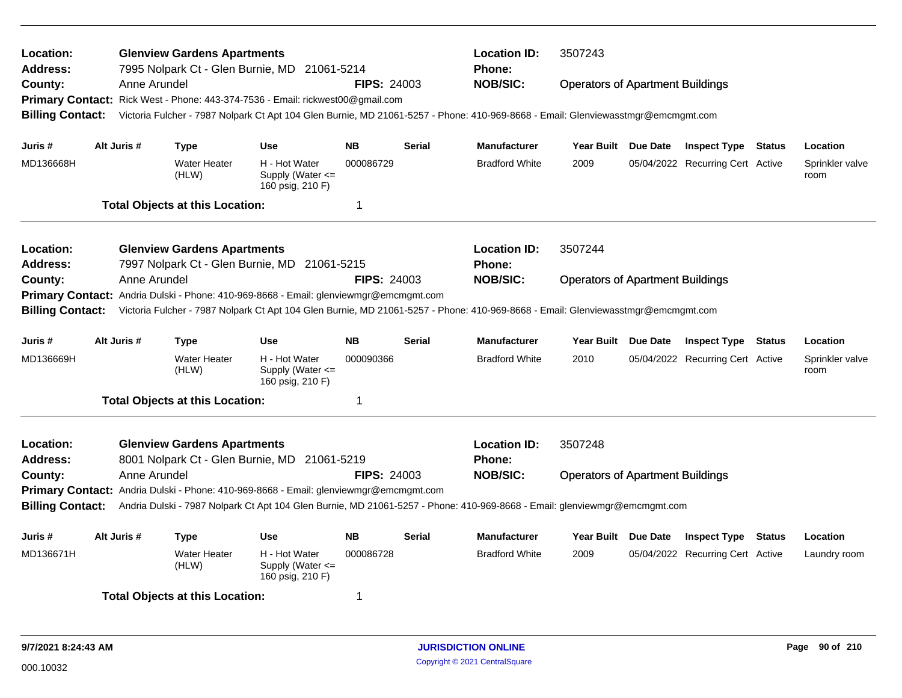| <b>Location ID:</b><br>Location:<br><b>Glenview Gardens Apartments</b><br>3507243<br>7995 Nolpark Ct - Glen Burnie, MD 21061-5214<br><b>Address:</b><br><b>Phone:</b><br><b>NOB/SIC:</b><br><b>FIPS: 24003</b><br>County:<br>Anne Arundel<br><b>Operators of Apartment Buildings</b><br>Primary Contact: Rick West - Phone: 443-374-7536 - Email: rickwest00@gmail.com<br><b>Billing Contact:</b><br>Victoria Fulcher - 7987 Nolpark Ct Apt 104 Glen Burnie, MD 21061-5257 - Phone: 410-969-8668 - Email: Glenviewasstmgr@emcmgmt.com<br><b>NB</b><br>Alt Juris #<br><b>Use</b><br><b>Manufacturer</b><br>Year Built Due Date<br>Juris #<br><b>Type</b><br><b>Serial</b> |  |             |                                        |                                                           |             |               |                                      |                                         |  |                                  |               |                         |
|--------------------------------------------------------------------------------------------------------------------------------------------------------------------------------------------------------------------------------------------------------------------------------------------------------------------------------------------------------------------------------------------------------------------------------------------------------------------------------------------------------------------------------------------------------------------------------------------------------------------------------------------------------------------------|--|-------------|----------------------------------------|-----------------------------------------------------------|-------------|---------------|--------------------------------------|-----------------------------------------|--|----------------------------------|---------------|-------------------------|
|                                                                                                                                                                                                                                                                                                                                                                                                                                                                                                                                                                                                                                                                          |  |             |                                        |                                                           |             |               |                                      |                                         |  | <b>Inspect Type Status</b>       |               | Location                |
| MD136668H                                                                                                                                                                                                                                                                                                                                                                                                                                                                                                                                                                                                                                                                |  |             | <b>Water Heater</b><br>(HLW)           | H - Hot Water<br>Supply (Water $\leq$<br>160 psig, 210 F) | 000086729   |               | <b>Bradford White</b>                | 2009                                    |  | 05/04/2022 Recurring Cert Active |               | Sprinkler valve<br>room |
|                                                                                                                                                                                                                                                                                                                                                                                                                                                                                                                                                                                                                                                                          |  |             | <b>Total Objects at this Location:</b> |                                                           | $\mathbf 1$ |               |                                      |                                         |  |                                  |               |                         |
| Location:<br><b>Glenview Gardens Apartments</b><br>7997 Nolpark Ct - Glen Burnie, MD 21061-5215<br><b>Address:</b><br>Anne Arundel<br><b>FIPS: 24003</b><br>County:                                                                                                                                                                                                                                                                                                                                                                                                                                                                                                      |  |             |                                        |                                                           |             |               | <b>Location ID:</b><br>Phone:        | 3507244                                 |  |                                  |               |                         |
| <b>NOB/SIC:</b><br><b>Operators of Apartment Buildings</b><br>Primary Contact: Andria Dulski - Phone: 410-969-8668 - Email: glenviewmgr@emcmgmt.com<br><b>Billing Contact:</b><br>Victoria Fulcher - 7987 Nolpark Ct Apt 104 Glen Burnie, MD 21061-5257 - Phone: 410-969-8668 - Email: Glenviewasstmgr@emcmgmt.com                                                                                                                                                                                                                                                                                                                                                       |  |             |                                        |                                                           |             |               |                                      |                                         |  |                                  |               |                         |
| Juris #                                                                                                                                                                                                                                                                                                                                                                                                                                                                                                                                                                                                                                                                  |  | Alt Juris # | Type                                   | <b>Use</b>                                                | <b>NB</b>   | Serial        | <b>Manufacturer</b>                  | Year Built Due Date                     |  | <b>Inspect Type Status</b>       |               | Location                |
| MD136669H                                                                                                                                                                                                                                                                                                                                                                                                                                                                                                                                                                                                                                                                |  |             | <b>Water Heater</b><br>(HLW)           | H - Hot Water<br>Supply (Water <=<br>160 psig, 210 F)     | 000090366   |               | <b>Bradford White</b>                | 2010                                    |  | 05/04/2022 Recurring Cert Active |               | Sprinkler valve<br>room |
|                                                                                                                                                                                                                                                                                                                                                                                                                                                                                                                                                                                                                                                                          |  |             | <b>Total Objects at this Location:</b> |                                                           | $\mathbf 1$ |               |                                      |                                         |  |                                  |               |                         |
| Location:<br>Address:                                                                                                                                                                                                                                                                                                                                                                                                                                                                                                                                                                                                                                                    |  |             | <b>Glenview Gardens Apartments</b>     |                                                           |             |               | <b>Location ID:</b><br><b>Phone:</b> | 3507248                                 |  |                                  |               |                         |
| 8001 Nolpark Ct - Glen Burnie, MD 21061-5219<br>Anne Arundel<br><b>FIPS: 24003</b><br>County:<br>Primary Contact: Andria Dulski - Phone: 410-969-8668 - Email: glenviewmgr@emcmgmt.com<br><b>Billing Contact:</b><br>Andria Dulski - 7987 Nolpark Ct Apt 104 Glen Burnie, MD 21061-5257 - Phone: 410-969-8668 - Email: glenviewmgr@emcmgmt.com                                                                                                                                                                                                                                                                                                                           |  |             |                                        |                                                           |             |               | <b>NOB/SIC:</b>                      | <b>Operators of Apartment Buildings</b> |  |                                  |               |                         |
| Juris #                                                                                                                                                                                                                                                                                                                                                                                                                                                                                                                                                                                                                                                                  |  | Alt Juris # | <b>Type</b>                            | <b>Use</b>                                                | <b>NB</b>   | <b>Serial</b> | <b>Manufacturer</b>                  | Year Built Due Date                     |  | <b>Inspect Type</b>              | <b>Status</b> | Location                |
| MD136671H                                                                                                                                                                                                                                                                                                                                                                                                                                                                                                                                                                                                                                                                |  |             | <b>Water Heater</b><br>(HLW)           | H - Hot Water<br>Supply (Water $\leq$<br>160 psig, 210 F) | 000086728   |               | <b>Bradford White</b>                | 2009                                    |  | 05/04/2022 Recurring Cert Active |               | Laundry room            |
|                                                                                                                                                                                                                                                                                                                                                                                                                                                                                                                                                                                                                                                                          |  |             | <b>Total Objects at this Location:</b> |                                                           | -1          |               |                                      |                                         |  |                                  |               |                         |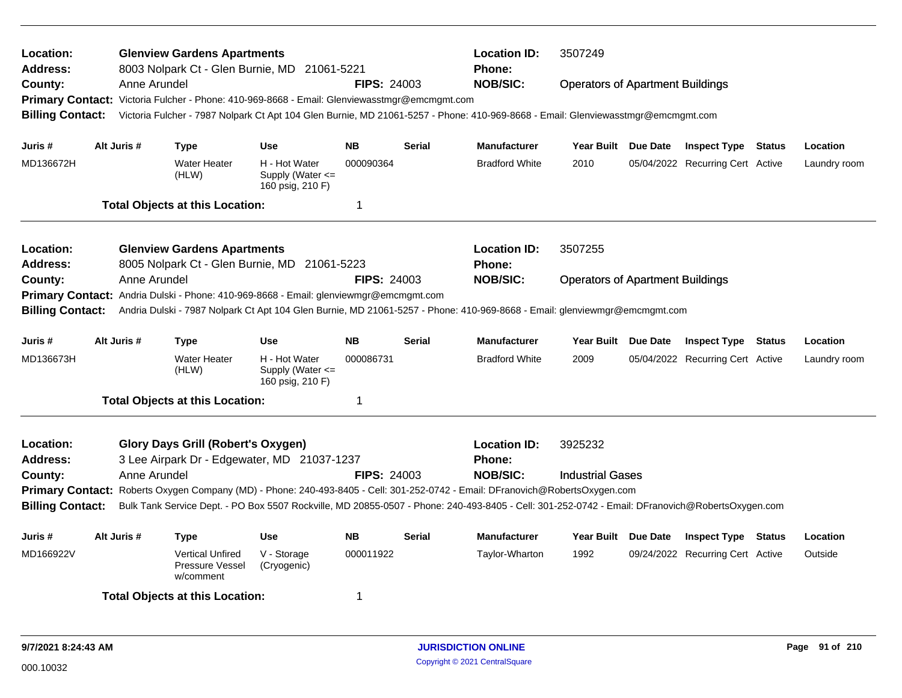| Location:<br>Address:   |              | <b>Glenview Gardens Apartments</b><br>8003 Nolpark Ct - Glen Burnie, MD                      | 21061-5221                                                |                         |               | <b>Location ID:</b><br>Phone:                                                                                                                   | 3507249                                 |                 |                                  |        |              |
|-------------------------|--------------|----------------------------------------------------------------------------------------------|-----------------------------------------------------------|-------------------------|---------------|-------------------------------------------------------------------------------------------------------------------------------------------------|-----------------------------------------|-----------------|----------------------------------|--------|--------------|
| County:                 | Anne Arundel |                                                                                              |                                                           | <b>FIPS: 24003</b>      |               | <b>NOB/SIC:</b>                                                                                                                                 | <b>Operators of Apartment Buildings</b> |                 |                                  |        |              |
|                         |              | Primary Contact: Victoria Fulcher - Phone: 410-969-8668 - Email: Glenviewasstmgr@emcmgmt.com |                                                           |                         |               |                                                                                                                                                 |                                         |                 |                                  |        |              |
| <b>Billing Contact:</b> |              |                                                                                              |                                                           |                         |               | Victoria Fulcher - 7987 Nolpark Ct Apt 104 Glen Burnie, MD 21061-5257 - Phone: 410-969-8668 - Email: Glenviewasstmgr@emcmgmt.com                |                                         |                 |                                  |        |              |
| Juris #                 | Alt Juris #  | <b>Type</b>                                                                                  | <b>Use</b>                                                | <b>NB</b>               | <b>Serial</b> | <b>Manufacturer</b>                                                                                                                             | Year Built Due Date                     |                 | <b>Inspect Type Status</b>       |        | Location     |
| MD136672H               |              | <b>Water Heater</b><br>(HLW)                                                                 | H - Hot Water<br>Supply (Water $\leq$<br>160 psig, 210 F) | 000090364               |               | <b>Bradford White</b>                                                                                                                           | 2010                                    |                 | 05/04/2022 Recurring Cert Active |        | Laundry room |
|                         |              | <b>Total Objects at this Location:</b>                                                       |                                                           | -1                      |               |                                                                                                                                                 |                                         |                 |                                  |        |              |
| <b>Location:</b>        |              | <b>Glenview Gardens Apartments</b>                                                           |                                                           |                         |               | <b>Location ID:</b>                                                                                                                             | 3507255                                 |                 |                                  |        |              |
| <b>Address:</b>         |              | 8005 Nolpark Ct - Glen Burnie, MD 21061-5223                                                 |                                                           |                         |               | Phone:                                                                                                                                          |                                         |                 |                                  |        |              |
| County:                 | Anne Arundel |                                                                                              |                                                           | <b>FIPS: 24003</b>      |               | <b>NOB/SIC:</b>                                                                                                                                 | <b>Operators of Apartment Buildings</b> |                 |                                  |        |              |
|                         |              | Primary Contact: Andria Dulski - Phone: 410-969-8668 - Email: glenviewmgr@emcmgmt.com        |                                                           |                         |               |                                                                                                                                                 |                                         |                 |                                  |        |              |
| <b>Billing Contact:</b> |              |                                                                                              |                                                           |                         |               | Andria Dulski - 7987 Nolpark Ct Apt 104 Glen Burnie, MD 21061-5257 - Phone: 410-969-8668 - Email: glenviewmgr@emcmgmt.com                       |                                         |                 |                                  |        |              |
| Juris #                 | Alt Juris #  | <b>Type</b>                                                                                  | Use                                                       | <b>NB</b>               | <b>Serial</b> | <b>Manufacturer</b>                                                                                                                             | <b>Year Built</b>                       | <b>Due Date</b> | <b>Inspect Type</b>              | Status | Location     |
| MD136673H               |              | Water Heater<br>(HLW)                                                                        | H - Hot Water<br>Supply (Water <=<br>160 psig, 210 F)     | 000086731               |               | <b>Bradford White</b>                                                                                                                           | 2009                                    |                 | 05/04/2022 Recurring Cert Active |        | Laundry room |
|                         |              | <b>Total Objects at this Location:</b>                                                       |                                                           | $\overline{\mathbf{1}}$ |               |                                                                                                                                                 |                                         |                 |                                  |        |              |
| Location:               |              | <b>Glory Days Grill (Robert's Oxygen)</b>                                                    |                                                           |                         |               | <b>Location ID:</b>                                                                                                                             | 3925232                                 |                 |                                  |        |              |
| <b>Address:</b>         |              | 3 Lee Airpark Dr - Edgewater, MD 21037-1237                                                  |                                                           |                         |               | <b>Phone:</b>                                                                                                                                   |                                         |                 |                                  |        |              |
| County:                 | Anne Arundel |                                                                                              |                                                           | <b>FIPS: 24003</b>      |               | <b>NOB/SIC:</b>                                                                                                                                 | <b>Industrial Gases</b>                 |                 |                                  |        |              |
|                         |              |                                                                                              |                                                           |                         |               | Primary Contact: Roberts Oxygen Company (MD) - Phone: 240-493-8405 - Cell: 301-252-0742 - Email: DFranovich@RobertsOxygen.com                   |                                         |                 |                                  |        |              |
| <b>Billing Contact:</b> |              |                                                                                              |                                                           |                         |               | Bulk Tank Service Dept. - PO Box 5507 Rockville, MD 20855-0507 - Phone: 240-493-8405 - Cell: 301-252-0742 - Email: DFranovich@RobertsOxygen.com |                                         |                 |                                  |        |              |
| Juris #                 | Alt Juris #  | <b>Type</b>                                                                                  | <b>Use</b>                                                | <b>NB</b>               | <b>Serial</b> | <b>Manufacturer</b>                                                                                                                             | <b>Year Built</b>                       | Due Date        | <b>Inspect Type Status</b>       |        | Location     |
| MD166922V               |              | <b>Vertical Unfired</b><br>Pressure Vessel<br>w/comment                                      | V - Storage<br>(Cryogenic)                                | 000011922               |               | Taylor-Wharton                                                                                                                                  | 1992                                    |                 | 09/24/2022 Recurring Cert Active |        | Outside      |
|                         |              | <b>Total Objects at this Location:</b>                                                       |                                                           | -1                      |               |                                                                                                                                                 |                                         |                 |                                  |        |              |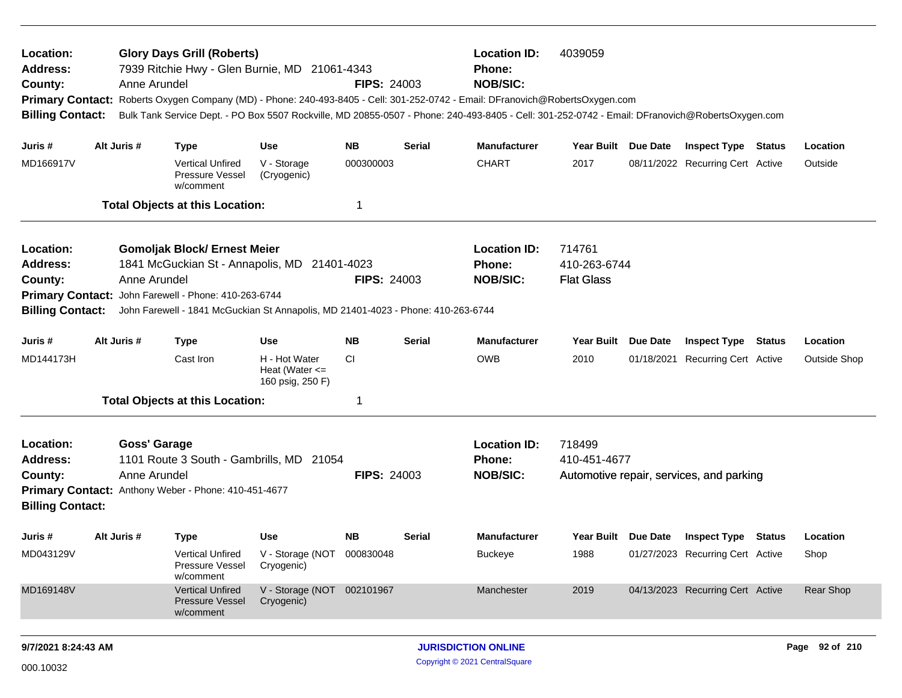| Location:<br>Address:<br>County:<br><b>Primary Contact:</b><br><b>Billing Contact:</b>                                                                                                                                                                                                                                                                                                                      |                                                                                                                                                                                                         | Anne Arundel | <b>Glory Days Grill (Roberts)</b><br>7939 Ritchie Hwy - Glen Burnie, MD 21061-4343 |                                                         | <b>FIPS: 24003</b> |               | <b>Location ID:</b><br><b>Phone:</b><br><b>NOB/SIC:</b><br>Roberts Oxygen Company (MD) - Phone: 240-493-8405 - Cell: 301-252-0742 - Email: DFranovich@RobertsOxygen.com<br>Bulk Tank Service Dept. - PO Box 5507 Rockville, MD 20855-0507 - Phone: 240-493-8405 - Cell: 301-252-0742 - Email: DFranovich@RobertsOxygen.com | 4039059                                     |                 |                                          |               |                     |
|-------------------------------------------------------------------------------------------------------------------------------------------------------------------------------------------------------------------------------------------------------------------------------------------------------------------------------------------------------------------------------------------------------------|---------------------------------------------------------------------------------------------------------------------------------------------------------------------------------------------------------|--------------|------------------------------------------------------------------------------------|---------------------------------------------------------|--------------------|---------------|----------------------------------------------------------------------------------------------------------------------------------------------------------------------------------------------------------------------------------------------------------------------------------------------------------------------------|---------------------------------------------|-----------------|------------------------------------------|---------------|---------------------|
| Juris #                                                                                                                                                                                                                                                                                                                                                                                                     |                                                                                                                                                                                                         | Alt Juris #  | <b>Type</b>                                                                        | <b>Use</b>                                              | <b>NB</b>          | <b>Serial</b> | <b>Manufacturer</b>                                                                                                                                                                                                                                                                                                        | Year Built                                  | Due Date        | <b>Inspect Type Status</b>               |               | Location            |
| MD166917V                                                                                                                                                                                                                                                                                                                                                                                                   |                                                                                                                                                                                                         |              | <b>Vertical Unfired</b><br>Pressure Vessel<br>w/comment                            | V - Storage<br>(Cryogenic)                              | 000300003          |               | <b>CHART</b>                                                                                                                                                                                                                                                                                                               | 2017                                        |                 | 08/11/2022 Recurring Cert Active         |               | Outside             |
|                                                                                                                                                                                                                                                                                                                                                                                                             |                                                                                                                                                                                                         |              | <b>Total Objects at this Location:</b>                                             |                                                         | -1                 |               |                                                                                                                                                                                                                                                                                                                            |                                             |                 |                                          |               |                     |
| <b>Gomoljak Block/ Ernest Meier</b><br>Location:<br>1841 McGuckian St - Annapolis, MD<br>Address:<br>21401-4023<br>Anne Arundel<br><b>FIPS: 24003</b><br>County:<br>Primary Contact: John Farewell - Phone: 410-263-6744<br><b>Billing Contact:</b><br>John Farewell - 1841 McGuckian St Annapolis, MD 21401-4023 - Phone: 410-263-6744<br>Alt Juris #<br><b>NB</b><br>Juris #<br><b>Type</b><br><b>Use</b> |                                                                                                                                                                                                         |              |                                                                                    |                                                         |                    |               | <b>Location ID:</b><br>Phone:<br><b>NOB/SIC:</b>                                                                                                                                                                                                                                                                           | 714761<br>410-263-6744<br><b>Flat Glass</b> |                 |                                          |               |                     |
|                                                                                                                                                                                                                                                                                                                                                                                                             |                                                                                                                                                                                                         |              |                                                                                    |                                                         |                    | <b>Serial</b> | <b>Manufacturer</b>                                                                                                                                                                                                                                                                                                        | Year Built                                  | <b>Due Date</b> | <b>Inspect Type</b>                      | <b>Status</b> | Location            |
| MD144173H                                                                                                                                                                                                                                                                                                                                                                                                   |                                                                                                                                                                                                         |              | Cast Iron                                                                          | H - Hot Water<br>Heat (Water $\leq$<br>160 psig, 250 F) | CI                 |               | <b>OWB</b>                                                                                                                                                                                                                                                                                                                 | 2010                                        | 01/18/2021      | <b>Recurring Cert Active</b>             |               | <b>Outside Shop</b> |
|                                                                                                                                                                                                                                                                                                                                                                                                             |                                                                                                                                                                                                         |              |                                                                                    |                                                         | -1                 |               |                                                                                                                                                                                                                                                                                                                            |                                             |                 |                                          |               |                     |
| Location:<br><b>Address:</b><br>County:<br><b>Billing Contact:</b>                                                                                                                                                                                                                                                                                                                                          | <b>Total Objects at this Location:</b><br><b>Goss' Garage</b><br>1101 Route 3 South - Gambrills, MD 21054<br>Anne Arundel<br><b>FIPS: 24003</b><br>Primary Contact: Anthony Weber - Phone: 410-451-4677 |              |                                                                                    |                                                         |                    |               | <b>Location ID:</b><br>Phone:<br><b>NOB/SIC:</b>                                                                                                                                                                                                                                                                           | 718499<br>410-451-4677                      |                 | Automotive repair, services, and parking |               |                     |
| Juris #                                                                                                                                                                                                                                                                                                                                                                                                     |                                                                                                                                                                                                         | Alt Juris #  | <b>Type</b>                                                                        | <b>Use</b>                                              | <b>NB</b>          | <b>Serial</b> | <b>Manufacturer</b>                                                                                                                                                                                                                                                                                                        | Year Built Due Date                         |                 | <b>Inspect Type Status</b>               |               | Location            |
| MD043129V                                                                                                                                                                                                                                                                                                                                                                                                   |                                                                                                                                                                                                         |              | Vertical Unfired<br>Pressure Vessel<br>w/comment                                   | V - Storage (NOT<br>Cryogenic)                          | 000830048          |               | <b>Buckeye</b>                                                                                                                                                                                                                                                                                                             | 1988                                        |                 | 01/27/2023 Recurring Cert Active         |               | Shop                |
| MD169148V                                                                                                                                                                                                                                                                                                                                                                                                   |                                                                                                                                                                                                         |              | <b>Vertical Unfired</b><br><b>Pressure Vessel</b><br>w/comment                     | V - Storage (NOT 002101967<br>Cryogenic)                |                    |               | Manchester                                                                                                                                                                                                                                                                                                                 | 2019                                        |                 | 04/13/2023 Recurring Cert Active         |               | Rear Shop           |
|                                                                                                                                                                                                                                                                                                                                                                                                             |                                                                                                                                                                                                         |              |                                                                                    |                                                         |                    |               |                                                                                                                                                                                                                                                                                                                            |                                             |                 |                                          |               |                     |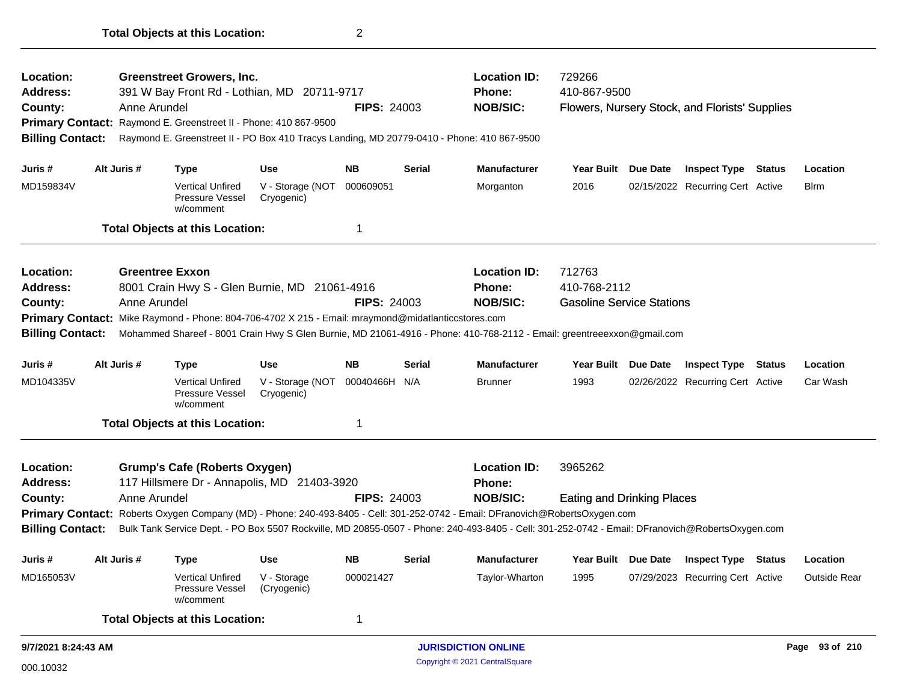| Location:               |                        | <b>Greenstreet Growers, Inc.</b>                                                                   |                                |                    |               | <b>Location ID:</b>                                                                                                                             | 729266                            |                 |                                                |                     |
|-------------------------|------------------------|----------------------------------------------------------------------------------------------------|--------------------------------|--------------------|---------------|-------------------------------------------------------------------------------------------------------------------------------------------------|-----------------------------------|-----------------|------------------------------------------------|---------------------|
| <b>Address:</b>         |                        | 391 W Bay Front Rd - Lothian, MD 20711-9717                                                        |                                |                    |               | Phone:                                                                                                                                          | 410-867-9500                      |                 |                                                |                     |
| County:                 | Anne Arundel           |                                                                                                    |                                | <b>FIPS: 24003</b> |               | <b>NOB/SIC:</b>                                                                                                                                 |                                   |                 | Flowers, Nursery Stock, and Florists' Supplies |                     |
|                         |                        | Primary Contact: Raymond E. Greenstreet II - Phone: 410 867-9500                                   |                                |                    |               |                                                                                                                                                 |                                   |                 |                                                |                     |
| <b>Billing Contact:</b> |                        |                                                                                                    |                                |                    |               | Raymond E. Greenstreet II - PO Box 410 Tracys Landing, MD 20779-0410 - Phone: 410 867-9500                                                      |                                   |                 |                                                |                     |
| Juris #                 | Alt Juris #            | <b>Type</b>                                                                                        | Use                            | NB.                | Serial        | <b>Manufacturer</b>                                                                                                                             | Year Built Due Date               |                 | <b>Inspect Type Status</b>                     | Location            |
| MD159834V               |                        | <b>Vertical Unfired</b><br>Pressure Vessel<br>w/comment                                            | V - Storage (NOT<br>Cryogenic) | 000609051          |               | Morganton                                                                                                                                       | 2016                              |                 | 02/15/2022 Recurring Cert Active               | <b>B</b> irm        |
|                         |                        | <b>Total Objects at this Location:</b>                                                             |                                | 1                  |               |                                                                                                                                                 |                                   |                 |                                                |                     |
| Location:               | <b>Greentree Exxon</b> |                                                                                                    |                                |                    |               | <b>Location ID:</b>                                                                                                                             | 712763                            |                 |                                                |                     |
| <b>Address:</b>         |                        | 8001 Crain Hwy S - Glen Burnie, MD 21061-4916                                                      |                                |                    |               | <b>Phone:</b>                                                                                                                                   | 410-768-2112                      |                 |                                                |                     |
| County:                 | Anne Arundel           |                                                                                                    |                                | <b>FIPS: 24003</b> |               | <b>NOB/SIC:</b>                                                                                                                                 | <b>Gasoline Service Stations</b>  |                 |                                                |                     |
|                         |                        | Primary Contact: Mike Raymond - Phone: 804-706-4702 X 215 - Email: mraymond@midatlanticcstores.com |                                |                    |               |                                                                                                                                                 |                                   |                 |                                                |                     |
| <b>Billing Contact:</b> |                        |                                                                                                    |                                |                    |               | Mohammed Shareef - 8001 Crain Hwy S Glen Burnie, MD 21061-4916 - Phone: 410-768-2112 - Email: greentreeexxon@gmail.com                          |                                   |                 |                                                |                     |
| Juris #                 | Alt Juris #            | <b>Type</b>                                                                                        | Use                            | NB.                | Serial        | <b>Manufacturer</b>                                                                                                                             | <b>Year Built</b>                 | <b>Due Date</b> | <b>Inspect Type Status</b>                     | Location            |
| MD104335V               |                        | Vertical Unfired<br>Pressure Vessel<br>w/comment                                                   | V - Storage (NOT<br>Cryogenic) | 00040466H N/A      |               | <b>Brunner</b>                                                                                                                                  | 1993                              |                 | 02/26/2022 Recurring Cert Active               | Car Wash            |
|                         |                        | <b>Total Objects at this Location:</b>                                                             |                                |                    |               |                                                                                                                                                 |                                   |                 |                                                |                     |
| Location:               |                        | <b>Grump's Cafe (Roberts Oxygen)</b>                                                               |                                |                    |               | <b>Location ID:</b>                                                                                                                             | 3965262                           |                 |                                                |                     |
| <b>Address:</b>         |                        | 117 Hillsmere Dr - Annapolis, MD 21403-3920                                                        |                                |                    |               | <b>Phone:</b>                                                                                                                                   |                                   |                 |                                                |                     |
| County:                 | Anne Arundel           |                                                                                                    |                                | <b>FIPS: 24003</b> |               | <b>NOB/SIC:</b>                                                                                                                                 | <b>Eating and Drinking Places</b> |                 |                                                |                     |
|                         |                        |                                                                                                    |                                |                    |               | Primary Contact: Roberts Oxygen Company (MD) - Phone: 240-493-8405 - Cell: 301-252-0742 - Email: DFranovich@RobertsOxygen.com                   |                                   |                 |                                                |                     |
| <b>Billing Contact:</b> |                        |                                                                                                    |                                |                    |               | Bulk Tank Service Dept. - PO Box 5507 Rockville, MD 20855-0507 - Phone: 240-493-8405 - Cell: 301-252-0742 - Email: DFranovich@RobertsOxygen.com |                                   |                 |                                                |                     |
| Juris #                 | Alt Juris #            | <b>Type</b>                                                                                        | <b>Use</b>                     | <b>NB</b>          | <b>Serial</b> | <b>Manufacturer</b>                                                                                                                             | <b>Year Built</b>                 | <b>Due Date</b> | <b>Inspect Type Status</b>                     | Location            |
| MD165053V               |                        | Vertical Unfired<br>Pressure Vessel<br>w/comment                                                   | V - Storage<br>(Cryogenic)     | 000021427          |               | Taylor-Wharton                                                                                                                                  | 1995                              |                 | 07/29/2023 Recurring Cert Active               | <b>Outside Rear</b> |
|                         |                        | <b>Total Objects at this Location:</b>                                                             |                                | 1                  |               |                                                                                                                                                 |                                   |                 |                                                |                     |
| 9/7/2021 8:24:43 AM     |                        |                                                                                                    |                                |                    |               | <b>JURISDICTION ONLINE</b>                                                                                                                      |                                   |                 |                                                | Page 93 of 210      |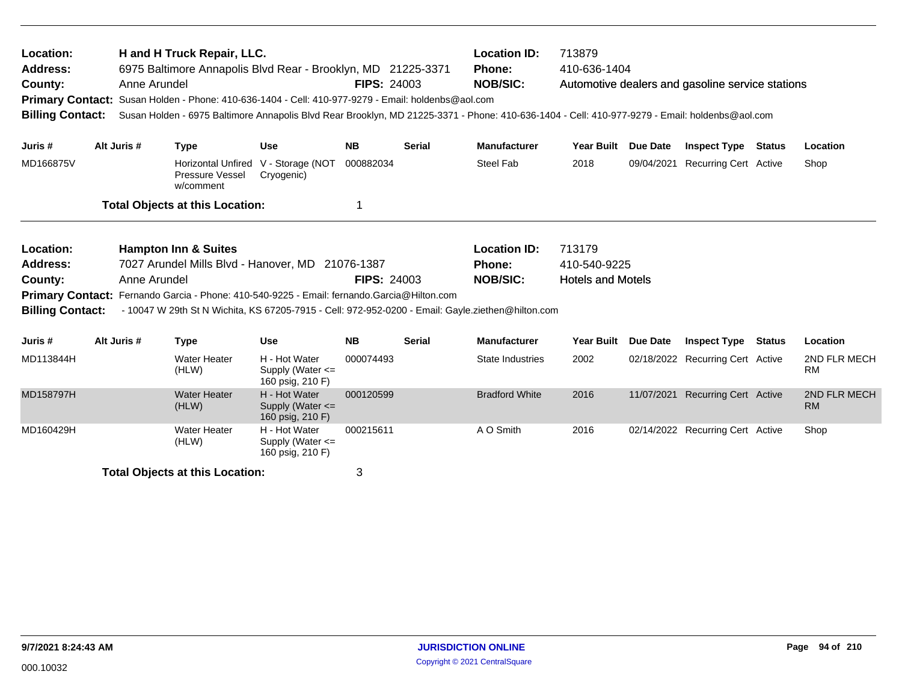| Location:<br><b>Address:</b><br>County:<br><b>Billing Contact:</b>                            | Anne Arundel | H and H Truck Repair, LLC.<br>6975 Baltimore Annapolis Blvd Rear - Brooklyn, MD 21225-3371<br>Primary Contact: Susan Holden - Phone: 410-636-1404 - Cell: 410-977-9279 - Email: holdenbs@aol.com<br>Susan Holden - 6975 Baltimore Annapolis Blvd Rear Brooklyn, MD 21225-3371 - Phone: 410-636-1404 - Cell: 410-977-9279 - Email: holdenbs@aol.com |                                                       | <b>FIPS: 24003</b>                                                                                                                                                                                                                                                                                                                                                        |               | <b>Location ID:</b><br>Phone:<br><b>NOB/SIC:</b> | 713879<br>410-636-1404 |                 | Automotive dealers and gasoline service stations |               |                           |
|-----------------------------------------------------------------------------------------------|--------------|----------------------------------------------------------------------------------------------------------------------------------------------------------------------------------------------------------------------------------------------------------------------------------------------------------------------------------------------------|-------------------------------------------------------|---------------------------------------------------------------------------------------------------------------------------------------------------------------------------------------------------------------------------------------------------------------------------------------------------------------------------------------------------------------------------|---------------|--------------------------------------------------|------------------------|-----------------|--------------------------------------------------|---------------|---------------------------|
| Juris #                                                                                       | Alt Juris #  | <b>Type</b>                                                                                                                                                                                                                                                                                                                                        | <b>Use</b>                                            | <b>NB</b>                                                                                                                                                                                                                                                                                                                                                                 | <b>Serial</b> | <b>Manufacturer</b>                              | Year Built Due Date    |                 | <b>Inspect Type Status</b>                       |               | Location                  |
| MD166875V                                                                                     |              | Pressure Vessel<br>w/comment                                                                                                                                                                                                                                                                                                                       | Horizontal Unfired V - Storage (NOT<br>Cryogenic)     | 000882034                                                                                                                                                                                                                                                                                                                                                                 |               | Steel Fab                                        | 2018                   | 09/04/2021      | <b>Recurring Cert Active</b>                     |               | Shop                      |
|                                                                                               |              | <b>Total Objects at this Location:</b>                                                                                                                                                                                                                                                                                                             |                                                       | 1                                                                                                                                                                                                                                                                                                                                                                         |               |                                                  |                        |                 |                                                  |               |                           |
| Location:<br><b>Address:</b><br>County:<br><b>Primary Contact:</b><br><b>Billing Contact:</b> | Anne Arundel | <b>Hampton Inn &amp; Suites</b>                                                                                                                                                                                                                                                                                                                    |                                                       | <b>Location ID:</b><br>713179<br>7027 Arundel Mills Blvd - Hanover, MD 21076-1387<br>410-540-9225<br><b>Phone:</b><br><b>NOB/SIC:</b><br><b>FIPS: 24003</b><br><b>Hotels and Motels</b><br>Fernando Garcia - Phone: 410-540-9225 - Email: fernando.Garcia@Hilton.com<br>- 10047 W 29th St N Wichita, KS 67205-7915 - Cell: 972-952-0200 - Email: Gayle.ziethen@hilton.com |               |                                                  |                        |                 |                                                  |               |                           |
| Juris #                                                                                       | Alt Juris #  | <b>Type</b>                                                                                                                                                                                                                                                                                                                                        | <b>Use</b>                                            | <b>NB</b>                                                                                                                                                                                                                                                                                                                                                                 | <b>Serial</b> | <b>Manufacturer</b>                              | <b>Year Built</b>      | <b>Due Date</b> | <b>Inspect Type</b>                              | <b>Status</b> | Location                  |
| MD113844H                                                                                     |              | <b>Water Heater</b><br>(HLW)                                                                                                                                                                                                                                                                                                                       | H - Hot Water<br>Supply (Water <=<br>160 psig, 210 F) | 000074493                                                                                                                                                                                                                                                                                                                                                                 |               | State Industries                                 | 2002                   |                 | 02/18/2022 Recurring Cert Active                 |               | 2ND FLR MECH<br><b>RM</b> |
| MD158797H                                                                                     |              | <b>Water Heater</b><br>(HLW)                                                                                                                                                                                                                                                                                                                       | H - Hot Water<br>Supply (Water <=<br>160 psig, 210 F) | 000120599                                                                                                                                                                                                                                                                                                                                                                 |               | <b>Bradford White</b>                            | 2016                   | 11/07/2021      | <b>Recurring Cert Active</b>                     |               | 2ND FLR MECH<br><b>RM</b> |
| MD160429H                                                                                     |              | Water Heater<br>(HLW)                                                                                                                                                                                                                                                                                                                              | H - Hot Water<br>Supply (Water <=<br>160 psig, 210 F) | 000215611                                                                                                                                                                                                                                                                                                                                                                 |               | A O Smith                                        | 2016                   |                 | 02/14/2022 Recurring Cert Active                 |               | Shop                      |
|                                                                                               |              | <b>Total Objects at this Location:</b>                                                                                                                                                                                                                                                                                                             |                                                       | 3                                                                                                                                                                                                                                                                                                                                                                         |               |                                                  |                        |                 |                                                  |               |                           |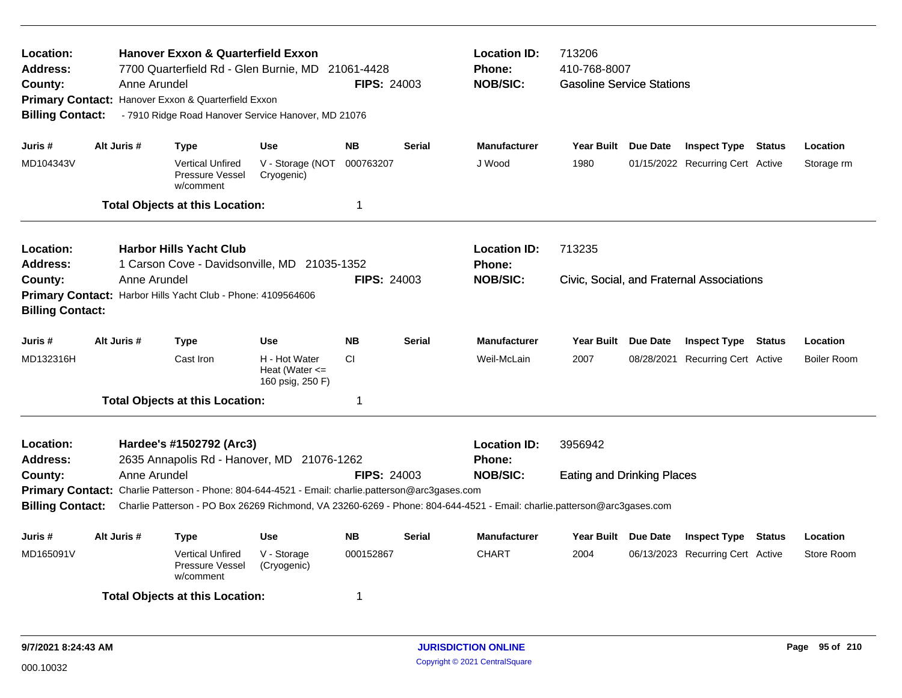| Location:<br>Address:<br>County:<br><b>Billing Contact:</b> |             | <b>Hanover Exxon &amp; Quarterfield Exxon</b><br>7700 Quarterfield Rd - Glen Burnie, MD<br>Anne Arundel<br>Primary Contact: Hanover Exxon & Quarterfield Exxon<br>- 7910 Ridge Road Hanover Service Hanover, MD 21076                        |                                                         | 21061-4428<br><b>FIPS: 24003</b> |               | <b>Location ID:</b><br><b>Phone:</b><br><b>NOB/SIC:</b> | 713206<br>410-768-8007<br><b>Gasoline Service Stations</b> |                                           |                    |
|-------------------------------------------------------------|-------------|----------------------------------------------------------------------------------------------------------------------------------------------------------------------------------------------------------------------------------------------|---------------------------------------------------------|----------------------------------|---------------|---------------------------------------------------------|------------------------------------------------------------|-------------------------------------------|--------------------|
| Juris #                                                     | Alt Juris # | <b>Type</b>                                                                                                                                                                                                                                  | <b>Use</b>                                              | <b>NB</b>                        | <b>Serial</b> | <b>Manufacturer</b>                                     | Year Built Due Date                                        | <b>Inspect Type Status</b>                | Location           |
| MD104343V                                                   |             | <b>Vertical Unfired</b><br>Pressure Vessel<br>w/comment                                                                                                                                                                                      | V - Storage (NOT<br>Cryogenic)                          | 000763207                        |               | J Wood                                                  | 1980                                                       | 01/15/2022 Recurring Cert Active          | Storage rm         |
|                                                             |             | <b>Total Objects at this Location:</b>                                                                                                                                                                                                       |                                                         | 1                                |               |                                                         |                                                            |                                           |                    |
| Location:<br><b>Address:</b>                                |             | <b>Harbor Hills Yacht Club</b><br>1 Carson Cove - Davidsonville, MD 21035-1352                                                                                                                                                               |                                                         |                                  |               | <b>Location ID:</b><br><b>Phone:</b>                    | 713235                                                     |                                           |                    |
| County:<br><b>Billing Contact:</b>                          |             | Anne Arundel<br>Primary Contact: Harbor Hills Yacht Club - Phone: 4109564606                                                                                                                                                                 |                                                         | <b>FIPS: 24003</b>               |               | <b>NOB/SIC:</b>                                         |                                                            | Civic, Social, and Fraternal Associations |                    |
| Juris #                                                     | Alt Juris # | <b>Type</b>                                                                                                                                                                                                                                  | <b>Use</b>                                              | <b>NB</b>                        | <b>Serial</b> | <b>Manufacturer</b>                                     | Year Built Due Date                                        | <b>Inspect Type Status</b>                | Location           |
| MD132316H                                                   |             | Cast Iron                                                                                                                                                                                                                                    | H - Hot Water<br>Heat (Water $\leq$<br>160 psig, 250 F) | <b>CI</b>                        |               | Weil-McLain                                             | 2007                                                       | 08/28/2021 Recurring Cert Active          | <b>Boiler Room</b> |
|                                                             |             | <b>Total Objects at this Location:</b>                                                                                                                                                                                                       |                                                         | 1                                |               |                                                         |                                                            |                                           |                    |
| Location:<br><b>Address:</b>                                |             | Hardee's #1502792 (Arc3)<br>2635 Annapolis Rd - Hanover, MD 21076-1262                                                                                                                                                                       |                                                         |                                  |               | <b>Location ID:</b><br><b>Phone:</b>                    | 3956942                                                    |                                           |                    |
| County:<br><b>Billing Contact:</b>                          |             | Anne Arundel<br>Primary Contact: Charlie Patterson - Phone: 804-644-4521 - Email: charlie.patterson@arc3gases.com<br>Charlie Patterson - PO Box 26269 Richmond, VA 23260-6269 - Phone: 804-644-4521 - Email: charlie.patterson@arc3gases.com |                                                         | <b>FIPS: 24003</b>               |               | <b>NOB/SIC:</b>                                         | <b>Eating and Drinking Places</b>                          |                                           |                    |
| Juris #                                                     | Alt Juris # | <b>Type</b>                                                                                                                                                                                                                                  | <b>Use</b>                                              | <b>NB</b>                        | <b>Serial</b> | <b>Manufacturer</b>                                     | Year Built Due Date                                        | <b>Inspect Type Status</b>                | Location           |
| MD165091V                                                   |             | <b>Vertical Unfired</b><br>Pressure Vessel<br>w/comment                                                                                                                                                                                      | V - Storage<br>(Cryogenic)                              | 000152867                        |               | <b>CHART</b>                                            | 2004                                                       | 06/13/2023 Recurring Cert Active          | Store Room         |
|                                                             |             | <b>Total Objects at this Location:</b>                                                                                                                                                                                                       |                                                         | 1                                |               |                                                         |                                                            |                                           |                    |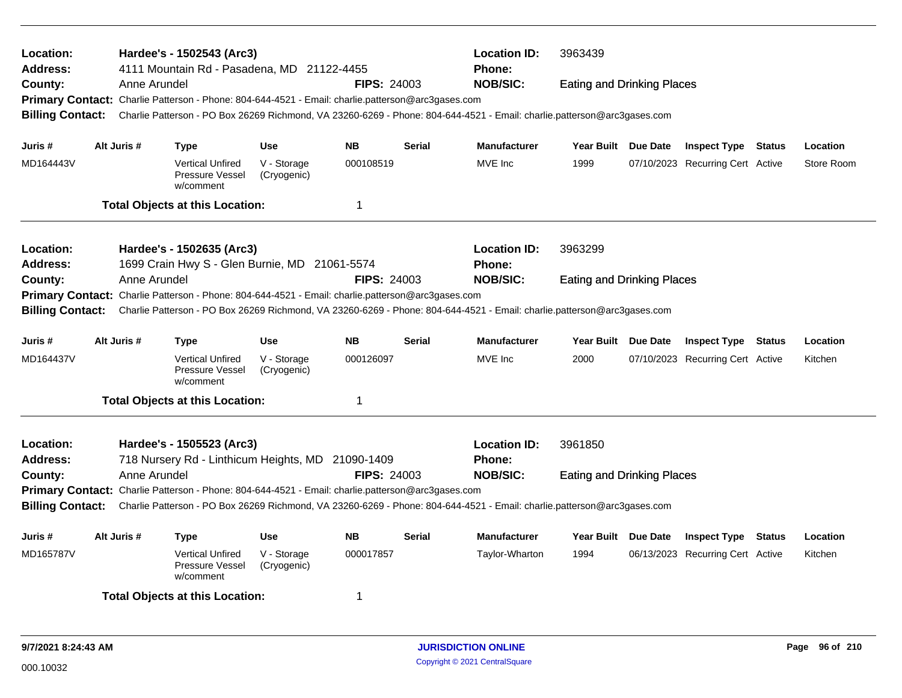| Location:<br><b>Address:</b><br>County:<br><b>Billing Contact:</b>  | Anne Arundel | Hardee's - 1502543 (Arc3)<br>4111 Mountain Rd - Pasadena, MD 21122-4455<br>Primary Contact: Charlie Patterson - Phone: 804-644-4521 - Email: charlie.patterson@arc3gases.com |                            | <b>FIPS: 24003</b> |               | <b>Location ID:</b><br><b>Phone:</b><br><b>NOB/SIC:</b><br>Charlie Patterson - PO Box 26269 Richmond, VA 23260-6269 - Phone: 804-644-4521 - Email: charlie.patterson@arc3gases.com | 3963439<br><b>Eating and Drinking Places</b> |                                  |               |            |
|---------------------------------------------------------------------|--------------|------------------------------------------------------------------------------------------------------------------------------------------------------------------------------|----------------------------|--------------------|---------------|------------------------------------------------------------------------------------------------------------------------------------------------------------------------------------|----------------------------------------------|----------------------------------|---------------|------------|
|                                                                     |              |                                                                                                                                                                              |                            |                    |               |                                                                                                                                                                                    |                                              |                                  |               |            |
| Juris #                                                             | Alt Juris #  | <b>Type</b>                                                                                                                                                                  | <b>Use</b>                 | <b>NB</b>          | <b>Serial</b> | Manufacturer                                                                                                                                                                       | Year Built Due Date                          | <b>Inspect Type Status</b>       |               | Location   |
| MD164443V                                                           |              | <b>Vertical Unfired</b><br>Pressure Vessel<br>w/comment                                                                                                                      | V - Storage<br>(Cryogenic) | 000108519          |               | MVE Inc                                                                                                                                                                            | 1999                                         | 07/10/2023 Recurring Cert Active |               | Store Room |
|                                                                     |              | <b>Total Objects at this Location:</b>                                                                                                                                       |                            | $\mathbf 1$        |               |                                                                                                                                                                                    |                                              |                                  |               |            |
| Location:<br><b>Address:</b>                                        |              | Hardee's - 1502635 (Arc3)<br>1699 Crain Hwy S - Glen Burnie, MD 21061-5574                                                                                                   |                            |                    |               | <b>Location ID:</b><br><b>Phone:</b>                                                                                                                                               | 3963299                                      |                                  |               |            |
| County:<br><b>Billing Contact:</b>                                  | Anne Arundel | Primary Contact: Charlie Patterson - Phone: 804-644-4521 - Email: charlie.patterson@arc3gases.com                                                                            |                            | <b>FIPS: 24003</b> |               | <b>NOB/SIC:</b><br>Charlie Patterson - PO Box 26269 Richmond, VA 23260-6269 - Phone: 804-644-4521 - Email: charlie.patterson@arc3gases.com                                         | <b>Eating and Drinking Places</b>            |                                  |               |            |
| Juris #                                                             | Alt Juris #  | <b>Type</b>                                                                                                                                                                  | Use                        | <b>NB</b>          | <b>Serial</b> | <b>Manufacturer</b>                                                                                                                                                                | Year Built Due Date                          | <b>Inspect Type Status</b>       |               | Location   |
| MD164437V                                                           |              | <b>Vertical Unfired</b><br>Pressure Vessel<br>w/comment                                                                                                                      | V - Storage<br>(Cryogenic) | 000126097          |               | MVE Inc                                                                                                                                                                            | 2000                                         | 07/10/2023 Recurring Cert Active |               | Kitchen    |
|                                                                     |              | <b>Total Objects at this Location:</b>                                                                                                                                       |                            | 1                  |               |                                                                                                                                                                                    |                                              |                                  |               |            |
| Location:<br><b>Address:</b>                                        |              | Hardee's - 1505523 (Arc3)<br>718 Nursery Rd - Linthicum Heights, MD 21090-1409                                                                                               |                            |                    |               | <b>Location ID:</b><br><b>Phone:</b>                                                                                                                                               | 3961850                                      |                                  |               |            |
| County:                                                             | Anne Arundel |                                                                                                                                                                              |                            | <b>FIPS: 24003</b> |               | <b>NOB/SIC:</b>                                                                                                                                                                    | <b>Eating and Drinking Places</b>            |                                  |               |            |
|                                                                     |              | Primary Contact: Charlie Patterson - Phone: 804-644-4521 - Email: charlie.patterson@arc3gases.com                                                                            |                            |                    |               |                                                                                                                                                                                    |                                              |                                  |               |            |
| <b>Billing Contact:</b>                                             |              |                                                                                                                                                                              |                            |                    |               | Charlie Patterson - PO Box 26269 Richmond, VA 23260-6269 - Phone: 804-644-4521 - Email: charlie.patterson@arc3gases.com                                                            |                                              |                                  |               |            |
| Alt Juris #<br><b>Use</b><br><b>NB</b><br>Serial<br>Juris #<br>Type |              |                                                                                                                                                                              |                            |                    |               | <b>Manufacturer</b>                                                                                                                                                                | Year Built Due Date                          | <b>Inspect Type</b>              | <b>Status</b> | Location   |
| MD165787V                                                           |              | <b>Vertical Unfired</b><br>Pressure Vessel<br>w/comment                                                                                                                      | V - Storage<br>(Cryogenic) | 000017857          |               | Taylor-Wharton                                                                                                                                                                     | 1994                                         | 06/13/2023 Recurring Cert Active |               | Kitchen    |
|                                                                     |              | <b>Total Objects at this Location:</b>                                                                                                                                       |                            | -1                 |               |                                                                                                                                                                                    |                                              |                                  |               |            |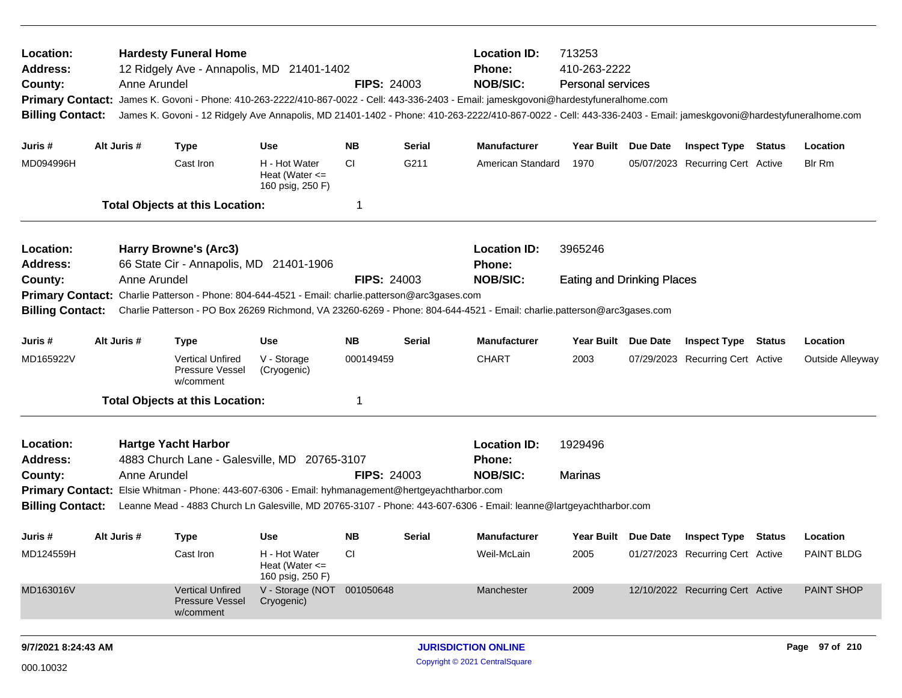| Location:<br><b>Address:</b><br>County:<br><b>Billing Contact:</b> |             | <b>Hardesty Funeral Home</b><br>12 Ridgely Ave - Annapolis, MD 21401-1402<br>Anne Arundel                         |                                                         | <b>FIPS: 24003</b> |                            | <b>Location ID:</b><br><b>Phone:</b><br><b>NOB/SIC:</b><br>Primary Contact: James K. Govoni - Phone: 410-263-2222/410-867-0022 - Cell: 443-336-2403 - Email: jameskgovoni@hardestyfuneralhome.com<br>James K. Govoni - 12 Ridgely Ave Annapolis, MD 21401-1402 - Phone: 410-263-2222/410-867-0022 - Cell: 443-336-2403 - Email: jameskgovoni@hardestyfuneralhome.com | 713253<br>410-263-2222<br><b>Personal services</b> |                 |                                  |                   |
|--------------------------------------------------------------------|-------------|-------------------------------------------------------------------------------------------------------------------|---------------------------------------------------------|--------------------|----------------------------|----------------------------------------------------------------------------------------------------------------------------------------------------------------------------------------------------------------------------------------------------------------------------------------------------------------------------------------------------------------------|----------------------------------------------------|-----------------|----------------------------------|-------------------|
| Juris #                                                            | Alt Juris # | <b>Type</b>                                                                                                       | <b>Use</b>                                              | NΒ                 | <b>Serial</b>              | <b>Manufacturer</b>                                                                                                                                                                                                                                                                                                                                                  | Year Built Due Date                                |                 | <b>Inspect Type Status</b>       | Location          |
| MD094996H                                                          |             | Cast Iron                                                                                                         | H - Hot Water<br>Heat (Water $\leq$<br>160 psig, 250 F) | <b>CI</b>          | G211                       | American Standard                                                                                                                                                                                                                                                                                                                                                    | 1970                                               |                 | 05/07/2023 Recurring Cert Active | <b>Blr Rm</b>     |
|                                                                    |             | <b>Total Objects at this Location:</b>                                                                            |                                                         | 1                  |                            |                                                                                                                                                                                                                                                                                                                                                                      |                                                    |                 |                                  |                   |
| Location:<br><b>Address:</b>                                       |             | Harry Browne's (Arc3)<br>66 State Cir - Annapolis, MD 21401-1906                                                  |                                                         |                    |                            | <b>Location ID:</b><br><b>Phone:</b>                                                                                                                                                                                                                                                                                                                                 | 3965246                                            |                 |                                  |                   |
| County:                                                            |             | Anne Arundel                                                                                                      |                                                         | <b>FIPS: 24003</b> |                            | <b>NOB/SIC:</b>                                                                                                                                                                                                                                                                                                                                                      | <b>Eating and Drinking Places</b>                  |                 |                                  |                   |
| <b>Billing Contact:</b>                                            |             | Primary Contact: Charlie Patterson - Phone: 804-644-4521 - Email: charlie.patterson@arc3gases.com                 |                                                         |                    |                            | Charlie Patterson - PO Box 26269 Richmond, VA 23260-6269 - Phone: 804-644-4521 - Email: charlie.patterson@arc3gases.com                                                                                                                                                                                                                                              |                                                    |                 |                                  |                   |
| Juris #                                                            | Alt Juris # | <b>Type</b>                                                                                                       | <b>Use</b>                                              | <b>NB</b>          | Serial                     | <b>Manufacturer</b>                                                                                                                                                                                                                                                                                                                                                  | <b>Year Built</b>                                  | <b>Due Date</b> | <b>Inspect Type Status</b>       | Location          |
| MD165922V                                                          |             | <b>Vertical Unfired</b><br>Pressure Vessel<br>w/comment                                                           | V - Storage<br>(Cryogenic)                              | 000149459          |                            | <b>CHART</b>                                                                                                                                                                                                                                                                                                                                                         | 2003                                               |                 | 07/29/2023 Recurring Cert Active | Outside Alleyway  |
|                                                                    |             | <b>Total Objects at this Location:</b>                                                                            |                                                         | 1                  |                            |                                                                                                                                                                                                                                                                                                                                                                      |                                                    |                 |                                  |                   |
| Location:<br><b>Address:</b>                                       |             | <b>Hartge Yacht Harbor</b><br>4883 Church Lane - Galesville, MD 20765-3107                                        |                                                         |                    |                            | <b>Location ID:</b><br>Phone:                                                                                                                                                                                                                                                                                                                                        | 1929496                                            |                 |                                  |                   |
| County:<br><b>Billing Contact:</b>                                 |             | Anne Arundel<br>Primary Contact: Elsie Whitman - Phone: 443-607-6306 - Email: hyhmanagement@hertgeyachtharbor.com |                                                         | <b>FIPS: 24003</b> |                            | <b>NOB/SIC:</b><br>Leanne Mead - 4883 Church Ln Galesville, MD 20765-3107 - Phone: 443-607-6306 - Email: leanne@lartgeyachtharbor.com                                                                                                                                                                                                                                | Marinas                                            |                 |                                  |                   |
| Juris #                                                            | Alt Juris # | <b>Type</b>                                                                                                       | <b>Use</b>                                              | <b>NB</b>          | Serial                     | <b>Manufacturer</b>                                                                                                                                                                                                                                                                                                                                                  | Year Built Due Date                                |                 | <b>Inspect Type Status</b>       | Location          |
| MD124559H                                                          |             | Cast Iron                                                                                                         | H - Hot Water<br>Heat (Water $\leq$<br>160 psig, 250 F) | CI.                |                            | Weil-McLain                                                                                                                                                                                                                                                                                                                                                          | 2005                                               |                 | 01/27/2023 Recurring Cert Active | <b>PAINT BLDG</b> |
| MD163016V                                                          |             | <b>Vertical Unfired</b><br><b>Pressure Vessel</b><br>w/comment                                                    | V - Storage (NOT 001050648<br>Cryogenic)                |                    |                            | Manchester                                                                                                                                                                                                                                                                                                                                                           | 2009                                               |                 | 12/10/2022 Recurring Cert Active | <b>PAINT SHOP</b> |
| 9/7/2021 8:24:43 AM                                                |             |                                                                                                                   |                                                         |                    | <b>JURISDICTION ONLINE</b> |                                                                                                                                                                                                                                                                                                                                                                      |                                                    |                 | Page 97 of 210                   |                   |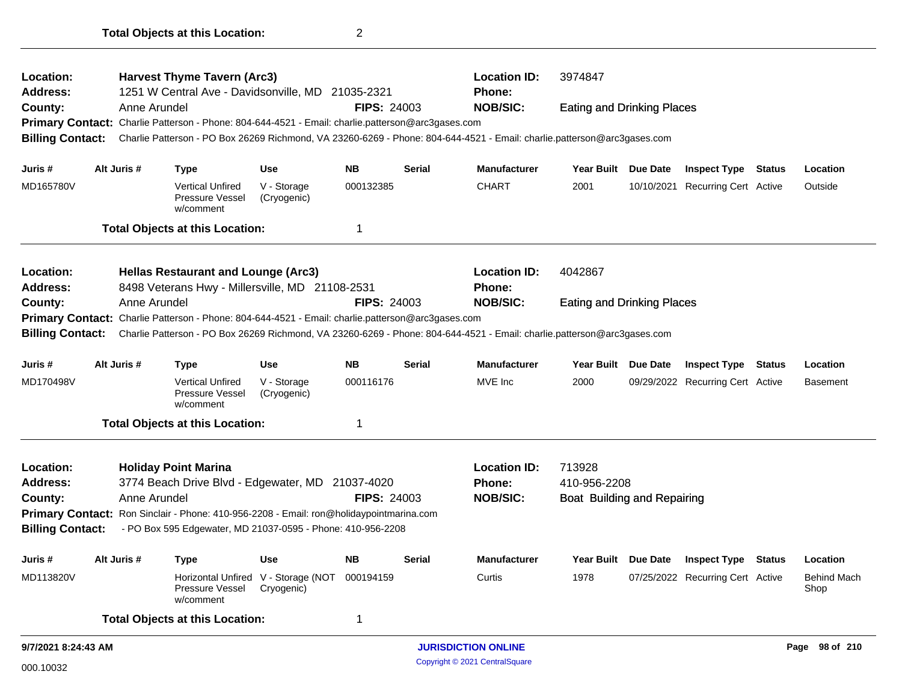| Location:<br><b>Address:</b> |  |              | <b>Harvest Thyme Tavern (Arc3)</b><br>1251 W Central Ave - Davidsonville, MD 21035-2321           |                                                   |                    |               | <b>Location ID:</b><br><b>Phone:</b>                                                                                    | 3974847                           |            |                                  |               |                            |
|------------------------------|--|--------------|---------------------------------------------------------------------------------------------------|---------------------------------------------------|--------------------|---------------|-------------------------------------------------------------------------------------------------------------------------|-----------------------------------|------------|----------------------------------|---------------|----------------------------|
| County:                      |  | Anne Arundel |                                                                                                   |                                                   | <b>FIPS: 24003</b> |               | <b>NOB/SIC:</b>                                                                                                         | <b>Eating and Drinking Places</b> |            |                                  |               |                            |
|                              |  |              | Primary Contact: Charlie Patterson - Phone: 804-644-4521 - Email: charlie.patterson@arc3gases.com |                                                   |                    |               |                                                                                                                         |                                   |            |                                  |               |                            |
| <b>Billing Contact:</b>      |  |              |                                                                                                   |                                                   |                    |               | Charlie Patterson - PO Box 26269 Richmond, VA 23260-6269 - Phone: 804-644-4521 - Email: charlie.patterson@arc3gases.com |                                   |            |                                  |               |                            |
| Juris #                      |  | Alt Juris #  | <b>Type</b>                                                                                       | <b>Use</b>                                        | <b>NB</b>          | <b>Serial</b> | <b>Manufacturer</b>                                                                                                     | Year Built Due Date               |            | <b>Inspect Type Status</b>       |               | Location                   |
| MD165780V                    |  |              | <b>Vertical Unfired</b><br>Pressure Vessel<br>w/comment                                           | V - Storage<br>(Cryogenic)                        | 000132385          |               | <b>CHART</b>                                                                                                            | 2001                              | 10/10/2021 | <b>Recurring Cert Active</b>     |               | Outside                    |
|                              |  |              | <b>Total Objects at this Location:</b>                                                            |                                                   | 1                  |               |                                                                                                                         |                                   |            |                                  |               |                            |
| Location:                    |  |              | <b>Hellas Restaurant and Lounge (Arc3)</b>                                                        |                                                   |                    |               | <b>Location ID:</b>                                                                                                     | 4042867                           |            |                                  |               |                            |
| <b>Address:</b>              |  |              | 8498 Veterans Hwy - Millersville, MD 21108-2531                                                   |                                                   |                    |               | Phone:                                                                                                                  |                                   |            |                                  |               |                            |
| County:                      |  | Anne Arundel |                                                                                                   |                                                   | <b>FIPS: 24003</b> |               | <b>NOB/SIC:</b>                                                                                                         | <b>Eating and Drinking Places</b> |            |                                  |               |                            |
|                              |  |              | Primary Contact: Charlie Patterson - Phone: 804-644-4521 - Email: charlie.patterson@arc3gases.com |                                                   |                    |               |                                                                                                                         |                                   |            |                                  |               |                            |
| <b>Billing Contact:</b>      |  |              |                                                                                                   |                                                   |                    |               | Charlie Patterson - PO Box 26269 Richmond, VA 23260-6269 - Phone: 804-644-4521 - Email: charlie.patterson@arc3gases.com |                                   |            |                                  |               |                            |
| Juris #                      |  | Alt Juris #  | <b>Type</b>                                                                                       | <b>Use</b>                                        | <b>NB</b>          | <b>Serial</b> | <b>Manufacturer</b>                                                                                                     | <b>Year Built</b>                 | Due Date   | <b>Inspect Type</b>              | <b>Status</b> | Location                   |
| MD170498V                    |  |              | <b>Vertical Unfired</b><br>Pressure Vessel<br>w/comment                                           | V - Storage<br>(Cryogenic)                        | 000116176          |               | MVE Inc                                                                                                                 | 2000                              |            | 09/29/2022 Recurring Cert Active |               | <b>Basement</b>            |
|                              |  |              | <b>Total Objects at this Location:</b>                                                            |                                                   | 1                  |               |                                                                                                                         |                                   |            |                                  |               |                            |
| Location:                    |  |              | <b>Holiday Point Marina</b>                                                                       |                                                   |                    |               | <b>Location ID:</b>                                                                                                     | 713928                            |            |                                  |               |                            |
| <b>Address:</b>              |  |              | 3774 Beach Drive Blvd - Edgewater, MD 21037-4020                                                  |                                                   |                    |               | <b>Phone:</b>                                                                                                           | 410-956-2208                      |            |                                  |               |                            |
| County:                      |  | Anne Arundel |                                                                                                   |                                                   | <b>FIPS: 24003</b> |               | <b>NOB/SIC:</b>                                                                                                         | Boat Building and Repairing       |            |                                  |               |                            |
|                              |  |              | Primary Contact: Ron Sinclair - Phone: 410-956-2208 - Email: ron@holidaypointmarina.com           |                                                   |                    |               |                                                                                                                         |                                   |            |                                  |               |                            |
| <b>Billing Contact:</b>      |  |              | - PO Box 595 Edgewater, MD 21037-0595 - Phone: 410-956-2208                                       |                                                   |                    |               |                                                                                                                         |                                   |            |                                  |               |                            |
| Juris #                      |  | Alt Juris #  | Type                                                                                              | <b>Use</b>                                        | <b>NB</b>          | Serial        | <b>Manufacturer</b>                                                                                                     | Year Built Due Date               |            | <b>Inspect Type Status</b>       |               | Location                   |
| MD113820V                    |  |              | Pressure Vessel<br>w/comment                                                                      | Horizontal Unfired V - Storage (NOT<br>Cryogenic) | 000194159          |               | Curtis                                                                                                                  | 1978                              |            | 07/25/2022 Recurring Cert Active |               | <b>Behind Mach</b><br>Shop |
|                              |  |              | <b>Total Objects at this Location:</b>                                                            |                                                   | 1                  |               |                                                                                                                         |                                   |            |                                  |               |                            |
| 9/7/2021 8:24:43 AM          |  |              |                                                                                                   |                                                   |                    |               | <b>JURISDICTION ONLINE</b>                                                                                              |                                   |            |                                  |               | Page 98 of 210             |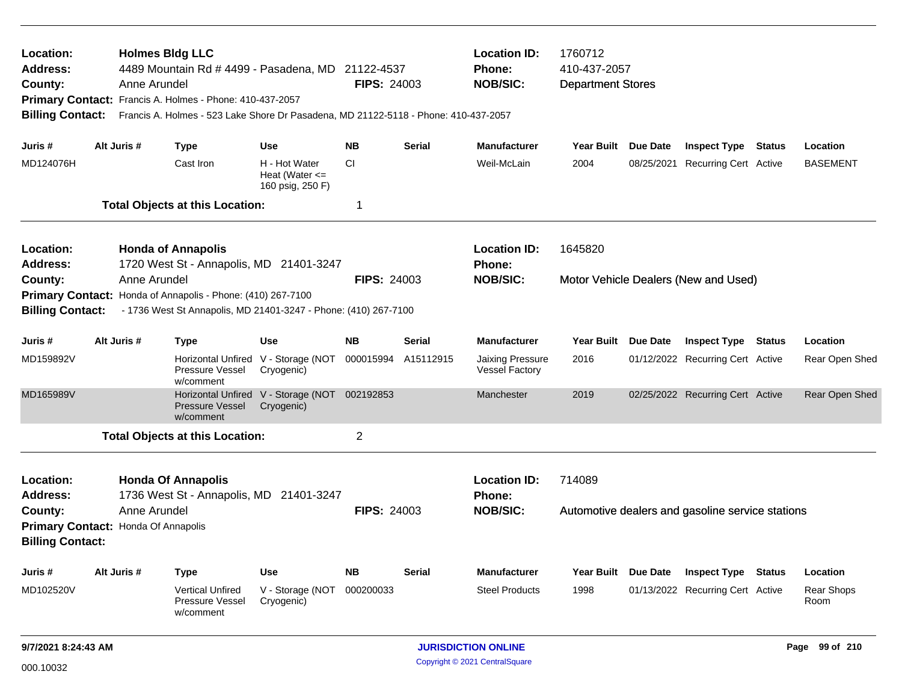| Location:<br><b>Address:</b><br>County:<br><b>Billing Contact:</b>        |                                                                                            | <b>Holmes Bldg LLC</b><br>Anne Arundel | 4489 Mountain Rd # 4499 - Pasadena, MD 21122-4537<br>Primary Contact: Francis A. Holmes - Phone: 410-437-2057<br>Francis A. Holmes - 523 Lake Shore Dr Pasadena, MD 21122-5118 - Phone: 410-437-2057 |                                                             | <b>FIPS: 24003</b> |               | <b>Location ID:</b><br><b>Phone:</b><br><b>NOB/SIC:</b> | 1760712<br>410-437-2057<br><b>Department Stores</b> |                 |                                                  |               |                    |
|---------------------------------------------------------------------------|--------------------------------------------------------------------------------------------|----------------------------------------|------------------------------------------------------------------------------------------------------------------------------------------------------------------------------------------------------|-------------------------------------------------------------|--------------------|---------------|---------------------------------------------------------|-----------------------------------------------------|-----------------|--------------------------------------------------|---------------|--------------------|
| Juris #                                                                   |                                                                                            | Alt Juris #                            | <b>Type</b>                                                                                                                                                                                          | <b>Use</b>                                                  | <b>NB</b>          | <b>Serial</b> | <b>Manufacturer</b>                                     | Year Built Due Date                                 |                 | <b>Inspect Type Status</b>                       |               | Location           |
| MD124076H                                                                 |                                                                                            |                                        | Cast Iron                                                                                                                                                                                            | H - Hot Water<br>Heat (Water $\leq$<br>160 psig, 250 F)     | <b>CI</b>          |               | Weil-McLain                                             | 2004                                                | 08/25/2021      | <b>Recurring Cert Active</b>                     |               | <b>BASEMENT</b>    |
|                                                                           |                                                                                            |                                        | <b>Total Objects at this Location:</b>                                                                                                                                                               |                                                             | 1                  |               |                                                         |                                                     |                 |                                                  |               |                    |
| Location:<br><b>Address:</b>                                              |                                                                                            |                                        | <b>Honda of Annapolis</b><br>1720 West St - Annapolis, MD 21401-3247                                                                                                                                 |                                                             |                    |               | <b>Location ID:</b><br>Phone:                           | 1645820                                             |                 |                                                  |               |                    |
| County:                                                                   |                                                                                            | Anne Arundel                           |                                                                                                                                                                                                      |                                                             | <b>FIPS: 24003</b> |               | <b>NOB/SIC:</b>                                         |                                                     |                 | Motor Vehicle Dealers (New and Used)             |               |                    |
|                                                                           | Primary Contact: Honda of Annapolis - Phone: (410) 267-7100                                |                                        |                                                                                                                                                                                                      |                                                             |                    |               |                                                         |                                                     |                 |                                                  |               |                    |
|                                                                           | - 1736 West St Annapolis, MD 21401-3247 - Phone: (410) 267-7100<br><b>Billing Contact:</b> |                                        |                                                                                                                                                                                                      |                                                             |                    |               |                                                         |                                                     |                 |                                                  |               |                    |
| Juris #                                                                   |                                                                                            | Alt Juris #                            | <b>Type</b>                                                                                                                                                                                          | <b>Use</b>                                                  | <b>NB</b>          | <b>Serial</b> | <b>Manufacturer</b>                                     | <b>Year Built</b>                                   | <b>Due Date</b> | <b>Inspect Type</b>                              | <b>Status</b> | Location           |
| MD159892V                                                                 |                                                                                            |                                        | Pressure Vessel<br>w/comment                                                                                                                                                                         | Horizontal Unfired V - Storage (NOT<br>Cryogenic)           | 000015994          | A15112915     | <b>Jaixing Pressure</b><br><b>Vessel Factory</b>        | 2016                                                |                 | 01/12/2022 Recurring Cert Active                 |               | Rear Open Shed     |
| MD165989V                                                                 |                                                                                            |                                        | Pressure Vessel<br>w/comment                                                                                                                                                                         | Horizontal Unfired V - Storage (NOT 002192853<br>Cryogenic) |                    |               | Manchester                                              | 2019                                                |                 | 02/25/2022 Recurring Cert Active                 |               | Rear Open Shed     |
|                                                                           |                                                                                            |                                        | <b>Total Objects at this Location:</b>                                                                                                                                                               |                                                             | 2                  |               |                                                         |                                                     |                 |                                                  |               |                    |
| Location:<br><b>Address:</b>                                              |                                                                                            |                                        | <b>Honda Of Annapolis</b><br>1736 West St - Annapolis, MD 21401-3247                                                                                                                                 |                                                             |                    |               | <b>Location ID:</b><br>Phone:                           | 714089                                              |                 |                                                  |               |                    |
| County:<br>Primary Contact: Honda Of Annapolis<br><b>Billing Contact:</b> |                                                                                            | Anne Arundel                           |                                                                                                                                                                                                      |                                                             | <b>FIPS: 24003</b> |               | <b>NOB/SIC:</b>                                         |                                                     |                 | Automotive dealers and gasoline service stations |               |                    |
| Juris #                                                                   |                                                                                            | Alt Juris #                            | <b>Type</b>                                                                                                                                                                                          | <b>Use</b>                                                  | <b>NB</b>          | <b>Serial</b> | <b>Manufacturer</b>                                     | Year Built Due Date                                 |                 | <b>Inspect Type</b>                              | <b>Status</b> | Location           |
| MD102520V                                                                 |                                                                                            |                                        | <b>Vertical Unfired</b><br>Pressure Vessel<br>w/comment                                                                                                                                              | V - Storage (NOT<br>Cryogenic)                              | 000200033          |               | <b>Steel Products</b>                                   | 1998                                                |                 | 01/13/2022 Recurring Cert Active                 |               | Rear Shops<br>Room |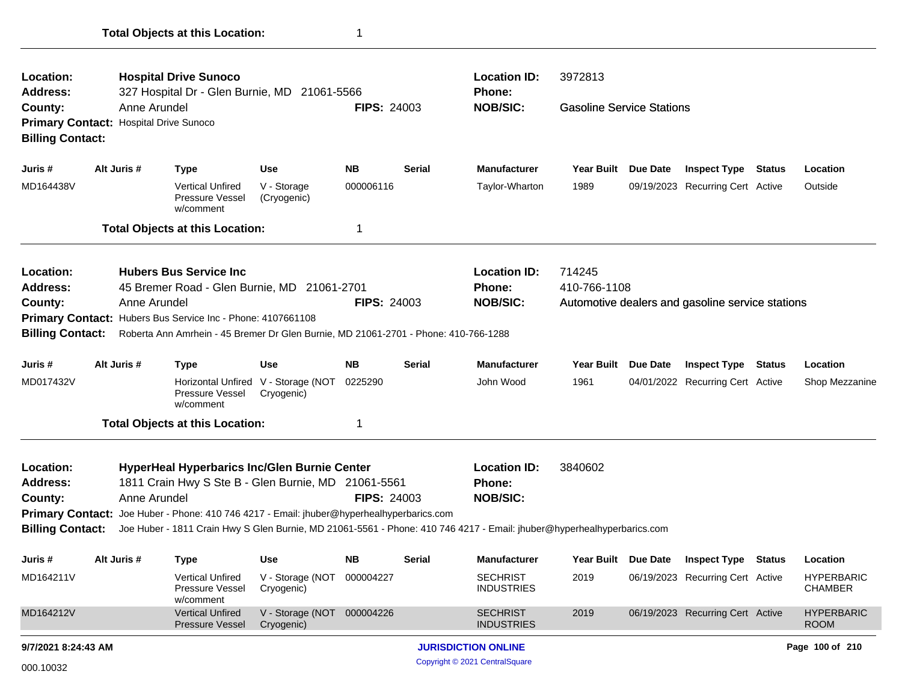| Location:<br><b>Address:</b>                                                                  |              | <b>Hospital Drive Sunoco</b><br>327 Hospital Dr - Glen Burnie, MD 21061-5566                                                                                                                                       |                                          |                    |                                                                                                                                                                                   | <b>Location ID:</b><br><b>Phone:</b>                    | 3972813                          |          |                                                  |        |                                     |
|-----------------------------------------------------------------------------------------------|--------------|--------------------------------------------------------------------------------------------------------------------------------------------------------------------------------------------------------------------|------------------------------------------|--------------------|-----------------------------------------------------------------------------------------------------------------------------------------------------------------------------------|---------------------------------------------------------|----------------------------------|----------|--------------------------------------------------|--------|-------------------------------------|
| County:<br><b>Primary Contact:</b><br><b>Billing Contact:</b>                                 | Anne Arundel | <b>Hospital Drive Sunoco</b>                                                                                                                                                                                       |                                          | <b>FIPS: 24003</b> |                                                                                                                                                                                   | <b>NOB/SIC:</b>                                         | <b>Gasoline Service Stations</b> |          |                                                  |        |                                     |
| Juris #                                                                                       | Alt Juris #  | <b>Type</b>                                                                                                                                                                                                        | Use                                      | NB.                | Serial                                                                                                                                                                            | <b>Manufacturer</b>                                     | <b>Year Built</b>                | Due Date | <b>Inspect Type</b>                              | Status | Location                            |
| MD164438V                                                                                     |              | <b>Vertical Unfired</b><br>Pressure Vessel<br>w/comment                                                                                                                                                            | V - Storage<br>(Cryogenic)               | 000006116          |                                                                                                                                                                                   | Taylor-Wharton                                          | 1989                             |          | 09/19/2023 Recurring Cert Active                 |        | Outside                             |
|                                                                                               |              | <b>Total Objects at this Location:</b>                                                                                                                                                                             |                                          | 1                  |                                                                                                                                                                                   |                                                         |                                  |          |                                                  |        |                                     |
| Location:<br><b>Address:</b><br>County:<br><b>Primary Contact:</b><br><b>Billing Contact:</b> | Anne Arundel | <b>Hubers Bus Service Inc.</b><br>45 Bremer Road - Glen Burnie, MD 21061-2701<br>Hubers Bus Service Inc - Phone: 4107661108<br>Roberta Ann Amrhein - 45 Bremer Dr Glen Burnie, MD 21061-2701 - Phone: 410-766-1288 |                                          | <b>FIPS: 24003</b> |                                                                                                                                                                                   | <b>Location ID:</b><br><b>Phone:</b><br><b>NOB/SIC:</b> | 714245<br>410-766-1108           |          | Automotive dealers and gasoline service stations |        |                                     |
| Juris #                                                                                       | Alt Juris #  | <b>Type</b>                                                                                                                                                                                                        | <b>Use</b>                               | <b>NB</b>          | <b>Serial</b>                                                                                                                                                                     | <b>Manufacturer</b>                                     | <b>Year Built</b>                | Due Date | <b>Inspect Type</b>                              | Status | Location                            |
| MD017432V                                                                                     |              | Horizontal Unfired<br>Pressure Vessel<br>w/comment                                                                                                                                                                 | V - Storage (NOT<br>Cryogenic)           | 0225290            |                                                                                                                                                                                   | John Wood                                               | 1961                             |          | 04/01/2022 Recurring Cert Active                 |        | Shop Mezzanine                      |
|                                                                                               |              | <b>Total Objects at this Location:</b>                                                                                                                                                                             |                                          | 1                  |                                                                                                                                                                                   |                                                         |                                  |          |                                                  |        |                                     |
| Location:<br><b>Address:</b><br>County:<br><b>Billing Contact:</b>                            | Anne Arundel | HyperHeal Hyperbarics Inc/Glen Burnie Center<br>1811 Crain Hwy S Ste B - Glen Burnie, MD 21061-5561<br>Primary Contact: Joe Huber - Phone: 410 746 4217 - Email: jhuber@hyperhealhyperbarics.com                   |                                          | <b>FIPS: 24003</b> | <b>Location ID:</b><br><b>Phone:</b><br><b>NOB/SIC:</b><br>Joe Huber - 1811 Crain Hwy S Glen Burnie, MD 21061-5561 - Phone: 410 746 4217 - Email: jhuber@hyperhealhyperbarics.com | 3840602                                                 |                                  |          |                                                  |        |                                     |
| Juris #                                                                                       | Alt Juris #  | <b>Type</b>                                                                                                                                                                                                        | <b>Use</b>                               | NΒ                 | Serial                                                                                                                                                                            | <b>Manufacturer</b>                                     | Year Built Due Date              |          | <b>Inspect Type</b>                              | Status | Location                            |
| MD164211V                                                                                     |              | <b>Vertical Unfired</b><br>Pressure Vessel<br>w/comment                                                                                                                                                            | V - Storage (NOT 000004227<br>Cryogenic) |                    |                                                                                                                                                                                   | <b>SECHRIST</b><br><b>INDUSTRIES</b>                    | 2019                             |          | 06/19/2023 Recurring Cert Active                 |        | <b>HYPERBARIC</b><br><b>CHAMBER</b> |
| MD164212V                                                                                     |              | <b>Vertical Unfired</b><br>Pressure Vessel                                                                                                                                                                         | V - Storage (NOT 000004226<br>Cryogenic) |                    |                                                                                                                                                                                   | <b>SECHRIST</b><br><b>INDUSTRIES</b>                    | 2019                             |          | 06/19/2023 Recurring Cert Active                 |        | <b>HYPERBARIC</b><br><b>ROOM</b>    |
| 9/7/2021 8:24:43 AM                                                                           |              |                                                                                                                                                                                                                    |                                          |                    |                                                                                                                                                                                   | <b>JURISDICTION ONLINE</b>                              |                                  |          |                                                  |        | Page 100 of 210                     |
| 000.10032                                                                                     |              |                                                                                                                                                                                                                    |                                          |                    |                                                                                                                                                                                   | Copyright © 2021 CentralSquare                          |                                  |          |                                                  |        |                                     |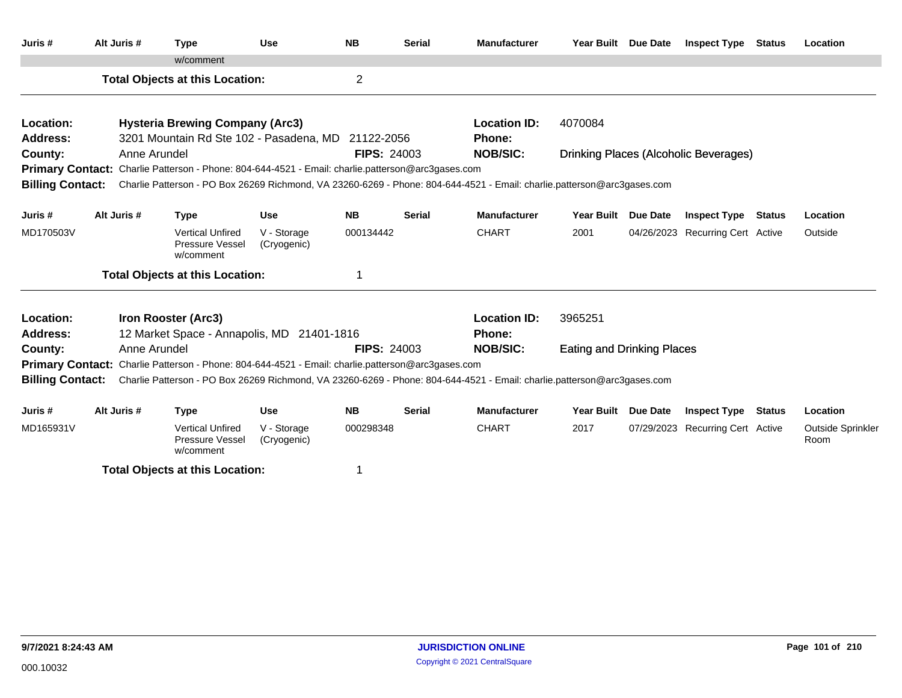| Juris #                 | Alt Juris #  | <b>Type</b>                                                                                       | <b>Use</b>                 | <b>NB</b>      | <b>Serial</b>      | <b>Manufacturer</b>                                                                                                     |                                   | Year Built Due Date | <b>Inspect Type Status</b>                   |               | Location                  |
|-------------------------|--------------|---------------------------------------------------------------------------------------------------|----------------------------|----------------|--------------------|-------------------------------------------------------------------------------------------------------------------------|-----------------------------------|---------------------|----------------------------------------------|---------------|---------------------------|
|                         |              | w/comment                                                                                         |                            |                |                    |                                                                                                                         |                                   |                     |                                              |               |                           |
|                         |              | <b>Total Objects at this Location:</b>                                                            |                            | $\overline{c}$ |                    |                                                                                                                         |                                   |                     |                                              |               |                           |
| Location:               |              | <b>Hysteria Brewing Company (Arc3)</b>                                                            |                            |                |                    | <b>Location ID:</b>                                                                                                     | 4070084                           |                     |                                              |               |                           |
| <b>Address:</b>         |              | 3201 Mountain Rd Ste 102 - Pasadena, MD 21122-2056                                                |                            |                |                    | Phone:                                                                                                                  |                                   |                     |                                              |               |                           |
| County:                 | Anne Arundel |                                                                                                   |                            |                | <b>FIPS: 24003</b> | <b>NOB/SIC:</b>                                                                                                         |                                   |                     | <b>Drinking Places (Alcoholic Beverages)</b> |               |                           |
|                         |              | Primary Contact: Charlie Patterson - Phone: 804-644-4521 - Email: charlie.patterson@arc3gases.com |                            |                |                    |                                                                                                                         |                                   |                     |                                              |               |                           |
| <b>Billing Contact:</b> |              |                                                                                                   |                            |                |                    | Charlie Patterson - PO Box 26269 Richmond, VA 23260-6269 - Phone: 804-644-4521 - Email: charlie.patterson@arc3gases.com |                                   |                     |                                              |               |                           |
| Juris #                 | Alt Juris #  | <b>Type</b>                                                                                       | <b>Use</b>                 | <b>NB</b>      | <b>Serial</b>      | <b>Manufacturer</b>                                                                                                     |                                   | Year Built Due Date | Inspect Type                                 | Status        | Location                  |
| MD170503V               |              | <b>Vertical Unfired</b><br>Pressure Vessel<br>w/comment                                           | V - Storage<br>(Cryogenic) | 000134442      |                    | <b>CHART</b>                                                                                                            | 2001                              |                     | 04/26/2023 Recurring Cert Active             |               | Outside                   |
|                         |              | <b>Total Objects at this Location:</b>                                                            |                            |                |                    |                                                                                                                         |                                   |                     |                                              |               |                           |
| Location:               |              | Iron Rooster (Arc3)                                                                               |                            |                |                    | <b>Location ID:</b>                                                                                                     | 3965251                           |                     |                                              |               |                           |
| Address:                |              | 12 Market Space - Annapolis, MD 21401-1816                                                        |                            |                |                    | <b>Phone:</b>                                                                                                           |                                   |                     |                                              |               |                           |
| County:                 | Anne Arundel |                                                                                                   |                            |                | <b>FIPS: 24003</b> | <b>NOB/SIC:</b>                                                                                                         | <b>Eating and Drinking Places</b> |                     |                                              |               |                           |
|                         |              | Primary Contact: Charlie Patterson - Phone: 804-644-4521 - Email: charlie.patterson@arc3gases.com |                            |                |                    |                                                                                                                         |                                   |                     |                                              |               |                           |
| <b>Billing Contact:</b> |              |                                                                                                   |                            |                |                    | Charlie Patterson - PO Box 26269 Richmond, VA 23260-6269 - Phone: 804-644-4521 - Email: charlie.patterson@arc3gases.com |                                   |                     |                                              |               |                           |
| Juris #                 | Alt Juris #  | <b>Type</b>                                                                                       | <b>Use</b>                 | <b>NB</b>      | <b>Serial</b>      | <b>Manufacturer</b>                                                                                                     | <b>Year Built</b>                 | <b>Due Date</b>     | <b>Inspect Type</b>                          | <b>Status</b> | Location                  |
| MD165931V               |              | <b>Vertical Unfired</b><br>Pressure Vessel<br>w/comment                                           | V - Storage<br>(Cryogenic) | 000298348      |                    | <b>CHART</b>                                                                                                            | 2017                              |                     | 07/29/2023 Recurring Cert Active             |               | Outside Sprinkler<br>Room |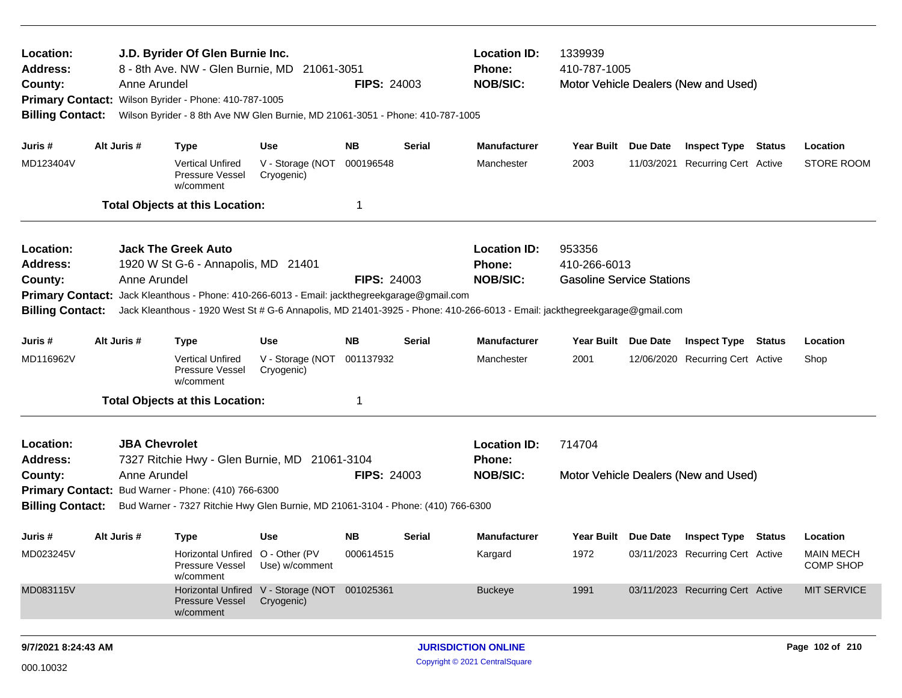| Location:<br><b>Address:</b><br>County: |             | J.D. Byrider Of Glen Burnie Inc.<br>8 - 8th Ave. NW - Glen Burnie, MD 21061-3051<br>Anne Arundel<br>Primary Contact: Wilson Byrider - Phone: 410-787-1005 |                                                             | <b>FIPS: 24003</b> |               | <b>Location ID:</b><br>Phone:<br><b>NOB/SIC:</b> | 1339939<br>410-787-1005          | Motor Vehicle Dealers (New and Used)    |                                      |
|-----------------------------------------|-------------|-----------------------------------------------------------------------------------------------------------------------------------------------------------|-------------------------------------------------------------|--------------------|---------------|--------------------------------------------------|----------------------------------|-----------------------------------------|--------------------------------------|
| <b>Billing Contact:</b>                 |             | Wilson Byrider - 8 8th Ave NW Glen Burnie, MD 21061-3051 - Phone: 410-787-1005                                                                            |                                                             |                    |               |                                                  |                                  |                                         |                                      |
| Juris #                                 | Alt Juris # | <b>Type</b>                                                                                                                                               | <b>Use</b>                                                  | NB.                | Serial        | <b>Manufacturer</b>                              | Year Built Due Date              | <b>Inspect Type Status</b>              | Location                             |
| MD123404V                               |             | <b>Vertical Unfired</b><br>Pressure Vessel<br>w/comment                                                                                                   | V - Storage (NOT<br>Cryogenic)                              | 000196548          |               | Manchester                                       | 2003                             | 11/03/2021 Recurring Cert Active        | <b>STORE ROOM</b>                    |
|                                         |             | <b>Total Objects at this Location:</b>                                                                                                                    |                                                             | -1                 |               |                                                  |                                  |                                         |                                      |
| Location:                               |             | <b>Jack The Greek Auto</b>                                                                                                                                |                                                             |                    |               | <b>Location ID:</b>                              | 953356                           |                                         |                                      |
| <b>Address:</b>                         |             | 1920 W St G-6 - Annapolis, MD 21401                                                                                                                       |                                                             |                    |               | Phone:                                           | 410-266-6013                     |                                         |                                      |
| County:                                 |             | Anne Arundel                                                                                                                                              |                                                             | <b>FIPS: 24003</b> |               | <b>NOB/SIC:</b>                                  | <b>Gasoline Service Stations</b> |                                         |                                      |
|                                         |             | Primary Contact: Jack Kleanthous - Phone: 410-266-6013 - Email: jackthegreekgarage@gmail.com                                                              |                                                             |                    |               |                                                  |                                  |                                         |                                      |
| <b>Billing Contact:</b>                 |             | Jack Kleanthous - 1920 West St # G-6 Annapolis, MD 21401-3925 - Phone: 410-266-6013 - Email: jackthegreekgarage@gmail.com                                 |                                                             |                    |               |                                                  |                                  |                                         |                                      |
| Juris #                                 | Alt Juris # | <b>Type</b>                                                                                                                                               | Use                                                         | NB.                | <b>Serial</b> | <b>Manufacturer</b>                              | Year Built Due Date              | <b>Inspect Type Status</b>              | Location                             |
| MD116962V                               |             | <b>Vertical Unfired</b><br>Pressure Vessel<br>w/comment                                                                                                   | V - Storage (NOT<br>Cryogenic)                              | 001137932          |               | Manchester                                       | 2001                             | 12/06/2020 Recurring Cert Active        | Shop                                 |
|                                         |             | <b>Total Objects at this Location:</b>                                                                                                                    |                                                             | -1                 |               |                                                  |                                  |                                         |                                      |
| Location:                               |             | <b>JBA Chevrolet</b>                                                                                                                                      |                                                             |                    |               | <b>Location ID:</b>                              | 714704                           |                                         |                                      |
| <b>Address:</b>                         |             | 7327 Ritchie Hwy - Glen Burnie, MD 21061-3104                                                                                                             |                                                             |                    |               | Phone:                                           |                                  |                                         |                                      |
| County:                                 |             | Anne Arundel                                                                                                                                              |                                                             | <b>FIPS: 24003</b> |               | <b>NOB/SIC:</b>                                  |                                  | Motor Vehicle Dealers (New and Used)    |                                      |
| <b>Billing Contact:</b>                 |             | Primary Contact: Bud Warner - Phone: (410) 766-6300<br>Bud Warner - 7327 Ritchie Hwy Glen Burnie, MD 21061-3104 - Phone: (410) 766-6300                   |                                                             |                    |               |                                                  |                                  |                                         |                                      |
|                                         |             |                                                                                                                                                           |                                                             |                    |               |                                                  |                                  |                                         |                                      |
| Juris #                                 | Alt Juris # | <b>Type</b>                                                                                                                                               | Use                                                         | NB.                | Serial        | <b>Manufacturer</b>                              |                                  | Year Built Due Date Inspect Type Status | Location                             |
| MD023245V                               |             | Horizontal Unfired O - Other (PV<br>Pressure Vessel Use) w/comment<br>w/comment                                                                           |                                                             | 000614515          |               | Kargard                                          | 1972                             | 03/11/2023 Recurring Cert Active        | <b>MAIN MECH</b><br><b>COMP SHOP</b> |
| MD083115V                               |             | Pressure Vessel<br>w/comment                                                                                                                              | Horizontal Unfired V - Storage (NOT 001025361<br>Cryogenic) |                    |               | <b>Buckeye</b>                                   | 1991                             | 03/11/2023 Recurring Cert Active        | <b>MIT SERVICE</b>                   |
| 9/7/2021 8:24:43 AM                     |             |                                                                                                                                                           |                                                             |                    |               | <b>JURISDICTION ONLINE</b>                       |                                  |                                         | Page 102 of 210                      |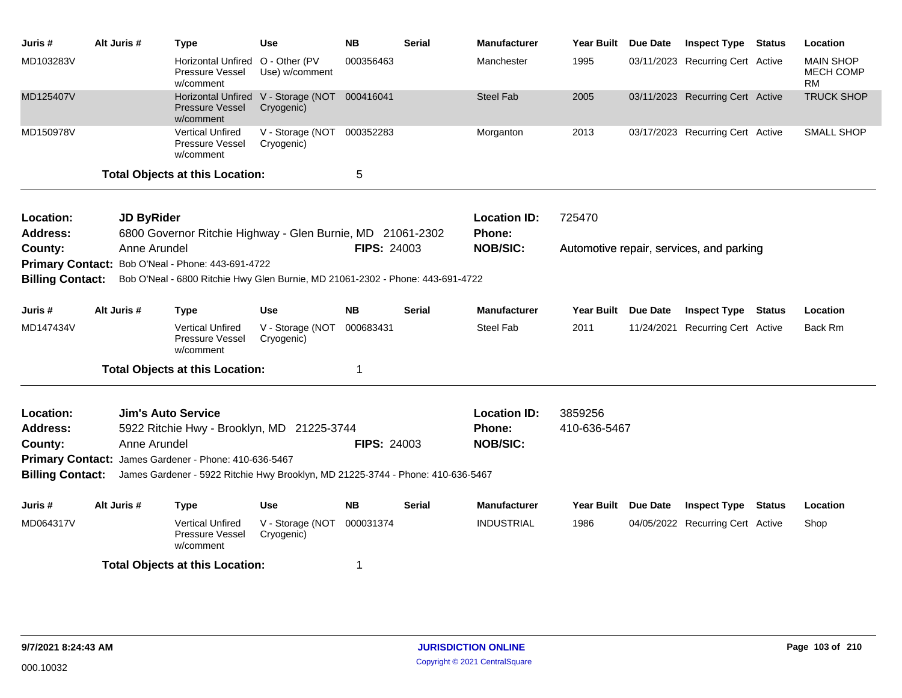| Juris #                 | Alt Juris # | Type                                                                            | <b>Use</b>                               | <b>NB</b>          | <b>Serial</b> | <b>Manufacturer</b> | Year Built Due Date | <b>Inspect Type Status</b>               |        | Location                                   |
|-------------------------|-------------|---------------------------------------------------------------------------------|------------------------------------------|--------------------|---------------|---------------------|---------------------|------------------------------------------|--------|--------------------------------------------|
| MD103283V               |             | Horizontal Unfired<br><b>Pressure Vessel</b><br>w/comment                       | O - Other (PV<br>Use) w/comment          | 000356463          |               | Manchester          | 1995                | 03/11/2023 Recurring Cert Active         |        | <b>MAIN SHOP</b><br><b>MECH COMP</b><br>RM |
| MD125407V               |             | <b>Horizontal Unfired</b><br><b>Pressure Vessel</b><br>w/comment                | V - Storage (NOT 000416041<br>Cryogenic) |                    |               | <b>Steel Fab</b>    | 2005                | 03/11/2023 Recurring Cert Active         |        | <b>TRUCK SHOP</b>                          |
| MD150978V               |             | <b>Vertical Unfired</b><br>Pressure Vessel<br>w/comment                         | V - Storage (NOT 000352283<br>Cryogenic) |                    |               | Morganton           | 2013                | 03/17/2023 Recurring Cert Active         |        | <b>SMALL SHOP</b>                          |
|                         |             | <b>Total Objects at this Location:</b>                                          |                                          | 5                  |               |                     |                     |                                          |        |                                            |
| Location:               |             | <b>JD ByRider</b>                                                               |                                          |                    |               | <b>Location ID:</b> | 725470              |                                          |        |                                            |
| <b>Address:</b>         |             | 6800 Governor Ritchie Highway - Glen Burnie, MD 21061-2302                      |                                          |                    |               | Phone:              |                     |                                          |        |                                            |
| County:                 |             | Anne Arundel                                                                    |                                          | <b>FIPS: 24003</b> |               | <b>NOB/SIC:</b>     |                     | Automotive repair, services, and parking |        |                                            |
|                         |             | Primary Contact: Bob O'Neal - Phone: 443-691-4722                               |                                          |                    |               |                     |                     |                                          |        |                                            |
| <b>Billing Contact:</b> |             | Bob O'Neal - 6800 Ritchie Hwy Glen Burnie, MD 21061-2302 - Phone: 443-691-4722  |                                          |                    |               |                     |                     |                                          |        |                                            |
| Juris #                 | Alt Juris # | <b>Type</b>                                                                     | <b>Use</b>                               | <b>NB</b>          | <b>Serial</b> | <b>Manufacturer</b> | Year Built Due Date | <b>Inspect Type</b>                      | Status | Location                                   |
| MD147434V               |             | <b>Vertical Unfired</b><br>Pressure Vessel<br>w/comment                         | V - Storage (NOT 000683431<br>Cryogenic) |                    |               | <b>Steel Fab</b>    | 2011                | 11/24/2021 Recurring Cert Active         |        | Back Rm                                    |
|                         |             | <b>Total Objects at this Location:</b>                                          |                                          | 1                  |               |                     |                     |                                          |        |                                            |
| Location:               |             | <b>Jim's Auto Service</b>                                                       |                                          |                    |               | <b>Location ID:</b> | 3859256             |                                          |        |                                            |
| <b>Address:</b>         |             | 5922 Ritchie Hwy - Brooklyn, MD 21225-3744                                      |                                          |                    |               | Phone:              | 410-636-5467        |                                          |        |                                            |
| County:                 |             | Anne Arundel                                                                    |                                          | <b>FIPS: 24003</b> |               | <b>NOB/SIC:</b>     |                     |                                          |        |                                            |
|                         |             | Primary Contact: James Gardener - Phone: 410-636-5467                           |                                          |                    |               |                     |                     |                                          |        |                                            |
| <b>Billing Contact:</b> |             | James Gardener - 5922 Ritchie Hwy Brooklyn, MD 21225-3744 - Phone: 410-636-5467 |                                          |                    |               |                     |                     |                                          |        |                                            |
| Juris #                 | Alt Juris # | <b>Type</b>                                                                     | <b>Use</b>                               | <b>NB</b>          | <b>Serial</b> | <b>Manufacturer</b> | Year Built Due Date | <b>Inspect Type</b>                      | Status | Location                                   |
| MD064317V               |             | <b>Vertical Unfired</b><br><b>Pressure Vessel</b><br>w/comment                  | V - Storage (NOT 000031374<br>Cryogenic) |                    |               | <b>INDUSTRIAL</b>   | 1986                | 04/05/2022 Recurring Cert Active         |        | Shop                                       |
|                         |             | <b>Total Objects at this Location:</b>                                          |                                          | 1                  |               |                     |                     |                                          |        |                                            |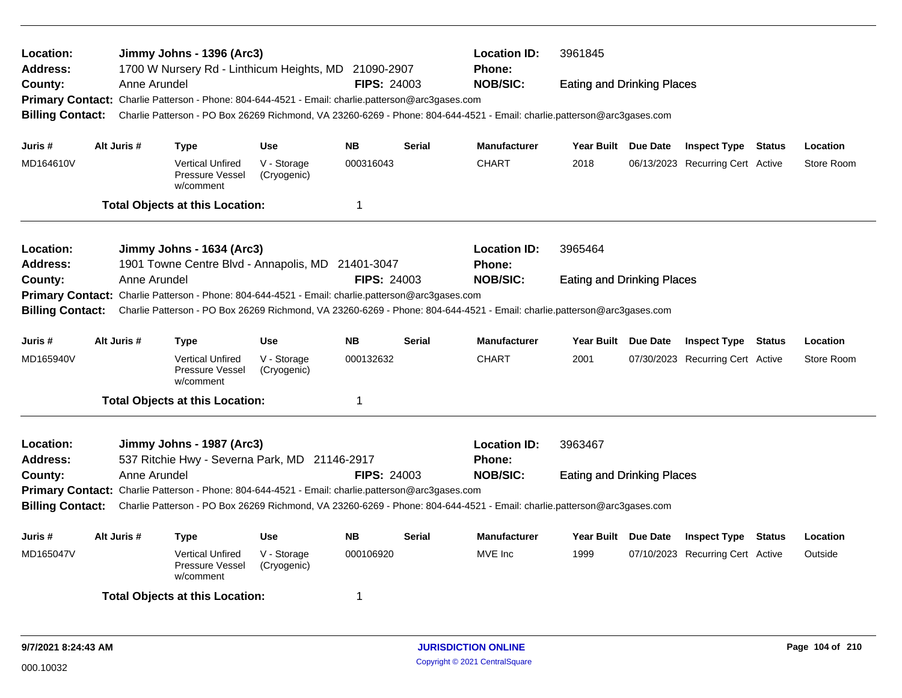| Location:<br><b>Address:</b> |             |              | Jimmy Johns - 1396 (Arc3)<br>1700 W Nursery Rd - Linthicum Heights, MD 21090-2907                 |                            |                         |               | <b>Location ID:</b><br><b>Phone:</b>                                                                                    | 3961845                           |                                  |        |            |
|------------------------------|-------------|--------------|---------------------------------------------------------------------------------------------------|----------------------------|-------------------------|---------------|-------------------------------------------------------------------------------------------------------------------------|-----------------------------------|----------------------------------|--------|------------|
| County:                      |             | Anne Arundel |                                                                                                   |                            | <b>FIPS: 24003</b>      |               | <b>NOB/SIC:</b>                                                                                                         | <b>Eating and Drinking Places</b> |                                  |        |            |
|                              |             |              | Primary Contact: Charlie Patterson - Phone: 804-644-4521 - Email: charlie.patterson@arc3gases.com |                            |                         |               |                                                                                                                         |                                   |                                  |        |            |
| <b>Billing Contact:</b>      |             |              |                                                                                                   |                            |                         |               | Charlie Patterson - PO Box 26269 Richmond, VA 23260-6269 - Phone: 804-644-4521 - Email: charlie.patterson@arc3gases.com |                                   |                                  |        |            |
| Juris #                      | Alt Juris # |              | <b>Type</b>                                                                                       | <b>Use</b>                 | <b>NB</b>               | <b>Serial</b> | <b>Manufacturer</b>                                                                                                     | Year Built Due Date               | <b>Inspect Type Status</b>       |        | Location   |
| MD164610V                    |             |              | <b>Vertical Unfired</b><br>Pressure Vessel<br>w/comment                                           | V - Storage<br>(Cryogenic) | 000316043               |               | <b>CHART</b>                                                                                                            | 2018                              | 06/13/2023 Recurring Cert Active |        | Store Room |
|                              |             |              | <b>Total Objects at this Location:</b>                                                            |                            | $\overline{\mathbf{1}}$ |               |                                                                                                                         |                                   |                                  |        |            |
| Location:                    |             |              | Jimmy Johns - 1634 (Arc3)                                                                         |                            |                         |               | <b>Location ID:</b>                                                                                                     | 3965464                           |                                  |        |            |
| <b>Address:</b>              |             |              | 1901 Towne Centre Blvd - Annapolis, MD 21401-3047                                                 |                            |                         |               | <b>Phone:</b>                                                                                                           |                                   |                                  |        |            |
| County:                      |             | Anne Arundel |                                                                                                   |                            | <b>FIPS: 24003</b>      |               | <b>NOB/SIC:</b>                                                                                                         | <b>Eating and Drinking Places</b> |                                  |        |            |
|                              |             |              | Primary Contact: Charlie Patterson - Phone: 804-644-4521 - Email: charlie.patterson@arc3gases.com |                            |                         |               |                                                                                                                         |                                   |                                  |        |            |
| <b>Billing Contact:</b>      |             |              |                                                                                                   |                            |                         |               | Charlie Patterson - PO Box 26269 Richmond, VA 23260-6269 - Phone: 804-644-4521 - Email: charlie.patterson@arc3gases.com |                                   |                                  |        |            |
| Juris #                      | Alt Juris # |              | <b>Type</b>                                                                                       | <b>Use</b>                 | <b>NB</b>               | <b>Serial</b> | Manufacturer                                                                                                            | Year Built Due Date               | <b>Inspect Type Status</b>       |        | Location   |
| MD165940V                    |             |              | <b>Vertical Unfired</b><br>Pressure Vessel<br>w/comment                                           | V - Storage<br>(Cryogenic) | 000132632               |               | <b>CHART</b>                                                                                                            | 2001                              | 07/30/2023 Recurring Cert Active |        | Store Room |
|                              |             |              | <b>Total Objects at this Location:</b>                                                            |                            | -1                      |               |                                                                                                                         |                                   |                                  |        |            |
| Location:                    |             |              | Jimmy Johns - 1987 (Arc3)                                                                         |                            |                         |               | <b>Location ID:</b>                                                                                                     | 3963467                           |                                  |        |            |
| <b>Address:</b>              |             |              | 537 Ritchie Hwy - Severna Park, MD 21146-2917                                                     |                            | <b>FIPS: 24003</b>      |               | <b>Phone:</b><br><b>NOB/SIC:</b>                                                                                        |                                   |                                  |        |            |
| County:                      |             | Anne Arundel |                                                                                                   |                            |                         |               |                                                                                                                         | <b>Eating and Drinking Places</b> |                                  |        |            |
| <b>Billing Contact:</b>      |             |              | Primary Contact: Charlie Patterson - Phone: 804-644-4521 - Email: charlie.patterson@arc3gases.com |                            |                         |               | Charlie Patterson - PO Box 26269 Richmond, VA 23260-6269 - Phone: 804-644-4521 - Email: charlie.patterson@arc3gases.com |                                   |                                  |        |            |
|                              |             |              |                                                                                                   |                            |                         |               |                                                                                                                         |                                   |                                  |        |            |
| Juris #                      | Alt Juris # |              | Type                                                                                              | <b>Use</b>                 | <b>NB</b>               | <b>Serial</b> | <b>Manufacturer</b>                                                                                                     | Year Built Due Date               | <b>Inspect Type</b>              | Status | Location   |
| MD165047V                    |             |              | <b>Vertical Unfired</b><br>Pressure Vessel<br>w/comment                                           | V - Storage<br>(Cryogenic) | 000106920               |               | MVE Inc                                                                                                                 | 1999                              | 07/10/2023 Recurring Cert Active |        | Outside    |
|                              |             |              | <b>Total Objects at this Location:</b>                                                            |                            | -1                      |               |                                                                                                                         |                                   |                                  |        |            |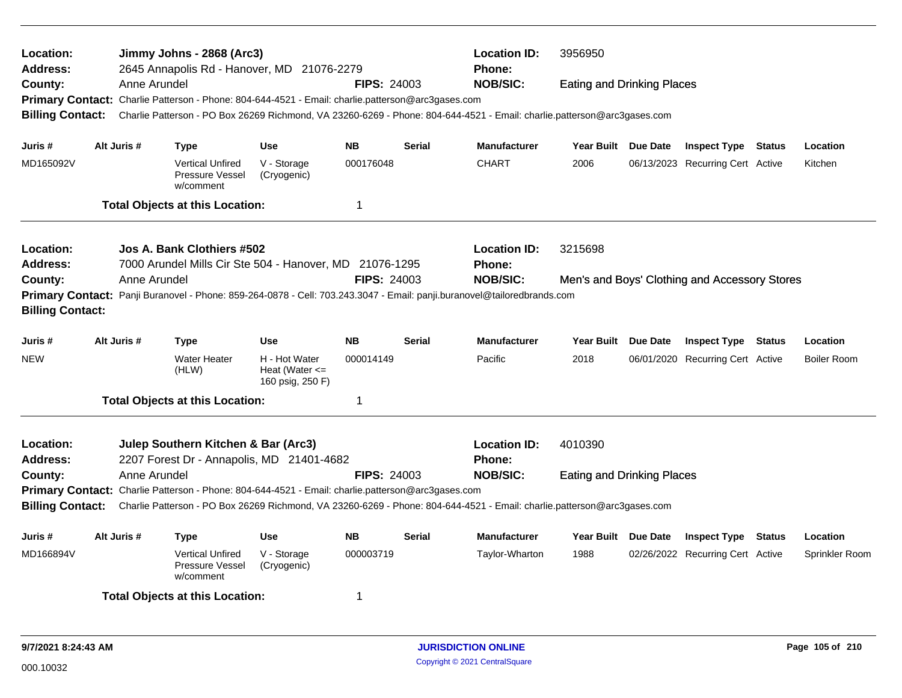| Location:<br>Address:   |             |              | Jimmy Johns - 2868 (Arc3)<br>2645 Annapolis Rd - Hanover, MD 21076-2279                           |                                                         |                    |               | <b>Location ID:</b><br><b>Phone:</b>                                                                                    | 3956950                           |                                               |        |                    |
|-------------------------|-------------|--------------|---------------------------------------------------------------------------------------------------|---------------------------------------------------------|--------------------|---------------|-------------------------------------------------------------------------------------------------------------------------|-----------------------------------|-----------------------------------------------|--------|--------------------|
| County:                 |             | Anne Arundel |                                                                                                   |                                                         | <b>FIPS: 24003</b> |               | <b>NOB/SIC:</b>                                                                                                         | <b>Eating and Drinking Places</b> |                                               |        |                    |
|                         |             |              | Primary Contact: Charlie Patterson - Phone: 804-644-4521 - Email: charlie.patterson@arc3gases.com |                                                         |                    |               |                                                                                                                         |                                   |                                               |        |                    |
| <b>Billing Contact:</b> |             |              |                                                                                                   |                                                         |                    |               | Charlie Patterson - PO Box 26269 Richmond, VA 23260-6269 - Phone: 804-644-4521 - Email: charlie.patterson@arc3gases.com |                                   |                                               |        |                    |
| Juris #                 | Alt Juris # |              | <b>Type</b>                                                                                       | <b>Use</b>                                              | <b>NB</b>          | <b>Serial</b> | <b>Manufacturer</b>                                                                                                     | Year Built Due Date               | <b>Inspect Type Status</b>                    |        | Location           |
| MD165092V               |             |              | <b>Vertical Unfired</b><br>Pressure Vessel<br>w/comment                                           | V - Storage<br>(Cryogenic)                              | 000176048          |               | <b>CHART</b>                                                                                                            | 2006                              | 06/13/2023 Recurring Cert Active              |        | Kitchen            |
|                         |             |              | <b>Total Objects at this Location:</b>                                                            |                                                         | $\mathbf 1$        |               |                                                                                                                         |                                   |                                               |        |                    |
| Location:               |             |              | Jos A. Bank Clothiers #502                                                                        |                                                         |                    |               | <b>Location ID:</b>                                                                                                     | 3215698                           |                                               |        |                    |
| Address:                |             |              | 7000 Arundel Mills Cir Ste 504 - Hanover, MD 21076-1295                                           |                                                         |                    |               | <b>Phone:</b>                                                                                                           |                                   |                                               |        |                    |
| County:                 |             | Anne Arundel |                                                                                                   |                                                         | <b>FIPS: 24003</b> |               | <b>NOB/SIC:</b>                                                                                                         |                                   | Men's and Boys' Clothing and Accessory Stores |        |                    |
|                         |             |              |                                                                                                   |                                                         |                    |               | Primary Contact: Panji Buranovel - Phone: 859-264-0878 - Cell: 703.243.3047 - Email: panji.buranovel@tailoredbrands.com |                                   |                                               |        |                    |
| <b>Billing Contact:</b> |             |              |                                                                                                   |                                                         |                    |               |                                                                                                                         |                                   |                                               |        |                    |
| Juris #                 | Alt Juris # |              | <b>Type</b>                                                                                       | <b>Use</b>                                              | <b>NB</b>          | <b>Serial</b> | <b>Manufacturer</b>                                                                                                     | Year Built Due Date               | <b>Inspect Type Status</b>                    |        | Location           |
| <b>NEW</b>              |             |              | <b>Water Heater</b><br>(HLW)                                                                      | H - Hot Water<br>Heat (Water $\leq$<br>160 psig, 250 F) | 000014149          |               | Pacific                                                                                                                 | 2018                              | 06/01/2020 Recurring Cert Active              |        | <b>Boiler Room</b> |
|                         |             |              | <b>Total Objects at this Location:</b>                                                            |                                                         | 1                  |               |                                                                                                                         |                                   |                                               |        |                    |
| Location:               |             |              | Julep Southern Kitchen & Bar (Arc3)                                                               |                                                         |                    |               | <b>Location ID:</b>                                                                                                     | 4010390                           |                                               |        |                    |
| <b>Address:</b>         |             |              | 2207 Forest Dr - Annapolis, MD 21401-4682                                                         |                                                         |                    |               | <b>Phone:</b>                                                                                                           |                                   |                                               |        |                    |
| County:                 |             | Anne Arundel |                                                                                                   |                                                         | <b>FIPS: 24003</b> |               | <b>NOB/SIC:</b>                                                                                                         | <b>Eating and Drinking Places</b> |                                               |        |                    |
|                         |             |              | Primary Contact: Charlie Patterson - Phone: 804-644-4521 - Email: charlie.patterson@arc3gases.com |                                                         |                    |               |                                                                                                                         |                                   |                                               |        |                    |
| <b>Billing Contact:</b> |             |              |                                                                                                   |                                                         |                    |               | Charlie Patterson - PO Box 26269 Richmond, VA 23260-6269 - Phone: 804-644-4521 - Email: charlie.patterson@arc3gases.com |                                   |                                               |        |                    |
| Juris #                 | Alt Juris # |              | <b>Type</b>                                                                                       | <b>Use</b>                                              | <b>NB</b>          | <b>Serial</b> | <b>Manufacturer</b>                                                                                                     | Year Built Due Date               | <b>Inspect Type</b>                           | Status | Location           |
| MD166894V               |             |              | <b>Vertical Unfired</b><br>Pressure Vessel<br>w/comment                                           | V - Storage<br>(Cryogenic)                              | 000003719          |               | Taylor-Wharton                                                                                                          | 1988                              | 02/26/2022 Recurring Cert Active              |        | Sprinkler Room     |
|                         |             |              | <b>Total Objects at this Location:</b>                                                            |                                                         | 1                  |               |                                                                                                                         |                                   |                                               |        |                    |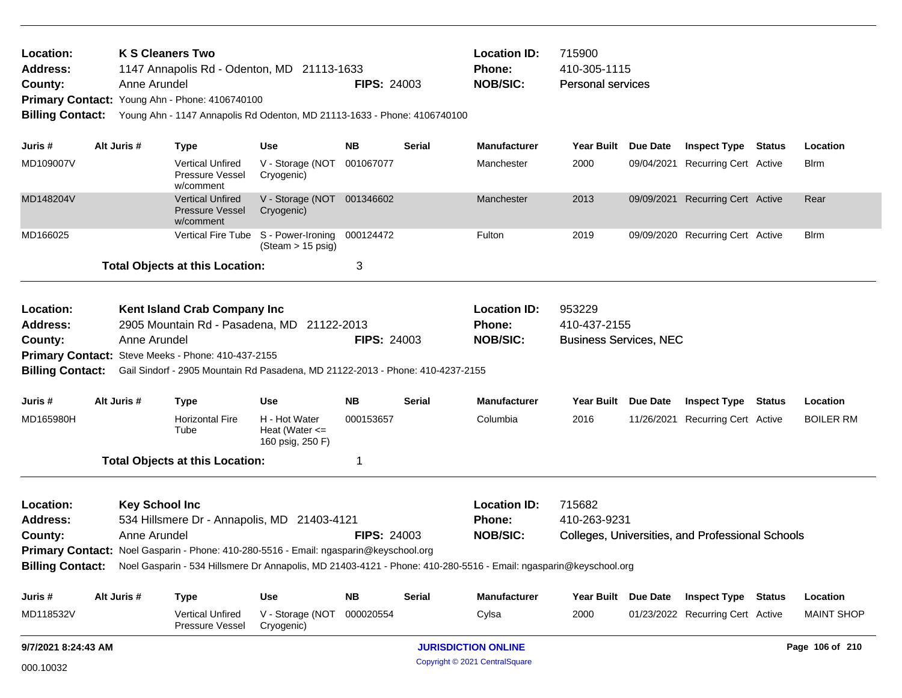| <b>K S Cleaners Two</b><br>Location:<br>1147 Annapolis Rd - Odenton, MD 21113-1633<br>Address:<br>Anne Arundel<br>County:<br>Primary Contact: Young Ahn - Phone: 4106740100<br><b>Billing Contact:</b><br>Young Ahn - 1147 Annapolis Rd Odenton, MD 21113-1633 - Phone: 4106740100 |  |                                       |                                                                                                                                      |                                                         | <b>FIPS: 24003</b> |               | <b>Location ID:</b><br>Phone:<br><b>NOB/SIC:</b>                                                                                  | 715900<br>410-305-1115<br><b>Personal services</b>      |                                                  |                   |
|------------------------------------------------------------------------------------------------------------------------------------------------------------------------------------------------------------------------------------------------------------------------------------|--|---------------------------------------|--------------------------------------------------------------------------------------------------------------------------------------|---------------------------------------------------------|--------------------|---------------|-----------------------------------------------------------------------------------------------------------------------------------|---------------------------------------------------------|--------------------------------------------------|-------------------|
| Juris #                                                                                                                                                                                                                                                                            |  | Alt Juris #                           | <b>Type</b>                                                                                                                          | Use                                                     | NB.                | Serial        | <b>Manufacturer</b>                                                                                                               | Year Built Due Date                                     | <b>Inspect Type Status</b>                       | Location          |
| MD109007V                                                                                                                                                                                                                                                                          |  |                                       | <b>Vertical Unfired</b><br><b>Pressure Vessel</b><br>w/comment                                                                       | V - Storage (NOT<br>Cryogenic)                          | 001067077          |               | Manchester                                                                                                                        | 2000                                                    | 09/04/2021 Recurring Cert Active                 | <b>B</b> lrm      |
| MD148204V                                                                                                                                                                                                                                                                          |  |                                       | <b>Vertical Unfired</b><br><b>Pressure Vessel</b><br>w/comment                                                                       | V - Storage (NOT 001346602<br>Cryogenic)                |                    |               | Manchester                                                                                                                        | 2013                                                    | 09/09/2021 Recurring Cert Active                 | Rear              |
| MD166025                                                                                                                                                                                                                                                                           |  |                                       | <b>Vertical Fire Tube</b>                                                                                                            | S - Power-Ironing<br>$(Steam > 15 \text{ psig})$        | 000124472          |               | Fulton                                                                                                                            | 2019                                                    | 09/09/2020 Recurring Cert Active                 | <b>Blrm</b>       |
|                                                                                                                                                                                                                                                                                    |  |                                       | <b>Total Objects at this Location:</b>                                                                                               |                                                         | 3                  |               |                                                                                                                                   |                                                         |                                                  |                   |
| Location:<br><b>Address:</b><br>County:                                                                                                                                                                                                                                            |  | Anne Arundel                          | Kent Island Crab Company Inc<br>2905 Mountain Rd - Pasadena, MD 21122-2013<br>Primary Contact: Steve Meeks - Phone: 410-437-2155     |                                                         | <b>FIPS: 24003</b> |               | <b>Location ID:</b><br>Phone:<br><b>NOB/SIC:</b>                                                                                  | 953229<br>410-437-2155<br><b>Business Services, NEC</b> |                                                  |                   |
| <b>Billing Contact:</b>                                                                                                                                                                                                                                                            |  |                                       | Gail Sindorf - 2905 Mountain Rd Pasadena, MD 21122-2013 - Phone: 410-4237-2155                                                       |                                                         |                    |               |                                                                                                                                   |                                                         |                                                  |                   |
| Juris #                                                                                                                                                                                                                                                                            |  | Alt Juris #                           | <b>Type</b>                                                                                                                          | Use                                                     | NB.                | Serial        | <b>Manufacturer</b>                                                                                                               | Year Built Due Date                                     | <b>Inspect Type Status</b>                       | Location          |
| MD165980H                                                                                                                                                                                                                                                                          |  |                                       | <b>Horizontal Fire</b><br>Tube                                                                                                       | H - Hot Water<br>Heat (Water $\leq$<br>160 psig, 250 F) | 000153657          |               | Columbia                                                                                                                          | 2016                                                    | 11/26/2021 Recurring Cert Active                 | <b>BOILER RM</b>  |
|                                                                                                                                                                                                                                                                                    |  |                                       | <b>Total Objects at this Location:</b>                                                                                               |                                                         | 1                  |               |                                                                                                                                   |                                                         |                                                  |                   |
| Location:<br><b>Address:</b><br>County:                                                                                                                                                                                                                                            |  | <b>Key School Inc</b><br>Anne Arundel | 534 Hillsmere Dr - Annapolis, MD 21403-4121<br>Primary Contact: Noel Gasparin - Phone: 410-280-5516 - Email: ngasparin@keyschool.org |                                                         | <b>FIPS: 24003</b> |               | <b>Location ID:</b><br><b>Phone:</b><br><b>NOB/SIC:</b>                                                                           | 715682<br>410-263-9231                                  | Colleges, Universities, and Professional Schools |                   |
|                                                                                                                                                                                                                                                                                    |  |                                       |                                                                                                                                      |                                                         |                    |               | Billing Contact: Noel Gasparin - 534 Hillsmere Dr Annapolis, MD 21403-4121 - Phone: 410-280-5516 - Email: ngasparin@keyschool.org |                                                         |                                                  |                   |
| Juris #                                                                                                                                                                                                                                                                            |  | Alt Juris #                           | <b>Type</b>                                                                                                                          | <b>Use</b>                                              | <b>NB</b>          | <b>Serial</b> | Manufacturer                                                                                                                      | Year Built Due Date                                     | <b>Inspect Type Status</b>                       | Location          |
| MD118532V                                                                                                                                                                                                                                                                          |  |                                       | Vertical Unfired<br>Pressure Vessel                                                                                                  | V - Storage (NOT<br>Cryogenic)                          | 000020554          |               | Cylsa                                                                                                                             | 2000                                                    | 01/23/2022 Recurring Cert Active                 | <b>MAINT SHOP</b> |
| 9/7/2021 8:24:43 AM                                                                                                                                                                                                                                                                |  |                                       |                                                                                                                                      |                                                         |                    |               | <b>JURISDICTION ONLINE</b>                                                                                                        |                                                         |                                                  | Page 106 of 210   |
| 000.10032                                                                                                                                                                                                                                                                          |  |                                       |                                                                                                                                      |                                                         |                    |               | Copyright © 2021 CentralSquare                                                                                                    |                                                         |                                                  |                   |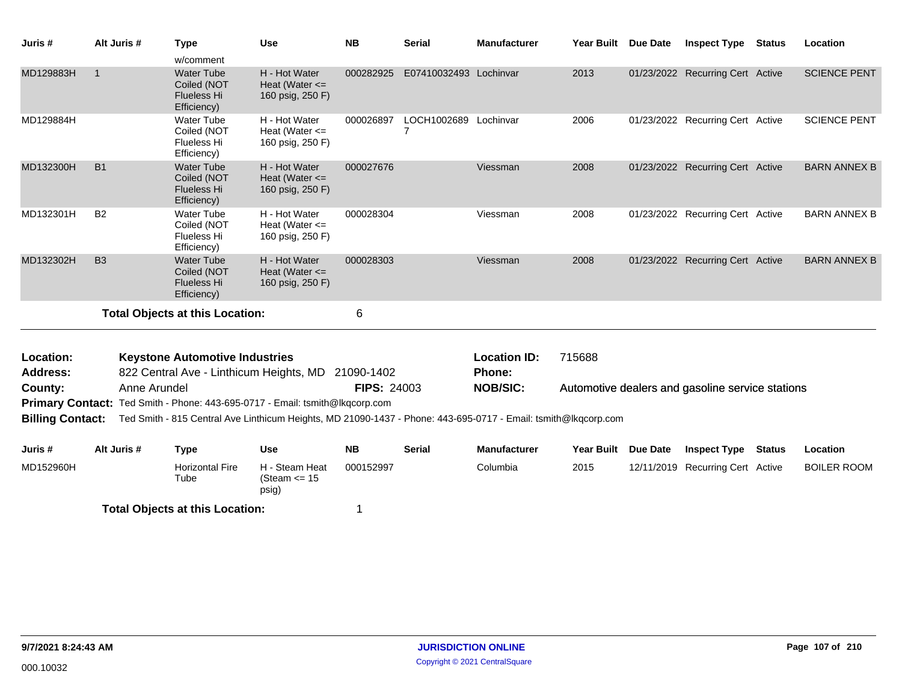| Juris #                 | Alt Juris #  | <b>Type</b>                                                           | <b>Use</b>                                                                   | <b>NB</b>          | <b>Serial</b>                           | <b>Manufacturer</b>                                                                                            | Year Built Due Date |                 | <b>Inspect Type</b>                              | <b>Status</b> | Location            |
|-------------------------|--------------|-----------------------------------------------------------------------|------------------------------------------------------------------------------|--------------------|-----------------------------------------|----------------------------------------------------------------------------------------------------------------|---------------------|-----------------|--------------------------------------------------|---------------|---------------------|
|                         |              | w/comment                                                             |                                                                              |                    |                                         |                                                                                                                |                     |                 |                                                  |               |                     |
| MD129883H               | $\mathbf{1}$ | <b>Water Tube</b><br>Coiled (NOT<br>Flueless Hi<br>Efficiency)        | H - Hot Water<br>Heat (Water $\leq$<br>160 psig, 250 F)                      | 000282925          | E07410032493 Lochinvar                  |                                                                                                                | 2013                |                 | 01/23/2022 Recurring Cert Active                 |               | <b>SCIENCE PENT</b> |
| MD129884H               |              | <b>Water Tube</b><br>Coiled (NOT<br><b>Flueless Hi</b><br>Efficiency) | H - Hot Water<br>Heat (Water $\leq$<br>160 psig, 250 F)                      | 000026897          | LOCH1002689 Lochinvar<br>$\overline{7}$ |                                                                                                                | 2006                |                 | 01/23/2022 Recurring Cert Active                 |               | <b>SCIENCE PENT</b> |
| MD132300H               | <b>B1</b>    | <b>Water Tube</b><br>Coiled (NOT<br><b>Flueless Hi</b><br>Efficiency) | H - Hot Water<br>Heat (Water $\leq$<br>160 psig, 250 F)                      | 000027676          |                                         | Viessman                                                                                                       | 2008                |                 | 01/23/2022 Recurring Cert Active                 |               | <b>BARN ANNEX B</b> |
| MD132301H               | <b>B2</b>    | Water Tube<br>Coiled (NOT<br>Flueless Hi<br>Efficiency)               | H - Hot Water<br>Heat (Water $\leq$<br>160 psig, 250 F)                      | 000028304          |                                         | Viessman                                                                                                       | 2008                |                 | 01/23/2022 Recurring Cert Active                 |               | <b>BARN ANNEX B</b> |
| MD132302H               | <b>B3</b>    | <b>Water Tube</b><br>Coiled (NOT<br><b>Flueless Hi</b><br>Efficiency) | H - Hot Water<br>Heat (Water $\leq$<br>160 psig, 250 F)                      | 000028303          |                                         | Viessman                                                                                                       | 2008                |                 | 01/23/2022 Recurring Cert Active                 |               | <b>BARN ANNEX B</b> |
|                         |              | <b>Total Objects at this Location:</b>                                |                                                                              | $\,6$              |                                         |                                                                                                                |                     |                 |                                                  |               |                     |
| Location:               |              | <b>Keystone Automotive Industries</b>                                 |                                                                              |                    |                                         | <b>Location ID:</b>                                                                                            | 715688              |                 |                                                  |               |                     |
| <b>Address:</b>         |              | 822 Central Ave - Linthicum Heights, MD                               |                                                                              | 21090-1402         |                                         | Phone:                                                                                                         |                     |                 |                                                  |               |                     |
| County:                 | Anne Arundel |                                                                       |                                                                              | <b>FIPS: 24003</b> |                                         | <b>NOB/SIC:</b>                                                                                                |                     |                 | Automotive dealers and gasoline service stations |               |                     |
|                         |              |                                                                       | Primary Contact: Ted Smith - Phone: 443-695-0717 - Email: tsmith@lkqcorp.com |                    |                                         |                                                                                                                |                     |                 |                                                  |               |                     |
| <b>Billing Contact:</b> |              |                                                                       |                                                                              |                    |                                         | Ted Smith - 815 Central Ave Linthicum Heights, MD 21090-1437 - Phone: 443-695-0717 - Email: tsmith@lkqcorp.com |                     |                 |                                                  |               |                     |
|                         |              |                                                                       |                                                                              |                    |                                         |                                                                                                                |                     |                 |                                                  |               |                     |
| Juris #                 | Alt Juris #  | <b>Type</b>                                                           | <b>Use</b>                                                                   | <b>NB</b>          | <b>Serial</b>                           | <b>Manufacturer</b>                                                                                            | <b>Year Built</b>   | <b>Due Date</b> | <b>Inspect Type</b>                              | <b>Status</b> | Location            |
| MD152960H               |              | <b>Horizontal Fire</b><br>Tube                                        | H - Steam Heat<br>(Steam $\le$ 15<br>psig)                                   | 000152997          |                                         | Columbia                                                                                                       | 2015                |                 | 12/11/2019 Recurring Cert Active                 |               | <b>BOILER ROOM</b>  |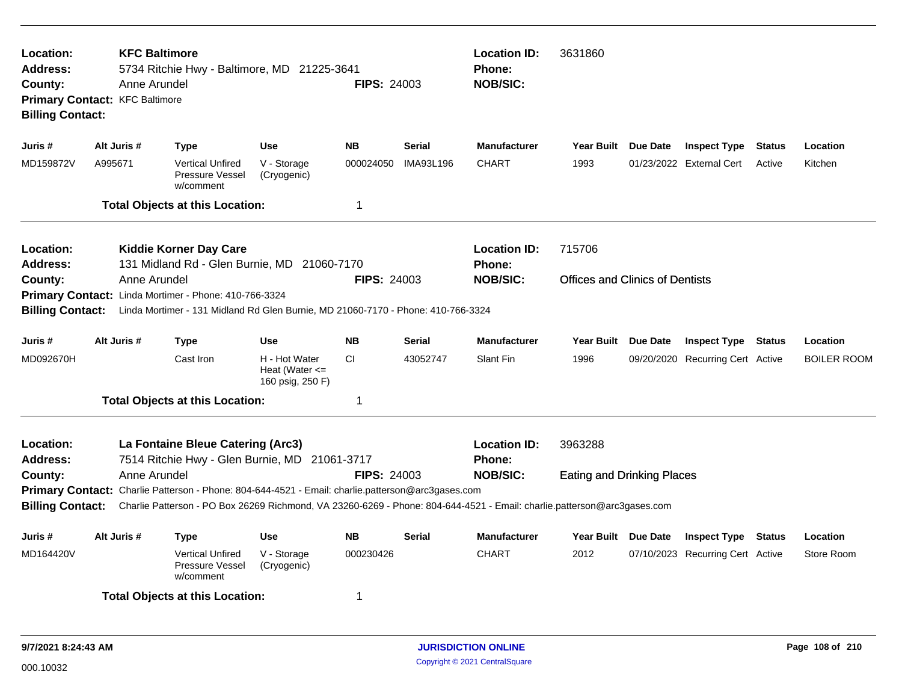| Location:<br><b>Address:</b><br>County:<br><b>Billing Contact:</b> | <b>KFC Baltimore</b><br>Anne Arundel<br>Primary Contact: KFC Baltimore | 5734 Ritchie Hwy - Baltimore, MD 21225-3641                                                                                                                                                                                  |                                                         | <b>FIPS: 24003</b> |               | <b>Location ID:</b><br><b>Phone:</b><br><b>NOB/SIC:</b> | 3631860                                |                                  |        |                    |
|--------------------------------------------------------------------|------------------------------------------------------------------------|------------------------------------------------------------------------------------------------------------------------------------------------------------------------------------------------------------------------------|---------------------------------------------------------|--------------------|---------------|---------------------------------------------------------|----------------------------------------|----------------------------------|--------|--------------------|
| Juris #                                                            | Alt Juris #                                                            | Type                                                                                                                                                                                                                         | <b>Use</b>                                              | <b>NB</b>          | <b>Serial</b> | <b>Manufacturer</b>                                     | Year Built Due Date                    | <b>Inspect Type</b>              | Status | Location           |
| MD159872V                                                          | A995671                                                                | <b>Vertical Unfired</b><br>Pressure Vessel<br>w/comment                                                                                                                                                                      | V - Storage<br>(Cryogenic)                              | 000024050          | IMA93L196     | <b>CHART</b>                                            | 1993                                   | 01/23/2022 External Cert         | Active | Kitchen            |
|                                                                    |                                                                        | <b>Total Objects at this Location:</b>                                                                                                                                                                                       |                                                         | $\mathbf 1$        |               |                                                         |                                        |                                  |        |                    |
| Location:<br><b>Address:</b>                                       |                                                                        | <b>Kiddie Korner Day Care</b><br>131 Midland Rd - Glen Burnie, MD 21060-7170                                                                                                                                                 |                                                         |                    |               | <b>Location ID:</b><br><b>Phone:</b>                    | 715706                                 |                                  |        |                    |
| County:                                                            | Anne Arundel                                                           | Primary Contact: Linda Mortimer - Phone: 410-766-3324                                                                                                                                                                        |                                                         | <b>FIPS: 24003</b> |               | <b>NOB/SIC:</b>                                         | <b>Offices and Clinics of Dentists</b> |                                  |        |                    |
| <b>Billing Contact:</b>                                            |                                                                        | Linda Mortimer - 131 Midland Rd Glen Burnie, MD 21060-7170 - Phone: 410-766-3324                                                                                                                                             |                                                         |                    |               |                                                         |                                        |                                  |        |                    |
| Juris #                                                            | Alt Juris #                                                            | Type                                                                                                                                                                                                                         | Use                                                     | <b>NB</b>          | <b>Serial</b> | Manufacturer                                            | Year Built Due Date                    | <b>Inspect Type Status</b>       |        | Location           |
| MD092670H                                                          |                                                                        | Cast Iron                                                                                                                                                                                                                    | H - Hot Water<br>Heat (Water $\leq$<br>160 psig, 250 F) | <b>CI</b>          | 43052747      | Slant Fin                                               | 1996                                   | 09/20/2020 Recurring Cert Active |        | <b>BOILER ROOM</b> |
|                                                                    |                                                                        | <b>Total Objects at this Location:</b>                                                                                                                                                                                       |                                                         | -1                 |               |                                                         |                                        |                                  |        |                    |
| Location:<br><b>Address:</b>                                       |                                                                        | La Fontaine Bleue Catering (Arc3)<br>7514 Ritchie Hwy - Glen Burnie, MD 21061-3717                                                                                                                                           |                                                         |                    |               | <b>Location ID:</b><br>Phone:                           | 3963288                                |                                  |        |                    |
| County:                                                            | Anne Arundel                                                           |                                                                                                                                                                                                                              |                                                         | <b>FIPS: 24003</b> |               | <b>NOB/SIC:</b>                                         | <b>Eating and Drinking Places</b>      |                                  |        |                    |
| <b>Billing Contact:</b>                                            |                                                                        | Primary Contact: Charlie Patterson - Phone: 804-644-4521 - Email: charlie.patterson@arc3gases.com<br>Charlie Patterson - PO Box 26269 Richmond, VA 23260-6269 - Phone: 804-644-4521 - Email: charlie.patterson@arc3gases.com |                                                         |                    |               |                                                         |                                        |                                  |        |                    |
| Juris #                                                            | Alt Juris #                                                            | Type                                                                                                                                                                                                                         | <b>Use</b>                                              | <b>NB</b>          | <b>Serial</b> | <b>Manufacturer</b>                                     | Year Built Due Date                    | <b>Inspect Type</b>              | Status | Location           |
| MD164420V                                                          |                                                                        | <b>Vertical Unfired</b><br>Pressure Vessel<br>w/comment                                                                                                                                                                      | V - Storage<br>(Cryogenic)                              | 000230426          |               | <b>CHART</b>                                            | 2012                                   | 07/10/2023 Recurring Cert Active |        | Store Room         |
|                                                                    |                                                                        | <b>Total Objects at this Location:</b>                                                                                                                                                                                       |                                                         | -1                 |               |                                                         |                                        |                                  |        |                    |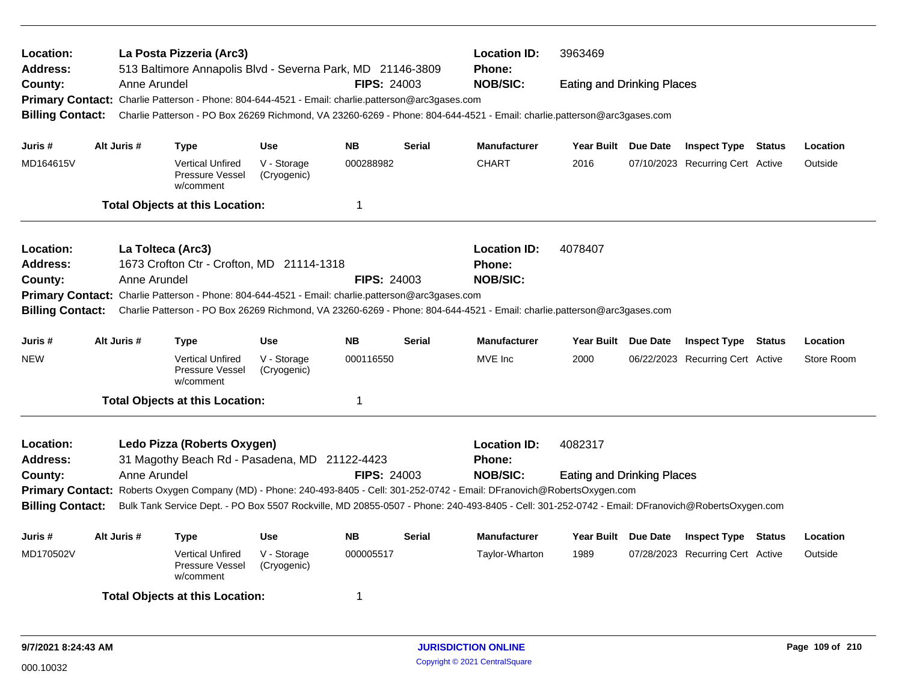| Location:<br>Address:                                                                                                    |                                                                                                           | La Posta Pizzeria (Arc3)<br>513 Baltimore Annapolis Blvd - Severna Park, MD 21146-3809            |                            |                    |                 | <b>Location ID:</b><br>3963469<br><b>Phone:</b>                                                                                                 |                                   |  |                                  |  |            |  |
|--------------------------------------------------------------------------------------------------------------------------|-----------------------------------------------------------------------------------------------------------|---------------------------------------------------------------------------------------------------|----------------------------|--------------------|-----------------|-------------------------------------------------------------------------------------------------------------------------------------------------|-----------------------------------|--|----------------------------------|--|------------|--|
| County:                                                                                                                  | Anne Arundel                                                                                              |                                                                                                   |                            | <b>FIPS: 24003</b> |                 | <b>NOB/SIC:</b>                                                                                                                                 | <b>Eating and Drinking Places</b> |  |                                  |  |            |  |
|                                                                                                                          |                                                                                                           | Primary Contact: Charlie Patterson - Phone: 804-644-4521 - Email: charlie.patterson@arc3gases.com |                            |                    |                 |                                                                                                                                                 |                                   |  |                                  |  |            |  |
| <b>Billing Contact:</b>                                                                                                  |                                                                                                           |                                                                                                   |                            |                    |                 | Charlie Patterson - PO Box 26269 Richmond, VA 23260-6269 - Phone: 804-644-4521 - Email: charlie.patterson@arc3gases.com                         |                                   |  |                                  |  |            |  |
|                                                                                                                          |                                                                                                           |                                                                                                   |                            |                    |                 |                                                                                                                                                 |                                   |  |                                  |  |            |  |
| Juris #                                                                                                                  | Alt Juris #                                                                                               | <b>Type</b>                                                                                       | <b>Use</b>                 | <b>NB</b>          | <b>Serial</b>   | <b>Manufacturer</b>                                                                                                                             | Year Built Due Date<br>2016       |  | <b>Inspect Type Status</b>       |  | Location   |  |
| MD164615V                                                                                                                |                                                                                                           | <b>Vertical Unfired</b><br>Pressure Vessel<br>w/comment                                           | V - Storage<br>(Cryogenic) | 000288982          |                 | <b>CHART</b>                                                                                                                                    |                                   |  | 07/10/2023 Recurring Cert Active |  | Outside    |  |
|                                                                                                                          |                                                                                                           | <b>Total Objects at this Location:</b>                                                            |                            | $\mathbf 1$        |                 |                                                                                                                                                 |                                   |  |                                  |  |            |  |
| Location:                                                                                                                |                                                                                                           | La Tolteca (Arc3)                                                                                 |                            |                    |                 | <b>Location ID:</b>                                                                                                                             | 4078407                           |  |                                  |  |            |  |
| <b>Address:</b>                                                                                                          |                                                                                                           | 1673 Crofton Ctr - Crofton, MD 21114-1318                                                         |                            |                    |                 | Phone:                                                                                                                                          |                                   |  |                                  |  |            |  |
| County:                                                                                                                  | Anne Arundel                                                                                              |                                                                                                   |                            | <b>FIPS: 24003</b> | <b>NOB/SIC:</b> |                                                                                                                                                 |                                   |  |                                  |  |            |  |
|                                                                                                                          |                                                                                                           | Primary Contact: Charlie Patterson - Phone: 804-644-4521 - Email: charlie.patterson@arc3gases.com |                            |                    |                 |                                                                                                                                                 |                                   |  |                                  |  |            |  |
| <b>Billing Contact:</b>                                                                                                  |                                                                                                           |                                                                                                   |                            |                    |                 | Charlie Patterson - PO Box 26269 Richmond, VA 23260-6269 - Phone: 804-644-4521 - Email: charlie.patterson@arc3gases.com                         |                                   |  |                                  |  |            |  |
| Alt Juris #<br><b>NB</b><br><b>Serial</b><br><b>Manufacturer</b><br>Year Built Due Date<br>Juris #<br><b>Use</b><br>Type |                                                                                                           |                                                                                                   |                            |                    |                 |                                                                                                                                                 | <b>Inspect Type Status</b>        |  | Location                         |  |            |  |
| <b>NEW</b>                                                                                                               |                                                                                                           | <b>Vertical Unfired</b><br>Pressure Vessel<br>w/comment                                           | V - Storage<br>(Cryogenic) | 000116550          |                 | MVE Inc                                                                                                                                         | 2000                              |  | 06/22/2023 Recurring Cert Active |  | Store Room |  |
|                                                                                                                          |                                                                                                           | <b>Total Objects at this Location:</b>                                                            |                            | $\mathbf 1$        |                 |                                                                                                                                                 |                                   |  |                                  |  |            |  |
| Location:                                                                                                                |                                                                                                           | Ledo Pizza (Roberts Oxygen)                                                                       |                            |                    |                 | <b>Location ID:</b>                                                                                                                             | 4082317                           |  |                                  |  |            |  |
| <b>Address:</b>                                                                                                          |                                                                                                           | 31 Magothy Beach Rd - Pasadena, MD 21122-4423                                                     |                            |                    |                 | <b>Phone:</b>                                                                                                                                   |                                   |  |                                  |  |            |  |
| County:                                                                                                                  | Anne Arundel                                                                                              |                                                                                                   |                            | <b>FIPS: 24003</b> |                 | <b>NOB/SIC:</b>                                                                                                                                 | <b>Eating and Drinking Places</b> |  |                                  |  |            |  |
|                                                                                                                          |                                                                                                           |                                                                                                   |                            |                    |                 | Primary Contact: Roberts Oxygen Company (MD) - Phone: 240-493-8405 - Cell: 301-252-0742 - Email: DFranovich@RobertsOxygen.com                   |                                   |  |                                  |  |            |  |
| <b>Billing Contact:</b>                                                                                                  |                                                                                                           |                                                                                                   |                            |                    |                 | Bulk Tank Service Dept. - PO Box 5507 Rockville, MD 20855-0507 - Phone: 240-493-8405 - Cell: 301-252-0742 - Email: DFranovich@RobertsOxygen.com |                                   |  |                                  |  |            |  |
| Juris #                                                                                                                  | Alt Juris #                                                                                               | Type                                                                                              | <b>Use</b>                 | <b>NB</b>          | <b>Serial</b>   | <b>Manufacturer</b>                                                                                                                             | Year Built Due Date               |  | <b>Inspect Type Status</b>       |  | Location   |  |
| MD170502V                                                                                                                | <b>Vertical Unfired</b><br>V - Storage<br>000005517<br><b>Pressure Vessel</b><br>(Cryogenic)<br>w/comment |                                                                                                   |                            | Taylor-Wharton     | 1989            |                                                                                                                                                 | 07/28/2023 Recurring Cert Active  |  | Outside                          |  |            |  |
|                                                                                                                          |                                                                                                           | <b>Total Objects at this Location:</b>                                                            |                            |                    |                 |                                                                                                                                                 |                                   |  |                                  |  |            |  |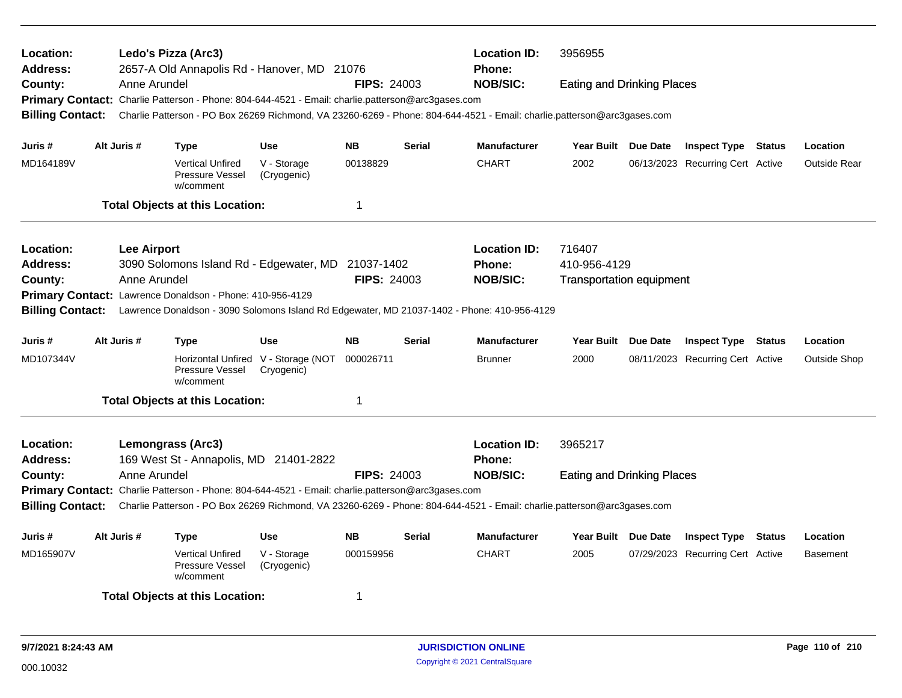| Location:<br><b>Address:</b> |             | <b>Location ID:</b><br>Ledo's Pizza (Arc3)<br>3956955<br>2657-A Old Annapolis Rd - Hanover, MD 21076<br><b>Phone:</b> |                                                                    |                                                                                                   |                    |               |                                                                                                                         |                                                                                                                                                                                                |  |                                  |        |                     |
|------------------------------|-------------|-----------------------------------------------------------------------------------------------------------------------|--------------------------------------------------------------------|---------------------------------------------------------------------------------------------------|--------------------|---------------|-------------------------------------------------------------------------------------------------------------------------|------------------------------------------------------------------------------------------------------------------------------------------------------------------------------------------------|--|----------------------------------|--------|---------------------|
| County:                      |             | Anne Arundel                                                                                                          |                                                                    |                                                                                                   | <b>FIPS: 24003</b> |               | <b>NOB/SIC:</b>                                                                                                         | <b>Eating and Drinking Places</b>                                                                                                                                                              |  |                                  |        |                     |
|                              |             |                                                                                                                       |                                                                    | Primary Contact: Charlie Patterson - Phone: 804-644-4521 - Email: charlie.patterson@arc3gases.com |                    |               |                                                                                                                         |                                                                                                                                                                                                |  |                                  |        |                     |
| <b>Billing Contact:</b>      |             |                                                                                                                       |                                                                    |                                                                                                   |                    |               | Charlie Patterson - PO Box 26269 Richmond, VA 23260-6269 - Phone: 804-644-4521 - Email: charlie.patterson@arc3gases.com |                                                                                                                                                                                                |  |                                  |        |                     |
| Juris #                      | Alt Juris # |                                                                                                                       | <b>Type</b>                                                        | <b>Use</b>                                                                                        | <b>NB</b>          | <b>Serial</b> | <b>Manufacturer</b>                                                                                                     | Year Built Due Date                                                                                                                                                                            |  | <b>Inspect Type Status</b>       |        | Location            |
| MD164189V                    |             |                                                                                                                       | <b>Vertical Unfired</b><br>Pressure Vessel<br>w/comment            | V - Storage<br>(Cryogenic)                                                                        | 00138829           |               | <b>CHART</b>                                                                                                            | 2002                                                                                                                                                                                           |  |                                  |        | <b>Outside Rear</b> |
|                              |             |                                                                                                                       | <b>Total Objects at this Location:</b>                             |                                                                                                   | $\mathbf 1$        |               |                                                                                                                         |                                                                                                                                                                                                |  |                                  |        |                     |
| Location:                    |             | <b>Lee Airport</b>                                                                                                    |                                                                    |                                                                                                   |                    |               | <b>Location ID:</b>                                                                                                     |                                                                                                                                                                                                |  |                                  |        |                     |
| Address:                     |             |                                                                                                                       |                                                                    | 3090 Solomons Island Rd - Edgewater, MD 21037-1402                                                |                    |               | Phone:                                                                                                                  | 06/13/2023 Recurring Cert Active<br>716407<br>410-956-4129<br><b>Transportation equipment</b><br>Year Built Due Date<br><b>Inspect Type Status</b><br>2000<br>08/11/2023 Recurring Cert Active |  |                                  |        |                     |
| County:                      |             | Anne Arundel                                                                                                          |                                                                    |                                                                                                   | <b>FIPS: 24003</b> |               | <b>NOB/SIC:</b>                                                                                                         |                                                                                                                                                                                                |  |                                  |        |                     |
| <b>Primary Contact:</b>      |             |                                                                                                                       | Lawrence Donaldson - Phone: 410-956-4129                           |                                                                                                   |                    |               |                                                                                                                         |                                                                                                                                                                                                |  |                                  |        |                     |
| <b>Billing Contact:</b>      |             |                                                                                                                       |                                                                    |                                                                                                   |                    |               | Lawrence Donaldson - 3090 Solomons Island Rd Edgewater, MD 21037-1402 - Phone: 410-956-4129                             |                                                                                                                                                                                                |  |                                  |        |                     |
|                              |             |                                                                                                                       |                                                                    |                                                                                                   |                    |               |                                                                                                                         |                                                                                                                                                                                                |  |                                  |        |                     |
| Juris #                      | Alt Juris # |                                                                                                                       | <b>Type</b>                                                        | <b>Use</b>                                                                                        | <b>NB</b>          | <b>Serial</b> | <b>Manufacturer</b>                                                                                                     |                                                                                                                                                                                                |  |                                  |        | Location            |
| MD107344V                    |             |                                                                                                                       | Pressure Vessel<br>w/comment                                       | Horizontal Unfired V - Storage (NOT<br>Cryogenic)                                                 | 000026711          |               | <b>Brunner</b>                                                                                                          |                                                                                                                                                                                                |  |                                  |        | <b>Outside Shop</b> |
|                              |             |                                                                                                                       | <b>Total Objects at this Location:</b>                             |                                                                                                   | $\mathbf 1$        |               |                                                                                                                         |                                                                                                                                                                                                |  |                                  |        |                     |
| Location:<br><b>Address:</b> |             |                                                                                                                       | <b>Lemongrass (Arc3)</b><br>169 West St - Annapolis, MD 21401-2822 |                                                                                                   |                    |               | <b>Location ID:</b><br>Phone:                                                                                           | 3965217                                                                                                                                                                                        |  |                                  |        |                     |
| County:                      |             | Anne Arundel                                                                                                          |                                                                    |                                                                                                   | <b>FIPS: 24003</b> |               | <b>NOB/SIC:</b>                                                                                                         | <b>Eating and Drinking Places</b>                                                                                                                                                              |  |                                  |        |                     |
|                              |             |                                                                                                                       |                                                                    | Primary Contact: Charlie Patterson - Phone: 804-644-4521 - Email: charlie.patterson@arc3gases.com |                    |               |                                                                                                                         |                                                                                                                                                                                                |  |                                  |        |                     |
| <b>Billing Contact:</b>      |             |                                                                                                                       |                                                                    |                                                                                                   |                    |               | Charlie Patterson - PO Box 26269 Richmond, VA 23260-6269 - Phone: 804-644-4521 - Email: charlie.patterson@arc3gases.com |                                                                                                                                                                                                |  |                                  |        |                     |
| Juris #                      | Alt Juris # |                                                                                                                       | Type                                                               | <b>Use</b>                                                                                        | <b>NB</b>          | <b>Serial</b> | <b>Manufacturer</b>                                                                                                     | Year Built Due Date                                                                                                                                                                            |  | <b>Inspect Type</b>              | Status | Location            |
| MD165907V                    |             |                                                                                                                       | <b>Vertical Unfired</b><br>Pressure Vessel<br>w/comment            | V - Storage<br>(Cryogenic)                                                                        | 000159956          |               | <b>CHART</b>                                                                                                            | 2005                                                                                                                                                                                           |  | 07/29/2023 Recurring Cert Active |        | <b>Basement</b>     |
|                              |             |                                                                                                                       | <b>Total Objects at this Location:</b>                             |                                                                                                   | -1                 |               |                                                                                                                         |                                                                                                                                                                                                |  |                                  |        |                     |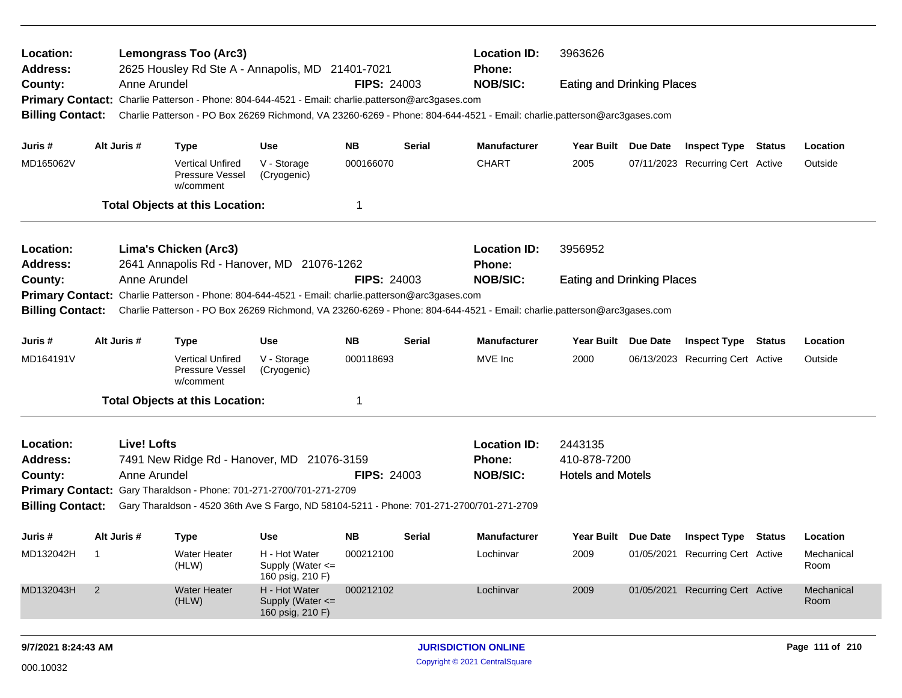| Location:<br>Address:        |                                                | <b>Location ID:</b><br>3963626<br><b>Lemongrass Too (Arc3)</b><br>2625 Housley Rd Ste A - Annapolis, MD 21401-7021<br><b>Phone:</b><br><b>NOB/SIC:</b><br>Anne Arundel<br><b>FIPS: 24003</b><br><b>Eating and Drinking Places</b> |                                                                                                   |                                                           |                    |               |                                                                                                                         |                                   |  |                                                                                                                                                                                                                                                                                                                          |  |          |  |  |  |
|------------------------------|------------------------------------------------|-----------------------------------------------------------------------------------------------------------------------------------------------------------------------------------------------------------------------------------|---------------------------------------------------------------------------------------------------|-----------------------------------------------------------|--------------------|---------------|-------------------------------------------------------------------------------------------------------------------------|-----------------------------------|--|--------------------------------------------------------------------------------------------------------------------------------------------------------------------------------------------------------------------------------------------------------------------------------------------------------------------------|--|----------|--|--|--|
| County:                      |                                                |                                                                                                                                                                                                                                   |                                                                                                   |                                                           |                    |               |                                                                                                                         |                                   |  |                                                                                                                                                                                                                                                                                                                          |  |          |  |  |  |
|                              |                                                |                                                                                                                                                                                                                                   | Primary Contact: Charlie Patterson - Phone: 804-644-4521 - Email: charlie.patterson@arc3gases.com |                                                           |                    |               |                                                                                                                         |                                   |  |                                                                                                                                                                                                                                                                                                                          |  |          |  |  |  |
| <b>Billing Contact:</b>      |                                                |                                                                                                                                                                                                                                   |                                                                                                   |                                                           |                    |               | Charlie Patterson - PO Box 26269 Richmond, VA 23260-6269 - Phone: 804-644-4521 - Email: charlie.patterson@arc3gases.com |                                   |  |                                                                                                                                                                                                                                                                                                                          |  |          |  |  |  |
| Juris #                      |                                                | Alt Juris #                                                                                                                                                                                                                       | <b>Type</b>                                                                                       | Use                                                       | <b>NB</b>          | <b>Serial</b> | <b>Manufacturer</b>                                                                                                     | Year Built Due Date               |  |                                                                                                                                                                                                                                                                                                                          |  | Location |  |  |  |
| MD165062V                    |                                                |                                                                                                                                                                                                                                   | <b>Vertical Unfired</b><br>Pressure Vessel<br>w/comment                                           | V - Storage<br>(Cryogenic)                                | 000166070          |               | <b>CHART</b>                                                                                                            | 2005                              |  |                                                                                                                                                                                                                                                                                                                          |  | Outside  |  |  |  |
|                              |                                                |                                                                                                                                                                                                                                   | <b>Total Objects at this Location:</b>                                                            |                                                           | -1                 |               |                                                                                                                         |                                   |  |                                                                                                                                                                                                                                                                                                                          |  |          |  |  |  |
|                              |                                                |                                                                                                                                                                                                                                   |                                                                                                   |                                                           |                    |               |                                                                                                                         |                                   |  |                                                                                                                                                                                                                                                                                                                          |  |          |  |  |  |
| Location:<br><b>Address:</b> |                                                |                                                                                                                                                                                                                                   | Lima's Chicken (Arc3)<br>2641 Annapolis Rd - Hanover, MD 21076-1262                               |                                                           |                    |               | <b>Location ID:</b><br><b>Phone:</b>                                                                                    | 3956952                           |  | <b>Inspect Type Status</b><br>07/11/2023 Recurring Cert Active<br><b>Inspect Type</b><br>Location<br>Status<br>06/13/2023 Recurring Cert Active<br>Outside<br><b>Inspect Type Status</b><br>Location<br>01/05/2021 Recurring Cert Active<br>Mechanical<br>Room<br>01/05/2021 Recurring Cert Active<br>Mechanical<br>Room |  |          |  |  |  |
| County:                      |                                                | Anne Arundel                                                                                                                                                                                                                      |                                                                                                   |                                                           | <b>FIPS: 24003</b> |               | <b>NOB/SIC:</b>                                                                                                         | <b>Eating and Drinking Places</b> |  |                                                                                                                                                                                                                                                                                                                          |  |          |  |  |  |
|                              |                                                |                                                                                                                                                                                                                                   | Primary Contact: Charlie Patterson - Phone: 804-644-4521 - Email: charlie.patterson@arc3gases.com |                                                           |                    |               |                                                                                                                         |                                   |  |                                                                                                                                                                                                                                                                                                                          |  |          |  |  |  |
| <b>Billing Contact:</b>      |                                                |                                                                                                                                                                                                                                   |                                                                                                   |                                                           |                    |               | Charlie Patterson - PO Box 26269 Richmond, VA 23260-6269 - Phone: 804-644-4521 - Email: charlie.patterson@arc3gases.com |                                   |  |                                                                                                                                                                                                                                                                                                                          |  |          |  |  |  |
| Juris #                      | Alt Juris #<br><b>NB</b><br>Use<br><b>Type</b> |                                                                                                                                                                                                                                   |                                                                                                   |                                                           |                    | <b>Serial</b> | <b>Manufacturer</b>                                                                                                     | Year Built Due Date               |  |                                                                                                                                                                                                                                                                                                                          |  |          |  |  |  |
| MD164191V                    |                                                |                                                                                                                                                                                                                                   | <b>Vertical Unfired</b><br>Pressure Vessel<br>w/comment                                           | V - Storage<br>(Cryogenic)                                | 000118693          |               | MVE Inc                                                                                                                 | 2000                              |  |                                                                                                                                                                                                                                                                                                                          |  |          |  |  |  |
|                              |                                                |                                                                                                                                                                                                                                   | <b>Total Objects at this Location:</b>                                                            |                                                           | -1                 |               |                                                                                                                         |                                   |  |                                                                                                                                                                                                                                                                                                                          |  |          |  |  |  |
| Location:                    |                                                | <b>Live! Lofts</b>                                                                                                                                                                                                                |                                                                                                   |                                                           |                    |               | <b>Location ID:</b>                                                                                                     | 2443135                           |  |                                                                                                                                                                                                                                                                                                                          |  |          |  |  |  |
| <b>Address:</b>              |                                                |                                                                                                                                                                                                                                   | 7491 New Ridge Rd - Hanover, MD 21076-3159                                                        |                                                           |                    |               | Phone:                                                                                                                  | 410-878-7200                      |  |                                                                                                                                                                                                                                                                                                                          |  |          |  |  |  |
| County:                      |                                                | Anne Arundel                                                                                                                                                                                                                      |                                                                                                   |                                                           | <b>FIPS: 24003</b> |               | <b>NOB/SIC:</b>                                                                                                         | <b>Hotels and Motels</b>          |  |                                                                                                                                                                                                                                                                                                                          |  |          |  |  |  |
|                              |                                                |                                                                                                                                                                                                                                   | Primary Contact: Gary Tharaldson - Phone: 701-271-2700/701-271-2709                               |                                                           |                    |               |                                                                                                                         |                                   |  |                                                                                                                                                                                                                                                                                                                          |  |          |  |  |  |
| <b>Billing Contact:</b>      |                                                |                                                                                                                                                                                                                                   | Gary Tharaldson - 4520 36th Ave S Fargo, ND 58104-5211 - Phone: 701-271-2700/701-271-2709         |                                                           |                    |               |                                                                                                                         |                                   |  |                                                                                                                                                                                                                                                                                                                          |  |          |  |  |  |
| Juris #                      |                                                | Alt Juris #                                                                                                                                                                                                                       | <b>Type</b>                                                                                       | Use                                                       | <b>NB</b>          | <b>Serial</b> | <b>Manufacturer</b>                                                                                                     | Year Built Due Date               |  |                                                                                                                                                                                                                                                                                                                          |  |          |  |  |  |
| MD132042H                    | $\overline{1}$                                 |                                                                                                                                                                                                                                   | Water Heater<br>(HLW)                                                                             | H - Hot Water<br>Supply (Water <=<br>160 psig, 210 F)     | 000212100          |               | Lochinvar                                                                                                               | 2009                              |  |                                                                                                                                                                                                                                                                                                                          |  |          |  |  |  |
| MD132043H                    | $\overline{2}$                                 |                                                                                                                                                                                                                                   | <b>Water Heater</b><br>(HLW)                                                                      | H - Hot Water<br>Supply (Water $\leq$<br>160 psig, 210 F) | 000212102          |               | Lochinvar                                                                                                               | 2009                              |  |                                                                                                                                                                                                                                                                                                                          |  |          |  |  |  |
|                              |                                                |                                                                                                                                                                                                                                   |                                                                                                   |                                                           |                    |               |                                                                                                                         |                                   |  |                                                                                                                                                                                                                                                                                                                          |  |          |  |  |  |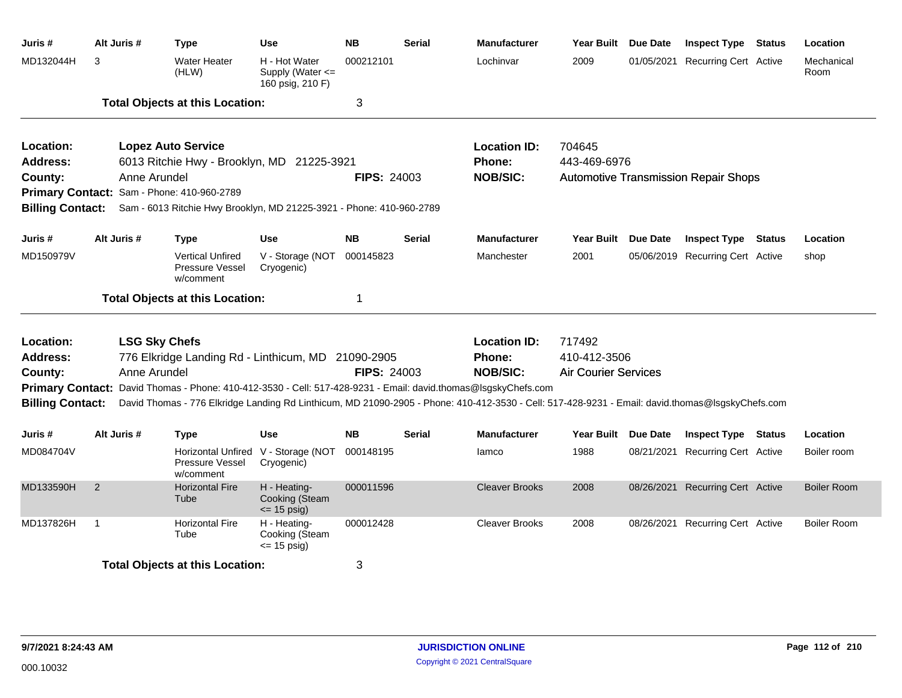| Juris #                 | Alt Juris #  | <b>Type</b>                                                          | Use                                                   | <b>NB</b>          | <b>Serial</b> | <b>Manufacturer</b>                                                                                                                              | Year Built Due Date         |                 | <b>Inspect Type Status</b>                  |        | Location           |
|-------------------------|--------------|----------------------------------------------------------------------|-------------------------------------------------------|--------------------|---------------|--------------------------------------------------------------------------------------------------------------------------------------------------|-----------------------------|-----------------|---------------------------------------------|--------|--------------------|
| MD132044H               | 3            | <b>Water Heater</b><br>(HLW)                                         | H - Hot Water<br>Supply (Water <=<br>160 psig, 210 F) | 000212101          |               | Lochinvar                                                                                                                                        | 2009                        |                 | 01/05/2021 Recurring Cert Active            |        | Mechanical<br>Room |
|                         |              | <b>Total Objects at this Location:</b>                               |                                                       | 3                  |               |                                                                                                                                                  |                             |                 |                                             |        |                    |
| Location:               |              | <b>Lopez Auto Service</b>                                            |                                                       |                    |               | <b>Location ID:</b>                                                                                                                              | 704645                      |                 |                                             |        |                    |
| <b>Address:</b>         |              | 6013 Ritchie Hwy - Brooklyn, MD 21225-3921                           |                                                       |                    |               | Phone:                                                                                                                                           | 443-469-6976                |                 |                                             |        |                    |
| County:                 | Anne Arundel |                                                                      |                                                       | <b>FIPS: 24003</b> |               | <b>NOB/SIC:</b>                                                                                                                                  |                             |                 | <b>Automotive Transmission Repair Shops</b> |        |                    |
|                         |              | Primary Contact: Sam - Phone: 410-960-2789                           |                                                       |                    |               |                                                                                                                                                  |                             |                 |                                             |        |                    |
| <b>Billing Contact:</b> |              | Sam - 6013 Ritchie Hwy Brooklyn, MD 21225-3921 - Phone: 410-960-2789 |                                                       |                    |               |                                                                                                                                                  |                             |                 |                                             |        |                    |
| Juris #                 | Alt Juris #  | <b>Type</b>                                                          | <b>Use</b>                                            | <b>NB</b>          | Serial        | <b>Manufacturer</b>                                                                                                                              | <b>Year Built</b>           | <b>Due Date</b> | <b>Inspect Type</b>                         | Status | Location           |
| MD150979V               |              | <b>Vertical Unfired</b><br>Pressure Vessel<br>w/comment              | V - Storage (NOT<br>Cryogenic)                        | 000145823          |               | Manchester                                                                                                                                       | 2001                        |                 | 05/06/2019 Recurring Cert Active            |        | shop               |
|                         |              | <b>Total Objects at this Location:</b>                               |                                                       | -1                 |               |                                                                                                                                                  |                             |                 |                                             |        |                    |
| Location:               |              | <b>LSG Sky Chefs</b>                                                 |                                                       |                    |               | <b>Location ID:</b>                                                                                                                              | 717492                      |                 |                                             |        |                    |
| <b>Address:</b>         |              | 776 Elkridge Landing Rd - Linthicum, MD 21090-2905                   |                                                       |                    |               | <b>Phone:</b>                                                                                                                                    | 410-412-3506                |                 |                                             |        |                    |
| County:                 | Anne Arundel |                                                                      |                                                       | <b>FIPS: 24003</b> |               | <b>NOB/SIC:</b>                                                                                                                                  | <b>Air Courier Services</b> |                 |                                             |        |                    |
|                         |              |                                                                      |                                                       |                    |               | Primary Contact: David Thomas - Phone: 410-412-3530 - Cell: 517-428-9231 - Email: david.thomas@lsgskyChefs.com                                   |                             |                 |                                             |        |                    |
| <b>Billing Contact:</b> |              |                                                                      |                                                       |                    |               | David Thomas - 776 Elkridge Landing Rd Linthicum, MD 21090-2905 - Phone: 410-412-3530 - Cell: 517-428-9231 - Email: david.thomas@lsgskyChefs.com |                             |                 |                                             |        |                    |
| Juris #                 | Alt Juris #  | <b>Type</b>                                                          | <b>Use</b>                                            | <b>NB</b>          | <b>Serial</b> | <b>Manufacturer</b>                                                                                                                              | Year Built Due Date         |                 | <b>Inspect Type Status</b>                  |        | Location           |
| MD084704V               |              | Pressure Vessel<br>w/comment                                         | Horizontal Unfired V - Storage (NOT<br>Cryogenic)     | 000148195          |               | lamco                                                                                                                                            | 1988                        |                 | 08/21/2021 Recurring Cert Active            |        | Boiler room        |
| MD133590H               | 2            | <b>Horizontal Fire</b><br>Tube                                       | H - Heating-<br>Cooking (Steam<br>$\le$ 15 psig)      | 000011596          |               | <b>Cleaver Brooks</b>                                                                                                                            | 2008                        |                 | 08/26/2021 Recurring Cert Active            |        | <b>Boiler Room</b> |
| MD137826H               | $\mathbf 1$  | <b>Horizontal Fire</b><br>Tube                                       | H - Heating-<br>Cooking (Steam<br>$= 15$ psig)        | 000012428          |               | <b>Cleaver Brooks</b>                                                                                                                            | 2008                        |                 | 08/26/2021 Recurring Cert Active            |        | <b>Boiler Room</b> |
|                         |              | <b>Total Objects at this Location:</b>                               |                                                       | 3                  |               |                                                                                                                                                  |                             |                 |                                             |        |                    |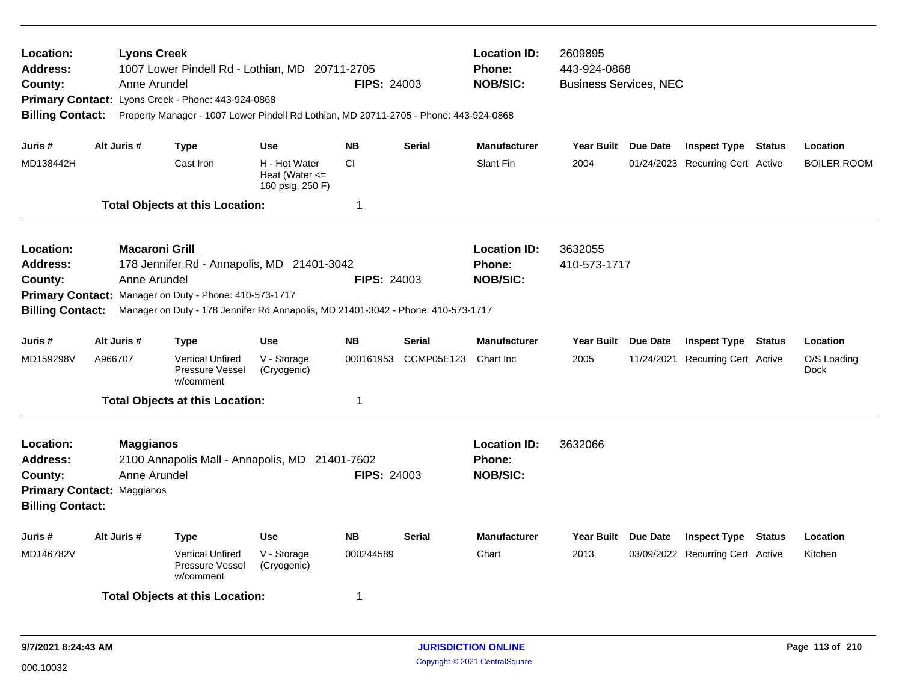| Location:<br><b>Address:</b><br>County:<br><b>Billing Contact:</b>                                                                                                                                                                                                                                                            |             | <b>Lyons Creek</b><br>Anne Arundel | 1007 Lower Pindell Rd - Lothian, MD 20711-2705<br>Primary Contact: Lyons Creek - Phone: 443-924-0868<br>Property Manager - 1007 Lower Pindell Rd Lothian, MD 20711-2705 - Phone: 443-924-0868 |                                                         | <b>FIPS: 24003</b> |               | <b>Location ID:</b><br>Phone:<br><b>NOB/SIC:</b>        | 2609895<br>443-924-0868<br><b>Business Services, NEC</b> |  |                                  |        |                     |  |
|-------------------------------------------------------------------------------------------------------------------------------------------------------------------------------------------------------------------------------------------------------------------------------------------------------------------------------|-------------|------------------------------------|-----------------------------------------------------------------------------------------------------------------------------------------------------------------------------------------------|---------------------------------------------------------|--------------------|---------------|---------------------------------------------------------|----------------------------------------------------------|--|----------------------------------|--------|---------------------|--|
| Juris #                                                                                                                                                                                                                                                                                                                       | Alt Juris # |                                    | <b>Type</b>                                                                                                                                                                                   | <b>Use</b>                                              | <b>NB</b>          | <b>Serial</b> | <b>Manufacturer</b>                                     | Year Built Due Date                                      |  | <b>Inspect Type Status</b>       |        | Location            |  |
| MD138442H                                                                                                                                                                                                                                                                                                                     |             |                                    | Cast Iron                                                                                                                                                                                     | H - Hot Water<br>Heat (Water $\leq$<br>160 psig, 250 F) | <b>CI</b>          |               | Slant Fin                                               | 2004                                                     |  | 01/24/2023 Recurring Cert Active |        | <b>BOILER ROOM</b>  |  |
|                                                                                                                                                                                                                                                                                                                               |             |                                    | <b>Total Objects at this Location:</b>                                                                                                                                                        |                                                         | $\mathbf{1}$       |               |                                                         |                                                          |  |                                  |        |                     |  |
| Location:<br><b>Macaroni Grill</b><br><b>Address:</b><br>178 Jennifer Rd - Annapolis, MD 21401-3042<br>County:<br>Anne Arundel<br><b>FIPS: 24003</b><br>Primary Contact: Manager on Duty - Phone: 410-573-1717<br><b>Billing Contact:</b><br>Manager on Duty - 178 Jennifer Rd Annapolis, MD 21401-3042 - Phone: 410-573-1717 |             |                                    |                                                                                                                                                                                               |                                                         |                    |               | <b>Location ID:</b><br><b>Phone:</b><br><b>NOB/SIC:</b> | 3632055<br>410-573-1717                                  |  |                                  |        |                     |  |
| Juris #                                                                                                                                                                                                                                                                                                                       |             | Alt Juris #                        | <b>Type</b>                                                                                                                                                                                   | <b>Use</b>                                              | <b>NB</b>          | <b>Serial</b> | <b>Manufacturer</b>                                     | Year Built Due Date                                      |  | <b>Inspect Type Status</b>       |        | Location            |  |
| MD159298V                                                                                                                                                                                                                                                                                                                     | A966707     |                                    | <b>Vertical Unfired</b><br><b>Pressure Vessel</b><br>w/comment                                                                                                                                | V - Storage<br>(Cryogenic)                              | 000161953          | CCMP05E123    | Chart Inc                                               | 2005                                                     |  | 11/24/2021 Recurring Cert Active |        | O/S Loading<br>Dock |  |
|                                                                                                                                                                                                                                                                                                                               |             |                                    | <b>Total Objects at this Location:</b>                                                                                                                                                        |                                                         | $\mathbf 1$        |               |                                                         |                                                          |  |                                  |        |                     |  |
| Location:<br><b>Maggianos</b><br>Address:<br>2100 Annapolis Mall - Annapolis, MD 21401-7602<br><b>FIPS: 24003</b><br>Anne Arundel<br>County:<br><b>Primary Contact: Maggianos</b><br><b>Billing Contact:</b>                                                                                                                  |             |                                    |                                                                                                                                                                                               |                                                         |                    |               | <b>Location ID:</b><br><b>Phone:</b><br><b>NOB/SIC:</b> | 3632066                                                  |  |                                  |        |                     |  |
| Juris #                                                                                                                                                                                                                                                                                                                       |             | Alt Juris #                        | Type                                                                                                                                                                                          | <b>Use</b>                                              | <b>NB</b>          | <b>Serial</b> | <b>Manufacturer</b>                                     | Year Built Due Date                                      |  | <b>Inspect Type</b>              | Status | Location            |  |
| MD146782V                                                                                                                                                                                                                                                                                                                     |             |                                    | <b>Vertical Unfired</b><br>Pressure Vessel<br>w/comment                                                                                                                                       | V - Storage<br>(Cryogenic)                              | 000244589          |               | Chart                                                   | 2013                                                     |  | 03/09/2022 Recurring Cert Active |        | Kitchen             |  |
|                                                                                                                                                                                                                                                                                                                               |             |                                    | <b>Total Objects at this Location:</b>                                                                                                                                                        |                                                         | -1                 |               |                                                         |                                                          |  |                                  |        |                     |  |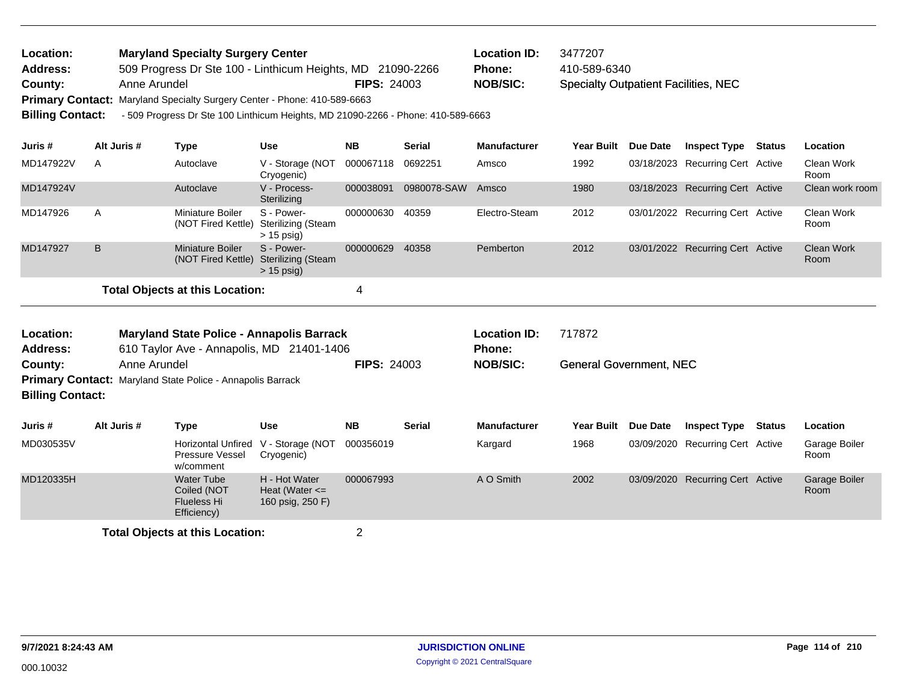| Location:       | <b>Maryland Specialty Surgery Center</b>                                 |                    | Location ID:    | 3477207                                     |
|-----------------|--------------------------------------------------------------------------|--------------------|-----------------|---------------------------------------------|
| <b>Address:</b> | 509 Progress Dr Ste 100 - Linthicum Heights, MD 21090-2266               |                    | <b>Phone:</b>   | 410-589-6340                                |
| County:         | Anne Arundel                                                             | <b>FIPS: 24003</b> | <b>NOB/SIC:</b> | <b>Specialty Outpatient Facilities, NEC</b> |
|                 | Primary Contact: Maryland Specialty Surgery Center - Phone: 410-589-6663 |                    |                 |                                             |

**Billing Contact:** - 509 Progress Dr Ste 100 Linthicum Heights, MD 21090-2266 - Phone: 410-589-6663

| Juris #                         | Alt Juris # | Type                                   | <b>Use</b>                                              | <b>NB</b> | <b>Serial</b> | <b>Manufacturer</b> | <b>Year Built</b> | Due Date | <b>Inspect Type</b>              | Status | <b>Location</b>           |
|---------------------------------|-------------|----------------------------------------|---------------------------------------------------------|-----------|---------------|---------------------|-------------------|----------|----------------------------------|--------|---------------------------|
| MD147922V                       | A           | Autoclave                              | V - Storage (NOT 000067118<br>Cryogenic)                |           | 0692251       | Amsco               | 1992              |          | 03/18/2023 Recurring Cert Active |        | Clean Work<br>Room        |
| MD147924V                       |             | Autoclave                              | V - Process-<br>Sterilizing                             | 000038091 | 0980078-SAW   | Amsco               | 1980              |          | 03/18/2023 Recurring Cert Active |        | Clean work room           |
| MD147926                        | A           | Miniature Boiler<br>(NOT Fired Kettle) | S - Power-<br>Sterilizing (Steam<br>$> 15$ psig)        | 000000630 | 40359         | Electro-Steam       | 2012              |          | 03/01/2022 Recurring Cert Active |        | Clean Work<br>Room        |
| MD147927                        | B.          | Miniature Boiler<br>(NOT Fired Kettle) | S - Power-<br><b>Sterilizing (Steam</b><br>$> 15$ psig) | 000000629 | 40358         | Pemberton           | 2012              |          | 03/01/2022 Recurring Cert Active |        | <b>Clean Work</b><br>Room |
| Total Objects at this Location: |             |                                        |                                                         |           |               |                     |                   |          |                                  |        |                           |

| Location:<br><b>Address:</b>       |              | <b>Maryland State Police - Annapolis Barrack</b><br>610 Taylor Ave - Annapolis, MD 21401-1406 |                                                         |                    |               | <b>Location ID:</b><br>Phone: | 717872                         |            |                                  |        |                       |
|------------------------------------|--------------|-----------------------------------------------------------------------------------------------|---------------------------------------------------------|--------------------|---------------|-------------------------------|--------------------------------|------------|----------------------------------|--------|-----------------------|
| County:<br><b>Billing Contact:</b> | Anne Arundel | <b>Primary Contact: Maryland State Police - Annapolis Barrack</b>                             |                                                         | <b>FIPS: 24003</b> |               | <b>NOB/SIC:</b>               | <b>General Government, NEC</b> |            |                                  |        |                       |
| Juris #                            | Alt Juris #  | Type                                                                                          | <b>Use</b>                                              | <b>NB</b>          | <b>Serial</b> | <b>Manufacturer</b>           | <b>Year Built</b>              | Due Date   | <b>Inspect Type</b>              | Status | <b>Location</b>       |
| MD030535V                          |              | <b>Horizontal Unfired</b><br><b>Pressure Vessel</b><br>w/comment                              | V - Storage (NOT<br>Cryogenic)                          | 000356019          |               | Kargard                       | 1968                           |            | 03/09/2020 Recurring Cert Active |        | Garage Boiler<br>Room |
| MD120335H                          |              | <b>Water Tube</b><br>Coiled (NOT<br><b>Flueless Hi</b><br>Efficiency)                         | H - Hot Water<br>Heat (Water $\leq$<br>160 psig, 250 F) | 000067993          |               | A O Smith                     | 2002                           | 03/09/2020 | <b>Recurring Cert Active</b>     |        | Garage Boiler<br>Room |
|                                    |              | <b>Total Objects at this Location:</b>                                                        |                                                         | 2                  |               |                               |                                |            |                                  |        |                       |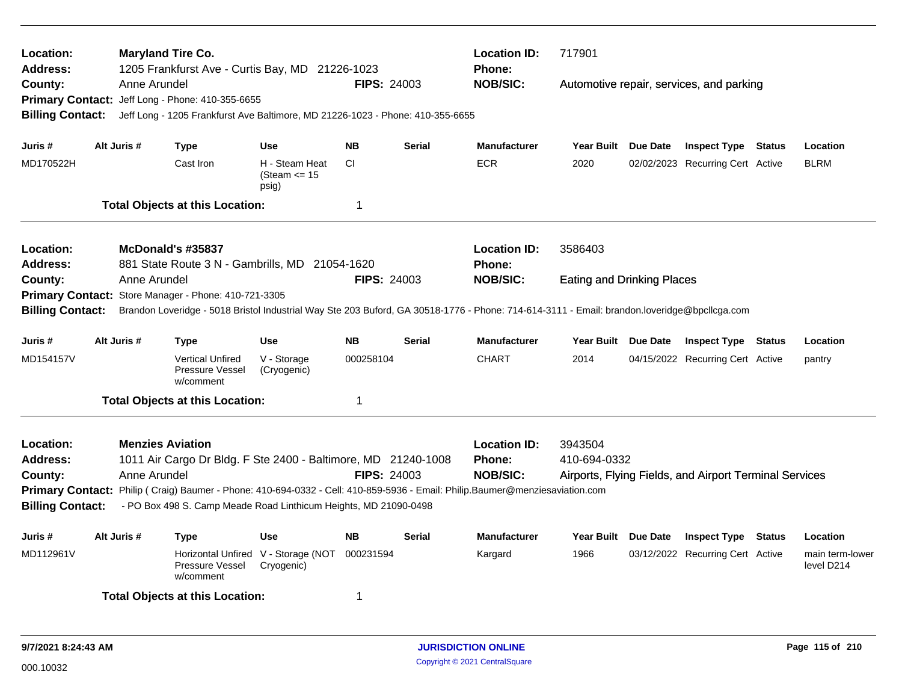| Location:<br><b>Address:</b>                       |  | <b>Maryland Tire Co.</b>          | 1205 Frankfurst Ave - Curtis Bay, MD 21226-1023                                                                                                                                 |                                                   |                    |               | <b>Location ID:</b><br><b>Phone:</b> | 717901                            |  |                                                        |               |                               |  |
|----------------------------------------------------|--|-----------------------------------|---------------------------------------------------------------------------------------------------------------------------------------------------------------------------------|---------------------------------------------------|--------------------|---------------|--------------------------------------|-----------------------------------|--|--------------------------------------------------------|---------------|-------------------------------|--|
| County:<br><b>Primary Contact:</b>                 |  | Anne Arundel                      | Jeff Long - Phone: 410-355-6655                                                                                                                                                 |                                                   | <b>FIPS: 24003</b> |               | <b>NOB/SIC:</b>                      |                                   |  | Automotive repair, services, and parking               |               |                               |  |
| <b>Billing Contact:</b>                            |  |                                   | Jeff Long - 1205 Frankfurst Ave Baltimore, MD 21226-1023 - Phone: 410-355-6655                                                                                                  |                                                   |                    |               |                                      |                                   |  |                                                        |               |                               |  |
| Juris #                                            |  | Alt Juris #                       | <b>Type</b>                                                                                                                                                                     | <b>Use</b>                                        | <b>NB</b>          | <b>Serial</b> | <b>Manufacturer</b>                  | Year Built Due Date               |  | <b>Inspect Type Status</b>                             |               | Location                      |  |
| MD170522H                                          |  |                                   | Cast Iron                                                                                                                                                                       | H - Steam Heat<br>(Steam $\le$ 15<br>psig)        | <b>CI</b>          |               | <b>ECR</b>                           | 2020                              |  | 02/02/2023 Recurring Cert Active                       |               | <b>BLRM</b>                   |  |
|                                                    |  |                                   | <b>Total Objects at this Location:</b>                                                                                                                                          |                                                   | 1                  |               |                                      |                                   |  |                                                        |               |                               |  |
| Location:                                          |  |                                   | McDonald's #35837                                                                                                                                                               |                                                   |                    |               | <b>Location ID:</b>                  | 3586403                           |  |                                                        |               |                               |  |
| <b>Address:</b><br>County:                         |  | Anne Arundel                      | 881 State Route 3 N - Gambrills, MD 21054-1620                                                                                                                                  |                                                   | <b>FIPS: 24003</b> |               | <b>Phone:</b><br><b>NOB/SIC:</b>     | <b>Eating and Drinking Places</b> |  |                                                        |               |                               |  |
| <b>Primary Contact:</b>                            |  |                                   | Store Manager - Phone: 410-721-3305                                                                                                                                             |                                                   |                    |               |                                      |                                   |  |                                                        |               |                               |  |
| <b>Billing Contact:</b>                            |  |                                   | Brandon Loveridge - 5018 Bristol Industrial Way Ste 203 Buford, GA 30518-1776 - Phone: 714-614-3111 - Email: brandon.loveridge@bpcllcga.com                                     |                                                   |                    |               |                                      |                                   |  |                                                        |               |                               |  |
| Juris #                                            |  | Alt Juris #<br><b>Use</b><br>Type |                                                                                                                                                                                 |                                                   | <b>NB</b>          | <b>Serial</b> | <b>Manufacturer</b>                  | Year Built Due Date               |  | <b>Inspect Type Status</b>                             |               | Location                      |  |
| MD154157V                                          |  |                                   | <b>Vertical Unfired</b><br>Pressure Vessel<br>w/comment                                                                                                                         | V - Storage<br>(Cryogenic)                        | 000258104          |               | <b>CHART</b>                         | 2014                              |  | 04/15/2022 Recurring Cert Active                       |               | pantry                        |  |
|                                                    |  |                                   | <b>Total Objects at this Location:</b>                                                                                                                                          |                                                   | 1                  |               |                                      |                                   |  |                                                        |               |                               |  |
| Location:                                          |  | <b>Menzies Aviation</b>           |                                                                                                                                                                                 |                                                   |                    |               | <b>Location ID:</b>                  | 3943504                           |  |                                                        |               |                               |  |
| <b>Address:</b>                                    |  |                                   | 1011 Air Cargo Dr Bldg. F Ste 2400 - Baltimore, MD 21240-1008                                                                                                                   |                                                   |                    |               | <b>Phone:</b>                        | 410-694-0332                      |  |                                                        |               |                               |  |
| County:                                            |  | Anne Arundel                      |                                                                                                                                                                                 |                                                   | <b>FIPS: 24003</b> |               | <b>NOB/SIC:</b>                      |                                   |  | Airports, Flying Fields, and Airport Terminal Services |               |                               |  |
| <b>Primary Contact:</b><br><b>Billing Contact:</b> |  |                                   | Philip (Craig) Baumer - Phone: 410-694-0332 - Cell: 410-859-5936 - Email: Philip.Baumer@menziesaviation.com<br>- PO Box 498 S. Camp Meade Road Linthicum Heights, MD 21090-0498 |                                                   |                    |               |                                      |                                   |  |                                                        |               |                               |  |
| Juris #                                            |  | Alt Juris #                       | Type                                                                                                                                                                            | <b>Use</b>                                        | <b>NB</b>          | <b>Serial</b> | <b>Manufacturer</b>                  | Year Built Due Date               |  | <b>Inspect Type</b>                                    | <b>Status</b> | Location                      |  |
| MD112961V                                          |  |                                   | Pressure Vessel<br>w/comment                                                                                                                                                    | Horizontal Unfired V - Storage (NOT<br>Cryogenic) | 000231594          |               | Kargard                              | 1966                              |  | 03/12/2022 Recurring Cert Active                       |               | main term-lower<br>level D214 |  |
|                                                    |  |                                   | <b>Total Objects at this Location:</b>                                                                                                                                          |                                                   | 1                  |               |                                      |                                   |  |                                                        |               |                               |  |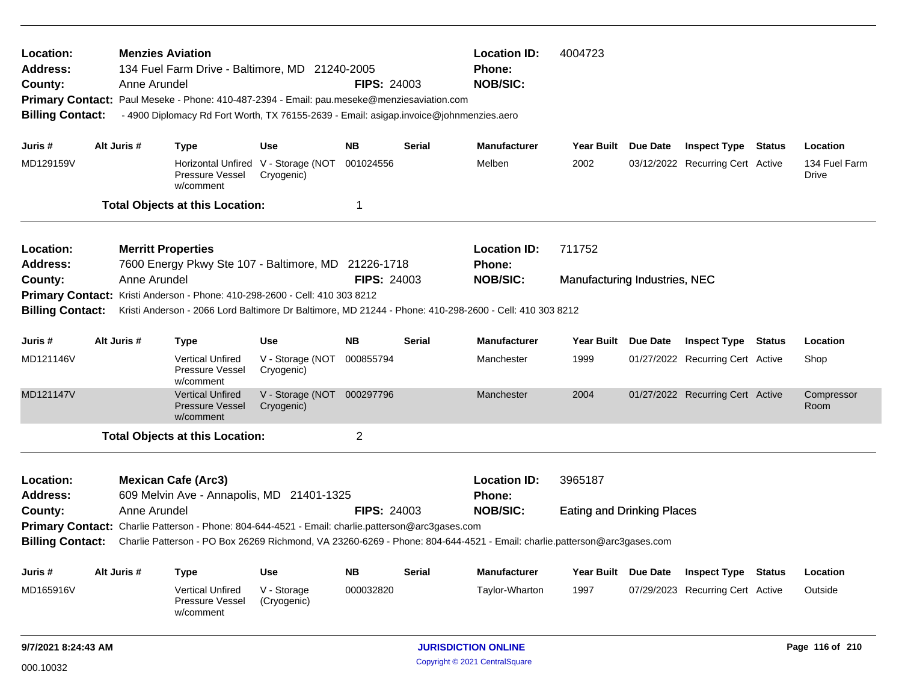| Location:<br><b>Address:</b><br>County:                                                                            | <b>Location ID:</b><br>4004723<br><b>Menzies Aviation</b><br>134 Fuel Farm Drive - Baltimore, MD 21240-2005<br><b>Phone:</b><br><b>FIPS: 24003</b><br><b>NOB/SIC:</b><br>Anne Arundel<br>Primary Contact: Paul Meseke - Phone: 410-487-2394 - Email: pau.meseke@menziesaviation.com<br><b>Billing Contact:</b><br>- 4900 Diplomacy Rd Fort Worth, TX 76155-2639 - Email: asigap.invoice@johnmenzies.aero |                                                                                                                         |                                                   |                    |                                               |                                                  |                                   |                 |                                  |  |                        |
|--------------------------------------------------------------------------------------------------------------------|----------------------------------------------------------------------------------------------------------------------------------------------------------------------------------------------------------------------------------------------------------------------------------------------------------------------------------------------------------------------------------------------------------|-------------------------------------------------------------------------------------------------------------------------|---------------------------------------------------|--------------------|-----------------------------------------------|--------------------------------------------------|-----------------------------------|-----------------|----------------------------------|--|------------------------|
| Juris #                                                                                                            | Alt Juris #                                                                                                                                                                                                                                                                                                                                                                                              | <b>Type</b>                                                                                                             | Use                                               | <b>NB</b>          | Serial                                        | <b>Manufacturer</b>                              | <b>Year Built</b>                 | Due Date        | <b>Inspect Type Status</b>       |  | Location               |
| MD129159V                                                                                                          |                                                                                                                                                                                                                                                                                                                                                                                                          | Pressure Vessel<br>w/comment                                                                                            | Horizontal Unfired V - Storage (NOT<br>Cryogenic) | 001024556          |                                               | Melben                                           | 2002                              |                 | 03/12/2022 Recurring Cert Active |  | 134 Fuel Farm<br>Drive |
|                                                                                                                    |                                                                                                                                                                                                                                                                                                                                                                                                          | <b>Total Objects at this Location:</b>                                                                                  |                                                   | 1                  |                                               |                                                  |                                   |                 |                                  |  |                        |
| Location:<br><b>Address:</b>                                                                                       | Anne Arundel                                                                                                                                                                                                                                                                                                                                                                                             | <b>Merritt Properties</b><br>7600 Energy Pkwy Ste 107 - Baltimore, MD 21226-1718                                        |                                                   | <b>FIPS: 24003</b> |                                               | <b>Location ID:</b><br>Phone:<br><b>NOB/SIC:</b> | 711752                            |                 |                                  |  |                        |
| County:                                                                                                            |                                                                                                                                                                                                                                                                                                                                                                                                          | Primary Contact: Kristi Anderson - Phone: 410-298-2600 - Cell: 410 303 8212                                             |                                                   |                    |                                               |                                                  | Manufacturing Industries, NEC     |                 |                                  |  |                        |
| <b>Billing Contact:</b>                                                                                            |                                                                                                                                                                                                                                                                                                                                                                                                          | Kristi Anderson - 2066 Lord Baltimore Dr Baltimore, MD 21244 - Phone: 410-298-2600 - Cell: 410 303 8212                 |                                                   |                    |                                               |                                                  |                                   |                 |                                  |  |                        |
| Alt Juris #<br><b>Serial</b><br><b>Manufacturer</b><br>Juris #<br><b>Type</b><br>Use<br>NB.<br>Year Built Due Date |                                                                                                                                                                                                                                                                                                                                                                                                          |                                                                                                                         |                                                   |                    |                                               |                                                  | <b>Inspect Type Status</b>        |                 | Location                         |  |                        |
| MD121146V                                                                                                          |                                                                                                                                                                                                                                                                                                                                                                                                          | <b>Vertical Unfired</b><br><b>Pressure Vessel</b><br>w/comment                                                          | V - Storage (NOT<br>Cryogenic)                    | 000855794          |                                               | Manchester                                       | 1999                              |                 | 01/27/2022 Recurring Cert Active |  | Shop                   |
| MD121147V                                                                                                          |                                                                                                                                                                                                                                                                                                                                                                                                          | <b>Vertical Unfired</b><br><b>Pressure Vessel</b><br>w/comment                                                          | V - Storage (NOT<br>Cryogenic)                    | 000297796          |                                               | Manchester                                       | 2004                              |                 | 01/27/2022 Recurring Cert Active |  | Compressor<br>Room     |
|                                                                                                                    |                                                                                                                                                                                                                                                                                                                                                                                                          | <b>Total Objects at this Location:</b>                                                                                  |                                                   | $\overline{2}$     |                                               |                                                  |                                   |                 |                                  |  |                        |
| Location:<br><b>Address:</b>                                                                                       |                                                                                                                                                                                                                                                                                                                                                                                                          | <b>Mexican Cafe (Arc3)</b><br>609 Melvin Ave - Annapolis, MD 21401-1325                                                 |                                                   |                    |                                               | <b>Location ID:</b><br>Phone:                    | 3965187                           |                 |                                  |  |                        |
| County:                                                                                                            | Anne Arundel                                                                                                                                                                                                                                                                                                                                                                                             |                                                                                                                         |                                                   | <b>FIPS: 24003</b> |                                               | <b>NOB/SIC:</b>                                  | <b>Eating and Drinking Places</b> |                 |                                  |  |                        |
|                                                                                                                    |                                                                                                                                                                                                                                                                                                                                                                                                          | Primary Contact: Charlie Patterson - Phone: 804-644-4521 - Email: charlie.patterson@arc3gases.com                       |                                                   |                    |                                               |                                                  |                                   |                 |                                  |  |                        |
| <b>Billing Contact:</b>                                                                                            |                                                                                                                                                                                                                                                                                                                                                                                                          | Charlie Patterson - PO Box 26269 Richmond, VA 23260-6269 - Phone: 804-644-4521 - Email: charlie.patterson@arc3gases.com |                                                   |                    |                                               |                                                  |                                   |                 |                                  |  |                        |
| Juris #                                                                                                            | Alt Juris #                                                                                                                                                                                                                                                                                                                                                                                              | <b>Type</b>                                                                                                             | Use                                               | <b>NB</b>          | Serial                                        | <b>Manufacturer</b>                              | Year Built                        | <b>Due Date</b> | <b>Inspect Type Status</b>       |  | Location               |
| MD165916V                                                                                                          |                                                                                                                                                                                                                                                                                                                                                                                                          | <b>Vertical Unfired</b><br>Pressure Vessel<br>w/comment                                                                 | V - Storage<br>(Cryogenic)                        | 000032820          |                                               | Taylor-Wharton                                   | 1997                              |                 | 07/29/2023 Recurring Cert Active |  | Outside                |
| 9/7/2021 8:24:43 AM                                                                                                |                                                                                                                                                                                                                                                                                                                                                                                                          |                                                                                                                         |                                                   |                    | <b>JURISDICTION ONLINE</b><br>Page 116 of 210 |                                                  |                                   |                 |                                  |  |                        |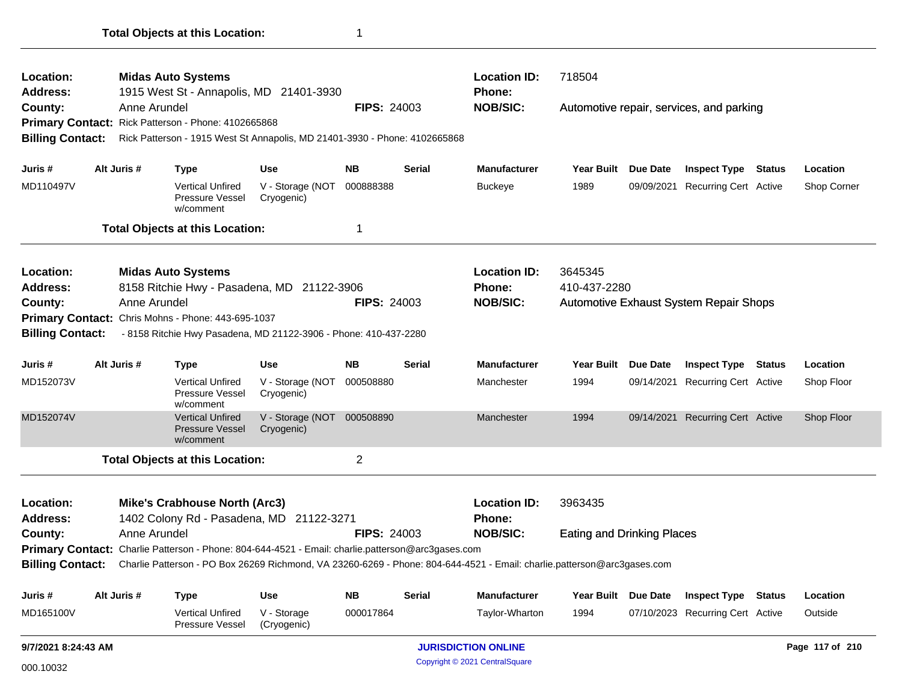| Location:               |                                                                                                   |              | <b>Midas Auto Systems</b>                                                  |                                |                     |               | <b>Location ID:</b>                                                                                                                      | 718504                            |                     | Automotive repair, services, and parking<br><b>Inspect Type Status</b><br>09/09/2021 Recurring Cert Active<br><b>Automotive Exhaust System Repair Shops</b><br><b>Inspect Type</b><br>Status<br>09/14/2021 Recurring Cert Active<br>09/14/2021 Recurring Cert Active |  |                 |
|-------------------------|---------------------------------------------------------------------------------------------------|--------------|----------------------------------------------------------------------------|--------------------------------|---------------------|---------------|------------------------------------------------------------------------------------------------------------------------------------------|-----------------------------------|---------------------|----------------------------------------------------------------------------------------------------------------------------------------------------------------------------------------------------------------------------------------------------------------------|--|-----------------|
| <b>Address:</b>         |                                                                                                   |              | 1915 West St - Annapolis, MD 21401-3930                                    |                                |                     |               | <b>Phone:</b>                                                                                                                            |                                   |                     |                                                                                                                                                                                                                                                                      |  |                 |
| County:                 |                                                                                                   | Anne Arundel |                                                                            |                                | <b>FIPS: 24003</b>  |               | <b>NOB/SIC:</b>                                                                                                                          |                                   |                     |                                                                                                                                                                                                                                                                      |  |                 |
|                         |                                                                                                   |              | Primary Contact: Rick Patterson - Phone: 4102665868                        |                                |                     |               |                                                                                                                                          |                                   |                     |                                                                                                                                                                                                                                                                      |  |                 |
| <b>Billing Contact:</b> |                                                                                                   |              | Rick Patterson - 1915 West St Annapolis, MD 21401-3930 - Phone: 4102665868 |                                |                     |               |                                                                                                                                          |                                   |                     |                                                                                                                                                                                                                                                                      |  |                 |
| Juris #                 |                                                                                                   | Alt Juris #  | <b>Type</b>                                                                | <b>Use</b>                     | <b>NB</b>           | <b>Serial</b> | <b>Manufacturer</b>                                                                                                                      | <b>Year Built</b>                 | Due Date            |                                                                                                                                                                                                                                                                      |  | Location        |
| MD110497V               |                                                                                                   |              | <b>Vertical Unfired</b><br>Pressure Vessel<br>w/comment                    | V - Storage (NOT<br>Cryogenic) | 000888388           |               | <b>Buckeye</b>                                                                                                                           | 1989                              |                     |                                                                                                                                                                                                                                                                      |  | Shop Corner     |
|                         |                                                                                                   |              | <b>Total Objects at this Location:</b>                                     |                                | 1                   |               |                                                                                                                                          |                                   |                     |                                                                                                                                                                                                                                                                      |  |                 |
| Location:               |                                                                                                   |              | <b>Midas Auto Systems</b>                                                  |                                |                     |               | <b>Location ID:</b>                                                                                                                      | 3645345                           |                     |                                                                                                                                                                                                                                                                      |  |                 |
| <b>Address:</b>         |                                                                                                   |              | 8158 Ritchie Hwy - Pasadena, MD 21122-3906                                 |                                |                     |               | <b>Phone:</b>                                                                                                                            | 410-437-2280                      |                     |                                                                                                                                                                                                                                                                      |  |                 |
| County:                 |                                                                                                   | Anne Arundel |                                                                            |                                | <b>FIPS: 24003</b>  |               | <b>NOB/SIC:</b>                                                                                                                          |                                   |                     |                                                                                                                                                                                                                                                                      |  |                 |
|                         |                                                                                                   |              | Primary Contact: Chris Mohns - Phone: 443-695-1037                         |                                |                     |               |                                                                                                                                          |                                   |                     |                                                                                                                                                                                                                                                                      |  |                 |
| <b>Billing Contact:</b> |                                                                                                   |              | - 8158 Ritchie Hwy Pasadena, MD 21122-3906 - Phone: 410-437-2280           |                                |                     |               |                                                                                                                                          |                                   |                     |                                                                                                                                                                                                                                                                      |  |                 |
| Juris #                 | Alt Juris #<br><b>NB</b><br><b>Use</b><br><b>Type</b>                                             |              |                                                                            | Serial                         | <b>Manufacturer</b> | Year Built    | Due Date                                                                                                                                 |                                   |                     | Location                                                                                                                                                                                                                                                             |  |                 |
| MD152073V               |                                                                                                   |              | <b>Vertical Unfired</b><br><b>Pressure Vessel</b><br>w/comment             | V - Storage (NOT<br>Cryogenic) | 000508880           |               | Manchester                                                                                                                               | 1994                              |                     |                                                                                                                                                                                                                                                                      |  | Shop Floor      |
| MD152074V               |                                                                                                   |              | <b>Vertical Unfired</b><br>Pressure Vessel<br>w/comment                    | V - Storage (NOT<br>Cryogenic) | 000508890           |               | Manchester                                                                                                                               | 1994                              |                     |                                                                                                                                                                                                                                                                      |  | Shop Floor      |
|                         |                                                                                                   |              | <b>Total Objects at this Location:</b>                                     |                                | $\overline{2}$      |               |                                                                                                                                          |                                   |                     |                                                                                                                                                                                                                                                                      |  |                 |
| Location:               |                                                                                                   |              | <b>Mike's Crabhouse North (Arc3)</b>                                       |                                |                     |               | <b>Location ID:</b>                                                                                                                      | 3963435                           |                     |                                                                                                                                                                                                                                                                      |  |                 |
| <b>Address:</b>         |                                                                                                   |              |                                                                            |                                |                     |               | <b>Phone:</b>                                                                                                                            |                                   |                     |                                                                                                                                                                                                                                                                      |  |                 |
| County:                 | 1402 Colony Rd - Pasadena, MD 21122-3271<br>Anne Arundel<br><b>FIPS: 24003</b>                    |              |                                                                            |                                |                     |               | <b>NOB/SIC:</b>                                                                                                                          | <b>Eating and Drinking Places</b> |                     |                                                                                                                                                                                                                                                                      |  |                 |
|                         | Primary Contact: Charlie Patterson - Phone: 804-644-4521 - Email: charlie.patterson@arc3gases.com |              |                                                                            |                                |                     |               |                                                                                                                                          |                                   |                     |                                                                                                                                                                                                                                                                      |  |                 |
|                         |                                                                                                   |              |                                                                            |                                |                     |               | Billing Contact: Charlie Patterson - PO Box 26269 Richmond, VA 23260-6269 - Phone: 804-644-4521 - Email: charlie.patterson@arc3gases.com |                                   |                     |                                                                                                                                                                                                                                                                      |  |                 |
| Juris #                 |                                                                                                   | Alt Juris #  | Type                                                                       | <b>Use</b>                     | <b>NB</b>           | <b>Serial</b> | <b>Manufacturer</b>                                                                                                                      |                                   | Year Built Due Date | <b>Inspect Type Status</b>                                                                                                                                                                                                                                           |  | Location        |
| MD165100V               |                                                                                                   |              | <b>Vertical Unfired</b><br>Pressure Vessel                                 | V - Storage<br>(Cryogenic)     | 000017864           |               | Taylor-Wharton                                                                                                                           | 1994                              |                     | 07/10/2023 Recurring Cert Active                                                                                                                                                                                                                                     |  | Outside         |
|                         | 9/7/2021 8:24:43 AM                                                                               |              |                                                                            |                                |                     |               | <b>JURISDICTION ONLINE</b>                                                                                                               |                                   |                     |                                                                                                                                                                                                                                                                      |  | Page 117 of 210 |

**Total Objects at this Location:** 1

Copyright © 2021 CentralSquare 000.10032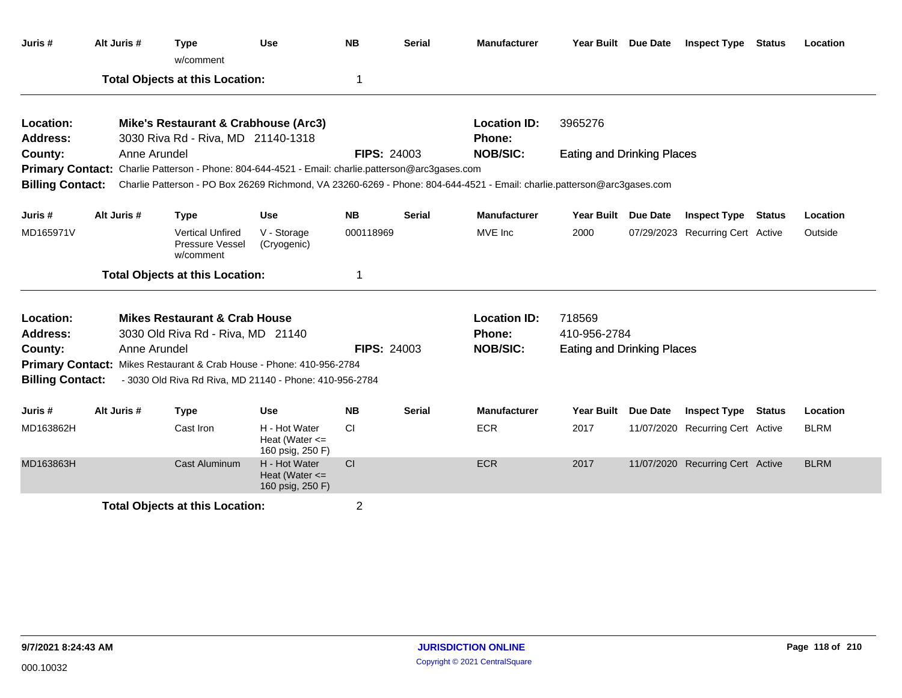| Juris #                 | Alt Juris #                            | <b>Type</b><br>w/comment                                                                                 | <b>Use</b>                                              | <b>NB</b>          | <b>Serial</b> | <b>Manufacturer</b>                                                                                                                      |                                   | Year Built Due Date | <b>Inspect Type</b>              | Status        | Location    |
|-------------------------|----------------------------------------|----------------------------------------------------------------------------------------------------------|---------------------------------------------------------|--------------------|---------------|------------------------------------------------------------------------------------------------------------------------------------------|-----------------------------------|---------------------|----------------------------------|---------------|-------------|
|                         |                                        | <b>Total Objects at this Location:</b>                                                                   |                                                         | 1                  |               |                                                                                                                                          |                                   |                     |                                  |               |             |
| Location:<br>Address:   |                                        | Mike's Restaurant & Crabhouse (Arc3)                                                                     |                                                         |                    |               | <b>Location ID:</b><br><b>Phone:</b>                                                                                                     | 3965276                           |                     |                                  |               |             |
| County:                 | Anne Arundel                           | 3030 Riva Rd - Riva, MD 21140-1318                                                                       |                                                         | <b>FIPS: 24003</b> |               | <b>NOB/SIC:</b>                                                                                                                          | <b>Eating and Drinking Places</b> |                     |                                  |               |             |
|                         |                                        | <b>Primary Contact:</b> Charlie Patterson - Phone: 804-644-4521 - Email: charlie.patterson@arc3gases.com |                                                         |                    |               |                                                                                                                                          |                                   |                     |                                  |               |             |
|                         |                                        |                                                                                                          |                                                         |                    |               | Billing Contact: Charlie Patterson - PO Box 26269 Richmond, VA 23260-6269 - Phone: 804-644-4521 - Email: charlie.patterson@arc3gases.com |                                   |                     |                                  |               |             |
| Juris #                 | Alt Juris #                            | <b>Type</b>                                                                                              | <b>Use</b>                                              | <b>NB</b>          | <b>Serial</b> | <b>Manufacturer</b>                                                                                                                      | <b>Year Built</b>                 | Due Date            | <b>Inspect Type</b>              | <b>Status</b> | Location    |
| MD165971V               |                                        | <b>Vertical Unfired</b><br>Pressure Vessel<br>w/comment                                                  | V - Storage<br>(Cryogenic)                              | 000118969          |               | MVE Inc                                                                                                                                  | 2000                              |                     | 07/29/2023 Recurring Cert Active |               | Outside     |
|                         |                                        | <b>Total Objects at this Location:</b>                                                                   |                                                         | 1                  |               |                                                                                                                                          |                                   |                     |                                  |               |             |
| Location:               |                                        | <b>Mikes Restaurant &amp; Crab House</b>                                                                 |                                                         |                    |               | <b>Location ID:</b>                                                                                                                      | 718569                            |                     |                                  |               |             |
| Address:                |                                        | 3030 Old Riva Rd - Riva, MD 21140                                                                        |                                                         |                    |               | <b>Phone:</b>                                                                                                                            | 410-956-2784                      |                     |                                  |               |             |
| County:                 | Anne Arundel                           |                                                                                                          |                                                         | <b>FIPS: 24003</b> |               | <b>NOB/SIC:</b>                                                                                                                          | <b>Eating and Drinking Places</b> |                     |                                  |               |             |
|                         |                                        | Primary Contact: Mikes Restaurant & Crab House - Phone: 410-956-2784                                     |                                                         |                    |               |                                                                                                                                          |                                   |                     |                                  |               |             |
| <b>Billing Contact:</b> |                                        | - 3030 Old Riva Rd Riva, MD 21140 - Phone: 410-956-2784                                                  |                                                         |                    |               |                                                                                                                                          |                                   |                     |                                  |               |             |
| Juris #                 | Alt Juris #                            | <b>Type</b>                                                                                              | <b>Use</b>                                              | <b>NB</b>          | <b>Serial</b> | <b>Manufacturer</b>                                                                                                                      | <b>Year Built</b>                 | <b>Due Date</b>     | <b>Inspect Type</b>              | <b>Status</b> | Location    |
| MD163862H               |                                        | Cast Iron                                                                                                | H - Hot Water<br>Heat (Water $\leq$<br>160 psig, 250 F) | <b>CI</b>          |               | <b>ECR</b>                                                                                                                               | 2017                              |                     | 11/07/2020 Recurring Cert Active |               | <b>BLRM</b> |
| MD163863H               |                                        | Cast Aluminum                                                                                            | H - Hot Water<br>Heat (Water $\leq$<br>160 psig, 250 F) | CI                 |               | <b>ECR</b>                                                                                                                               | 2017                              |                     | 11/07/2020 Recurring Cert Active |               | <b>BLRM</b> |
|                         | <b>Total Objects at this Location:</b> |                                                                                                          |                                                         |                    |               |                                                                                                                                          |                                   |                     |                                  |               |             |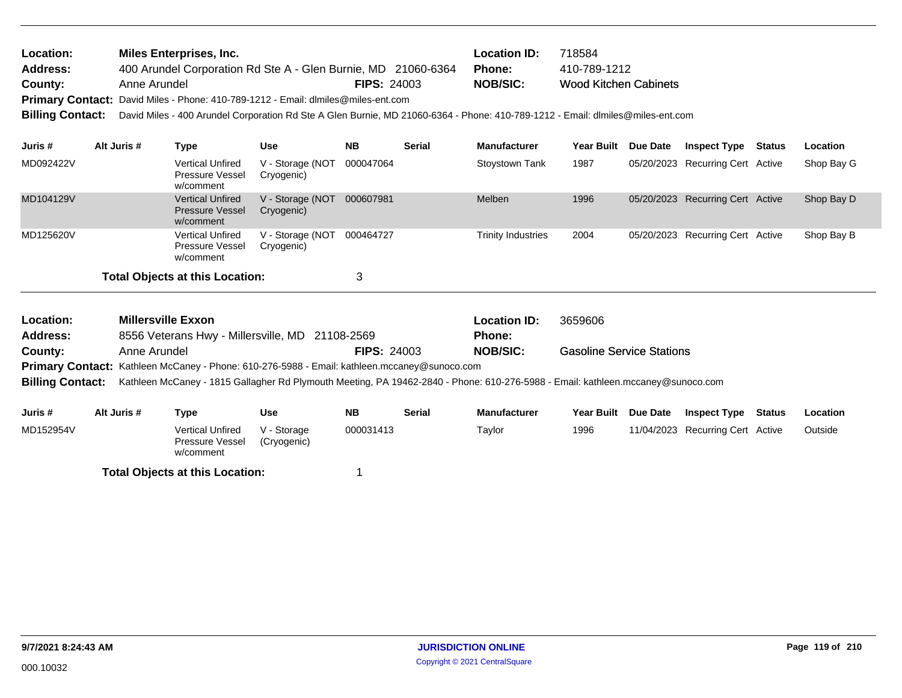| <b>Location:</b> | Miles Enterprises, Inc.                                                           |                    | <b>Location ID:</b> | 718584                       |
|------------------|-----------------------------------------------------------------------------------|--------------------|---------------------|------------------------------|
| <b>Address:</b>  | 400 Arundel Corporation Rd Ste A - Glen Burnie, MD 21060-6364                     |                    | Phone:              | 410-789-1212                 |
| County:          | Anne Arundel                                                                      | <b>FIPS: 24003</b> | NOB/SIC:            | <b>Wood Kitchen Cabinets</b> |
|                  | Primary Contact: David Miles - Phone: 410-789-1212 - Email: dlmiles@miles-ent.com |                    |                     |                              |

**Billing Contact:** David Miles - 400 Arundel Corporation Rd Ste A Glen Burnie, MD 21060-6364 - Phone: 410-789-1212 - Email: dlmiles@miles-ent.com

| Juris #   | Alt Juris # | Type                                                           | Use                            | <b>NB</b> | <b>Serial</b> | <b>Manufacturer</b>       | Year Built | Due Date | <b>Inspect Type</b>              | Status | <b>Location</b> |
|-----------|-------------|----------------------------------------------------------------|--------------------------------|-----------|---------------|---------------------------|------------|----------|----------------------------------|--------|-----------------|
| MD092422V |             | <b>Vertical Unfired</b><br>Pressure Vessel<br>w/comment        | V - Storage (NOT<br>Cryogenic) | 000047064 |               | Stoystown Tank            | 1987       |          | 05/20/2023 Recurring Cert Active |        | Shop Bay G      |
| MD104129V |             | <b>Vertical Unfired</b><br><b>Pressure Vessel</b><br>w/comment | V - Storage (NOT<br>Cryogenic) | 000607981 |               | Melben                    | 1996       |          | 05/20/2023 Recurring Cert Active |        | Shop Bay D      |
| MD125620V |             | <b>Vertical Unfired</b><br>Pressure Vessel<br>w/comment        | V - Storage (NOT<br>Cryogenic) | 000464727 |               | <b>Trinity Industries</b> | 2004       |          | 05/20/2023 Recurring Cert Active |        | Shop Bay B      |
|           |             | <b>Total Objects at this Location:</b>                         |                                | 3         |               |                           |            |          |                                  |        |                 |

| <b>Location:</b> | <b>Millersville Exxon</b>                                                                                                                        |            |           |                    | <b>Location ID:</b> | 3659606                          |                     |                     |        |          |
|------------------|--------------------------------------------------------------------------------------------------------------------------------------------------|------------|-----------|--------------------|---------------------|----------------------------------|---------------------|---------------------|--------|----------|
| <b>Address:</b>  | 8556 Veterans Hwy - Millersville, MD 21108-2569                                                                                                  |            |           |                    | <b>Phone:</b>       |                                  |                     |                     |        |          |
| County:          | Anne Arundel                                                                                                                                     |            |           | <b>FIPS: 24003</b> | <b>NOB/SIC:</b>     | <b>Gasoline Service Stations</b> |                     |                     |        |          |
|                  | <b>Primary Contact:</b> Kathleen McCaney - Phone: 610-276-5988 - Email: kathleen.mccaney@sunoco.com                                              |            |           |                    |                     |                                  |                     |                     |        |          |
|                  | Billing Contact: Kathleen McCaney - 1815 Gallagher Rd Plymouth Meeting, PA 19462-2840 - Phone: 610-276-5988 - Email: kathleen.mccaney@sunoco.com |            |           |                    |                     |                                  |                     |                     |        |          |
|                  |                                                                                                                                                  |            |           |                    |                     |                                  |                     |                     |        |          |
| Juris #          | Alt Juris #<br>Type                                                                                                                              | <b>Use</b> | <b>NB</b> | <b>Serial</b>      | <b>Manufacturer</b> |                                  | Year Built Due Date | <b>Inspect Type</b> | Status | Location |

| 501137    | $\pi$ il vulio $\pi$ | .                                                | vəc                        | .         | ישי | wana wa wa |      | <b>I call Dallie Date</b> | <b>UNDER THE STATE</b>           | LUUUNUII |
|-----------|----------------------|--------------------------------------------------|----------------------------|-----------|-----|------------|------|---------------------------|----------------------------------|----------|
| MD152954V |                      | Vertical Unfired<br>Pressure Vessel<br>w/comment | V - Storage<br>(Cryogenic) | 000031413 |     | Taylor     | 1996 |                           | 11/04/2023 Recurring Cert Active | Outside  |
|           |                      | <b>Total Objects at this Location:</b>           |                            |           |     |            |      |                           |                                  |          |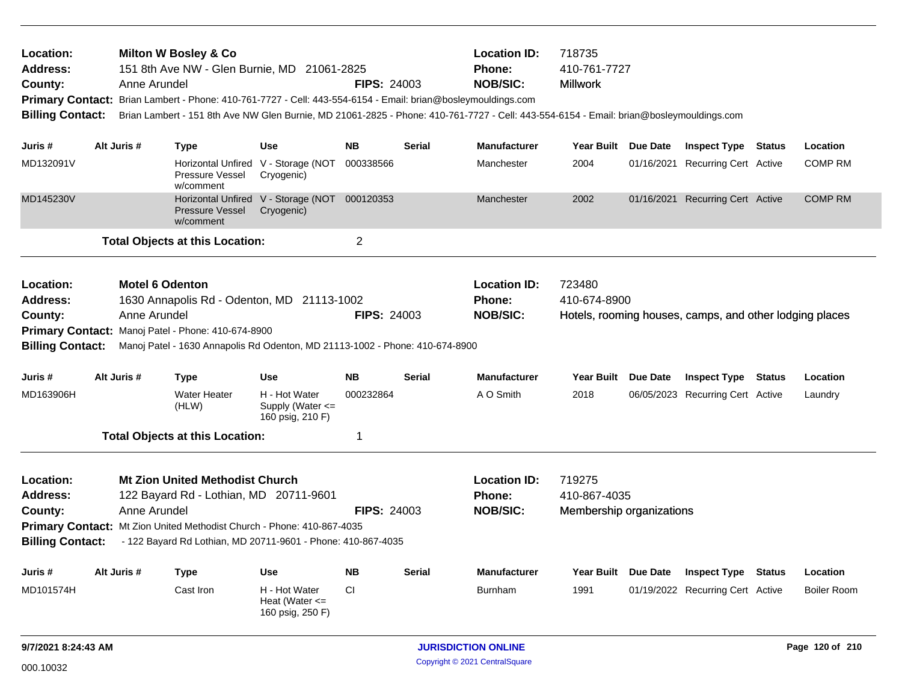| Location:<br><b>Address:</b><br>County:<br><b>Billing Contact:</b> |             | Anne Arundel                           | <b>Milton W Bosley &amp; Co</b><br>151 8th Ave NW - Glen Burnie, MD 21061-2825<br>Primary Contact: Brian Lambert - Phone: 410-761-7727 - Cell: 443-554-6154 - Email: brian@bosleymouldings.com                             |                                                             | <b>FIPS: 24003</b> |               | <b>Location ID:</b><br>Phone:<br><b>NOB/SIC:</b>        | 718735<br>410-761-7727<br><b>Millwork</b><br>Brian Lambert - 151 8th Ave NW Glen Burnie, MD 21061-2825 - Phone: 410-761-7727 - Cell: 443-554-6154 - Email: brian@bosleymouldings.com |  |                                                         |               |                    |
|--------------------------------------------------------------------|-------------|----------------------------------------|----------------------------------------------------------------------------------------------------------------------------------------------------------------------------------------------------------------------------|-------------------------------------------------------------|--------------------|---------------|---------------------------------------------------------|--------------------------------------------------------------------------------------------------------------------------------------------------------------------------------------|--|---------------------------------------------------------|---------------|--------------------|
| Juris #                                                            | Alt Juris # |                                        | <b>Type</b>                                                                                                                                                                                                                | <b>Use</b>                                                  | <b>NB</b>          | <b>Serial</b> | <b>Manufacturer</b>                                     | Year Built Due Date                                                                                                                                                                  |  | <b>Inspect Type Status</b>                              |               | Location           |
| MD132091V                                                          |             |                                        | Horizontal Unfired V - Storage (NOT<br>Pressure Vessel<br>w/comment                                                                                                                                                        | Cryogenic)                                                  | 000338566          |               | Manchester                                              | 2004                                                                                                                                                                                 |  | 01/16/2021 Recurring Cert Active                        |               | <b>COMP RM</b>     |
| MD145230V                                                          |             |                                        | <b>Pressure Vessel</b><br>w/comment                                                                                                                                                                                        | Horizontal Unfired V - Storage (NOT 000120353<br>Cryogenic) |                    |               | Manchester                                              | 2002                                                                                                                                                                                 |  | 01/16/2021 Recurring Cert Active                        |               | <b>COMP RM</b>     |
|                                                                    |             |                                        | <b>Total Objects at this Location:</b>                                                                                                                                                                                     |                                                             | $\overline{2}$     |               |                                                         |                                                                                                                                                                                      |  |                                                         |               |                    |
| Location:<br><b>Address:</b><br>County:<br><b>Billing Contact:</b> |             | <b>Motel 6 Odenton</b><br>Anne Arundel | 1630 Annapolis Rd - Odenton, MD 21113-1002<br>Primary Contact: Manoj Patel - Phone: 410-674-8900<br>Manoj Patel - 1630 Annapolis Rd Odenton, MD 21113-1002 - Phone: 410-674-8900                                           |                                                             | <b>FIPS: 24003</b> |               | <b>Location ID:</b><br><b>Phone:</b><br><b>NOB/SIC:</b> | 723480<br>410-674-8900                                                                                                                                                               |  | Hotels, rooming houses, camps, and other lodging places |               |                    |
| Juris #                                                            | Alt Juris # |                                        | <b>Type</b>                                                                                                                                                                                                                | <b>Use</b>                                                  | NΒ                 | Serial        | <b>Manufacturer</b>                                     | Year Built Due Date                                                                                                                                                                  |  | <b>Inspect Type Status</b>                              |               | Location           |
| MD163906H                                                          |             |                                        | <b>Water Heater</b><br>(HLW)                                                                                                                                                                                               | H - Hot Water<br>Supply (Water $\leq$<br>160 psig, 210 F)   | 000232864          |               | A O Smith                                               | 2018                                                                                                                                                                                 |  | 06/05/2023 Recurring Cert Active                        |               | Laundry            |
|                                                                    |             |                                        | <b>Total Objects at this Location:</b>                                                                                                                                                                                     |                                                             | 1                  |               |                                                         |                                                                                                                                                                                      |  |                                                         |               |                    |
| Location:<br><b>Address:</b><br>County:<br><b>Billing Contact:</b> |             | Anne Arundel                           | <b>Mt Zion United Methodist Church</b><br>122 Bayard Rd - Lothian, MD 20711-9601<br>Primary Contact: Mt Zion United Methodist Church - Phone: 410-867-4035<br>- 122 Bayard Rd Lothian, MD 20711-9601 - Phone: 410-867-4035 |                                                             | <b>FIPS: 24003</b> |               | <b>Location ID:</b><br>Phone:<br><b>NOB/SIC:</b>        | 719275<br>410-867-4035<br>Membership organizations                                                                                                                                   |  |                                                         |               |                    |
| Juris #                                                            | Alt Juris # |                                        | <b>Type</b>                                                                                                                                                                                                                | Use                                                         | <b>NB</b>          | <b>Serial</b> | <b>Manufacturer</b>                                     | Year Built Due Date                                                                                                                                                                  |  | <b>Inspect Type</b>                                     | <b>Status</b> | Location           |
| MD101574H                                                          |             |                                        | Cast Iron                                                                                                                                                                                                                  | H - Hot Water<br>Heat (Water $\leq$<br>160 psig, 250 F)     | CI.                |               | Burnham                                                 | 1991                                                                                                                                                                                 |  | 01/19/2022 Recurring Cert Active                        |               | <b>Boiler Room</b> |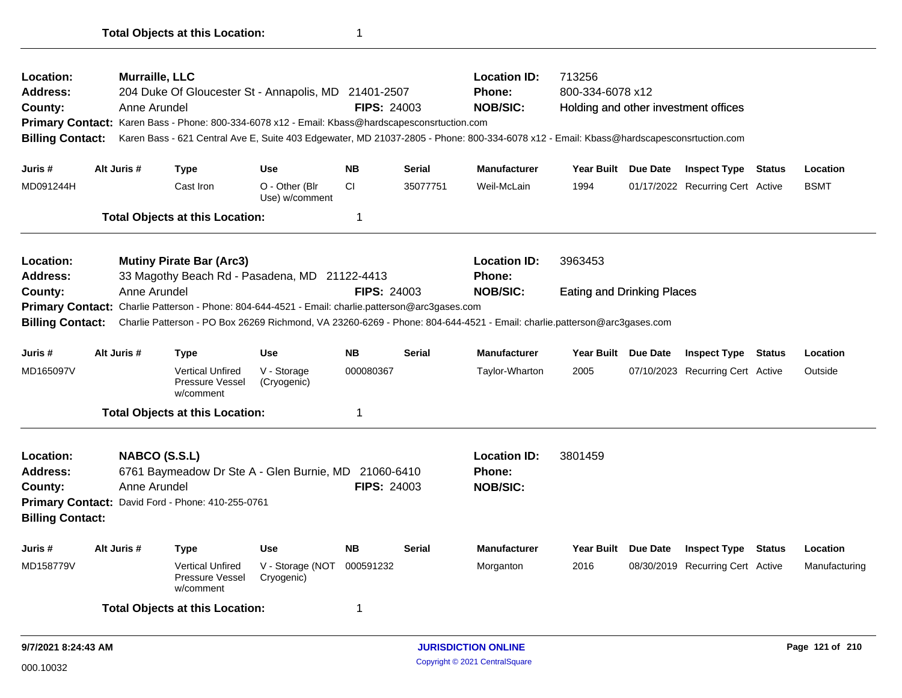| Location:<br><b>Address:</b><br>County:<br><b>Billing Contact:</b>        |             | Murraille, LLC<br>Anne Arundel |                                                         | 204 Duke Of Gloucester St - Annapolis, MD 21401-2507<br>Primary Contact: Karen Bass - Phone: 800-334-6078 x12 - Email: Kbass@hardscapesconsrtuction.com | <b>FIPS: 24003</b> |               | <b>Location ID:</b><br>713256<br>800-334-6078 x12<br><b>Phone:</b><br><b>NOB/SIC:</b><br>Holding and other investment offices<br>Karen Bass - 621 Central Ave E, Suite 403 Edgewater, MD 21037-2805 - Phone: 800-334-6078 x12 - Email: Kbass@hardscapesconsrtuction.com |                                   |  |                                  |               |
|---------------------------------------------------------------------------|-------------|--------------------------------|---------------------------------------------------------|---------------------------------------------------------------------------------------------------------------------------------------------------------|--------------------|---------------|-------------------------------------------------------------------------------------------------------------------------------------------------------------------------------------------------------------------------------------------------------------------------|-----------------------------------|--|----------------------------------|---------------|
| Juris #                                                                   | Alt Juris # |                                | <b>Type</b>                                             | <b>Use</b>                                                                                                                                              | <b>NB</b>          | <b>Serial</b> | <b>Manufacturer</b>                                                                                                                                                                                                                                                     | Year Built Due Date               |  | <b>Inspect Type Status</b>       | Location      |
| MD091244H                                                                 |             |                                | Cast Iron                                               | O - Other (Blr<br>Use) w/comment                                                                                                                        | <b>CI</b>          | 35077751      | Weil-McLain                                                                                                                                                                                                                                                             | 1994                              |  | 01/17/2022 Recurring Cert Active | <b>BSMT</b>   |
|                                                                           |             |                                | <b>Total Objects at this Location:</b>                  |                                                                                                                                                         | 1                  |               |                                                                                                                                                                                                                                                                         |                                   |  |                                  |               |
| Location:<br><b>Address:</b>                                              |             |                                | <b>Mutiny Pirate Bar (Arc3)</b>                         | 33 Magothy Beach Rd - Pasadena, MD 21122-4413                                                                                                           |                    |               | <b>Location ID:</b><br><b>Phone:</b>                                                                                                                                                                                                                                    | 3963453                           |  |                                  |               |
| County:                                                                   |             | Anne Arundel                   |                                                         |                                                                                                                                                         | <b>FIPS: 24003</b> |               | <b>NOB/SIC:</b>                                                                                                                                                                                                                                                         | <b>Eating and Drinking Places</b> |  |                                  |               |
| <b>Primary Contact:</b>                                                   |             |                                |                                                         | Charlie Patterson - Phone: 804-644-4521 - Email: charlie.patterson@arc3gases.com                                                                        |                    |               |                                                                                                                                                                                                                                                                         |                                   |  |                                  |               |
| <b>Billing Contact:</b>                                                   |             |                                |                                                         |                                                                                                                                                         |                    |               | Charlie Patterson - PO Box 26269 Richmond, VA 23260-6269 - Phone: 804-644-4521 - Email: charlie.patterson@arc3gases.com                                                                                                                                                 |                                   |  |                                  |               |
| Juris #                                                                   | Alt Juris # |                                | Type                                                    | <b>Use</b>                                                                                                                                              | <b>NB</b>          | <b>Serial</b> | <b>Manufacturer</b>                                                                                                                                                                                                                                                     | Year Built Due Date               |  | <b>Inspect Type Status</b>       | Location      |
| MD165097V                                                                 |             |                                | <b>Vertical Unfired</b><br>Pressure Vessel<br>w/comment | V - Storage<br>(Cryogenic)                                                                                                                              | 000080367          |               | Taylor-Wharton                                                                                                                                                                                                                                                          | 2005                              |  | 07/10/2023 Recurring Cert Active | Outside       |
|                                                                           |             |                                | <b>Total Objects at this Location:</b>                  |                                                                                                                                                         | 1                  |               |                                                                                                                                                                                                                                                                         |                                   |  |                                  |               |
| <b>Location:</b><br><b>Address:</b><br>County:<br><b>Billing Contact:</b> |             | NABCO (S.S.L)<br>Anne Arundel  | Primary Contact: David Ford - Phone: 410-255-0761       | 6761 Baymeadow Dr Ste A - Glen Burnie, MD 21060-6410                                                                                                    | <b>FIPS: 24003</b> |               | <b>Location ID:</b><br><b>Phone:</b><br><b>NOB/SIC:</b>                                                                                                                                                                                                                 | 3801459                           |  |                                  |               |
| Juris #                                                                   | Alt Juris # |                                | Type                                                    | <b>Use</b>                                                                                                                                              | <b>NB</b>          | <b>Serial</b> | <b>Manufacturer</b>                                                                                                                                                                                                                                                     | Year Built Due Date               |  | <b>Inspect Type Status</b>       | Location      |
| MD158779V                                                                 |             |                                | <b>Vertical Unfired</b><br>Pressure Vessel<br>w/comment | V - Storage (NOT<br>Cryogenic)                                                                                                                          | 000591232          |               | Morganton                                                                                                                                                                                                                                                               | 2016                              |  | 08/30/2019 Recurring Cert Active | Manufacturing |
|                                                                           |             |                                | <b>Total Objects at this Location:</b>                  |                                                                                                                                                         | 1                  |               |                                                                                                                                                                                                                                                                         |                                   |  |                                  |               |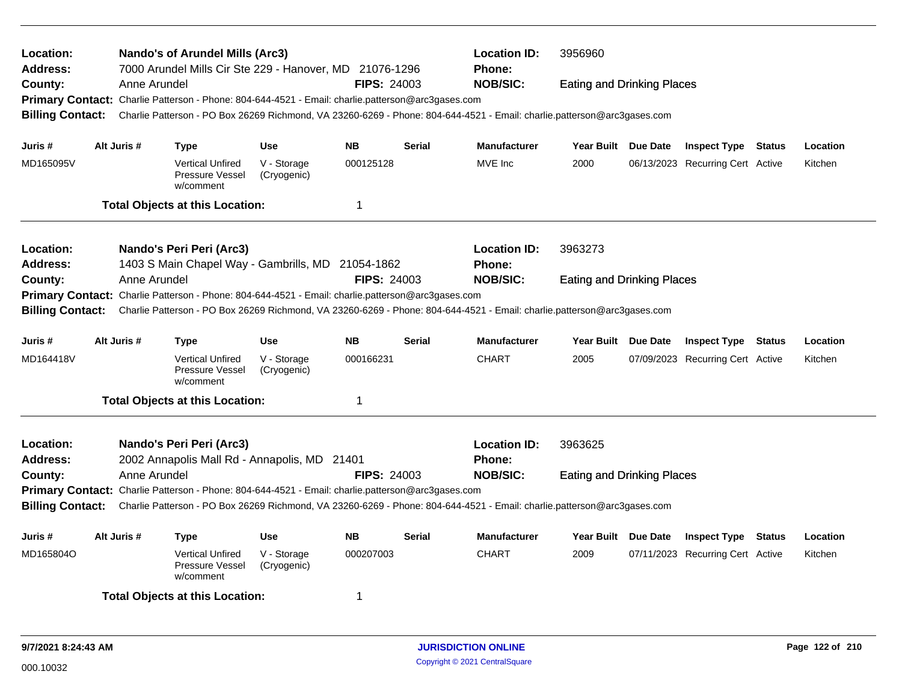| Nando's of Arundel Mills (Arc3)<br>Location:<br><b>Address:</b><br>7000 Arundel Mills Cir Ste 229 - Hanover, MD 21076-1296<br>Anne Arundel<br><b>FIPS: 24003</b><br>County:<br>Primary Contact: Charlie Patterson - Phone: 804-644-4521 - Email: charlie.patterson@arc3gases.com |              |                                                                                                   |                            |                    |                                                                                                                         | <b>Location ID:</b><br><b>Phone:</b><br><b>NOB/SIC:</b>                                                                 | 3956960<br><b>Eating and Drinking Places</b> |          |                                  |        |          |
|----------------------------------------------------------------------------------------------------------------------------------------------------------------------------------------------------------------------------------------------------------------------------------|--------------|---------------------------------------------------------------------------------------------------|----------------------------|--------------------|-------------------------------------------------------------------------------------------------------------------------|-------------------------------------------------------------------------------------------------------------------------|----------------------------------------------|----------|----------------------------------|--------|----------|
|                                                                                                                                                                                                                                                                                  |              |                                                                                                   |                            |                    |                                                                                                                         |                                                                                                                         |                                              |          |                                  |        |          |
| <b>Billing Contact:</b>                                                                                                                                                                                                                                                          |              |                                                                                                   |                            |                    |                                                                                                                         | Charlie Patterson - PO Box 26269 Richmond, VA 23260-6269 - Phone: 804-644-4521 - Email: charlie.patterson@arc3gases.com |                                              |          |                                  |        |          |
| Juris #                                                                                                                                                                                                                                                                          | Alt Juris #  | <b>Type</b>                                                                                       | <b>Use</b>                 | <b>NB</b>          | <b>Serial</b>                                                                                                           | <b>Manufacturer</b>                                                                                                     | <b>Year Built</b>                            | Due Date | <b>Inspect Type Status</b>       |        | Location |
| MD165095V                                                                                                                                                                                                                                                                        |              | <b>Vertical Unfired</b><br>Pressure Vessel<br>w/comment                                           | V - Storage<br>(Cryogenic) | 000125128          |                                                                                                                         | MVE Inc                                                                                                                 | 2000                                         |          | 06/13/2023 Recurring Cert Active |        | Kitchen  |
|                                                                                                                                                                                                                                                                                  |              | <b>Total Objects at this Location:</b>                                                            |                            | $\mathbf 1$        |                                                                                                                         |                                                                                                                         |                                              |          |                                  |        |          |
| Location:                                                                                                                                                                                                                                                                        |              | Nando's Peri Peri (Arc3)                                                                          |                            |                    |                                                                                                                         | <b>Location ID:</b>                                                                                                     | 3963273                                      |          |                                  |        |          |
| <b>Address:</b>                                                                                                                                                                                                                                                                  |              | 1403 S Main Chapel Way - Gambrills, MD 21054-1862                                                 |                            |                    |                                                                                                                         | <b>Phone:</b>                                                                                                           |                                              |          |                                  |        |          |
| County:                                                                                                                                                                                                                                                                          | Anne Arundel |                                                                                                   |                            | <b>FIPS: 24003</b> |                                                                                                                         | <b>NOB/SIC:</b>                                                                                                         | <b>Eating and Drinking Places</b>            |          |                                  |        |          |
| <b>Billing Contact:</b>                                                                                                                                                                                                                                                          |              | Primary Contact: Charlie Patterson - Phone: 804-644-4521 - Email: charlie.patterson@arc3gases.com |                            |                    | Charlie Patterson - PO Box 26269 Richmond, VA 23260-6269 - Phone: 804-644-4521 - Email: charlie.patterson@arc3gases.com |                                                                                                                         |                                              |          |                                  |        |          |
| Juris #                                                                                                                                                                                                                                                                          | Alt Juris #  | <b>Type</b>                                                                                       | <b>Use</b>                 | <b>NB</b>          | <b>Serial</b>                                                                                                           | <b>Manufacturer</b>                                                                                                     | Year Built Due Date                          |          | <b>Inspect Type Status</b>       |        | Location |
| MD164418V                                                                                                                                                                                                                                                                        |              | <b>Vertical Unfired</b><br>Pressure Vessel<br>w/comment                                           | V - Storage<br>(Cryogenic) | 000166231          |                                                                                                                         | <b>CHART</b>                                                                                                            | 2005                                         |          | 07/09/2023 Recurring Cert Active |        | Kitchen  |
|                                                                                                                                                                                                                                                                                  |              | <b>Total Objects at this Location:</b>                                                            |                            | $\overline{1}$     |                                                                                                                         |                                                                                                                         |                                              |          |                                  |        |          |
| Location:                                                                                                                                                                                                                                                                        |              | Nando's Peri Peri (Arc3)                                                                          |                            |                    |                                                                                                                         | <b>Location ID:</b>                                                                                                     | 3963625                                      |          |                                  |        |          |
| <b>Address:</b>                                                                                                                                                                                                                                                                  |              | 2002 Annapolis Mall Rd - Annapolis, MD 21401                                                      |                            |                    |                                                                                                                         | <b>Phone:</b>                                                                                                           |                                              |          |                                  |        |          |
| County:                                                                                                                                                                                                                                                                          | Anne Arundel |                                                                                                   |                            | <b>FIPS: 24003</b> |                                                                                                                         | <b>NOB/SIC:</b>                                                                                                         | <b>Eating and Drinking Places</b>            |          |                                  |        |          |
|                                                                                                                                                                                                                                                                                  |              | Primary Contact: Charlie Patterson - Phone: 804-644-4521 - Email: charlie.patterson@arc3gases.com |                            |                    |                                                                                                                         |                                                                                                                         |                                              |          |                                  |        |          |
| <b>Billing Contact:</b>                                                                                                                                                                                                                                                          |              |                                                                                                   |                            |                    |                                                                                                                         | Charlie Patterson - PO Box 26269 Richmond, VA 23260-6269 - Phone: 804-644-4521 - Email: charlie.patterson@arc3gases.com |                                              |          |                                  |        |          |
| Juris #                                                                                                                                                                                                                                                                          | Alt Juris #  | Type                                                                                              | <b>Use</b>                 | <b>NB</b>          | <b>Serial</b>                                                                                                           | <b>Manufacturer</b>                                                                                                     | Year Built Due Date                          |          | <b>Inspect Type</b>              | Status | Location |
| MD165804O                                                                                                                                                                                                                                                                        |              | <b>Vertical Unfired</b><br>Pressure Vessel<br>w/comment                                           | V - Storage<br>(Cryogenic) | 000207003          |                                                                                                                         | <b>CHART</b>                                                                                                            | 2009                                         |          | 07/11/2023 Recurring Cert Active |        | Kitchen  |
|                                                                                                                                                                                                                                                                                  |              | <b>Total Objects at this Location:</b>                                                            |                            | -1                 |                                                                                                                         |                                                                                                                         |                                              |          |                                  |        |          |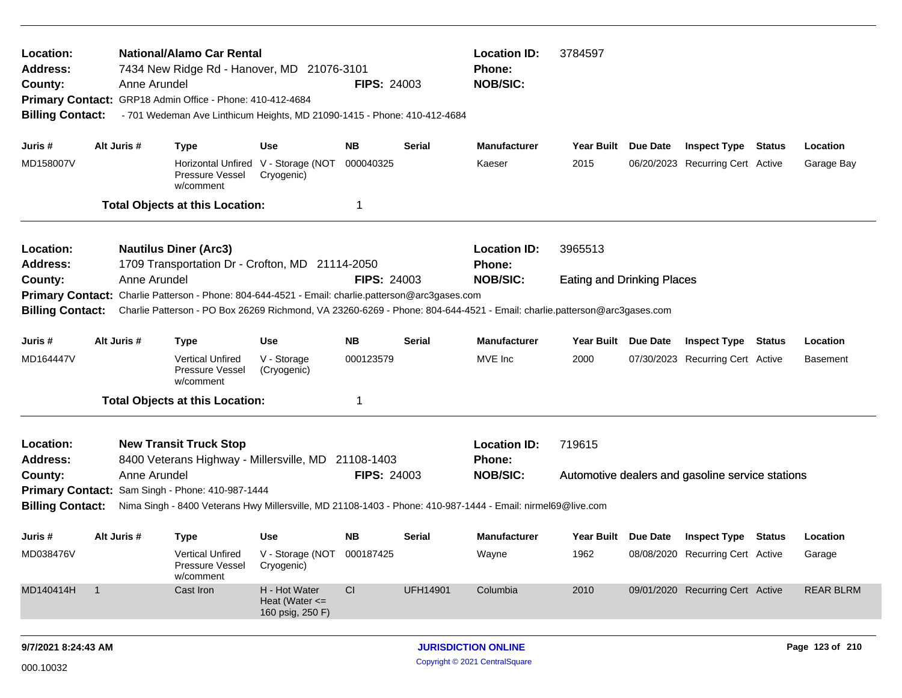| Location:<br><b>Address:</b><br>County:<br><b>Billing Contact:</b> |                | Anne Arundel | <b>National/Alamo Car Rental</b><br>7434 New Ridge Rd - Hanover, MD 21076-3101<br>Primary Contact: GRP18 Admin Office - Phone: 410-412-4684<br>- 701 Wedeman Ave Linthicum Heights, MD 21090-1415 - Phone: 410-412-4684      |                                                         | <b>FIPS: 24003</b> |                 | <b>Location ID:</b><br>Phone:<br><b>NOB/SIC:</b> | 3784597                           | Year Built Due Date<br><b>Inspect Type Status</b> |                                                  |               |                  |
|--------------------------------------------------------------------|----------------|--------------|------------------------------------------------------------------------------------------------------------------------------------------------------------------------------------------------------------------------------|---------------------------------------------------------|--------------------|-----------------|--------------------------------------------------|-----------------------------------|---------------------------------------------------|--------------------------------------------------|---------------|------------------|
| Juris #<br>MD158007V                                               |                | Alt Juris #  | <b>Type</b>                                                                                                                                                                                                                  | Use                                                     | <b>NB</b>          | Serial          | <b>Manufacturer</b>                              |                                   |                                                   |                                                  |               | Location         |
|                                                                    |                |              | Pressure Vessel<br>w/comment                                                                                                                                                                                                 | Horizontal Unfired V - Storage (NOT<br>Cryogenic)       | 000040325          |                 | Kaeser                                           | 2015                              |                                                   | 06/20/2023 Recurring Cert Active                 |               | Garage Bay       |
|                                                                    |                |              | <b>Total Objects at this Location:</b>                                                                                                                                                                                       |                                                         | 1                  |                 |                                                  |                                   |                                                   |                                                  |               |                  |
| Location:<br><b>Address:</b>                                       |                |              | <b>Nautilus Diner (Arc3)</b><br>1709 Transportation Dr - Crofton, MD 21114-2050                                                                                                                                              |                                                         |                    |                 | <b>Location ID:</b><br><b>Phone:</b>             | 3965513                           |                                                   |                                                  |               |                  |
| County:<br><b>Billing Contact:</b>                                 |                | Anne Arundel | Primary Contact: Charlie Patterson - Phone: 804-644-4521 - Email: charlie.patterson@arc3gases.com<br>Charlie Patterson - PO Box 26269 Richmond, VA 23260-6269 - Phone: 804-644-4521 - Email: charlie.patterson@arc3gases.com |                                                         | <b>FIPS: 24003</b> |                 | <b>NOB/SIC:</b>                                  | <b>Eating and Drinking Places</b> |                                                   |                                                  |               |                  |
| Juris #                                                            |                | Alt Juris #  | <b>Type</b>                                                                                                                                                                                                                  | Use                                                     | <b>NB</b>          | Serial          | <b>Manufacturer</b>                              | Year Built Due Date               |                                                   | <b>Inspect Type</b>                              | <b>Status</b> | Location         |
| MD164447V                                                          |                |              | <b>Vertical Unfired</b><br>Pressure Vessel<br>w/comment                                                                                                                                                                      | V - Storage<br>(Cryogenic)                              | 000123579          |                 | MVE Inc                                          | 2000                              |                                                   | 07/30/2023 Recurring Cert Active                 |               | <b>Basement</b>  |
|                                                                    |                |              | <b>Total Objects at this Location:</b>                                                                                                                                                                                       |                                                         | 1                  |                 |                                                  |                                   |                                                   |                                                  |               |                  |
| Location:<br><b>Address:</b>                                       |                |              | <b>New Transit Truck Stop</b><br>8400 Veterans Highway - Millersville, MD 21108-1403                                                                                                                                         |                                                         |                    |                 | <b>Location ID:</b><br><b>Phone:</b>             | 719615                            |                                                   |                                                  |               |                  |
| County:                                                            |                | Anne Arundel | Primary Contact: Sam Singh - Phone: 410-987-1444<br>Nima Singh - 8400 Veterans Hwy Millersville, MD 21108-1403 - Phone: 410-987-1444 - Email: nirmel69@live.com                                                              |                                                         | <b>FIPS: 24003</b> |                 | <b>NOB/SIC:</b>                                  |                                   |                                                   | Automotive dealers and gasoline service stations |               |                  |
| <b>Billing Contact:</b>                                            |                |              |                                                                                                                                                                                                                              |                                                         |                    |                 |                                                  |                                   |                                                   |                                                  |               |                  |
| Juris #                                                            |                | Alt Juris #  | <b>Type</b>                                                                                                                                                                                                                  | Use                                                     | <b>NB</b>          | Serial          | Manufacturer                                     | Year Built Due Date               |                                                   | <b>Inspect Type Status</b>                       |               | Location         |
| MD038476V                                                          |                |              | Vertical Unfired<br>Pressure Vessel<br>w/comment                                                                                                                                                                             | V - Storage (NOT 000187425<br>Cryogenic)                |                    |                 | Wayne                                            | 1962                              |                                                   | 08/08/2020 Recurring Cert Active                 |               | Garage           |
| MD140414H                                                          | $\overline{1}$ |              | Cast Iron                                                                                                                                                                                                                    | H - Hot Water<br>Heat (Water $\leq$<br>160 psig, 250 F) | CI                 | <b>UFH14901</b> | Columbia                                         | 2010                              |                                                   | 09/01/2020 Recurring Cert Active                 |               | <b>REAR BLRM</b> |
|                                                                    |                |              |                                                                                                                                                                                                                              |                                                         |                    |                 |                                                  |                                   |                                                   |                                                  |               |                  |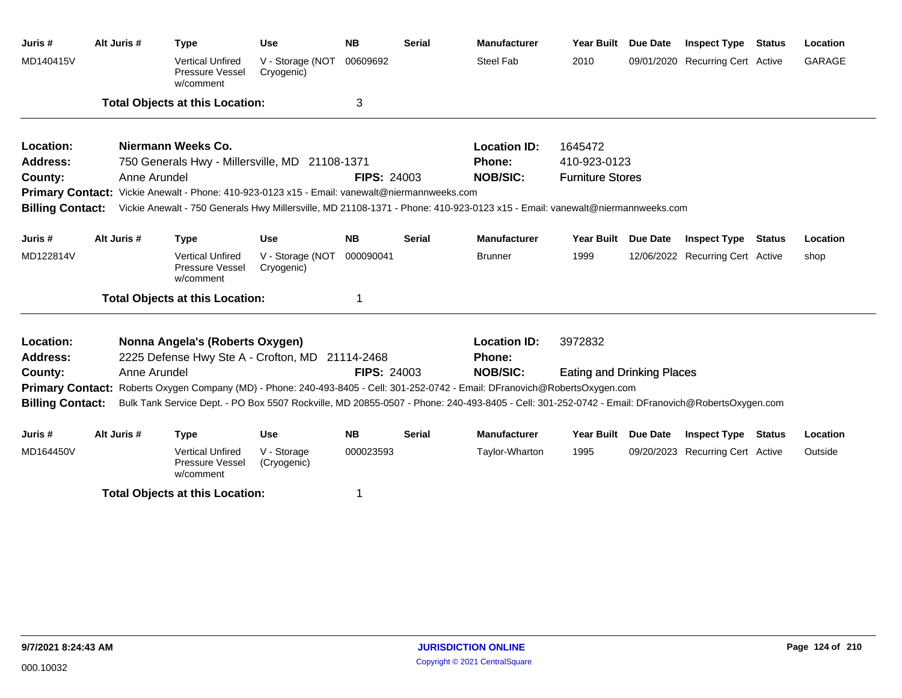| Juris#                       | Alt Juris #  | <b>Type</b>                                                                                   | <b>Use</b>                     | <b>NB</b>          | <b>Serial</b> | <b>Manufacturer</b>                                                                                                                             | <b>Year Built</b>          | <b>Due Date</b> | <b>Inspect Type Status</b>       | Location      |
|------------------------------|--------------|-----------------------------------------------------------------------------------------------|--------------------------------|--------------------|---------------|-------------------------------------------------------------------------------------------------------------------------------------------------|----------------------------|-----------------|----------------------------------|---------------|
| MD140415V                    |              | <b>Vertical Unfired</b><br>Pressure Vessel<br>w/comment                                       | V - Storage (NOT<br>Cryogenic) | 00609692           |               | <b>Steel Fab</b>                                                                                                                                | 2010                       |                 | 09/01/2020 Recurring Cert Active | <b>GARAGE</b> |
|                              |              | <b>Total Objects at this Location:</b>                                                        |                                | 3                  |               |                                                                                                                                                 |                            |                 |                                  |               |
| Location:                    |              | Niermann Weeks Co.                                                                            |                                |                    |               | <b>Location ID:</b>                                                                                                                             | 1645472                    |                 |                                  |               |
| <b>Address:</b>              |              | 750 Generals Hwy - Millersville, MD 21108-1371                                                |                                |                    |               | <b>Phone:</b>                                                                                                                                   | 410-923-0123               |                 |                                  |               |
| County:                      | Anne Arundel |                                                                                               |                                | <b>FIPS: 24003</b> |               | <b>NOB/SIC:</b>                                                                                                                                 | <b>Furniture Stores</b>    |                 |                                  |               |
|                              |              | Primary Contact: Vickie Anewalt - Phone: 410-923-0123 x15 - Email: vanewalt@niermannweeks.com |                                |                    |               |                                                                                                                                                 |                            |                 |                                  |               |
|                              |              |                                                                                               |                                |                    |               | Billing Contact: Vickie Anewalt - 750 Generals Hwy Millersville, MD 21108-1371 - Phone: 410-923-0123 x15 - Email: vanewalt@niermannweeks.com    |                            |                 |                                  |               |
| Juris #                      | Alt Juris #  | <b>Type</b>                                                                                   | <b>Use</b>                     | <b>NB</b>          | <b>Serial</b> | <b>Manufacturer</b>                                                                                                                             | <b>Year Built</b>          | <b>Due Date</b> | <b>Inspect Type Status</b>       | Location      |
| MD122814V                    |              | <b>Vertical Unfired</b><br>Pressure Vessel<br>w/comment                                       | V - Storage (NOT<br>Cryogenic) | 000090041          |               | <b>Brunner</b>                                                                                                                                  | 1999                       |                 | 12/06/2022 Recurring Cert Active | shop          |
|                              |              | <b>Total Objects at this Location:</b>                                                        |                                | 1                  |               |                                                                                                                                                 |                            |                 |                                  |               |
| Location:<br><b>Address:</b> |              | Nonna Angela's (Roberts Oxygen)<br>2225 Defense Hwy Ste A - Crofton, MD 21114-2468            |                                |                    |               | <b>Location ID:</b><br>Phone:                                                                                                                   | 3972832                    |                 |                                  |               |
| County:                      | Anne Arundel |                                                                                               |                                | <b>FIPS: 24003</b> |               | <b>NOB/SIC:</b>                                                                                                                                 | Eating and Drinking Places |                 |                                  |               |
|                              |              |                                                                                               |                                |                    |               | Primary Contact: Roberts Oxygen Company (MD) - Phone: 240-493-8405 - Cell: 301-252-0742 - Email: DFranovich@RobertsOxygen.com                   |                            |                 |                                  |               |
| <b>Billing Contact:</b>      |              |                                                                                               |                                |                    |               | Bulk Tank Service Dept. - PO Box 5507 Rockville, MD 20855-0507 - Phone: 240-493-8405 - Cell: 301-252-0742 - Email: DFranovich@RobertsOxygen.com |                            |                 |                                  |               |
| Juris #                      | Alt Juris #  | <b>Type</b>                                                                                   | <b>Use</b>                     | <b>NB</b>          | <b>Serial</b> | <b>Manufacturer</b>                                                                                                                             | <b>Year Built</b>          | <b>Due Date</b> | <b>Inspect Type Status</b>       | Location      |
| MD164450V                    |              | <b>Vertical Unfired</b><br>Pressure Vessel<br>w/comment                                       | V - Storage<br>(Cryogenic)     | 000023593          |               | Taylor-Wharton                                                                                                                                  | 1995                       |                 | 09/20/2023 Recurring Cert Active | Outside       |
|                              |              | <b>Total Objects at this Location:</b>                                                        |                                | 1                  |               |                                                                                                                                                 |                            |                 |                                  |               |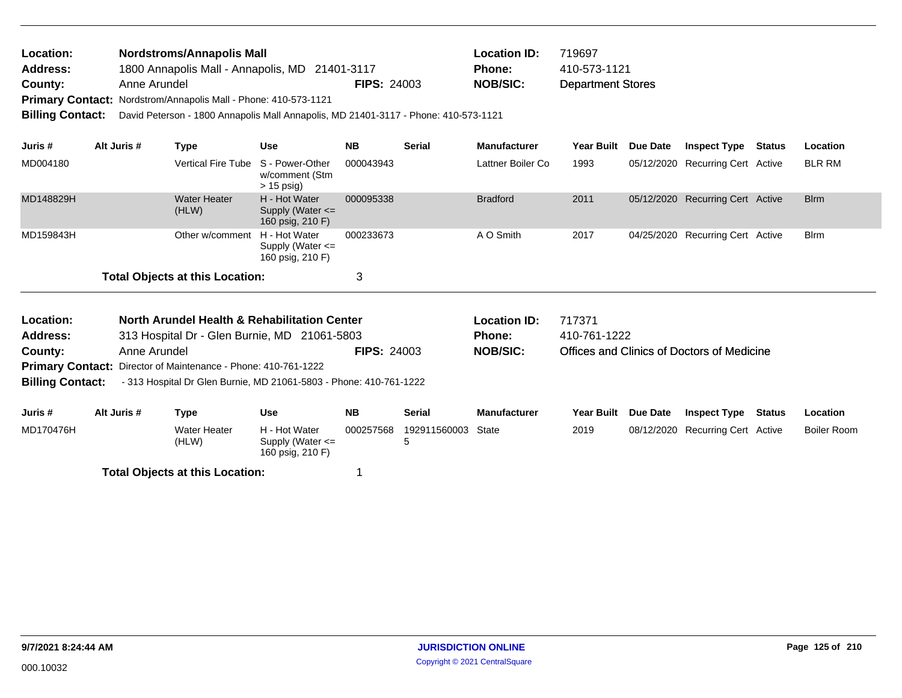| <b>Location:</b> | <b>Nordstroms/Annapolis Mall</b>                                       |                    | <b>Location ID:</b> | 719697                   |
|------------------|------------------------------------------------------------------------|--------------------|---------------------|--------------------------|
| <b>Address:</b>  | 1800 Annapolis Mall - Annapolis, MD 21401-3117                         |                    | Phone:              | 410-573-1121             |
| County:          | Anne Arundel                                                           | <b>FIPS: 24003</b> | NOB/SIC:            | <b>Department Stores</b> |
|                  | <b>Primary Contact: Nordstrom/Annapolis Mall - Phone: 410-573-1121</b> |                    |                     |                          |

**Billing Contact:** David Peterson - 1800 Annapolis Mall Annapolis, MD 21401-3117 - Phone: 410-573-1121

| Juris #   | Alt Juris # | Type                                   | <b>Use</b>                                                | <b>NB</b> | <b>Serial</b> | <b>Manufacturer</b> | <b>Year Built</b> | <b>Due Date</b> | <b>Inspect Type</b>              | Status | Location    |
|-----------|-------------|----------------------------------------|-----------------------------------------------------------|-----------|---------------|---------------------|-------------------|-----------------|----------------------------------|--------|-------------|
| MD004180  |             | Vertical Fire Tube S - Power-Other     | w/comment (Stm<br>$> 15$ psig)                            | 000043943 |               | Lattner Boiler Co   | 1993              |                 | 05/12/2020 Recurring Cert Active |        | BLR RM      |
| MD148829H |             | <b>Water Heater</b><br>(HLW)           | H - Hot Water<br>Supply (Water $\leq$<br>160 psig, 210 F) | 000095338 |               | <b>Bradford</b>     | 2011              |                 | 05/12/2020 Recurring Cert Active |        | <b>Blrm</b> |
| MD159843H |             | Other w/comment                        | H - Hot Water<br>Supply (Water $\leq$<br>160 psig, 210 F) | 000233673 |               | A O Smith           | 2017              |                 | 04/25/2020 Recurring Cert Active |        | <b>Blrm</b> |
|           |             | <b>Total Objects at this Location:</b> |                                                           | 3         |               |                     |                   |                 |                                  |        |             |

| Location:               |              | North Arundel Health & Rehabilitation Center                       |                                                           |                    |                   | Location ID:        | 717371       |                 |                                            |        |                 |
|-------------------------|--------------|--------------------------------------------------------------------|-----------------------------------------------------------|--------------------|-------------------|---------------------|--------------|-----------------|--------------------------------------------|--------|-----------------|
| <b>Address:</b>         |              | 313 Hospital Dr - Glen Burnie, MD 21061-5803                       |                                                           |                    |                   | <b>Phone:</b>       | 410-761-1222 |                 |                                            |        |                 |
| County:                 | Anne Arundel |                                                                    |                                                           | <b>FIPS: 24003</b> |                   | <b>NOB/SIC:</b>     |              |                 | Offices and Clinics of Doctors of Medicine |        |                 |
|                         |              | Primary Contact: Director of Maintenance - Phone: 410-761-1222     |                                                           |                    |                   |                     |              |                 |                                            |        |                 |
| <b>Billing Contact:</b> |              | - 313 Hospital Dr Glen Burnie, MD 21061-5803 - Phone: 410-761-1222 |                                                           |                    |                   |                     |              |                 |                                            |        |                 |
| Juris #                 | Alt Juris #  | Type                                                               | Use                                                       | <b>NB</b>          | <b>Serial</b>     | <b>Manufacturer</b> | Year Built   | <b>Due Date</b> | <b>Inspect Type</b>                        | Status | <b>Location</b> |
| MD170476H               |              | Water Heater<br>(HLW)                                              | H - Hot Water<br>Supply (Water $\leq$<br>160 psig, 210 F) | 000257568          | 192911560003<br>5 | State               | 2019         |                 | 08/12/2020 Recurring Cert Active           |        | Boiler Room     |

**Total Objects at this Location:** 1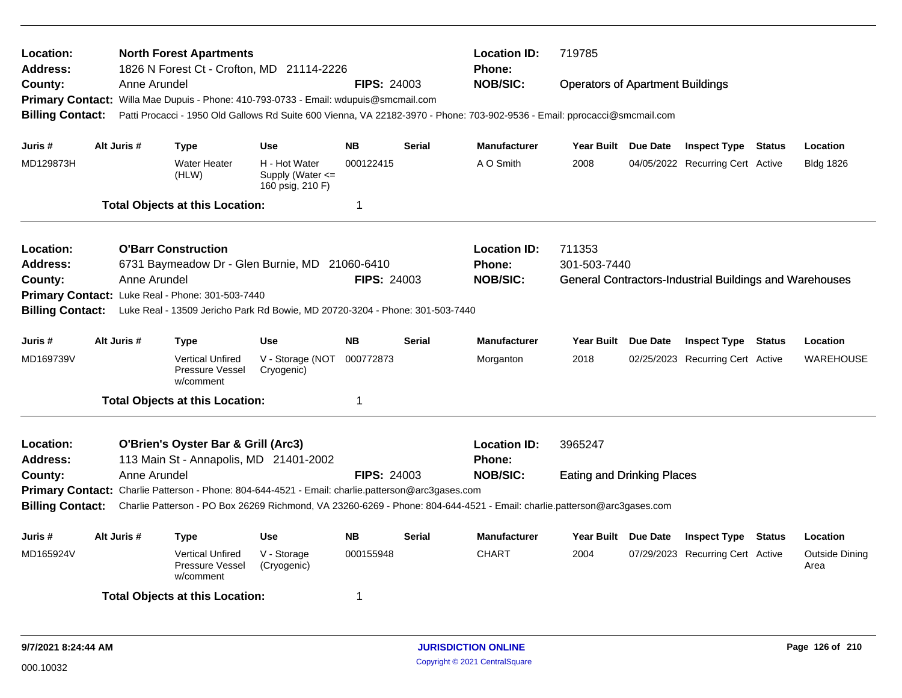| Location:<br><b>Address:</b>                  |  |              | <b>North Forest Apartments</b><br>1826 N Forest Ct - Crofton, MD 21114-2226                       |                                                           |                    |               | <b>Location ID:</b><br><b>Phone:</b>                                                                                      | 719785                                  |                                                         |               |                               |
|-----------------------------------------------|--|--------------|---------------------------------------------------------------------------------------------------|-----------------------------------------------------------|--------------------|---------------|---------------------------------------------------------------------------------------------------------------------------|-----------------------------------------|---------------------------------------------------------|---------------|-------------------------------|
| County:                                       |  | Anne Arundel |                                                                                                   |                                                           | <b>FIPS: 24003</b> |               | <b>NOB/SIC:</b>                                                                                                           | <b>Operators of Apartment Buildings</b> |                                                         |               |                               |
|                                               |  |              | Primary Contact: Willa Mae Dupuis - Phone: 410-793-0733 - Email: wdupuis@smcmail.com              |                                                           |                    |               |                                                                                                                           |                                         |                                                         |               |                               |
| <b>Billing Contact:</b>                       |  |              |                                                                                                   |                                                           |                    |               | Patti Procacci - 1950 Old Gallows Rd Suite 600 Vienna, VA 22182-3970 - Phone: 703-902-9536 - Email: pprocacci@smcmail.com |                                         |                                                         |               |                               |
| Juris #                                       |  | Alt Juris #  | <b>Type</b>                                                                                       | Use                                                       | <b>NB</b>          | <b>Serial</b> | <b>Manufacturer</b>                                                                                                       | Year Built Due Date                     | <b>Inspect Type Status</b>                              |               | Location                      |
| MD129873H                                     |  |              | <b>Water Heater</b><br>(HLW)                                                                      | H - Hot Water<br>Supply (Water $\leq$<br>160 psig, 210 F) | 000122415          |               | A O Smith                                                                                                                 | 2008                                    | 04/05/2022 Recurring Cert Active                        |               | <b>Bldg 1826</b>              |
|                                               |  |              | <b>Total Objects at this Location:</b>                                                            |                                                           | 1                  |               |                                                                                                                           |                                         |                                                         |               |                               |
| Location:                                     |  |              | <b>O'Barr Construction</b>                                                                        |                                                           |                    |               | <b>Location ID:</b>                                                                                                       | 711353                                  |                                                         |               |                               |
| <b>Address:</b>                               |  |              | 6731 Baymeadow Dr - Glen Burnie, MD                                                               |                                                           | 21060-6410         |               | <b>Phone:</b>                                                                                                             | 301-503-7440                            |                                                         |               |                               |
| <b>FIPS: 24003</b><br>Anne Arundel<br>County: |  |              |                                                                                                   |                                                           |                    |               | <b>NOB/SIC:</b>                                                                                                           |                                         | General Contractors-Industrial Buildings and Warehouses |               |                               |
|                                               |  |              | Primary Contact: Luke Real - Phone: 301-503-7440                                                  |                                                           |                    |               |                                                                                                                           |                                         |                                                         |               |                               |
| <b>Billing Contact:</b>                       |  |              | Luke Real - 13509 Jericho Park Rd Bowie, MD 20720-3204 - Phone: 301-503-7440                      |                                                           |                    |               |                                                                                                                           |                                         |                                                         |               |                               |
| Juris #                                       |  | Alt Juris #  | Type                                                                                              | <b>Use</b>                                                | <b>NB</b>          | <b>Serial</b> | <b>Manufacturer</b>                                                                                                       | Year Built Due Date                     | <b>Inspect Type</b>                                     | <b>Status</b> | Location                      |
| MD169739V                                     |  |              | <b>Vertical Unfired</b><br>Pressure Vessel<br>w/comment                                           | V - Storage (NOT<br>Cryogenic)                            | 000772873          |               | Morganton                                                                                                                 | 2018                                    | 02/25/2023 Recurring Cert Active                        |               | <b>WAREHOUSE</b>              |
|                                               |  |              | <b>Total Objects at this Location:</b>                                                            |                                                           | 1                  |               |                                                                                                                           |                                         |                                                         |               |                               |
| Location:<br><b>Address:</b>                  |  |              | O'Brien's Oyster Bar & Grill (Arc3)<br>113 Main St - Annapolis, MD 21401-2002                     |                                                           |                    |               | <b>Location ID:</b><br>Phone:                                                                                             | 3965247                                 |                                                         |               |                               |
| County:                                       |  | Anne Arundel |                                                                                                   |                                                           | <b>FIPS: 24003</b> |               | <b>NOB/SIC:</b>                                                                                                           | <b>Eating and Drinking Places</b>       |                                                         |               |                               |
|                                               |  |              | Primary Contact: Charlie Patterson - Phone: 804-644-4521 - Email: charlie.patterson@arc3gases.com |                                                           |                    |               |                                                                                                                           |                                         |                                                         |               |                               |
| <b>Billing Contact:</b>                       |  |              |                                                                                                   |                                                           |                    |               | Charlie Patterson - PO Box 26269 Richmond, VA 23260-6269 - Phone: 804-644-4521 - Email: charlie.patterson@arc3gases.com   |                                         |                                                         |               |                               |
| Juris #                                       |  | Alt Juris #  | <b>Type</b>                                                                                       | <b>Use</b>                                                | <b>NB</b>          | <b>Serial</b> | <b>Manufacturer</b>                                                                                                       | Year Built Due Date                     | <b>Inspect Type</b>                                     | <b>Status</b> | Location                      |
| MD165924V                                     |  |              | <b>Vertical Unfired</b><br>Pressure Vessel<br>w/comment                                           | V - Storage<br>(Cryogenic)                                | 000155948          |               | <b>CHART</b>                                                                                                              | 2004                                    | 07/29/2023 Recurring Cert Active                        |               | <b>Outside Dining</b><br>Area |
|                                               |  |              | <b>Total Objects at this Location:</b>                                                            |                                                           | 1                  |               |                                                                                                                           |                                         |                                                         |               |                               |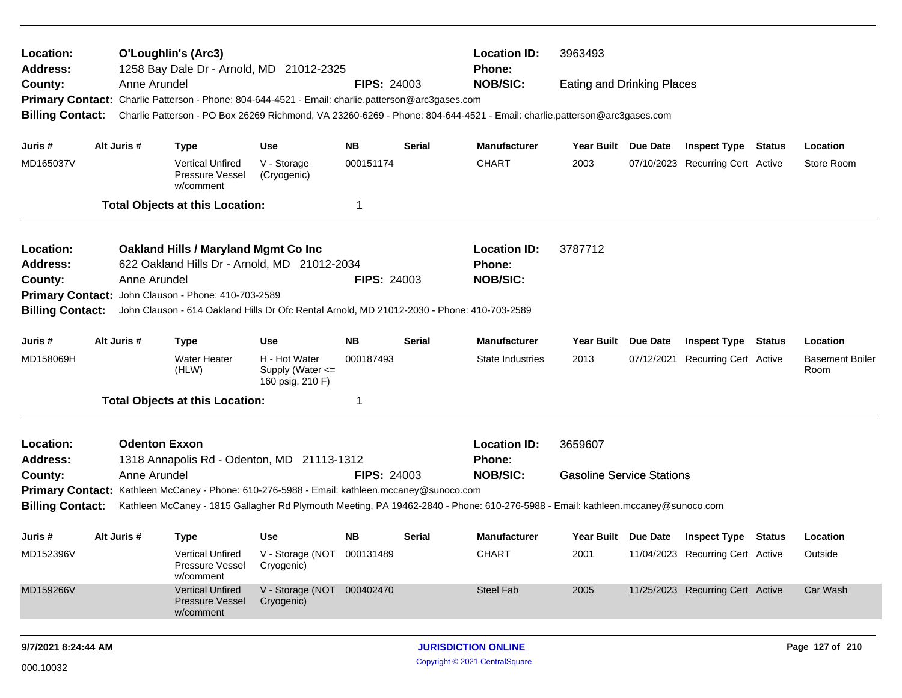| Location:<br><b>Address:</b> |              | <b>O'Loughlin's (Arc3)</b><br>1258 Bay Dale Dr - Arnold, MD 21012-2325                            |                                                           |                            |               | <b>Location ID:</b><br><b>Phone:</b>                                                                                            | 3963493                           |                     |                                  |        |                                |
|------------------------------|--------------|---------------------------------------------------------------------------------------------------|-----------------------------------------------------------|----------------------------|---------------|---------------------------------------------------------------------------------------------------------------------------------|-----------------------------------|---------------------|----------------------------------|--------|--------------------------------|
| County:                      | Anne Arundel | Primary Contact: Charlie Patterson - Phone: 804-644-4521 - Email: charlie.patterson@arc3gases.com |                                                           | <b>FIPS: 24003</b>         |               | <b>NOB/SIC:</b>                                                                                                                 | <b>Eating and Drinking Places</b> |                     |                                  |        |                                |
| <b>Billing Contact:</b>      |              |                                                                                                   |                                                           |                            |               | Charlie Patterson - PO Box 26269 Richmond, VA 23260-6269 - Phone: 804-644-4521 - Email: charlie.patterson@arc3gases.com         |                                   |                     |                                  |        |                                |
| Juris #                      | Alt Juris #  | <b>Type</b>                                                                                       | Use                                                       | <b>NB</b>                  | <b>Serial</b> | Manufacturer                                                                                                                    | Year Built Due Date               |                     | <b>Inspect Type Status</b>       |        | Location                       |
| MD165037V                    |              | <b>Vertical Unfired</b><br>Pressure Vessel<br>w/comment                                           | V - Storage<br>(Cryogenic)                                | 000151174                  |               | <b>CHART</b>                                                                                                                    | 2003                              |                     | 07/10/2023 Recurring Cert Active |        | Store Room                     |
|                              |              | <b>Total Objects at this Location:</b>                                                            |                                                           | -1                         |               |                                                                                                                                 |                                   |                     |                                  |        |                                |
| Location:                    |              | Oakland Hills / Maryland Mgmt Co Inc                                                              |                                                           |                            |               | <b>Location ID:</b>                                                                                                             | 3787712                           |                     |                                  |        |                                |
| <b>Address:</b>              |              | 622 Oakland Hills Dr - Arnold, MD 21012-2034                                                      |                                                           |                            |               | <b>Phone:</b>                                                                                                                   |                                   |                     |                                  |        |                                |
| County:                      | Anne Arundel |                                                                                                   |                                                           | <b>FIPS: 24003</b>         |               | <b>NOB/SIC:</b>                                                                                                                 |                                   |                     |                                  |        |                                |
| <b>Primary Contact:</b>      |              | John Clauson - Phone: 410-703-2589                                                                |                                                           |                            |               |                                                                                                                                 |                                   |                     |                                  |        |                                |
| <b>Billing Contact:</b>      |              | John Clauson - 614 Oakland Hills Dr Ofc Rental Arnold, MD 21012-2030 - Phone: 410-703-2589        |                                                           |                            |               |                                                                                                                                 |                                   |                     |                                  |        |                                |
| Juris #                      | Alt Juris #  | <b>Type</b>                                                                                       | <b>Use</b>                                                | <b>NB</b>                  | <b>Serial</b> | <b>Manufacturer</b>                                                                                                             | <b>Year Built</b>                 | Due Date            | <b>Inspect Type</b>              | Status | Location                       |
| MD158069H                    |              | <b>Water Heater</b><br>(HLW)                                                                      | H - Hot Water<br>Supply (Water $\leq$<br>160 psig, 210 F) | 000187493                  |               | State Industries                                                                                                                | 2013                              |                     | 07/12/2021 Recurring Cert Active |        | <b>Basement Boiler</b><br>Room |
|                              |              | <b>Total Objects at this Location:</b>                                                            |                                                           | -1                         |               |                                                                                                                                 |                                   |                     |                                  |        |                                |
| Location:                    |              | <b>Odenton Exxon</b>                                                                              |                                                           |                            |               | <b>Location ID:</b>                                                                                                             | 3659607                           |                     |                                  |        |                                |
| <b>Address:</b>              |              | 1318 Annapolis Rd - Odenton, MD 21113-1312                                                        |                                                           |                            |               | <b>Phone:</b>                                                                                                                   |                                   |                     |                                  |        |                                |
| County:                      | Anne Arundel |                                                                                                   |                                                           | <b>FIPS: 24003</b>         |               | <b>NOB/SIC:</b>                                                                                                                 | <b>Gasoline Service Stations</b>  |                     |                                  |        |                                |
|                              |              | Primary Contact: Kathleen McCaney - Phone: 610-276-5988 - Email: kathleen.mccaney@sunoco.com      |                                                           |                            |               |                                                                                                                                 |                                   |                     |                                  |        |                                |
| <b>Billing Contact:</b>      |              |                                                                                                   |                                                           |                            |               | Kathleen McCaney - 1815 Gallagher Rd Plymouth Meeting, PA 19462-2840 - Phone: 610-276-5988 - Email: kathleen.mccaney@sunoco.com |                                   |                     |                                  |        |                                |
| Juris #                      | Alt Juris #  | <b>Type</b>                                                                                       | Use                                                       | NB.                        | <b>Serial</b> | Manufacturer                                                                                                                    |                                   | Year Built Due Date | <b>Inspect Type Status</b>       |        | Location                       |
| MD152396V                    |              | <b>Vertical Unfired</b><br>Pressure Vessel<br>w/comment                                           | V - Storage (NOT 000131489<br>Cryogenic)                  |                            |               | <b>CHART</b>                                                                                                                    | 2001                              |                     | 11/04/2023 Recurring Cert Active |        | Outside                        |
| MD159266V                    |              | <b>Vertical Unfired</b><br><b>Pressure Vessel</b><br>w/comment                                    | V - Storage (NOT 000402470<br>Cryogenic)                  |                            |               | Steel Fab                                                                                                                       | 2005                              |                     | 11/25/2023 Recurring Cert Active |        | Car Wash                       |
| 9/7/2021 8:24:44 AM          |              |                                                                                                   |                                                           | <b>JURISDICTION ONLINE</b> |               |                                                                                                                                 |                                   |                     | Page 127 of 210                  |        |                                |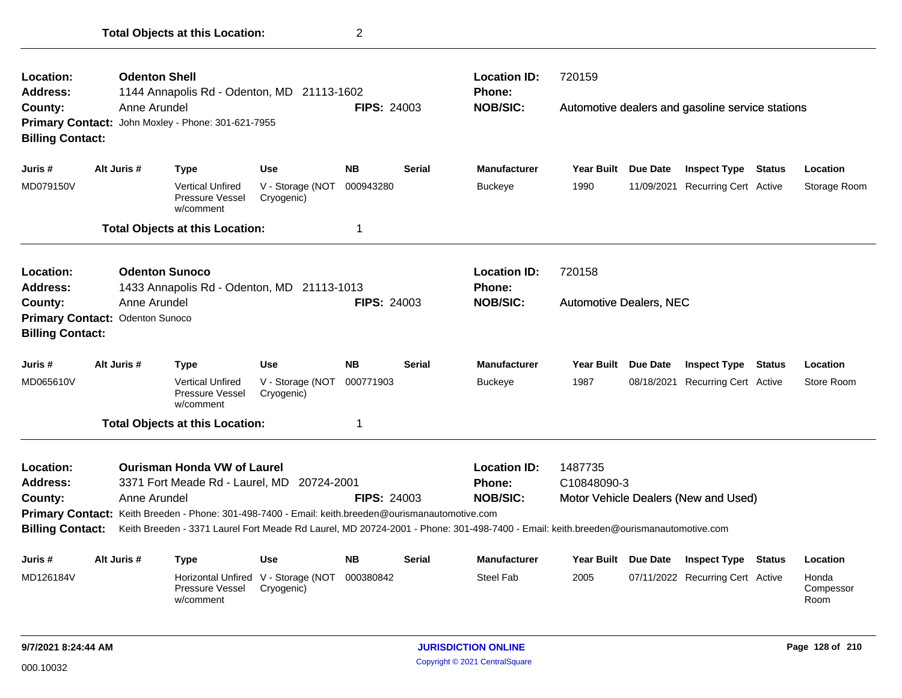| Location:<br><b>Address:</b>                                       | <b>Odenton Shell</b>                            | 1144 Annapolis Rd - Odenton, MD 21113-1602                                                                                                                                             |                                                   |                    |               | <b>Location ID:</b><br>Phone:                                                                                                                                                           | 720159                         |                 |                                                  |               |                            |
|--------------------------------------------------------------------|-------------------------------------------------|----------------------------------------------------------------------------------------------------------------------------------------------------------------------------------------|---------------------------------------------------|--------------------|---------------|-----------------------------------------------------------------------------------------------------------------------------------------------------------------------------------------|--------------------------------|-----------------|--------------------------------------------------|---------------|----------------------------|
| County:<br><b>Billing Contact:</b>                                 | Anne Arundel                                    | Primary Contact: John Moxley - Phone: 301-621-7955                                                                                                                                     |                                                   | <b>FIPS: 24003</b> |               | <b>NOB/SIC:</b>                                                                                                                                                                         |                                |                 | Automotive dealers and gasoline service stations |               |                            |
| Juris #                                                            | Alt Juris #                                     | <b>Type</b>                                                                                                                                                                            | <b>Use</b>                                        | <b>NB</b>          | <b>Serial</b> | <b>Manufacturer</b>                                                                                                                                                                     | <b>Year Built</b>              | <b>Due Date</b> | <b>Inspect Type Status</b>                       |               | Location                   |
| MD079150V                                                          |                                                 | <b>Vertical Unfired</b><br>Pressure Vessel<br>w/comment                                                                                                                                | V - Storage (NOT<br>Cryogenic)                    | 000943280          |               | <b>Buckeye</b>                                                                                                                                                                          | 1990                           |                 | 11/09/2021 Recurring Cert Active                 |               | Storage Room               |
|                                                                    |                                                 | <b>Total Objects at this Location:</b>                                                                                                                                                 |                                                   | 1                  |               |                                                                                                                                                                                         |                                |                 |                                                  |               |                            |
| Location:<br><b>Address:</b>                                       |                                                 | <b>Odenton Sunoco</b><br>1433 Annapolis Rd - Odenton, MD 21113-1013                                                                                                                    |                                                   |                    |               | <b>Location ID:</b><br>Phone:                                                                                                                                                           | 720158                         |                 |                                                  |               |                            |
| County:<br><b>Billing Contact:</b>                                 | Anne Arundel<br>Primary Contact: Odenton Sunoco |                                                                                                                                                                                        |                                                   | <b>FIPS: 24003</b> |               | <b>NOB/SIC:</b>                                                                                                                                                                         | <b>Automotive Dealers, NEC</b> |                 |                                                  |               |                            |
| Juris #                                                            | Alt Juris #                                     | <b>Type</b>                                                                                                                                                                            | <b>Use</b>                                        | <b>NB</b>          | <b>Serial</b> | <b>Manufacturer</b>                                                                                                                                                                     | <b>Year Built</b>              | <b>Due Date</b> | <b>Inspect Type Status</b>                       |               | Location                   |
| MD065610V                                                          |                                                 | <b>Vertical Unfired</b><br>Pressure Vessel<br>w/comment                                                                                                                                | V - Storage (NOT<br>Cryogenic)                    | 000771903          |               | <b>Buckeye</b>                                                                                                                                                                          | 1987                           | 08/18/2021      | <b>Recurring Cert Active</b>                     |               | Store Room                 |
|                                                                    |                                                 | <b>Total Objects at this Location:</b>                                                                                                                                                 |                                                   | 1                  |               |                                                                                                                                                                                         |                                |                 |                                                  |               |                            |
| Location:<br><b>Address:</b><br>County:<br><b>Billing Contact:</b> | Anne Arundel                                    | <b>Ourisman Honda VW of Laurel</b><br>3371 Fort Meade Rd - Laurel, MD 20724-2001<br>Primary Contact: Keith Breeden - Phone: 301-498-7400 - Email: keith.breeden@ourismanautomotive.com |                                                   | <b>FIPS: 24003</b> |               | <b>Location ID:</b><br>Phone:<br><b>NOB/SIC:</b><br>Keith Breeden - 3371 Laurel Fort Meade Rd Laurel, MD 20724-2001 - Phone: 301-498-7400 - Email: keith.breeden@ourismanautomotive.com | 1487735<br>C10848090-3         |                 | Motor Vehicle Dealers (New and Used)             |               |                            |
|                                                                    |                                                 |                                                                                                                                                                                        |                                                   |                    |               |                                                                                                                                                                                         |                                |                 |                                                  |               |                            |
| Juris #                                                            | Alt Juris #                                     | <b>Type</b>                                                                                                                                                                            | Use                                               | <b>NB</b>          | Serial        | <b>Manufacturer</b>                                                                                                                                                                     | Year Built Due Date            |                 | <b>Inspect Type</b>                              | <b>Status</b> | Location                   |
| MD126184V                                                          |                                                 | Pressure Vessel<br>w/comment                                                                                                                                                           | Horizontal Unfired V - Storage (NOT<br>Cryogenic) | 000380842          |               | <b>Steel Fab</b>                                                                                                                                                                        | 2005                           |                 | 07/11/2022 Recurring Cert Active                 |               | Honda<br>Compessor<br>Room |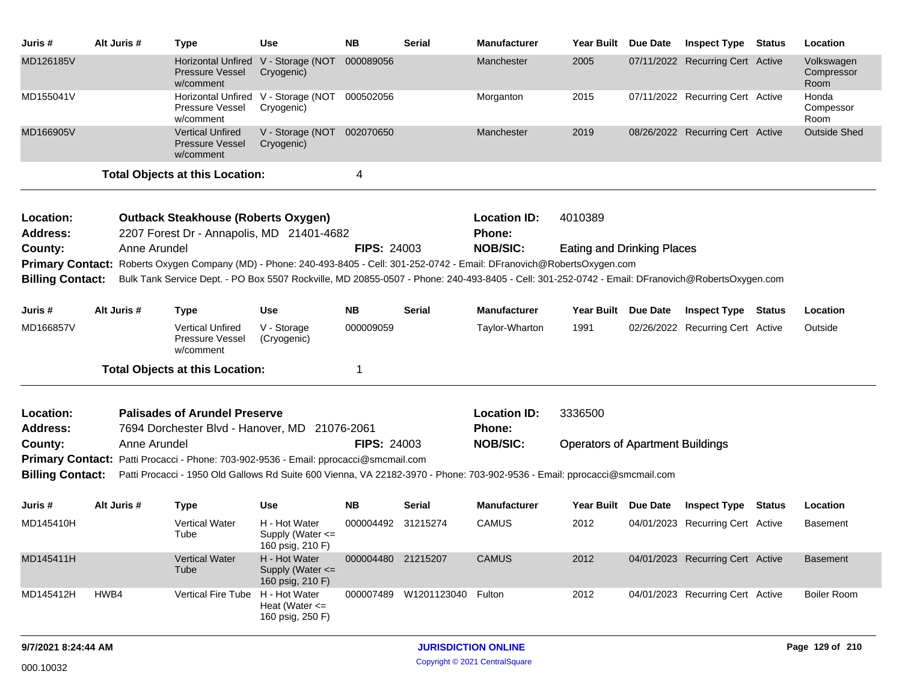| Juris #                      | Alt Juris #                                                                                                                                                                                                            | <b>Type</b>                                                                                                                   | <b>Use</b>                                                | <b>NB</b>          | <b>Serial</b>         | Manufacturer                  | Year Built Due Date                     | <b>Inspect Type</b>              | <b>Status</b> | Location                         |
|------------------------------|------------------------------------------------------------------------------------------------------------------------------------------------------------------------------------------------------------------------|-------------------------------------------------------------------------------------------------------------------------------|-----------------------------------------------------------|--------------------|-----------------------|-------------------------------|-----------------------------------------|----------------------------------|---------------|----------------------------------|
| MD126185V                    |                                                                                                                                                                                                                        | <b>Pressure Vessel</b><br>w/comment                                                                                           | Horizontal Unfired V - Storage (NOT<br>Cryogenic)         | 000089056          |                       | Manchester                    | 2005                                    | 07/11/2022 Recurring Cert Active |               | Volkswagen<br>Compressor<br>Room |
| MD155041V                    |                                                                                                                                                                                                                        | Pressure Vessel<br>w/comment                                                                                                  | Horizontal Unfired V - Storage (NOT<br>Cryogenic)         | 000502056          |                       | Morganton                     | 2015                                    | 07/11/2022 Recurring Cert Active |               | Honda<br>Compessor<br>Room       |
| MD166905V                    |                                                                                                                                                                                                                        | <b>Vertical Unfired</b><br><b>Pressure Vessel</b><br>w/comment                                                                | V - Storage (NOT<br>Cryogenic)                            | 002070650          |                       | Manchester                    | 2019                                    | 08/26/2022 Recurring Cert Active |               | <b>Outside Shed</b>              |
|                              |                                                                                                                                                                                                                        | <b>Total Objects at this Location:</b>                                                                                        |                                                           | 4                  |                       |                               |                                         |                                  |               |                                  |
| Location:<br><b>Address:</b> |                                                                                                                                                                                                                        | <b>Outback Steakhouse (Roberts Oxygen)</b><br>2207 Forest Dr - Annapolis, MD 21401-4682                                       |                                                           |                    |                       | <b>Location ID:</b><br>Phone: | 4010389                                 |                                  |               |                                  |
| County:                      | Anne Arundel                                                                                                                                                                                                           |                                                                                                                               |                                                           | <b>FIPS: 24003</b> |                       | <b>NOB/SIC:</b>               | <b>Eating and Drinking Places</b>       |                                  |               |                                  |
|                              |                                                                                                                                                                                                                        | Primary Contact: Roberts Oxygen Company (MD) - Phone: 240-493-8405 - Cell: 301-252-0742 - Email: DFranovich@RobertsOxygen.com |                                                           |                    |                       |                               |                                         |                                  |               |                                  |
|                              | <b>Billing Contact:</b><br>Bulk Tank Service Dept. - PO Box 5507 Rockville, MD 20855-0507 - Phone: 240-493-8405 - Cell: 301-252-0742 - Email: DFranovich@RobertsOxygen.com<br>Alt Juris #<br><b>Use</b><br><b>Type</b> |                                                                                                                               |                                                           |                    |                       |                               |                                         |                                  |               |                                  |
| Juris #                      |                                                                                                                                                                                                                        |                                                                                                                               |                                                           | <b>NB</b>          | <b>Serial</b>         | <b>Manufacturer</b>           | Year Built Due Date                     | <b>Inspect Type Status</b>       |               | Location                         |
| MD166857V                    |                                                                                                                                                                                                                        | <b>Vertical Unfired</b><br>Pressure Vessel<br>w/comment                                                                       | V - Storage<br>(Cryogenic)                                | 000009059          |                       | Taylor-Wharton                | 1991                                    | 02/26/2022 Recurring Cert Active |               | Outside                          |
|                              |                                                                                                                                                                                                                        | <b>Total Objects at this Location:</b>                                                                                        |                                                           | $\mathbf 1$        |                       |                               |                                         |                                  |               |                                  |
| Location:                    |                                                                                                                                                                                                                        | <b>Palisades of Arundel Preserve</b>                                                                                          |                                                           |                    |                       | <b>Location ID:</b>           | 3336500                                 |                                  |               |                                  |
| Address:                     |                                                                                                                                                                                                                        | 7694 Dorchester Blvd - Hanover, MD 21076-2061                                                                                 |                                                           |                    |                       | <b>Phone:</b>                 |                                         |                                  |               |                                  |
| County:                      | Anne Arundel                                                                                                                                                                                                           |                                                                                                                               |                                                           | <b>FIPS: 24003</b> |                       | <b>NOB/SIC:</b>               | <b>Operators of Apartment Buildings</b> |                                  |               |                                  |
|                              |                                                                                                                                                                                                                        | <b>Primary Contact:</b> Patti Procacci - Phone: 703-902-9536 - Email: pprocacci@smcmail.com                                   |                                                           |                    |                       |                               |                                         |                                  |               |                                  |
| <b>Billing Contact:</b>      |                                                                                                                                                                                                                        | Patti Procacci - 1950 Old Gallows Rd Suite 600 Vienna, VA 22182-3970 - Phone: 703-902-9536 - Email: pprocacci@smcmail.com     |                                                           |                    |                       |                               |                                         |                                  |               |                                  |
| Juris #                      | Alt Juris #                                                                                                                                                                                                            | <b>Type</b>                                                                                                                   | <b>Use</b>                                                | <b>NB</b>          | <b>Serial</b>         | <b>Manufacturer</b>           | Year Built Due Date                     | <b>Inspect Type Status</b>       |               | Location                         |
| MD145410H                    |                                                                                                                                                                                                                        | <b>Vertical Water</b><br>Tube                                                                                                 | H - Hot Water<br>Supply (Water $\leq$<br>160 psig, 210 F) | 000004492 31215274 |                       | <b>CAMUS</b>                  | 2012                                    | 04/01/2023 Recurring Cert Active |               | Basement                         |
| MD145411H                    |                                                                                                                                                                                                                        | <b>Vertical Water</b><br>Tube                                                                                                 | H - Hot Water<br>Supply (Water $\leq$<br>160 psig, 210 F) | 000004480 21215207 |                       | <b>CAMUS</b>                  | 2012                                    | 04/01/2023 Recurring Cert Active |               | <b>Basement</b>                  |
| MD145412H                    | HWB4                                                                                                                                                                                                                   | <b>Vertical Fire Tube</b>                                                                                                     | H - Hot Water<br>Heat (Water $\leq$<br>160 psig, 250 F)   |                    | 000007489 W1201123040 | Fulton                        | 2012                                    | 04/01/2023 Recurring Cert Active |               | <b>Boiler Room</b>               |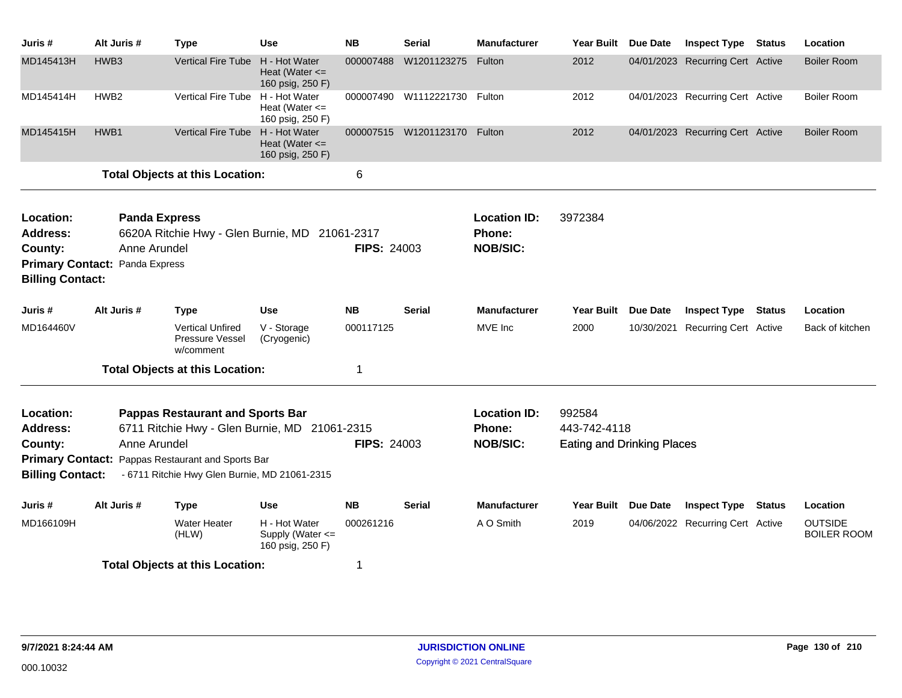| Juris #                                                                                       | Alt Juris #                                           | <b>Type</b>                                                                                                                                                                                           | <b>Use</b>                                                | <b>NB</b>          | <b>Serial</b>                | <b>Manufacturer</b>                              | <b>Year Built</b>                                           | Due Date   | <b>Inspect Type</b>              | <b>Status</b> | Location                             |
|-----------------------------------------------------------------------------------------------|-------------------------------------------------------|-------------------------------------------------------------------------------------------------------------------------------------------------------------------------------------------------------|-----------------------------------------------------------|--------------------|------------------------------|--------------------------------------------------|-------------------------------------------------------------|------------|----------------------------------|---------------|--------------------------------------|
| MD145413H                                                                                     | HWB <sub>3</sub>                                      | Vertical Fire Tube                                                                                                                                                                                    | H - Hot Water<br>Heat (Water $\leq$<br>160 psig, 250 F)   | 000007488          | W1201123275                  | Fulton                                           | 2012                                                        |            | 04/01/2023 Recurring Cert Active |               | <b>Boiler Room</b>                   |
| MD145414H                                                                                     | HWB <sub>2</sub>                                      | <b>Vertical Fire Tube</b>                                                                                                                                                                             | H - Hot Water<br>Heat (Water $\leq$<br>160 psig, 250 F)   |                    | 000007490 W1112221730 Fulton |                                                  | 2012                                                        |            | 04/01/2023 Recurring Cert Active |               | <b>Boiler Room</b>                   |
| MD145415H                                                                                     | HWB1                                                  | <b>Vertical Fire Tube</b>                                                                                                                                                                             | H - Hot Water<br>Heat (Water $\leq$<br>160 psig, 250 F)   |                    | 000007515 W1201123170 Fulton |                                                  | 2012                                                        |            | 04/01/2023 Recurring Cert Active |               | <b>Boiler Room</b>                   |
|                                                                                               |                                                       | <b>Total Objects at this Location:</b>                                                                                                                                                                |                                                           | 6                  |                              |                                                  |                                                             |            |                                  |               |                                      |
| Location:<br><b>Address:</b><br>County:<br><b>Primary Contact:</b><br><b>Billing Contact:</b> | <b>Panda Express</b><br>Anne Arundel<br>Panda Express | 6620A Ritchie Hwy - Glen Burnie, MD 21061-2317                                                                                                                                                        |                                                           | <b>FIPS: 24003</b> |                              | <b>Location ID:</b><br>Phone:<br><b>NOB/SIC:</b> | 3972384                                                     |            |                                  |               |                                      |
| Juris #                                                                                       | Alt Juris #                                           | Type                                                                                                                                                                                                  | <b>Use</b>                                                | <b>NB</b>          | <b>Serial</b>                | <b>Manufacturer</b>                              | <b>Year Built</b>                                           | Due Date   | <b>Inspect Type</b>              | <b>Status</b> | Location                             |
| MD164460V                                                                                     |                                                       | <b>Vertical Unfired</b><br><b>Pressure Vessel</b><br>w/comment                                                                                                                                        | V - Storage<br>(Cryogenic)                                | 000117125          |                              | MVE Inc                                          | 2000                                                        | 10/30/2021 | Recurring Cert Active            |               | Back of kitchen                      |
|                                                                                               |                                                       | <b>Total Objects at this Location:</b>                                                                                                                                                                |                                                           | 1                  |                              |                                                  |                                                             |            |                                  |               |                                      |
| Location:<br><b>Address:</b><br>County:<br><b>Billing Contact:</b>                            | Anne Arundel                                          | <b>Pappas Restaurant and Sports Bar</b><br>6711 Ritchie Hwy - Glen Burnie, MD 21061-2315<br><b>Primary Contact: Pappas Restaurant and Sports Bar</b><br>- 6711 Ritchie Hwy Glen Burnie, MD 21061-2315 |                                                           | <b>FIPS: 24003</b> |                              | <b>Location ID:</b><br>Phone:<br><b>NOB/SIC:</b> | 992584<br>443-742-4118<br><b>Eating and Drinking Places</b> |            |                                  |               |                                      |
| Juris #                                                                                       | Alt Juris #                                           | <b>Type</b>                                                                                                                                                                                           | <b>Use</b>                                                | <b>NB</b>          | <b>Serial</b>                | <b>Manufacturer</b>                              | <b>Year Built</b>                                           | Due Date   | <b>Inspect Type</b>              | <b>Status</b> | Location                             |
| MD166109H                                                                                     |                                                       | <b>Water Heater</b><br>(HLW)                                                                                                                                                                          | H - Hot Water<br>Supply (Water $\leq$<br>160 psig, 250 F) | 000261216          |                              | A O Smith                                        | 2019                                                        |            | 04/06/2022 Recurring Cert Active |               | <b>OUTSIDE</b><br><b>BOILER ROOM</b> |
|                                                                                               |                                                       | <b>Total Objects at this Location:</b>                                                                                                                                                                |                                                           |                    |                              |                                                  |                                                             |            |                                  |               |                                      |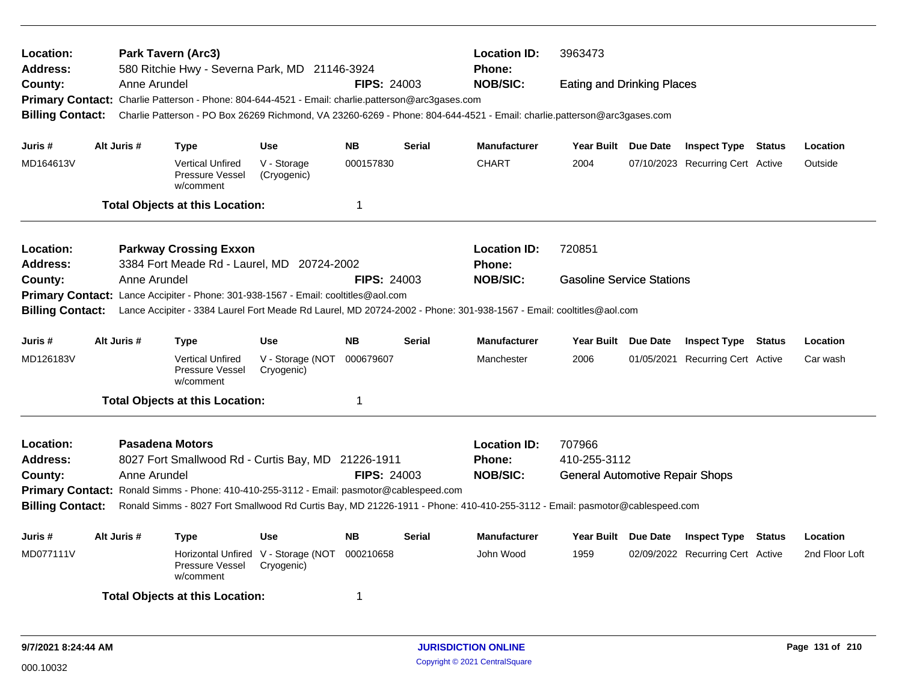| Location:<br><b>Address:</b><br>County:<br><b>Billing Contact:</b> | Anne Arundel | Park Tavern (Arc3)<br>580 Ritchie Hwy - Severna Park, MD 21146-3924<br>Primary Contact: Charlie Patterson - Phone: 804-644-4521 - Email: charlie.patterson@arc3gases.com<br>Charlie Patterson - PO Box 26269 Richmond, VA 23260-6269 - Phone: 804-644-4521 - Email: charlie.patterson@arc3gases.com    |                                                   | <b>FIPS: 24003</b> |               | <b>Location ID:</b><br><b>Phone:</b><br><b>NOB/SIC:</b> | 3963473<br><b>Eating and Drinking Places</b>                     |                                  |               |                |
|--------------------------------------------------------------------|--------------|--------------------------------------------------------------------------------------------------------------------------------------------------------------------------------------------------------------------------------------------------------------------------------------------------------|---------------------------------------------------|--------------------|---------------|---------------------------------------------------------|------------------------------------------------------------------|----------------------------------|---------------|----------------|
| Juris #                                                            | Alt Juris #  | <b>Type</b>                                                                                                                                                                                                                                                                                            | <b>Use</b>                                        | <b>NB</b>          | <b>Serial</b> | <b>Manufacturer</b>                                     | Year Built Due Date                                              | <b>Inspect Type Status</b>       |               | Location       |
| MD164613V                                                          |              | <b>Vertical Unfired</b><br>Pressure Vessel<br>w/comment                                                                                                                                                                                                                                                | V - Storage<br>(Cryogenic)                        | 000157830          |               | <b>CHART</b>                                            | 2004                                                             | 07/10/2023 Recurring Cert Active |               | Outside        |
|                                                                    |              | <b>Total Objects at this Location:</b>                                                                                                                                                                                                                                                                 |                                                   | $\mathbf 1$        |               |                                                         |                                                                  |                                  |               |                |
| Location:<br><b>Address:</b>                                       |              | <b>Parkway Crossing Exxon</b><br>3384 Fort Meade Rd - Laurel, MD 20724-2002                                                                                                                                                                                                                            |                                                   |                    |               | <b>Location ID:</b><br><b>Phone:</b>                    | 720851                                                           |                                  |               |                |
| County:<br><b>Billing Contact:</b>                                 | Anne Arundel | Primary Contact: Lance Accipiter - Phone: 301-938-1567 - Email: cooltitles@aol.com<br>Lance Accipiter - 3384 Laurel Fort Meade Rd Laurel, MD 20724-2002 - Phone: 301-938-1567 - Email: cooltitles@aol.com                                                                                              |                                                   | <b>FIPS: 24003</b> |               | <b>NOB/SIC:</b>                                         | <b>Gasoline Service Stations</b>                                 |                                  |               |                |
| Juris #                                                            | Alt Juris #  | <b>Type</b>                                                                                                                                                                                                                                                                                            | <b>Use</b>                                        | <b>NB</b>          | <b>Serial</b> | <b>Manufacturer</b>                                     | Year Built Due Date                                              | <b>Inspect Type Status</b>       |               | Location       |
| MD126183V                                                          |              | <b>Vertical Unfired</b><br><b>Pressure Vessel</b><br>w/comment                                                                                                                                                                                                                                         | V - Storage (NOT<br>Cryogenic)                    | 000679607          |               | Manchester                                              | 2006                                                             | 01/05/2021 Recurring Cert Active |               | Car wash       |
|                                                                    |              | <b>Total Objects at this Location:</b>                                                                                                                                                                                                                                                                 |                                                   | $\mathbf 1$        |               |                                                         |                                                                  |                                  |               |                |
| Location:<br><b>Address:</b><br>County:<br><b>Billing Contact:</b> | Anne Arundel | <b>Pasadena Motors</b><br>8027 Fort Smallwood Rd - Curtis Bay, MD 21226-1911<br>Primary Contact: Ronald Simms - Phone: 410-410-255-3112 - Email: pasmotor@cablespeed.com<br>Ronald Simms - 8027 Fort Smallwood Rd Curtis Bay, MD 21226-1911 - Phone: 410-410-255-3112 - Email: pasmotor@cablespeed.com |                                                   | <b>FIPS: 24003</b> |               | <b>Location ID:</b><br><b>Phone:</b><br><b>NOB/SIC:</b> | 707966<br>410-255-3112<br><b>General Automotive Repair Shops</b> |                                  |               |                |
| Juris #                                                            | Alt Juris #  | <b>Type</b>                                                                                                                                                                                                                                                                                            | <b>Use</b>                                        | <b>NB</b>          | <b>Serial</b> | <b>Manufacturer</b>                                     | Year Built Due Date                                              | <b>Inspect Type</b>              | <b>Status</b> | Location       |
| MD077111V                                                          |              | Pressure Vessel<br>w/comment                                                                                                                                                                                                                                                                           | Horizontal Unfired V - Storage (NOT<br>Cryogenic) | 000210658          |               | John Wood                                               | 1959                                                             | 02/09/2022 Recurring Cert Active |               | 2nd Floor Loft |
|                                                                    |              | <b>Total Objects at this Location:</b>                                                                                                                                                                                                                                                                 |                                                   |                    |               |                                                         |                                                                  |                                  |               |                |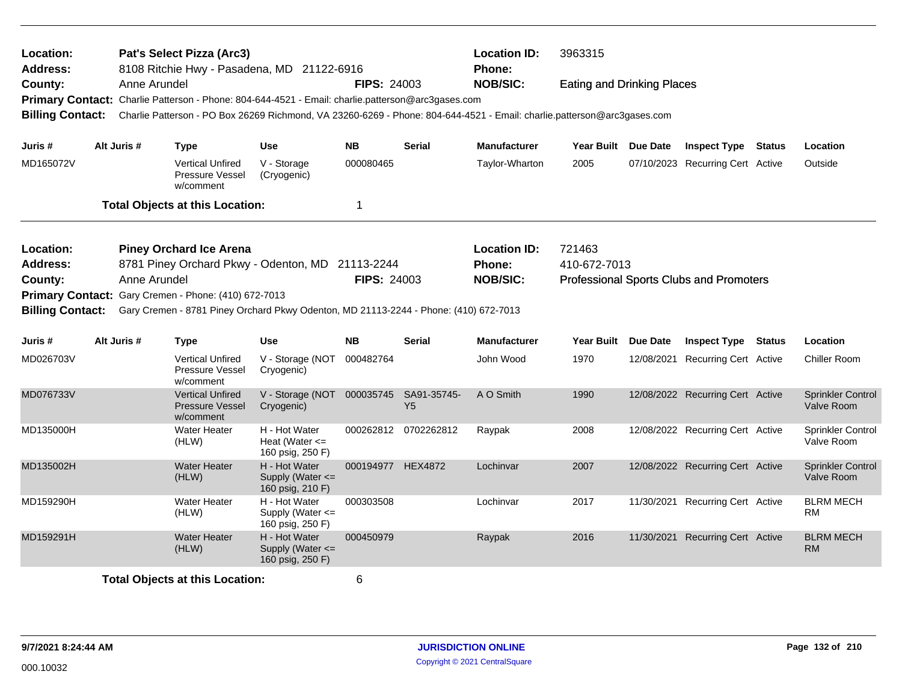| Location:<br>Address:   |                                                                                                                 |              | Pat's Select Pizza (Arc3)<br>8108 Ritchie Hwy - Pasadena, MD 21122-6916                                                 |                                                         |                    |                               | <b>Location ID:</b><br><b>Phone:</b> | 3963315                           |                                                |                                        |
|-------------------------|-----------------------------------------------------------------------------------------------------------------|--------------|-------------------------------------------------------------------------------------------------------------------------|---------------------------------------------------------|--------------------|-------------------------------|--------------------------------------|-----------------------------------|------------------------------------------------|----------------------------------------|
| County:                 |                                                                                                                 | Anne Arundel | Primary Contact: Charlie Patterson - Phone: 804-644-4521 - Email: charlie.patterson@arc3gases.com                       |                                                         | <b>FIPS: 24003</b> |                               | <b>NOB/SIC:</b>                      | <b>Eating and Drinking Places</b> |                                                |                                        |
| <b>Billing Contact:</b> |                                                                                                                 |              | Charlie Patterson - PO Box 26269 Richmond, VA 23260-6269 - Phone: 804-644-4521 - Email: charlie.patterson@arc3gases.com |                                                         |                    |                               |                                      |                                   |                                                |                                        |
| Juris #                 |                                                                                                                 | Alt Juris #  | <b>Type</b>                                                                                                             | <b>Use</b>                                              | <b>NB</b>          | Serial                        | <b>Manufacturer</b>                  | Year Built Due Date               | <b>Inspect Type Status</b>                     | Location                               |
| MD165072V               |                                                                                                                 |              | <b>Vertical Unfired</b><br>Pressure Vessel<br>w/comment                                                                 | V - Storage<br>(Cryogenic)                              | 000080465          |                               | Taylor-Wharton                       | 2005                              | 07/10/2023 Recurring Cert Active               | Outside                                |
|                         |                                                                                                                 |              | <b>Total Objects at this Location:</b>                                                                                  |                                                         | 1                  |                               |                                      |                                   |                                                |                                        |
| Location:               |                                                                                                                 |              | <b>Piney Orchard Ice Arena</b>                                                                                          |                                                         |                    |                               | <b>Location ID:</b>                  | 721463                            |                                                |                                        |
| <b>Address:</b>         | 8781 Piney Orchard Pkwy - Odenton, MD 21113-2244<br>Anne Arundel                                                |              |                                                                                                                         |                                                         |                    |                               | Phone:                               | 410-672-7013                      |                                                |                                        |
| County:                 | Primary Contact: Gary Cremen - Phone: (410) 672-7013                                                            |              |                                                                                                                         |                                                         | <b>FIPS: 24003</b> |                               | <b>NOB/SIC:</b>                      |                                   | <b>Professional Sports Clubs and Promoters</b> |                                        |
|                         |                                                                                                                 |              |                                                                                                                         |                                                         |                    |                               |                                      |                                   |                                                |                                        |
|                         | <b>Billing Contact:</b><br>Gary Cremen - 8781 Piney Orchard Pkwy Odenton, MD 21113-2244 - Phone: (410) 672-7013 |              |                                                                                                                         |                                                         |                    |                               |                                      |                                   |                                                |                                        |
| Juris #                 |                                                                                                                 | Alt Juris #  | <b>Type</b>                                                                                                             | <b>Use</b>                                              | <b>NB</b>          | <b>Serial</b>                 | <b>Manufacturer</b>                  | Year Built Due Date               | <b>Inspect Type Status</b>                     | Location                               |
| MD026703V               |                                                                                                                 |              | <b>Vertical Unfired</b><br><b>Pressure Vessel</b><br>w/comment                                                          | V - Storage (NOT<br>Cryogenic)                          | 000482764          |                               | John Wood                            | 1970                              | 12/08/2021 Recurring Cert Active               | Chiller Room                           |
| MD076733V               |                                                                                                                 |              | <b>Vertical Unfired</b><br>Pressure Vessel<br>w/comment                                                                 | V - Storage (NOT<br>Cryogenic)                          | 000035745          | SA91-35745-<br>Y <sub>5</sub> | A O Smith                            | 1990                              | 12/08/2022 Recurring Cert Active               | <b>Sprinkler Control</b><br>Valve Room |
| MD135000H               |                                                                                                                 |              | <b>Water Heater</b><br>(HLW)                                                                                            | H - Hot Water<br>Heat (Water $\leq$<br>160 psig, 250 F) |                    | 000262812 0702262812          | Raypak                               | 2008                              | 12/08/2022 Recurring Cert Active               | Sprinkler Control<br>Valve Room        |
| MD135002H               |                                                                                                                 |              | <b>Water Heater</b><br>(HLW)                                                                                            | H - Hot Water<br>Supply (Water <=<br>160 psig, 210 F)   | 000194977 HEX4872  |                               | Lochinvar                            | 2007                              | 12/08/2022 Recurring Cert Active               | <b>Sprinkler Control</b><br>Valve Room |
| MD159290H               |                                                                                                                 |              | <b>Water Heater</b><br>(HLW)                                                                                            | H - Hot Water<br>Supply (Water <=<br>160 psig, 250 F)   | 000303508          |                               | Lochinvar                            | 2017                              | 11/30/2021 Recurring Cert Active               | <b>BLRM MECH</b><br><b>RM</b>          |
| MD159291H               |                                                                                                                 |              | <b>Water Heater</b><br>(HLW)                                                                                            | H - Hot Water<br>Supply (Water <=<br>160 psig, 250 F)   | 000450979          |                               | Raypak                               | 2016                              | 11/30/2021 Recurring Cert Active               | <b>BLRM MECH</b><br><b>RM</b>          |
|                         | <b>Total Objects at this Location:</b>                                                                          |              |                                                                                                                         |                                                         |                    |                               |                                      |                                   |                                                |                                        |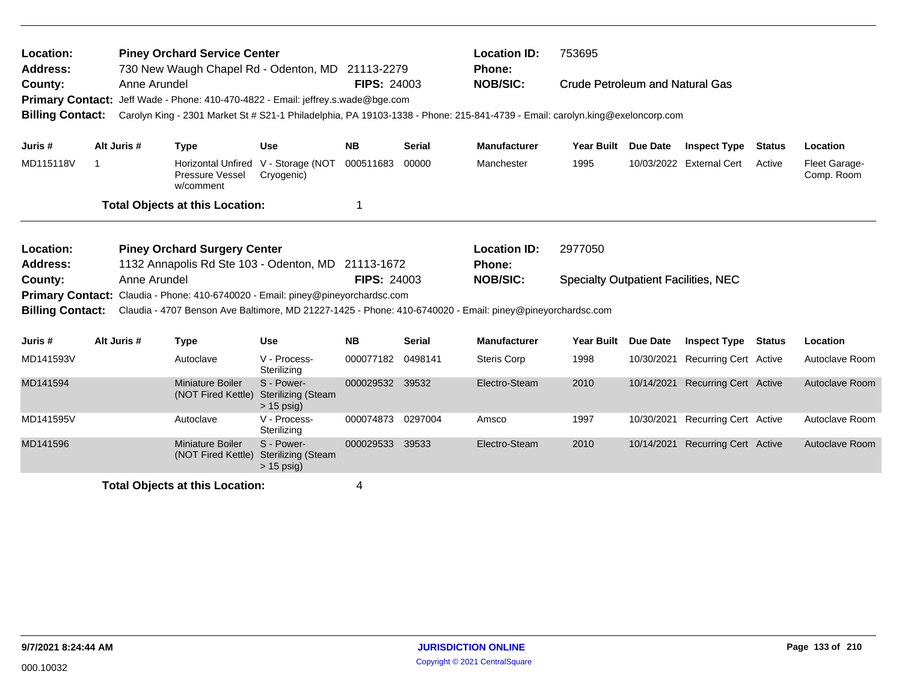| Location:<br>Address:              |                                                                                           |              | <b>Piney Orchard Service Center</b>                                 | 730 New Waugh Chapel Rd - Odenton, MD 21113-2279                                                                             |                    |                 | <b>Location ID:</b><br><b>Phone:</b>        | 753695                          |                 |                              |               |                             |
|------------------------------------|-------------------------------------------------------------------------------------------|--------------|---------------------------------------------------------------------|------------------------------------------------------------------------------------------------------------------------------|--------------------|-----------------|---------------------------------------------|---------------------------------|-----------------|------------------------------|---------------|-----------------------------|
| County:<br><b>Primary Contact:</b> |                                                                                           | Anne Arundel |                                                                     | Jeff Wade - Phone: 410-470-4822 - Email: jeffrey.s.wade@bge.com                                                              | <b>FIPS: 24003</b> |                 | <b>NOB/SIC:</b>                             | Crude Petroleum and Natural Gas |                 |                              |               |                             |
| <b>Billing Contact:</b>            |                                                                                           |              |                                                                     | Carolyn King - 2301 Market St # S21-1 Philadelphia, PA 19103-1338 - Phone: 215-841-4739 - Email: carolyn.king@exeloncorp.com |                    |                 |                                             |                                 |                 |                              |               |                             |
| Juris #                            |                                                                                           | Alt Juris #  | <b>Type</b>                                                         | <b>Use</b>                                                                                                                   | <b>NB</b>          | <b>Serial</b>   | <b>Manufacturer</b>                         | Year Built Due Date             |                 | <b>Inspect Type</b>          | <b>Status</b> | Location                    |
| MD115118V                          | -1                                                                                        |              | Horizontal Unfired V - Storage (NOT<br>Pressure Vessel<br>w/comment | Cryogenic)                                                                                                                   | 000511683          | 00000           | Manchester                                  | 1995                            |                 | 10/03/2022 External Cert     | Active        | Fleet Garage-<br>Comp. Room |
|                                    |                                                                                           |              | <b>Total Objects at this Location:</b>                              |                                                                                                                              |                    |                 |                                             |                                 |                 |                              |               |                             |
| Location:                          |                                                                                           |              |                                                                     |                                                                                                                              |                    |                 | <b>Location ID:</b>                         | 2977050                         |                 |                              |               |                             |
| Address:                           | <b>Piney Orchard Surgery Center</b><br>1132 Annapolis Rd Ste 103 - Odenton, MD 21113-1672 |              |                                                                     |                                                                                                                              |                    | Phone:          |                                             |                                 |                 |                              |               |                             |
| County:                            | Anne Arundel                                                                              |              |                                                                     | <b>FIPS: 24003</b>                                                                                                           |                    | <b>NOB/SIC:</b> | <b>Specialty Outpatient Facilities, NEC</b> |                                 |                 |                              |               |                             |
| <b>Primary Contact:</b>            |                                                                                           |              |                                                                     | Claudia - Phone: 410-6740020 - Email: piney@pineyorchardsc.com                                                               |                    |                 |                                             |                                 |                 |                              |               |                             |
| <b>Billing Contact:</b>            |                                                                                           |              |                                                                     | Claudia - 4707 Benson Ave Baltimore, MD 21227-1425 - Phone: 410-6740020 - Email: piney@pineyorchardsc.com                    |                    |                 |                                             |                                 |                 |                              |               |                             |
| Juris #                            |                                                                                           | Alt Juris #  | <b>Type</b>                                                         | Use                                                                                                                          | <b>NB</b>          | <b>Serial</b>   | <b>Manufacturer</b>                         | <b>Year Built</b>               | <b>Due Date</b> | <b>Inspect Type Status</b>   |               | Location                    |
| MD141593V                          |                                                                                           |              | Autoclave                                                           | V - Process-<br>Sterilizing                                                                                                  | 000077182          | 0498141         | Steris Corp                                 | 1998                            | 10/30/2021      | Recurring Cert Active        |               | Autoclave Room              |
| MD141594                           |                                                                                           |              | <b>Miniature Boiler</b><br>(NOT Fired Kettle)                       | S - Power-<br><b>Sterilizing (Steam</b><br>$> 15$ psig)                                                                      | 000029532          | 39532           | Electro-Steam                               | 2010                            | 10/14/2021      | <b>Recurring Cert Active</b> |               | Autoclave Room              |
| MD141595V                          |                                                                                           |              | Autoclave                                                           | V - Process-<br>Sterilizing                                                                                                  | 000074873          | 0297004         | Amsco                                       | 1997                            | 10/30/2021      | <b>Recurring Cert Active</b> |               | Autoclave Room              |
| MD141596                           |                                                                                           |              | <b>Miniature Boiler</b><br>(NOT Fired Kettle)                       | S - Power-<br><b>Sterilizing (Steam</b><br>$> 15$ psig)                                                                      | 000029533          | 39533           | Electro-Steam                               | 2010                            | 10/14/2021      | <b>Recurring Cert Active</b> |               | Autoclave Room              |
|                                    | <b>Total Objects at this Location:</b>                                                    |              |                                                                     |                                                                                                                              | 4                  |                 |                                             |                                 |                 |                              |               |                             |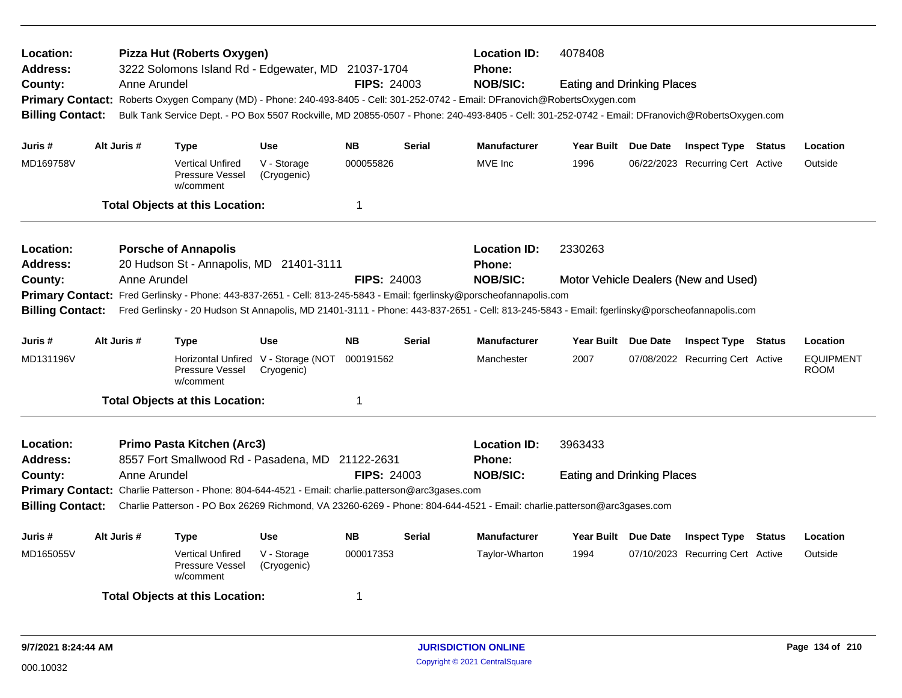| Location:<br><b>Address:</b><br>County:<br><b>Billing Contact:</b> |             | Anne Arundel | Pizza Hut (Roberts Oxygen)<br>3222 Solomons Island Rd - Edgewater, MD 21037-1704                  |                                                   | <b>FIPS: 24003</b> |               | <b>Location ID:</b><br>Phone:<br><b>NOB/SIC:</b><br>Primary Contact: Roberts Oxygen Company (MD) - Phone: 240-493-8405 - Cell: 301-252-0742 - Email: DFranovich@RobertsOxygen.com<br>Bulk Tank Service Dept. - PO Box 5507 Rockville, MD 20855-0507 - Phone: 240-493-8405 - Cell: 301-252-0742 - Email: DFranovich@RobertsOxygen.com | 4078408<br><b>Eating and Drinking Places</b> |                                      |               |                                 |
|--------------------------------------------------------------------|-------------|--------------|---------------------------------------------------------------------------------------------------|---------------------------------------------------|--------------------|---------------|--------------------------------------------------------------------------------------------------------------------------------------------------------------------------------------------------------------------------------------------------------------------------------------------------------------------------------------|----------------------------------------------|--------------------------------------|---------------|---------------------------------|
| Juris #                                                            | Alt Juris # |              | Type                                                                                              | <b>Use</b>                                        | <b>NB</b>          | <b>Serial</b> | <b>Manufacturer</b>                                                                                                                                                                                                                                                                                                                  | Year Built Due Date                          | <b>Inspect Type Status</b>           |               | Location                        |
| MD169758V                                                          |             |              | <b>Vertical Unfired</b><br>Pressure Vessel<br>w/comment                                           | V - Storage<br>(Cryogenic)                        | 000055826          |               | MVE Inc                                                                                                                                                                                                                                                                                                                              | 1996                                         | 06/22/2023 Recurring Cert Active     |               | Outside                         |
|                                                                    |             |              | <b>Total Objects at this Location:</b>                                                            |                                                   | $\mathbf 1$        |               |                                                                                                                                                                                                                                                                                                                                      |                                              |                                      |               |                                 |
| Location:<br><b>Address:</b>                                       |             |              | <b>Porsche of Annapolis</b><br>20 Hudson St - Annapolis, MD 21401-3111                            |                                                   |                    |               | <b>Location ID:</b><br>Phone:                                                                                                                                                                                                                                                                                                        | 2330263                                      |                                      |               |                                 |
| County:<br><b>Billing Contact:</b>                                 |             | Anne Arundel |                                                                                                   |                                                   | <b>FIPS: 24003</b> |               | <b>NOB/SIC:</b><br>Primary Contact: Fred Gerlinsky - Phone: 443-837-2651 - Cell: 813-245-5843 - Email: fgerlinsky@porscheofannapolis.com<br>Fred Gerlinsky - 20 Hudson St Annapolis, MD 21401-3111 - Phone: 443-837-2651 - Cell: 813-245-5843 - Email: fgerlinsky@porscheofannapolis.com                                             |                                              | Motor Vehicle Dealers (New and Used) |               |                                 |
| Juris #                                                            | Alt Juris # |              | Type                                                                                              | <b>Use</b>                                        | <b>NB</b>          | <b>Serial</b> | <b>Manufacturer</b>                                                                                                                                                                                                                                                                                                                  | Year Built Due Date                          | <b>Inspect Type Status</b>           |               | Location                        |
| MD131196V                                                          |             |              | Pressure Vessel<br>w/comment                                                                      | Horizontal Unfired V - Storage (NOT<br>Cryogenic) | 000191562          |               | Manchester                                                                                                                                                                                                                                                                                                                           | 2007                                         | 07/08/2022 Recurring Cert Active     |               | <b>EQUIPMENT</b><br><b>ROOM</b> |
|                                                                    |             |              | <b>Total Objects at this Location:</b>                                                            |                                                   | 1                  |               |                                                                                                                                                                                                                                                                                                                                      |                                              |                                      |               |                                 |
| Location:<br><b>Address:</b>                                       |             |              | Primo Pasta Kitchen (Arc3)<br>8557 Fort Smallwood Rd - Pasadena, MD 21122-2631                    |                                                   |                    |               | <b>Location ID:</b><br><b>Phone:</b>                                                                                                                                                                                                                                                                                                 | 3963433                                      |                                      |               |                                 |
| County:<br><b>Billing Contact:</b>                                 |             | Anne Arundel | Primary Contact: Charlie Patterson - Phone: 804-644-4521 - Email: charlie.patterson@arc3gases.com |                                                   | <b>FIPS: 24003</b> |               | <b>NOB/SIC:</b><br>Charlie Patterson - PO Box 26269 Richmond, VA 23260-6269 - Phone: 804-644-4521 - Email: charlie.patterson@arc3gases.com                                                                                                                                                                                           | <b>Eating and Drinking Places</b>            |                                      |               |                                 |
| Juris #                                                            | Alt Juris # |              | Type                                                                                              | <b>Use</b>                                        | <b>NB</b>          | <b>Serial</b> | <b>Manufacturer</b>                                                                                                                                                                                                                                                                                                                  | Year Built Due Date                          | <b>Inspect Type</b>                  | <b>Status</b> | Location                        |
| MD165055V                                                          |             |              | <b>Vertical Unfired</b><br>Pressure Vessel<br>w/comment                                           | V - Storage<br>(Cryogenic)                        | 000017353          |               | Taylor-Wharton                                                                                                                                                                                                                                                                                                                       | 1994                                         | 07/10/2023 Recurring Cert Active     |               | Outside                         |
|                                                                    |             |              | <b>Total Objects at this Location:</b>                                                            |                                                   | -1                 |               |                                                                                                                                                                                                                                                                                                                                      |                                              |                                      |               |                                 |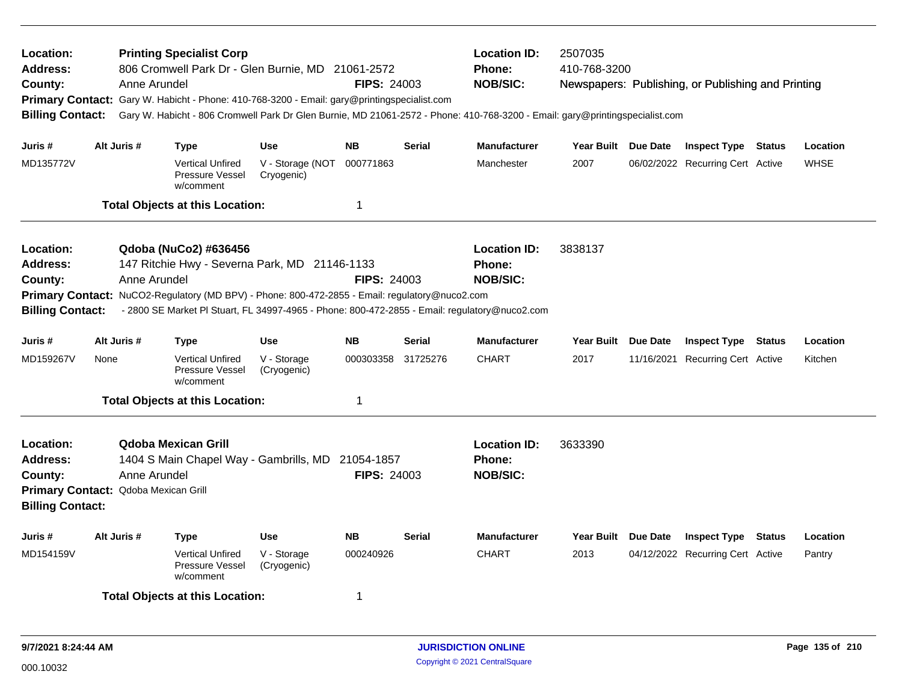| <b>Location:</b><br><b>Address:</b><br>County:<br><b>Billing Contact:</b> | Anne Arundel                                         | <b>Printing Specialist Corp</b><br>806 Cromwell Park Dr - Glen Burnie, MD 21061-2572<br>Primary Contact: Gary W. Habicht - Phone: 410-768-3200 - Email: gary@printingspecialist.com                                                                                       |                                              | <b>FIPS: 24003</b>                       |                                                         | <b>Location ID:</b><br><b>Phone:</b><br><b>NOB/SIC:</b><br>Gary W. Habicht - 806 Cromwell Park Dr Glen Burnie, MD 21061-2572 - Phone: 410-768-3200 - Email: gary@printingspecialist.com | 2507035<br>410-768-3200     |                 | Newspapers: Publishing, or Publishing and Printing             |        |                         |
|---------------------------------------------------------------------------|------------------------------------------------------|---------------------------------------------------------------------------------------------------------------------------------------------------------------------------------------------------------------------------------------------------------------------------|----------------------------------------------|------------------------------------------|---------------------------------------------------------|-----------------------------------------------------------------------------------------------------------------------------------------------------------------------------------------|-----------------------------|-----------------|----------------------------------------------------------------|--------|-------------------------|
| Juris #<br>MD135772V                                                      | Alt Juris #                                          | <b>Type</b><br><b>Vertical Unfired</b><br>Pressure Vessel<br>w/comment<br><b>Total Objects at this Location:</b>                                                                                                                                                          | <b>Use</b><br>V - Storage (NOT<br>Cryogenic) | <b>NB</b><br>000771863<br>$\overline{1}$ | <b>Serial</b>                                           | <b>Manufacturer</b><br>Manchester                                                                                                                                                       | Year Built Due Date<br>2007 |                 | <b>Inspect Type Status</b><br>06/02/2022 Recurring Cert Active |        | Location<br><b>WHSE</b> |
| Location:<br>Address:<br>County:<br><b>Billing Contact:</b>               | Anne Arundel                                         | Qdoba (NuCo2) #636456<br>147 Ritchie Hwy - Severna Park, MD 21146-1133<br>Primary Contact: NuCO2-Regulatory (MD BPV) - Phone: 800-472-2855 - Email: regulatory@nuco2.com<br>- 2800 SE Market PI Stuart, FL 34997-4965 - Phone: 800-472-2855 - Email: regulatory@nuco2.com |                                              | <b>FIPS: 24003</b>                       |                                                         | <b>Location ID:</b><br><b>Phone:</b><br><b>NOB/SIC:</b>                                                                                                                                 | 3838137                     |                 |                                                                |        |                         |
| Juris #<br>MD159267V                                                      | Alt Juris #<br>None                                  | Type<br><b>Vertical Unfired</b><br>Pressure Vessel<br>w/comment<br><b>Total Objects at this Location:</b>                                                                                                                                                                 | <b>Use</b><br>V - Storage<br>(Cryogenic)     | <b>NB</b><br>000303358<br>$\mathbf 1$    | <b>Serial</b><br>31725276                               | <b>Manufacturer</b><br><b>CHART</b>                                                                                                                                                     | <b>Year Built</b><br>2017   | <b>Due Date</b> | <b>Inspect Type</b><br>11/16/2021 Recurring Cert Active        | Status | Location<br>Kitchen     |
| Location:<br><b>Address:</b><br>County:<br><b>Billing Contact:</b>        | Anne Arundel<br>Primary Contact: Qdoba Mexican Grill | <b>Qdoba Mexican Grill</b><br>1404 S Main Chapel Way - Gambrills, MD 21054-1857                                                                                                                                                                                           |                                              | <b>FIPS: 24003</b>                       | <b>Location ID:</b><br><b>Phone:</b><br><b>NOB/SIC:</b> | 3633390                                                                                                                                                                                 |                             |                 |                                                                |        |                         |
| Juris #<br>MD154159V                                                      | Alt Juris #                                          | <b>Type</b><br><b>Vertical Unfired</b><br><b>Pressure Vessel</b><br>w/comment<br><b>Total Objects at this Location:</b>                                                                                                                                                   | Use<br>V - Storage<br>(Cryogenic)            | <b>NB</b><br>000240926<br>-1             | <b>Serial</b>                                           | <b>Manufacturer</b><br><b>CHART</b>                                                                                                                                                     | Year Built Due Date<br>2013 |                 | <b>Inspect Type</b><br>04/12/2022 Recurring Cert Active        | Status | Location<br>Pantry      |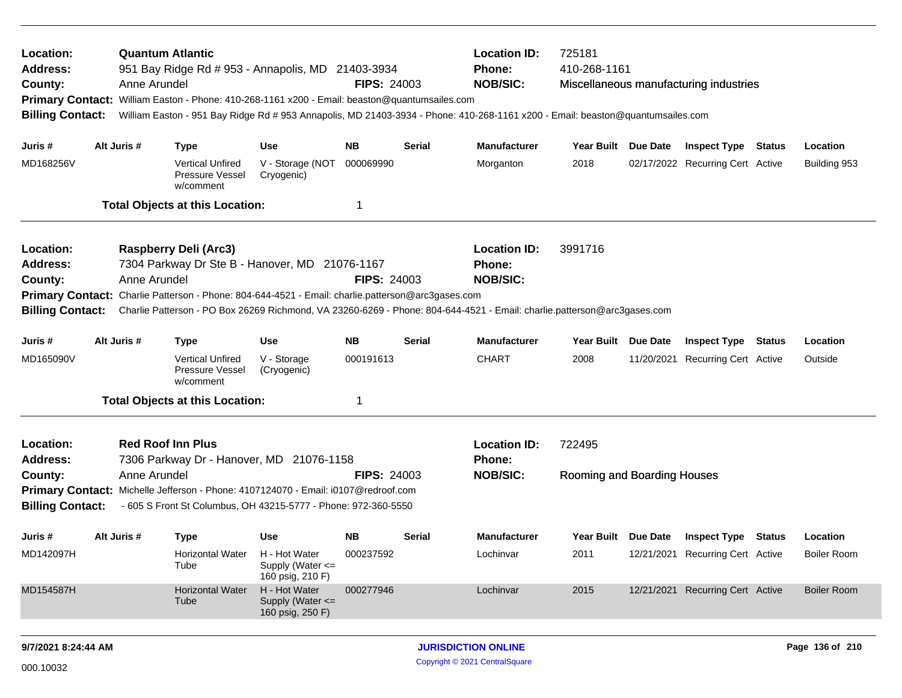| Location:<br><b>Address:</b><br>County:<br><b>Billing Contact:</b>                                                 |  | <b>Quantum Atlantic</b><br>Anne Arundel | 951 Bay Ridge Rd # 953 - Annapolis, MD 21403-3934<br>Primary Contact: William Easton - Phone: 410-268-1161 x200 - Email: beaston@quantumsailes.com                           |                                                       | <b>FIPS: 24003</b>     |               | <b>Location ID:</b><br><b>Phone:</b><br><b>NOB/SIC:</b><br>William Easton - 951 Bay Ridge Rd # 953 Annapolis, MD 21403-3934 - Phone: 410-268-1161 x200 - Email: beaston@quantumsailes.com | 725181<br>410-268-1161           |            | Miscellaneous manufacturing industries                         |        |                          |
|--------------------------------------------------------------------------------------------------------------------|--|-----------------------------------------|------------------------------------------------------------------------------------------------------------------------------------------------------------------------------|-------------------------------------------------------|------------------------|---------------|-------------------------------------------------------------------------------------------------------------------------------------------------------------------------------------------|----------------------------------|------------|----------------------------------------------------------------|--------|--------------------------|
| Juris #<br>MD168256V                                                                                               |  | Alt Juris #                             | <b>Type</b><br><b>Vertical Unfired</b>                                                                                                                                       | <b>Use</b><br>V - Storage (NOT                        | <b>NB</b><br>000069990 | <b>Serial</b> | <b>Manufacturer</b><br>Morganton                                                                                                                                                          | Year Built Due Date<br>2018      |            | <b>Inspect Type Status</b><br>02/17/2022 Recurring Cert Active |        | Location<br>Building 953 |
|                                                                                                                    |  |                                         | <b>Pressure Vessel</b><br>w/comment                                                                                                                                          | Cryogenic)                                            |                        |               |                                                                                                                                                                                           |                                  |            |                                                                |        |                          |
|                                                                                                                    |  |                                         | <b>Total Objects at this Location:</b>                                                                                                                                       |                                                       | $\mathbf{1}$           |               |                                                                                                                                                                                           |                                  |            |                                                                |        |                          |
| Location:<br><b>Address:</b><br>County:<br><b>Billing Contact:</b>                                                 |  | Anne Arundel                            | Raspberry Deli (Arc3)<br>7304 Parkway Dr Ste B - Hanover, MD 21076-1167<br>Primary Contact: Charlie Patterson - Phone: 804-644-4521 - Email: charlie.patterson@arc3gases.com |                                                       | <b>FIPS: 24003</b>     |               | <b>Location ID:</b><br><b>Phone:</b><br><b>NOB/SIC:</b><br>Charlie Patterson - PO Box 26269 Richmond, VA 23260-6269 - Phone: 804-644-4521 - Email: charlie.patterson@arc3gases.com        | 3991716                          |            |                                                                |        |                          |
| Juris #                                                                                                            |  | Alt Juris #                             | <b>Type</b>                                                                                                                                                                  | <b>Use</b>                                            | <b>NB</b>              | <b>Serial</b> | <b>Manufacturer</b>                                                                                                                                                                       | Year Built Due Date              |            | <b>Inspect Type Status</b>                                     |        | Location                 |
| MD165090V                                                                                                          |  |                                         | <b>Vertical Unfired</b><br><b>Pressure Vessel</b><br>w/comment                                                                                                               | V - Storage<br>(Cryogenic)                            | 000191613              |               | <b>CHART</b>                                                                                                                                                                              | 2008                             |            | 11/20/2021 Recurring Cert Active                               |        | Outside                  |
|                                                                                                                    |  |                                         | <b>Total Objects at this Location:</b>                                                                                                                                       |                                                       | 1                      |               |                                                                                                                                                                                           |                                  |            |                                                                |        |                          |
| Location:<br><b>Address:</b>                                                                                       |  |                                         | <b>Red Roof Inn Plus</b><br>7306 Parkway Dr - Hanover, MD 21076-1158                                                                                                         |                                                       |                        |               | <b>Location ID:</b><br>Phone:                                                                                                                                                             | 722495                           |            |                                                                |        |                          |
| County:<br><b>Billing Contact:</b>                                                                                 |  | Anne Arundel                            | Primary Contact: Michelle Jefferson - Phone: 4107124070 - Email: i0107@redroof.com<br>- 605 S Front St Columbus, OH 43215-5777 - Phone: 972-360-5550                         |                                                       | <b>FIPS: 24003</b>     |               | <b>NOB/SIC:</b>                                                                                                                                                                           | Rooming and Boarding Houses      |            |                                                                |        |                          |
| Juris #                                                                                                            |  | Alt Juris #                             | <b>Type</b>                                                                                                                                                                  | <b>Use</b>                                            | <b>NB</b>              | <b>Serial</b> | <b>Manufacturer</b>                                                                                                                                                                       | <b>Year Built</b>                | Due Date   | <b>Inspect Type</b>                                            | Status | Location                 |
| MD142097H                                                                                                          |  |                                         | <b>Horizontal Water</b><br>Tube                                                                                                                                              | H - Hot Water<br>Supply (Water <=<br>160 psig, 210 F) | 000237592              |               | Lochinvar                                                                                                                                                                                 | 2011                             | 12/21/2021 | <b>Recurring Cert Active</b>                                   |        | <b>Boiler Room</b>       |
| MD154587H<br><b>Horizontal Water</b><br>H - Hot Water<br>000277946<br>Supply (Water <=<br>Tube<br>160 psig, 250 F) |  |                                         |                                                                                                                                                                              |                                                       | Lochinvar              | 2015          |                                                                                                                                                                                           | 12/21/2021 Recurring Cert Active |            | <b>Boiler Room</b>                                             |        |                          |
|                                                                                                                    |  |                                         |                                                                                                                                                                              |                                                       |                        |               |                                                                                                                                                                                           |                                  |            |                                                                |        |                          |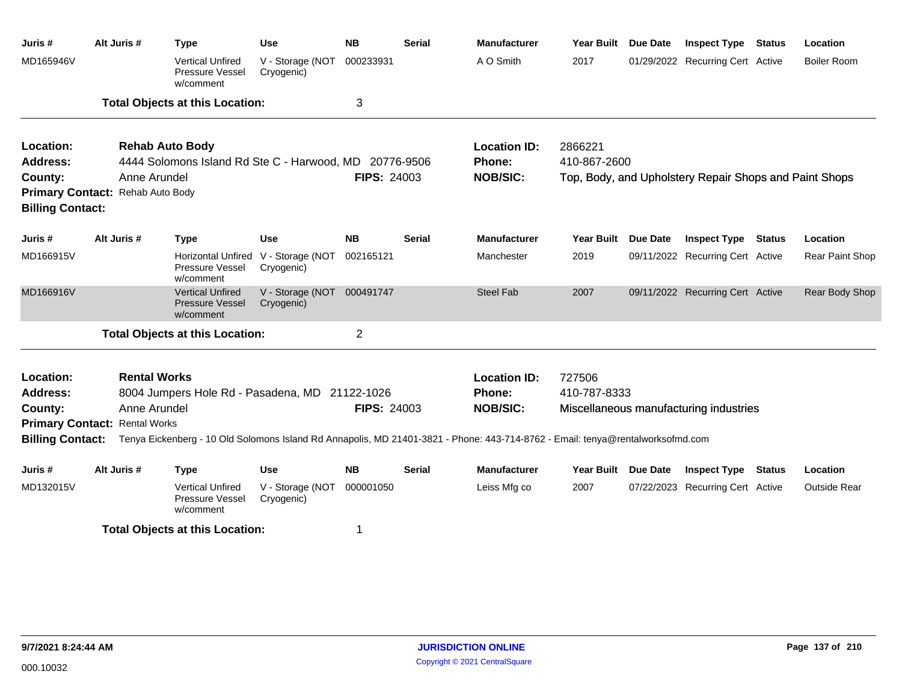| Juris #                                                     | Alt Juris # | <b>Type</b>                                                    | <b>Use</b>                     | <b>NB</b>          | <b>Serial</b> | <b>Manufacturer</b>                                                                                                            | <b>Year Built</b>   | Due Date | <b>Inspect Type</b>                                    | <b>Status</b> | Location            |
|-------------------------------------------------------------|-------------|----------------------------------------------------------------|--------------------------------|--------------------|---------------|--------------------------------------------------------------------------------------------------------------------------------|---------------------|----------|--------------------------------------------------------|---------------|---------------------|
| MD165946V                                                   |             | <b>Vertical Unfired</b><br>Pressure Vessel<br>w/comment        | V - Storage (NOT<br>Cryogenic) | 000233931          |               | A O Smith                                                                                                                      | 2017                |          | 01/29/2022 Recurring Cert Active                       |               | <b>Boiler Room</b>  |
|                                                             |             | <b>Total Objects at this Location:</b>                         |                                | 3                  |               |                                                                                                                                |                     |          |                                                        |               |                     |
| Location:                                                   |             | <b>Rehab Auto Body</b>                                         |                                |                    |               | <b>Location ID:</b>                                                                                                            | 2866221             |          |                                                        |               |                     |
| <b>Address:</b>                                             |             | 4444 Solomons Island Rd Ste C - Harwood, MD 20776-9506         |                                |                    |               | <b>Phone:</b>                                                                                                                  | 410-867-2600        |          |                                                        |               |                     |
| County:                                                     |             | Anne Arundel                                                   |                                | <b>FIPS: 24003</b> |               | <b>NOB/SIC:</b>                                                                                                                |                     |          | Top, Body, and Upholstery Repair Shops and Paint Shops |               |                     |
| Primary Contact: Rehab Auto Body<br><b>Billing Contact:</b> |             |                                                                |                                |                    |               |                                                                                                                                |                     |          |                                                        |               |                     |
| Juris #                                                     | Alt Juris # | <b>Type</b>                                                    | Use                            | <b>NB</b>          | <b>Serial</b> | <b>Manufacturer</b>                                                                                                            | Year Built          | Due Date | <b>Inspect Type Status</b>                             |               | Location            |
| MD166915V                                                   |             | <b>Horizontal Unfired</b><br>Pressure Vessel<br>w/comment      | V - Storage (NOT<br>Cryogenic) | 002165121          |               | Manchester                                                                                                                     | 2019                |          | 09/11/2022 Recurring Cert Active                       |               | Rear Paint Shop     |
| MD166916V                                                   |             | <b>Vertical Unfired</b><br><b>Pressure Vessel</b><br>w/comment | V - Storage (NOT<br>Cryogenic) | 000491747          |               | <b>Steel Fab</b>                                                                                                               | 2007                |          | 09/11/2022 Recurring Cert Active                       |               | Rear Body Shop      |
|                                                             |             | <b>Total Objects at this Location:</b>                         |                                | $\overline{2}$     |               |                                                                                                                                |                     |          |                                                        |               |                     |
| Location:                                                   |             | <b>Rental Works</b>                                            |                                |                    |               | <b>Location ID:</b>                                                                                                            | 727506              |          |                                                        |               |                     |
| <b>Address:</b>                                             |             | 8004 Jumpers Hole Rd - Pasadena, MD 21122-1026                 |                                |                    |               | Phone:                                                                                                                         | 410-787-8333        |          |                                                        |               |                     |
| County:                                                     |             | Anne Arundel                                                   |                                | <b>FIPS: 24003</b> |               | <b>NOB/SIC:</b>                                                                                                                |                     |          | Miscellaneous manufacturing industries                 |               |                     |
| <b>Primary Contact: Rental Works</b>                        |             |                                                                |                                |                    |               |                                                                                                                                |                     |          |                                                        |               |                     |
| <b>Billing Contact:</b>                                     |             |                                                                |                                |                    |               | Tenya Eickenberg - 10 Old Solomons Island Rd Annapolis, MD 21401-3821 - Phone: 443-714-8762 - Email: tenya@rentalworksofmd.com |                     |          |                                                        |               |                     |
| Juris #                                                     | Alt Juris # | <b>Type</b>                                                    | Use                            | <b>NB</b>          | <b>Serial</b> | <b>Manufacturer</b>                                                                                                            | Year Built Due Date |          | <b>Inspect Type</b>                                    | Status        | Location            |
| MD132015V                                                   |             | <b>Vertical Unfired</b><br>Pressure Vessel<br>w/comment        | V - Storage (NOT<br>Cryogenic) | 000001050          |               | Leiss Mfg co                                                                                                                   | 2007                |          | 07/22/2023 Recurring Cert Active                       |               | <b>Outside Rear</b> |
|                                                             |             | <b>Total Objects at this Location:</b>                         |                                |                    |               |                                                                                                                                |                     |          |                                                        |               |                     |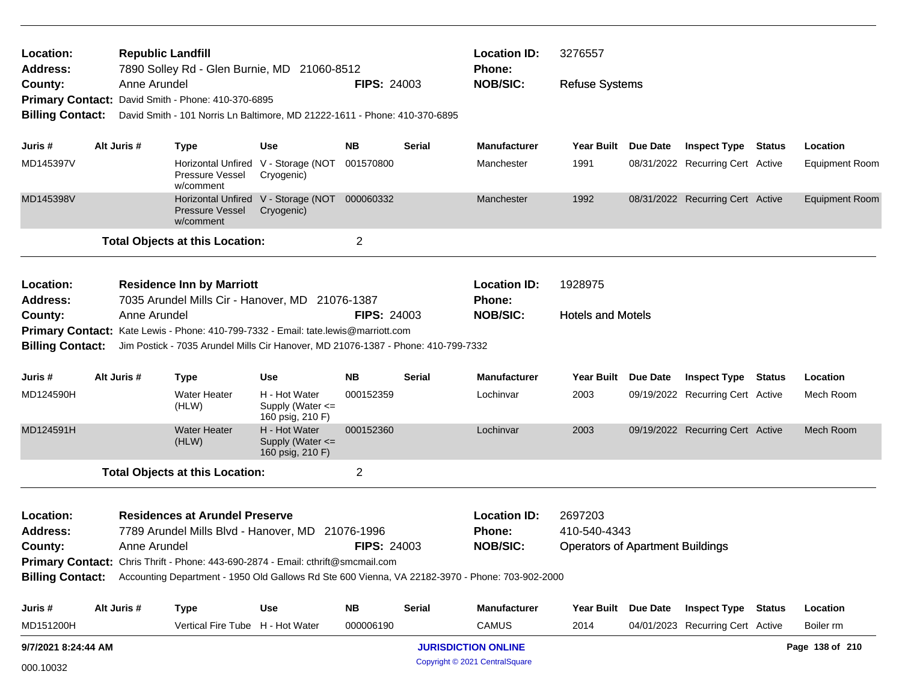| Location:<br>Address:              |                                                                                                    | <b>Republic Landfill</b><br>7890 Solley Rd - Glen Burnie, MD 21060-8512                                                          |                                                             | <b>Location ID:</b><br>3276557<br><b>Phone:</b> |               |                                                                                                                  |                                         |  |                                  |  |                       |
|------------------------------------|----------------------------------------------------------------------------------------------------|----------------------------------------------------------------------------------------------------------------------------------|-------------------------------------------------------------|-------------------------------------------------|---------------|------------------------------------------------------------------------------------------------------------------|-----------------------------------------|--|----------------------------------|--|-----------------------|
| County:<br><b>Billing Contact:</b> | Anne Arundel                                                                                       | Primary Contact: David Smith - Phone: 410-370-6895<br>David Smith - 101 Norris Ln Baltimore, MD 21222-1611 - Phone: 410-370-6895 |                                                             | <b>FIPS: 24003</b>                              |               | <b>NOB/SIC:</b>                                                                                                  | <b>Refuse Systems</b>                   |  |                                  |  |                       |
| Juris #                            | Alt Juris #                                                                                        | <b>Type</b>                                                                                                                      | <b>Use</b>                                                  | NΒ                                              | Serial        | <b>Manufacturer</b>                                                                                              | Year Built Due Date                     |  | <b>Inspect Type Status</b>       |  | Location              |
| MD145397V                          |                                                                                                    | <b>Pressure Vessel</b><br>w/comment                                                                                              | Horizontal Unfired V - Storage (NOT<br>Cryogenic)           | 001570800                                       |               | Manchester                                                                                                       | 1991                                    |  | 08/31/2022 Recurring Cert Active |  | <b>Equipment Room</b> |
| MD145398V                          |                                                                                                    | Pressure Vessel<br>w/comment                                                                                                     | Horizontal Unfired V - Storage (NOT 000060332<br>Cryogenic) |                                                 |               | Manchester                                                                                                       | 1992                                    |  | 08/31/2022 Recurring Cert Active |  | <b>Equipment Room</b> |
|                                    |                                                                                                    | <b>Total Objects at this Location:</b>                                                                                           |                                                             | $\overline{c}$                                  |               |                                                                                                                  |                                         |  |                                  |  |                       |
| Location:<br><b>Address:</b>       |                                                                                                    | <b>Residence Inn by Marriott</b><br>7035 Arundel Mills Cir - Hanover, MD 21076-1387                                              |                                                             |                                                 |               | <b>Location ID:</b><br><b>Phone:</b>                                                                             | 1928975                                 |  |                                  |  |                       |
| County:                            | Anne Arundel                                                                                       |                                                                                                                                  |                                                             | <b>FIPS: 24003</b>                              |               | <b>NOB/SIC:</b>                                                                                                  | <b>Hotels and Motels</b>                |  |                                  |  |                       |
|                                    |                                                                                                    | Primary Contact: Kate Lewis - Phone: 410-799-7332 - Email: tate.lewis@marriott.com                                               |                                                             |                                                 |               |                                                                                                                  |                                         |  |                                  |  |                       |
|                                    | Billing Contact: Jim Postick - 7035 Arundel Mills Cir Hanover, MD 21076-1387 - Phone: 410-799-7332 |                                                                                                                                  |                                                             |                                                 |               |                                                                                                                  |                                         |  |                                  |  |                       |
| Juris #                            | Alt Juris #                                                                                        | <b>Type</b>                                                                                                                      | <b>Use</b>                                                  | <b>NB</b>                                       | <b>Serial</b> | <b>Manufacturer</b>                                                                                              | Year Built Due Date                     |  | <b>Inspect Type Status</b>       |  | Location              |
| MD124590H                          |                                                                                                    | Water Heater<br>(HLW)                                                                                                            | H - Hot Water<br>Supply (Water $\leq$<br>160 psig, 210 F)   | 000152359                                       |               | Lochinvar                                                                                                        | 2003                                    |  | 09/19/2022 Recurring Cert Active |  | Mech Room             |
| MD124591H                          |                                                                                                    | <b>Water Heater</b><br>(HLW)                                                                                                     | H - Hot Water<br>Supply (Water <=<br>160 psig, 210 F)       | 000152360                                       |               | Lochinvar                                                                                                        | 2003                                    |  | 09/19/2022 Recurring Cert Active |  | Mech Room             |
|                                    |                                                                                                    | <b>Total Objects at this Location:</b>                                                                                           |                                                             | $\overline{2}$                                  |               |                                                                                                                  |                                         |  |                                  |  |                       |
| Location:                          |                                                                                                    | <b>Residences at Arundel Preserve</b>                                                                                            |                                                             |                                                 |               | <b>Location ID:</b>                                                                                              | 2697203                                 |  |                                  |  |                       |
| <b>Address:</b>                    |                                                                                                    | 7789 Arundel Mills Blvd - Hanover, MD 21076-1996                                                                                 |                                                             |                                                 |               | <b>Phone:</b>                                                                                                    | 410-540-4343                            |  |                                  |  |                       |
| County:                            | Anne Arundel                                                                                       |                                                                                                                                  |                                                             | <b>FIPS: 24003</b>                              |               | <b>NOB/SIC:</b>                                                                                                  | <b>Operators of Apartment Buildings</b> |  |                                  |  |                       |
|                                    |                                                                                                    | Primary Contact: Chris Thrift - Phone: 443-690-2874 - Email: cthrift@smcmail.com                                                 |                                                             |                                                 |               |                                                                                                                  |                                         |  |                                  |  |                       |
|                                    |                                                                                                    |                                                                                                                                  |                                                             |                                                 |               | Billing Contact: Accounting Department - 1950 Old Gallows Rd Ste 600 Vienna, VA 22182-3970 - Phone: 703-902-2000 |                                         |  |                                  |  |                       |
| Juris #                            | Alt Juris #                                                                                        | <b>Type</b>                                                                                                                      | <b>Use</b>                                                  | ΝB                                              | <b>Serial</b> | <b>Manufacturer</b>                                                                                              | Year Built Due Date                     |  | <b>Inspect Type Status</b>       |  | Location              |
| MD151200H                          |                                                                                                    | Vertical Fire Tube H - Hot Water                                                                                                 |                                                             | 000006190                                       |               | CAMUS                                                                                                            | 2014                                    |  | 04/01/2023 Recurring Cert Active |  | Boiler rm             |
| 9/7/2021 8:24:44 AM                |                                                                                                    |                                                                                                                                  |                                                             |                                                 |               | <b>JURISDICTION ONLINE</b>                                                                                       |                                         |  |                                  |  | Page 138 of 210       |
| 000.10032                          |                                                                                                    |                                                                                                                                  |                                                             | Copyright © 2021 CentralSquare                  |               |                                                                                                                  |                                         |  |                                  |  |                       |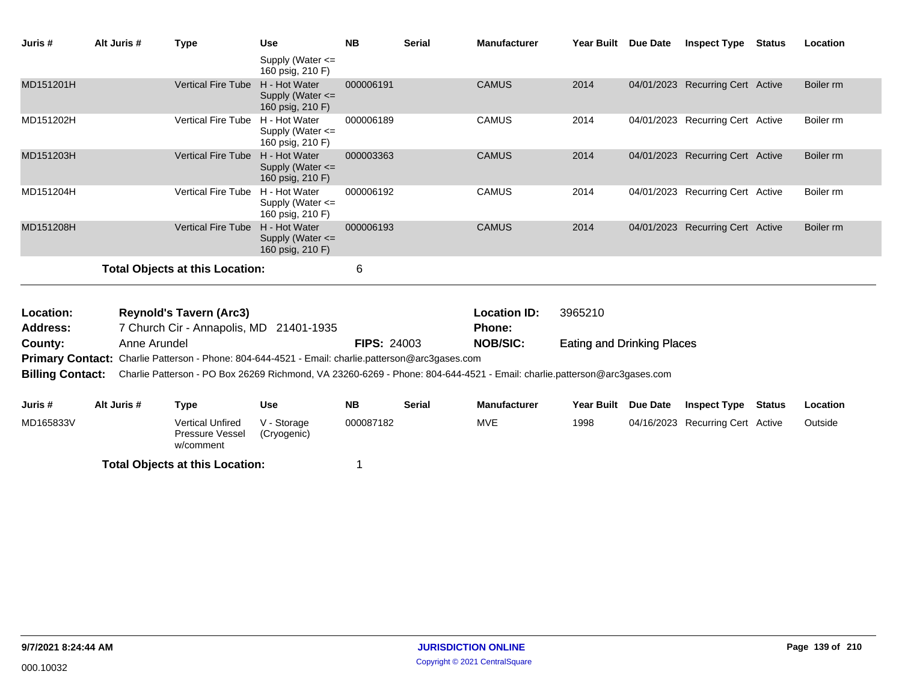| Juris #                 | Alt Juris # | Type                                                                                                                    | <b>Use</b>                                                | <b>NB</b>          | <b>Serial</b> | <b>Manufacturer</b> | Year Built Due Date               |                 | <b>Inspect Type</b>              | <b>Status</b> | Location  |
|-------------------------|-------------|-------------------------------------------------------------------------------------------------------------------------|-----------------------------------------------------------|--------------------|---------------|---------------------|-----------------------------------|-----------------|----------------------------------|---------------|-----------|
|                         |             |                                                                                                                         | Supply (Water $\leq$<br>160 psig, 210 F)                  |                    |               |                     |                                   |                 |                                  |               |           |
| MD151201H               |             | <b>Vertical Fire Tube</b>                                                                                               | H - Hot Water<br>Supply (Water $\leq$<br>160 psig, 210 F) | 000006191          |               | <b>CAMUS</b>        | 2014                              |                 | 04/01/2023 Recurring Cert Active |               | Boiler rm |
| MD151202H               |             | <b>Vertical Fire Tube</b>                                                                                               | H - Hot Water<br>Supply (Water <=<br>160 psig, 210 F)     | 000006189          |               | <b>CAMUS</b>        | 2014                              |                 | 04/01/2023 Recurring Cert Active |               | Boiler rm |
| MD151203H               |             | <b>Vertical Fire Tube</b>                                                                                               | H - Hot Water<br>Supply (Water $\leq$<br>160 psig, 210 F) | 000003363          |               | <b>CAMUS</b>        | 2014                              |                 | 04/01/2023 Recurring Cert Active |               | Boiler rm |
| MD151204H               |             | <b>Vertical Fire Tube</b>                                                                                               | H - Hot Water<br>Supply (Water $\leq$<br>160 psig, 210 F) | 000006192          |               | <b>CAMUS</b>        | 2014                              |                 | 04/01/2023 Recurring Cert Active |               | Boiler rm |
| MD151208H               |             | <b>Vertical Fire Tube</b>                                                                                               | H - Hot Water<br>Supply (Water <=<br>160 psig, 210 F)     | 000006193          |               | <b>CAMUS</b>        | 2014                              |                 | 04/01/2023 Recurring Cert Active |               | Boiler rm |
|                         |             | <b>Total Objects at this Location:</b>                                                                                  |                                                           | 6                  |               |                     |                                   |                 |                                  |               |           |
| Location:               |             | <b>Reynold's Tavern (Arc3)</b>                                                                                          |                                                           |                    |               | <b>Location ID:</b> | 3965210                           |                 |                                  |               |           |
| Address:                |             | 7 Church Cir - Annapolis, MD 21401-1935                                                                                 |                                                           |                    |               | <b>Phone:</b>       |                                   |                 |                                  |               |           |
| County:                 |             | Anne Arundel                                                                                                            |                                                           | <b>FIPS: 24003</b> |               | <b>NOB/SIC:</b>     | <b>Eating and Drinking Places</b> |                 |                                  |               |           |
|                         |             | <b>Primary Contact:</b> Charlie Patterson - Phone: 804-644-4521 - Email: charlie.patterson@arc3gases.com                |                                                           |                    |               |                     |                                   |                 |                                  |               |           |
| <b>Billing Contact:</b> |             | Charlie Patterson - PO Box 26269 Richmond, VA 23260-6269 - Phone: 804-644-4521 - Email: charlie.patterson@arc3gases.com |                                                           |                    |               |                     |                                   |                 |                                  |               |           |
| Juris #                 | Alt Juris # | <b>Type</b>                                                                                                             | <b>Use</b>                                                | <b>NB</b>          | <b>Serial</b> | <b>Manufacturer</b> | <b>Year Built</b>                 | <b>Due Date</b> | <b>Inspect Type</b>              | <b>Status</b> | Location  |
| MD165833V               |             | <b>Vertical Unfired</b><br><b>Pressure Vessel</b>                                                                       | V - Storage<br>(Cryogenic)                                | 000087182          |               | <b>MVE</b>          | 1998                              |                 | 04/16/2023 Recurring Cert Active |               | Outside   |

w/comment **Total Objects at this Location:** 1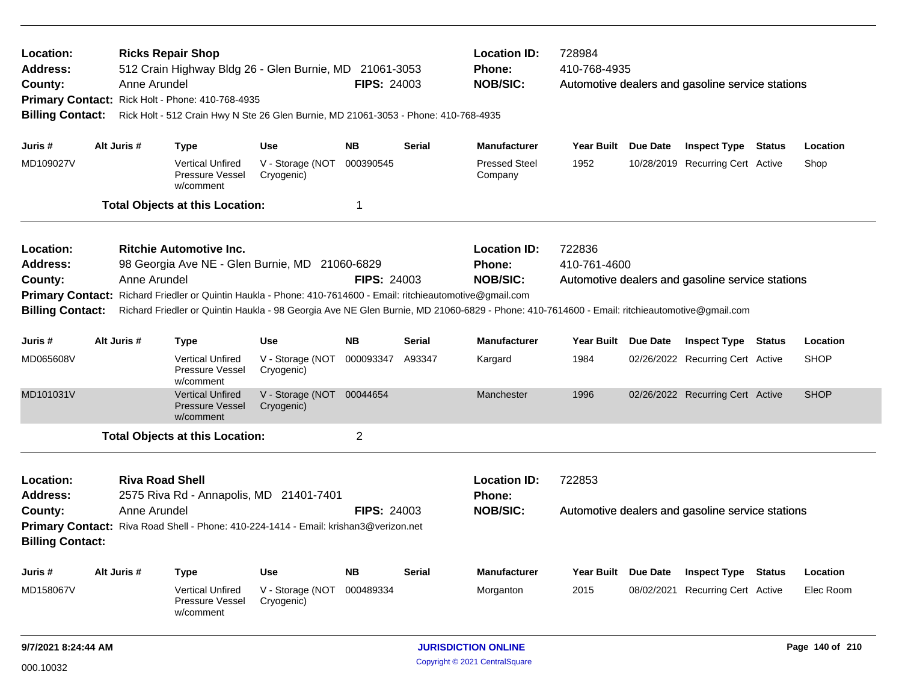| Location:<br>Address:<br>County:<br><b>Billing Contact:</b>                                                                                                                                                                                                                                                                                                                                                                                                            |                                                       | Anne Arundel | <b>Ricks Repair Shop</b><br>512 Crain Highway Bldg 26 - Glen Burnie, MD 21061-3053<br>Primary Contact: Rick Holt - Phone: 410-768-4935<br>Rick Holt - 512 Crain Hwy N Ste 26 Glen Burnie, MD 21061-3053 - Phone: 410-768-4935 |                                         | <b>FIPS: 24003</b> |                     | <b>Location ID:</b><br>Phone:<br><b>NOB/SIC:</b>        | 728984<br>410-768-4935<br>Automotive dealers and gasoline service stations |                     |                                  |          |             |  |
|------------------------------------------------------------------------------------------------------------------------------------------------------------------------------------------------------------------------------------------------------------------------------------------------------------------------------------------------------------------------------------------------------------------------------------------------------------------------|-------------------------------------------------------|--------------|-------------------------------------------------------------------------------------------------------------------------------------------------------------------------------------------------------------------------------|-----------------------------------------|--------------------|---------------------|---------------------------------------------------------|----------------------------------------------------------------------------|---------------------|----------------------------------|----------|-------------|--|
| Juris #                                                                                                                                                                                                                                                                                                                                                                                                                                                                |                                                       | Alt Juris #  | <b>Type</b>                                                                                                                                                                                                                   | <b>Use</b>                              | <b>NB</b>          | <b>Serial</b>       | <b>Manufacturer</b>                                     | Year Built Due Date                                                        |                     | <b>Inspect Type Status</b>       |          | Location    |  |
| MD109027V                                                                                                                                                                                                                                                                                                                                                                                                                                                              |                                                       |              | <b>Vertical Unfired</b><br>Pressure Vessel<br>w/comment                                                                                                                                                                       | V - Storage (NOT<br>Cryogenic)          | 000390545          |                     | <b>Pressed Steel</b><br>Company                         | 1952                                                                       |                     | 10/28/2019 Recurring Cert Active |          | Shop        |  |
|                                                                                                                                                                                                                                                                                                                                                                                                                                                                        |                                                       |              | <b>Total Objects at this Location:</b>                                                                                                                                                                                        |                                         | $\mathbf 1$        |                     |                                                         |                                                                            |                     |                                  |          |             |  |
| Location:<br><b>Ritchie Automotive Inc.</b><br><b>Address:</b><br>98 Georgia Ave NE - Glen Burnie, MD 21060-6829<br><b>FIPS: 24003</b><br>County:<br>Anne Arundel<br><b>Primary Contact:</b><br>Richard Friedler or Quintin Haukla - Phone: 410-7614600 - Email: ritchieautomotive@gmail.com<br>Richard Friedler or Quintin Haukla - 98 Georgia Ave NE Glen Burnie, MD 21060-6829 - Phone: 410-7614600 - Email: ritchieautomotive@gmail.com<br><b>Billing Contact:</b> |                                                       |              |                                                                                                                                                                                                                               |                                         |                    |                     | <b>Location ID:</b><br><b>Phone:</b><br><b>NOB/SIC:</b> | 722836<br>410-761-4600<br>Automotive dealers and gasoline service stations |                     |                                  |          |             |  |
| Juris #                                                                                                                                                                                                                                                                                                                                                                                                                                                                | Alt Juris #<br><b>NB</b><br><b>Use</b><br><b>Type</b> |              |                                                                                                                                                                                                                               |                                         | <b>Serial</b>      | <b>Manufacturer</b> | <b>Year Built</b>                                       | Due Date                                                                   | <b>Inspect Type</b> | Status                           | Location |             |  |
| MD065608V                                                                                                                                                                                                                                                                                                                                                                                                                                                              |                                                       |              | <b>Vertical Unfired</b><br>Pressure Vessel<br>w/comment                                                                                                                                                                       | V - Storage (NOT<br>Cryogenic)          | 000093347          | A93347              | Kargard                                                 | 1984                                                                       |                     | 02/26/2022 Recurring Cert Active |          | <b>SHOP</b> |  |
| MD101031V                                                                                                                                                                                                                                                                                                                                                                                                                                                              |                                                       |              | <b>Vertical Unfired</b><br><b>Pressure Vessel</b><br>w/comment                                                                                                                                                                | V - Storage (NOT 00044654<br>Cryogenic) |                    |                     | Manchester                                              | 1996                                                                       |                     | 02/26/2022 Recurring Cert Active |          | <b>SHOP</b> |  |
|                                                                                                                                                                                                                                                                                                                                                                                                                                                                        |                                                       |              | <b>Total Objects at this Location:</b>                                                                                                                                                                                        |                                         | $\overline{2}$     |                     |                                                         |                                                                            |                     |                                  |          |             |  |
| Location:<br><b>Riva Road Shell</b><br><b>Address:</b><br>2575 Riva Rd - Annapolis, MD 21401-7401<br>County:<br>Anne Arundel<br><b>FIPS: 24003</b><br>Primary Contact: Riva Road Shell - Phone: 410-224-1414 - Email: krishan3@verizon.net<br><b>Billing Contact:</b>                                                                                                                                                                                                  |                                                       |              |                                                                                                                                                                                                                               |                                         |                    |                     | <b>Location ID:</b><br><b>Phone:</b><br><b>NOB/SIC:</b> | 722853<br>Automotive dealers and gasoline service stations                 |                     |                                  |          |             |  |
| Juris #                                                                                                                                                                                                                                                                                                                                                                                                                                                                |                                                       | Alt Juris #  | <b>Type</b>                                                                                                                                                                                                                   | <b>Use</b>                              | <b>NB</b>          | Serial              | <b>Manufacturer</b>                                     | Year Built Due Date                                                        |                     | <b>Inspect Type</b>              | Status   | Location    |  |
| MD158067V                                                                                                                                                                                                                                                                                                                                                                                                                                                              |                                                       |              | <b>Vertical Unfired</b><br>Pressure Vessel<br>w/comment                                                                                                                                                                       | V - Storage (NOT<br>Cryogenic)          | 000489334          |                     | Morganton                                               | 2015                                                                       |                     | 08/02/2021 Recurring Cert Active |          | Elec Room   |  |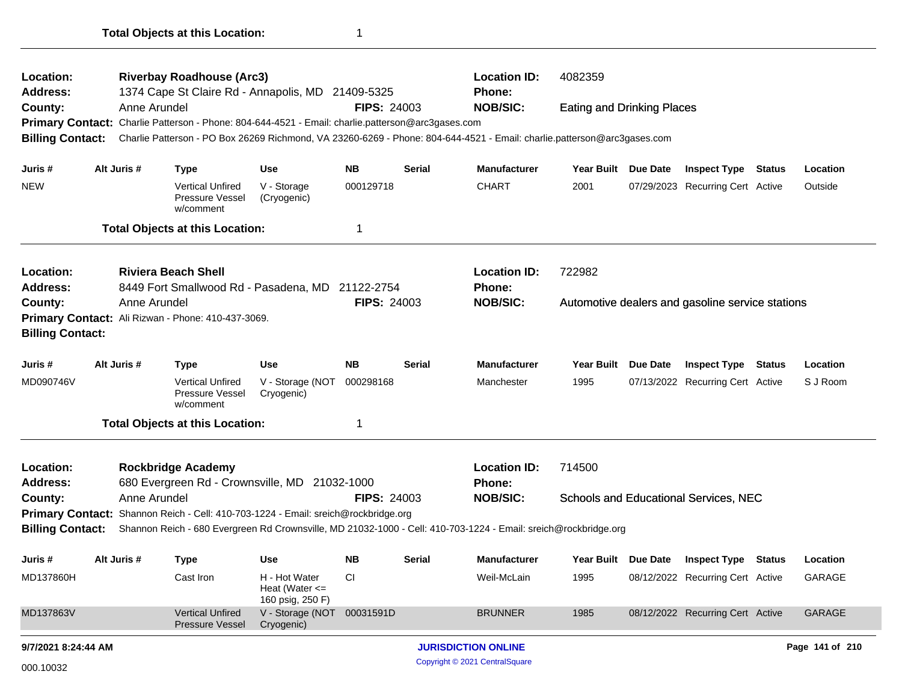| Location:<br>Address:                                                         |             |              | <b>Riverbay Roadhouse (Arc3)</b><br>1374 Cape St Claire Rd - Annapolis, MD 21409-5325             |                                                         |                    |               | <b>Location ID:</b><br><b>Phone:</b>                                                                                             | 4082359                           |                 |                                                  |               |                 |
|-------------------------------------------------------------------------------|-------------|--------------|---------------------------------------------------------------------------------------------------|---------------------------------------------------------|--------------------|---------------|----------------------------------------------------------------------------------------------------------------------------------|-----------------------------------|-----------------|--------------------------------------------------|---------------|-----------------|
| County:                                                                       |             | Anne Arundel |                                                                                                   |                                                         | <b>FIPS: 24003</b> |               | <b>NOB/SIC:</b>                                                                                                                  | <b>Eating and Drinking Places</b> |                 |                                                  |               |                 |
|                                                                               |             |              | Primary Contact: Charlie Patterson - Phone: 804-644-4521 - Email: charlie.patterson@arc3gases.com |                                                         |                    |               |                                                                                                                                  |                                   |                 |                                                  |               |                 |
| <b>Billing Contact:</b>                                                       |             |              |                                                                                                   |                                                         |                    |               | Charlie Patterson - PO Box 26269 Richmond, VA 23260-6269 - Phone: 804-644-4521 - Email: charlie.patterson@arc3gases.com          |                                   |                 |                                                  |               |                 |
| Juris #                                                                       | Alt Juris # |              | <b>Type</b>                                                                                       | Use                                                     | <b>NB</b>          | <b>Serial</b> | <b>Manufacturer</b>                                                                                                              | <b>Year Built</b>                 | Due Date        | <b>Inspect Type</b>                              | Status        | Location        |
| <b>NEW</b>                                                                    |             |              | <b>Vertical Unfired</b><br>Pressure Vessel<br>w/comment                                           | V - Storage<br>(Cryogenic)                              | 000129718          |               | <b>CHART</b>                                                                                                                     | 2001                              |                 | 07/29/2023 Recurring Cert Active                 |               | Outside         |
|                                                                               |             |              | <b>Total Objects at this Location:</b>                                                            |                                                         | 1                  |               |                                                                                                                                  |                                   |                 |                                                  |               |                 |
| Location:<br>Address:                                                         |             |              | <b>Riviera Beach Shell</b><br>8449 Fort Smallwood Rd - Pasadena, MD 21122-2754                    |                                                         |                    |               | <b>Location ID:</b><br><b>Phone:</b>                                                                                             | 722982                            |                 |                                                  |               |                 |
| County:                                                                       |             | Anne Arundel |                                                                                                   |                                                         | <b>FIPS: 24003</b> |               | <b>NOB/SIC:</b>                                                                                                                  |                                   |                 | Automotive dealers and gasoline service stations |               |                 |
| Primary Contact: Ali Rizwan - Phone: 410-437-3069.<br><b>Billing Contact:</b> |             |              |                                                                                                   |                                                         |                    |               |                                                                                                                                  |                                   |                 |                                                  |               |                 |
| Juris #                                                                       | Alt Juris # |              | <b>Type</b>                                                                                       | Use                                                     | <b>NB</b>          | <b>Serial</b> | <b>Manufacturer</b>                                                                                                              | <b>Year Built</b>                 | <b>Due Date</b> | <b>Inspect Type</b>                              | <b>Status</b> | Location        |
| MD090746V                                                                     |             |              | <b>Vertical Unfired</b><br>Pressure Vessel<br>w/comment                                           | V - Storage (NOT<br>Cryogenic)                          | 000298168          |               | Manchester                                                                                                                       | 1995                              |                 | 07/13/2022 Recurring Cert Active                 |               | S J Room        |
|                                                                               |             |              | <b>Total Objects at this Location:</b>                                                            |                                                         | 1                  |               |                                                                                                                                  |                                   |                 |                                                  |               |                 |
| Location:<br><b>Address:</b>                                                  |             |              | <b>Rockbridge Academy</b><br>680 Evergreen Rd - Crownsville, MD 21032-1000                        |                                                         |                    |               | <b>Location ID:</b><br><b>Phone:</b>                                                                                             | 714500                            |                 |                                                  |               |                 |
| County:                                                                       |             | Anne Arundel |                                                                                                   |                                                         | <b>FIPS: 24003</b> |               | <b>NOB/SIC:</b>                                                                                                                  |                                   |                 | Schools and Educational Services, NEC            |               |                 |
|                                                                               |             |              | Primary Contact: Shannon Reich - Cell: 410-703-1224 - Email: sreich@rockbridge.org                |                                                         |                    |               |                                                                                                                                  |                                   |                 |                                                  |               |                 |
|                                                                               |             |              |                                                                                                   |                                                         |                    |               | Billing Contact: Shannon Reich - 680 Evergreen Rd Crownsville, MD 21032-1000 - Cell: 410-703-1224 - Email: sreich@rockbridge.org |                                   |                 |                                                  |               |                 |
| Juris #                                                                       | Alt Juris # |              | <b>Type</b>                                                                                       | Use                                                     | <b>NB</b>          | <b>Serial</b> | <b>Manufacturer</b>                                                                                                              | Year Built Due Date               |                 | <b>Inspect Type Status</b>                       |               | Location        |
| MD137860H                                                                     |             |              | Cast Iron                                                                                         | H - Hot Water<br>Heat (Water $\leq$<br>160 psig, 250 F) | CI                 |               | Weil-McLain                                                                                                                      | 1995                              |                 | 08/12/2022 Recurring Cert Active                 |               | GARAGE          |
| MD137863V                                                                     |             |              | <b>Vertical Unfired</b><br><b>Pressure Vessel</b>                                                 | V - Storage (NOT 00031591D<br>Cryogenic)                |                    |               | <b>BRUNNER</b>                                                                                                                   | 1985                              |                 | 08/12/2022 Recurring Cert Active                 |               | GARAGE          |
| 9/7/2021 8:24:44 AM                                                           |             |              |                                                                                                   |                                                         |                    |               | <b>JURISDICTION ONLINE</b>                                                                                                       |                                   |                 |                                                  |               | Page 141 of 210 |
| 000.10032                                                                     |             |              |                                                                                                   |                                                         |                    |               | Copyright © 2021 CentralSquare                                                                                                   |                                   |                 |                                                  |               |                 |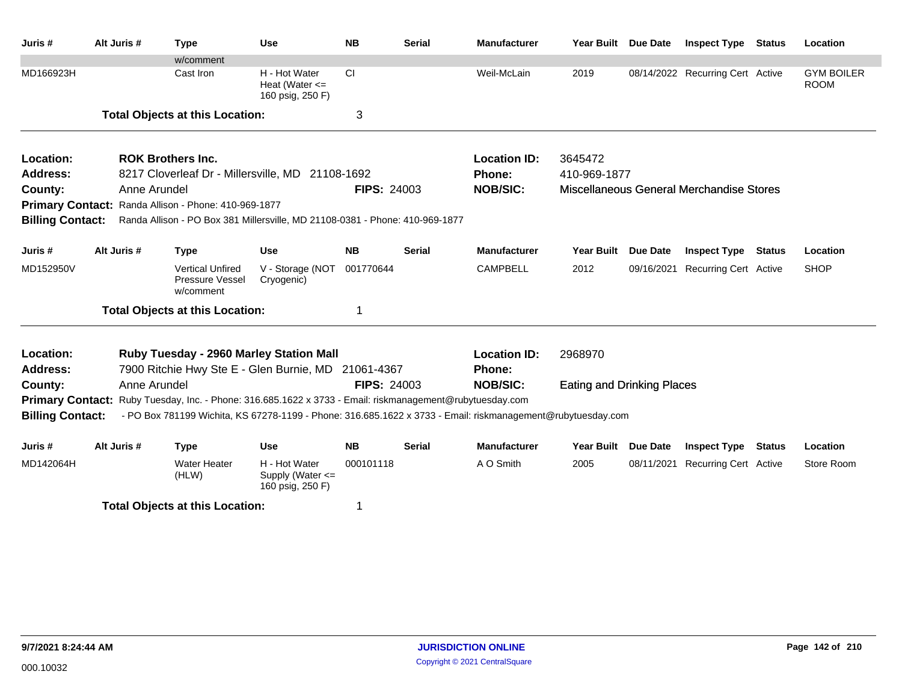| Juris #                 | Alt Juris #  | <b>Type</b>                                                                                                 | <b>Use</b>                                                | <b>NB</b>          | <b>Serial</b>          | <b>Manufacturer</b> | Year Built Due Date               |                 | <b>Inspect Type</b>                      | Status        | Location                         |
|-------------------------|--------------|-------------------------------------------------------------------------------------------------------------|-----------------------------------------------------------|--------------------|------------------------|---------------------|-----------------------------------|-----------------|------------------------------------------|---------------|----------------------------------|
|                         |              | w/comment                                                                                                   |                                                           |                    |                        |                     |                                   |                 |                                          |               |                                  |
| MD166923H               |              | Cast Iron                                                                                                   | H - Hot Water<br>Heat (Water $\leq$<br>160 psig, 250 F)   | <b>CI</b>          |                        | Weil-McLain         | 2019                              |                 | 08/14/2022 Recurring Cert Active         |               | <b>GYM BOILER</b><br><b>ROOM</b> |
|                         |              | <b>Total Objects at this Location:</b>                                                                      |                                                           | 3                  |                        |                     |                                   |                 |                                          |               |                                  |
| Location:               |              | <b>ROK Brothers Inc.</b>                                                                                    |                                                           |                    |                        | <b>Location ID:</b> | 3645472                           |                 |                                          |               |                                  |
| <b>Address:</b>         |              | 8217 Cloverleaf Dr - Millersville, MD 21108-1692                                                            |                                                           |                    | Phone:<br>410-969-1877 |                     |                                   |                 |                                          |               |                                  |
| County:                 | Anne Arundel |                                                                                                             |                                                           | <b>FIPS: 24003</b> |                        | <b>NOB/SIC:</b>     |                                   |                 | Miscellaneous General Merchandise Stores |               |                                  |
|                         |              | Primary Contact: Randa Allison - Phone: 410-969-1877                                                        |                                                           |                    |                        |                     |                                   |                 |                                          |               |                                  |
| <b>Billing Contact:</b> |              | Randa Allison - PO Box 381 Millersville, MD 21108-0381 - Phone: 410-969-1877                                |                                                           |                    |                        |                     |                                   |                 |                                          |               |                                  |
| Juris #                 | Alt Juris #  | <b>Type</b>                                                                                                 | <b>Use</b>                                                | <b>NB</b>          | <b>Serial</b>          | <b>Manufacturer</b> | <b>Year Built</b>                 | Due Date        | <b>Inspect Type Status</b>               |               | Location                         |
| MD152950V               |              | <b>Vertical Unfired</b><br>Pressure Vessel<br>w/comment                                                     | V - Storage (NOT<br>Cryogenic)                            | 001770644          |                        | <b>CAMPBELL</b>     | 2012                              |                 | 09/16/2021 Recurring Cert Active         |               | <b>SHOP</b>                      |
|                         |              | <b>Total Objects at this Location:</b>                                                                      |                                                           | 1                  |                        |                     |                                   |                 |                                          |               |                                  |
| Location:               |              | Ruby Tuesday - 2960 Marley Station Mall                                                                     |                                                           |                    |                        | <b>Location ID:</b> | 2968970                           |                 |                                          |               |                                  |
| <b>Address:</b>         |              | 7900 Ritchie Hwy Ste E - Glen Burnie, MD 21061-4367                                                         |                                                           |                    |                        | Phone:              |                                   |                 |                                          |               |                                  |
| County:                 | Anne Arundel |                                                                                                             |                                                           | <b>FIPS: 24003</b> |                        | <b>NOB/SIC:</b>     | <b>Eating and Drinking Places</b> |                 |                                          |               |                                  |
| <b>Primary Contact:</b> |              | Ruby Tuesday, Inc. - Phone: 316.685.1622 x 3733 - Email: riskmanagement@rubytuesday.com                     |                                                           |                    |                        |                     |                                   |                 |                                          |               |                                  |
| <b>Billing Contact:</b> |              | - PO Box 781199 Wichita, KS 67278-1199 - Phone: 316.685.1622 x 3733 - Email: riskmanagement@rubytuesday.com |                                                           |                    |                        |                     |                                   |                 |                                          |               |                                  |
| Juris#                  | Alt Juris #  | <b>Type</b>                                                                                                 | <b>Use</b>                                                | <b>NB</b>          | <b>Serial</b>          | <b>Manufacturer</b> | <b>Year Built</b>                 | <b>Due Date</b> | <b>Inspect Type</b>                      | <b>Status</b> | Location                         |
| MD142064H               |              | <b>Water Heater</b><br>(HLW)                                                                                | H - Hot Water<br>Supply (Water $\leq$<br>160 psig, 250 F) | 000101118          |                        | A O Smith           | 2005                              |                 | 08/11/2021 Recurring Cert Active         |               | Store Room                       |
|                         |              | <b>Total Objects at this Location:</b>                                                                      |                                                           | 1                  |                        |                     |                                   |                 |                                          |               |                                  |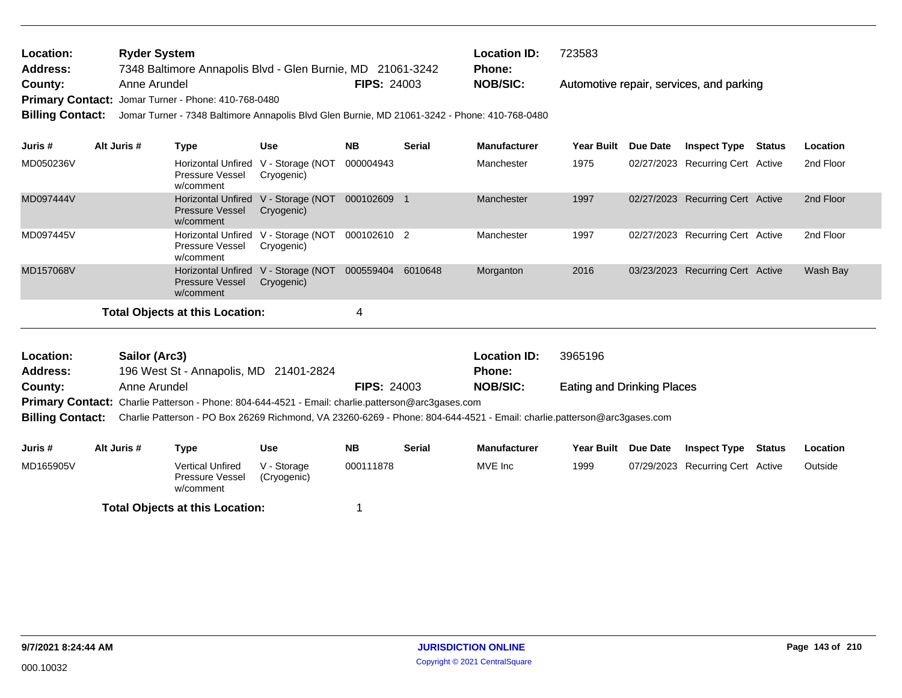| <b>Location:</b> | <b>Ryder System</b>                                        |                    | <b>Location ID:</b> | 723583                                   |
|------------------|------------------------------------------------------------|--------------------|---------------------|------------------------------------------|
| <b>Address:</b>  | 7348 Baltimore Annapolis Blvd - Glen Burnie, MD 21061-3242 |                    | <b>Phone:</b>       |                                          |
| County:          | Anne Arundel                                               | <b>FIPS: 24003</b> | NOB/SIC:            | Automotive repair, services, and parking |
|                  | Primary Contact: Jomar Turner - Phone: 410-768-0480        |                    |                     |                                          |

**Billing Contact:** Jomar Turner - 7348 Baltimore Annapolis Blvd Glen Burnie, MD 21061-3242 - Phone: 410-768-0480

| Juris #   | Alt Juris # | Type                                                                       | <b>Use</b>                     | <b>NB</b>   | <b>Serial</b> | <b>Manufacturer</b> | <b>Year Built</b> | <b>Due Date</b> | <b>Inspect Type</b>              | Status | Location  |
|-----------|-------------|----------------------------------------------------------------------------|--------------------------------|-------------|---------------|---------------------|-------------------|-----------------|----------------------------------|--------|-----------|
| MD050236V |             | Horizontal Unfired<br><b>Pressure Vessel</b><br>w/comment                  | V - Storage (NOT<br>Cryogenic) | 000004943   |               | Manchester          | 1975              |                 | 02/27/2023 Recurring Cert Active |        | 2nd Floor |
| MD097444V |             | Horizontal Unfired V - Storage (NOT<br><b>Pressure Vessel</b><br>w/comment | Cryogenic)                     | 000102609   |               | Manchester          | 1997              |                 | 02/27/2023 Recurring Cert Active |        | 2nd Floor |
| MD097445V |             | <b>Horizontal Unfired</b><br><b>Pressure Vessel</b><br>w/comment           | V - Storage (NOT<br>Cryogenic) | 000102610 2 |               | Manchester          | 1997              |                 | 02/27/2023 Recurring Cert Active |        | 2nd Floor |
| MD157068V |             | Horizontal Unfired V - Storage (NOT<br><b>Pressure Vessel</b><br>w/comment | Cryogenic)                     | 000559404   | 6010648       | Morganton           | 2016              |                 | 03/23/2023 Recurring Cert Active |        | Wash Bay  |
|           |             | Total Objects at this Location:                                            |                                |             |               |                     |                   |                 |                                  |        |           |

Eating and Drinking Places 196 West St - Annapolis, MD 21401-2824 **County:** Anne Arundel **NOB/SIC: Anne Arundel <b>NOB/SIC: NOB/SIC: NOB/SIC: NOB** Primary Contact: Charlie Patterson - Phone: 804-644-4521 - Email: charlie.patterson@arc3gases.com **Billing Contact:** Charlie Patterson - PO Box 26269 Richmond, VA 23260-6269 - Phone: 804-644-4521 - Email: charlie.patterson@arc3gases.com **Sailor (Arc3) Location ID:** 3965196 **Address: Location: FIPS:** 24003 **Phone:**

| Juris #                                | Alt Juris # | Type                                                    | Use                        | <b>NB</b> | <b>Serial</b> | <b>Manufacturer</b> | <b>Year Built</b> | <b>Due Date</b> | <b>Inspect Type</b>              | Status | Location |
|----------------------------------------|-------------|---------------------------------------------------------|----------------------------|-----------|---------------|---------------------|-------------------|-----------------|----------------------------------|--------|----------|
| MD165905V                              |             | <b>Vertical Unfired</b><br>Pressure Vessel<br>w/comment | V - Storage<br>(Cryogenic) | 000111878 |               | MVE Inc             | 1999              |                 | 07/29/2023 Recurring Cert Active |        | Outside  |
| <b>Total Objects at this Location:</b> |             |                                                         |                            |           |               |                     |                   |                 |                                  |        |          |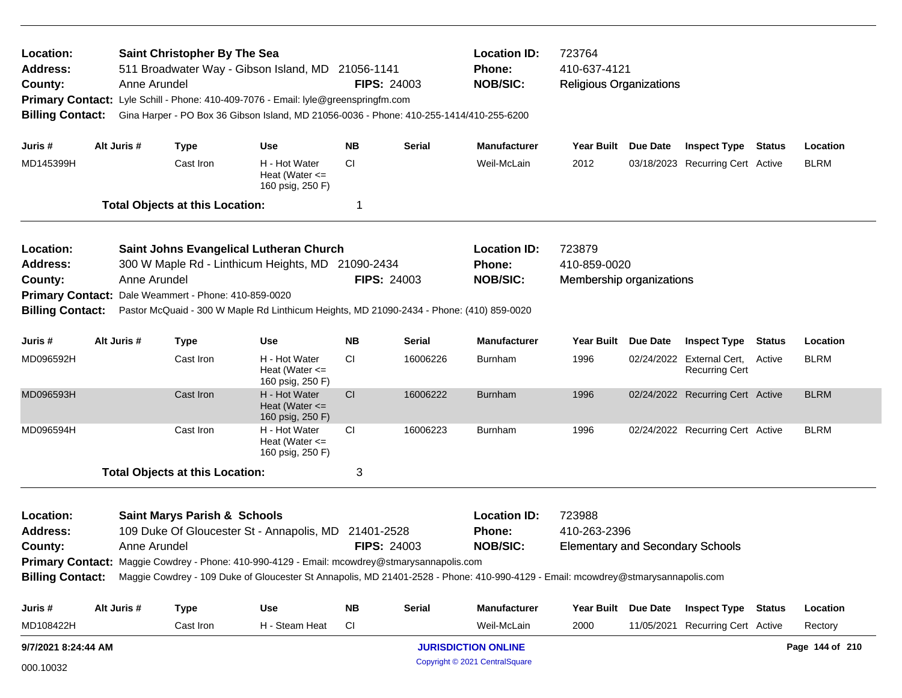| Location:<br><b>Address:</b><br>County:<br><b>Billing Contact:</b>                            | Anne Arundel | <b>Saint Christopher By The Sea</b>     | 511 Broadwater Way - Gibson Island, MD 21056-1141<br>Primary Contact: Lyle Schill - Phone: 410-409-7076 - Email: lyle@greenspringfm.com<br>Gina Harper - PO Box 36 Gibson Island, MD 21056-0036 - Phone: 410-255-1414/410-255-6200                                            |            | <b>FIPS: 24003</b> | <b>Location ID:</b><br>Phone:<br><b>NOB/SIC:</b>        | 723764<br>410-637-4121<br><b>Religious Organizations</b>          |          |                                                           |               |                 |  |
|-----------------------------------------------------------------------------------------------|--------------|-----------------------------------------|-------------------------------------------------------------------------------------------------------------------------------------------------------------------------------------------------------------------------------------------------------------------------------|------------|--------------------|---------------------------------------------------------|-------------------------------------------------------------------|----------|-----------------------------------------------------------|---------------|-----------------|--|
| Juris #                                                                                       | Alt Juris #  | <b>Type</b>                             | <b>Use</b>                                                                                                                                                                                                                                                                    | NΒ         | <b>Serial</b>      | <b>Manufacturer</b>                                     | Year Built Due Date                                               |          | <b>Inspect Type Status</b>                                |               | Location        |  |
| MD145399H                                                                                     |              | Cast Iron                               | H - Hot Water<br>Heat (Water $\leq$<br>160 psig, 250 F)                                                                                                                                                                                                                       | CI.        |                    | Weil-McLain                                             | 2012                                                              |          | 03/18/2023 Recurring Cert Active                          |               | <b>BLRM</b>     |  |
|                                                                                               |              | <b>Total Objects at this Location:</b>  |                                                                                                                                                                                                                                                                               | 1          |                    |                                                         |                                                                   |          |                                                           |               |                 |  |
| Location:<br><b>Address:</b><br>County:<br><b>Primary Contact:</b><br><b>Billing Contact:</b> | Anne Arundel | Dale Weammert - Phone: 410-859-0020     | <b>Saint Johns Evangelical Lutheran Church</b><br>300 W Maple Rd - Linthicum Heights, MD 21090-2434<br>Pastor McQuaid - 300 W Maple Rd Linthicum Heights, MD 21090-2434 - Phone: (410) 859-0020                                                                               |            | <b>FIPS: 24003</b> | <b>Location ID:</b><br><b>Phone:</b><br><b>NOB/SIC:</b> | 723879<br>410-859-0020<br>Membership organizations                |          |                                                           |               |                 |  |
| Juris #                                                                                       | Alt Juris #  | <b>Type</b>                             | <b>Use</b>                                                                                                                                                                                                                                                                    | <b>NB</b>  | Serial             | <b>Manufacturer</b>                                     | <b>Year Built</b>                                                 | Due Date | <b>Inspect Type</b>                                       | <b>Status</b> | Location        |  |
| MD096592H                                                                                     |              | Cast Iron                               | H - Hot Water<br>Heat (Water $\leq$<br>160 psig, 250 F)                                                                                                                                                                                                                       | CI.        | 16006226           | <b>Burnham</b>                                          | 1996                                                              |          | 02/24/2022 External Cert, Active<br><b>Recurring Cert</b> |               | <b>BLRM</b>     |  |
| MD096593H                                                                                     |              | Cast Iron                               | H - Hot Water<br>Heat (Water $\leq$<br>160 psig, 250 F)                                                                                                                                                                                                                       | CI         | 16006222           | <b>Burnham</b>                                          | 1996                                                              |          | 02/24/2022 Recurring Cert Active                          |               | <b>BLRM</b>     |  |
| MD096594H                                                                                     |              | Cast Iron                               | H - Hot Water<br>Heat (Water $\leq$<br>160 psig, 250 F)                                                                                                                                                                                                                       | <b>CI</b>  | 16006223           | <b>Burnham</b>                                          | 1996                                                              |          | 02/24/2022 Recurring Cert Active                          |               | <b>BLRM</b>     |  |
|                                                                                               |              | <b>Total Objects at this Location:</b>  |                                                                                                                                                                                                                                                                               | 3          |                    |                                                         |                                                                   |          |                                                           |               |                 |  |
| Location:<br><b>Address:</b><br>County:<br><b>Billing Contact:</b>                            | Anne Arundel | <b>Saint Marys Parish &amp; Schools</b> | 109 Duke Of Gloucester St - Annapolis, MD<br>Primary Contact: Maggie Cowdrey - Phone: 410-990-4129 - Email: mcowdrey@stmarysannapolis.com<br>Maggie Cowdrey - 109 Duke of Gloucester St Annapolis, MD 21401-2528 - Phone: 410-990-4129 - Email: mcowdrey@stmarysannapolis.com | 21401-2528 | <b>FIPS: 24003</b> | <b>Location ID:</b><br><b>Phone:</b><br><b>NOB/SIC:</b> | 723988<br>410-263-2396<br><b>Elementary and Secondary Schools</b> |          |                                                           |               |                 |  |
| Juris #                                                                                       | Alt Juris #  | <b>Type</b>                             | <b>Use</b>                                                                                                                                                                                                                                                                    | <b>NB</b>  | <b>Serial</b>      | <b>Manufacturer</b>                                     | Year Built Due Date                                               |          | <b>Inspect Type Status</b>                                |               | Location        |  |
| MD108422H                                                                                     |              | Cast Iron                               | H - Steam Heat                                                                                                                                                                                                                                                                | <b>CI</b>  |                    | Weil-McLain                                             | 2000                                                              |          | 11/05/2021 Recurring Cert Active                          |               | Rectory         |  |
| 9/7/2021 8:24:44 AM                                                                           |              |                                         |                                                                                                                                                                                                                                                                               |            |                    | <b>JURISDICTION ONLINE</b>                              |                                                                   |          |                                                           |               | Page 144 of 210 |  |
| 000.10032                                                                                     |              |                                         |                                                                                                                                                                                                                                                                               |            |                    | Copyright © 2021 CentralSquare                          |                                                                   |          |                                                           |               |                 |  |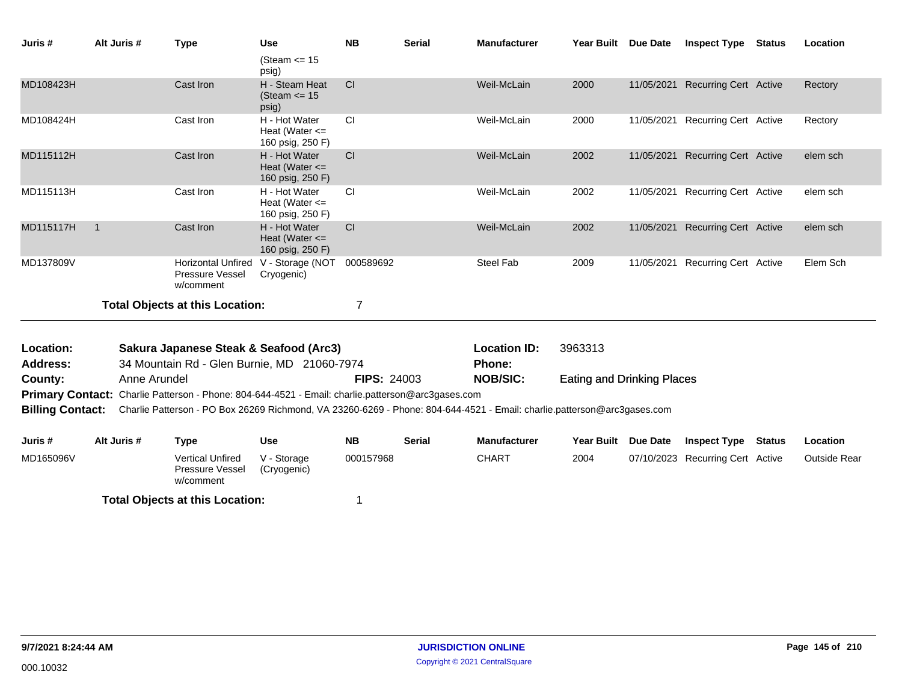| Juris #                      |                                                                                                                                                    | Alt Juris #  | <b>Type</b>                                                                                              | <b>Use</b>                                              | <b>NB</b>          | <b>Serial</b> | <b>Manufacturer</b>           | Year Built Due Date               |                 | <b>Inspect Type</b>              | <b>Status</b> | Location            |
|------------------------------|----------------------------------------------------------------------------------------------------------------------------------------------------|--------------|----------------------------------------------------------------------------------------------------------|---------------------------------------------------------|--------------------|---------------|-------------------------------|-----------------------------------|-----------------|----------------------------------|---------------|---------------------|
|                              |                                                                                                                                                    |              |                                                                                                          | (Steam $\le$ 15<br>psig)                                |                    |               |                               |                                   |                 |                                  |               |                     |
| MD108423H                    |                                                                                                                                                    |              | Cast Iron                                                                                                | H - Steam Heat<br>(Steam $\le$ 15<br>psig)              | CI                 |               | Weil-McLain                   | 2000                              |                 | 11/05/2021 Recurring Cert Active |               | Rectory             |
| MD108424H                    |                                                                                                                                                    |              | Cast Iron                                                                                                | H - Hot Water<br>Heat (Water $\leq$<br>160 psig, 250 F) | <b>CI</b>          |               | Weil-McLain                   | 2000                              |                 | 11/05/2021 Recurring Cert Active |               | Rectory             |
| MD115112H                    |                                                                                                                                                    |              | Cast Iron                                                                                                | H - Hot Water<br>Heat (Water $\leq$<br>160 psig, 250 F) | <b>CI</b>          |               | Weil-McLain                   | 2002                              |                 | 11/05/2021 Recurring Cert Active |               | elem sch            |
| MD115113H                    |                                                                                                                                                    |              | Cast Iron                                                                                                | H - Hot Water<br>Heat (Water $\leq$<br>160 psig, 250 F) | <b>CI</b>          |               | Weil-McLain                   | 2002                              |                 | 11/05/2021 Recurring Cert Active |               | elem sch            |
| MD115117H                    | $\overline{1}$                                                                                                                                     |              | Cast Iron                                                                                                | H - Hot Water<br>Heat (Water $\leq$<br>160 psig, 250 F) | <b>CI</b>          |               | Weil-McLain                   | 2002                              | 11/05/2021      | <b>Recurring Cert Active</b>     |               | elem sch            |
| MD137809V                    |                                                                                                                                                    |              | <b>Horizontal Unfired</b><br>Pressure Vessel<br>w/comment                                                | V - Storage (NOT<br>Cryogenic)                          | 000589692          |               | Steel Fab                     | 2009                              |                 | 11/05/2021 Recurring Cert Active |               | Elem Sch            |
|                              |                                                                                                                                                    |              | <b>Total Objects at this Location:</b>                                                                   |                                                         | $\overline{7}$     |               |                               |                                   |                 |                                  |               |                     |
| Location:<br><b>Address:</b> |                                                                                                                                                    |              | Sakura Japanese Steak & Seafood (Arc3)<br>34 Mountain Rd - Glen Burnie, MD 21060-7974                    |                                                         |                    |               | <b>Location ID:</b><br>Phone: | 3963313                           |                 |                                  |               |                     |
| County:                      |                                                                                                                                                    | Anne Arundel |                                                                                                          |                                                         | <b>FIPS: 24003</b> |               | <b>NOB/SIC:</b>               | <b>Eating and Drinking Places</b> |                 |                                  |               |                     |
|                              |                                                                                                                                                    |              | <b>Primary Contact:</b> Charlie Patterson - Phone: 804-644-4521 - Email: charlie.patterson@arc3gases.com |                                                         |                    |               |                               |                                   |                 |                                  |               |                     |
|                              | <b>Billing Contact:</b><br>Charlie Patterson - PO Box 26269 Richmond, VA 23260-6269 - Phone: 804-644-4521 - Email: charlie.patterson@arc3gases.com |              |                                                                                                          |                                                         |                    |               |                               |                                   |                 |                                  |               |                     |
| Juris #                      |                                                                                                                                                    | Alt Juris #  | <b>Type</b>                                                                                              | <b>Use</b>                                              | <b>NB</b>          | <b>Serial</b> | <b>Manufacturer</b>           | <b>Year Built</b>                 | <b>Due Date</b> | <b>Inspect Type</b>              | Status        | Location            |
| MD165096V                    |                                                                                                                                                    |              | <b>Vertical Unfired</b><br>Pressure Vessel<br>w/comment                                                  | V - Storage<br>(Cryogenic)                              | 000157968          |               | <b>CHART</b>                  | 2004                              |                 | 07/10/2023 Recurring Cert Active |               | <b>Outside Rear</b> |
|                              |                                                                                                                                                    |              | <b>Total Objects at this Location:</b>                                                                   |                                                         |                    |               |                               |                                   |                 |                                  |               |                     |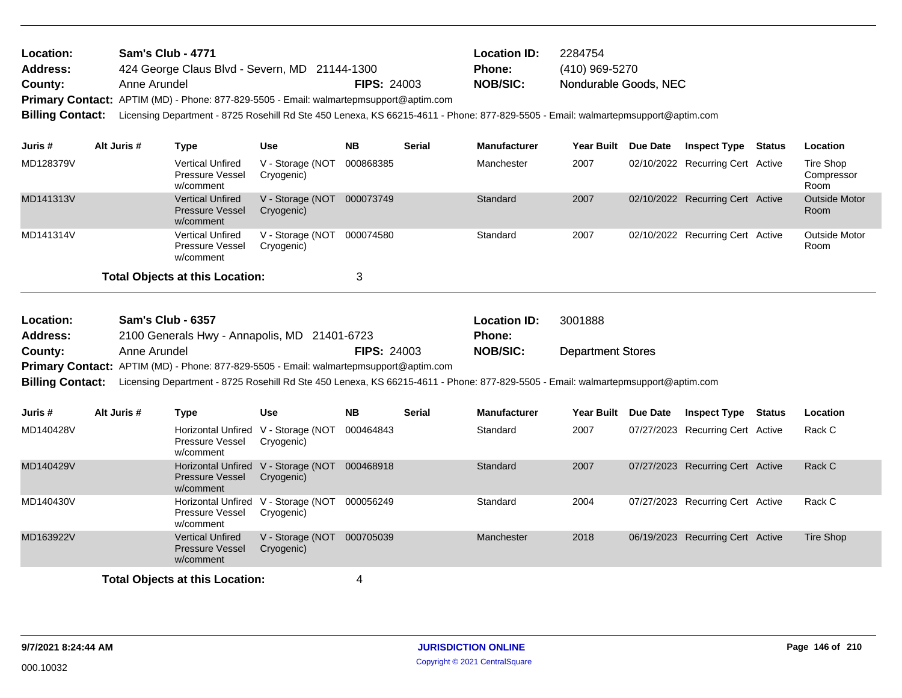| Location:               | <b>Sam's Club - 4771</b>                                                                                                         |                    | <b>Location ID:</b> | 2284754               |
|-------------------------|----------------------------------------------------------------------------------------------------------------------------------|--------------------|---------------------|-----------------------|
| <b>Address:</b>         | 424 George Claus Blvd - Severn, MD 21144-1300                                                                                    |                    | <b>Phone:</b>       | (410) 969-5270        |
| County:                 | Anne Arundel                                                                                                                     | <b>FIPS: 24003</b> | <b>NOB/SIC:</b>     | Nondurable Goods, NEC |
|                         | Primary Contact: APTIM (MD) - Phone: 877-829-5505 - Email: walmartepmsupport@aptim.com                                           |                    |                     |                       |
| <b>Billing Contact:</b> | Licensing Department - 8725 Rosehill Rd Ste 450 Lenexa, KS 66215-4611 - Phone: 877-829-5505 - Email: walmartepmsupport@aptim.com |                    |                     |                       |
|                         |                                                                                                                                  |                    |                     |                       |

| Juris #   | Alt Juris # | Type                                                           | Use                            | <b>NB</b> | <b>Serial</b> | <b>Manufacturer</b> | <b>Year Built</b> | Due Date | <b>Inspect Type</b>              | <b>Status</b> | Location                        |
|-----------|-------------|----------------------------------------------------------------|--------------------------------|-----------|---------------|---------------------|-------------------|----------|----------------------------------|---------------|---------------------------------|
| MD128379V |             | <b>Vertical Unfired</b><br><b>Pressure Vessel</b><br>w/comment | V - Storage (NOT<br>Cryogenic) | 000868385 |               | Manchester          | 2007              |          | 02/10/2022 Recurring Cert Active |               | Tire Shop<br>Compressor<br>Room |
| MD141313V |             | <b>Vertical Unfired</b><br><b>Pressure Vessel</b><br>w/comment | V - Storage (NOT<br>Cryogenic) | 000073749 |               | Standard            | 2007              |          | 02/10/2022 Recurring Cert Active |               | <b>Outside Motor</b><br>Room    |
| MD141314V |             | <b>Vertical Unfired</b><br><b>Pressure Vessel</b><br>w/comment | V - Storage (NOT<br>Cryogenic) | 000074580 |               | Standard            | 2007              |          | 02/10/2022 Recurring Cert Active |               | Outside Motor<br>Room           |
|           |             | <b>Total Objects at this Location:</b>                         |                                |           |               |                     |                   |          |                                  |               |                                 |

| Location:               | <b>Sam's Club - 6357</b>                                                                                                         |                    | <b>Location ID:</b> | 3001888                  |
|-------------------------|----------------------------------------------------------------------------------------------------------------------------------|--------------------|---------------------|--------------------------|
| Address:                | 2100 Generals Hwy - Annapolis, MD 21401-6723                                                                                     |                    | <b>Phone:</b>       |                          |
| County:                 | Anne Arundel                                                                                                                     | <b>FIPS: 24003</b> | <b>NOB/SIC:</b>     | <b>Department Stores</b> |
|                         | Primary Contact: APTIM (MD) - Phone: 877-829-5505 - Email: walmartepmsupport@aptim.com                                           |                    |                     |                          |
| <b>Billing Contact:</b> | Licensing Department - 8725 Rosehill Rd Ste 450 Lenexa, KS 66215-4611 - Phone: 877-829-5505 - Email: walmartepmsupport@aptim.com |                    |                     |                          |

| Juris #   | Alt Juris # | Type                                                                       | <b>Use</b>                     | <b>NB</b> | <b>Serial</b> | <b>Manufacturer</b> | <b>Year Built</b> | Due Date | <b>Inspect Type</b>              | <b>Status</b> | Location  |
|-----------|-------------|----------------------------------------------------------------------------|--------------------------------|-----------|---------------|---------------------|-------------------|----------|----------------------------------|---------------|-----------|
| MD140428V |             | <b>Horizontal Unfired</b><br>Pressure Vessel<br>w/comment                  | V - Storage (NOT<br>Cryogenic) | 000464843 |               | Standard            | 2007              |          | 07/27/2023 Recurring Cert Active |               | Rack C    |
| MD140429V |             | Horizontal Unfired V - Storage (NOT<br><b>Pressure Vessel</b><br>w/comment | Cryogenic)                     | 000468918 |               | Standard            | 2007              |          | 07/27/2023 Recurring Cert Active |               | Rack C    |
| MD140430V |             | <b>Horizontal Unfired</b><br><b>Pressure Vessel</b><br>w/comment           | V - Storage (NOT<br>Cryogenic) | 000056249 |               | Standard            | 2004              |          | 07/27/2023 Recurring Cert Active |               | Rack C    |
| MD163922V |             | <b>Vertical Unfired</b><br><b>Pressure Vessel</b><br>w/comment             | V - Storage (NOT<br>Cryogenic) | 000705039 |               | Manchester          | 2018              |          | 06/19/2023 Recurring Cert Active |               | Tire Shop |
|           |             | Total Objects at this Location:                                            |                                | 4         |               |                     |                   |          |                                  |               |           |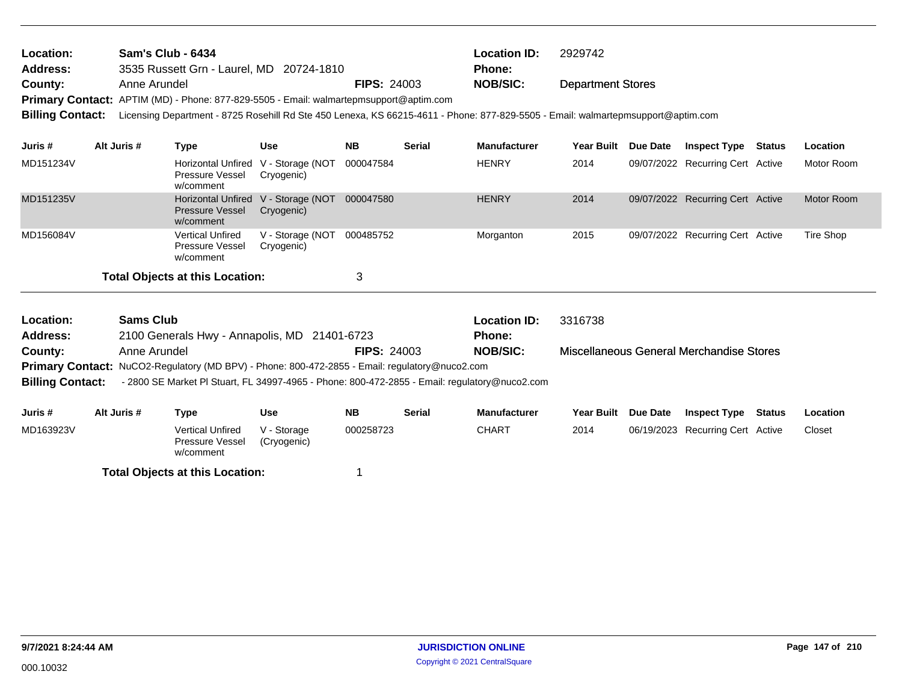| Location:<br><b>Address:</b> |                  | <b>Sam's Club - 6434</b><br>3535 Russett Grn - Laurel, MD 20724-1810                                                             |                                                   |                    |               | <b>Location ID:</b><br><b>Phone:</b> | 2929742                  |                 |                                          |        |            |
|------------------------------|------------------|----------------------------------------------------------------------------------------------------------------------------------|---------------------------------------------------|--------------------|---------------|--------------------------------------|--------------------------|-----------------|------------------------------------------|--------|------------|
| County:                      | Anne Arundel     |                                                                                                                                  |                                                   | <b>FIPS: 24003</b> |               | <b>NOB/SIC:</b>                      | <b>Department Stores</b> |                 |                                          |        |            |
|                              |                  | <b>Primary Contact:</b> APTIM (MD) - Phone: 877-829-5505 - Email: walmartepmsupport@aptim.com                                    |                                                   |                    |               |                                      |                          |                 |                                          |        |            |
| <b>Billing Contact:</b>      |                  | Licensing Department - 8725 Rosehill Rd Ste 450 Lenexa, KS 66215-4611 - Phone: 877-829-5505 - Email: walmartepmsupport@aptim.com |                                                   |                    |               |                                      |                          |                 |                                          |        |            |
| Juris #                      | Alt Juris #      | <b>Type</b>                                                                                                                      | <b>Use</b>                                        | <b>NB</b>          | <b>Serial</b> | <b>Manufacturer</b>                  | <b>Year Built</b>        | Due Date        | <b>Inspect Type Status</b>               |        | Location   |
| MD151234V                    |                  | <b>Pressure Vessel</b><br>w/comment                                                                                              | Horizontal Unfired V - Storage (NOT<br>Cryogenic) | 000047584          |               | <b>HENRY</b>                         | 2014                     |                 | 09/07/2022 Recurring Cert Active         |        | Motor Room |
| MD151235V                    |                  | <b>Horizontal Unfired</b><br><b>Pressure Vessel</b><br>w/comment                                                                 | V - Storage (NOT<br>Cryogenic)                    | 000047580          |               | <b>HENRY</b>                         | 2014                     |                 | 09/07/2022 Recurring Cert Active         |        | Motor Room |
| MD156084V                    |                  | <b>Vertical Unfired</b><br><b>Pressure Vessel</b><br>w/comment                                                                   | V - Storage (NOT<br>Cryogenic)                    | 000485752          |               | Morganton                            | 2015                     |                 | 09/07/2022 Recurring Cert Active         |        | Tire Shop  |
|                              |                  | <b>Total Objects at this Location:</b>                                                                                           |                                                   | 3                  |               |                                      |                          |                 |                                          |        |            |
| Location:                    | <b>Sams Club</b> |                                                                                                                                  |                                                   |                    |               | <b>Location ID:</b>                  | 3316738                  |                 |                                          |        |            |
| <b>Address:</b>              |                  | 2100 Generals Hwy - Annapolis, MD 21401-6723                                                                                     |                                                   |                    |               | <b>Phone:</b>                        |                          |                 |                                          |        |            |
| County:                      | Anne Arundel     |                                                                                                                                  |                                                   | <b>FIPS: 24003</b> |               | <b>NOB/SIC:</b>                      |                          |                 | Miscellaneous General Merchandise Stores |        |            |
|                              |                  | Primary Contact: NuCO2-Regulatory (MD BPV) - Phone: 800-472-2855 - Email: regulatory@nuco2.com                                   |                                                   |                    |               |                                      |                          |                 |                                          |        |            |
| <b>Billing Contact:</b>      |                  | - 2800 SE Market Pl Stuart, FL 34997-4965 - Phone: 800-472-2855 - Email: regulatory@nuco2.com                                    |                                                   |                    |               |                                      |                          |                 |                                          |        |            |
| Juris #                      | Alt Juris #      | <b>Type</b>                                                                                                                      | <b>Use</b>                                        | <b>NB</b>          | <b>Serial</b> | <b>Manufacturer</b>                  | <b>Year Built</b>        | <b>Due Date</b> | <b>Inspect Type</b>                      | Status | Location   |
| MD163923V                    |                  | <b>Vertical Unfired</b><br>Pressure Vessel                                                                                       | V - Storage<br>(Cryogenic)                        | 000258723          |               | <b>CHART</b>                         | 2014                     |                 | 06/19/2023 Recurring Cert Active         |        | Closet     |

w/comment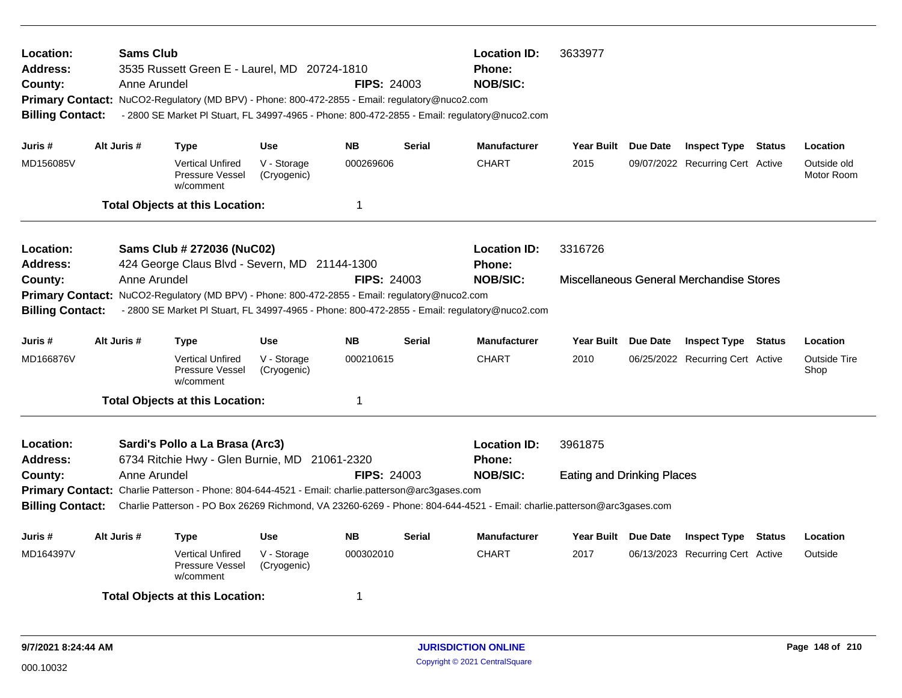| Location:<br><b>Address:</b><br>County:<br><b>Billing Contact:</b>                                                                                                                                                                                                                                                           | <b>Sams Club</b><br>Anne Arundel | 3535 Russett Green E - Laurel, MD 20724-1810<br>Primary Contact: NuCO2-Regulatory (MD BPV) - Phone: 800-472-2855 - Email: regulatory@nuco2.com |                            | <b>FIPS: 24003</b>                                                                                                      |               | <b>Location ID:</b><br>Phone:<br><b>NOB/SIC:</b><br>- 2800 SE Market PI Stuart, FL 34997-4965 - Phone: 800-472-2855 - Email: regulatory@nuco2.com | 3633977                           |                     |                                          |        |                             |
|------------------------------------------------------------------------------------------------------------------------------------------------------------------------------------------------------------------------------------------------------------------------------------------------------------------------------|----------------------------------|------------------------------------------------------------------------------------------------------------------------------------------------|----------------------------|-------------------------------------------------------------------------------------------------------------------------|---------------|---------------------------------------------------------------------------------------------------------------------------------------------------|-----------------------------------|---------------------|------------------------------------------|--------|-----------------------------|
| Juris #                                                                                                                                                                                                                                                                                                                      | Alt Juris #                      | <b>Type</b>                                                                                                                                    | Use                        | NΒ                                                                                                                      | <b>Serial</b> | <b>Manufacturer</b>                                                                                                                               |                                   | Year Built Due Date | <b>Inspect Type Status</b>               |        | Location                    |
| MD156085V                                                                                                                                                                                                                                                                                                                    |                                  | <b>Vertical Unfired</b><br>Pressure Vessel<br>w/comment                                                                                        | V - Storage<br>(Cryogenic) | 000269606                                                                                                               |               | <b>CHART</b>                                                                                                                                      | 2015                              |                     | 09/07/2022 Recurring Cert Active         |        | Outside old<br>Motor Room   |
|                                                                                                                                                                                                                                                                                                                              |                                  | <b>Total Objects at this Location:</b>                                                                                                         |                            | $\mathbf 1$                                                                                                             |               |                                                                                                                                                   |                                   |                     |                                          |        |                             |
| Location:<br><b>Address:</b>                                                                                                                                                                                                                                                                                                 |                                  | Sams Club # 272036 (NuC02)                                                                                                                     |                            |                                                                                                                         |               | <b>Location ID:</b><br>Phone:                                                                                                                     | 3316726                           |                     |                                          |        |                             |
| 424 George Claus Blvd - Severn, MD 21144-1300<br>Anne Arundel<br><b>FIPS: 24003</b><br>County:<br>Primary Contact: NuCO2-Regulatory (MD BPV) - Phone: 800-472-2855 - Email: regulatory@nuco2.com<br>- 2800 SE Market PI Stuart, FL 34997-4965 - Phone: 800-472-2855 - Email: regulatory@nuco2.com<br><b>Billing Contact:</b> |                                  |                                                                                                                                                |                            |                                                                                                                         |               | <b>NOB/SIC:</b>                                                                                                                                   |                                   |                     | Miscellaneous General Merchandise Stores |        |                             |
| Juris #                                                                                                                                                                                                                                                                                                                      | Alt Juris #                      | Type                                                                                                                                           | <b>Use</b>                 | <b>NB</b>                                                                                                               | <b>Serial</b> | Manufacturer                                                                                                                                      | <b>Year Built</b>                 | Due Date            | <b>Inspect Type Status</b>               |        | Location                    |
| MD166876V                                                                                                                                                                                                                                                                                                                    |                                  | <b>Vertical Unfired</b><br>Pressure Vessel<br>w/comment                                                                                        | V - Storage<br>(Cryogenic) | 000210615                                                                                                               |               | <b>CHART</b>                                                                                                                                      | 2010                              |                     | 06/25/2022 Recurring Cert Active         |        | <b>Outside Tire</b><br>Shop |
|                                                                                                                                                                                                                                                                                                                              |                                  | <b>Total Objects at this Location:</b>                                                                                                         |                            | 1                                                                                                                       |               |                                                                                                                                                   |                                   |                     |                                          |        |                             |
| Location:<br><b>Address:</b>                                                                                                                                                                                                                                                                                                 |                                  | Sardi's Pollo a La Brasa (Arc3)<br>6734 Ritchie Hwy - Glen Burnie, MD                                                                          |                            | 21061-2320                                                                                                              |               | <b>Location ID:</b><br><b>Phone:</b>                                                                                                              | 3961875                           |                     |                                          |        |                             |
| County:                                                                                                                                                                                                                                                                                                                      | Anne Arundel                     |                                                                                                                                                |                            | <b>FIPS: 24003</b>                                                                                                      |               | <b>NOB/SIC:</b>                                                                                                                                   | <b>Eating and Drinking Places</b> |                     |                                          |        |                             |
| <b>Billing Contact:</b>                                                                                                                                                                                                                                                                                                      |                                  | Primary Contact: Charlie Patterson - Phone: 804-644-4521 - Email: charlie.patterson@arc3gases.com                                              |                            | Charlie Patterson - PO Box 26269 Richmond, VA 23260-6269 - Phone: 804-644-4521 - Email: charlie.patterson@arc3gases.com |               |                                                                                                                                                   |                                   |                     |                                          |        |                             |
| Juris #                                                                                                                                                                                                                                                                                                                      | Alt Juris #                      | Type                                                                                                                                           | <b>Use</b>                 | <b>NB</b>                                                                                                               | <b>Serial</b> | <b>Manufacturer</b>                                                                                                                               | Year Built Due Date               |                     | <b>Inspect Type</b>                      | Status | Location                    |
| MD164397V                                                                                                                                                                                                                                                                                                                    |                                  | <b>Vertical Unfired</b><br>Pressure Vessel<br>w/comment                                                                                        | V - Storage<br>(Cryogenic) | 000302010                                                                                                               |               | <b>CHART</b>                                                                                                                                      | 2017                              |                     | 06/13/2023 Recurring Cert Active         |        | Outside                     |
|                                                                                                                                                                                                                                                                                                                              |                                  | <b>Total Objects at this Location:</b>                                                                                                         |                            | -1                                                                                                                      |               |                                                                                                                                                   |                                   |                     |                                          |        |                             |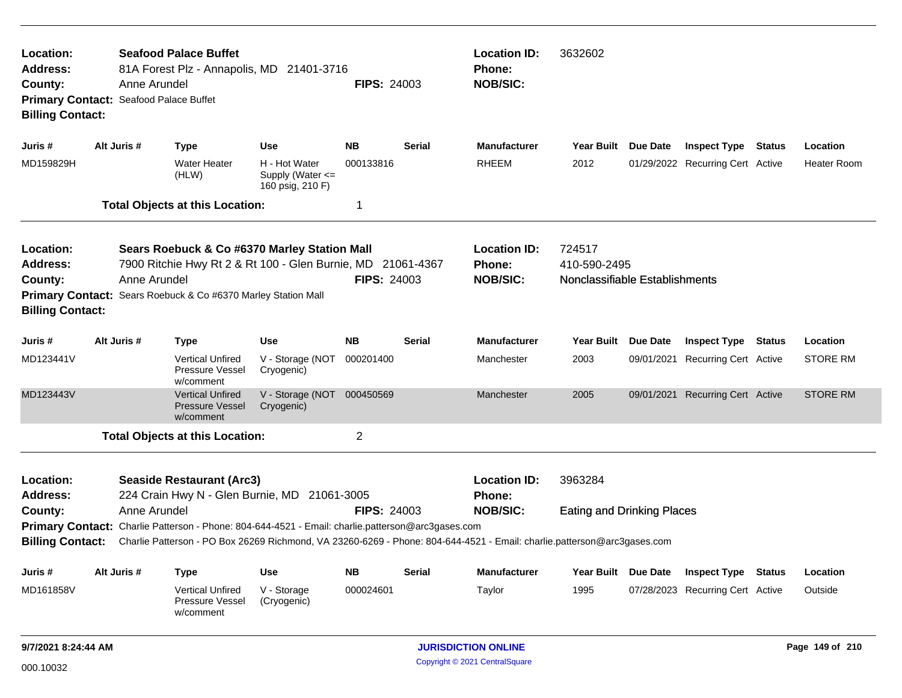| Location:<br>Address:<br>County:<br>Primary Contact: Seafood Palace Buffet<br><b>Billing Contact:</b> | Anne Arundel | <b>Seafood Palace Buffet</b><br>81A Forest Plz - Annapolis, MD 21401-3716                                                                                                             |                                                       | <b>FIPS: 24003</b>     |               | <b>Location ID:</b><br><b>Phone:</b><br><b>NOB/SIC:</b>                                                                                                                     | 3632602                                                  |                                                         |               |                     |
|-------------------------------------------------------------------------------------------------------|--------------|---------------------------------------------------------------------------------------------------------------------------------------------------------------------------------------|-------------------------------------------------------|------------------------|---------------|-----------------------------------------------------------------------------------------------------------------------------------------------------------------------------|----------------------------------------------------------|---------------------------------------------------------|---------------|---------------------|
| Juris #                                                                                               | Alt Juris #  | <b>Type</b>                                                                                                                                                                           | <b>Use</b>                                            | <b>NB</b>              | <b>Serial</b> | <b>Manufacturer</b>                                                                                                                                                         | Year Built Due Date                                      | <b>Inspect Type</b>                                     | <b>Status</b> | Location            |
| MD159829H                                                                                             |              | <b>Water Heater</b><br>(HLW)                                                                                                                                                          | H - Hot Water<br>Supply (Water <=<br>160 psig, 210 F) | 000133816              |               | <b>RHEEM</b>                                                                                                                                                                | 2012                                                     | 01/29/2022 Recurring Cert Active                        |               | <b>Heater Room</b>  |
|                                                                                                       |              | <b>Total Objects at this Location:</b>                                                                                                                                                |                                                       | $\mathbf 1$            |               |                                                                                                                                                                             |                                                          |                                                         |               |                     |
| Location:<br><b>Address:</b><br>County:<br><b>Billing Contact:</b>                                    | Anne Arundel | Sears Roebuck & Co #6370 Marley Station Mall<br>7900 Ritchie Hwy Rt 2 & Rt 100 - Glen Burnie, MD 21061-4367<br>Primary Contact: Sears Roebuck & Co #6370 Marley Station Mall          |                                                       | <b>FIPS: 24003</b>     |               | <b>Location ID:</b><br>Phone:<br><b>NOB/SIC:</b>                                                                                                                            | 724517<br>410-590-2495<br>Nonclassifiable Establishments |                                                         |               |                     |
| Juris #                                                                                               | Alt Juris #  | <b>Type</b>                                                                                                                                                                           | <b>Use</b>                                            | <b>NB</b>              | <b>Serial</b> | <b>Manufacturer</b>                                                                                                                                                         | Year Built Due Date                                      | <b>Inspect Type Status</b>                              |               | Location            |
| MD123441V                                                                                             |              | <b>Vertical Unfired</b><br>Pressure Vessel<br>w/comment                                                                                                                               | V - Storage (NOT<br>Cryogenic)                        | 000201400              |               | Manchester                                                                                                                                                                  | 2003                                                     | 09/01/2021 Recurring Cert Active                        |               | <b>STORE RM</b>     |
| MD123443V                                                                                             |              | <b>Vertical Unfired</b><br><b>Pressure Vessel</b><br>w/comment                                                                                                                        | V - Storage (NOT 000450569<br>Cryogenic)              |                        |               | Manchester                                                                                                                                                                  | 2005                                                     | 09/01/2021 Recurring Cert Active                        |               | <b>STORE RM</b>     |
|                                                                                                       |              | <b>Total Objects at this Location:</b>                                                                                                                                                |                                                       | $\overline{2}$         |               |                                                                                                                                                                             |                                                          |                                                         |               |                     |
| Location:<br><b>Address:</b><br>County:<br><b>Billing Contact:</b>                                    | Anne Arundel | <b>Seaside Restaurant (Arc3)</b><br>224 Crain Hwy N - Glen Burnie, MD 21061-3005<br>Primary Contact: Charlie Patterson - Phone: 804-644-4521 - Email: charlie.patterson@arc3gases.com |                                                       | <b>FIPS: 24003</b>     |               | <b>Location ID:</b><br>Phone:<br><b>NOB/SIC:</b><br>Charlie Patterson - PO Box 26269 Richmond, VA 23260-6269 - Phone: 804-644-4521 - Email: charlie.patterson@arc3gases.com | 3963284<br><b>Eating and Drinking Places</b>             |                                                         |               |                     |
|                                                                                                       |              |                                                                                                                                                                                       |                                                       |                        |               |                                                                                                                                                                             |                                                          |                                                         |               |                     |
| Juris #<br>MD161858V                                                                                  | Alt Juris #  | <b>Type</b><br><b>Vertical Unfired</b><br>Pressure Vessel<br>w/comment                                                                                                                | Use<br>V - Storage<br>(Cryogenic)                     | <b>NB</b><br>000024601 | Serial        | <b>Manufacturer</b><br>Taylor                                                                                                                                               | Year Built Due Date<br>1995                              | <b>Inspect Type</b><br>07/28/2023 Recurring Cert Active | Status        | Location<br>Outside |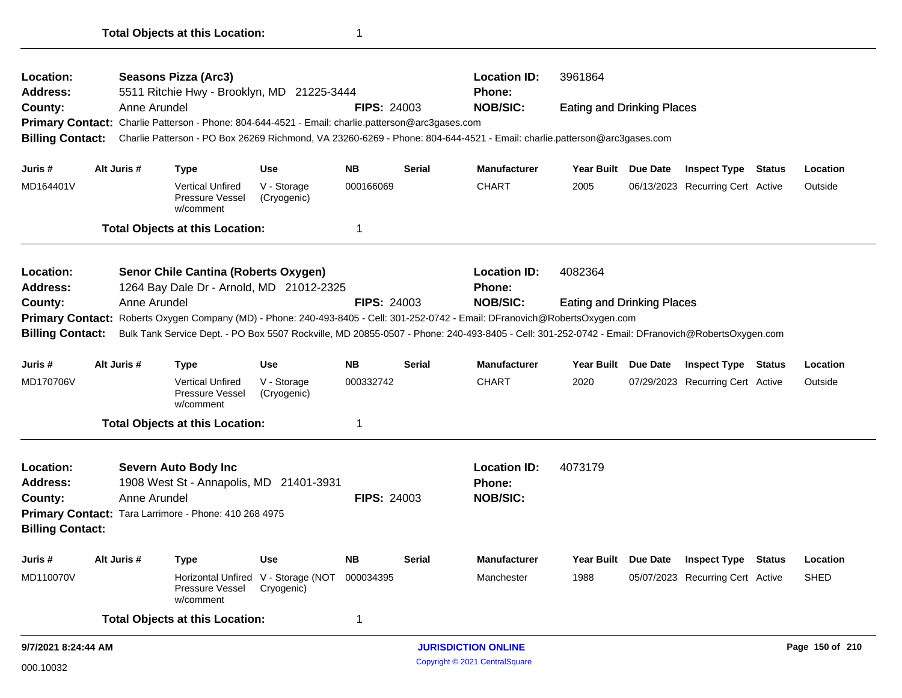| Location:<br>Address:        |                                                                                                                                                                            |              | <b>Seasons Pizza (Arc3)</b><br>5511 Ritchie Hwy - Brooklyn, MD 21225-3444                         |                                                   |                    |               | <b>Location ID:</b><br><b>Phone:</b>                                                                                    | 3961864                           |                                  |        |                 |
|------------------------------|----------------------------------------------------------------------------------------------------------------------------------------------------------------------------|--------------|---------------------------------------------------------------------------------------------------|---------------------------------------------------|--------------------|---------------|-------------------------------------------------------------------------------------------------------------------------|-----------------------------------|----------------------------------|--------|-----------------|
| County:                      |                                                                                                                                                                            | Anne Arundel |                                                                                                   |                                                   | <b>FIPS: 24003</b> |               | <b>NOB/SIC:</b>                                                                                                         | <b>Eating and Drinking Places</b> |                                  |        |                 |
|                              |                                                                                                                                                                            |              | Primary Contact: Charlie Patterson - Phone: 804-644-4521 - Email: charlie.patterson@arc3gases.com |                                                   |                    |               |                                                                                                                         |                                   |                                  |        |                 |
| <b>Billing Contact:</b>      |                                                                                                                                                                            |              |                                                                                                   |                                                   |                    |               | Charlie Patterson - PO Box 26269 Richmond, VA 23260-6269 - Phone: 804-644-4521 - Email: charlie.patterson@arc3gases.com |                                   |                                  |        |                 |
| Juris #                      |                                                                                                                                                                            | Alt Juris #  | <b>Type</b>                                                                                       | <b>Use</b>                                        | <b>NB</b>          | <b>Serial</b> | <b>Manufacturer</b>                                                                                                     | Year Built Due Date               | <b>Inspect Type Status</b>       |        | Location        |
| MD164401V                    |                                                                                                                                                                            |              | <b>Vertical Unfired</b><br>Pressure Vessel<br>w/comment                                           | V - Storage<br>(Cryogenic)                        | 000166069          |               | <b>CHART</b>                                                                                                            | 2005                              | 06/13/2023 Recurring Cert Active |        | Outside         |
|                              |                                                                                                                                                                            |              | <b>Total Objects at this Location:</b>                                                            |                                                   | 1                  |               |                                                                                                                         |                                   |                                  |        |                 |
| Location:<br>Address:        |                                                                                                                                                                            |              | Senor Chile Cantina (Roberts Oxygen)<br>1264 Bay Dale Dr - Arnold, MD 21012-2325                  |                                                   |                    |               | <b>Location ID:</b><br><b>Phone:</b>                                                                                    | 4082364                           |                                  |        |                 |
| Anne Arundel<br>County:      |                                                                                                                                                                            |              |                                                                                                   |                                                   | <b>FIPS: 24003</b> |               | <b>NOB/SIC:</b>                                                                                                         | <b>Eating and Drinking Places</b> |                                  |        |                 |
|                              | Primary Contact: Roberts Oxygen Company (MD) - Phone: 240-493-8405 - Cell: 301-252-0742 - Email: DFranovich@RobertsOxygen.com                                              |              |                                                                                                   |                                                   |                    |               |                                                                                                                         |                                   |                                  |        |                 |
|                              | Bulk Tank Service Dept. - PO Box 5507 Rockville, MD 20855-0507 - Phone: 240-493-8405 - Cell: 301-252-0742 - Email: DFranovich@RobertsOxygen.com<br><b>Billing Contact:</b> |              |                                                                                                   |                                                   |                    |               |                                                                                                                         |                                   |                                  |        |                 |
| Juris #                      |                                                                                                                                                                            | Alt Juris #  | <b>Type</b>                                                                                       | <b>Use</b>                                        | <b>NB</b>          | <b>Serial</b> | <b>Manufacturer</b>                                                                                                     | Year Built Due Date               | <b>Inspect Type Status</b>       |        | Location        |
| MD170706V                    |                                                                                                                                                                            |              | <b>Vertical Unfired</b><br>Pressure Vessel<br>w/comment                                           | V - Storage<br>(Cryogenic)                        | 000332742          |               | <b>CHART</b>                                                                                                            | 2020                              | 07/29/2023 Recurring Cert Active |        | Outside         |
|                              |                                                                                                                                                                            |              | <b>Total Objects at this Location:</b>                                                            |                                                   | 1                  |               |                                                                                                                         |                                   |                                  |        |                 |
| Location:<br><b>Address:</b> |                                                                                                                                                                            |              | <b>Severn Auto Body Inc</b><br>1908 West St - Annapolis, MD 21401-3931                            |                                                   |                    |               | <b>Location ID:</b><br>Phone:                                                                                           | 4073179                           |                                  |        |                 |
| County:                      |                                                                                                                                                                            | Anne Arundel |                                                                                                   |                                                   | <b>FIPS: 24003</b> |               | <b>NOB/SIC:</b>                                                                                                         |                                   |                                  |        |                 |
| <b>Billing Contact:</b>      |                                                                                                                                                                            |              | Primary Contact: Tara Larrimore - Phone: 410 268 4975                                             |                                                   |                    |               |                                                                                                                         |                                   |                                  |        |                 |
| Juris #                      |                                                                                                                                                                            | Alt Juris #  | <b>Type</b>                                                                                       | <b>Use</b>                                        | <b>NB</b>          | <b>Serial</b> | <b>Manufacturer</b>                                                                                                     | Year Built Due Date               | <b>Inspect Type</b>              | Status | Location        |
| MD110070V                    |                                                                                                                                                                            |              | Pressure Vessel<br>w/comment                                                                      | Horizontal Unfired V - Storage (NOT<br>Cryogenic) | 000034395          |               | Manchester                                                                                                              | 1988                              | 05/07/2023 Recurring Cert Active |        | <b>SHED</b>     |
|                              |                                                                                                                                                                            |              | <b>Total Objects at this Location:</b>                                                            |                                                   | 1                  |               |                                                                                                                         |                                   |                                  |        |                 |
| 9/7/2021 8:24:44 AM          |                                                                                                                                                                            |              |                                                                                                   |                                                   |                    |               | <b>JURISDICTION ONLINE</b>                                                                                              |                                   |                                  |        | Page 150 of 210 |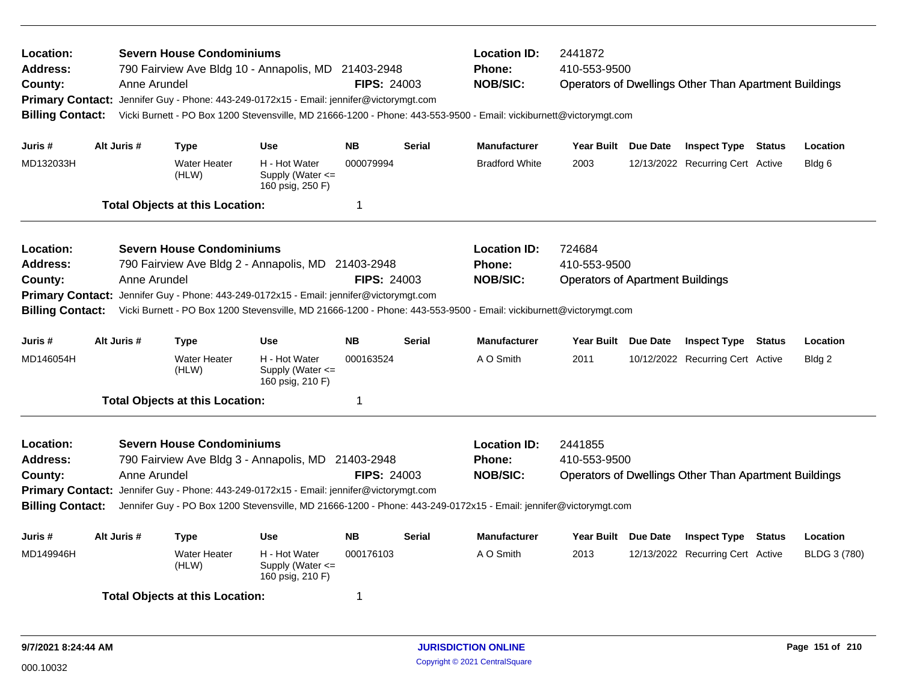| Location:<br>Address:<br>County:<br><b>Billing Contact:</b>        | Anne Arundel | <b>Severn House Condominiums</b>       | 790 Fairview Ave Bldg 10 - Annapolis, MD 21403-2948                                                                                                                                                                                                               | <b>Location ID:</b><br>Phone:<br><b>NOB/SIC:</b><br><b>FIPS: 24003</b><br>Primary Contact: Jennifer Guy - Phone: 443-249-0172x15 - Email: jennifer@victorymgt.com<br>Vicki Burnett - PO Box 1200 Stevensville, MD 21666-1200 - Phone: 443-553-9500 - Email: vickiburnett@victorymgt.com |               |                                                         | 2441872<br>410-553-9500<br><b>Operators of Dwellings Other Than Apartment Buildings</b> |  |                                                              |  |              |  |
|--------------------------------------------------------------------|--------------|----------------------------------------|-------------------------------------------------------------------------------------------------------------------------------------------------------------------------------------------------------------------------------------------------------------------|-----------------------------------------------------------------------------------------------------------------------------------------------------------------------------------------------------------------------------------------------------------------------------------------|---------------|---------------------------------------------------------|-----------------------------------------------------------------------------------------|--|--------------------------------------------------------------|--|--------------|--|
| Juris #                                                            | Alt Juris #  | <b>Type</b>                            | <b>Use</b>                                                                                                                                                                                                                                                        | <b>NB</b>                                                                                                                                                                                                                                                                               | <b>Serial</b> | <b>Manufacturer</b>                                     | Year Built Due Date                                                                     |  | <b>Inspect Type Status</b>                                   |  | Location     |  |
| MD132033H                                                          |              | <b>Water Heater</b><br>(HLW)           | H - Hot Water<br>Supply (Water <=<br>160 psig, 250 F)                                                                                                                                                                                                             | 000079994                                                                                                                                                                                                                                                                               |               | <b>Bradford White</b>                                   | 2003                                                                                    |  | 12/13/2022 Recurring Cert Active                             |  | Bldg 6       |  |
|                                                                    |              | <b>Total Objects at this Location:</b> |                                                                                                                                                                                                                                                                   | 1                                                                                                                                                                                                                                                                                       |               |                                                         |                                                                                         |  |                                                              |  |              |  |
| Location:<br><b>Address:</b><br>County:<br><b>Primary Contact:</b> | Anne Arundel | <b>Severn House Condominiums</b>       | 790 Fairview Ave Bldg 2 - Annapolis, MD 21403-2948<br>Jennifer Guy - Phone: 443-249-0172x15 - Email: jennifer@victorymgt.com                                                                                                                                      | <b>FIPS: 24003</b>                                                                                                                                                                                                                                                                      |               | <b>Location ID:</b><br><b>Phone:</b><br><b>NOB/SIC:</b> | 724684<br>410-553-9500<br><b>Operators of Apartment Buildings</b>                       |  |                                                              |  |              |  |
| <b>Billing Contact:</b>                                            |              |                                        | Vicki Burnett - PO Box 1200 Stevensville, MD 21666-1200 - Phone: 443-553-9500 - Email: vickiburnett@victorymgt.com                                                                                                                                                |                                                                                                                                                                                                                                                                                         |               |                                                         |                                                                                         |  |                                                              |  |              |  |
| Juris #                                                            | Alt Juris #  | <b>Type</b>                            | <b>Use</b>                                                                                                                                                                                                                                                        | <b>NB</b>                                                                                                                                                                                                                                                                               | <b>Serial</b> | <b>Manufacturer</b>                                     | Year Built Due Date                                                                     |  | <b>Inspect Type Status</b>                                   |  | Location     |  |
| MD146054H                                                          |              | <b>Water Heater</b><br>(HLW)           | H - Hot Water<br>Supply (Water <=<br>160 psig, 210 F)                                                                                                                                                                                                             | 000163524                                                                                                                                                                                                                                                                               |               | A O Smith                                               | 2011                                                                                    |  | 10/12/2022 Recurring Cert Active                             |  | Bldg 2       |  |
|                                                                    |              | <b>Total Objects at this Location:</b> |                                                                                                                                                                                                                                                                   | 1                                                                                                                                                                                                                                                                                       |               |                                                         |                                                                                         |  |                                                              |  |              |  |
| Location:<br><b>Address:</b><br>County:<br><b>Billing Contact:</b> | Anne Arundel | <b>Severn House Condominiums</b>       | 790 Fairview Ave Bldg 3 - Annapolis, MD 21403-2948<br>Primary Contact: Jennifer Guy - Phone: 443-249-0172x15 - Email: jennifer@victorymgt.com<br>Jennifer Guy - PO Box 1200 Stevensville, MD 21666-1200 - Phone: 443-249-0172x15 - Email: jennifer@victorymgt.com | <b>FIPS: 24003</b>                                                                                                                                                                                                                                                                      |               | <b>Location ID:</b><br><b>Phone:</b><br><b>NOB/SIC:</b> | 2441855<br>410-553-9500                                                                 |  | <b>Operators of Dwellings Other Than Apartment Buildings</b> |  |              |  |
| Juris #                                                            | Alt Juris #  | <b>Type</b>                            | <b>Use</b>                                                                                                                                                                                                                                                        | <b>NB</b>                                                                                                                                                                                                                                                                               | <b>Serial</b> | <b>Manufacturer</b>                                     | Year Built Due Date                                                                     |  | <b>Inspect Type Status</b>                                   |  | Location     |  |
| MD149946H                                                          |              | <b>Water Heater</b><br>(HLW)           | H - Hot Water<br>Supply (Water $\leq$<br>160 psig, 210 F)                                                                                                                                                                                                         | 000176103                                                                                                                                                                                                                                                                               |               | A O Smith                                               | 2013                                                                                    |  | 12/13/2022 Recurring Cert Active                             |  | BLDG 3 (780) |  |
|                                                                    |              | <b>Total Objects at this Location:</b> |                                                                                                                                                                                                                                                                   | 1                                                                                                                                                                                                                                                                                       |               |                                                         |                                                                                         |  |                                                              |  |              |  |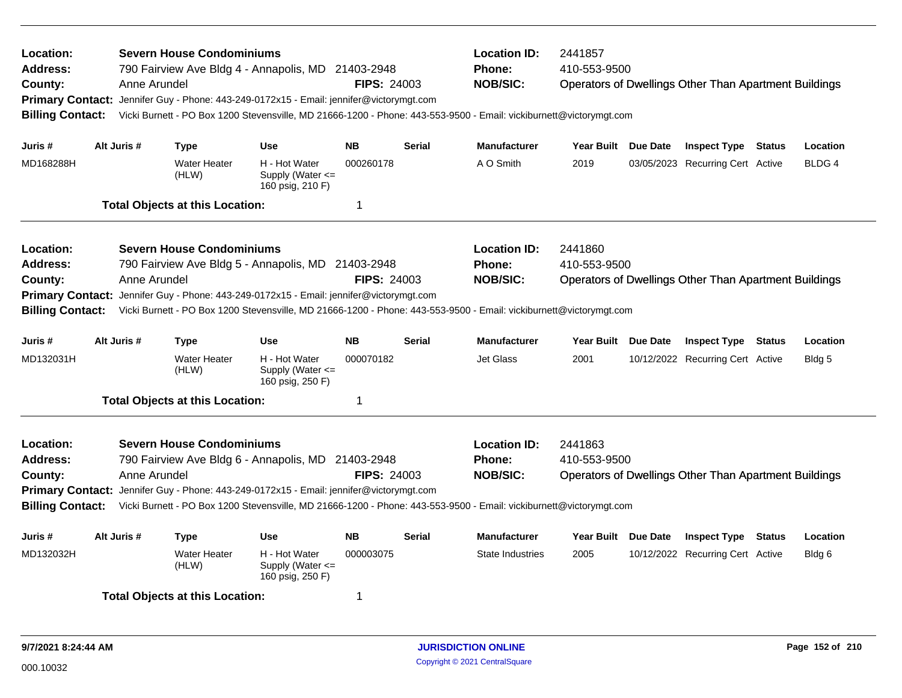| Location:<br>Address:<br>County:<br><b>Billing Contact:</b>                            | Anne Arundel | <b>Severn House Condominiums</b>       | 790 Fairview Ave Bldg 4 - Annapolis, MD 21403-2948<br>Primary Contact: Jennifer Guy - Phone: 443-249-0172x15 - Email: jennifer@victorymgt.com                                                                                                                       | <b>FIPS: 24003</b> |               | <b>Location ID:</b><br><b>Phone:</b><br><b>NOB/SIC:</b> | 2441857<br>410-553-9500<br><b>Operators of Dwellings Other Than Apartment Buildings</b><br>Vicki Burnett - PO Box 1200 Stevensville, MD 21666-1200 - Phone: 443-553-9500 - Email: vickiburnett@victorymgt.com |  |                                                              |        |              |  |
|----------------------------------------------------------------------------------------|--------------|----------------------------------------|---------------------------------------------------------------------------------------------------------------------------------------------------------------------------------------------------------------------------------------------------------------------|--------------------|---------------|---------------------------------------------------------|---------------------------------------------------------------------------------------------------------------------------------------------------------------------------------------------------------------|--|--------------------------------------------------------------|--------|--------------|--|
| Juris #                                                                                | Alt Juris #  | Type                                   | <b>Use</b>                                                                                                                                                                                                                                                          | <b>NB</b>          | <b>Serial</b> | <b>Manufacturer</b>                                     | Year Built Due Date                                                                                                                                                                                           |  | <b>Inspect Type Status</b>                                   |        | Location     |  |
| MD168288H                                                                              |              | <b>Water Heater</b><br>(HLW)           | H - Hot Water<br>Supply (Water $\leq$<br>160 psig, 210 F)                                                                                                                                                                                                           | 000260178          |               | A O Smith                                               | 2019                                                                                                                                                                                                          |  | 03/05/2023 Recurring Cert Active                             |        | <b>BLDG4</b> |  |
|                                                                                        |              | <b>Total Objects at this Location:</b> |                                                                                                                                                                                                                                                                     | 1                  |               |                                                         |                                                                                                                                                                                                               |  |                                                              |        |              |  |
| Location:<br>Address:<br>County:<br><b>Primary Contact:</b><br><b>Billing Contact:</b> | Anne Arundel | <b>Severn House Condominiums</b>       | 790 Fairview Ave Bldg 5 - Annapolis, MD 21403-2948<br>Jennifer Guy - Phone: 443-249-0172x15 - Email: jennifer@victorymgt.com<br>Vicki Burnett - PO Box 1200 Stevensville, MD 21666-1200 - Phone: 443-553-9500 - Email: vickiburnett@victorymgt.com                  | <b>FIPS: 24003</b> |               | <b>Location ID:</b><br><b>Phone:</b><br><b>NOB/SIC:</b> | 2441860<br>410-553-9500                                                                                                                                                                                       |  | <b>Operators of Dwellings Other Than Apartment Buildings</b> |        |              |  |
| Juris #                                                                                | Alt Juris #  | <b>Type</b>                            | <b>Use</b>                                                                                                                                                                                                                                                          | <b>NB</b>          | <b>Serial</b> | <b>Manufacturer</b>                                     | Year Built Due Date                                                                                                                                                                                           |  | <b>Inspect Type Status</b>                                   |        | Location     |  |
| MD132031H                                                                              |              | <b>Water Heater</b><br>(HLW)           | H - Hot Water<br>Supply (Water $\leq$<br>160 psig, 250 F)                                                                                                                                                                                                           | 000070182          |               | Jet Glass                                               | 2001                                                                                                                                                                                                          |  | 10/12/2022 Recurring Cert Active                             |        | Bldg 5       |  |
|                                                                                        |              | <b>Total Objects at this Location:</b> |                                                                                                                                                                                                                                                                     | 1                  |               |                                                         |                                                                                                                                                                                                               |  |                                                              |        |              |  |
| Location:<br>Address:<br>County:<br><b>Billing Contact:</b>                            | Anne Arundel | <b>Severn House Condominiums</b>       | 790 Fairview Ave Bldg 6 - Annapolis, MD 21403-2948<br>Primary Contact: Jennifer Guy - Phone: 443-249-0172x15 - Email: jennifer@victorymgt.com<br>Vicki Burnett - PO Box 1200 Stevensville, MD 21666-1200 - Phone: 443-553-9500 - Email: vickiburnett@victorymgt.com | <b>FIPS: 24003</b> |               | <b>Location ID:</b><br><b>Phone:</b><br><b>NOB/SIC:</b> | 2441863<br>410-553-9500                                                                                                                                                                                       |  | <b>Operators of Dwellings Other Than Apartment Buildings</b> |        |              |  |
| Juris #                                                                                | Alt Juris #  | <b>Type</b>                            | <b>Use</b>                                                                                                                                                                                                                                                          | <b>NB</b>          | <b>Serial</b> | <b>Manufacturer</b>                                     | Year Built Due Date                                                                                                                                                                                           |  | <b>Inspect Type</b>                                          | Status | Location     |  |
| MD132032H                                                                              |              | <b>Water Heater</b><br>(HLW)           | H - Hot Water<br>Supply (Water <=<br>160 psig, 250 F)                                                                                                                                                                                                               | 000003075          |               | State Industries                                        | 2005                                                                                                                                                                                                          |  | 10/12/2022 Recurring Cert Active                             |        | Bldg 6       |  |
|                                                                                        |              | <b>Total Objects at this Location:</b> |                                                                                                                                                                                                                                                                     | 1                  |               |                                                         |                                                                                                                                                                                                               |  |                                                              |        |              |  |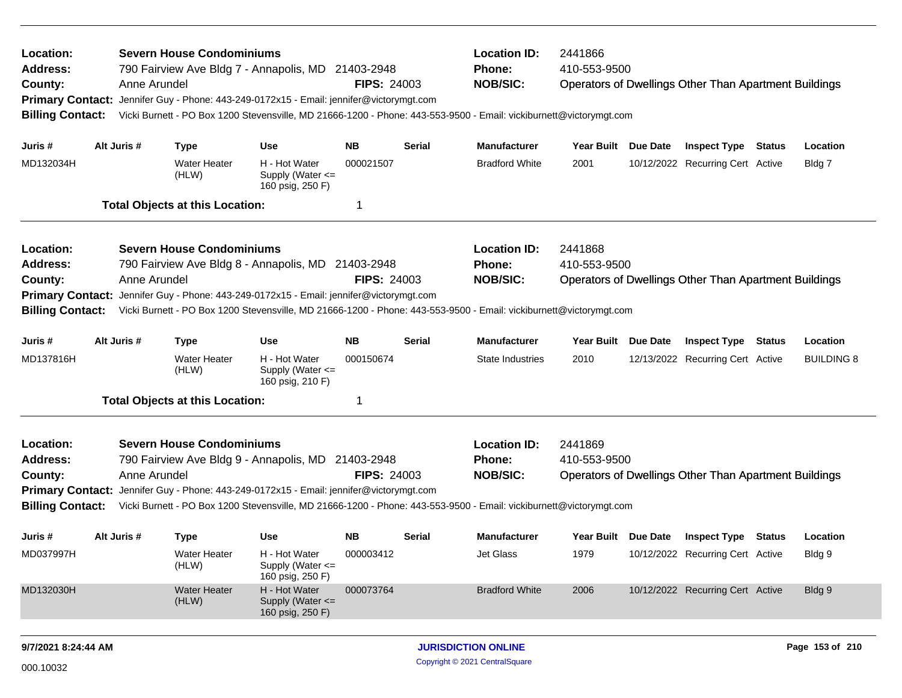| Location:<br><b>Address:</b><br>County:<br><b>Primary Contact:</b><br><b>Billing Contact:</b> |                                                                                                                                                                                                                                                    | Anne Arundel | <b>Severn House Condominiums</b>       | 790 Fairview Ave Bldg 7 - Annapolis, MD 21403-2948<br>Jennifer Guy - Phone: 443-249-0172x15 - Email: jennifer@victorymgt.com | <b>FIPS: 24003</b> |               | <b>Location ID:</b><br><b>Phone:</b><br><b>NOB/SIC:</b><br>Vicki Burnett - PO Box 1200 Stevensville, MD 21666-1200 - Phone: 443-553-9500 - Email: vickiburnett@victorymgt.com | 2441866<br>410-553-9500<br><b>Operators of Dwellings Other Than Apartment Buildings</b> |  |                                                                |               |                    |  |
|-----------------------------------------------------------------------------------------------|----------------------------------------------------------------------------------------------------------------------------------------------------------------------------------------------------------------------------------------------------|--------------|----------------------------------------|------------------------------------------------------------------------------------------------------------------------------|--------------------|---------------|-------------------------------------------------------------------------------------------------------------------------------------------------------------------------------|-----------------------------------------------------------------------------------------|--|----------------------------------------------------------------|---------------|--------------------|--|
| Juris #<br>MD132034H                                                                          |                                                                                                                                                                                                                                                    | Alt Juris #  | <b>Type</b><br><b>Water Heater</b>     | <b>Use</b><br>H - Hot Water                                                                                                  | NΒ<br>000021507    | <b>Serial</b> | <b>Manufacturer</b><br><b>Bradford White</b>                                                                                                                                  | Year Built Due Date<br>2001                                                             |  | <b>Inspect Type Status</b><br>10/12/2022 Recurring Cert Active |               | Location<br>Bldg 7 |  |
|                                                                                               |                                                                                                                                                                                                                                                    |              | (HLW)                                  | Supply (Water <=<br>160 psig, 250 F)                                                                                         |                    |               |                                                                                                                                                                               |                                                                                         |  |                                                                |               |                    |  |
|                                                                                               |                                                                                                                                                                                                                                                    |              | <b>Total Objects at this Location:</b> |                                                                                                                              | 1                  |               |                                                                                                                                                                               |                                                                                         |  |                                                                |               |                    |  |
| Location:                                                                                     |                                                                                                                                                                                                                                                    |              | <b>Severn House Condominiums</b>       |                                                                                                                              |                    |               | <b>Location ID:</b>                                                                                                                                                           | 2441868                                                                                 |  |                                                                |               |                    |  |
| <b>Address:</b><br>County:                                                                    |                                                                                                                                                                                                                                                    | Anne Arundel |                                        | 790 Fairview Ave Bldg 8 - Annapolis, MD 21403-2948                                                                           | <b>FIPS: 24003</b> |               | <b>Phone:</b><br><b>NOB/SIC:</b>                                                                                                                                              | 410-553-9500                                                                            |  | <b>Operators of Dwellings Other Than Apartment Buildings</b>   |               |                    |  |
|                                                                                               |                                                                                                                                                                                                                                                    |              |                                        |                                                                                                                              |                    |               |                                                                                                                                                                               |                                                                                         |  |                                                                |               |                    |  |
|                                                                                               | Jennifer Guy - Phone: 443-249-0172x15 - Email: jennifer@victorymgt.com<br><b>Primary Contact:</b><br><b>Billing Contact:</b><br>Vicki Burnett - PO Box 1200 Stevensville, MD 21666-1200 - Phone: 443-553-9500 - Email: vickiburnett@victorymgt.com |              |                                        |                                                                                                                              |                    |               |                                                                                                                                                                               |                                                                                         |  |                                                                |               |                    |  |
| Juris #                                                                                       |                                                                                                                                                                                                                                                    | Alt Juris #  | <b>Type</b>                            | <b>Use</b>                                                                                                                   | <b>NB</b>          | <b>Serial</b> | <b>Manufacturer</b>                                                                                                                                                           | Year Built Due Date                                                                     |  | <b>Inspect Type</b>                                            | <b>Status</b> | Location           |  |
| MD137816H                                                                                     |                                                                                                                                                                                                                                                    |              | <b>Water Heater</b><br>(HLW)           | H - Hot Water<br>Supply (Water <=<br>160 psig, 210 F)                                                                        | 000150674          |               | State Industries                                                                                                                                                              | 2010                                                                                    |  | 12/13/2022 Recurring Cert Active                               |               | <b>BUILDING 8</b>  |  |
|                                                                                               |                                                                                                                                                                                                                                                    |              | <b>Total Objects at this Location:</b> |                                                                                                                              | 1                  |               |                                                                                                                                                                               |                                                                                         |  |                                                                |               |                    |  |
| Location:                                                                                     |                                                                                                                                                                                                                                                    |              | <b>Severn House Condominiums</b>       |                                                                                                                              |                    |               | <b>Location ID:</b>                                                                                                                                                           | 2441869                                                                                 |  |                                                                |               |                    |  |
| <b>Address:</b>                                                                               |                                                                                                                                                                                                                                                    |              |                                        | 790 Fairview Ave Bldg 9 - Annapolis, MD 21403-2948                                                                           |                    |               | <b>Phone:</b>                                                                                                                                                                 | 410-553-9500                                                                            |  |                                                                |               |                    |  |
| County:                                                                                       |                                                                                                                                                                                                                                                    | Anne Arundel |                                        |                                                                                                                              | <b>FIPS: 24003</b> |               | <b>NOB/SIC:</b>                                                                                                                                                               |                                                                                         |  | <b>Operators of Dwellings Other Than Apartment Buildings</b>   |               |                    |  |
|                                                                                               | <b>Primary Contact:</b><br>Jennifer Guy - Phone: 443-249-0172x15 - Email: jennifer@victorymgt.com                                                                                                                                                  |              |                                        |                                                                                                                              |                    |               |                                                                                                                                                                               |                                                                                         |  |                                                                |               |                    |  |
| <b>Billing Contact:</b>                                                                       |                                                                                                                                                                                                                                                    |              |                                        |                                                                                                                              |                    |               | Vicki Burnett - PO Box 1200 Stevensville, MD 21666-1200 - Phone: 443-553-9500 - Email: vickiburnett@victorymgt.com                                                            |                                                                                         |  |                                                                |               |                    |  |
| Juris #                                                                                       |                                                                                                                                                                                                                                                    | Alt Juris #  | <b>Type</b>                            | <b>Use</b>                                                                                                                   | <b>NB</b>          | <b>Serial</b> | <b>Manufacturer</b>                                                                                                                                                           | Year Built Due Date                                                                     |  | <b>Inspect Type Status</b>                                     |               | Location           |  |
| MD037997H                                                                                     |                                                                                                                                                                                                                                                    |              | Water Heater<br>(HLW)                  | H - Hot Water<br>Supply (Water <=<br>160 psig, 250 F)                                                                        | 000003412          |               | Jet Glass                                                                                                                                                                     | 1979                                                                                    |  | 10/12/2022 Recurring Cert Active                               |               | Bldg 9             |  |
| MD132030H                                                                                     |                                                                                                                                                                                                                                                    |              | <b>Water Heater</b><br>(HLW)           | H - Hot Water<br>Supply (Water <=<br>160 psig, 250 F)                                                                        | 000073764          |               | <b>Bradford White</b>                                                                                                                                                         | 2006                                                                                    |  | 10/12/2022 Recurring Cert Active                               |               | Bldg 9             |  |
|                                                                                               |                                                                                                                                                                                                                                                    |              |                                        |                                                                                                                              |                    |               |                                                                                                                                                                               |                                                                                         |  |                                                                |               |                    |  |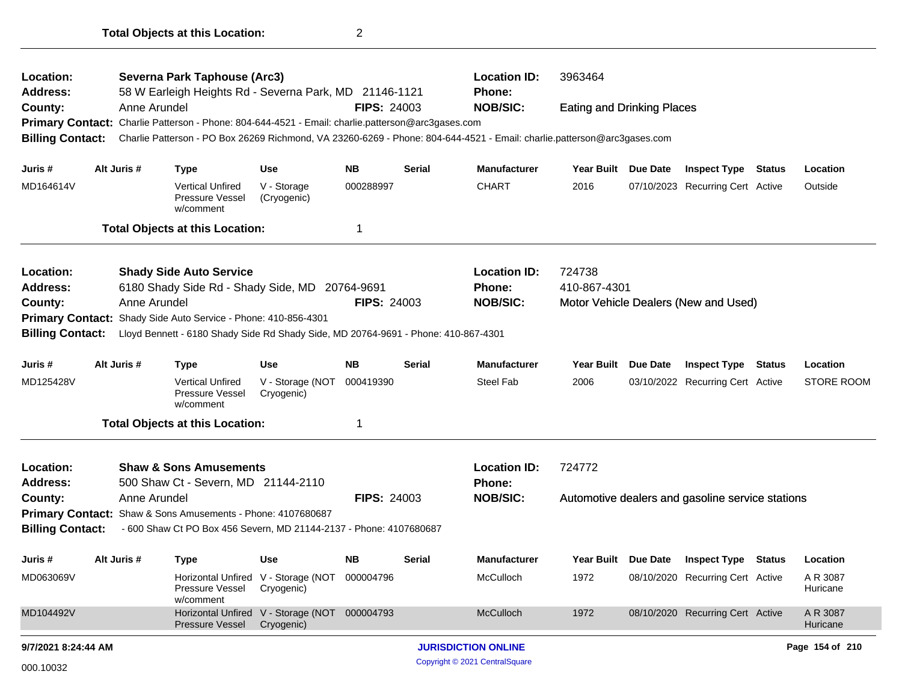| Location:<br><b>Address:</b><br>County:<br>Primary Contact: Charlie Patterson - Phone: 804-644-4521 - Email: charlie.patterson@arc3gases.com<br><b>Billing Contact:</b><br>Juris #<br>MD164614V<br>Location:<br>Address:<br>County:<br><b>Billing Contact:</b><br>Juris #<br>MD125428V<br>Location:<br><b>Address:</b> |              | Severna Park Taphouse (Arc3)                                                       |                                                             |                    |               | <b>Location ID:</b>                                                                                                     | 3963464                           |          |                                                  |        |                      |
|------------------------------------------------------------------------------------------------------------------------------------------------------------------------------------------------------------------------------------------------------------------------------------------------------------------------|--------------|------------------------------------------------------------------------------------|-------------------------------------------------------------|--------------------|---------------|-------------------------------------------------------------------------------------------------------------------------|-----------------------------------|----------|--------------------------------------------------|--------|----------------------|
|                                                                                                                                                                                                                                                                                                                        |              | 58 W Earleigh Heights Rd - Severna Park, MD 21146-1121                             |                                                             |                    |               | <b>Phone:</b>                                                                                                           |                                   |          |                                                  |        |                      |
|                                                                                                                                                                                                                                                                                                                        | Anne Arundel |                                                                                    |                                                             | <b>FIPS: 24003</b> |               | <b>NOB/SIC:</b>                                                                                                         | <b>Eating and Drinking Places</b> |          |                                                  |        |                      |
|                                                                                                                                                                                                                                                                                                                        |              |                                                                                    |                                                             |                    |               |                                                                                                                         |                                   |          |                                                  |        |                      |
|                                                                                                                                                                                                                                                                                                                        |              |                                                                                    |                                                             |                    |               | Charlie Patterson - PO Box 26269 Richmond, VA 23260-6269 - Phone: 804-644-4521 - Email: charlie.patterson@arc3gases.com |                                   |          |                                                  |        |                      |
|                                                                                                                                                                                                                                                                                                                        | Alt Juris #  | <b>Type</b>                                                                        | <b>Use</b>                                                  | <b>NB</b>          | Serial        | <b>Manufacturer</b>                                                                                                     | Year Built Due Date               |          | <b>Inspect Type Status</b>                       |        | Location             |
|                                                                                                                                                                                                                                                                                                                        |              | <b>Vertical Unfired</b><br>Pressure Vessel<br>w/comment                            | V - Storage<br>(Cryogenic)                                  | 000288997          |               | <b>CHART</b>                                                                                                            | 2016                              |          | 07/10/2023 Recurring Cert Active                 |        | Outside              |
|                                                                                                                                                                                                                                                                                                                        |              | <b>Total Objects at this Location:</b>                                             |                                                             | 1                  |               |                                                                                                                         |                                   |          |                                                  |        |                      |
|                                                                                                                                                                                                                                                                                                                        |              | <b>Shady Side Auto Service</b><br>6180 Shady Side Rd - Shady Side, MD              |                                                             | 20764-9691         |               | <b>Location ID:</b><br><b>Phone:</b>                                                                                    | 724738<br>410-867-4301            |          |                                                  |        |                      |
|                                                                                                                                                                                                                                                                                                                        | Anne Arundel |                                                                                    |                                                             | <b>FIPS: 24003</b> |               | <b>NOB/SIC:</b>                                                                                                         |                                   |          | Motor Vehicle Dealers (New and Used)             |        |                      |
|                                                                                                                                                                                                                                                                                                                        |              | Primary Contact: Shady Side Auto Service - Phone: 410-856-4301                     |                                                             |                    |               |                                                                                                                         |                                   |          |                                                  |        |                      |
|                                                                                                                                                                                                                                                                                                                        |              | Lloyd Bennett - 6180 Shady Side Rd Shady Side, MD 20764-9691 - Phone: 410-867-4301 |                                                             |                    |               |                                                                                                                         |                                   |          |                                                  |        |                      |
|                                                                                                                                                                                                                                                                                                                        | Alt Juris #  | <b>Type</b>                                                                        | <b>Use</b>                                                  | <b>NB</b>          | <b>Serial</b> | <b>Manufacturer</b>                                                                                                     | Year Built                        | Due Date | <b>Inspect Type</b>                              | Status | Location             |
|                                                                                                                                                                                                                                                                                                                        |              | <b>Vertical Unfired</b><br>Pressure Vessel<br>w/comment                            | V - Storage (NOT<br>Cryogenic)                              | 000419390          |               | Steel Fab                                                                                                               | 2006                              |          | 03/10/2022 Recurring Cert Active                 |        | <b>STORE ROOM</b>    |
|                                                                                                                                                                                                                                                                                                                        |              | <b>Total Objects at this Location:</b>                                             |                                                             | 1                  |               |                                                                                                                         |                                   |          |                                                  |        |                      |
|                                                                                                                                                                                                                                                                                                                        |              | <b>Shaw &amp; Sons Amusements</b><br>500 Shaw Ct - Severn, MD 21144-2110           |                                                             |                    |               | <b>Location ID:</b><br>Phone:                                                                                           | 724772                            |          |                                                  |        |                      |
| County:                                                                                                                                                                                                                                                                                                                | Anne Arundel |                                                                                    |                                                             | <b>FIPS: 24003</b> |               | <b>NOB/SIC:</b>                                                                                                         |                                   |          | Automotive dealers and gasoline service stations |        |                      |
|                                                                                                                                                                                                                                                                                                                        |              | Primary Contact: Shaw & Sons Amusements - Phone: 4107680687                        |                                                             |                    |               |                                                                                                                         |                                   |          |                                                  |        |                      |
| <b>Billing Contact:</b>                                                                                                                                                                                                                                                                                                |              | - 600 Shaw Ct PO Box 456 Severn, MD 21144-2137 - Phone: 4107680687                 |                                                             |                    |               |                                                                                                                         |                                   |          |                                                  |        |                      |
| Juris #                                                                                                                                                                                                                                                                                                                | Alt Juris #  | Type                                                                               | <b>Use</b>                                                  | NΒ                 | Serial        | <b>Manufacturer</b>                                                                                                     | Year Built Due Date               |          | <b>Inspect Type Status</b>                       |        | Location             |
| MD063069V                                                                                                                                                                                                                                                                                                              |              | Pressure Vessel<br>w/comment                                                       | Horizontal Unfired V - Storage (NOT 000004796<br>Cryogenic) |                    |               | McCulloch                                                                                                               | 1972                              |          | 08/10/2020 Recurring Cert Active                 |        | A R 3087<br>Huricane |
| MD104492V                                                                                                                                                                                                                                                                                                              |              | Pressure Vessel                                                                    | Horizontal Unfired V - Storage (NOT 000004793<br>Cryogenic) |                    |               | McCulloch                                                                                                               | 1972                              |          | 08/10/2020 Recurring Cert Active                 |        | A R 3087<br>Huricane |
| 9/7/2021 8:24:44 AM                                                                                                                                                                                                                                                                                                    |              |                                                                                    |                                                             |                    |               | <b>JURISDICTION ONLINE</b>                                                                                              |                                   |          |                                                  |        | Page 154 of 210      |
| 000.10032                                                                                                                                                                                                                                                                                                              |              |                                                                                    |                                                             |                    |               | Copyright © 2021 CentralSquare                                                                                          |                                   |          |                                                  |        |                      |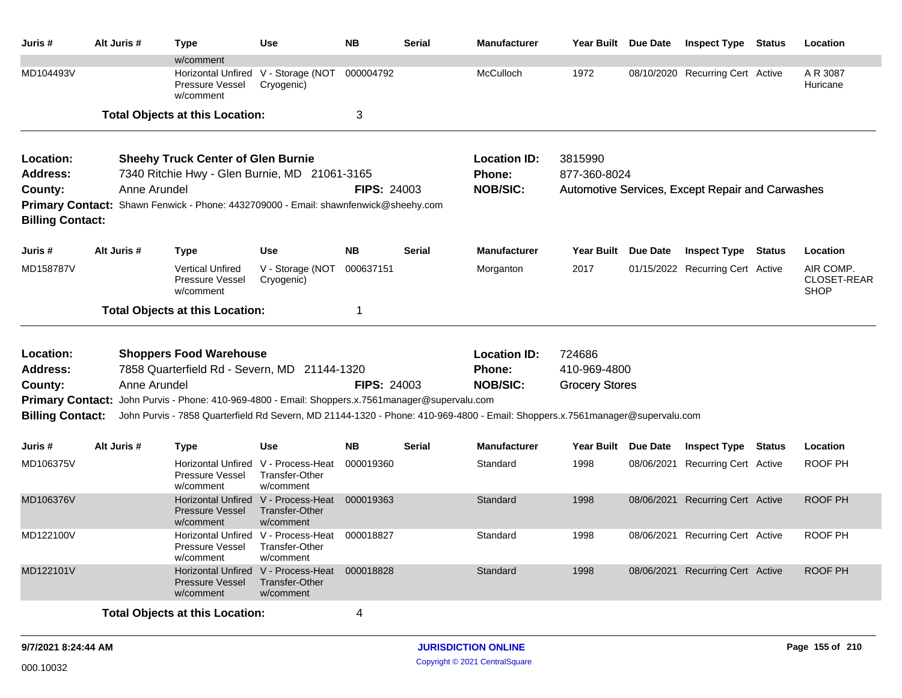| Juris #                 | Alt Juris #  | <b>Type</b>                                                                                      | Use                                                                       | <b>NB</b>          | Serial        | <b>Manufacturer</b>                                                                                                          | Year Built Due Date   |          | <b>Inspect Type Status</b>                       | Location                                |
|-------------------------|--------------|--------------------------------------------------------------------------------------------------|---------------------------------------------------------------------------|--------------------|---------------|------------------------------------------------------------------------------------------------------------------------------|-----------------------|----------|--------------------------------------------------|-----------------------------------------|
| MD104493V               |              | w/comment<br>Pressure Vessel<br>w/comment                                                        | Horizontal Unfired V - Storage (NOT<br>Cryogenic)                         | 000004792          |               | McCulloch                                                                                                                    | 1972                  |          | 08/10/2020 Recurring Cert Active                 | A R 3087<br>Huricane                    |
|                         |              | <b>Total Objects at this Location:</b>                                                           |                                                                           | 3                  |               |                                                                                                                              |                       |          |                                                  |                                         |
| Location:               |              | <b>Sheehy Truck Center of Glen Burnie</b>                                                        |                                                                           |                    |               | <b>Location ID:</b>                                                                                                          | 3815990               |          |                                                  |                                         |
| <b>Address:</b>         |              | 7340 Ritchie Hwy - Glen Burnie, MD 21061-3165                                                    |                                                                           |                    |               | <b>Phone:</b>                                                                                                                | 877-360-8024          |          |                                                  |                                         |
| County:                 | Anne Arundel | Primary Contact: Shawn Fenwick - Phone: 4432709000 - Email: shawnfenwick@sheehy.com              |                                                                           | <b>FIPS: 24003</b> |               | <b>NOB/SIC:</b>                                                                                                              |                       |          | Automotive Services, Except Repair and Carwashes |                                         |
| <b>Billing Contact:</b> |              |                                                                                                  |                                                                           |                    |               |                                                                                                                              |                       |          |                                                  |                                         |
| Juris #                 | Alt Juris #  | <b>Type</b>                                                                                      | <b>Use</b>                                                                | <b>NB</b>          | <b>Serial</b> | <b>Manufacturer</b>                                                                                                          | Year Built            | Due Date | <b>Inspect Type Status</b>                       | Location                                |
| MD158787V               |              | <b>Vertical Unfired</b><br>Pressure Vessel<br>w/comment                                          | V - Storage (NOT<br>Cryogenic)                                            | 000637151          |               | Morganton                                                                                                                    | 2017                  |          | 01/15/2022 Recurring Cert Active                 | AIR COMP.<br>CLOSET-REAR<br><b>SHOP</b> |
|                         |              | <b>Total Objects at this Location:</b>                                                           |                                                                           | $\mathbf{1}$       |               |                                                                                                                              |                       |          |                                                  |                                         |
| Location:               |              | <b>Shoppers Food Warehouse</b>                                                                   |                                                                           |                    |               | <b>Location ID:</b>                                                                                                          | 724686                |          |                                                  |                                         |
| <b>Address:</b>         |              | 7858 Quarterfield Rd - Severn, MD 21144-1320                                                     |                                                                           |                    |               | <b>Phone:</b>                                                                                                                | 410-969-4800          |          |                                                  |                                         |
| County:                 | Anne Arundel |                                                                                                  |                                                                           | <b>FIPS: 24003</b> |               | <b>NOB/SIC:</b>                                                                                                              | <b>Grocery Stores</b> |          |                                                  |                                         |
|                         |              | Primary Contact: John Purvis - Phone: 410-969-4800 - Email: Shoppers.x.7561manager@supervalu.com |                                                                           |                    |               |                                                                                                                              |                       |          |                                                  |                                         |
| <b>Billing Contact:</b> |              |                                                                                                  |                                                                           |                    |               | John Purvis - 7858 Quarterfield Rd Severn, MD 21144-1320 - Phone: 410-969-4800 - Email: Shoppers.x.7561manager@supervalu.com |                       |          |                                                  |                                         |
| Juris #                 | Alt Juris #  | <b>Type</b>                                                                                      | Use                                                                       | <b>NB</b>          | <b>Serial</b> | <b>Manufacturer</b>                                                                                                          | <b>Year Built</b>     | Due Date | <b>Inspect Type Status</b>                       | Location                                |
| MD106375V               |              | <b>Pressure Vessel</b><br>w/comment                                                              | Horizontal Unfired V - Process-Heat<br><b>Transfer-Other</b><br>w/comment | 000019360          |               | Standard                                                                                                                     | 1998                  |          | 08/06/2021 Recurring Cert Active                 | ROOF PH                                 |
| MD106376V               |              | <b>Pressure Vessel</b><br>w/comment                                                              | Horizontal Unfired V - Process-Heat<br>Transfer-Other<br>w/comment        | 000019363          |               | Standard                                                                                                                     | 1998                  |          | 08/06/2021 Recurring Cert Active                 | <b>ROOF PH</b>                          |
| MD122100V               |              | Horizontal Unfired<br>Pressure Vessel<br>w/comment                                               | V - Process-Heat<br>Transfer-Other<br>w/comment                           | 000018827          |               | Standard                                                                                                                     | 1998                  |          | 08/06/2021 Recurring Cert Active                 | ROOF PH                                 |
| MD122101V               |              | <b>Pressure Vessel</b><br>w/comment                                                              | Horizontal Unfired V - Process-Heat<br><b>Transfer-Other</b><br>w/comment | 000018828          |               | Standard                                                                                                                     | 1998                  |          | 08/06/2021 Recurring Cert Active                 | <b>ROOF PH</b>                          |
|                         |              | <b>Total Objects at this Location:</b>                                                           |                                                                           | 4                  |               |                                                                                                                              |                       |          |                                                  |                                         |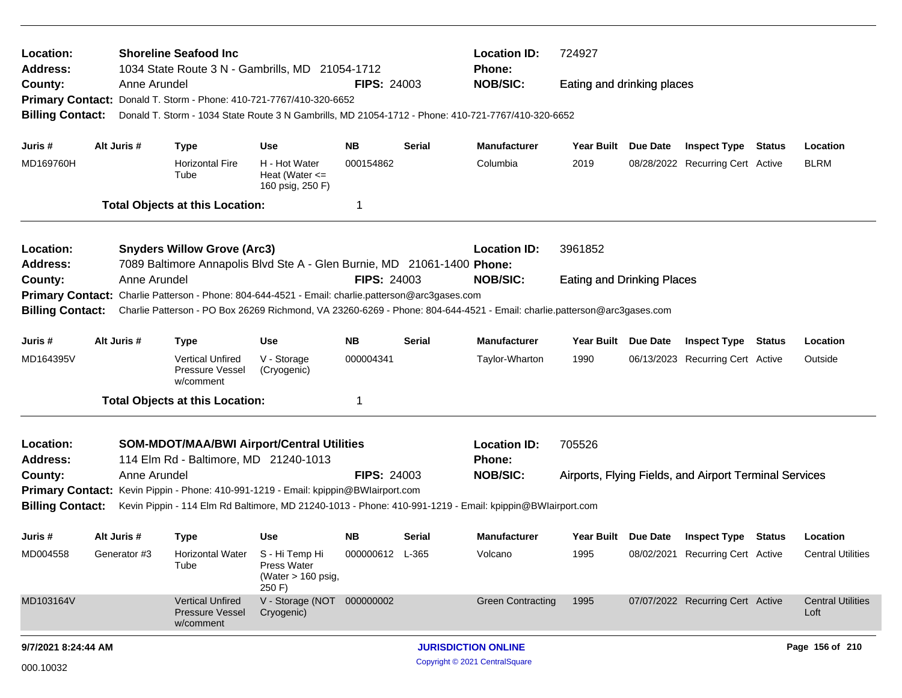| Location:<br><b>Address:</b><br>County:                       | Anne Arundel | <b>Shoreline Seafood Inc</b><br>1034 State Route 3 N - Gambrills, MD 21054-1712<br>Primary Contact: Donald T. Storm - Phone: 410-721-7767/410-320-6652 |                                                                       | <b>FIPS: 24003</b>     |        | <b>Location ID:</b><br><b>Phone:</b><br><b>NOB/SIC:</b>                                                                                    | 724927<br>Eating and drinking places |          |                                                         |        |                                  |
|---------------------------------------------------------------|--------------|--------------------------------------------------------------------------------------------------------------------------------------------------------|-----------------------------------------------------------------------|------------------------|--------|--------------------------------------------------------------------------------------------------------------------------------------------|--------------------------------------|----------|---------------------------------------------------------|--------|----------------------------------|
| <b>Billing Contact:</b>                                       |              |                                                                                                                                                        |                                                                       |                        |        | Donald T. Storm - 1034 State Route 3 N Gambrills, MD 21054-1712 - Phone: 410-721-7767/410-320-6652                                         |                                      |          |                                                         |        |                                  |
| Juris #<br>MD169760H                                          | Alt Juris #  | <b>Type</b><br><b>Horizontal Fire</b><br>Tube                                                                                                          | <b>Use</b><br>H - Hot Water<br>Heat (Water $\leq$<br>160 psig, 250 F) | <b>NB</b><br>000154862 | Serial | <b>Manufacturer</b><br>Columbia                                                                                                            | <b>Year Built</b><br>2019            | Due Date | <b>Inspect Type</b><br>08/28/2022 Recurring Cert Active | Status | Location<br><b>BLRM</b>          |
|                                                               |              | <b>Total Objects at this Location:</b>                                                                                                                 |                                                                       | -1                     |        |                                                                                                                                            |                                      |          |                                                         |        |                                  |
| Location:<br>Address:                                         |              | <b>Snyders Willow Grove (Arc3)</b><br>7089 Baltimore Annapolis Blvd Ste A - Glen Burnie, MD 21061-1400 Phone:                                          |                                                                       |                        |        | <b>Location ID:</b>                                                                                                                        | 3961852                              |          |                                                         |        |                                  |
| County:<br><b>Primary Contact:</b><br><b>Billing Contact:</b> | Anne Arundel | Charlie Patterson - Phone: 804-644-4521 - Email: charlie.patterson@arc3gases.com                                                                       |                                                                       | <b>FIPS: 24003</b>     |        | <b>NOB/SIC:</b><br>Charlie Patterson - PO Box 26269 Richmond, VA 23260-6269 - Phone: 804-644-4521 - Email: charlie.patterson@arc3gases.com | <b>Eating and Drinking Places</b>    |          |                                                         |        |                                  |
| Juris #                                                       | Alt Juris #  | <b>Type</b>                                                                                                                                            | Use                                                                   | <b>NB</b>              | Serial | <b>Manufacturer</b>                                                                                                                        | Year Built Due Date                  |          | <b>Inspect Type Status</b>                              |        | Location                         |
| MD164395V                                                     |              | <b>Vertical Unfired</b><br>Pressure Vessel<br>w/comment                                                                                                | V - Storage<br>(Cryogenic)                                            | 000004341              |        | Taylor-Wharton                                                                                                                             | 1990                                 |          | 06/13/2023 Recurring Cert Active                        |        | Outside                          |
|                                                               |              | <b>Total Objects at this Location:</b>                                                                                                                 |                                                                       | -1                     |        |                                                                                                                                            |                                      |          |                                                         |        |                                  |
| Location:<br><b>Address:</b>                                  |              | <b>SOM-MDOT/MAA/BWI Airport/Central Utilities</b><br>114 Elm Rd - Baltimore, MD 21240-1013                                                             |                                                                       |                        |        | <b>Location ID:</b><br><b>Phone:</b>                                                                                                       | 705526                               |          |                                                         |        |                                  |
| County:<br><b>Billing Contact:</b>                            | Anne Arundel | Primary Contact: Kevin Pippin - Phone: 410-991-1219 - Email: kpippin@BWlairport.com                                                                    |                                                                       | <b>FIPS: 24003</b>     |        | <b>NOB/SIC:</b><br>Kevin Pippin - 114 Elm Rd Baltimore, MD 21240-1013 - Phone: 410-991-1219 - Email: kpippin@BWlairport.com                |                                      |          | Airports, Flying Fields, and Airport Terminal Services  |        |                                  |
| Juris #                                                       | Alt Juris #  | <b>Type</b>                                                                                                                                            | Use                                                                   | <b>NB</b>              | Serial | <b>Manufacturer</b>                                                                                                                        | Year Built Due Date                  |          | <b>Inspect Type Status</b>                              |        | Location                         |
| MD004558                                                      | Generator #3 | Horizontal Water<br>Tube                                                                                                                               | S - Hi Temp Hi<br>Press Water<br>(Water > 160 psig,<br>250 F)         | 000000612 L-365        |        | Volcano                                                                                                                                    | 1995                                 |          | 08/02/2021 Recurring Cert Active                        |        | <b>Central Utilities</b>         |
| MD103164V                                                     |              | <b>Vertical Unfired</b><br>Pressure Vessel<br>w/comment                                                                                                | V - Storage (NOT 000000002<br>Cryogenic)                              |                        |        | <b>Green Contracting</b>                                                                                                                   | 1995                                 |          | 07/07/2022 Recurring Cert Active                        |        | <b>Central Utilities</b><br>Loft |
| 9/7/2021 8:24:44 AM                                           |              |                                                                                                                                                        |                                                                       |                        |        | <b>JURISDICTION ONLINE</b>                                                                                                                 |                                      |          |                                                         |        | Page 156 of 210                  |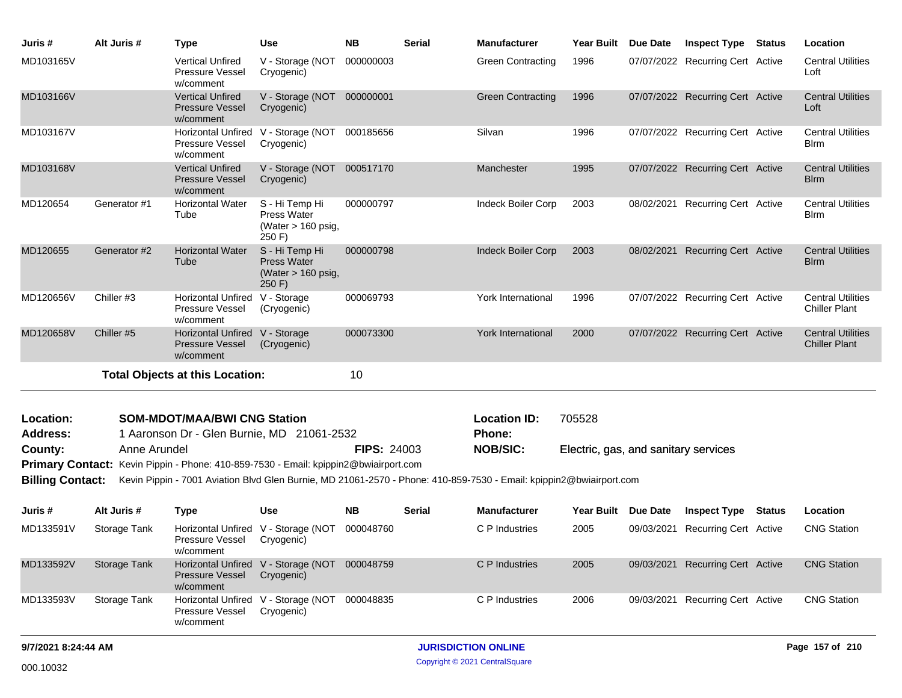| Juris #                    | Alt Juris #         | <b>Type</b>                                                                          | <b>Use</b>                                                           | <b>NB</b>          | <b>Serial</b> | <b>Manufacturer</b>                                                                                                 | <b>Year Built</b>                    | Due Date   | <b>Inspect Type</b>              | Status        | Location                                         |
|----------------------------|---------------------|--------------------------------------------------------------------------------------|----------------------------------------------------------------------|--------------------|---------------|---------------------------------------------------------------------------------------------------------------------|--------------------------------------|------------|----------------------------------|---------------|--------------------------------------------------|
| MD103165V                  |                     | <b>Vertical Unfired</b><br>Pressure Vessel<br>w/comment                              | V - Storage (NOT<br>Cryogenic)                                       | 000000003          |               | <b>Green Contracting</b>                                                                                            | 1996                                 |            | 07/07/2022 Recurring Cert Active |               | <b>Central Utilities</b><br>Loft                 |
| MD103166V                  |                     | <b>Vertical Unfired</b><br><b>Pressure Vessel</b><br>w/comment                       | V - Storage (NOT<br>Cryogenic)                                       | 000000001          |               | <b>Green Contracting</b>                                                                                            | 1996                                 |            | 07/07/2022 Recurring Cert Active |               | <b>Central Utilities</b><br>Loft                 |
| MD103167V                  |                     | Pressure Vessel<br>w/comment                                                         | Horizontal Unfired V - Storage (NOT<br>Cryogenic)                    | 000185656          |               | Silvan                                                                                                              | 1996                                 |            | 07/07/2022 Recurring Cert Active |               | <b>Central Utilities</b><br><b>B</b> lrm         |
| MD103168V                  |                     | <b>Vertical Unfired</b><br><b>Pressure Vessel</b><br>w/comment                       | V - Storage (NOT<br>Cryogenic)                                       | 000517170          |               | Manchester                                                                                                          | 1995                                 |            | 07/07/2022 Recurring Cert Active |               | <b>Central Utilities</b><br><b>B</b> Irm         |
| MD120654                   | Generator #1        | <b>Horizontal Water</b><br>Tube                                                      | S - Hi Temp Hi<br>Press Water<br>(Water > 160 psig,<br>250 F)        | 000000797          |               | Indeck Boiler Corp                                                                                                  | 2003                                 |            | 08/02/2021 Recurring Cert Active |               | <b>Central Utilities</b><br><b>Blrm</b>          |
| MD120655                   | Generator #2        | <b>Horizontal Water</b><br>Tube                                                      | S - Hi Temp Hi<br><b>Press Water</b><br>(Water > 160 psig,<br>250 F) | 000000798          |               | Indeck Boiler Corp                                                                                                  | 2003                                 | 08/02/2021 | <b>Recurring Cert Active</b>     |               | <b>Central Utilities</b><br><b>B</b> lrm         |
| MD120656V                  | Chiller #3          | Horizontal Unfired<br>Pressure Vessel<br>w/comment                                   | V - Storage<br>(Cryogenic)                                           | 000069793          |               | York International                                                                                                  | 1996                                 |            | 07/07/2022 Recurring Cert Active |               | <b>Central Utilities</b><br><b>Chiller Plant</b> |
| MD120658V                  | Chiller #5          | Horizontal Unfired V - Storage<br><b>Pressure Vessel</b><br>w/comment                | (Cryogenic)                                                          | 000073300          |               | <b>York International</b>                                                                                           | 2000                                 |            | 07/07/2022 Recurring Cert Active |               | <b>Central Utilities</b><br><b>Chiller Plant</b> |
|                            |                     | <b>Total Objects at this Location:</b>                                               |                                                                      | 10                 |               |                                                                                                                     |                                      |            |                                  |               |                                                  |
|                            |                     |                                                                                      |                                                                      |                    |               |                                                                                                                     |                                      |            |                                  |               |                                                  |
| Location:                  |                     | <b>SOM-MDOT/MAA/BWI CNG Station</b>                                                  |                                                                      |                    |               | <b>Location ID:</b>                                                                                                 | 705528                               |            |                                  |               |                                                  |
| <b>Address:</b><br>County: | Anne Arundel        | 1 Aaronson Dr - Glen Burnie, MD 21061-2532                                           |                                                                      | <b>FIPS: 24003</b> |               | Phone:<br><b>NOB/SIC:</b>                                                                                           | Electric, gas, and sanitary services |            |                                  |               |                                                  |
|                            |                     | Primary Contact: Kevin Pippin - Phone: 410-859-7530 - Email: kpippin2@bwiairport.com |                                                                      |                    |               |                                                                                                                     |                                      |            |                                  |               |                                                  |
| <b>Billing Contact:</b>    |                     |                                                                                      |                                                                      |                    |               | Kevin Pippin - 7001 Aviation Blvd Glen Burnie, MD 21061-2570 - Phone: 410-859-7530 - Email: kpippin2@bwiairport.com |                                      |            |                                  |               |                                                  |
| Juris #                    | Alt Juris #         | <b>Type</b>                                                                          | Use                                                                  | NB.                | Serial        | <b>Manufacturer</b>                                                                                                 | Year Built Due Date                  |            | <b>Inspect Type</b>              | <b>Status</b> | Location                                         |
| MD133591V                  | Storage Tank        | Pressure Vessel<br>w/comment                                                         | Horizontal Unfired V - Storage (NOT<br>Cryogenic)                    | 000048760          |               | C P Industries                                                                                                      | 2005                                 | 09/03/2021 | <b>Recurring Cert Active</b>     |               | <b>CNG Station</b>                               |
| MD133592V                  | <b>Storage Tank</b> | Pressure Vessel<br>w/comment                                                         | Horizontal Unfired V - Storage (NOT 000048759<br>Cryogenic)          |                    |               | C P Industries                                                                                                      | 2005                                 |            | 09/03/2021 Recurring Cert Active |               | <b>CNG Station</b>                               |
| MD133593V                  | Storage Tank        | Pressure Vessel<br>w/comment                                                         | Horizontal Unfired V - Storage (NOT 000048835<br>Cryogenic)          |                    |               | C P Industries                                                                                                      | 2006                                 |            | 09/03/2021 Recurring Cert Active |               | <b>CNG Station</b>                               |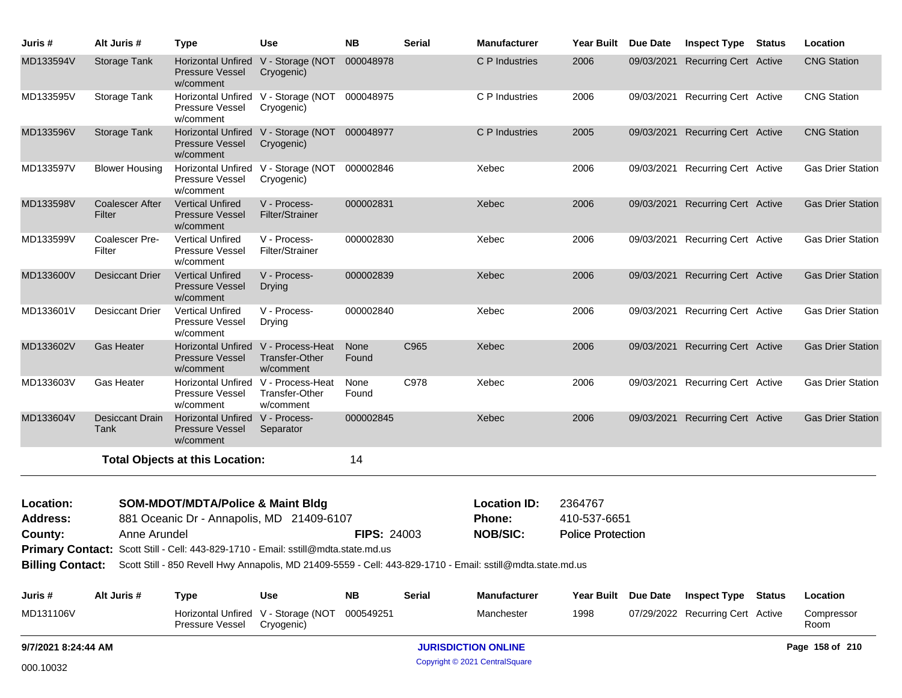| Juris #             | Alt Juris #               | <b>Type</b>                                                                        | <b>Use</b>                                                         | <b>NB</b>          | <b>Serial</b> | <b>Manufacturer</b>                                                                                                          | <b>Year Built</b>        | Due Date | <b>Inspect Type Status</b>       | Location                 |
|---------------------|---------------------------|------------------------------------------------------------------------------------|--------------------------------------------------------------------|--------------------|---------------|------------------------------------------------------------------------------------------------------------------------------|--------------------------|----------|----------------------------------|--------------------------|
| MD133594V           | Storage Tank              | Pressure Vessel<br>w/comment                                                       | Horizontal Unfired V - Storage (NOT 000048978<br>Cryogenic)        |                    |               | C P Industries                                                                                                               | 2006                     |          | 09/03/2021 Recurring Cert Active | <b>CNG Station</b>       |
| MD133595V           | Storage Tank              | Pressure Vessel<br>w/comment                                                       | Horizontal Unfired V - Storage (NOT 000048975<br>Cryogenic)        |                    |               | C P Industries                                                                                                               | 2006                     |          | 09/03/2021 Recurring Cert Active | <b>CNG Station</b>       |
| MD133596V           | Storage Tank              | Pressure Vessel<br>w/comment                                                       | Horizontal Unfired V - Storage (NOT 000048977<br>Cryogenic)        |                    |               | C P Industries                                                                                                               | 2005                     |          | 09/03/2021 Recurring Cert Active | <b>CNG Station</b>       |
| MD133597V           | <b>Blower Housing</b>     | Pressure Vessel<br>w/comment                                                       | Horizontal Unfired V - Storage (NOT 000002846<br>Cryogenic)        |                    |               | Xebec                                                                                                                        | 2006                     |          | 09/03/2021 Recurring Cert Active | <b>Gas Drier Station</b> |
| MD133598V           | Coalescer After<br>Filter | <b>Vertical Unfired</b><br><b>Pressure Vessel</b><br>w/comment                     | V - Process-<br><b>Filter/Strainer</b>                             | 000002831          |               | Xebec                                                                                                                        | 2006                     |          | 09/03/2021 Recurring Cert Active | <b>Gas Drier Station</b> |
| MD133599V           | Coalescer Pre-<br>Filter  | <b>Vertical Unfired</b><br><b>Pressure Vessel</b><br>w/comment                     | V - Process-<br>Filter/Strainer                                    | 000002830          |               | Xebec                                                                                                                        | 2006                     |          | 09/03/2021 Recurring Cert Active | <b>Gas Drier Station</b> |
| MD133600V           | Desiccant Drier           | <b>Vertical Unfired</b><br><b>Pressure Vessel</b><br>w/comment                     | V - Process-<br>Drying                                             | 000002839          |               | Xebec                                                                                                                        | 2006                     |          | 09/03/2021 Recurring Cert Active | <b>Gas Drier Station</b> |
| MD133601V           | Desiccant Drier           | <b>Vertical Unfired</b><br>Pressure Vessel<br>w/comment                            | V - Process-<br>Drying                                             | 000002840          |               | Xebec                                                                                                                        | 2006                     |          | 09/03/2021 Recurring Cert Active | <b>Gas Drier Station</b> |
| MD133602V           | <b>Gas Heater</b>         | <b>Pressure Vessel</b><br>w/comment                                                | Horizontal Unfired V - Process-Heat<br>Transfer-Other<br>w/comment | None<br>Found      | C965          | Xebec                                                                                                                        | 2006                     |          | 09/03/2021 Recurring Cert Active | <b>Gas Drier Station</b> |
| MD133603V           | Gas Heater                | Horizontal Unfired V - Process-Heat<br>Pressure Vessel<br>w/comment                | Transfer-Other<br>w/comment                                        | None<br>Found      | C978          | Xebec                                                                                                                        | 2006                     |          | 09/03/2021 Recurring Cert Active | <b>Gas Drier Station</b> |
| MD133604V           | Desiccant Drain<br>Tank   | Horizontal Unfired V - Process-<br>Pressure Vessel<br>w/comment                    | Separator                                                          | 000002845          |               | Xebec                                                                                                                        | 2006                     |          | 09/03/2021 Recurring Cert Active | <b>Gas Drier Station</b> |
|                     |                           | <b>Total Objects at this Location:</b>                                             |                                                                    | 14                 |               |                                                                                                                              |                          |          |                                  |                          |
| Location:           |                           | <b>SOM-MDOT/MDTA/Police &amp; Maint Bldg</b>                                       |                                                                    |                    |               | <b>Location ID:</b>                                                                                                          | 2364767                  |          |                                  |                          |
| <b>Address:</b>     |                           | 881 Oceanic Dr - Annapolis, MD 21409-6107                                          |                                                                    |                    |               | Phone:                                                                                                                       | 410-537-6651             |          |                                  |                          |
| County:             | Anne Arundel              |                                                                                    |                                                                    | <b>FIPS: 24003</b> |               | <b>NOB/SIC:</b>                                                                                                              | <b>Police Protection</b> |          |                                  |                          |
|                     |                           | Primary Contact: Scott Still - Cell: 443-829-1710 - Email: sstill@mdta.state.md.us |                                                                    |                    |               |                                                                                                                              |                          |          |                                  |                          |
|                     |                           |                                                                                    |                                                                    |                    |               | Billing Contact: Scott Still - 850 Revell Hwy Annapolis, MD 21409-5559 - Cell: 443-829-1710 - Email: sstill@mdta.state.md.us |                          |          |                                  |                          |
| Juris #             | Alt Juris #               | <b>Type</b>                                                                        | <b>Use</b>                                                         | <b>NB</b>          | <b>Serial</b> | <b>Manufacturer</b>                                                                                                          | <b>Year Built</b>        | Due Date | <b>Inspect Type Status</b>       | Location                 |
| MD131106V           |                           | Pressure Vessel                                                                    | Horizontal Unfired V - Storage (NOT<br>Cryogenic)                  | 000549251          |               | Manchester                                                                                                                   | 1998                     |          | 07/29/2022 Recurring Cert Active | Compressor<br>Room       |
| 9/7/2021 8:24:44 AM |                           |                                                                                    |                                                                    |                    |               | <b>JURISDICTION ONLINE</b>                                                                                                   |                          |          |                                  | Page 158 of 210          |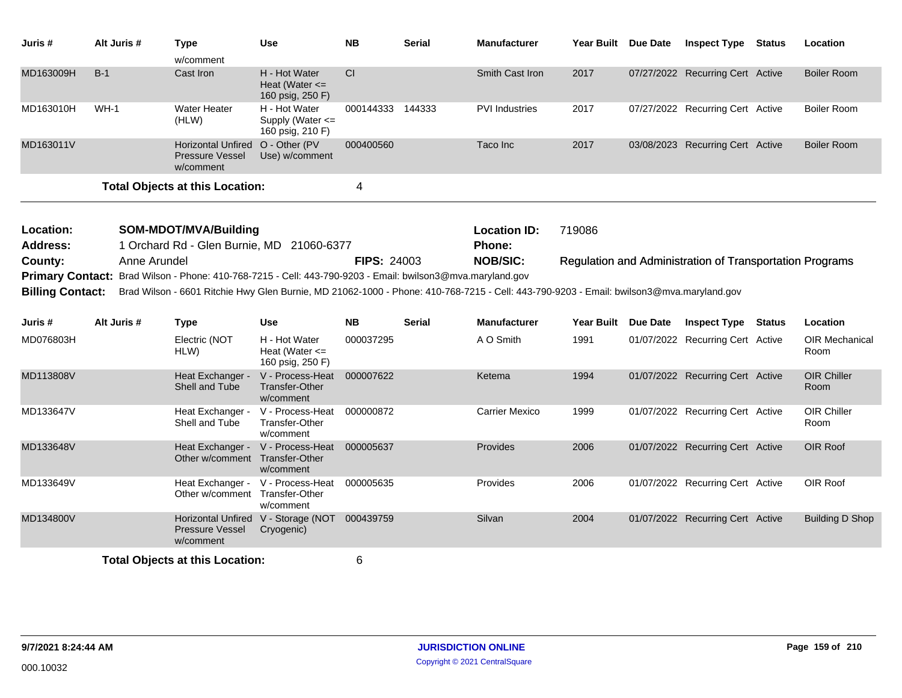| Juris #                                                                                                                                                                                                                                                                                                                                                                                           | Alt Juris # | <b>Type</b><br>w/comment                                         | <b>Use</b>                                                       | <b>NB</b>        | Serial        | <b>Manufacturer</b>           | Year Built Due Date | <b>Inspect Type Status</b>                                      | Location                   |
|---------------------------------------------------------------------------------------------------------------------------------------------------------------------------------------------------------------------------------------------------------------------------------------------------------------------------------------------------------------------------------------------------|-------------|------------------------------------------------------------------|------------------------------------------------------------------|------------------|---------------|-------------------------------|---------------------|-----------------------------------------------------------------|----------------------------|
| MD163009H                                                                                                                                                                                                                                                                                                                                                                                         | $B-1$       | Cast Iron                                                        | H - Hot Water<br>Heat (Water $\leq$<br>160 psig, 250 F)          | CI               |               | Smith Cast Iron               | 2017                | 07/27/2022 Recurring Cert Active                                | <b>Boiler Room</b>         |
| MD163010H                                                                                                                                                                                                                                                                                                                                                                                         | $WH-1$      | <b>Water Heater</b><br>(HLW)                                     | H - Hot Water<br>Supply (Water <=<br>160 psig, 210 F)            | 000144333 144333 |               | <b>PVI Industries</b>         | 2017                | 07/27/2022 Recurring Cert Active                                | <b>Boiler Room</b>         |
| MD163011V                                                                                                                                                                                                                                                                                                                                                                                         |             | <b>Horizontal Unfired</b><br><b>Pressure Vessel</b><br>w/comment | O - Other (PV<br>Use) w/comment                                  | 000400560        |               | Taco Inc                      | 2017                | 03/08/2023 Recurring Cert Active                                | <b>Boiler Room</b>         |
|                                                                                                                                                                                                                                                                                                                                                                                                   |             | <b>Total Objects at this Location:</b>                           |                                                                  | 4                |               |                               |                     |                                                                 |                            |
| Location:                                                                                                                                                                                                                                                                                                                                                                                         |             | SOM-MDOT/MVA/Building                                            |                                                                  |                  |               | <b>Location ID:</b><br>Phone: | 719086              |                                                                 |                            |
| 1 Orchard Rd - Glen Burnie, MD 21060-6377<br><b>Address:</b><br>Anne Arundel<br><b>FIPS: 24003</b><br>County:<br>Primary Contact: Brad Wilson - Phone: 410-768-7215 - Cell: 443-790-9203 - Email: bwilson3@mva.maryland.gov<br><b>Billing Contact:</b><br>Brad Wilson - 6601 Ritchie Hwy Glen Burnie, MD 21062-1000 - Phone: 410-768-7215 - Cell: 443-790-9203 - Email: bwilson3@mva.maryland.gov |             |                                                                  |                                                                  |                  |               | <b>NOB/SIC:</b>               |                     | <b>Regulation and Administration of Transportation Programs</b> |                            |
| Juris #                                                                                                                                                                                                                                                                                                                                                                                           | Alt Juris # | <b>Type</b>                                                      | <b>Use</b>                                                       | <b>NB</b>        | <b>Serial</b> | <b>Manufacturer</b>           | Year Built Due Date | <b>Inspect Type Status</b>                                      | Location                   |
| MD076803H                                                                                                                                                                                                                                                                                                                                                                                         |             | Electric (NOT<br>HLW)                                            | H - Hot Water<br>Heat (Water $\leq$<br>160 psig, 250 F)          | 000037295        |               | A O Smith                     | 1991                | 01/07/2022 Recurring Cert Active                                | OIR Mechanical<br>Room     |
| MD113808V                                                                                                                                                                                                                                                                                                                                                                                         |             | Heat Exchanger -<br>Shell and Tube                               | V - Process-Heat 000007622<br><b>Transfer-Other</b><br>w/comment |                  |               | Ketema                        | 1994                | 01/07/2022 Recurring Cert Active                                | <b>OIR Chiller</b><br>Room |
| MD133647V                                                                                                                                                                                                                                                                                                                                                                                         |             | Heat Exchanger -<br>Shell and Tube                               | V - Process-Heat<br>Transfer-Other<br>w/comment                  | 000000872        |               | <b>Carrier Mexico</b>         | 1999                | 01/07/2022 Recurring Cert Active                                | OIR Chiller<br>Room        |
| MD133648V                                                                                                                                                                                                                                                                                                                                                                                         |             | Heat Exchanger -<br>Other w/comment Transfer-Other               | V - Process-Heat<br>w/comment                                    | 000005637        |               | Provides                      | 2006                | 01/07/2022 Recurring Cert Active                                | OIR Roof                   |
| MD133649V                                                                                                                                                                                                                                                                                                                                                                                         |             | Heat Exchanger -<br>Other w/comment Transfer-Other               | V - Process-Heat<br>w/comment                                    | 000005635        |               | Provides                      | 2006                | 01/07/2022 Recurring Cert Active                                | OIR Roof                   |
| MD134800V                                                                                                                                                                                                                                                                                                                                                                                         |             | Pressure Vessel<br>w/comment                                     | Horizontal Unfired V - Storage (NOT 000439759<br>Cryogenic)      |                  |               | Silvan                        | 2004                | 01/07/2022 Recurring Cert Active                                | <b>Building D Shop</b>     |
|                                                                                                                                                                                                                                                                                                                                                                                                   |             |                                                                  |                                                                  |                  |               |                               |                     |                                                                 |                            |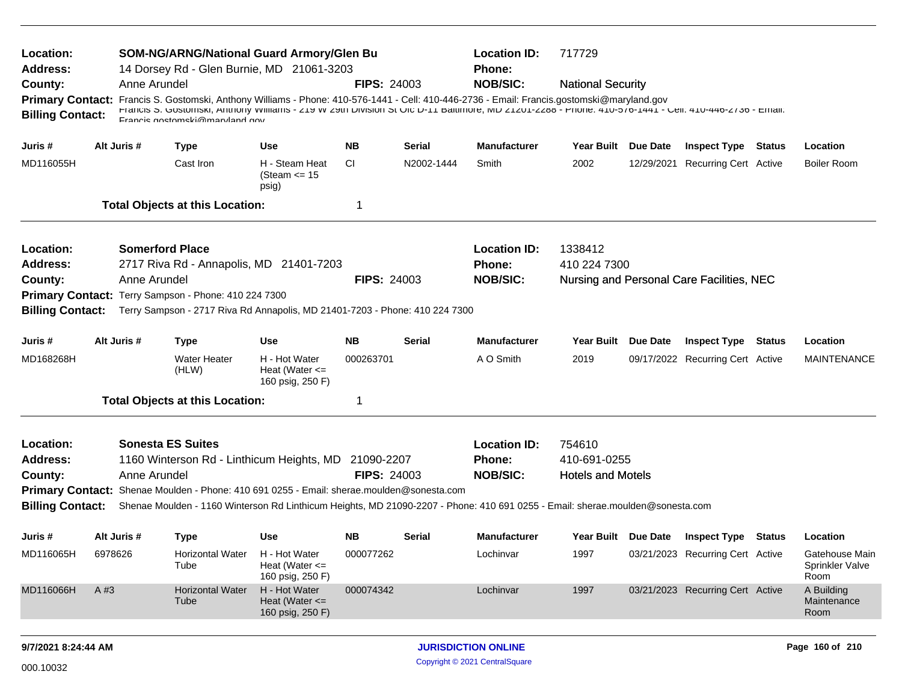| Location:<br><b>Address:</b><br>County:<br><b>Primary Contact:</b><br><b>Billing Contact:</b> | Anne Arundel                                                                                                                                                                                                                                                                                                                                                                                                                   | <b>SOM-NG/ARNG/National Guard Armory/Glen Bu</b><br>14 Dorsey Rd - Glen Burnie, MD 21061-3203<br>Francis S. Gostomski, Anthony Williams - Phone: 410-576-1441 - Cell: 410-446-2736 - Email: Francis.gostomski@maryland.gov<br>FTANCIS O. GOSIOMSKI, ANIMONY WIIHAMS - ZTY W ZYM DIVISION OF OUC D-TT BAINMOR, MD ZTZOT-ZZ88 - FNONE: 410-070-1441 - GRII: 410-440-Z730 - EMIAII:<br>Francis nostomski@marvland.nov |                                                                       | <b>FIPS: 24003</b>     |               | <b>Location ID:</b><br>Phone:<br><b>NOB/SIC:</b>        | 717729<br><b>National Security</b>                 |            |                                                         |        |                                           |
|-----------------------------------------------------------------------------------------------|--------------------------------------------------------------------------------------------------------------------------------------------------------------------------------------------------------------------------------------------------------------------------------------------------------------------------------------------------------------------------------------------------------------------------------|--------------------------------------------------------------------------------------------------------------------------------------------------------------------------------------------------------------------------------------------------------------------------------------------------------------------------------------------------------------------------------------------------------------------|-----------------------------------------------------------------------|------------------------|---------------|---------------------------------------------------------|----------------------------------------------------|------------|---------------------------------------------------------|--------|-------------------------------------------|
| Juris #                                                                                       | Alt Juris #                                                                                                                                                                                                                                                                                                                                                                                                                    | <b>Type</b>                                                                                                                                                                                                                                                                                                                                                                                                        | Use                                                                   | <b>NB</b>              | <b>Serial</b> | <b>Manufacturer</b>                                     | Year Built Due Date                                |            | <b>Inspect Type Status</b>                              |        | Location                                  |
| MD116055H                                                                                     |                                                                                                                                                                                                                                                                                                                                                                                                                                | Cast Iron                                                                                                                                                                                                                                                                                                                                                                                                          | H - Steam Heat<br>(Steam $\le$ 15<br>psig)                            | <b>CI</b>              | N2002-1444    | Smith                                                   | 2002                                               | 12/29/2021 | <b>Recurring Cert Active</b>                            |        | <b>Boiler Room</b>                        |
|                                                                                               |                                                                                                                                                                                                                                                                                                                                                                                                                                | <b>Total Objects at this Location:</b>                                                                                                                                                                                                                                                                                                                                                                             |                                                                       | 1                      |               |                                                         |                                                    |            |                                                         |        |                                           |
| Location:<br><b>Address:</b><br>County:                                                       | Anne Arundel                                                                                                                                                                                                                                                                                                                                                                                                                   | <b>Somerford Place</b><br>2717 Riva Rd - Annapolis, MD 21401-7203                                                                                                                                                                                                                                                                                                                                                  |                                                                       | <b>FIPS: 24003</b>     |               | <b>Location ID:</b><br>Phone:<br><b>NOB/SIC:</b>        | 1338412<br>410 224 7300                            |            | Nursing and Personal Care Facilities, NEC               |        |                                           |
| <b>Billing Contact:</b>                                                                       |                                                                                                                                                                                                                                                                                                                                                                                                                                | Primary Contact: Terry Sampson - Phone: 410 224 7300<br>Terry Sampson - 2717 Riva Rd Annapolis, MD 21401-7203 - Phone: 410 224 7300                                                                                                                                                                                                                                                                                |                                                                       |                        |               |                                                         |                                                    |            |                                                         |        |                                           |
| Juris #<br>MD168268H                                                                          | Alt Juris #                                                                                                                                                                                                                                                                                                                                                                                                                    | <b>Type</b><br><b>Water Heater</b><br>(HLW)                                                                                                                                                                                                                                                                                                                                                                        | <b>Use</b><br>H - Hot Water<br>Heat (Water $\leq$<br>160 psig, 250 F) | <b>NB</b><br>000263701 | Serial        | <b>Manufacturer</b><br>A O Smith                        | Year Built Due Date<br>2019                        |            | <b>Inspect Type</b><br>09/17/2022 Recurring Cert Active | Status | Location<br><b>MAINTENANCE</b>            |
| Location:<br><b>Address:</b><br>County:                                                       | <b>Total Objects at this Location:</b><br>1<br><b>Sonesta ES Suites</b><br>1160 Winterson Rd - Linthicum Heights, MD 21090-2207<br><b>FIPS: 24003</b><br>Anne Arundel<br>Primary Contact: Shenae Moulden - Phone: 410 691 0255 - Email: sherae.moulden@sonesta.com<br><b>Billing Contact:</b><br>Shenae Moulden - 1160 Winterson Rd Linthicum Heights, MD 21090-2207 - Phone: 410 691 0255 - Email: sherae.moulden@sonesta.com |                                                                                                                                                                                                                                                                                                                                                                                                                    |                                                                       |                        |               | <b>Location ID:</b><br><b>Phone:</b><br><b>NOB/SIC:</b> | 754610<br>410-691-0255<br><b>Hotels and Motels</b> |            |                                                         |        |                                           |
| Juris #                                                                                       | Alt Juris #                                                                                                                                                                                                                                                                                                                                                                                                                    | <b>Type</b>                                                                                                                                                                                                                                                                                                                                                                                                        | Use                                                                   | <b>NB</b>              | <b>Serial</b> | <b>Manufacturer</b>                                     | Year Built Due Date                                |            | <b>Inspect Type Status</b>                              |        | Location                                  |
| MD116065H                                                                                     | 6978626                                                                                                                                                                                                                                                                                                                                                                                                                        | Horizontal Water<br>Tube                                                                                                                                                                                                                                                                                                                                                                                           | H - Hot Water<br>Heat (Water $\leq$<br>160 psig, 250 F)               | 000077262              |               | Lochinvar                                               | 1997                                               |            | 03/21/2023 Recurring Cert Active                        |        | Gatehouse Main<br>Sprinkler Valve<br>Room |
| MD116066H                                                                                     | A #3                                                                                                                                                                                                                                                                                                                                                                                                                           | <b>Horizontal Water</b><br>Tube                                                                                                                                                                                                                                                                                                                                                                                    | H - Hot Water<br>Heat (Water $\leq$<br>160 psig, 250 F)               | 000074342              |               | Lochinvar                                               | 1997                                               |            | 03/21/2023 Recurring Cert Active                        |        | A Building<br>Maintenance<br>Room         |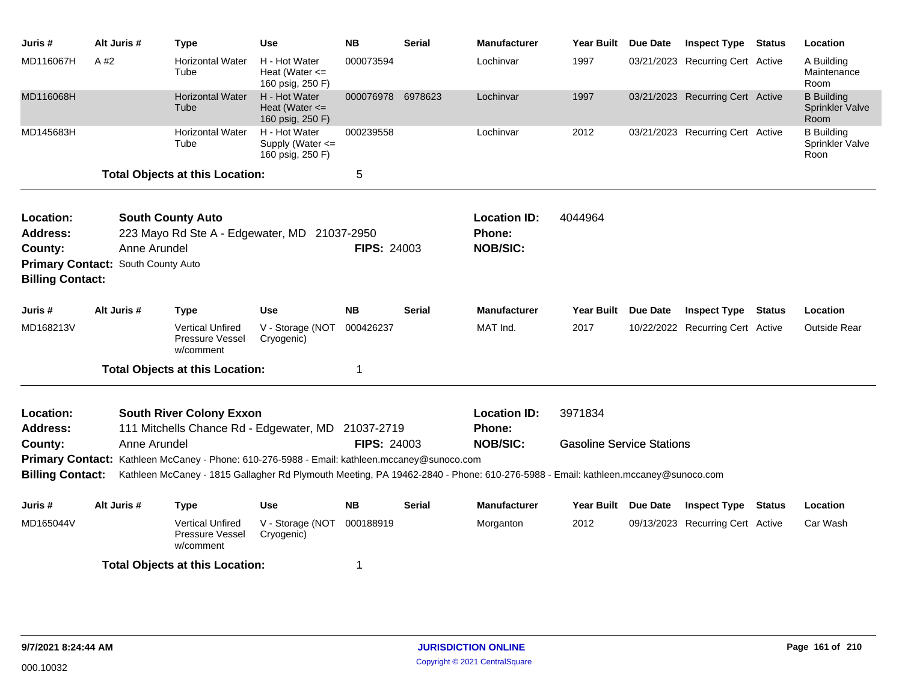| Juris #                 | Alt Juris #                        | <b>Type</b>                                                                                  | <b>Use</b>                                              | <b>NB</b>          | <b>Serial</b> | <b>Manufacturer</b>                                                                                                             | <b>Year Built</b>                | Due Date        | <b>Inspect Type Status</b>       | Location                                     |
|-------------------------|------------------------------------|----------------------------------------------------------------------------------------------|---------------------------------------------------------|--------------------|---------------|---------------------------------------------------------------------------------------------------------------------------------|----------------------------------|-----------------|----------------------------------|----------------------------------------------|
| MD116067H               | A #2                               | <b>Horizontal Water</b><br>Tube                                                              | H - Hot Water<br>Heat (Water $\leq$<br>160 psig, 250 F) | 000073594          |               | Lochinvar                                                                                                                       | 1997                             |                 | 03/21/2023 Recurring Cert Active | A Building<br>Maintenance<br>Room            |
| MD116068H               |                                    | <b>Horizontal Water</b><br>Tube                                                              | H - Hot Water<br>Heat (Water $\leq$<br>160 psig, 250 F) | 000076978 6978623  |               | Lochinvar                                                                                                                       | 1997                             |                 | 03/21/2023 Recurring Cert Active | <b>B</b> Building<br>Sprinkler Valve<br>Room |
| MD145683H               |                                    | <b>Horizontal Water</b><br>Tube                                                              | H - Hot Water<br>Supply (Water <=<br>160 psig, 250 F)   | 000239558          |               | Lochinvar                                                                                                                       | 2012                             |                 | 03/21/2023 Recurring Cert Active | <b>B</b> Building<br>Sprinkler Valve<br>Roon |
|                         |                                    | <b>Total Objects at this Location:</b>                                                       |                                                         | 5                  |               |                                                                                                                                 |                                  |                 |                                  |                                              |
| Location:               |                                    | <b>South County Auto</b>                                                                     |                                                         |                    |               | <b>Location ID:</b>                                                                                                             | 4044964                          |                 |                                  |                                              |
| <b>Address:</b>         |                                    | 223 Mayo Rd Ste A - Edgewater, MD 21037-2950                                                 |                                                         |                    |               | Phone:                                                                                                                          |                                  |                 |                                  |                                              |
| County:                 | Anne Arundel                       |                                                                                              |                                                         | <b>FIPS: 24003</b> |               | <b>NOB/SIC:</b>                                                                                                                 |                                  |                 |                                  |                                              |
| <b>Billing Contact:</b> | Primary Contact: South County Auto |                                                                                              |                                                         |                    |               |                                                                                                                                 |                                  |                 |                                  |                                              |
| Juris #                 | Alt Juris #                        | <b>Type</b>                                                                                  | Use                                                     | NΒ                 | <b>Serial</b> | <b>Manufacturer</b>                                                                                                             | <b>Year Built</b>                | <b>Due Date</b> | <b>Inspect Type Status</b>       | Location                                     |
| MD168213V               |                                    | <b>Vertical Unfired</b><br>Pressure Vessel<br>w/comment                                      | V - Storage (NOT<br>Cryogenic)                          | 000426237          |               | MAT Ind.                                                                                                                        | 2017                             |                 | 10/22/2022 Recurring Cert Active | <b>Outside Rear</b>                          |
|                         |                                    | <b>Total Objects at this Location:</b>                                                       |                                                         | 1                  |               |                                                                                                                                 |                                  |                 |                                  |                                              |
| Location:               |                                    | <b>South River Colony Exxon</b>                                                              |                                                         |                    |               | <b>Location ID:</b>                                                                                                             | 3971834                          |                 |                                  |                                              |
| <b>Address:</b>         |                                    | 111 Mitchells Chance Rd - Edgewater, MD 21037-2719                                           |                                                         |                    |               | Phone:                                                                                                                          |                                  |                 |                                  |                                              |
| County:                 | Anne Arundel                       |                                                                                              |                                                         | <b>FIPS: 24003</b> |               | <b>NOB/SIC:</b>                                                                                                                 | <b>Gasoline Service Stations</b> |                 |                                  |                                              |
|                         |                                    | Primary Contact: Kathleen McCaney - Phone: 610-276-5988 - Email: kathleen.mccaney@sunoco.com |                                                         |                    |               |                                                                                                                                 |                                  |                 |                                  |                                              |
| <b>Billing Contact:</b> |                                    |                                                                                              |                                                         |                    |               | Kathleen McCaney - 1815 Gallagher Rd Plymouth Meeting, PA 19462-2840 - Phone: 610-276-5988 - Email: kathleen.mccaney@sunoco.com |                                  |                 |                                  |                                              |
| Juris #                 | Alt Juris #                        | <b>Type</b>                                                                                  | Use                                                     | <b>NB</b>          | <b>Serial</b> | <b>Manufacturer</b>                                                                                                             | Year Built Due Date              |                 | <b>Inspect Type Status</b>       | Location                                     |
| MD165044V               |                                    | <b>Vertical Unfired</b><br>Pressure Vessel<br>w/comment                                      | V - Storage (NOT<br>Cryogenic)                          | 000188919          |               | Morganton                                                                                                                       | 2012                             |                 | 09/13/2023 Recurring Cert Active | Car Wash                                     |
|                         |                                    | <b>Total Objects at this Location:</b>                                                       |                                                         | 1                  |               |                                                                                                                                 |                                  |                 |                                  |                                              |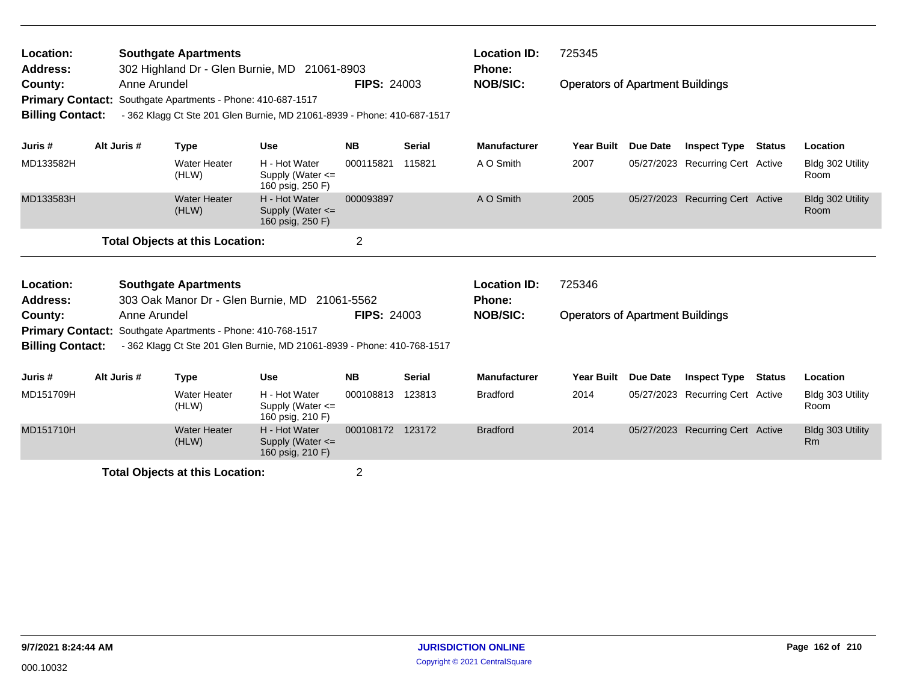| Location:<br><b>Address:</b>                                  |              | <b>Southgate Apartments</b>                                 | 302 Highland Dr - Glen Burnie, MD 21061-8903                            |                    |               | <b>Location ID:</b><br>Phone: | 725345                                  |          |                                  |               |                               |
|---------------------------------------------------------------|--------------|-------------------------------------------------------------|-------------------------------------------------------------------------|--------------------|---------------|-------------------------------|-----------------------------------------|----------|----------------------------------|---------------|-------------------------------|
| County:<br><b>Primary Contact:</b><br><b>Billing Contact:</b> | Anne Arundel | Southgate Apartments - Phone: 410-687-1517                  | - 362 Klagg Ct Ste 201 Glen Burnie, MD 21061-8939 - Phone: 410-687-1517 | <b>FIPS: 24003</b> |               | <b>NOB/SIC:</b>               | <b>Operators of Apartment Buildings</b> |          |                                  |               |                               |
| Juris #                                                       | Alt Juris #  | <b>Type</b>                                                 | <b>Use</b>                                                              | <b>NB</b>          | <b>Serial</b> | <b>Manufacturer</b>           | <b>Year Built</b>                       | Due Date | <b>Inspect Type</b>              | Status        | Location                      |
| MD133582H                                                     |              | <b>Water Heater</b><br>(HLW)                                | H - Hot Water<br>Supply (Water <=<br>160 psig, 250 F)                   | 000115821          | 115821        | A O Smith                     | 2007                                    |          | 05/27/2023 Recurring Cert Active |               | Bldg 302 Utility<br>Room      |
| MD133583H                                                     |              | <b>Water Heater</b><br>(HLW)                                | H - Hot Water<br>Supply (Water <=<br>160 psig, 250 F)                   | 000093897          |               | A O Smith                     | 2005                                    |          | 05/27/2023 Recurring Cert Active |               | Bldg 302 Utility<br>Room      |
|                                                               |              | <b>Total Objects at this Location:</b>                      |                                                                         | $\overline{2}$     |               |                               |                                         |          |                                  |               |                               |
| Location:                                                     |              | <b>Southgate Apartments</b>                                 |                                                                         |                    |               | <b>Location ID:</b>           | 725346                                  |          |                                  |               |                               |
| <b>Address:</b>                                               |              |                                                             | 303 Oak Manor Dr - Glen Burnie, MD 21061-5562                           |                    |               | <b>Phone:</b>                 |                                         |          |                                  |               |                               |
| County:                                                       | Anne Arundel |                                                             |                                                                         | <b>FIPS: 24003</b> |               | <b>NOB/SIC:</b>               | <b>Operators of Apartment Buildings</b> |          |                                  |               |                               |
| <b>Billing Contact:</b>                                       |              | Primary Contact: Southgate Apartments - Phone: 410-768-1517 | - 362 Klagg Ct Ste 201 Glen Burnie, MD 21061-8939 - Phone: 410-768-1517 |                    |               |                               |                                         |          |                                  |               |                               |
| Juris #                                                       | Alt Juris #  | <b>Type</b>                                                 | <b>Use</b>                                                              | <b>NB</b>          | <b>Serial</b> | <b>Manufacturer</b>           | <b>Year Built</b>                       | Due Date | <b>Inspect Type</b>              | <b>Status</b> | Location                      |
| MD151709H                                                     |              | <b>Water Heater</b><br>(HLW)                                | H - Hot Water<br>Supply (Water <=<br>160 psig, 210 F)                   | 000108813          | 123813        | <b>Bradford</b>               | 2014                                    |          | 05/27/2023 Recurring Cert Active |               | Bldg 303 Utility<br>Room      |
| MD151710H                                                     |              | <b>Water Heater</b><br>(HLW)                                | H - Hot Water<br>Supply (Water $\leq$<br>160 psig, 210 F)               | 000108172 123172   |               | <b>Bradford</b>               | 2014                                    |          | 05/27/2023 Recurring Cert Active |               | Bldg 303 Utility<br><b>Rm</b> |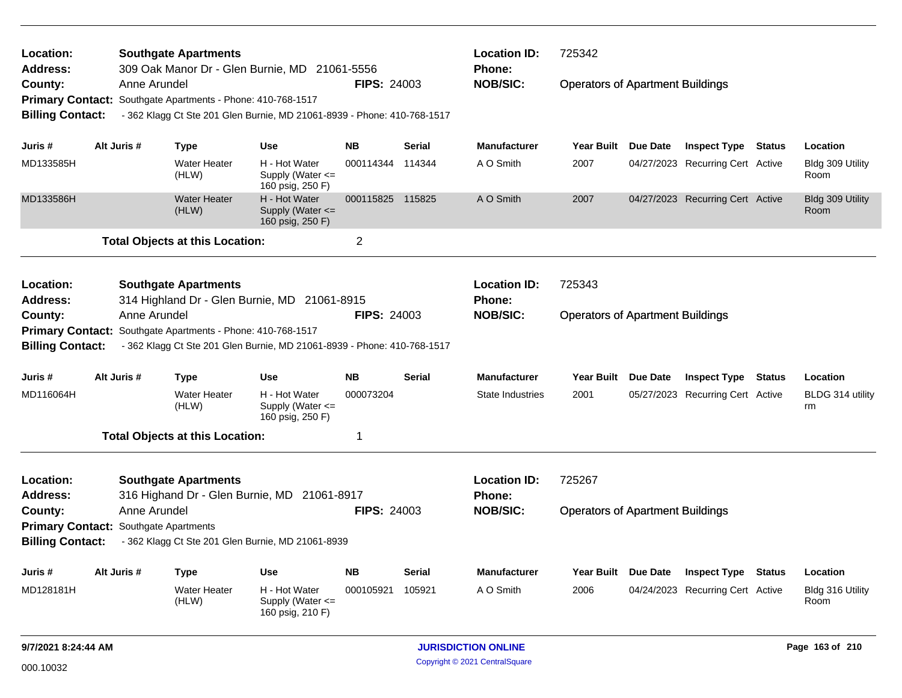| Location:                                                                                                                                                                                                                 |              | <b>Southgate Apartments</b><br>309 Oak Manor Dr - Glen Burnie, MD 21061-5556 |                                                           |                    |               | <b>Location ID:</b><br>Phone: | 725342                                  |                                  |               |                          |
|---------------------------------------------------------------------------------------------------------------------------------------------------------------------------------------------------------------------------|--------------|------------------------------------------------------------------------------|-----------------------------------------------------------|--------------------|---------------|-------------------------------|-----------------------------------------|----------------------------------|---------------|--------------------------|
|                                                                                                                                                                                                                           | Anne Arundel |                                                                              |                                                           | <b>FIPS: 24003</b> |               | <b>NOB/SIC:</b>               | <b>Operators of Apartment Buildings</b> |                                  |               |                          |
|                                                                                                                                                                                                                           |              | Primary Contact: Southgate Apartments - Phone: 410-768-1517                  |                                                           |                    |               |                               |                                         |                                  |               |                          |
| <b>Billing Contact:</b>                                                                                                                                                                                                   |              | - 362 Klagg Ct Ste 201 Glen Burnie, MD 21061-8939 - Phone: 410-768-1517      |                                                           |                    |               |                               |                                         |                                  |               |                          |
|                                                                                                                                                                                                                           |              |                                                                              |                                                           |                    |               |                               |                                         |                                  |               |                          |
| Juris #                                                                                                                                                                                                                   | Alt Juris #  | Type                                                                         | Use                                                       | <b>NB</b>          | <b>Serial</b> | <b>Manufacturer</b>           | Year Built Due Date                     | <b>Inspect Type</b>              | <b>Status</b> | Location                 |
| MD133585H                                                                                                                                                                                                                 |              | <b>Water Heater</b><br>(HLW)                                                 | H - Hot Water<br>Supply (Water $\leq$<br>160 psig, 250 F) | 000114344 114344   |               | A O Smith                     | 2007                                    | 04/27/2023 Recurring Cert Active |               | Bldg 309 Utility<br>Room |
| Address:<br>County:<br>MD133586H<br>Location:<br><b>Address:</b><br>County:<br>Juris #<br>MD116064H<br>Location:<br><b>Address:</b><br>County:<br><b>Primary Contact: Southgate Apartments</b><br><b>Billing Contact:</b> |              | <b>Water Heater</b><br>(HLW)                                                 | H - Hot Water<br>Supply (Water $\leq$<br>160 psig, 250 F) | 000115825 115825   |               | A O Smith                     | 2007                                    | 04/27/2023 Recurring Cert Active |               | Bldg 309 Utility<br>Room |
|                                                                                                                                                                                                                           |              | <b>Total Objects at this Location:</b>                                       |                                                           | $\overline{2}$     |               |                               |                                         |                                  |               |                          |
|                                                                                                                                                                                                                           |              | <b>Southgate Apartments</b>                                                  |                                                           |                    |               | <b>Location ID:</b>           | 725343                                  |                                  |               |                          |
|                                                                                                                                                                                                                           |              | 314 Highland Dr - Glen Burnie, MD 21061-8915                                 |                                                           |                    |               | <b>Phone:</b>                 |                                         |                                  |               |                          |
|                                                                                                                                                                                                                           | Anne Arundel |                                                                              |                                                           | <b>FIPS: 24003</b> |               | <b>NOB/SIC:</b>               | <b>Operators of Apartment Buildings</b> |                                  |               |                          |
| <b>Primary Contact:</b>                                                                                                                                                                                                   |              | Southgate Apartments - Phone: 410-768-1517                                   |                                                           |                    |               |                               |                                         |                                  |               |                          |
| <b>Billing Contact:</b>                                                                                                                                                                                                   |              | - 362 Klagg Ct Ste 201 Glen Burnie, MD 21061-8939 - Phone: 410-768-1517      |                                                           |                    |               |                               |                                         |                                  |               |                          |
|                                                                                                                                                                                                                           | Alt Juris #  | <b>Type</b>                                                                  | <b>Use</b>                                                | <b>NB</b>          | <b>Serial</b> | <b>Manufacturer</b>           | Year Built Due Date                     | <b>Inspect Type</b>              | <b>Status</b> | Location                 |
|                                                                                                                                                                                                                           |              | <b>Water Heater</b><br>(HLW)                                                 | H - Hot Water<br>Supply (Water $\leq$<br>160 psig, 250 F) | 000073204          |               | State Industries              | 2001                                    | 05/27/2023 Recurring Cert Active |               | BLDG 314 utility<br>rm   |
|                                                                                                                                                                                                                           |              | <b>Total Objects at this Location:</b>                                       |                                                           | 1                  |               |                               |                                         |                                  |               |                          |
|                                                                                                                                                                                                                           |              | <b>Southgate Apartments</b>                                                  |                                                           |                    |               | <b>Location ID:</b>           | 725267                                  |                                  |               |                          |
|                                                                                                                                                                                                                           |              | 316 Highand Dr - Glen Burnie, MD 21061-8917                                  |                                                           |                    |               | <b>Phone:</b>                 |                                         |                                  |               |                          |
|                                                                                                                                                                                                                           | Anne Arundel |                                                                              |                                                           | <b>FIPS: 24003</b> |               | <b>NOB/SIC:</b>               | <b>Operators of Apartment Buildings</b> |                                  |               |                          |
|                                                                                                                                                                                                                           |              | - 362 Klagg Ct Ste 201 Glen Burnie, MD 21061-8939                            |                                                           |                    |               |                               |                                         |                                  |               |                          |
|                                                                                                                                                                                                                           |              |                                                                              |                                                           |                    |               |                               |                                         |                                  |               |                          |
| Juris #                                                                                                                                                                                                                   | Alt Juris #  | <b>Type</b>                                                                  | Use                                                       | <b>NB</b>          | <b>Serial</b> | <b>Manufacturer</b>           | Year Built Due Date                     | <b>Inspect Type</b>              | <b>Status</b> | Location                 |
| MD128181H                                                                                                                                                                                                                 |              | <b>Water Heater</b><br>(HLW)                                                 | H - Hot Water<br>Supply (Water $\leq$<br>160 psig, 210 F) | 000105921          | 105921        | A O Smith                     | 2006                                    | 04/24/2023 Recurring Cert Active |               | Bldg 316 Utility<br>Room |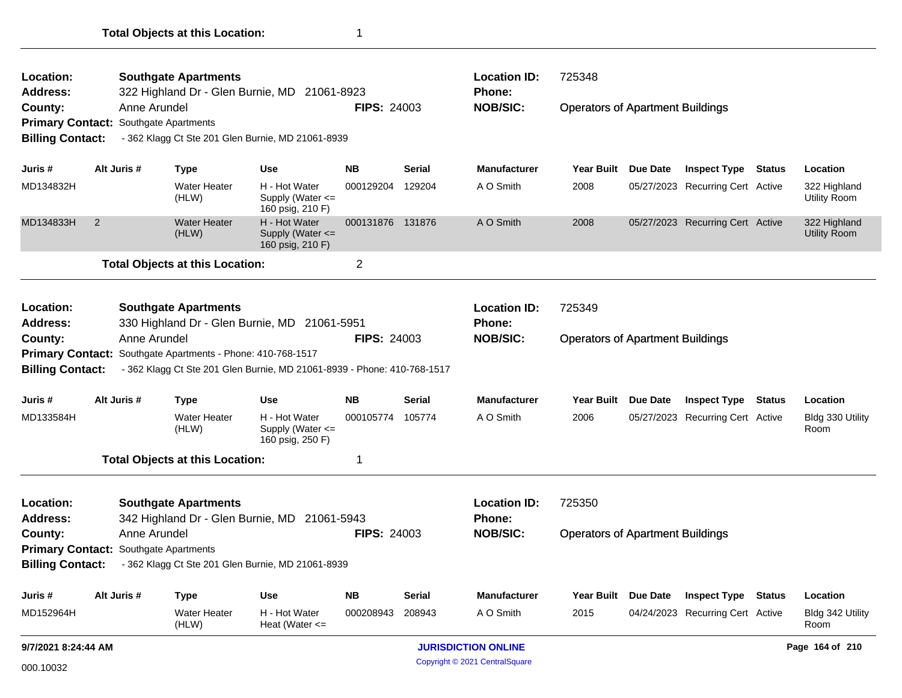| (HLW)<br>9/7/2021 8:24:44 AM                 |                |              |                                                             |                                                                         |                    | <b>JURISDICTION ONLINE</b> |                     |                                         |                 |                                  | Page 164 of 210 |                                     |
|----------------------------------------------|----------------|--------------|-------------------------------------------------------------|-------------------------------------------------------------------------|--------------------|----------------------------|---------------------|-----------------------------------------|-----------------|----------------------------------|-----------------|-------------------------------------|
| MD152964H                                    |                |              | Water Heater                                                | H - Hot Water<br>Heat (Water $\leq$                                     | 000208943          | 208943                     | A O Smith           | 2015                                    |                 | 04/24/2023 Recurring Cert Active |                 | Bldg 342 Utility<br>Room            |
| Juris #                                      | Alt Juris #    |              | <b>Type</b>                                                 | <b>Use</b>                                                              | <b>NB</b>          | <b>Serial</b>              | <b>Manufacturer</b> | <b>Year Built</b>                       | <b>Due Date</b> | <b>Inspect Type Status</b>       |                 | Location                            |
|                                              |                |              |                                                             | Billing Contact: - 362 Klagg Ct Ste 201 Glen Burnie, MD 21061-8939      |                    |                            |                     |                                         |                 |                                  |                 |                                     |
| <b>Primary Contact:</b>                      |                |              | Southgate Apartments                                        |                                                                         |                    |                            |                     |                                         |                 |                                  |                 |                                     |
| County:                                      |                | Anne Arundel |                                                             |                                                                         | <b>FIPS: 24003</b> |                            | <b>NOB/SIC:</b>     | <b>Operators of Apartment Buildings</b> |                 |                                  |                 |                                     |
| <b>Address:</b>                              |                |              | 342 Highland Dr - Glen Burnie, MD                           | 21061-5943                                                              |                    |                            | <b>Phone:</b>       |                                         |                 |                                  |                 |                                     |
| Location:                                    |                |              | <b>Southgate Apartments</b>                                 |                                                                         |                    |                            | <b>Location ID:</b> | 725350                                  |                 |                                  |                 |                                     |
|                                              |                |              | <b>Total Objects at this Location:</b>                      |                                                                         | 1                  |                            |                     |                                         |                 |                                  |                 |                                     |
| MD133584H                                    |                |              | <b>Water Heater</b><br>(HLW)                                | H - Hot Water<br>Supply (Water <=<br>160 psig, 250 F)                   | 000105774          | 105774                     | A O Smith           | 2006                                    |                 | 05/27/2023 Recurring Cert Active |                 | Bldg 330 Utility<br>Room            |
| Juris#                                       | Alt Juris #    |              | <b>Type</b>                                                 | <b>Use</b>                                                              | <b>NB</b>          | <b>Serial</b>              | <b>Manufacturer</b> | <b>Year Built</b>                       | <b>Due Date</b> | <b>Inspect Type</b>              | Status          | Location                            |
| County:<br><b>Billing Contact:</b>           |                | Anne Arundel | Primary Contact: Southgate Apartments - Phone: 410-768-1517 | - 362 Klagg Ct Ste 201 Glen Burnie, MD 21061-8939 - Phone: 410-768-1517 | <b>FIPS: 24003</b> |                            | <b>NOB/SIC:</b>     | <b>Operators of Apartment Buildings</b> |                 |                                  |                 |                                     |
| <b>Address:</b>                              |                |              |                                                             | 330 Highland Dr - Glen Burnie, MD 21061-5951                            |                    |                            | Phone:              |                                         |                 |                                  |                 |                                     |
| Location:                                    |                |              | <b>Southgate Apartments</b>                                 |                                                                         |                    |                            | <b>Location ID:</b> | 725349                                  |                 |                                  |                 |                                     |
|                                              |                |              | <b>Total Objects at this Location:</b>                      |                                                                         | $\overline{2}$     |                            |                     |                                         |                 |                                  |                 |                                     |
| MD134833H                                    | $\overline{2}$ |              | <b>Water Heater</b><br>(HLW)                                | H - Hot Water<br>Supply (Water $\leq$<br>160 psig, 210 F)               | 000131876 131876   |                            | A O Smith           | 2008                                    |                 | 05/27/2023 Recurring Cert Active |                 | 322 Highland<br><b>Utility Room</b> |
| MD134832H                                    |                |              | <b>Water Heater</b><br>(HLW)                                | H - Hot Water<br>Supply (Water <=<br>160 psig, 210 F)                   | 000129204          | 129204                     | A O Smith           | 2008                                    |                 | 05/27/2023 Recurring Cert Active |                 | 322 Highland<br><b>Utility Room</b> |
| Juris #                                      | Alt Juris #    |              | <b>Type</b>                                                 | <b>Use</b>                                                              | <b>NB</b>          | Serial                     | <b>Manufacturer</b> | Year Built                              | <b>Due Date</b> | <b>Inspect Type Status</b>       |                 | Location                            |
| <b>Billing Contact:</b>                      |                |              |                                                             | - 362 Klagg Ct Ste 201 Glen Burnie, MD 21061-8939                       |                    |                            |                     |                                         |                 |                                  |                 |                                     |
| <b>Primary Contact: Southgate Apartments</b> |                |              |                                                             |                                                                         |                    |                            |                     |                                         |                 |                                  |                 |                                     |
| County:                                      |                | Anne Arundel |                                                             |                                                                         | <b>FIPS: 24003</b> |                            | <b>NOB/SIC:</b>     | <b>Operators of Apartment Buildings</b> |                 |                                  |                 |                                     |
| Location:<br><b>Address:</b>                 |                |              | 322 Highland Dr - Glen Burnie, MD                           | 21061-8923                                                              |                    |                            | Phone:              |                                         |                 |                                  |                 |                                     |
|                                              |                |              | <b>Southgate Apartments</b>                                 |                                                                         |                    |                            | <b>Location ID:</b> | 725348                                  |                 |                                  |                 |                                     |

Copyright © 2021 CentralSquare 000.10032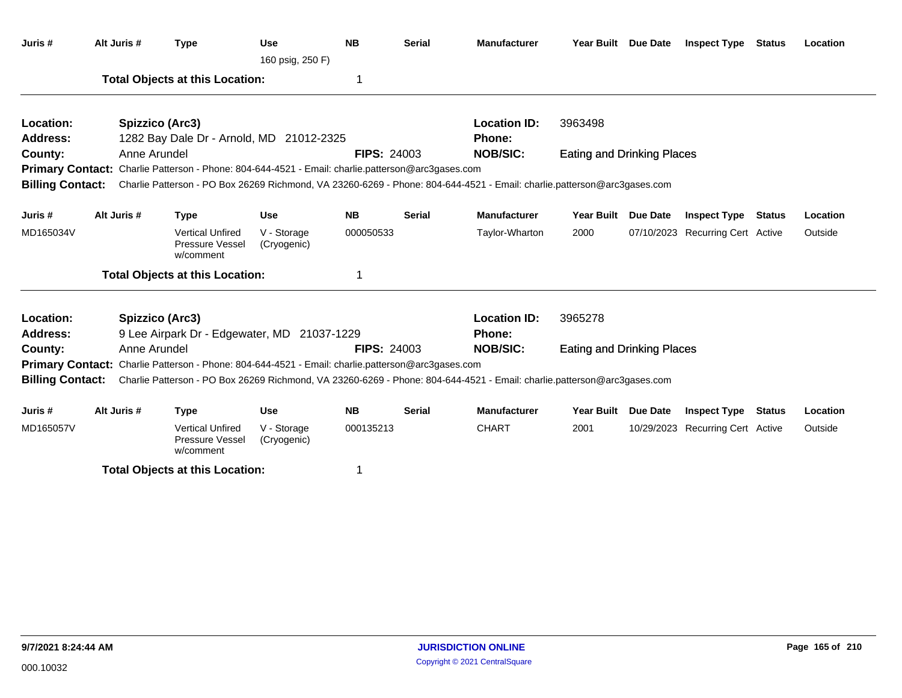| Juris #                 | Alt Juris #  | <b>Type</b>                                                                                              | <b>Use</b><br>160 psig, 250 F) | <b>NB</b>          | <b>Serial</b> | <b>Manufacturer</b>                                                                                                                      |                                   | Year Built Due Date | <b>Inspect Type Status</b>       |               | Location |
|-------------------------|--------------|----------------------------------------------------------------------------------------------------------|--------------------------------|--------------------|---------------|------------------------------------------------------------------------------------------------------------------------------------------|-----------------------------------|---------------------|----------------------------------|---------------|----------|
|                         |              | <b>Total Objects at this Location:</b>                                                                   |                                | 1                  |               |                                                                                                                                          |                                   |                     |                                  |               |          |
| Location:               |              | Spizzico (Arc3)                                                                                          |                                |                    |               | <b>Location ID:</b>                                                                                                                      | 3963498                           |                     |                                  |               |          |
| <b>Address:</b>         |              | 1282 Bay Dale Dr - Arnold, MD 21012-2325                                                                 |                                |                    |               | Phone:                                                                                                                                   |                                   |                     |                                  |               |          |
| County:                 | Anne Arundel |                                                                                                          |                                | <b>FIPS: 24003</b> |               | <b>NOB/SIC:</b>                                                                                                                          | <b>Eating and Drinking Places</b> |                     |                                  |               |          |
|                         |              | <b>Primary Contact:</b> Charlie Patterson - Phone: 804-644-4521 - Email: charlie.patterson@arc3gases.com |                                |                    |               |                                                                                                                                          |                                   |                     |                                  |               |          |
|                         |              |                                                                                                          |                                |                    |               | Billing Contact: Charlie Patterson - PO Box 26269 Richmond, VA 23260-6269 - Phone: 804-644-4521 - Email: charlie.patterson@arc3gases.com |                                   |                     |                                  |               |          |
| Juris #                 | Alt Juris #  | <b>Type</b>                                                                                              | <b>Use</b>                     | <b>NB</b>          | <b>Serial</b> | <b>Manufacturer</b>                                                                                                                      | <b>Year Built</b>                 | Due Date            | <b>Inspect Type</b>              | <b>Status</b> | Location |
| MD165034V               |              | <b>Vertical Unfired</b><br>Pressure Vessel<br>w/comment                                                  | V - Storage<br>(Cryogenic)     | 000050533          |               | Taylor-Wharton                                                                                                                           | 2000                              |                     | 07/10/2023 Recurring Cert Active |               | Outside  |
|                         |              | <b>Total Objects at this Location:</b>                                                                   |                                | 1                  |               |                                                                                                                                          |                                   |                     |                                  |               |          |
| Location:               |              | Spizzico (Arc3)                                                                                          |                                |                    |               | <b>Location ID:</b>                                                                                                                      | 3965278                           |                     |                                  |               |          |
| <b>Address:</b>         |              | 9 Lee Airpark Dr - Edgewater, MD 21037-1229                                                              |                                |                    |               | Phone:                                                                                                                                   |                                   |                     |                                  |               |          |
| County:                 | Anne Arundel |                                                                                                          |                                | <b>FIPS: 24003</b> |               | <b>NOB/SIC:</b>                                                                                                                          | Eating and Drinking Places        |                     |                                  |               |          |
|                         |              | <b>Primary Contact:</b> Charlie Patterson - Phone: 804-644-4521 - Email: charlie.patterson@arc3gases.com |                                |                    |               |                                                                                                                                          |                                   |                     |                                  |               |          |
| <b>Billing Contact:</b> |              |                                                                                                          |                                |                    |               | Charlie Patterson - PO Box 26269 Richmond, VA 23260-6269 - Phone: 804-644-4521 - Email: charlie.patterson@arc3gases.com                  |                                   |                     |                                  |               |          |
| Juris #                 | Alt Juris #  | <b>Type</b>                                                                                              | <b>Use</b>                     | <b>NB</b>          | <b>Serial</b> | <b>Manufacturer</b>                                                                                                                      | <b>Year Built</b>                 | Due Date            | <b>Inspect Type</b>              | <b>Status</b> | Location |
| MD165057V               |              | <b>Vertical Unfired</b><br><b>Pressure Vessel</b><br>w/comment                                           | V - Storage<br>(Cryogenic)     | 000135213          |               | <b>CHART</b>                                                                                                                             | 2001                              |                     | 10/29/2023 Recurring Cert Active |               | Outside  |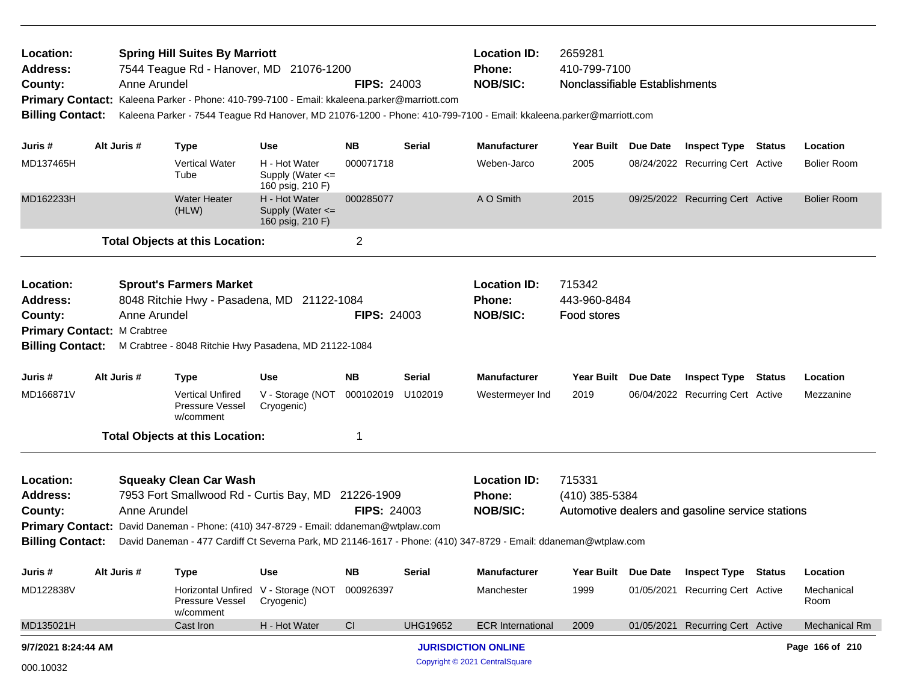| Location:<br><b>Address:</b><br>County: | <b>Spring Hill Suites By Marriott</b><br>7544 Teague Rd - Hanover, MD 21076-1200<br>Anne Arundel<br>Primary Contact: Kaleena Parker - Phone: 410-799-7100 - Email: kkaleena.parker@marriott.com<br><b>Billing Contact:</b><br>Kaleena Parker - 7544 Teague Rd Hanover, MD 21076-1200 - Phone: 410-799-7100 - Email: kkaleena.parker@marriott.com<br>Alt Juris #<br>Use |              |                                                                                     |                                                           | <b>FIPS: 24003</b> |                 | <b>Location ID:</b><br>2659281<br>410-799-7100<br><b>Phone:</b><br><b>NOB/SIC:</b><br>Nonclassifiable Establishments |                        |  |                                                  |  |                      |
|-----------------------------------------|------------------------------------------------------------------------------------------------------------------------------------------------------------------------------------------------------------------------------------------------------------------------------------------------------------------------------------------------------------------------|--------------|-------------------------------------------------------------------------------------|-----------------------------------------------------------|--------------------|-----------------|----------------------------------------------------------------------------------------------------------------------|------------------------|--|--------------------------------------------------|--|----------------------|
| Juris #                                 |                                                                                                                                                                                                                                                                                                                                                                        |              | <b>Type</b>                                                                         |                                                           | <b>NB</b>          | <b>Serial</b>   | <b>Manufacturer</b>                                                                                                  | Year Built Due Date    |  | <b>Inspect Type Status</b>                       |  | Location             |
| MD137465H                               |                                                                                                                                                                                                                                                                                                                                                                        |              | <b>Vertical Water</b><br>Tube                                                       | H - Hot Water<br>Supply (Water $\leq$<br>160 psig, 210 F) | 000071718          |                 | Weben-Jarco                                                                                                          | 2005                   |  | 08/24/2022 Recurring Cert Active                 |  | <b>Bolier Room</b>   |
| MD162233H                               |                                                                                                                                                                                                                                                                                                                                                                        |              | <b>Water Heater</b><br>(HLW)                                                        | H - Hot Water<br>Supply (Water <=<br>160 psig, 210 F)     | 000285077          |                 | A O Smith                                                                                                            | 2015                   |  | 09/25/2022 Recurring Cert Active                 |  | <b>Bolier Room</b>   |
|                                         |                                                                                                                                                                                                                                                                                                                                                                        |              | <b>Total Objects at this Location:</b>                                              |                                                           | $\overline{c}$     |                 |                                                                                                                      |                        |  |                                                  |  |                      |
| Location:<br><b>Address:</b>            |                                                                                                                                                                                                                                                                                                                                                                        |              | <b>Sprout's Farmers Market</b><br>8048 Ritchie Hwy - Pasadena, MD 21122-1084        |                                                           |                    |                 | <b>Location ID:</b><br><b>Phone:</b>                                                                                 | 715342<br>443-960-8484 |  |                                                  |  |                      |
| County:                                 |                                                                                                                                                                                                                                                                                                                                                                        | Anne Arundel |                                                                                     |                                                           | <b>FIPS: 24003</b> |                 | <b>NOB/SIC:</b>                                                                                                      | Food stores            |  |                                                  |  |                      |
| <b>Primary Contact: M Crabtree</b>      |                                                                                                                                                                                                                                                                                                                                                                        |              |                                                                                     |                                                           |                    |                 |                                                                                                                      |                        |  |                                                  |  |                      |
|                                         |                                                                                                                                                                                                                                                                                                                                                                        |              | Billing Contact: M Crabtree - 8048 Ritchie Hwy Pasadena, MD 21122-1084              |                                                           |                    |                 |                                                                                                                      |                        |  |                                                  |  |                      |
| Juris #                                 |                                                                                                                                                                                                                                                                                                                                                                        | Alt Juris #  | <b>Type</b>                                                                         | Use                                                       | <b>NB</b>          | <b>Serial</b>   | <b>Manufacturer</b>                                                                                                  | Year Built Due Date    |  | <b>Inspect Type Status</b>                       |  | Location             |
| MD166871V                               |                                                                                                                                                                                                                                                                                                                                                                        |              | <b>Vertical Unfired</b><br>Pressure Vessel<br>w/comment                             | V - Storage (NOT<br>Cryogenic)                            | 000102019 U102019  |                 | Westermeyer Ind                                                                                                      | 2019                   |  | 06/04/2022 Recurring Cert Active                 |  | Mezzanine            |
|                                         |                                                                                                                                                                                                                                                                                                                                                                        |              | <b>Total Objects at this Location:</b>                                              |                                                           | 1                  |                 |                                                                                                                      |                        |  |                                                  |  |                      |
| Location:                               |                                                                                                                                                                                                                                                                                                                                                                        |              | <b>Squeaky Clean Car Wash</b>                                                       |                                                           |                    |                 | <b>Location ID:</b>                                                                                                  | 715331                 |  |                                                  |  |                      |
| <b>Address:</b>                         |                                                                                                                                                                                                                                                                                                                                                                        |              | 7953 Fort Smallwood Rd - Curtis Bay, MD 21226-1909                                  |                                                           |                    |                 | <b>Phone:</b>                                                                                                        | (410) 385-5384         |  |                                                  |  |                      |
| County:                                 |                                                                                                                                                                                                                                                                                                                                                                        | Anne Arundel |                                                                                     |                                                           | <b>FIPS: 24003</b> |                 | <b>NOB/SIC:</b>                                                                                                      |                        |  | Automotive dealers and gasoline service stations |  |                      |
|                                         |                                                                                                                                                                                                                                                                                                                                                                        |              | Primary Contact: David Daneman - Phone: (410) 347-8729 - Email: ddaneman@wtplaw.com |                                                           |                    |                 |                                                                                                                      |                        |  |                                                  |  |                      |
| <b>Billing Contact:</b>                 |                                                                                                                                                                                                                                                                                                                                                                        |              |                                                                                     |                                                           |                    |                 | David Daneman - 477 Cardiff Ct Severna Park, MD 21146-1617 - Phone: (410) 347-8729 - Email: ddaneman@wtplaw.com      |                        |  |                                                  |  |                      |
| Juris #                                 |                                                                                                                                                                                                                                                                                                                                                                        | Alt Juris #  | <b>Type</b>                                                                         | Use                                                       | <b>NB</b>          | <b>Serial</b>   | <b>Manufacturer</b>                                                                                                  | Year Built Due Date    |  | <b>Inspect Type Status</b>                       |  | Location             |
| MD122838V                               |                                                                                                                                                                                                                                                                                                                                                                        |              | Horizontal Unfired<br>Pressure Vessel<br>w/comment                                  | V - Storage (NOT<br>Cryogenic)                            | 000926397          |                 | Manchester                                                                                                           | 1999                   |  | 01/05/2021 Recurring Cert Active                 |  | Mechanical<br>Room   |
| MD135021H                               |                                                                                                                                                                                                                                                                                                                                                                        |              | Cast Iron                                                                           | H - Hot Water                                             | CI                 | <b>UHG19652</b> | <b>ECR International</b>                                                                                             | 2009                   |  | 01/05/2021 Recurring Cert Active                 |  | <b>Mechanical Rm</b> |
| 9/7/2021 8:24:44 AM                     |                                                                                                                                                                                                                                                                                                                                                                        |              |                                                                                     |                                                           |                    |                 | <b>JURISDICTION ONLINE</b>                                                                                           |                        |  |                                                  |  | Page 166 of 210      |
| 000.10032                               |                                                                                                                                                                                                                                                                                                                                                                        |              |                                                                                     |                                                           |                    |                 | Copyright © 2021 CentralSquare                                                                                       |                        |  |                                                  |  |                      |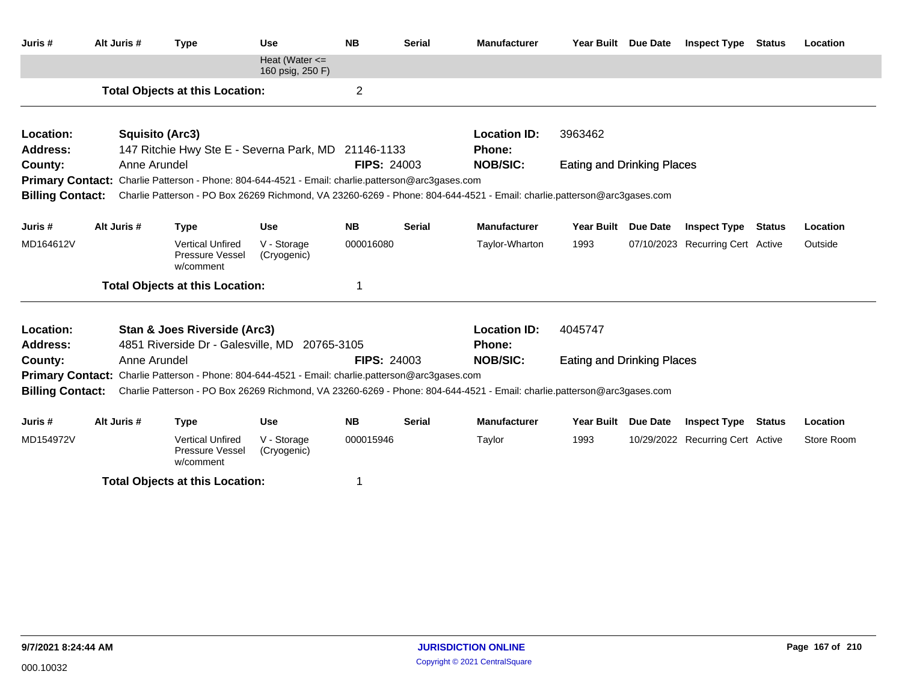| Juris#                       | Alt Juris #                                                                                                                                                                                                                         | <b>Type</b>                                                                                              | <b>Use</b>                             | <b>NB</b>          | <b>Serial</b> | <b>Manufacturer</b>                                                                                                     | Year Built Due Date               |                 | <b>Inspect Type</b>              | <b>Status</b> | Location   |
|------------------------------|-------------------------------------------------------------------------------------------------------------------------------------------------------------------------------------------------------------------------------------|----------------------------------------------------------------------------------------------------------|----------------------------------------|--------------------|---------------|-------------------------------------------------------------------------------------------------------------------------|-----------------------------------|-----------------|----------------------------------|---------------|------------|
|                              |                                                                                                                                                                                                                                     |                                                                                                          | Heat (Water $\leq$<br>160 psig, 250 F) |                    |               |                                                                                                                         |                                   |                 |                                  |               |            |
|                              |                                                                                                                                                                                                                                     | <b>Total Objects at this Location:</b>                                                                   |                                        | $\overline{2}$     |               |                                                                                                                         |                                   |                 |                                  |               |            |
| Location:                    | <b>Squisito (Arc3)</b>                                                                                                                                                                                                              |                                                                                                          |                                        |                    |               | <b>Location ID:</b>                                                                                                     | 3963462                           |                 |                                  |               |            |
| Address:                     |                                                                                                                                                                                                                                     | 147 Ritchie Hwy Ste E - Severna Park, MD 21146-1133                                                      |                                        |                    |               | Phone:                                                                                                                  |                                   |                 |                                  |               |            |
| County:                      | Anne Arundel                                                                                                                                                                                                                        |                                                                                                          |                                        | <b>FIPS: 24003</b> |               | <b>NOB/SIC:</b>                                                                                                         | <b>Eating and Drinking Places</b> |                 |                                  |               |            |
| <b>Billing Contact:</b>      |                                                                                                                                                                                                                                     | <b>Primary Contact:</b> Charlie Patterson - Phone: 804-644-4521 - Email: charlie.patterson@arc3gases.com |                                        |                    |               | Charlie Patterson - PO Box 26269 Richmond, VA 23260-6269 - Phone: 804-644-4521 - Email: charlie.patterson@arc3gases.com |                                   |                 |                                  |               |            |
|                              |                                                                                                                                                                                                                                     |                                                                                                          |                                        |                    |               |                                                                                                                         |                                   |                 |                                  |               |            |
| Juris #                      | Alt Juris #                                                                                                                                                                                                                         | <b>Type</b>                                                                                              | <b>Use</b>                             | <b>NB</b>          | <b>Serial</b> | <b>Manufacturer</b>                                                                                                     | <b>Year Built</b>                 | <b>Due Date</b> | <b>Inspect Type</b>              | <b>Status</b> | Location   |
| MD164612V                    |                                                                                                                                                                                                                                     | <b>Vertical Unfired</b><br>Pressure Vessel<br>w/comment                                                  | V - Storage<br>(Cryogenic)             | 000016080          |               | Taylor-Wharton                                                                                                          | 1993                              |                 | 07/10/2023 Recurring Cert Active |               | Outside    |
|                              |                                                                                                                                                                                                                                     | <b>Total Objects at this Location:</b>                                                                   |                                        |                    |               |                                                                                                                         |                                   |                 |                                  |               |            |
| Location:<br><b>Address:</b> |                                                                                                                                                                                                                                     | Stan & Joes Riverside (Arc3)<br>4851 Riverside Dr - Galesville, MD 20765-3105                            |                                        |                    |               | <b>Location ID:</b><br>Phone:                                                                                           | 4045747                           |                 |                                  |               |            |
| County:                      | Anne Arundel                                                                                                                                                                                                                        |                                                                                                          |                                        | <b>FIPS: 24003</b> |               | <b>NOB/SIC:</b>                                                                                                         | <b>Eating and Drinking Places</b> |                 |                                  |               |            |
|                              |                                                                                                                                                                                                                                     |                                                                                                          |                                        |                    |               |                                                                                                                         |                                   |                 |                                  |               |            |
| <b>Billing Contact:</b>      | <b>Primary Contact:</b> Charlie Patterson - Phone: 804-644-4521 - Email: charlie.patterson@arc3gases.com<br>Charlie Patterson - PO Box 26269 Richmond, VA 23260-6269 - Phone: 804-644-4521 - Email: charlie.patterson@arc3gases.com |                                                                                                          |                                        |                    |               |                                                                                                                         |                                   |                 |                                  |               |            |
|                              |                                                                                                                                                                                                                                     |                                                                                                          |                                        |                    |               |                                                                                                                         |                                   |                 |                                  |               |            |
| Juris #                      | Alt Juris #                                                                                                                                                                                                                         | <b>Type</b>                                                                                              | <b>Use</b>                             | <b>NB</b>          | <b>Serial</b> | <b>Manufacturer</b>                                                                                                     | Year Built Due Date               |                 | <b>Inspect Type Status</b>       |               | Location   |
| MD154972V                    |                                                                                                                                                                                                                                     | <b>Vertical Unfired</b><br>Pressure Vessel<br>w/comment                                                  | V - Storage<br>(Cryogenic)             | 000015946          |               | Taylor                                                                                                                  | 1993                              |                 | 10/29/2022 Recurring Cert Active |               | Store Room |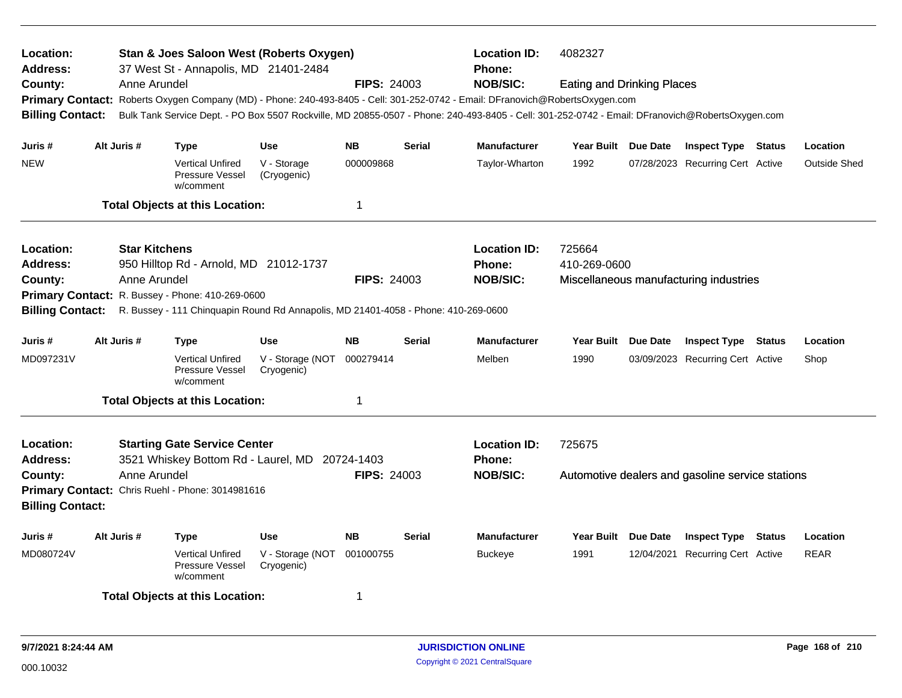| Location:<br>Address:                                                       | Stan & Joes Saloon West (Roberts Oxygen)<br><b>Location ID:</b><br>4082327<br>37 West St - Annapolis, MD 21401-2484<br><b>Phone:</b><br>Anne Arundel<br><b>FIPS: 24003</b><br><b>Eating and Drinking Places</b> |                      |                                                                                       |                                          |                    |               |                                                                                                                                                 |                     |                 |                                                  |        |                     |
|-----------------------------------------------------------------------------|-----------------------------------------------------------------------------------------------------------------------------------------------------------------------------------------------------------------|----------------------|---------------------------------------------------------------------------------------|------------------------------------------|--------------------|---------------|-------------------------------------------------------------------------------------------------------------------------------------------------|---------------------|-----------------|--------------------------------------------------|--------|---------------------|
| County:                                                                     |                                                                                                                                                                                                                 |                      |                                                                                       |                                          |                    |               | <b>NOB/SIC:</b>                                                                                                                                 |                     |                 |                                                  |        |                     |
|                                                                             |                                                                                                                                                                                                                 |                      |                                                                                       |                                          |                    |               | Primary Contact: Roberts Oxygen Company (MD) - Phone: 240-493-8405 - Cell: 301-252-0742 - Email: DFranovich@RobertsOxygen.com                   |                     |                 |                                                  |        |                     |
| <b>Billing Contact:</b>                                                     |                                                                                                                                                                                                                 |                      |                                                                                       |                                          |                    |               | Bulk Tank Service Dept. - PO Box 5507 Rockville, MD 20855-0507 - Phone: 240-493-8405 - Cell: 301-252-0742 - Email: DFranovich@RobertsOxygen.com |                     |                 |                                                  |        |                     |
| Juris #                                                                     |                                                                                                                                                                                                                 | Alt Juris #          | <b>Type</b>                                                                           | <b>Use</b>                               | <b>NB</b>          | <b>Serial</b> | <b>Manufacturer</b>                                                                                                                             | Year Built Due Date |                 | <b>Inspect Type Status</b>                       |        | Location            |
| <b>NEW</b>                                                                  |                                                                                                                                                                                                                 |                      | <b>Vertical Unfired</b><br><b>Pressure Vessel</b><br>w/comment                        | V - Storage<br>(Cryogenic)               | 000009868          |               | Taylor-Wharton                                                                                                                                  | 1992                |                 | 07/28/2023 Recurring Cert Active                 |        | <b>Outside Shed</b> |
|                                                                             |                                                                                                                                                                                                                 |                      | <b>Total Objects at this Location:</b>                                                |                                          | 1                  |               |                                                                                                                                                 |                     |                 |                                                  |        |                     |
| Location:                                                                   |                                                                                                                                                                                                                 | <b>Star Kitchens</b> |                                                                                       |                                          |                    |               | <b>Location ID:</b>                                                                                                                             | 725664              |                 |                                                  |        |                     |
| <b>Address:</b>                                                             |                                                                                                                                                                                                                 |                      | 950 Hilltop Rd - Arnold, MD 21012-1737                                                |                                          |                    |               | <b>Phone:</b>                                                                                                                                   | 410-269-0600        |                 |                                                  |        |                     |
| County:                                                                     |                                                                                                                                                                                                                 | Anne Arundel         |                                                                                       |                                          | <b>FIPS: 24003</b> |               | <b>NOB/SIC:</b>                                                                                                                                 |                     |                 | Miscellaneous manufacturing industries           |        |                     |
|                                                                             |                                                                                                                                                                                                                 |                      | Primary Contact: R. Bussey - Phone: 410-269-0600                                      |                                          |                    |               |                                                                                                                                                 |                     |                 |                                                  |        |                     |
| <b>Billing Contact:</b>                                                     |                                                                                                                                                                                                                 |                      | R. Bussey - 111 Chinquapin Round Rd Annapolis, MD 21401-4058 - Phone: 410-269-0600    |                                          |                    |               |                                                                                                                                                 |                     |                 |                                                  |        |                     |
| Juris #                                                                     |                                                                                                                                                                                                                 | Alt Juris #          | <b>Type</b>                                                                           | <b>Use</b>                               | <b>NB</b>          | <b>Serial</b> | <b>Manufacturer</b>                                                                                                                             | <b>Year Built</b>   | <b>Due Date</b> | <b>Inspect Type Status</b>                       |        | Location            |
| MD097231V                                                                   |                                                                                                                                                                                                                 |                      | <b>Vertical Unfired</b><br>Pressure Vessel<br>w/comment                               | V - Storage (NOT<br>Cryogenic)           | 000279414          |               | Melben                                                                                                                                          | 1990                |                 | 03/09/2023 Recurring Cert Active                 |        | Shop                |
|                                                                             |                                                                                                                                                                                                                 |                      | <b>Total Objects at this Location:</b>                                                |                                          | $\mathbf 1$        |               |                                                                                                                                                 |                     |                 |                                                  |        |                     |
| Location:<br><b>Address:</b>                                                |                                                                                                                                                                                                                 |                      | <b>Starting Gate Service Center</b><br>3521 Whiskey Bottom Rd - Laurel, MD 20724-1403 |                                          |                    |               | <b>Location ID:</b><br><b>Phone:</b>                                                                                                            | 725675              |                 |                                                  |        |                     |
| County:                                                                     |                                                                                                                                                                                                                 | Anne Arundel         |                                                                                       |                                          | <b>FIPS: 24003</b> |               | <b>NOB/SIC:</b>                                                                                                                                 |                     |                 | Automotive dealers and gasoline service stations |        |                     |
| Primary Contact: Chris Ruehl - Phone: 3014981616<br><b>Billing Contact:</b> |                                                                                                                                                                                                                 |                      |                                                                                       |                                          |                    |               |                                                                                                                                                 |                     |                 |                                                  |        |                     |
| Juris #                                                                     |                                                                                                                                                                                                                 | Alt Juris #          | <b>Type</b>                                                                           | <b>Use</b>                               | <b>NB</b>          | <b>Serial</b> | <b>Manufacturer</b>                                                                                                                             | <b>Year Built</b>   | <b>Due Date</b> | <b>Inspect Type</b>                              | Status | Location            |
| MD080724V                                                                   |                                                                                                                                                                                                                 |                      | <b>Vertical Unfired</b><br><b>Pressure Vessel</b><br>w/comment                        | V - Storage (NOT 001000755<br>Cryogenic) |                    |               | <b>Buckeye</b>                                                                                                                                  | 1991                |                 | 12/04/2021 Recurring Cert Active                 |        | <b>REAR</b>         |
|                                                                             |                                                                                                                                                                                                                 |                      | <b>Total Objects at this Location:</b>                                                |                                          | 1                  |               |                                                                                                                                                 |                     |                 |                                                  |        |                     |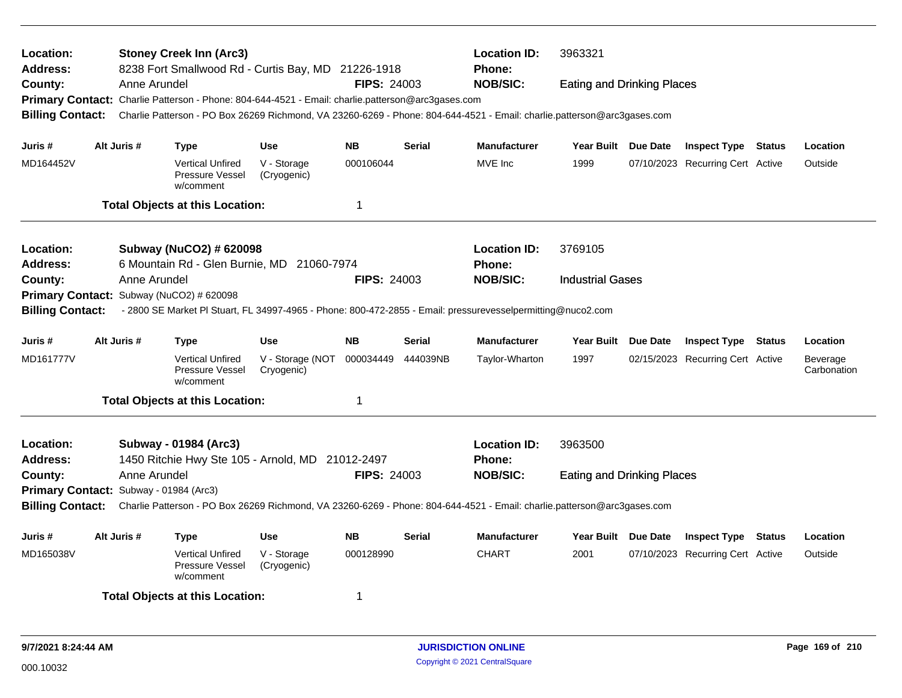| Location:<br><b>Address:</b> |                                                                                                                                                    | <b>Stoney Creek Inn (Arc3)</b><br>8238 Fort Smallwood Rd - Curtis Bay, MD 21226-1918<br><b>FIPS: 24003</b><br>Anne Arundel |                                |                    |               |                           | 3963321                           |                 |                                  |        |                         |
|------------------------------|----------------------------------------------------------------------------------------------------------------------------------------------------|----------------------------------------------------------------------------------------------------------------------------|--------------------------------|--------------------|---------------|---------------------------|-----------------------------------|-----------------|----------------------------------|--------|-------------------------|
| County:                      |                                                                                                                                                    |                                                                                                                            |                                |                    |               | Phone:<br><b>NOB/SIC:</b> | <b>Eating and Drinking Places</b> |                 |                                  |        |                         |
|                              |                                                                                                                                                    | Primary Contact: Charlie Patterson - Phone: 804-644-4521 - Email: charlie.patterson@arc3gases.com                          |                                |                    |               |                           |                                   |                 |                                  |        |                         |
| <b>Billing Contact:</b>      |                                                                                                                                                    | Charlie Patterson - PO Box 26269 Richmond, VA 23260-6269 - Phone: 804-644-4521 - Email: charlie.patterson@arc3gases.com    |                                |                    |               |                           |                                   |                 |                                  |        |                         |
| Juris #                      | Alt Juris #                                                                                                                                        | Type                                                                                                                       | <b>Use</b>                     | <b>NB</b>          | <b>Serial</b> | <b>Manufacturer</b>       | Year Built Due Date               |                 | <b>Inspect Type Status</b>       |        | Location                |
| MD164452V                    |                                                                                                                                                    | <b>Vertical Unfired</b><br>Pressure Vessel<br>w/comment                                                                    | V - Storage<br>(Cryogenic)     | 000106044          |               | MVE Inc                   | 1999                              |                 | 07/10/2023 Recurring Cert Active |        | Outside                 |
|                              |                                                                                                                                                    | <b>Total Objects at this Location:</b>                                                                                     |                                | $\overline{1}$     |               |                           |                                   |                 |                                  |        |                         |
| Location:                    |                                                                                                                                                    | Subway (NuCO2) # 620098                                                                                                    |                                |                    |               | <b>Location ID:</b>       | 3769105                           |                 |                                  |        |                         |
| <b>Address:</b>              |                                                                                                                                                    | 6 Mountain Rd - Glen Burnie, MD 21060-7974                                                                                 |                                |                    |               | <b>Phone:</b>             |                                   |                 |                                  |        |                         |
| County:                      | Anne Arundel                                                                                                                                       |                                                                                                                            |                                | <b>FIPS: 24003</b> |               | <b>NOB/SIC:</b>           | <b>Industrial Gases</b>           |                 |                                  |        |                         |
|                              |                                                                                                                                                    | Primary Contact: Subway (NuCO2) # 620098                                                                                   |                                |                    |               |                           |                                   |                 |                                  |        |                         |
| <b>Billing Contact:</b>      |                                                                                                                                                    | - 2800 SE Market PI Stuart, FL 34997-4965 - Phone: 800-472-2855 - Email: pressurevesselpermitting@nuco2.com                |                                |                    |               |                           |                                   |                 |                                  |        |                         |
|                              |                                                                                                                                                    |                                                                                                                            |                                |                    |               |                           |                                   |                 |                                  |        |                         |
| Juris #                      | Alt Juris #                                                                                                                                        | Type                                                                                                                       | <b>Use</b>                     | <b>NB</b>          | Serial        | <b>Manufacturer</b>       | Year Built                        | <b>Due Date</b> | <b>Inspect Type</b>              | Status | Location                |
| MD161777V                    |                                                                                                                                                    | <b>Vertical Unfired</b><br>Pressure Vessel<br>w/comment                                                                    | V - Storage (NOT<br>Cryogenic) | 000034449          | 444039NB      | Taylor-Wharton            | 1997                              |                 | 02/15/2023 Recurring Cert Active |        | Beverage<br>Carbonation |
|                              |                                                                                                                                                    | <b>Total Objects at this Location:</b>                                                                                     |                                | $\mathbf{1}$       |               |                           |                                   |                 |                                  |        |                         |
| Location:                    |                                                                                                                                                    | Subway - 01984 (Arc3)                                                                                                      |                                |                    |               | <b>Location ID:</b>       | 3963500                           |                 |                                  |        |                         |
| <b>Address:</b>              |                                                                                                                                                    | 1450 Ritchie Hwy Ste 105 - Arnold, MD 21012-2497                                                                           |                                |                    |               | <b>Phone:</b>             |                                   |                 |                                  |        |                         |
| County:                      | Anne Arundel                                                                                                                                       |                                                                                                                            |                                | <b>FIPS: 24003</b> |               | <b>NOB/SIC:</b>           | <b>Eating and Drinking Places</b> |                 |                                  |        |                         |
|                              | Primary Contact: Subway - 01984 (Arc3)                                                                                                             |                                                                                                                            |                                |                    |               |                           |                                   |                 |                                  |        |                         |
|                              | Charlie Patterson - PO Box 26269 Richmond, VA 23260-6269 - Phone: 804-644-4521 - Email: charlie.patterson@arc3gases.com<br><b>Billing Contact:</b> |                                                                                                                            |                                |                    |               |                           |                                   |                 |                                  |        |                         |
| Juris #                      | Alt Juris #                                                                                                                                        | <b>Type</b>                                                                                                                | Use                            | <b>NB</b>          | <b>Serial</b> | Manufacturer              | <b>Year Built</b>                 | Due Date        | <b>Inspect Type</b>              | Status | Location                |
| MD165038V                    |                                                                                                                                                    | <b>Vertical Unfired</b><br><b>Pressure Vessel</b><br>w/comment                                                             | V - Storage<br>(Cryogenic)     | 000128990          |               | <b>CHART</b>              | 2001                              |                 | 07/10/2023 Recurring Cert Active |        | Outside                 |
|                              |                                                                                                                                                    | <b>Total Objects at this Location:</b>                                                                                     |                                | -1                 |               |                           |                                   |                 |                                  |        |                         |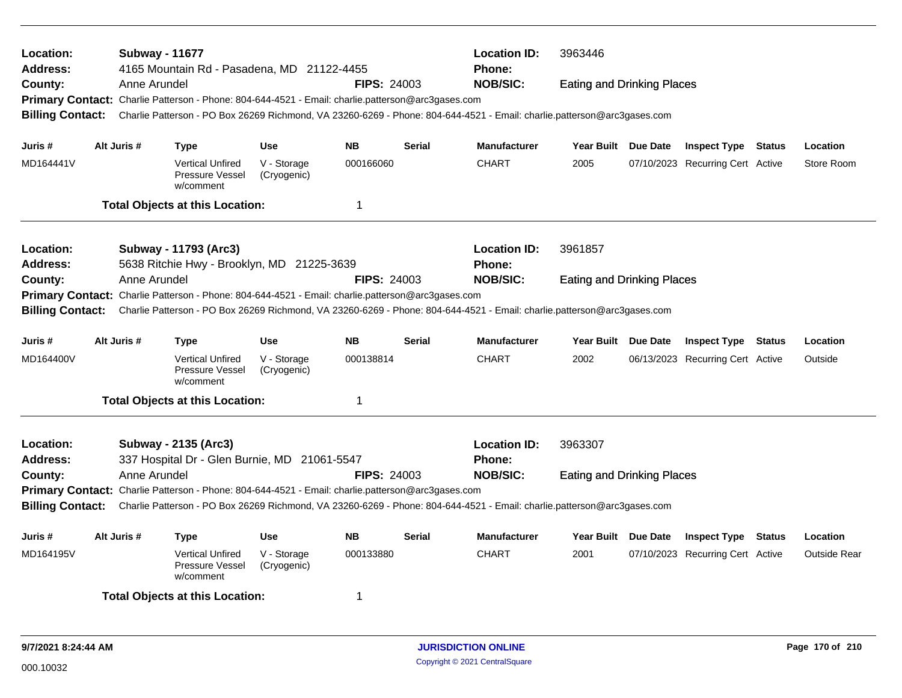| Location:<br><b>Address:</b><br>County:                                                                                                                                                                                                                                                                                                                | Anne Arundel                                                                                                                                                                                                                                            | <b>Subway - 11677</b><br>4165 Mountain Rd - Pasadena, MD 21122-4455<br>Primary Contact: Charlie Patterson - Phone: 804-644-4521 - Email: charlie.patterson@arc3gases.com |                            | <b>FIPS: 24003</b> |               | <b>Location ID:</b><br><b>Phone:</b><br><b>NOB/SIC:</b>                                                                 | 3963446<br><b>Eating and Drinking Places</b> |                                  |        |                     |
|--------------------------------------------------------------------------------------------------------------------------------------------------------------------------------------------------------------------------------------------------------------------------------------------------------------------------------------------------------|---------------------------------------------------------------------------------------------------------------------------------------------------------------------------------------------------------------------------------------------------------|--------------------------------------------------------------------------------------------------------------------------------------------------------------------------|----------------------------|--------------------|---------------|-------------------------------------------------------------------------------------------------------------------------|----------------------------------------------|----------------------------------|--------|---------------------|
| <b>Billing Contact:</b>                                                                                                                                                                                                                                                                                                                                |                                                                                                                                                                                                                                                         |                                                                                                                                                                          |                            |                    |               | Charlie Patterson - PO Box 26269 Richmond, VA 23260-6269 - Phone: 804-644-4521 - Email: charlie.patterson@arc3gases.com |                                              |                                  |        |                     |
| Juris #                                                                                                                                                                                                                                                                                                                                                | Alt Juris #                                                                                                                                                                                                                                             | Type                                                                                                                                                                     | <b>Use</b>                 | <b>NB</b>          | <b>Serial</b> | <b>Manufacturer</b>                                                                                                     | Year Built Due Date                          | <b>Inspect Type Status</b>       |        | Location            |
| MD164441V                                                                                                                                                                                                                                                                                                                                              |                                                                                                                                                                                                                                                         | <b>Vertical Unfired</b><br>Pressure Vessel<br>w/comment                                                                                                                  | V - Storage<br>(Cryogenic) | 000166060          |               | <b>CHART</b>                                                                                                            | 2005                                         | 07/10/2023 Recurring Cert Active |        | Store Room          |
|                                                                                                                                                                                                                                                                                                                                                        |                                                                                                                                                                                                                                                         | <b>Total Objects at this Location:</b>                                                                                                                                   |                            | $\mathbf 1$        |               |                                                                                                                         |                                              |                                  |        |                     |
| Location:<br><b>Address:</b>                                                                                                                                                                                                                                                                                                                           |                                                                                                                                                                                                                                                         | Subway - 11793 (Arc3)                                                                                                                                                    |                            |                    |               | <b>Location ID:</b><br><b>Phone:</b>                                                                                    | 3961857                                      |                                  |        |                     |
| 5638 Ritchie Hwy - Brooklyn, MD 21225-3639<br>County:<br>Anne Arundel<br><b>FIPS: 24003</b><br>Primary Contact: Charlie Patterson - Phone: 804-644-4521 - Email: charlie.patterson@arc3gases.com<br>Charlie Patterson - PO Box 26269 Richmond, VA 23260-6269 - Phone: 804-644-4521 - Email: charlie.patterson@arc3gases.com<br><b>Billing Contact:</b> |                                                                                                                                                                                                                                                         |                                                                                                                                                                          |                            |                    |               | <b>NOB/SIC:</b>                                                                                                         | <b>Eating and Drinking Places</b>            |                                  |        |                     |
| Juris #                                                                                                                                                                                                                                                                                                                                                | Alt Juris #                                                                                                                                                                                                                                             | <b>Type</b>                                                                                                                                                              | <b>Use</b>                 | <b>NB</b>          | <b>Serial</b> | <b>Manufacturer</b>                                                                                                     | Year Built Due Date                          | <b>Inspect Type Status</b>       |        | Location            |
| MD164400V                                                                                                                                                                                                                                                                                                                                              |                                                                                                                                                                                                                                                         | <b>Vertical Unfired</b><br>Pressure Vessel<br>w/comment                                                                                                                  | V - Storage<br>(Cryogenic) | 000138814          |               | <b>CHART</b>                                                                                                            | 2002                                         | 06/13/2023 Recurring Cert Active |        | Outside             |
|                                                                                                                                                                                                                                                                                                                                                        |                                                                                                                                                                                                                                                         | <b>Total Objects at this Location:</b>                                                                                                                                   |                            | 1                  |               |                                                                                                                         |                                              |                                  |        |                     |
| Location:<br><b>Address:</b>                                                                                                                                                                                                                                                                                                                           |                                                                                                                                                                                                                                                         | Subway - 2135 (Arc3)<br>337 Hospital Dr - Glen Burnie, MD 21061-5547                                                                                                     |                            |                    |               | <b>Location ID:</b><br><b>Phone:</b>                                                                                    | 3963307                                      |                                  |        |                     |
| County:                                                                                                                                                                                                                                                                                                                                                | Anne Arundel                                                                                                                                                                                                                                            |                                                                                                                                                                          |                            | <b>FIPS: 24003</b> |               | <b>NOB/SIC:</b>                                                                                                         | <b>Eating and Drinking Places</b>            |                                  |        |                     |
|                                                                                                                                                                                                                                                                                                                                                        | Primary Contact: Charlie Patterson - Phone: 804-644-4521 - Email: charlie.patterson@arc3gases.com<br>Charlie Patterson - PO Box 26269 Richmond, VA 23260-6269 - Phone: 804-644-4521 - Email: charlie.patterson@arc3gases.com<br><b>Billing Contact:</b> |                                                                                                                                                                          |                            |                    |               |                                                                                                                         |                                              |                                  |        |                     |
| Juris #                                                                                                                                                                                                                                                                                                                                                | Alt Juris #                                                                                                                                                                                                                                             | Type                                                                                                                                                                     | <b>Use</b>                 | <b>NB</b>          | <b>Serial</b> | <b>Manufacturer</b>                                                                                                     | Year Built Due Date                          | <b>Inspect Type</b>              | Status | Location            |
| MD164195V                                                                                                                                                                                                                                                                                                                                              |                                                                                                                                                                                                                                                         | <b>Vertical Unfired</b><br>Pressure Vessel<br>w/comment                                                                                                                  | V - Storage<br>(Cryogenic) | 000133880          |               | <b>CHART</b>                                                                                                            | 2001                                         | 07/10/2023 Recurring Cert Active |        | <b>Outside Rear</b> |
|                                                                                                                                                                                                                                                                                                                                                        |                                                                                                                                                                                                                                                         | <b>Total Objects at this Location:</b>                                                                                                                                   |                            | -1                 |               |                                                                                                                         |                                              |                                  |        |                     |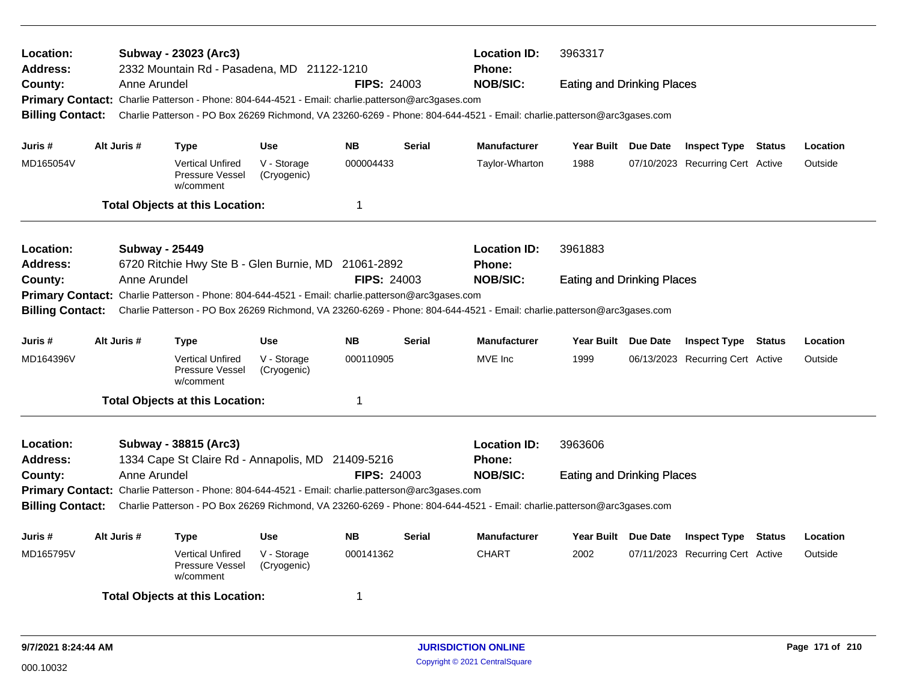| Location:<br><b>Address:</b> |                                                                                                                                                                                                                                        | Subway - 23023 (Arc3)<br>2332 Mountain Rd - Pasadena, MD 21122-1210                                                     |                            |                    |               | <b>Location ID:</b><br><b>Phone:</b> | 3963317                           |  |                                  |        |          |
|------------------------------|----------------------------------------------------------------------------------------------------------------------------------------------------------------------------------------------------------------------------------------|-------------------------------------------------------------------------------------------------------------------------|----------------------------|--------------------|---------------|--------------------------------------|-----------------------------------|--|----------------------------------|--------|----------|
| County:                      |                                                                                                                                                                                                                                        | Anne Arundel                                                                                                            |                            | <b>FIPS: 24003</b> |               | <b>NOB/SIC:</b>                      | <b>Eating and Drinking Places</b> |  |                                  |        |          |
|                              |                                                                                                                                                                                                                                        | Primary Contact: Charlie Patterson - Phone: 804-644-4521 - Email: charlie.patterson@arc3gases.com                       |                            |                    |               |                                      |                                   |  |                                  |        |          |
| <b>Billing Contact:</b>      |                                                                                                                                                                                                                                        | Charlie Patterson - PO Box 26269 Richmond, VA 23260-6269 - Phone: 804-644-4521 - Email: charlie.patterson@arc3gases.com |                            |                    |               |                                      |                                   |  |                                  |        |          |
| Juris #                      | Alt Juris #                                                                                                                                                                                                                            | <b>Type</b>                                                                                                             | <b>Use</b>                 | <b>NB</b>          | <b>Serial</b> | <b>Manufacturer</b>                  | Year Built Due Date               |  | <b>Inspect Type Status</b>       |        | Location |
| MD165054V                    |                                                                                                                                                                                                                                        | <b>Vertical Unfired</b><br>Pressure Vessel<br>w/comment                                                                 | V - Storage<br>(Cryogenic) | 000004433          |               | Taylor-Wharton                       | 1988                              |  | 07/10/2023 Recurring Cert Active |        | Outside  |
|                              |                                                                                                                                                                                                                                        | <b>Total Objects at this Location:</b>                                                                                  |                            | $\mathbf 1$        |               |                                      |                                   |  |                                  |        |          |
| Location:                    |                                                                                                                                                                                                                                        | <b>Subway - 25449</b>                                                                                                   |                            |                    |               | <b>Location ID:</b>                  | 3961883                           |  |                                  |        |          |
| <b>Address:</b>              |                                                                                                                                                                                                                                        | 6720 Ritchie Hwy Ste B - Glen Burnie, MD 21061-2892                                                                     |                            |                    |               | Phone:                               |                                   |  |                                  |        |          |
| County:                      |                                                                                                                                                                                                                                        | Anne Arundel                                                                                                            |                            | <b>FIPS: 24003</b> |               | <b>NOB/SIC:</b>                      | <b>Eating and Drinking Places</b> |  |                                  |        |          |
| <b>Primary Contact:</b>      |                                                                                                                                                                                                                                        |                                                                                                                         |                            |                    |               |                                      |                                   |  |                                  |        |          |
|                              | Charlie Patterson - Phone: 804-644-4521 - Email: charlie.patterson@arc3gases.com<br><b>Billing Contact:</b><br>Charlie Patterson - PO Box 26269 Richmond, VA 23260-6269 - Phone: 804-644-4521 - Email: charlie.patterson@arc3gases.com |                                                                                                                         |                            |                    |               |                                      |                                   |  |                                  |        |          |
| Juris #                      | Alt Juris #                                                                                                                                                                                                                            | <b>Type</b>                                                                                                             | <b>Use</b>                 | <b>NB</b>          | <b>Serial</b> | <b>Manufacturer</b>                  | Year Built Due Date               |  | <b>Inspect Type Status</b>       |        | Location |
| MD164396V                    |                                                                                                                                                                                                                                        | <b>Vertical Unfired</b><br>Pressure Vessel<br>w/comment                                                                 | V - Storage<br>(Cryogenic) | 000110905          |               | MVE Inc                              | 1999                              |  | 06/13/2023 Recurring Cert Active |        | Outside  |
|                              |                                                                                                                                                                                                                                        | <b>Total Objects at this Location:</b>                                                                                  |                            | -1                 |               |                                      |                                   |  |                                  |        |          |
| Location:                    |                                                                                                                                                                                                                                        | Subway - 38815 (Arc3)                                                                                                   |                            |                    |               | <b>Location ID:</b>                  | 3963606                           |  |                                  |        |          |
| <b>Address:</b>              |                                                                                                                                                                                                                                        | 1334 Cape St Claire Rd - Annapolis, MD 21409-5216                                                                       |                            |                    |               | Phone:                               |                                   |  |                                  |        |          |
| County:                      |                                                                                                                                                                                                                                        | Anne Arundel                                                                                                            |                            | <b>FIPS: 24003</b> |               | <b>NOB/SIC:</b>                      | <b>Eating and Drinking Places</b> |  |                                  |        |          |
|                              |                                                                                                                                                                                                                                        |                                                                                                                         |                            |                    |               |                                      |                                   |  |                                  |        |          |
| <b>Billing Contact:</b>      | Primary Contact: Charlie Patterson - Phone: 804-644-4521 - Email: charlie.patterson@arc3gases.com<br>Charlie Patterson - PO Box 26269 Richmond, VA 23260-6269 - Phone: 804-644-4521 - Email: charlie.patterson@arc3gases.com           |                                                                                                                         |                            |                    |               |                                      |                                   |  |                                  |        |          |
| Juris #                      | Alt Juris #                                                                                                                                                                                                                            | <b>Type</b>                                                                                                             | <b>Use</b>                 | <b>NB</b>          | <b>Serial</b> | <b>Manufacturer</b>                  | Year Built Due Date               |  | <b>Inspect Type</b>              | Status | Location |
| MD165795V                    |                                                                                                                                                                                                                                        | <b>Vertical Unfired</b><br>Pressure Vessel<br>w/comment                                                                 | V - Storage<br>(Cryogenic) | 000141362          |               | <b>CHART</b>                         | 2002                              |  | 07/11/2023 Recurring Cert Active |        | Outside  |
|                              |                                                                                                                                                                                                                                        | <b>Total Objects at this Location:</b>                                                                                  |                            | $\mathbf 1$        |               |                                      |                                   |  |                                  |        |          |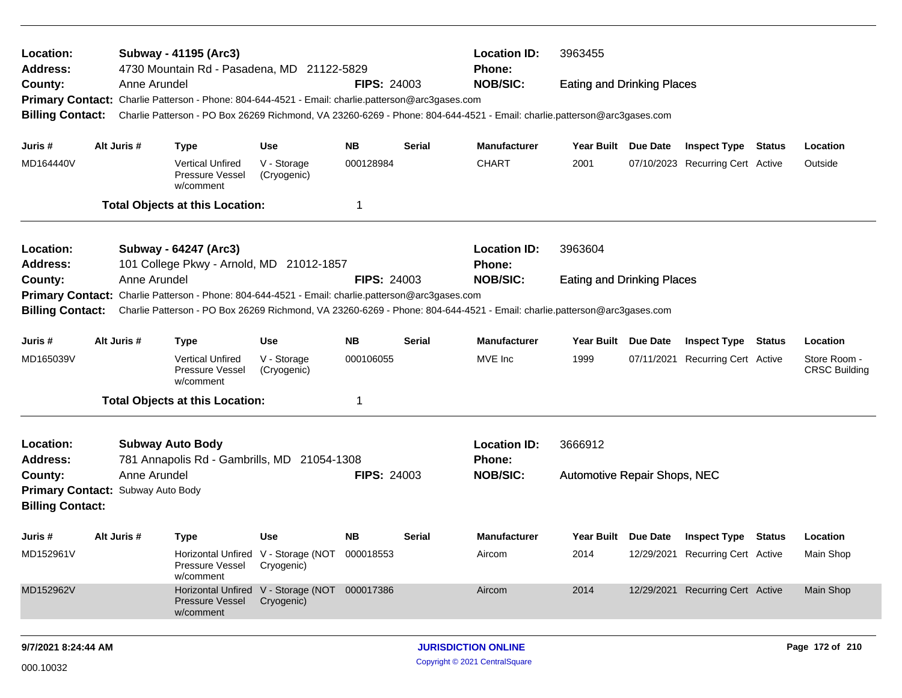| Location:<br><b>Address:</b>                                                                                                           |                                   | Subway - 41195 (Arc3)<br>4730 Mountain Rd - Pasadena, MD 21122-5829                                                     |                                                             |                    |               | <b>Location ID:</b><br><b>Phone:</b> | 3963455                           |                     |                                  |        |                                      |
|----------------------------------------------------------------------------------------------------------------------------------------|-----------------------------------|-------------------------------------------------------------------------------------------------------------------------|-------------------------------------------------------------|--------------------|---------------|--------------------------------------|-----------------------------------|---------------------|----------------------------------|--------|--------------------------------------|
| County:                                                                                                                                |                                   | Anne Arundel<br>Primary Contact: Charlie Patterson - Phone: 804-644-4521 - Email: charlie.patterson@arc3gases.com       |                                                             | <b>FIPS: 24003</b> |               | <b>NOB/SIC:</b>                      | <b>Eating and Drinking Places</b> |                     |                                  |        |                                      |
| <b>Billing Contact:</b>                                                                                                                |                                   | Charlie Patterson - PO Box 26269 Richmond, VA 23260-6269 - Phone: 804-644-4521 - Email: charlie.patterson@arc3gases.com |                                                             |                    |               |                                      |                                   |                     |                                  |        |                                      |
| Juris #                                                                                                                                | Alt Juris #                       | <b>Type</b>                                                                                                             | <b>Use</b>                                                  | NB.                | <b>Serial</b> | <b>Manufacturer</b>                  | Year Built Due Date               |                     | <b>Inspect Type Status</b>       |        | Location                             |
| MD164440V                                                                                                                              |                                   | <b>Vertical Unfired</b><br>Pressure Vessel<br>w/comment                                                                 | V - Storage<br>(Cryogenic)                                  | 000128984          |               | <b>CHART</b>                         | 2001                              |                     | 07/10/2023 Recurring Cert Active |        | Outside                              |
|                                                                                                                                        |                                   | <b>Total Objects at this Location:</b>                                                                                  |                                                             | -1                 |               |                                      |                                   |                     |                                  |        |                                      |
| Location:                                                                                                                              |                                   | Subway - 64247 (Arc3)                                                                                                   |                                                             |                    |               | <b>Location ID:</b>                  | 3963604                           |                     |                                  |        |                                      |
| Address:                                                                                                                               |                                   | 101 College Pkwy - Arnold, MD 21012-1857                                                                                |                                                             |                    |               | <b>Phone:</b>                        |                                   |                     |                                  |        |                                      |
| County:                                                                                                                                |                                   | Anne Arundel                                                                                                            |                                                             | <b>FIPS: 24003</b> |               | <b>NOB/SIC:</b>                      | <b>Eating and Drinking Places</b> |                     |                                  |        |                                      |
| Charlie Patterson - Phone: 804-644-4521 - Email: charlie.patterson@arc3gases.com<br><b>Primary Contact:</b><br><b>Billing Contact:</b> |                                   |                                                                                                                         |                                                             |                    |               |                                      |                                   |                     |                                  |        |                                      |
| Charlie Patterson - PO Box 26269 Richmond, VA 23260-6269 - Phone: 804-644-4521 - Email: charlie.patterson@arc3gases.com                |                                   |                                                                                                                         |                                                             |                    |               |                                      |                                   |                     |                                  |        |                                      |
| Juris #                                                                                                                                | Alt Juris #                       | <b>Type</b>                                                                                                             | Use                                                         | <b>NB</b>          | <b>Serial</b> | <b>Manufacturer</b>                  | Year Built                        | Due Date            | <b>Inspect Type</b>              | Status | Location                             |
| MD165039V                                                                                                                              |                                   | <b>Vertical Unfired</b><br>Pressure Vessel<br>w/comment                                                                 | V - Storage<br>(Cryogenic)                                  | 000106055          |               | MVE Inc                              | 1999                              |                     | 07/11/2021 Recurring Cert Active |        | Store Room -<br><b>CRSC Building</b> |
|                                                                                                                                        |                                   | <b>Total Objects at this Location:</b>                                                                                  |                                                             | 1                  |               |                                      |                                   |                     |                                  |        |                                      |
| Location:<br><b>Address:</b>                                                                                                           |                                   | <b>Subway Auto Body</b><br>781 Annapolis Rd - Gambrills, MD 21054-1308                                                  |                                                             |                    |               | <b>Location ID:</b><br><b>Phone:</b> | 3666912                           |                     |                                  |        |                                      |
| County:                                                                                                                                |                                   | Anne Arundel                                                                                                            |                                                             | <b>FIPS: 24003</b> |               | <b>NOB/SIC:</b>                      | Automotive Repair Shops, NEC      |                     |                                  |        |                                      |
|                                                                                                                                        | Primary Contact: Subway Auto Body |                                                                                                                         |                                                             |                    |               |                                      |                                   |                     |                                  |        |                                      |
| <b>Billing Contact:</b>                                                                                                                |                                   |                                                                                                                         |                                                             |                    |               |                                      |                                   |                     |                                  |        |                                      |
| Juris #                                                                                                                                | Alt Juris #                       | <b>Type</b>                                                                                                             | <b>Use</b>                                                  | NB.                | <b>Serial</b> | <b>Manufacturer</b>                  |                                   | Year Built Due Date | <b>Inspect Type</b>              | Status | Location                             |
| MD152961V                                                                                                                              |                                   | Pressure Vessel<br>w/comment                                                                                            | Horizontal Unfired V - Storage (NOT 000018553<br>Cryogenic) |                    |               | Aircom                               | 2014                              |                     | 12/29/2021 Recurring Cert Active |        | Main Shop                            |
| MD152962V                                                                                                                              |                                   | <b>Pressure Vessel</b><br>w/comment                                                                                     | Horizontal Unfired V - Storage (NOT<br>Cryogenic)           | 000017386          |               | Aircom                               | 2014                              |                     | 12/29/2021 Recurring Cert Active |        | Main Shop                            |
| 9/7/2021 8:24:44 AM                                                                                                                    |                                   |                                                                                                                         |                                                             |                    |               | <b>JURISDICTION ONLINE</b>           |                                   |                     |                                  |        | Page 172 of 210                      |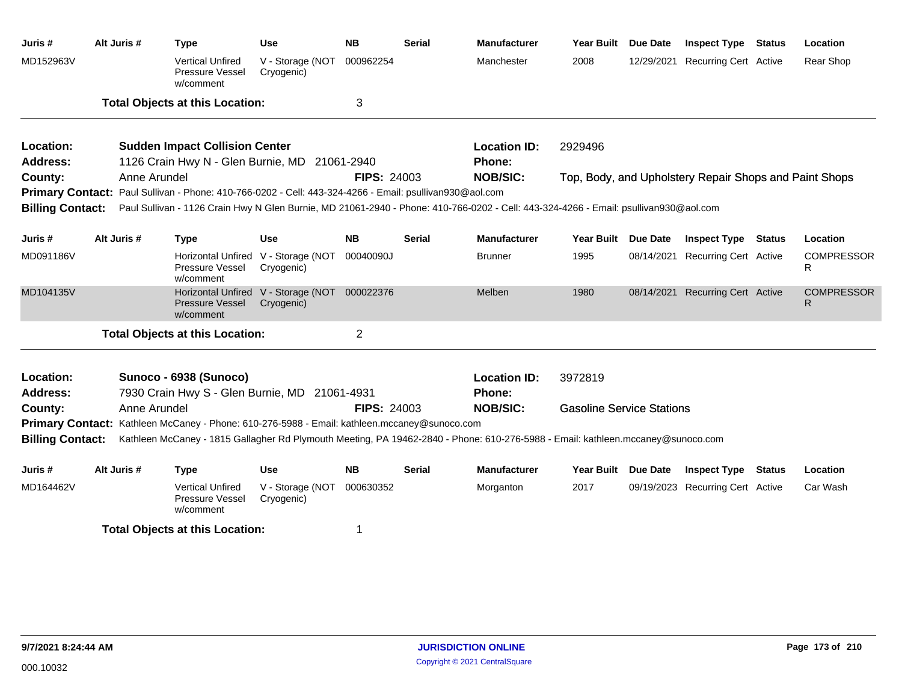| Juris #                      | Alt Juris # | <b>Type</b>                                                                                                                                                                                                                     | Use                                                         | <b>NB</b>          | <b>Serial</b> | <b>Manufacturer</b>           | <b>Year Built</b>                | <b>Due Date</b> | <b>Inspect Type Status</b>                             | Location               |
|------------------------------|-------------|---------------------------------------------------------------------------------------------------------------------------------------------------------------------------------------------------------------------------------|-------------------------------------------------------------|--------------------|---------------|-------------------------------|----------------------------------|-----------------|--------------------------------------------------------|------------------------|
| MD152963V                    |             | <b>Vertical Unfired</b><br>Pressure Vessel<br>w/comment                                                                                                                                                                         | V - Storage (NOT<br>Cryogenic)                              | 000962254          |               | Manchester                    | 2008                             | 12/29/2021      | <b>Recurring Cert Active</b>                           | Rear Shop              |
|                              |             | <b>Total Objects at this Location:</b>                                                                                                                                                                                          |                                                             | 3                  |               |                               |                                  |                 |                                                        |                        |
| Location:                    |             | <b>Sudden Impact Collision Center</b>                                                                                                                                                                                           |                                                             |                    |               | <b>Location ID:</b>           | 2929496                          |                 |                                                        |                        |
| <b>Address:</b>              |             | 1126 Crain Hwy N - Glen Burnie, MD 21061-2940                                                                                                                                                                                   |                                                             |                    |               | Phone:                        |                                  |                 |                                                        |                        |
| County:                      |             | Anne Arundel                                                                                                                                                                                                                    |                                                             | <b>FIPS: 24003</b> |               | <b>NOB/SIC:</b>               |                                  |                 | Top, Body, and Upholstery Repair Shops and Paint Shops |                        |
|                              |             | Primary Contact: Paul Sullivan - Phone: 410-766-0202 - Cell: 443-324-4266 - Email: psullivan930@aol.com                                                                                                                         |                                                             |                    |               |                               |                                  |                 |                                                        |                        |
| <b>Billing Contact:</b>      |             | Paul Sullivan - 1126 Crain Hwy N Glen Burnie, MD 21061-2940 - Phone: 410-766-0202 - Cell: 443-324-4266 - Email: psullivan930@aol.com                                                                                            |                                                             |                    |               |                               |                                  |                 |                                                        |                        |
| Juris #                      | Alt Juris # | <b>Type</b>                                                                                                                                                                                                                     | <b>Use</b>                                                  | <b>NB</b>          | <b>Serial</b> | <b>Manufacturer</b>           | Year Built Due Date              |                 | <b>Inspect Type Status</b>                             | Location               |
| MD091186V                    |             | Pressure Vessel<br>w/comment                                                                                                                                                                                                    | Horizontal Unfired V - Storage (NOT<br>Cryogenic)           | 00040090J          |               | Brunner                       | 1995                             | 08/14/2021      | Recurring Cert Active                                  | <b>COMPRESSOR</b><br>R |
| MD104135V                    |             | <b>Pressure Vessel</b><br>w/comment                                                                                                                                                                                             | Horizontal Unfired V - Storage (NOT 000022376<br>Cryogenic) |                    |               | Melben                        | 1980                             |                 | 08/14/2021 Recurring Cert Active                       | <b>COMPRESSOR</b><br>R |
|                              |             | <b>Total Objects at this Location:</b>                                                                                                                                                                                          |                                                             | $\overline{2}$     |               |                               |                                  |                 |                                                        |                        |
| Location:<br><b>Address:</b> |             | Sunoco - 6938 (Sunoco)<br>7930 Crain Hwy S - Glen Burnie, MD 21061-4931                                                                                                                                                         |                                                             |                    |               | <b>Location ID:</b><br>Phone: | 3972819                          |                 |                                                        |                        |
| County:                      |             | Anne Arundel                                                                                                                                                                                                                    |                                                             | <b>FIPS: 24003</b> |               | <b>NOB/SIC:</b>               | <b>Gasoline Service Stations</b> |                 |                                                        |                        |
| <b>Billing Contact:</b>      |             | Primary Contact: Kathleen McCaney - Phone: 610-276-5988 - Email: kathleen.mccaney@sunoco.com<br>Kathleen McCaney - 1815 Gallagher Rd Plymouth Meeting, PA 19462-2840 - Phone: 610-276-5988 - Email: kathleen.mccaney@sunoco.com |                                                             |                    |               |                               |                                  |                 |                                                        |                        |
| Juris #                      | Alt Juris # | <b>Type</b>                                                                                                                                                                                                                     | Use                                                         | <b>NB</b>          | <b>Serial</b> | <b>Manufacturer</b>           | Year Built Due Date              |                 | <b>Inspect Type Status</b>                             | Location               |
| MD164462V                    |             | <b>Vertical Unfired</b><br>Pressure Vessel<br>w/comment                                                                                                                                                                         | V - Storage (NOT<br>Cryogenic)                              | 000630352          |               | Morganton                     | 2017                             |                 | 09/19/2023 Recurring Cert Active                       | Car Wash               |
|                              |             | <b>Total Objects at this Location:</b>                                                                                                                                                                                          |                                                             | 1                  |               |                               |                                  |                 |                                                        |                        |
|                              |             |                                                                                                                                                                                                                                 |                                                             |                    |               |                               |                                  |                 |                                                        |                        |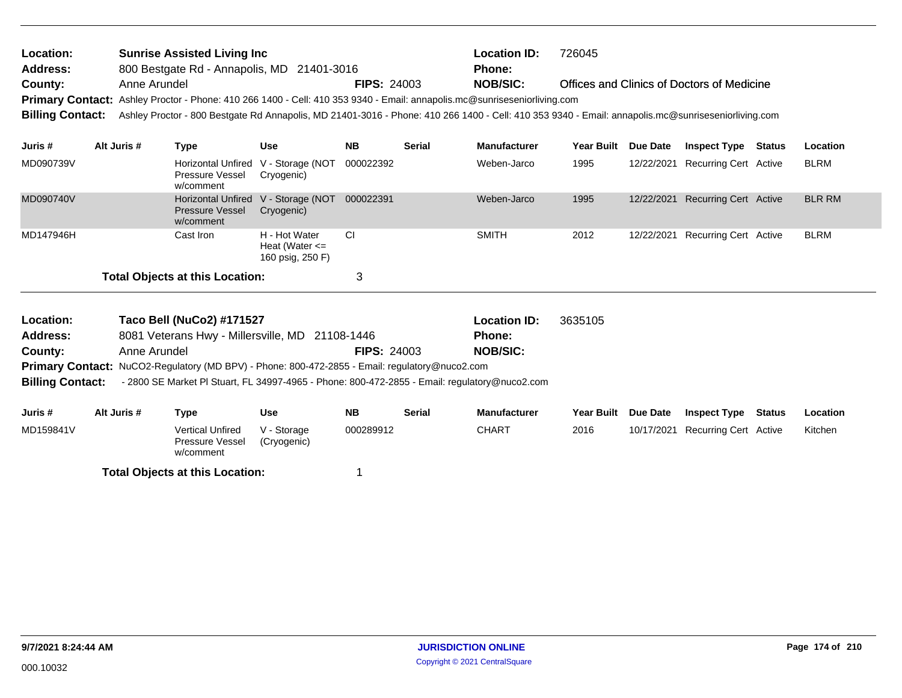| Location:               | <b>Sunrise Assisted Living Inc.</b>                                                                                                                |                    | <b>Location ID:</b> | 726045                                     |
|-------------------------|----------------------------------------------------------------------------------------------------------------------------------------------------|--------------------|---------------------|--------------------------------------------|
| <b>Address:</b>         | 800 Bestgate Rd - Annapolis, MD 21401-3016                                                                                                         |                    | <b>Phone:</b>       |                                            |
| County:                 | Anne Arundel                                                                                                                                       | <b>FIPS: 24003</b> | NOB/SIC:            | Offices and Clinics of Doctors of Medicine |
|                         | Primary Contact: Ashley Proctor - Phone: 410 266 1400 - Cell: 410 353 9340 - Email: annapolis.mc@sunriseseniorliving.com                           |                    |                     |                                            |
| <b>Billing Contact:</b> | Ashley Proctor - 800 Bestgate Rd Annapolis, MD 21401-3016 - Phone: 410 266 1400 - Cell: 410 353 9340 - Email: annapolis.mc@sunriseseniorliving.com |                    |                     |                                            |

| Juris #   | Alt Juris # | Type                                                                       | <b>Use</b>                                              | <b>NB</b> | <b>Serial</b> | <b>Manufacturer</b> | Year Built | <b>Due Date</b> | <b>Inspect Type</b>              | <b>Status</b> | <b>Location</b> |
|-----------|-------------|----------------------------------------------------------------------------|---------------------------------------------------------|-----------|---------------|---------------------|------------|-----------------|----------------------------------|---------------|-----------------|
| MD090739V |             | Pressure Vessel<br>w/comment                                               | Horizontal Unfired V - Storage (NOT<br>Cryogenic)       | 000022392 |               | Weben-Jarco         | 1995       | 12/22/2021      | Recurring Cert Active            |               | <b>BLRM</b>     |
| MD090740V |             | Horizontal Unfired V - Storage (NOT<br><b>Pressure Vessel</b><br>w/comment | Cryogenic)                                              | 000022391 |               | Weben-Jarco         | 1995       |                 | 12/22/2021 Recurring Cert Active |               | <b>BLR RM</b>   |
| MD147946H |             | Cast Iron                                                                  | H - Hot Water<br>Heat (Water $\leq$<br>160 psig, 250 F) | <b>CI</b> |               | <b>SMITH</b>        | 2012       | 12/22/2021      | Recurring Cert Active            |               | <b>BLRM</b>     |
|           |             | <b>Total Objects at this Location:</b>                                     |                                                         | 3         |               |                     |            |                 |                                  |               |                 |

| Location:               |              | Taco Bell (NuCo2) #171527                                                                             |            |                    |               | <b>Location ID:</b>                                                                           | 3635105    |                 |                     |        |          |
|-------------------------|--------------|-------------------------------------------------------------------------------------------------------|------------|--------------------|---------------|-----------------------------------------------------------------------------------------------|------------|-----------------|---------------------|--------|----------|
| <b>Address:</b>         |              | 8081 Veterans Hwy - Millersville, MD 21108-1446                                                       |            |                    |               | <b>Phone:</b>                                                                                 |            |                 |                     |        |          |
| County:                 | Anne Arundel |                                                                                                       |            | <b>FIPS: 24003</b> |               | <b>NOB/SIC:</b>                                                                               |            |                 |                     |        |          |
|                         |              | <b>Primary Contact:</b> NuCO2-Regulatory (MD BPV) - Phone: 800-472-2855 - Email: regulatory@nuco2.com |            |                    |               |                                                                                               |            |                 |                     |        |          |
| <b>Billing Contact:</b> |              |                                                                                                       |            |                    |               | - 2800 SE Market PI Stuart, FL 34997-4965 - Phone: 800-472-2855 - Email: regulatory@nuco2.com |            |                 |                     |        |          |
|                         |              |                                                                                                       |            |                    |               |                                                                                               |            |                 |                     |        |          |
|                         |              |                                                                                                       |            |                    |               |                                                                                               |            |                 |                     |        |          |
| Juris #                 | Alt Juris #  | Type                                                                                                  | <b>Use</b> | <b>NB</b>          | <b>Serial</b> | <b>Manufacturer</b>                                                                           | Year Built | <b>Due Date</b> | <b>Inspect Type</b> | Status | Location |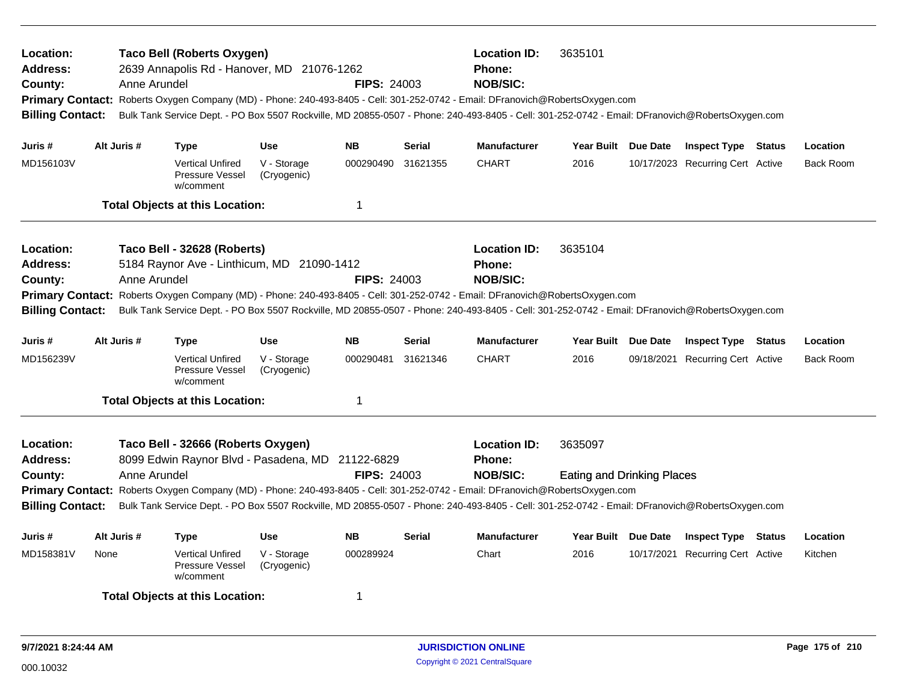| Location:<br><b>Address:</b><br>County:<br><b>Billing Contact:</b> | Anne Arundel | <b>Taco Bell (Roberts Oxygen)</b><br>2639 Annapolis Rd - Hanover, MD 21076-1262        |                            | <b>FIPS: 24003</b> | <b>Location ID:</b><br><b>Phone:</b><br><b>NOB/SIC:</b><br>Primary Contact: Roberts Oxygen Company (MD) - Phone: 240-493-8405 - Cell: 301-252-0742 - Email: DFranovich@RobertsOxygen.com<br>Bulk Tank Service Dept. - PO Box 5507 Rockville, MD 20855-0507 - Phone: 240-493-8405 - Cell: 301-252-0742 - Email: DFranovich@RobertsOxygen.com | 3635101                                                                                                                                                                                                                                                                                                                                     |                                              |          |                                  |        |                  |
|--------------------------------------------------------------------|--------------|----------------------------------------------------------------------------------------|----------------------------|--------------------|---------------------------------------------------------------------------------------------------------------------------------------------------------------------------------------------------------------------------------------------------------------------------------------------------------------------------------------------|---------------------------------------------------------------------------------------------------------------------------------------------------------------------------------------------------------------------------------------------------------------------------------------------------------------------------------------------|----------------------------------------------|----------|----------------------------------|--------|------------------|
| Juris #                                                            | Alt Juris #  | <b>Type</b>                                                                            | <b>Use</b>                 | <b>NB</b>          | <b>Serial</b>                                                                                                                                                                                                                                                                                                                               | <b>Manufacturer</b>                                                                                                                                                                                                                                                                                                                         | Year Built Due Date                          |          | <b>Inspect Type Status</b>       |        | Location         |
| MD156103V                                                          |              | <b>Vertical Unfired</b><br>Pressure Vessel<br>w/comment                                | V - Storage<br>(Cryogenic) | 000290490          | 31621355                                                                                                                                                                                                                                                                                                                                    | <b>CHART</b>                                                                                                                                                                                                                                                                                                                                | 2016                                         |          | 10/17/2023 Recurring Cert Active |        | <b>Back Room</b> |
|                                                                    |              | <b>Total Objects at this Location:</b>                                                 |                            | $\mathbf 1$        |                                                                                                                                                                                                                                                                                                                                             |                                                                                                                                                                                                                                                                                                                                             |                                              |          |                                  |        |                  |
| Location:<br><b>Address:</b><br>County:<br><b>Billing Contact:</b> | Anne Arundel | Taco Bell - 32628 (Roberts)<br>5184 Raynor Ave - Linthicum, MD 21090-1412              |                            | <b>FIPS: 24003</b> |                                                                                                                                                                                                                                                                                                                                             | <b>Location ID:</b><br><b>Phone:</b><br><b>NOB/SIC:</b><br>Primary Contact: Roberts Oxygen Company (MD) - Phone: 240-493-8405 - Cell: 301-252-0742 - Email: DFranovich@RobertsOxygen.com<br>Bulk Tank Service Dept. - PO Box 5507 Rockville, MD 20855-0507 - Phone: 240-493-8405 - Cell: 301-252-0742 - Email: DFranovich@RobertsOxygen.com | 3635104                                      |          |                                  |        |                  |
| Juris #                                                            | Alt Juris #  | Type                                                                                   | Use                        | <b>NB</b>          | <b>Serial</b>                                                                                                                                                                                                                                                                                                                               | <b>Manufacturer</b>                                                                                                                                                                                                                                                                                                                         | Year Built Due Date                          |          | <b>Inspect Type Status</b>       |        | Location         |
| MD156239V                                                          |              | <b>Vertical Unfired</b><br>Pressure Vessel<br>w/comment                                | V - Storage<br>(Cryogenic) | 000290481          | 31621346                                                                                                                                                                                                                                                                                                                                    | <b>CHART</b>                                                                                                                                                                                                                                                                                                                                | 2016                                         |          | 09/18/2021 Recurring Cert Active |        | <b>Back Room</b> |
|                                                                    |              | <b>Total Objects at this Location:</b>                                                 |                            | $\mathbf{1}$       |                                                                                                                                                                                                                                                                                                                                             |                                                                                                                                                                                                                                                                                                                                             |                                              |          |                                  |        |                  |
| Location:<br><b>Address:</b><br>County:<br><b>Billing Contact:</b> | Anne Arundel | Taco Bell - 32666 (Roberts Oxygen)<br>8099 Edwin Raynor Blvd - Pasadena, MD 21122-6829 |                            | <b>FIPS: 24003</b> |                                                                                                                                                                                                                                                                                                                                             | <b>Location ID:</b><br><b>Phone:</b><br><b>NOB/SIC:</b><br>Primary Contact: Roberts Oxygen Company (MD) - Phone: 240-493-8405 - Cell: 301-252-0742 - Email: DFranovich@RobertsOxygen.com<br>Bulk Tank Service Dept. - PO Box 5507 Rockville, MD 20855-0507 - Phone: 240-493-8405 - Cell: 301-252-0742 - Email: DFranovich@RobertsOxygen.com | 3635097<br><b>Eating and Drinking Places</b> |          |                                  |        |                  |
| Juris #                                                            | Alt Juris #  | Type                                                                                   | <b>Use</b>                 | <b>NB</b>          | <b>Serial</b>                                                                                                                                                                                                                                                                                                                               | <b>Manufacturer</b>                                                                                                                                                                                                                                                                                                                         | <b>Year Built</b>                            | Due Date | <b>Inspect Type</b>              | Status | Location         |
| MD158381V                                                          | None         | <b>Vertical Unfired</b><br>Pressure Vessel<br>w/comment                                | V - Storage<br>(Cryogenic) | 000289924          |                                                                                                                                                                                                                                                                                                                                             | Chart                                                                                                                                                                                                                                                                                                                                       | 2016                                         |          | 10/17/2021 Recurring Cert Active |        | Kitchen          |
|                                                                    |              | <b>Total Objects at this Location:</b>                                                 |                            | 1                  |                                                                                                                                                                                                                                                                                                                                             |                                                                                                                                                                                                                                                                                                                                             |                                              |          |                                  |        |                  |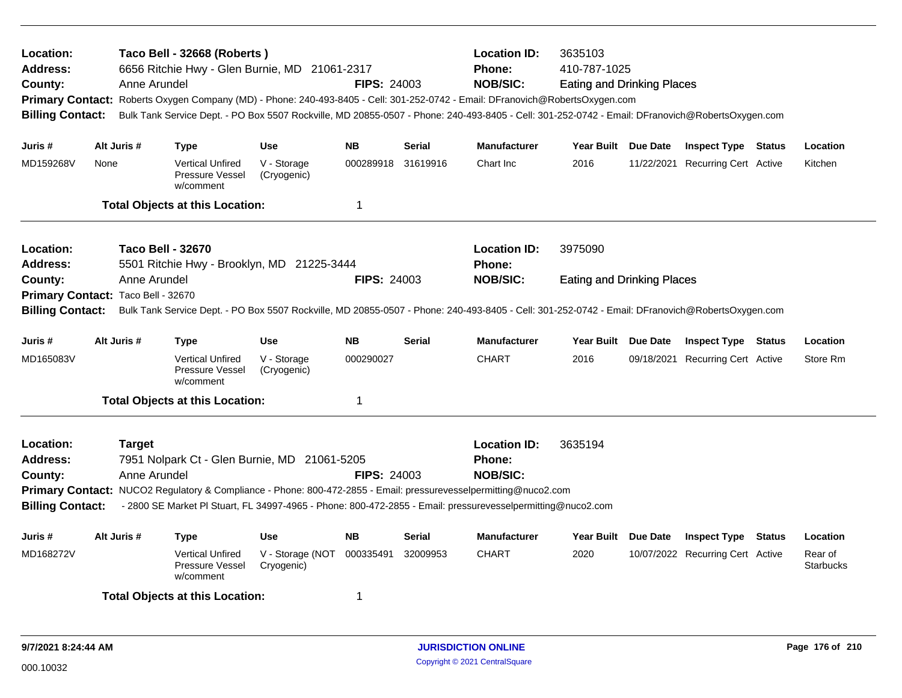| Location:<br><b>Address:</b><br>County:<br><b>Billing Contact:</b>                                                                                                                                                                                                |                                                                        | Anne Arundel                  | Taco Bell - 32668 (Roberts)<br>6656 Ritchie Hwy - Glen Burnie, MD 21061-2317 |                                | <b>FIPS: 24003</b> |                                                                                                                                                                                                                                                                                            | <b>Location ID:</b><br>3635103<br>Phone:<br>410-787-1025<br><b>NOB/SIC:</b><br><b>Eating and Drinking Places</b><br>Primary Contact: Roberts Oxygen Company (MD) - Phone: 240-493-8405 - Cell: 301-252-0742 - Email: DFranovich@RobertsOxygen.com<br>Bulk Tank Service Dept. - PO Box 5507 Rockville, MD 20855-0507 - Phone: 240-493-8405 - Cell: 301-252-0742 - Email: DFranovich@RobertsOxygen.com |                                   |  |                                  |  |                             |  |
|-------------------------------------------------------------------------------------------------------------------------------------------------------------------------------------------------------------------------------------------------------------------|------------------------------------------------------------------------|-------------------------------|------------------------------------------------------------------------------|--------------------------------|--------------------|--------------------------------------------------------------------------------------------------------------------------------------------------------------------------------------------------------------------------------------------------------------------------------------------|------------------------------------------------------------------------------------------------------------------------------------------------------------------------------------------------------------------------------------------------------------------------------------------------------------------------------------------------------------------------------------------------------|-----------------------------------|--|----------------------------------|--|-----------------------------|--|
| Juris #                                                                                                                                                                                                                                                           | Alt Juris #                                                            |                               | <b>Type</b>                                                                  | <b>Use</b>                     | <b>NB</b>          | <b>Serial</b>                                                                                                                                                                                                                                                                              | <b>Manufacturer</b>                                                                                                                                                                                                                                                                                                                                                                                  | Year Built Due Date               |  | <b>Inspect Type Status</b>       |  | Location                    |  |
| MD159268V                                                                                                                                                                                                                                                         | None                                                                   |                               | <b>Vertical Unfired</b><br>Pressure Vessel<br>w/comment                      | V - Storage<br>(Cryogenic)     | 000289918          | 31619916                                                                                                                                                                                                                                                                                   | Chart Inc                                                                                                                                                                                                                                                                                                                                                                                            | 2016                              |  | 11/22/2021 Recurring Cert Active |  | Kitchen                     |  |
|                                                                                                                                                                                                                                                                   |                                                                        |                               | <b>Total Objects at this Location:</b>                                       |                                | $\mathbf 1$        |                                                                                                                                                                                                                                                                                            |                                                                                                                                                                                                                                                                                                                                                                                                      |                                   |  |                                  |  |                             |  |
| Location:<br>Address:                                                                                                                                                                                                                                             | <b>Taco Bell - 32670</b><br>5501 Ritchie Hwy - Brooklyn, MD 21225-3444 |                               |                                                                              |                                |                    |                                                                                                                                                                                                                                                                                            | <b>Location ID:</b><br>Phone:                                                                                                                                                                                                                                                                                                                                                                        | 3975090                           |  |                                  |  |                             |  |
| County:<br>Anne Arundel<br><b>FIPS: 24003</b><br>Primary Contact: Taco Bell - 32670<br>Bulk Tank Service Dept. - PO Box 5507 Rockville, MD 20855-0507 - Phone: 240-493-8405 - Cell: 301-252-0742 - Email: DFranovich@RobertsOxygen.com<br><b>Billing Contact:</b> |                                                                        |                               |                                                                              |                                |                    |                                                                                                                                                                                                                                                                                            | <b>NOB/SIC:</b>                                                                                                                                                                                                                                                                                                                                                                                      | <b>Eating and Drinking Places</b> |  |                                  |  |                             |  |
| Juris #                                                                                                                                                                                                                                                           | Alt Juris #                                                            |                               | Type                                                                         | <b>Use</b>                     | <b>NB</b>          | <b>Serial</b>                                                                                                                                                                                                                                                                              | <b>Manufacturer</b>                                                                                                                                                                                                                                                                                                                                                                                  | Year Built Due Date               |  | <b>Inspect Type Status</b>       |  | Location                    |  |
| MD165083V                                                                                                                                                                                                                                                         |                                                                        |                               | <b>Vertical Unfired</b><br>Pressure Vessel<br>w/comment                      | V - Storage<br>(Cryogenic)     | 000290027          |                                                                                                                                                                                                                                                                                            | <b>CHART</b>                                                                                                                                                                                                                                                                                                                                                                                         | 2016                              |  | 09/18/2021 Recurring Cert Active |  | Store Rm                    |  |
|                                                                                                                                                                                                                                                                   |                                                                        |                               | <b>Total Objects at this Location:</b>                                       |                                | $\mathbf 1$        |                                                                                                                                                                                                                                                                                            |                                                                                                                                                                                                                                                                                                                                                                                                      |                                   |  |                                  |  |                             |  |
| Location:<br>Address:<br>County:<br><b>Billing Contact:</b>                                                                                                                                                                                                       |                                                                        | <b>Target</b><br>Anne Arundel | 7951 Nolpark Ct - Glen Burnie, MD 21061-5205                                 |                                | <b>FIPS: 24003</b> | <b>Location ID:</b><br><b>Phone:</b><br><b>NOB/SIC:</b><br>Primary Contact: NUCO2 Regulatory & Compliance - Phone: 800-472-2855 - Email: pressurevesselpermitting@nuco2.com<br>- 2800 SE Market PI Stuart, FL 34997-4965 - Phone: 800-472-2855 - Email: pressurevesselpermitting@nuco2.com | 3635194                                                                                                                                                                                                                                                                                                                                                                                              |                                   |  |                                  |  |                             |  |
| Juris #                                                                                                                                                                                                                                                           | Alt Juris #                                                            |                               | Type                                                                         | <b>Use</b>                     | <b>NB</b>          | <b>Serial</b>                                                                                                                                                                                                                                                                              | <b>Manufacturer</b>                                                                                                                                                                                                                                                                                                                                                                                  | Year Built Due Date               |  | <b>Inspect Type Status</b>       |  | Location                    |  |
| MD168272V                                                                                                                                                                                                                                                         |                                                                        |                               | <b>Vertical Unfired</b><br>Pressure Vessel<br>w/comment                      | V - Storage (NOT<br>Cryogenic) | 000335491          | 32009953                                                                                                                                                                                                                                                                                   | <b>CHART</b>                                                                                                                                                                                                                                                                                                                                                                                         | 2020                              |  | 10/07/2022 Recurring Cert Active |  | Rear of<br><b>Starbucks</b> |  |
|                                                                                                                                                                                                                                                                   |                                                                        |                               | <b>Total Objects at this Location:</b>                                       |                                | 1                  |                                                                                                                                                                                                                                                                                            |                                                                                                                                                                                                                                                                                                                                                                                                      |                                   |  |                                  |  |                             |  |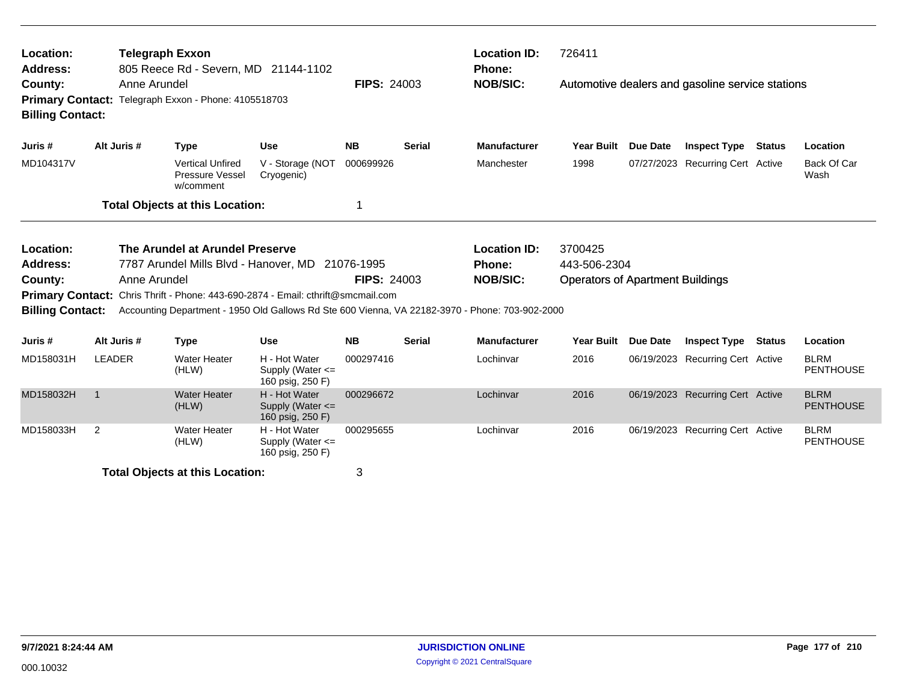| Location:<br><b>Address:</b>                                                                               |                | <b>Telegraph Exxon</b><br>805 Reece Rd - Severn, MD 21144-1102 |                                                         |                                                                                                 |                    |               | <b>Location ID:</b><br><b>Phone:</b> |                                                  | 726411   |                                  |               |                                 |  |  |
|------------------------------------------------------------------------------------------------------------|----------------|----------------------------------------------------------------|---------------------------------------------------------|-------------------------------------------------------------------------------------------------|--------------------|---------------|--------------------------------------|--------------------------------------------------|----------|----------------------------------|---------------|---------------------------------|--|--|
| County:<br>Anne Arundel<br>Primary Contact: Telegraph Exxon - Phone: 4105518703<br><b>Billing Contact:</b> |                |                                                                |                                                         |                                                                                                 | <b>FIPS: 24003</b> |               | <b>NOB/SIC:</b>                      | Automotive dealers and gasoline service stations |          |                                  |               |                                 |  |  |
| Juris #                                                                                                    | Alt Juris #    |                                                                | <b>Type</b>                                             | <b>Use</b>                                                                                      | <b>NB</b>          | <b>Serial</b> | <b>Manufacturer</b>                  | <b>Year Built</b>                                | Due Date | <b>Inspect Type</b>              | Status        | Location                        |  |  |
| MD104317V                                                                                                  |                |                                                                | <b>Vertical Unfired</b><br>Pressure Vessel<br>w/comment | V - Storage (NOT<br>Cryogenic)                                                                  | 000699926          |               | Manchester                           | 1998                                             |          | 07/27/2023 Recurring Cert Active |               | Back Of Car<br>Wash             |  |  |
|                                                                                                            |                |                                                                | <b>Total Objects at this Location:</b>                  |                                                                                                 |                    |               |                                      |                                                  |          |                                  |               |                                 |  |  |
| Location:                                                                                                  |                |                                                                | The Arundel at Arundel Preserve                         |                                                                                                 |                    |               | <b>Location ID:</b>                  | 3700425                                          |          |                                  |               |                                 |  |  |
| <b>Address:</b>                                                                                            |                |                                                                |                                                         | 7787 Arundel Mills Blvd - Hanover, MD 21076-1995                                                |                    |               | <b>Phone:</b>                        | 443-506-2304                                     |          |                                  |               |                                 |  |  |
| County:                                                                                                    |                | Anne Arundel                                                   |                                                         |                                                                                                 | <b>FIPS: 24003</b> |               | <b>NOB/SIC:</b>                      | <b>Operators of Apartment Buildings</b>          |          |                                  |               |                                 |  |  |
| <b>Primary Contact:</b>                                                                                    |                |                                                                |                                                         | Chris Thrift - Phone: 443-690-2874 - Email: cthrift@smcmail.com                                 |                    |               |                                      |                                                  |          |                                  |               |                                 |  |  |
| <b>Billing Contact:</b>                                                                                    |                |                                                                |                                                         | Accounting Department - 1950 Old Gallows Rd Ste 600 Vienna, VA 22182-3970 - Phone: 703-902-2000 |                    |               |                                      |                                                  |          |                                  |               |                                 |  |  |
| Juris #                                                                                                    | Alt Juris #    |                                                                | <b>Type</b>                                             | <b>Use</b>                                                                                      | <b>NB</b>          | <b>Serial</b> | <b>Manufacturer</b>                  | <b>Year Built</b>                                | Due Date | <b>Inspect Type</b>              | <b>Status</b> | Location                        |  |  |
| MD158031H                                                                                                  | <b>LEADER</b>  |                                                                | <b>Water Heater</b><br>(HLW)                            | H - Hot Water<br>Supply (Water $\leq$<br>160 psig, 250 F)                                       | 000297416          |               | Lochinvar                            | 2016                                             |          | 06/19/2023 Recurring Cert Active |               | <b>BLRM</b><br><b>PENTHOUSE</b> |  |  |
| MD158032H                                                                                                  | $\overline{1}$ |                                                                | <b>Water Heater</b><br>(HLW)                            | H - Hot Water<br>Supply (Water $\leq$<br>160 psig, 250 F)                                       | 000296672          |               | Lochinvar                            | 2016                                             |          | 06/19/2023 Recurring Cert Active |               | <b>BLRM</b><br><b>PENTHOUSE</b> |  |  |
| MD158033H                                                                                                  | 2              |                                                                | <b>Water Heater</b><br>(HLW)                            | H - Hot Water<br>Supply (Water $\leq$<br>160 psig, 250 F)                                       | 000295655          |               | Lochinvar                            | 2016                                             |          | 06/19/2023 Recurring Cert Active |               | <b>BLRM</b><br><b>PENTHOUSE</b> |  |  |
|                                                                                                            |                |                                                                | <b>Total Objects at this Location:</b>                  |                                                                                                 | 3                  |               |                                      |                                                  |          |                                  |               |                                 |  |  |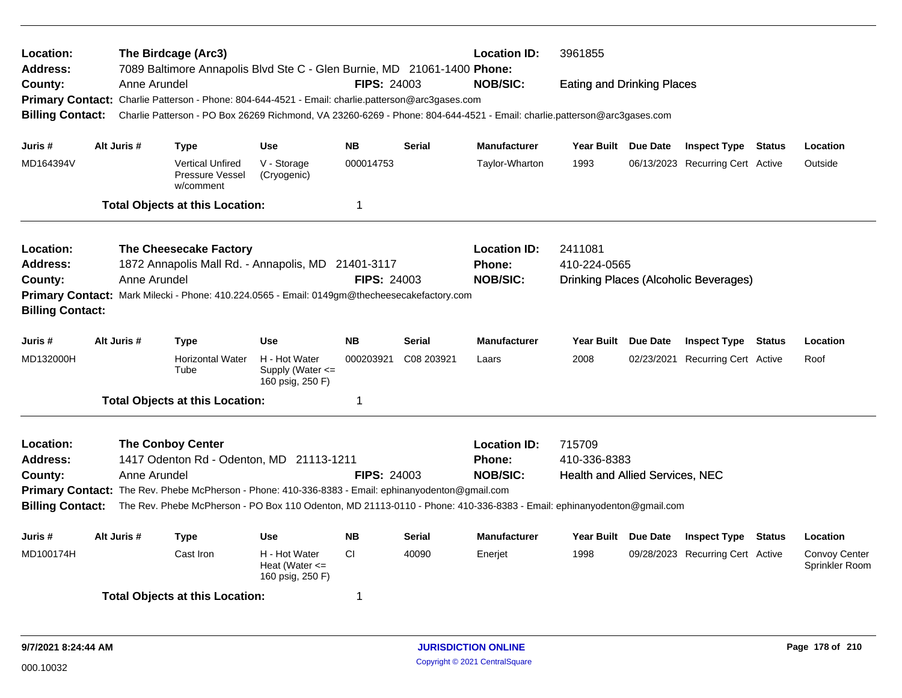| Location:<br>Address:   |              | The Birdcage (Arc3)                                                                                                     | 7089 Baltimore Annapolis Blvd Ste C - Glen Burnie, MD 21061-1400 Phone:                            |                    |               | <b>Location ID:</b>                                                                                                   | 3961855                               |          |                                  |        |                                 |  |  |  |
|-------------------------|--------------|-------------------------------------------------------------------------------------------------------------------------|----------------------------------------------------------------------------------------------------|--------------------|---------------|-----------------------------------------------------------------------------------------------------------------------|---------------------------------------|----------|----------------------------------|--------|---------------------------------|--|--|--|
| County:                 | Anne Arundel |                                                                                                                         |                                                                                                    | <b>FIPS: 24003</b> |               | <b>NOB/SIC:</b>                                                                                                       | <b>Eating and Drinking Places</b>     |          |                                  |        |                                 |  |  |  |
|                         |              |                                                                                                                         | Primary Contact: Charlie Patterson - Phone: 804-644-4521 - Email: charlie.patterson@arc3gases.com  |                    |               |                                                                                                                       |                                       |          |                                  |        |                                 |  |  |  |
| <b>Billing Contact:</b> |              | Charlie Patterson - PO Box 26269 Richmond, VA 23260-6269 - Phone: 804-644-4521 - Email: charlie.patterson@arc3gases.com |                                                                                                    |                    |               |                                                                                                                       |                                       |          |                                  |        |                                 |  |  |  |
| Juris #                 | Alt Juris #  | <b>Type</b>                                                                                                             | <b>Use</b>                                                                                         | <b>NB</b>          | Serial        | <b>Manufacturer</b>                                                                                                   | Year Built Due Date                   |          | <b>Inspect Type Status</b>       |        | Location                        |  |  |  |
| MD164394V               |              | <b>Vertical Unfired</b><br>Pressure Vessel<br>w/comment                                                                 | V - Storage<br>(Cryogenic)                                                                         | 000014753          |               | Taylor-Wharton                                                                                                        | 1993                                  |          | 06/13/2023 Recurring Cert Active |        | Outside                         |  |  |  |
|                         |              | <b>Total Objects at this Location:</b>                                                                                  |                                                                                                    | 1                  |               |                                                                                                                       |                                       |          |                                  |        |                                 |  |  |  |
| Location:               |              | The Cheesecake Factory                                                                                                  |                                                                                                    |                    |               | <b>Location ID:</b>                                                                                                   | 2411081                               |          |                                  |        |                                 |  |  |  |
| <b>Address:</b>         |              |                                                                                                                         | 1872 Annapolis Mall Rd. - Annapolis, MD 21401-3117                                                 |                    |               | Phone:                                                                                                                | 410-224-0565                          |          |                                  |        |                                 |  |  |  |
| County:                 | Anne Arundel |                                                                                                                         |                                                                                                    | <b>FIPS: 24003</b> |               | <b>NOB/SIC:</b>                                                                                                       | Drinking Places (Alcoholic Beverages) |          |                                  |        |                                 |  |  |  |
| <b>Billing Contact:</b> |              |                                                                                                                         | Primary Contact: Mark Milecki - Phone: 410.224.0565 - Email: 0149gm@thecheesecakefactory.com       |                    |               |                                                                                                                       |                                       |          |                                  |        |                                 |  |  |  |
| Juris #                 | Alt Juris #  | <b>Type</b>                                                                                                             | <b>Use</b>                                                                                         | <b>NB</b>          | <b>Serial</b> | <b>Manufacturer</b>                                                                                                   | Year Built Due Date                   |          | <b>Inspect Type</b>              | Status | Location                        |  |  |  |
| MD132000H               |              | <b>Horizontal Water</b><br>Tube                                                                                         | H - Hot Water<br>Supply (Water $\leq$<br>160 psig, 250 F)                                          | 000203921          | C08 203921    | Laars                                                                                                                 | 2008                                  |          | 02/23/2021 Recurring Cert Active |        | Roof                            |  |  |  |
|                         |              | <b>Total Objects at this Location:</b>                                                                                  |                                                                                                    | 1                  |               |                                                                                                                       |                                       |          |                                  |        |                                 |  |  |  |
| Location:               |              | <b>The Conboy Center</b>                                                                                                |                                                                                                    |                    |               | <b>Location ID:</b>                                                                                                   | 715709                                |          |                                  |        |                                 |  |  |  |
| Address:                |              |                                                                                                                         | 1417 Odenton Rd - Odenton, MD 21113-1211                                                           |                    |               | <b>Phone:</b>                                                                                                         | 410-336-8383                          |          |                                  |        |                                 |  |  |  |
| County:                 | Anne Arundel |                                                                                                                         |                                                                                                    | <b>FIPS: 24003</b> |               | <b>NOB/SIC:</b>                                                                                                       | Health and Allied Services, NEC       |          |                                  |        |                                 |  |  |  |
|                         |              |                                                                                                                         | Primary Contact: The Rev. Phebe McPherson - Phone: 410-336-8383 - Email: ephinanyodenton@gmail.com |                    |               |                                                                                                                       |                                       |          |                                  |        |                                 |  |  |  |
| <b>Billing Contact:</b> |              |                                                                                                                         |                                                                                                    |                    |               | The Rev. Phebe McPherson - PO Box 110 Odenton, MD 21113-0110 - Phone: 410-336-8383 - Email: ephinanyodenton@gmail.com |                                       |          |                                  |        |                                 |  |  |  |
| Juris #                 | Alt Juris #  | <b>Type</b>                                                                                                             | Use                                                                                                | <b>NB</b>          | Serial        | <b>Manufacturer</b>                                                                                                   | <b>Year Built</b>                     | Due Date | <b>Inspect Type</b>              | Status | Location                        |  |  |  |
| MD100174H               |              | Cast Iron                                                                                                               | H - Hot Water<br>Heat (Water $\leq$<br>160 psig, 250 F)                                            | CI.                | 40090         | Enerjet                                                                                                               | 1998                                  |          | 09/28/2023 Recurring Cert Active |        | Convoy Center<br>Sprinkler Room |  |  |  |
|                         |              | <b>Total Objects at this Location:</b>                                                                                  |                                                                                                    | 1                  |               |                                                                                                                       |                                       |          |                                  |        |                                 |  |  |  |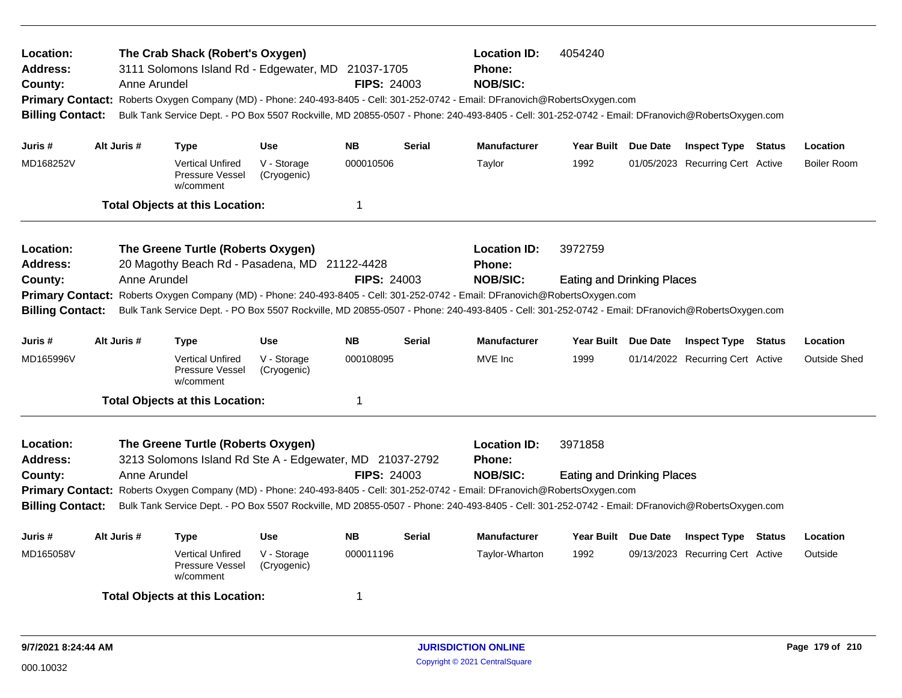| Location:<br><b>Address:</b><br>County:<br><b>Billing Contact:</b> |             | Anne Arundel | The Crab Shack (Robert's Oxygen)<br>3111 Solomons Island Rd - Edgewater, MD 21037-1705         |                            | <b>FIPS: 24003</b> |               | <b>Location ID:</b><br><b>Phone:</b><br><b>NOB/SIC:</b>                                                                                                                                                                                                                                                                                     | 4054240<br>Primary Contact: Roberts Oxygen Company (MD) - Phone: 240-493-8405 - Cell: 301-252-0742 - Email: DFranovich@RobertsOxygen.com<br>Bulk Tank Service Dept. - PO Box 5507 Rockville, MD 20855-0507 - Phone: 240-493-8405 - Cell: 301-252-0742 - Email: DFranovich@RobertsOxygen.com |  |                                  |  |                    |  |
|--------------------------------------------------------------------|-------------|--------------|------------------------------------------------------------------------------------------------|----------------------------|--------------------|---------------|---------------------------------------------------------------------------------------------------------------------------------------------------------------------------------------------------------------------------------------------------------------------------------------------------------------------------------------------|---------------------------------------------------------------------------------------------------------------------------------------------------------------------------------------------------------------------------------------------------------------------------------------------|--|----------------------------------|--|--------------------|--|
| Juris #                                                            | Alt Juris # |              | <b>Type</b>                                                                                    | <b>Use</b>                 | <b>NB</b>          | <b>Serial</b> | <b>Manufacturer</b>                                                                                                                                                                                                                                                                                                                         | Year Built Due Date                                                                                                                                                                                                                                                                         |  | <b>Inspect Type Status</b>       |  | Location           |  |
| MD168252V                                                          |             |              | <b>Vertical Unfired</b><br>Pressure Vessel<br>w/comment                                        | V - Storage<br>(Cryogenic) | 000010506          |               | Taylor                                                                                                                                                                                                                                                                                                                                      | 1992                                                                                                                                                                                                                                                                                        |  | 01/05/2023 Recurring Cert Active |  | <b>Boiler Room</b> |  |
|                                                                    |             |              | <b>Total Objects at this Location:</b>                                                         |                            | $\mathbf 1$        |               |                                                                                                                                                                                                                                                                                                                                             |                                                                                                                                                                                                                                                                                             |  |                                  |  |                    |  |
| Location:<br><b>Address:</b><br>County:<br><b>Billing Contact:</b> |             | Anne Arundel | The Greene Turtle (Roberts Oxygen)<br>20 Magothy Beach Rd - Pasadena, MD 21122-4428            |                            | <b>FIPS: 24003</b> |               | <b>Location ID:</b><br><b>Phone:</b><br><b>NOB/SIC:</b><br>Primary Contact: Roberts Oxygen Company (MD) - Phone: 240-493-8405 - Cell: 301-252-0742 - Email: DFranovich@RobertsOxygen.com<br>Bulk Tank Service Dept. - PO Box 5507 Rockville, MD 20855-0507 - Phone: 240-493-8405 - Cell: 301-252-0742 - Email: DFranovich@RobertsOxygen.com | 3972759<br><b>Eating and Drinking Places</b>                                                                                                                                                                                                                                                |  |                                  |  |                    |  |
| Juris #                                                            | Alt Juris # |              | <b>Type</b>                                                                                    | <b>Use</b>                 | <b>NB</b>          | Serial        | <b>Manufacturer</b>                                                                                                                                                                                                                                                                                                                         | Year Built Due Date                                                                                                                                                                                                                                                                         |  | <b>Inspect Type Status</b>       |  | Location           |  |
| MD165996V                                                          |             |              | <b>Vertical Unfired</b><br>Pressure Vessel<br>w/comment                                        | V - Storage<br>(Cryogenic) | 000108095          |               | MVE Inc                                                                                                                                                                                                                                                                                                                                     | 1999                                                                                                                                                                                                                                                                                        |  | 01/14/2022 Recurring Cert Active |  | Outside Shed       |  |
|                                                                    |             |              | <b>Total Objects at this Location:</b>                                                         |                            | $\mathbf 1$        |               |                                                                                                                                                                                                                                                                                                                                             |                                                                                                                                                                                                                                                                                             |  |                                  |  |                    |  |
| Location:<br><b>Address:</b><br>County:<br><b>Billing Contact:</b> |             | Anne Arundel | The Greene Turtle (Roberts Oxygen)<br>3213 Solomons Island Rd Ste A - Edgewater, MD 21037-2792 |                            | <b>FIPS: 24003</b> |               | <b>Location ID:</b><br><b>Phone:</b><br><b>NOB/SIC:</b><br>Primary Contact: Roberts Oxygen Company (MD) - Phone: 240-493-8405 - Cell: 301-252-0742 - Email: DFranovich@RobertsOxygen.com<br>Bulk Tank Service Dept. - PO Box 5507 Rockville, MD 20855-0507 - Phone: 240-493-8405 - Cell: 301-252-0742 - Email: DFranovich@RobertsOxygen.com | 3971858<br><b>Eating and Drinking Places</b>                                                                                                                                                                                                                                                |  |                                  |  |                    |  |
| Juris #                                                            | Alt Juris # |              | <b>Type</b>                                                                                    | <b>Use</b>                 | <b>NB</b>          | <b>Serial</b> | <b>Manufacturer</b>                                                                                                                                                                                                                                                                                                                         | Year Built Due Date                                                                                                                                                                                                                                                                         |  | <b>Inspect Type Status</b>       |  | Location           |  |
| MD165058V                                                          |             |              | <b>Vertical Unfired</b><br>Pressure Vessel<br>w/comment                                        | V - Storage<br>(Cryogenic) | 000011196          |               | Taylor-Wharton                                                                                                                                                                                                                                                                                                                              | 1992                                                                                                                                                                                                                                                                                        |  | 09/13/2023 Recurring Cert Active |  | Outside            |  |
|                                                                    |             |              | <b>Total Objects at this Location:</b>                                                         |                            | -1                 |               |                                                                                                                                                                                                                                                                                                                                             |                                                                                                                                                                                                                                                                                             |  |                                  |  |                    |  |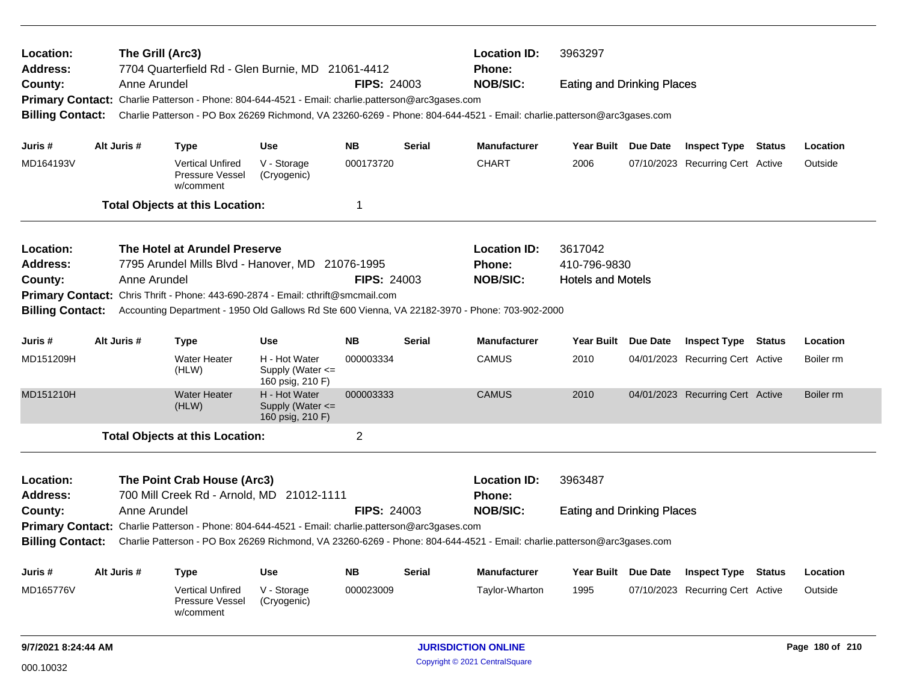| Location:<br>Address:   |             | The Grill (Arc3)<br>7704 Quarterfield Rd - Glen Burnie, MD 21061-4412                                                   |                                                       |                    |               | <b>Location ID:</b><br><b>Phone:</b> | 3963297<br><b>Eating and Drinking Places</b> |  |                                  |                 |           |  |
|-------------------------|-------------|-------------------------------------------------------------------------------------------------------------------------|-------------------------------------------------------|--------------------|---------------|--------------------------------------|----------------------------------------------|--|----------------------------------|-----------------|-----------|--|
| County:                 |             | Anne Arundel                                                                                                            |                                                       | <b>FIPS: 24003</b> |               | <b>NOB/SIC:</b>                      |                                              |  |                                  |                 |           |  |
|                         |             | Primary Contact: Charlie Patterson - Phone: 804-644-4521 - Email: charlie.patterson@arc3gases.com                       |                                                       |                    |               |                                      |                                              |  |                                  |                 |           |  |
| <b>Billing Contact:</b> |             | Charlie Patterson - PO Box 26269 Richmond, VA 23260-6269 - Phone: 804-644-4521 - Email: charlie.patterson@arc3gases.com |                                                       |                    |               |                                      |                                              |  |                                  |                 |           |  |
| Juris #                 | Alt Juris # | <b>Type</b>                                                                                                             | <b>Use</b>                                            | <b>NB</b>          | Serial        | <b>Manufacturer</b>                  | Year Built Due Date                          |  | <b>Inspect Type Status</b>       |                 | Location  |  |
| MD164193V               |             | <b>Vertical Unfired</b><br><b>Pressure Vessel</b><br>w/comment                                                          | V - Storage<br>(Cryogenic)                            | 000173720          |               | <b>CHART</b>                         | 2006                                         |  | 07/10/2023 Recurring Cert Active |                 | Outside   |  |
|                         |             | <b>Total Objects at this Location:</b>                                                                                  |                                                       | 1                  |               |                                      |                                              |  |                                  |                 |           |  |
| Location:               |             | The Hotel at Arundel Preserve                                                                                           |                                                       |                    |               | <b>Location ID:</b>                  | 3617042                                      |  |                                  |                 |           |  |
| <b>Address:</b>         |             | 7795 Arundel Mills Blvd - Hanover, MD 21076-1995                                                                        |                                                       |                    |               | Phone:                               | 410-796-9830                                 |  |                                  |                 |           |  |
| County:                 |             | Anne Arundel                                                                                                            |                                                       | <b>FIPS: 24003</b> |               | <b>NOB/SIC:</b>                      | <b>Hotels and Motels</b>                     |  |                                  |                 |           |  |
| <b>Primary Contact:</b> |             | Chris Thrift - Phone: 443-690-2874 - Email: cthrift@smcmail.com                                                         |                                                       |                    |               |                                      |                                              |  |                                  |                 |           |  |
| <b>Billing Contact:</b> |             | Accounting Department - 1950 Old Gallows Rd Ste 600 Vienna, VA 22182-3970 - Phone: 703-902-2000                         |                                                       |                    |               |                                      |                                              |  |                                  |                 |           |  |
| Juris #                 | Alt Juris # | <b>Type</b>                                                                                                             | <b>Use</b>                                            | <b>NB</b>          | <b>Serial</b> | <b>Manufacturer</b>                  | Year Built Due Date                          |  | <b>Inspect Type Status</b>       |                 | Location  |  |
| MD151209H               |             | <b>Water Heater</b><br>(HLW)                                                                                            | H - Hot Water<br>Supply (Water <=<br>160 psig, 210 F) | 000003334          |               | <b>CAMUS</b>                         | 2010                                         |  | 04/01/2023 Recurring Cert Active |                 | Boiler rm |  |
| MD151210H               |             | <b>Water Heater</b><br>(HLW)                                                                                            | H - Hot Water<br>Supply (Water <=<br>160 psig, 210 F) | 000003333          |               | <b>CAMUS</b>                         | 2010                                         |  | 04/01/2023 Recurring Cert Active |                 | Boiler rm |  |
|                         |             | <b>Total Objects at this Location:</b>                                                                                  |                                                       | $\overline{2}$     |               |                                      |                                              |  |                                  |                 |           |  |
| Location:               |             | The Point Crab House (Arc3)                                                                                             |                                                       |                    |               | <b>Location ID:</b>                  | 3963487                                      |  |                                  |                 |           |  |
| <b>Address:</b>         |             | 700 Mill Creek Rd - Arnold, MD 21012-1111                                                                               |                                                       |                    |               | <b>Phone:</b>                        |                                              |  |                                  |                 |           |  |
| County:                 |             | Anne Arundel                                                                                                            |                                                       | <b>FIPS: 24003</b> |               | <b>NOB/SIC:</b>                      | <b>Eating and Drinking Places</b>            |  |                                  |                 |           |  |
|                         |             | Primary Contact: Charlie Patterson - Phone: 804-644-4521 - Email: charlie.patterson@arc3gases.com                       |                                                       |                    |               |                                      |                                              |  |                                  |                 |           |  |
| <b>Billing Contact:</b> |             | Charlie Patterson - PO Box 26269 Richmond, VA 23260-6269 - Phone: 804-644-4521 - Email: charlie.patterson@arc3gases.com |                                                       |                    |               |                                      |                                              |  |                                  |                 |           |  |
| Juris #                 | Alt Juris # | <b>Type</b>                                                                                                             | Use                                                   | <b>NB</b>          | Serial        | <b>Manufacturer</b>                  | Year Built Due Date                          |  | <b>Inspect Type Status</b>       |                 | Location  |  |
| MD165776V               |             | <b>Vertical Unfired</b><br>Pressure Vessel<br>w/comment                                                                 | V - Storage<br>(Cryogenic)                            | 000023009          |               | Taylor-Wharton                       | 1995                                         |  | 07/10/2023 Recurring Cert Active |                 | Outside   |  |
| 9/7/2021 8:24:44 AM     |             |                                                                                                                         | <b>JURISDICTION ONLINE</b>                            |                    |               |                                      |                                              |  |                                  | Page 180 of 210 |           |  |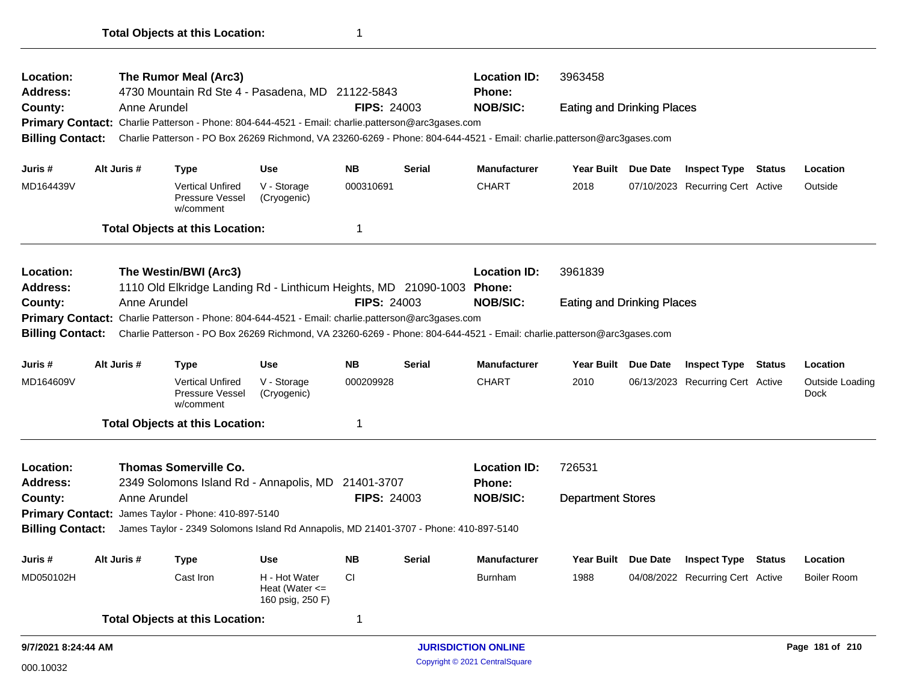| Location:<br>Address:   |  |              | The Rumor Meal (Arc3)<br>4730 Mountain Rd Ste 4 - Pasadena, MD 21122-5843                                               |                                                         |                    |                            | <b>Location ID:</b><br>Phone: |                                   |          |                                  |                         |
|-------------------------|--|--------------|-------------------------------------------------------------------------------------------------------------------------|---------------------------------------------------------|--------------------|----------------------------|-------------------------------|-----------------------------------|----------|----------------------------------|-------------------------|
| County:                 |  | Anne Arundel |                                                                                                                         |                                                         | <b>FIPS: 24003</b> |                            | <b>NOB/SIC:</b>               | <b>Eating and Drinking Places</b> |          |                                  |                         |
|                         |  |              | Primary Contact: Charlie Patterson - Phone: 804-644-4521 - Email: charlie.patterson@arc3gases.com                       |                                                         |                    |                            |                               |                                   |          |                                  |                         |
| <b>Billing Contact:</b> |  |              | Charlie Patterson - PO Box 26269 Richmond, VA 23260-6269 - Phone: 804-644-4521 - Email: charlie.patterson@arc3gases.com |                                                         |                    |                            |                               |                                   |          |                                  |                         |
|                         |  |              |                                                                                                                         |                                                         |                    |                            |                               |                                   |          |                                  |                         |
| Juris #                 |  | Alt Juris #  | <b>Type</b>                                                                                                             | <b>Use</b>                                              | <b>NB</b>          | <b>Serial</b>              | <b>Manufacturer</b>           | Year Built Due Date               |          | <b>Inspect Type Status</b>       | Location                |
| MD164439V               |  |              | <b>Vertical Unfired</b><br>Pressure Vessel<br>w/comment                                                                 | V - Storage<br>(Cryogenic)                              | 000310691          |                            | <b>CHART</b>                  | 2018                              |          | 07/10/2023 Recurring Cert Active | Outside                 |
|                         |  |              | <b>Total Objects at this Location:</b>                                                                                  |                                                         | 1                  |                            |                               |                                   |          |                                  |                         |
| Location:               |  |              | The Westin/BWI (Arc3)                                                                                                   |                                                         |                    |                            | <b>Location ID:</b>           | 3961839                           |          |                                  |                         |
| Address:                |  | Anne Arundel | 1110 Old Elkridge Landing Rd - Linthicum Heights, MD 21090-1003 Phone:                                                  |                                                         | <b>FIPS: 24003</b> |                            | <b>NOB/SIC:</b>               |                                   |          |                                  |                         |
| County:                 |  |              | Primary Contact: Charlie Patterson - Phone: 804-644-4521 - Email: charlie.patterson@arc3gases.com                       |                                                         |                    |                            |                               | <b>Eating and Drinking Places</b> |          |                                  |                         |
| <b>Billing Contact:</b> |  |              | Charlie Patterson - PO Box 26269 Richmond, VA 23260-6269 - Phone: 804-644-4521 - Email: charlie.patterson@arc3gases.com |                                                         |                    |                            |                               |                                   |          |                                  |                         |
| Juris#                  |  | Alt Juris #  | <b>Type</b>                                                                                                             | <b>Use</b>                                              | <b>NB</b>          | <b>Serial</b>              | <b>Manufacturer</b>           | Year Built Due Date               |          | <b>Inspect Type Status</b>       | Location                |
| MD164609V               |  |              | <b>Vertical Unfired</b><br>Pressure Vessel<br>w/comment                                                                 | V - Storage<br>(Cryogenic)                              | 000209928          |                            | <b>CHART</b>                  | 2010                              |          | 06/13/2023 Recurring Cert Active | Outside Loading<br>Dock |
|                         |  |              | <b>Total Objects at this Location:</b>                                                                                  |                                                         | 1                  |                            |                               |                                   |          |                                  |                         |
| Location:               |  |              | <b>Thomas Somerville Co.</b>                                                                                            |                                                         |                    |                            | <b>Location ID:</b>           | 726531                            |          |                                  |                         |
| <b>Address:</b>         |  |              | 2349 Solomons Island Rd - Annapolis, MD 21401-3707                                                                      |                                                         |                    |                            | Phone:                        |                                   |          |                                  |                         |
| County:                 |  | Anne Arundel |                                                                                                                         |                                                         | <b>FIPS: 24003</b> |                            | <b>NOB/SIC:</b>               | <b>Department Stores</b>          |          |                                  |                         |
|                         |  |              | Primary Contact: James Taylor - Phone: 410-897-5140                                                                     |                                                         |                    |                            |                               |                                   |          |                                  |                         |
| <b>Billing Contact:</b> |  |              | James Taylor - 2349 Solomons Island Rd Annapolis, MD 21401-3707 - Phone: 410-897-5140                                   |                                                         |                    |                            |                               |                                   |          |                                  |                         |
| Juris #                 |  | Alt Juris #  | <b>Type</b>                                                                                                             | <b>Use</b>                                              | <b>NB</b>          | <b>Serial</b>              | <b>Manufacturer</b>           | Year Built                        | Due Date | <b>Inspect Type Status</b>       | Location                |
| MD050102H               |  |              | Cast Iron                                                                                                               | H - Hot Water<br>Heat (Water $\leq$<br>160 psig, 250 F) | <b>CI</b>          |                            | <b>Burnham</b>                | 1988                              |          | 04/08/2022 Recurring Cert Active | <b>Boiler Room</b>      |
|                         |  |              | <b>Total Objects at this Location:</b>                                                                                  |                                                         | 1                  |                            |                               |                                   |          |                                  |                         |
| 9/7/2021 8:24:44 AM     |  |              |                                                                                                                         |                                                         |                    | <b>JURISDICTION ONLINE</b> |                               |                                   |          | Page 181 of 210                  |                         |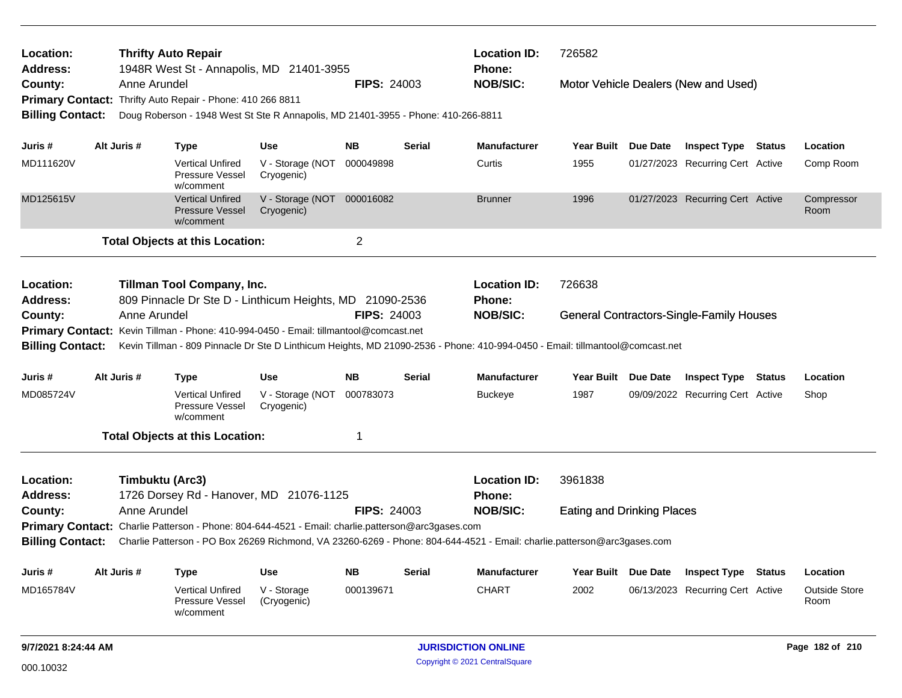| <b>Thrifty Auto Repair</b><br>Location:<br><b>Address:</b><br>1948R West St - Annapolis, MD 21401-3955 |  |                 |                                                                |                                                                                                   |                    |                            | <b>Location ID:</b><br>Phone:                                                                                                            | 726582                            |                 |                                                 |               |                              |  |  |  |  |
|--------------------------------------------------------------------------------------------------------|--|-----------------|----------------------------------------------------------------|---------------------------------------------------------------------------------------------------|--------------------|----------------------------|------------------------------------------------------------------------------------------------------------------------------------------|-----------------------------------|-----------------|-------------------------------------------------|---------------|------------------------------|--|--|--|--|
| County:                                                                                                |  | Anne Arundel    |                                                                |                                                                                                   | <b>FIPS: 24003</b> |                            | <b>NOB/SIC:</b>                                                                                                                          |                                   |                 | Motor Vehicle Dealers (New and Used)            |               |                              |  |  |  |  |
|                                                                                                        |  |                 | Primary Contact: Thrifty Auto Repair - Phone: 410 266 8811     |                                                                                                   |                    |                            |                                                                                                                                          |                                   |                 |                                                 |               |                              |  |  |  |  |
| <b>Billing Contact:</b>                                                                                |  |                 |                                                                | Doug Roberson - 1948 West St Ste R Annapolis, MD 21401-3955 - Phone: 410-266-8811                 |                    |                            |                                                                                                                                          |                                   |                 |                                                 |               |                              |  |  |  |  |
| Juris #                                                                                                |  | Alt Juris #     |                                                                | Use                                                                                               | NB.                | Serial                     | <b>Manufacturer</b>                                                                                                                      | <b>Year Built</b>                 | Due Date        |                                                 |               | Location                     |  |  |  |  |
|                                                                                                        |  |                 | Type                                                           |                                                                                                   |                    |                            |                                                                                                                                          |                                   |                 | <b>Inspect Type Status</b>                      |               |                              |  |  |  |  |
| MD111620V                                                                                              |  |                 | <b>Vertical Unfired</b><br><b>Pressure Vessel</b><br>w/comment | V - Storage (NOT<br>Cryogenic)                                                                    | 000049898          |                            | Curtis                                                                                                                                   | 1955                              |                 | 01/27/2023 Recurring Cert Active                |               | Comp Room                    |  |  |  |  |
| MD125615V                                                                                              |  |                 | <b>Vertical Unfired</b><br><b>Pressure Vessel</b><br>w/comment | V - Storage (NOT 000016082<br>Cryogenic)                                                          |                    |                            | <b>Brunner</b>                                                                                                                           | 1996                              |                 | 01/27/2023 Recurring Cert Active                |               | Compressor<br>Room           |  |  |  |  |
|                                                                                                        |  |                 | <b>Total Objects at this Location:</b>                         |                                                                                                   | $\overline{2}$     |                            |                                                                                                                                          |                                   |                 |                                                 |               |                              |  |  |  |  |
| Location:<br>Address:                                                                                  |  |                 | Tillman Tool Company, Inc.                                     | 809 Pinnacle Dr Ste D - Linthicum Heights, MD 21090-2536                                          |                    |                            | <b>Location ID:</b><br><b>Phone:</b>                                                                                                     | 726638                            |                 |                                                 |               |                              |  |  |  |  |
| County:                                                                                                |  | Anne Arundel    |                                                                |                                                                                                   | <b>FIPS: 24003</b> |                            | <b>NOB/SIC:</b>                                                                                                                          |                                   |                 | <b>General Contractors-Single-Family Houses</b> |               |                              |  |  |  |  |
|                                                                                                        |  |                 |                                                                | Primary Contact: Kevin Tillman - Phone: 410-994-0450 - Email: tillmantool@comcast.net             |                    |                            |                                                                                                                                          |                                   |                 |                                                 |               |                              |  |  |  |  |
| <b>Billing Contact:</b>                                                                                |  |                 |                                                                |                                                                                                   |                    |                            | Kevin Tillman - 809 Pinnacle Dr Ste D Linthicum Heights, MD 21090-2536 - Phone: 410-994-0450 - Email: tillmantool@comcast.net            |                                   |                 |                                                 |               |                              |  |  |  |  |
| Juris #                                                                                                |  | Alt Juris #     | <b>Type</b>                                                    | Use                                                                                               | <b>NB</b>          | Serial                     | <b>Manufacturer</b>                                                                                                                      | Year Built Due Date               |                 | <b>Inspect Type Status</b>                      |               | Location                     |  |  |  |  |
| MD085724V                                                                                              |  |                 | <b>Vertical Unfired</b><br>Pressure Vessel<br>w/comment        | V - Storage (NOT<br>Cryogenic)                                                                    | 000783073          |                            | <b>Buckeye</b>                                                                                                                           | 1987                              |                 | 09/09/2022 Recurring Cert Active                |               | Shop                         |  |  |  |  |
|                                                                                                        |  |                 | <b>Total Objects at this Location:</b>                         |                                                                                                   | 1                  |                            |                                                                                                                                          |                                   |                 |                                                 |               |                              |  |  |  |  |
| Location:                                                                                              |  | Timbuktu (Arc3) |                                                                |                                                                                                   |                    |                            | <b>Location ID:</b>                                                                                                                      | 3961838                           |                 |                                                 |               |                              |  |  |  |  |
| <b>Address:</b>                                                                                        |  |                 |                                                                | 1726 Dorsey Rd - Hanover, MD 21076-1125                                                           |                    |                            | <b>Phone:</b>                                                                                                                            |                                   |                 |                                                 |               |                              |  |  |  |  |
| County:                                                                                                |  | Anne Arundel    |                                                                |                                                                                                   | <b>FIPS: 24003</b> |                            | <b>NOB/SIC:</b>                                                                                                                          | <b>Eating and Drinking Places</b> |                 |                                                 |               |                              |  |  |  |  |
|                                                                                                        |  |                 |                                                                | Primary Contact: Charlie Patterson - Phone: 804-644-4521 - Email: charlie.patterson@arc3gases.com |                    |                            |                                                                                                                                          |                                   |                 |                                                 |               |                              |  |  |  |  |
|                                                                                                        |  |                 |                                                                |                                                                                                   |                    |                            | Billing Contact: Charlie Patterson - PO Box 26269 Richmond, VA 23260-6269 - Phone: 804-644-4521 - Email: charlie.patterson@arc3gases.com |                                   |                 |                                                 |               |                              |  |  |  |  |
| Juris #                                                                                                |  | Alt Juris #     | <b>Type</b>                                                    | <b>Use</b>                                                                                        | <b>NB</b>          | <b>Serial</b>              | Manufacturer                                                                                                                             | <b>Year Built</b>                 | Due Date        | <b>Inspect Type</b>                             | <b>Status</b> | Location                     |  |  |  |  |
| MD165784V                                                                                              |  |                 | <b>Vertical Unfired</b><br>Pressure Vessel<br>w/comment        | V - Storage<br>(Cryogenic)                                                                        | 000139671          |                            | <b>CHART</b>                                                                                                                             | 2002                              |                 | 06/13/2023 Recurring Cert Active                |               | <b>Outside Store</b><br>Room |  |  |  |  |
| 9/7/2021 8:24:44 AM                                                                                    |  |                 |                                                                |                                                                                                   |                    | <b>JURISDICTION ONLINE</b> |                                                                                                                                          |                                   | Page 182 of 210 |                                                 |               |                              |  |  |  |  |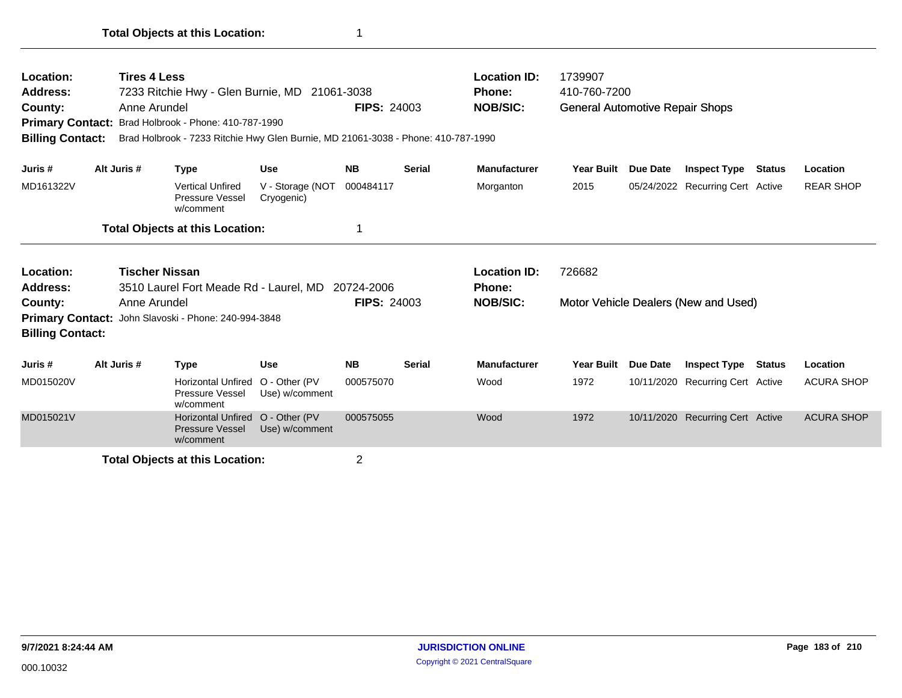| Location:               | <b>Tires 4 Less</b>   |                                                                                   |                                 |                    |               | <b>Location ID:</b> | 1739907                                |          |                                      |        |                   |
|-------------------------|-----------------------|-----------------------------------------------------------------------------------|---------------------------------|--------------------|---------------|---------------------|----------------------------------------|----------|--------------------------------------|--------|-------------------|
| Address:                |                       | 7233 Ritchie Hwy - Glen Burnie, MD 21061-3038                                     |                                 |                    |               | <b>Phone:</b>       | 410-760-7200                           |          |                                      |        |                   |
| County:                 | Anne Arundel          |                                                                                   |                                 | <b>FIPS: 24003</b> |               | <b>NOB/SIC:</b>     | <b>General Automotive Repair Shops</b> |          |                                      |        |                   |
| <b>Primary Contact:</b> |                       | Brad Holbrook - Phone: 410-787-1990                                               |                                 |                    |               |                     |                                        |          |                                      |        |                   |
| <b>Billing Contact:</b> |                       | Brad Holbrook - 7233 Ritchie Hwy Glen Burnie, MD 21061-3038 - Phone: 410-787-1990 |                                 |                    |               |                     |                                        |          |                                      |        |                   |
| Juris #                 | Alt Juris #           | <b>Type</b>                                                                       | <b>Use</b>                      | <b>NB</b>          | <b>Serial</b> | <b>Manufacturer</b> | <b>Year Built</b>                      | Due Date | <b>Inspect Type Status</b>           |        | Location          |
| MD161322V               |                       | <b>Vertical Unfired</b><br>Pressure Vessel<br>w/comment                           | V - Storage (NOT<br>Cryogenic)  | 000484117          |               | Morganton           | 2015                                   |          | 05/24/2022 Recurring Cert Active     |        | <b>REAR SHOP</b>  |
|                         |                       | <b>Total Objects at this Location:</b>                                            |                                 |                    |               |                     |                                        |          |                                      |        |                   |
| Location:               | <b>Tischer Nissan</b> |                                                                                   |                                 |                    |               | <b>Location ID:</b> | 726682                                 |          |                                      |        |                   |
| Address:                |                       | 3510 Laurel Fort Meade Rd - Laurel, MD 20724-2006                                 |                                 |                    |               | <b>Phone:</b>       |                                        |          |                                      |        |                   |
| County:                 | Anne Arundel          |                                                                                   |                                 | <b>FIPS: 24003</b> |               | <b>NOB/SIC:</b>     |                                        |          | Motor Vehicle Dealers (New and Used) |        |                   |
| <b>Primary Contact:</b> |                       | John Slavoski - Phone: 240-994-3848                                               |                                 |                    |               |                     |                                        |          |                                      |        |                   |
| <b>Billing Contact:</b> |                       |                                                                                   |                                 |                    |               |                     |                                        |          |                                      |        |                   |
| Juris #                 | Alt Juris #           | <b>Type</b>                                                                       | <b>Use</b>                      | <b>NB</b>          | <b>Serial</b> | <b>Manufacturer</b> | Year Built                             | Due Date | <b>Inspect Type</b>                  | Status | Location          |
| MD015020V               |                       | <b>Horizontal Unfired</b><br>Pressure Vessel<br>w/comment                         | O - Other (PV<br>Use) w/comment | 000575070          |               | Wood                | 1972                                   |          | 10/11/2020 Recurring Cert Active     |        | <b>ACURA SHOP</b> |
| MD015021V               |                       | <b>Horizontal Unfired</b><br><b>Pressure Vessel</b><br>w/comment                  | O - Other (PV<br>Use) w/comment | 000575055          |               | Wood                | 1972                                   |          | 10/11/2020 Recurring Cert Active     |        | <b>ACURA SHOP</b> |
|                         |                       | <b>Total Objects at this Location:</b>                                            |                                 | 2                  |               |                     |                                        |          |                                      |        |                   |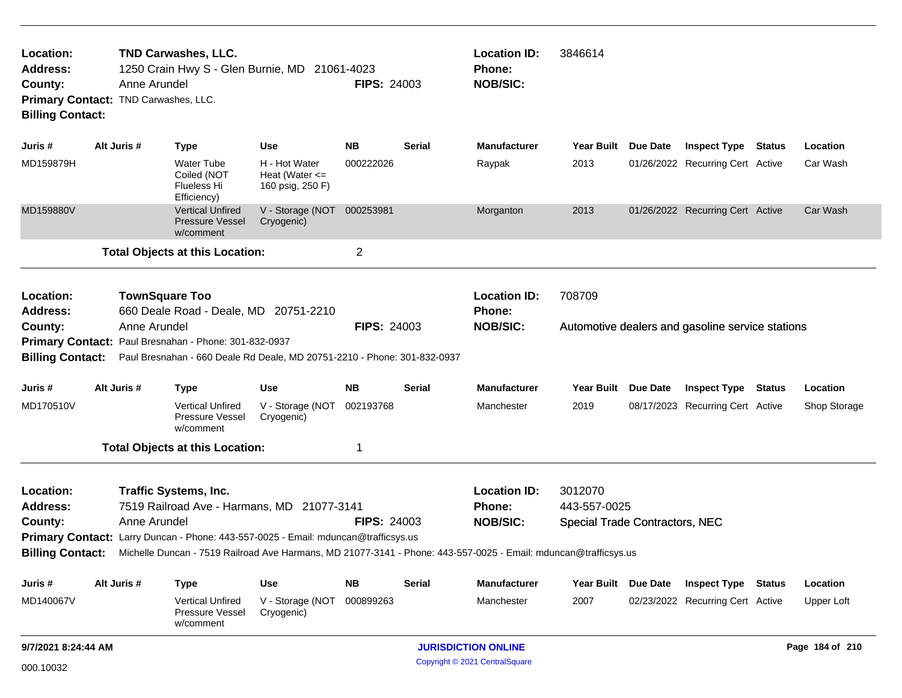| Location:<br><b>Address:</b><br>County:<br><b>Billing Contact:</b> | Anne Arundel<br>Primary Contact: TND Carwashes, LLC.                                                                                                                                                                                                                                                                                                           | <b>TND Carwashes, LLC.</b><br>1250 Crain Hwy S - Glen Burnie, MD 21061-4023                                                                                                                         |                                                         | <b>FIPS: 24003</b> |               | <b>Location ID:</b><br>Phone:<br><b>NOB/SIC:</b>        | 3846614                                                          |  |                                                  |  |                 |
|--------------------------------------------------------------------|----------------------------------------------------------------------------------------------------------------------------------------------------------------------------------------------------------------------------------------------------------------------------------------------------------------------------------------------------------------|-----------------------------------------------------------------------------------------------------------------------------------------------------------------------------------------------------|---------------------------------------------------------|--------------------|---------------|---------------------------------------------------------|------------------------------------------------------------------|--|--------------------------------------------------|--|-----------------|
| Juris #                                                            | Alt Juris #                                                                                                                                                                                                                                                                                                                                                    | <b>Type</b>                                                                                                                                                                                         | Use                                                     | NB.                | <b>Serial</b> | <b>Manufacturer</b>                                     | Year Built Due Date                                              |  | <b>Inspect Type Status</b>                       |  | Location        |
| MD159879H                                                          |                                                                                                                                                                                                                                                                                                                                                                | Water Tube<br>Coiled (NOT<br>Flueless Hi<br>Efficiency)                                                                                                                                             | H - Hot Water<br>Heat (Water $\leq$<br>160 psig, 250 F) | 000222026          |               | Raypak                                                  | 2013                                                             |  | 01/26/2022 Recurring Cert Active                 |  | Car Wash        |
| MD159880V                                                          |                                                                                                                                                                                                                                                                                                                                                                | <b>Vertical Unfired</b><br><b>Pressure Vessel</b><br>w/comment                                                                                                                                      | V - Storage (NOT<br>Cryogenic)                          | 000253981          |               | Morganton                                               | 2013                                                             |  | 01/26/2022 Recurring Cert Active                 |  | Car Wash        |
|                                                                    |                                                                                                                                                                                                                                                                                                                                                                | <b>Total Objects at this Location:</b>                                                                                                                                                              |                                                         | $\overline{2}$     |               |                                                         |                                                                  |  |                                                  |  |                 |
| Location:<br>Address:<br>County:<br><b>Billing Contact:</b>        | Anne Arundel                                                                                                                                                                                                                                                                                                                                                   | <b>TownSquare Too</b><br>660 Deale Road - Deale, MD 20751-2210<br>Primary Contact: Paul Bresnahan - Phone: 301-832-0937<br>Paul Bresnahan - 660 Deale Rd Deale, MD 20751-2210 - Phone: 301-832-0937 |                                                         | <b>FIPS: 24003</b> |               | <b>Location ID:</b><br><b>Phone:</b><br><b>NOB/SIC:</b> | 708709                                                           |  | Automotive dealers and gasoline service stations |  |                 |
| Juris #                                                            | Alt Juris #                                                                                                                                                                                                                                                                                                                                                    | <b>Type</b>                                                                                                                                                                                         | Use                                                     | <b>NB</b>          | Serial        | <b>Manufacturer</b>                                     | Year Built Due Date                                              |  | <b>Inspect Type Status</b>                       |  | Location        |
| MD170510V                                                          |                                                                                                                                                                                                                                                                                                                                                                | <b>Vertical Unfired</b><br>Pressure Vessel<br>w/comment                                                                                                                                             | V - Storage (NOT<br>Cryogenic)                          | 002193768          |               | Manchester                                              | 2019                                                             |  | 08/17/2023 Recurring Cert Active                 |  | Shop Storage    |
|                                                                    |                                                                                                                                                                                                                                                                                                                                                                |                                                                                                                                                                                                     |                                                         | 1                  |               |                                                         |                                                                  |  |                                                  |  |                 |
| Location:<br><b>Address:</b><br>County:                            | <b>Total Objects at this Location:</b><br><b>Traffic Systems, Inc.</b><br>7519 Railroad Ave - Harmans, MD 21077-3141<br>Anne Arundel<br>Primary Contact: Larry Duncan - Phone: 443-557-0025 - Email: mduncan@trafficsys.us<br>Billing Contact: Michelle Duncan - 7519 Railroad Ave Harmans, MD 21077-3141 - Phone: 443-557-0025 - Email: mduncan@trafficsys.us |                                                                                                                                                                                                     |                                                         | <b>FIPS: 24003</b> |               | <b>Location ID:</b><br>Phone:<br><b>NOB/SIC:</b>        | 3012070<br>443-557-0025<br><b>Special Trade Contractors, NEC</b> |  |                                                  |  |                 |
| Juris #                                                            | Alt Juris #                                                                                                                                                                                                                                                                                                                                                    | <b>Type</b>                                                                                                                                                                                         | <b>Use</b>                                              | <b>NB</b>          | <b>Serial</b> | <b>Manufacturer</b>                                     | Year Built Due Date                                              |  | <b>Inspect Type Status</b>                       |  | Location        |
| MD140067V                                                          |                                                                                                                                                                                                                                                                                                                                                                | <b>Vertical Unfired</b><br>Pressure Vessel<br>w/comment                                                                                                                                             | V - Storage (NOT<br>Cryogenic)                          | 000899263          |               | Manchester                                              | 2007                                                             |  | 02/23/2022 Recurring Cert Active                 |  | Upper Loft      |
|                                                                    | 9/7/2021 8:24:44 AM                                                                                                                                                                                                                                                                                                                                            |                                                                                                                                                                                                     |                                                         |                    |               | <b>JURISDICTION ONLINE</b>                              |                                                                  |  |                                                  |  | Page 184 of 210 |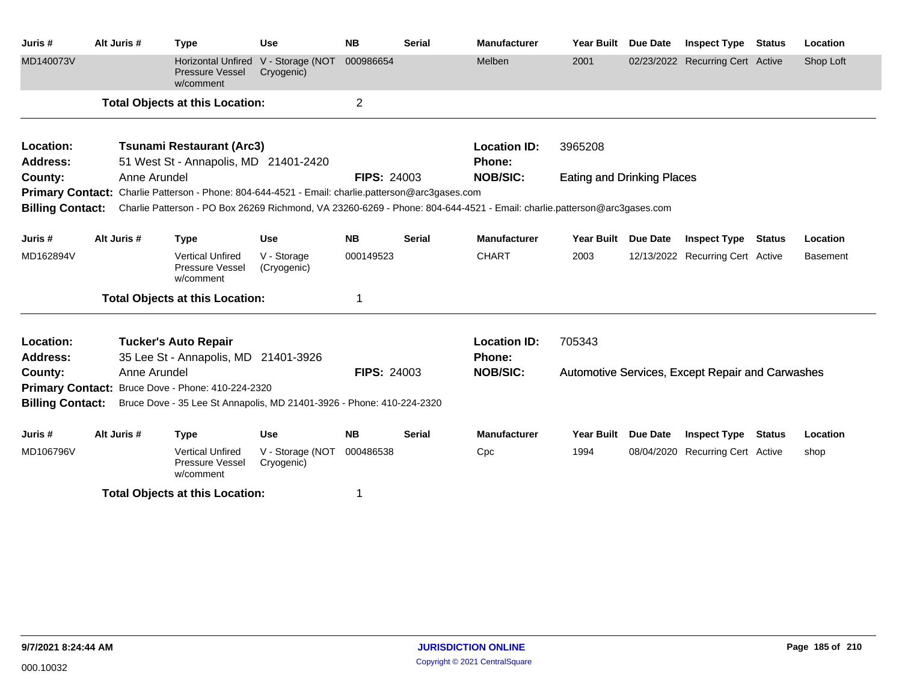| Juris #                 | Alt Juris #  | <b>Type</b>                                                                                       | <b>Use</b>                     | <b>NB</b>          | <b>Serial</b> | <b>Manufacturer</b>                                                                                                                      | <b>Year Built</b>                 | <b>Due Date</b> | <b>Inspect Type</b>                              | <b>Status</b> | Location        |
|-------------------------|--------------|---------------------------------------------------------------------------------------------------|--------------------------------|--------------------|---------------|------------------------------------------------------------------------------------------------------------------------------------------|-----------------------------------|-----------------|--------------------------------------------------|---------------|-----------------|
| MD140073V               |              | Horizontal Unfired<br><b>Pressure Vessel</b><br>w/comment                                         | V - Storage (NOT<br>Cryogenic) | 000986654          |               | Melben                                                                                                                                   | 2001                              |                 | 02/23/2022 Recurring Cert Active                 |               | Shop Loft       |
|                         |              | <b>Total Objects at this Location:</b>                                                            |                                | $\overline{2}$     |               |                                                                                                                                          |                                   |                 |                                                  |               |                 |
| Location:               |              | <b>Tsunami Restaurant (Arc3)</b>                                                                  |                                |                    |               | <b>Location ID:</b>                                                                                                                      | 3965208                           |                 |                                                  |               |                 |
| Address:                |              | 51 West St - Annapolis, MD 21401-2420                                                             |                                |                    |               | <b>Phone:</b>                                                                                                                            |                                   |                 |                                                  |               |                 |
| County:                 | Anne Arundel |                                                                                                   |                                | <b>FIPS: 24003</b> |               | <b>NOB/SIC:</b>                                                                                                                          | <b>Eating and Drinking Places</b> |                 |                                                  |               |                 |
|                         |              | Primary Contact: Charlie Patterson - Phone: 804-644-4521 - Email: charlie.patterson@arc3gases.com |                                |                    |               |                                                                                                                                          |                                   |                 |                                                  |               |                 |
|                         |              |                                                                                                   |                                |                    |               | Billing Contact: Charlie Patterson - PO Box 26269 Richmond, VA 23260-6269 - Phone: 804-644-4521 - Email: charlie.patterson@arc3gases.com |                                   |                 |                                                  |               |                 |
| Juris #                 | Alt Juris #  | <b>Type</b>                                                                                       | <b>Use</b>                     | <b>NB</b>          | <b>Serial</b> | <b>Manufacturer</b>                                                                                                                      | <b>Year Built</b>                 | <b>Due Date</b> | <b>Inspect Type</b>                              | <b>Status</b> | Location        |
| MD162894V               |              | <b>Vertical Unfired</b><br>Pressure Vessel<br>w/comment                                           | V - Storage<br>(Cryogenic)     | 000149523          |               | <b>CHART</b>                                                                                                                             | 2003                              |                 | 12/13/2022 Recurring Cert Active                 |               | <b>Basement</b> |
|                         |              | <b>Total Objects at this Location:</b>                                                            |                                | 1                  |               |                                                                                                                                          |                                   |                 |                                                  |               |                 |
| Location:               |              | <b>Tucker's Auto Repair</b>                                                                       |                                |                    |               | <b>Location ID:</b>                                                                                                                      | 705343                            |                 |                                                  |               |                 |
| <b>Address:</b>         |              | 35 Lee St - Annapolis, MD 21401-3926                                                              |                                |                    |               | <b>Phone:</b>                                                                                                                            |                                   |                 |                                                  |               |                 |
| County:                 | Anne Arundel |                                                                                                   |                                | <b>FIPS: 24003</b> |               | <b>NOB/SIC:</b>                                                                                                                          |                                   |                 | Automotive Services, Except Repair and Carwashes |               |                 |
|                         |              | Primary Contact: Bruce Dove - Phone: 410-224-2320                                                 |                                |                    |               |                                                                                                                                          |                                   |                 |                                                  |               |                 |
| <b>Billing Contact:</b> |              | Bruce Dove - 35 Lee St Annapolis, MD 21401-3926 - Phone: 410-224-2320                             |                                |                    |               |                                                                                                                                          |                                   |                 |                                                  |               |                 |
| Juris #                 | Alt Juris #  | <b>Type</b>                                                                                       | <b>Use</b>                     | <b>NB</b>          | <b>Serial</b> | <b>Manufacturer</b>                                                                                                                      | <b>Year Built</b>                 | <b>Due Date</b> | <b>Inspect Type</b>                              | <b>Status</b> | Location        |
| MD106796V               |              | <b>Vertical Unfired</b><br>Pressure Vessel<br>w/comment                                           | V - Storage (NOT<br>Cryogenic) | 000486538          |               | Cpc                                                                                                                                      | 1994                              |                 | 08/04/2020 Recurring Cert Active                 |               | shop            |
|                         |              | <b>Total Objects at this Location:</b>                                                            |                                |                    |               |                                                                                                                                          |                                   |                 |                                                  |               |                 |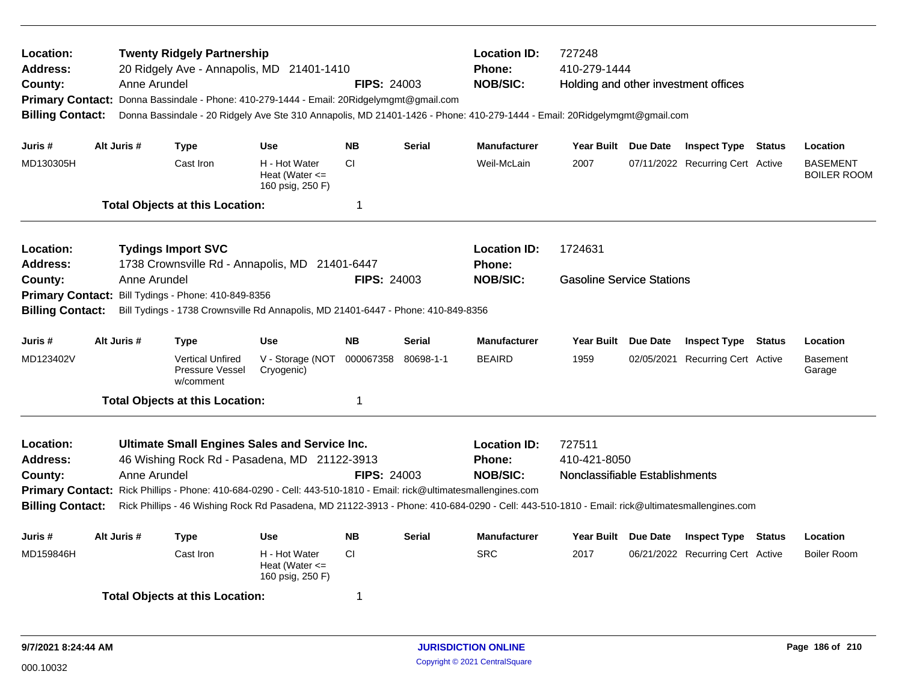| Location:<br>Address:<br>County:<br><b>Billing Contact:</b>        | Anne Arundel | <b>Twenty Ridgely Partnership</b><br>20 Ridgely Ave - Annapolis, MD 21401-1410<br>Primary Contact: Donna Bassindale - Phone: 410-279-1444 - Email: 20Ridgelymgmt@gmail.com                                        |                                                         | <b>FIPS: 24003</b> |               | <b>Location ID:</b><br><b>Phone:</b><br><b>NOB/SIC:</b><br>Donna Bassindale - 20 Ridgely Ave Ste 310 Annapolis, MD 21401-1426 - Phone: 410-279-1444 - Email: 20Ridgelymgmt@gmail.com                    | 727248<br>410-279-1444<br>Holding and other investment offices |                                  |        |                                       |
|--------------------------------------------------------------------|--------------|-------------------------------------------------------------------------------------------------------------------------------------------------------------------------------------------------------------------|---------------------------------------------------------|--------------------|---------------|---------------------------------------------------------------------------------------------------------------------------------------------------------------------------------------------------------|----------------------------------------------------------------|----------------------------------|--------|---------------------------------------|
| Juris #                                                            | Alt Juris #  | <b>Type</b>                                                                                                                                                                                                       | <b>Use</b>                                              | <b>NB</b>          | <b>Serial</b> | <b>Manufacturer</b>                                                                                                                                                                                     | Year Built Due Date                                            | <b>Inspect Type Status</b>       |        | Location                              |
| MD130305H                                                          |              | Cast Iron                                                                                                                                                                                                         | H - Hot Water<br>Heat (Water $\leq$<br>160 psig, 250 F) | <b>CI</b>          |               | Weil-McLain                                                                                                                                                                                             | 2007                                                           | 07/11/2022 Recurring Cert Active |        | <b>BASEMENT</b><br><b>BOILER ROOM</b> |
|                                                                    |              | <b>Total Objects at this Location:</b>                                                                                                                                                                            |                                                         | 1                  |               |                                                                                                                                                                                                         |                                                                |                                  |        |                                       |
| Location:<br>Address:                                              |              | <b>Tydings Import SVC</b><br>1738 Crownsville Rd - Annapolis, MD 21401-6447                                                                                                                                       |                                                         |                    |               | <b>Location ID:</b><br>Phone:                                                                                                                                                                           | 1724631                                                        |                                  |        |                                       |
| County:<br><b>Primary Contact:</b><br><b>Billing Contact:</b>      | Anne Arundel | Bill Tydings - Phone: 410-849-8356<br>Bill Tydings - 1738 Crownsville Rd Annapolis, MD 21401-6447 - Phone: 410-849-8356                                                                                           |                                                         | <b>FIPS: 24003</b> |               | <b>NOB/SIC:</b>                                                                                                                                                                                         | <b>Gasoline Service Stations</b>                               |                                  |        |                                       |
| Juris #                                                            | Alt Juris #  | <b>Type</b>                                                                                                                                                                                                       | <b>Use</b>                                              | <b>NB</b>          | <b>Serial</b> | <b>Manufacturer</b>                                                                                                                                                                                     | Year Built Due Date                                            | <b>Inspect Type Status</b>       |        | Location                              |
| MD123402V                                                          |              | <b>Vertical Unfired</b><br>Pressure Vessel<br>w/comment                                                                                                                                                           | V - Storage (NOT<br>Cryogenic)                          | 000067358          | 80698-1-1     | <b>BEAIRD</b>                                                                                                                                                                                           | 1959                                                           | 02/05/2021 Recurring Cert Active |        | <b>Basement</b><br>Garage             |
|                                                                    |              | <b>Total Objects at this Location:</b>                                                                                                                                                                            |                                                         | 1                  |               |                                                                                                                                                                                                         |                                                                |                                  |        |                                       |
| Location:<br><b>Address:</b><br>County:<br><b>Billing Contact:</b> | Anne Arundel | Ultimate Small Engines Sales and Service Inc.<br>46 Wishing Rock Rd - Pasadena, MD 21122-3913<br>Primary Contact: Rick Phillips - Phone: 410-684-0290 - Cell: 443-510-1810 - Email: rick@ultimatesmallengines.com |                                                         | <b>FIPS: 24003</b> |               | <b>Location ID:</b><br><b>Phone:</b><br><b>NOB/SIC:</b><br>Rick Phillips - 46 Wishing Rock Rd Pasadena, MD 21122-3913 - Phone: 410-684-0290 - Cell: 443-510-1810 - Email: rick@ultimatesmallengines.com | 727511<br>410-421-8050<br>Nonclassifiable Establishments       |                                  |        |                                       |
| Juris #                                                            | Alt Juris #  | <b>Type</b>                                                                                                                                                                                                       | <b>Use</b>                                              | <b>NB</b>          | <b>Serial</b> | <b>Manufacturer</b>                                                                                                                                                                                     | Year Built Due Date                                            | <b>Inspect Type</b>              | Status | Location                              |
| MD159846H                                                          |              | Cast Iron                                                                                                                                                                                                         | H - Hot Water<br>Heat (Water $\leq$<br>160 psig, 250 F) | <b>CI</b>          |               | <b>SRC</b>                                                                                                                                                                                              | 2017                                                           | 06/21/2022 Recurring Cert Active |        | <b>Boiler Room</b>                    |
|                                                                    |              | <b>Total Objects at this Location:</b>                                                                                                                                                                            |                                                         | 1                  |               |                                                                                                                                                                                                         |                                                                |                                  |        |                                       |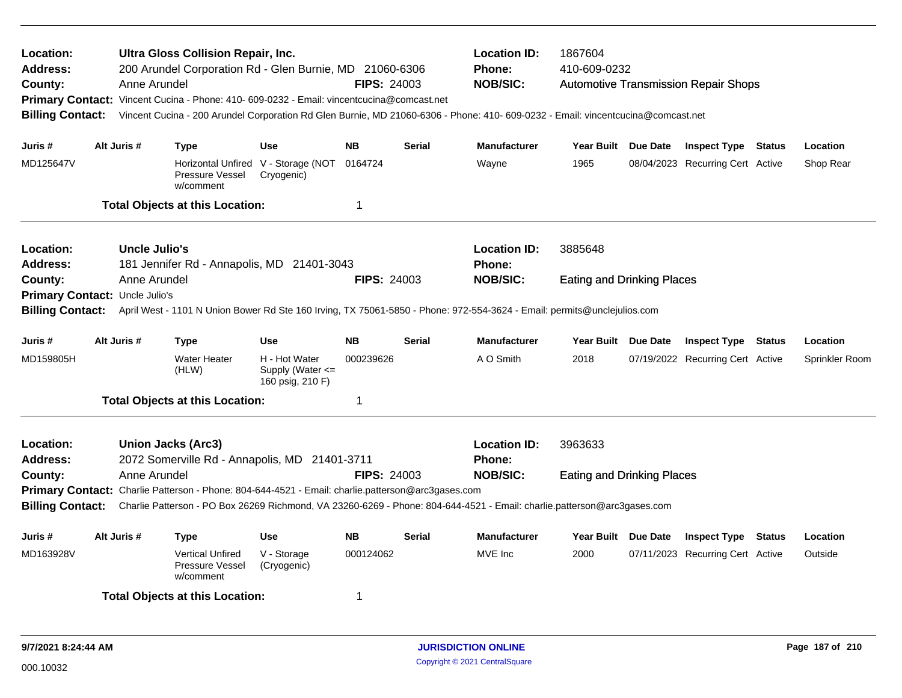| Location:<br>Address:<br>County:<br><b>Billing Contact:</b> | Anne Arundel         | Ultra Gloss Collision Repair, Inc.<br>200 Arundel Corporation Rd - Glen Burnie, MD 21060-6306<br>Primary Contact: Vincent Cucina - Phone: 410- 609-0232 - Email: vincentcucina@comcast.net |                                                       | <b>FIPS: 24003</b> |               | <b>Location ID:</b><br>1867604<br>410-609-0232<br><b>Phone:</b><br><b>NOB/SIC:</b><br><b>Automotive Transmission Repair Shops</b><br>Vincent Cucina - 200 Arundel Corporation Rd Glen Burnie, MD 21060-6306 - Phone: 410- 609-0232 - Email: vincentcucina@comcast.net |                                   |  |                                  |               |                |
|-------------------------------------------------------------|----------------------|--------------------------------------------------------------------------------------------------------------------------------------------------------------------------------------------|-------------------------------------------------------|--------------------|---------------|-----------------------------------------------------------------------------------------------------------------------------------------------------------------------------------------------------------------------------------------------------------------------|-----------------------------------|--|----------------------------------|---------------|----------------|
| Juris #                                                     | Alt Juris #          | <b>Type</b>                                                                                                                                                                                | <b>Use</b>                                            | <b>NB</b>          | <b>Serial</b> | <b>Manufacturer</b>                                                                                                                                                                                                                                                   | Year Built Due Date               |  | <b>Inspect Type Status</b>       |               | Location       |
| MD125647V                                                   |                      | Pressure Vessel<br>w/comment                                                                                                                                                               | Horizontal Unfired V - Storage (NOT<br>Cryogenic)     | 0164724            |               | Wayne                                                                                                                                                                                                                                                                 | 1965                              |  | 08/04/2023 Recurring Cert Active |               | Shop Rear      |
|                                                             |                      | <b>Total Objects at this Location:</b>                                                                                                                                                     |                                                       | -1                 |               |                                                                                                                                                                                                                                                                       |                                   |  |                                  |               |                |
| <b>Location:</b><br><b>Address:</b>                         | <b>Uncle Julio's</b> | 181 Jennifer Rd - Annapolis, MD 21401-3043                                                                                                                                                 |                                                       |                    |               | <b>Location ID:</b><br>Phone:                                                                                                                                                                                                                                         | 3885648                           |  |                                  |               |                |
| County:<br>Primary Contact: Uncle Julio's                   | Anne Arundel         |                                                                                                                                                                                            |                                                       | <b>FIPS: 24003</b> |               | <b>NOB/SIC:</b>                                                                                                                                                                                                                                                       | <b>Eating and Drinking Places</b> |  |                                  |               |                |
| <b>Billing Contact:</b>                                     |                      |                                                                                                                                                                                            |                                                       |                    |               | April West - 1101 N Union Bower Rd Ste 160 Irving, TX 75061-5850 - Phone: 972-554-3624 - Email: permits@unclejulios.com                                                                                                                                               |                                   |  |                                  |               |                |
| Juris #                                                     | Alt Juris #          | <b>Type</b>                                                                                                                                                                                | Use                                                   | <b>NB</b>          | <b>Serial</b> | <b>Manufacturer</b>                                                                                                                                                                                                                                                   | Year Built Due Date               |  | <b>Inspect Type Status</b>       |               | Location       |
| MD159805H                                                   |                      | <b>Water Heater</b><br>(HLW)                                                                                                                                                               | H - Hot Water<br>Supply (Water <=<br>160 psig, 210 F) | 000239626          |               | A O Smith                                                                                                                                                                                                                                                             | 2018                              |  | 07/19/2022 Recurring Cert Active |               | Sprinkler Room |
|                                                             |                      | <b>Total Objects at this Location:</b>                                                                                                                                                     |                                                       | -1                 |               |                                                                                                                                                                                                                                                                       |                                   |  |                                  |               |                |
| Location:<br><b>Address:</b>                                |                      | <b>Union Jacks (Arc3)</b><br>2072 Somerville Rd - Annapolis, MD 21401-3711                                                                                                                 |                                                       |                    |               | <b>Location ID:</b><br><b>Phone:</b>                                                                                                                                                                                                                                  | 3963633                           |  |                                  |               |                |
| County:                                                     | Anne Arundel         |                                                                                                                                                                                            |                                                       | <b>FIPS: 24003</b> |               | <b>NOB/SIC:</b>                                                                                                                                                                                                                                                       | <b>Eating and Drinking Places</b> |  |                                  |               |                |
| <b>Billing Contact:</b>                                     |                      | Primary Contact: Charlie Patterson - Phone: 804-644-4521 - Email: charlie.patterson@arc3gases.com                                                                                          |                                                       |                    |               | Charlie Patterson - PO Box 26269 Richmond, VA 23260-6269 - Phone: 804-644-4521 - Email: charlie.patterson@arc3gases.com                                                                                                                                               |                                   |  |                                  |               |                |
| Juris #                                                     | Alt Juris #          | Type                                                                                                                                                                                       | Use                                                   | <b>NB</b>          | <b>Serial</b> | <b>Manufacturer</b>                                                                                                                                                                                                                                                   | Year Built Due Date               |  | <b>Inspect Type</b>              | <b>Status</b> | Location       |
| MD163928V                                                   |                      | <b>Vertical Unfired</b><br>Pressure Vessel<br>w/comment                                                                                                                                    | V - Storage<br>(Cryogenic)                            | 000124062          |               | MVE Inc                                                                                                                                                                                                                                                               | 2000                              |  | 07/11/2023 Recurring Cert Active |               | Outside        |
|                                                             |                      | <b>Total Objects at this Location:</b>                                                                                                                                                     |                                                       | -1                 |               |                                                                                                                                                                                                                                                                       |                                   |  |                                  |               |                |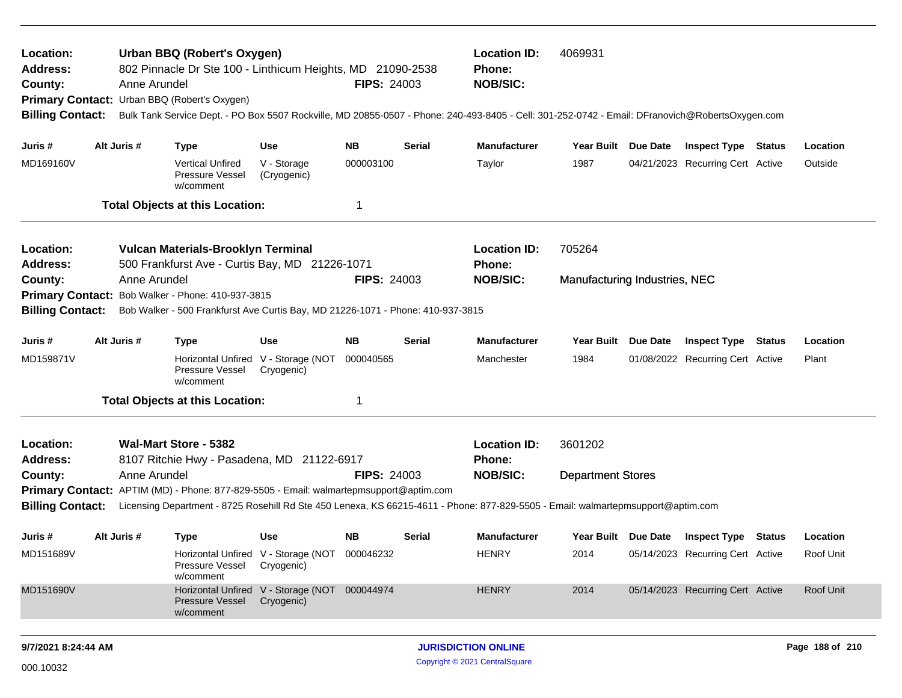| Location:<br>Address:<br>County:<br><b>Billing Contact:</b> | Anne Arundel | Urban BBQ (Robert's Oxygen)<br>802 Pinnacle Dr Ste 100 - Linthicum Heights, MD 21090-2538<br>Primary Contact: Urban BBQ (Robert's Oxygen) |                                                             | <b>FIPS: 24003</b> |               | <b>Location ID:</b><br>4069931<br>Phone:<br><b>NOB/SIC:</b><br>Bulk Tank Service Dept. - PO Box 5507 Rockville, MD 20855-0507 - Phone: 240-493-8405 - Cell: 301-252-0742 - Email: DFranovich@RobertsOxygen.com |                               |                     |                                  |        |           |
|-------------------------------------------------------------|--------------|-------------------------------------------------------------------------------------------------------------------------------------------|-------------------------------------------------------------|--------------------|---------------|----------------------------------------------------------------------------------------------------------------------------------------------------------------------------------------------------------------|-------------------------------|---------------------|----------------------------------|--------|-----------|
| Juris #                                                     | Alt Juris #  | <b>Type</b>                                                                                                                               | <b>Use</b>                                                  | <b>NB</b>          | <b>Serial</b> | <b>Manufacturer</b>                                                                                                                                                                                            | <b>Year Built</b>             | <b>Due Date</b>     | <b>Inspect Type Status</b>       |        | Location  |
| MD169160V                                                   |              | <b>Vertical Unfired</b><br>Pressure Vessel<br>w/comment                                                                                   | V - Storage<br>(Cryogenic)                                  | 000003100          |               | Taylor                                                                                                                                                                                                         | 1987                          |                     | 04/21/2023 Recurring Cert Active |        | Outside   |
|                                                             |              | <b>Total Objects at this Location:</b>                                                                                                    |                                                             | 1                  |               |                                                                                                                                                                                                                |                               |                     |                                  |        |           |
| Location:<br>Address:                                       |              | Vulcan Materials-Brooklyn Terminal<br>500 Frankfurst Ave - Curtis Bay, MD 21226-1071                                                      |                                                             |                    |               | <b>Location ID:</b><br>Phone:                                                                                                                                                                                  | 705264                        |                     |                                  |        |           |
| County:                                                     | Anne Arundel |                                                                                                                                           |                                                             | <b>FIPS: 24003</b> |               | <b>NOB/SIC:</b>                                                                                                                                                                                                | Manufacturing Industries, NEC |                     |                                  |        |           |
|                                                             |              | Primary Contact: Bob Walker - Phone: 410-937-3815                                                                                         |                                                             |                    |               |                                                                                                                                                                                                                |                               |                     |                                  |        |           |
| <b>Billing Contact:</b>                                     |              | Bob Walker - 500 Frankfurst Ave Curtis Bay, MD 21226-1071 - Phone: 410-937-3815                                                           |                                                             |                    |               |                                                                                                                                                                                                                |                               |                     |                                  |        |           |
| Juris #                                                     | Alt Juris #  | <b>Type</b>                                                                                                                               | Use                                                         | <b>NB</b>          | Serial        | <b>Manufacturer</b>                                                                                                                                                                                            | <b>Year Built</b>             | Due Date            | <b>Inspect Type</b>              | Status | Location  |
| MD159871V                                                   |              | Pressure Vessel<br>w/comment                                                                                                              | Horizontal Unfired V - Storage (NOT<br>Cryogenic)           | 000040565          |               | Manchester                                                                                                                                                                                                     | 1984                          |                     | 01/08/2022 Recurring Cert Active |        | Plant     |
|                                                             |              | <b>Total Objects at this Location:</b>                                                                                                    |                                                             | 1                  |               |                                                                                                                                                                                                                |                               |                     |                                  |        |           |
| Location:<br><b>Address:</b>                                |              | Wal-Mart Store - 5382<br>8107 Ritchie Hwy - Pasadena, MD 21122-6917                                                                       |                                                             |                    |               | <b>Location ID:</b><br><b>Phone:</b>                                                                                                                                                                           | 3601202                       |                     |                                  |        |           |
| County:                                                     | Anne Arundel |                                                                                                                                           |                                                             | <b>FIPS: 24003</b> |               | <b>NOB/SIC:</b>                                                                                                                                                                                                | <b>Department Stores</b>      |                     |                                  |        |           |
|                                                             |              | Primary Contact: APTIM (MD) - Phone: 877-829-5505 - Email: walmartepmsupport@aptim.com                                                    |                                                             |                    |               |                                                                                                                                                                                                                |                               |                     |                                  |        |           |
| <b>Billing Contact:</b>                                     |              |                                                                                                                                           |                                                             |                    |               | Licensing Department - 8725 Rosehill Rd Ste 450 Lenexa, KS 66215-4611 - Phone: 877-829-5505 - Email: walmartepmsupport@aptim.com                                                                               |                               |                     |                                  |        |           |
| Juris #                                                     | Alt Juris #  | <b>Type</b>                                                                                                                               | Use                                                         | <b>NB</b>          | <b>Serial</b> | <b>Manufacturer</b>                                                                                                                                                                                            |                               | Year Built Due Date | <b>Inspect Type Status</b>       |        | Location  |
| MD151689V                                                   |              | Pressure Vessel<br>w/comment                                                                                                              | Horizontal Unfired V - Storage (NOT 000046232<br>Cryogenic) |                    |               | <b>HENRY</b>                                                                                                                                                                                                   | 2014                          |                     | 05/14/2023 Recurring Cert Active |        | Roof Unit |
| MD151690V                                                   |              | <b>Pressure Vessel</b><br>w/comment                                                                                                       | Horizontal Unfired V - Storage (NOT 000044974<br>Cryogenic) |                    |               | <b>HENRY</b>                                                                                                                                                                                                   | 2014                          |                     | 05/14/2023 Recurring Cert Active |        | Roof Unit |
|                                                             |              |                                                                                                                                           |                                                             |                    |               |                                                                                                                                                                                                                |                               |                     |                                  |        |           |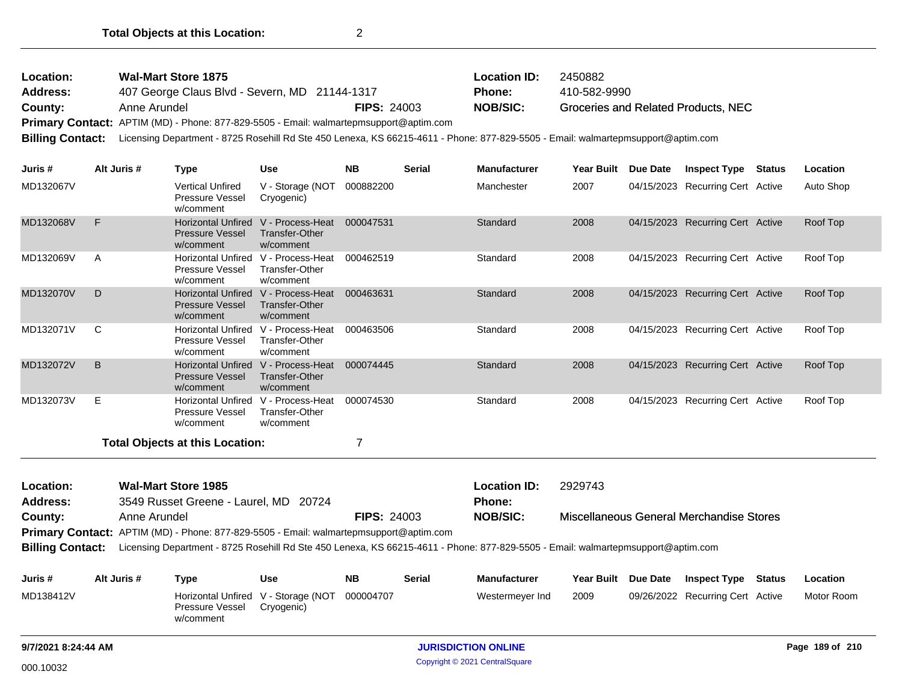| Location:<br>Address:<br>County:<br>Primary Contact: APTIM (MD) - Phone: 877-829-5505 - Email: walmartepmsupport@aptim.com<br><b>Billing Contact:</b><br>Juris # |              | Anne Arundel | <b>Wal-Mart Store 1875</b><br>407 George Claus Blvd - Severn, MD 21144-1317 |                                                        | <b>FIPS: 24003</b> | <b>Location ID:</b><br>2450882<br>410-582-9990<br>Phone:<br><b>NOB/SIC:</b><br>Groceries and Related Products, NEC<br>Licensing Department - 8725 Rosehill Rd Ste 450 Lenexa, KS 66215-4611 - Phone: 877-829-5505 - Email: walmartepmsupport@aptim.com |                               |            |                 |                                  |  |           |
|------------------------------------------------------------------------------------------------------------------------------------------------------------------|--------------|--------------|-----------------------------------------------------------------------------|--------------------------------------------------------|--------------------|--------------------------------------------------------------------------------------------------------------------------------------------------------------------------------------------------------------------------------------------------------|-------------------------------|------------|-----------------|----------------------------------|--|-----------|
|                                                                                                                                                                  |              | Alt Juris #  | <b>Type</b>                                                                 | <b>Use</b>                                             | <b>NB</b>          | <b>Serial</b>                                                                                                                                                                                                                                          | <b>Manufacturer</b>           | Year Built | <b>Due Date</b> | <b>Inspect Type Status</b>       |  | Location  |
| MD132067V                                                                                                                                                        |              |              | <b>Vertical Unfired</b><br>Pressure Vessel<br>w/comment                     | V - Storage (NOT<br>Cryogenic)                         | 000882200          |                                                                                                                                                                                                                                                        | Manchester                    | 2007       |                 | 04/15/2023 Recurring Cert Active |  | Auto Shop |
| MD132068V                                                                                                                                                        | F            |              | Horizontal Unfired V - Process-Heat<br><b>Pressure Vessel</b><br>w/comment  | <b>Transfer-Other</b><br>w/comment                     | 000047531          |                                                                                                                                                                                                                                                        | Standard                      | 2008       |                 | 04/15/2023 Recurring Cert Active |  | Roof Top  |
| MD132069V                                                                                                                                                        | Α            |              | Horizontal Unfired V - Process-Heat<br>Pressure Vessel<br>w/comment         | Transfer-Other<br>w/comment                            | 000462519          |                                                                                                                                                                                                                                                        | Standard                      | 2008       |                 | 04/15/2023 Recurring Cert Active |  | Roof Top  |
| MD132070V                                                                                                                                                        | D            |              | Horizontal Unfired V - Process-Heat<br><b>Pressure Vessel</b><br>w/comment  | <b>Transfer-Other</b><br>w/comment                     | 000463631          |                                                                                                                                                                                                                                                        | Standard                      | 2008       |                 | 04/15/2023 Recurring Cert Active |  | Roof Top  |
| MD132071V                                                                                                                                                        | C            |              | <b>Horizontal Unfired</b><br>Pressure Vessel<br>w/comment                   | V - Process-Heat<br><b>Transfer-Other</b><br>w/comment | 000463506          |                                                                                                                                                                                                                                                        | Standard                      | 2008       |                 | 04/15/2023 Recurring Cert Active |  | Roof Top  |
| MD132072V                                                                                                                                                        | B            |              | Horizontal Unfired V - Process-Heat<br><b>Pressure Vessel</b><br>w/comment  | <b>Transfer-Other</b><br>w/comment                     | 000074445          |                                                                                                                                                                                                                                                        | Standard                      | 2008       |                 | 04/15/2023 Recurring Cert Active |  | Roof Top  |
| MD132073V                                                                                                                                                        | Е            |              | Horizontal Unfired V - Process-Heat<br>Pressure Vessel<br>w/comment         | <b>Transfer-Other</b><br>w/comment                     | 000074530          |                                                                                                                                                                                                                                                        | Standard                      | 2008       |                 | 04/15/2023 Recurring Cert Active |  | Roof Top  |
|                                                                                                                                                                  |              |              | <b>Total Objects at this Location:</b>                                      |                                                        | 7                  |                                                                                                                                                                                                                                                        |                               |            |                 |                                  |  |           |
| Location:<br><b>Address:</b>                                                                                                                                     |              |              | <b>Wal-Mart Store 1985</b><br>3549 Russet Greene - Laurel, MD 20724         |                                                        |                    |                                                                                                                                                                                                                                                        | <b>Location ID:</b><br>Phone: | 2929743    |                 |                                  |  |           |
| County:                                                                                                                                                          | Anne Arundel |              |                                                                             | <b>FIPS: 24003</b>                                     |                    | <b>NOB/SIC:</b><br>Miscellaneous General Merchandise Stores                                                                                                                                                                                            |                               |            |                 |                                  |  |           |

**Primary Contact:** APTIM (MD) - Phone: 877-829-5505 - Email: walmartepmsupport@aptim.com

**Billing Contact:** Licensing Department - 8725 Rosehill Rd Ste 450 Lenexa, KS 66215-4611 - Phone: 877-829-5505 - Email: walmartepmsupport@aptim.com

| Juris #   | Alt Juris # | Type                                                                | Use        | NΒ        | <b>Serial</b> | <b>Manufacturer</b> | Year Built Due Date | <b>Inspect Type Status</b>       | Location   |
|-----------|-------------|---------------------------------------------------------------------|------------|-----------|---------------|---------------------|---------------------|----------------------------------|------------|
| MD138412V |             | Horizontal Unfired V - Storage (NOT<br>Pressure Vessel<br>w/comment | Cryogenic) | 000004707 |               | Westermever Ind     | 2009                | 09/26/2022 Recurring Cert Active | Motor Room |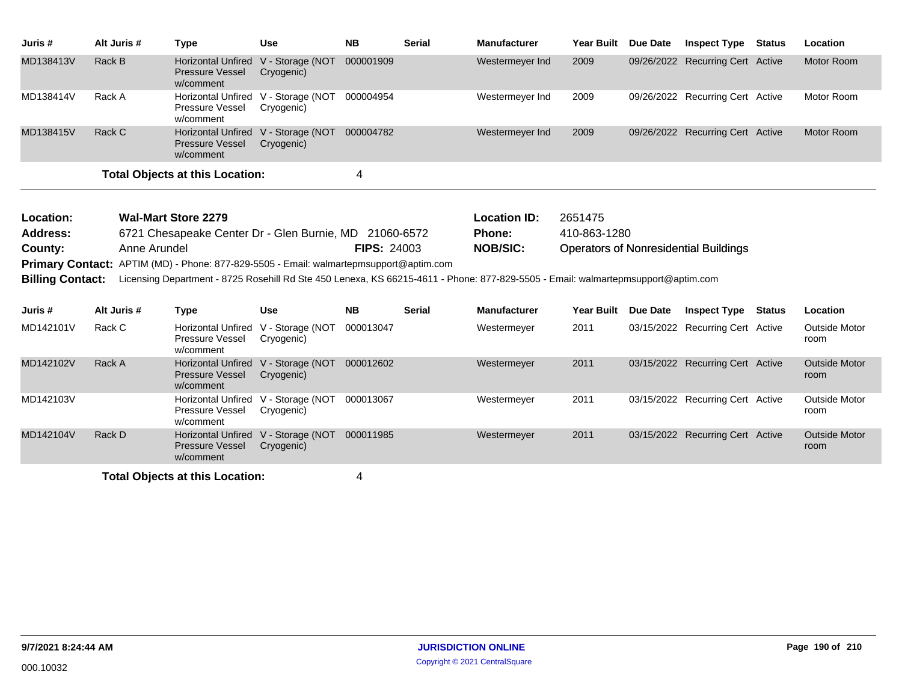| Juris #   | Alt Juris # | Type                                                      | <b>Use</b>                                        | <b>NB</b> | Serial | <b>Manufacturer</b> | <b>Year Built</b> | <b>Due Date</b> | Inspect Type                     | Status | <b>Location</b> |
|-----------|-------------|-----------------------------------------------------------|---------------------------------------------------|-----------|--------|---------------------|-------------------|-----------------|----------------------------------|--------|-----------------|
| MD138413V | Rack B      | <b>Horizontal Unfired</b><br>Pressure Vessel<br>w/comment | V - Storage (NOT<br>Cryogenic)                    | 000001909 |        | Westermeyer Ind     | 2009              |                 | 09/26/2022 Recurring Cert Active |        | Motor Room      |
| MD138414V | Rack A      | Pressure Vessel<br>w/comment                              | Horizontal Unfired V - Storage (NOT<br>Cryogenic) | 000004954 |        | Westermeyer Ind     | 2009              |                 | 09/26/2022 Recurring Cert Active |        | Motor Room      |
| MD138415V | Rack C      | <b>Pressure Vessel</b><br>w/comment                       | Horizontal Unfired V - Storage (NOT<br>Cryogenic) | 000004782 |        | Westermeyer Ind     | 2009              |                 | 09/26/2022 Recurring Cert Active |        | Motor Room      |
|           |             | <b>Total Objects at this Location:</b>                    |                                                   | 4         |        |                     |                   |                 |                                  |        |                 |

| Location:               | Wal-Mart Store 2279                                                                                                              |                    | <b>Location ID:</b> | 2651475                                      |
|-------------------------|----------------------------------------------------------------------------------------------------------------------------------|--------------------|---------------------|----------------------------------------------|
| <b>Address:</b>         | 6721 Chesapeake Center Dr - Glen Burnie, MD 21060-6572                                                                           |                    | <b>Phone:</b>       | 410-863-1280                                 |
| County:                 | Anne Arundel                                                                                                                     | <b>FIPS: 24003</b> | <b>NOB/SIC:</b>     | <b>Operators of Nonresidential Buildings</b> |
|                         | Primary Contact: APTIM (MD) - Phone: 877-829-5505 - Email: walmartepmsupport@aptim.com                                           |                    |                     |                                              |
| <b>Billing Contact:</b> | Licensing Department - 8725 Rosehill Rd Ste 450 Lenexa, KS 66215-4611 - Phone: 877-829-5505 - Email: walmartepmsupport@aptim.com |                    |                     |                                              |

| Juris #   | Alt Juris # | Type                                                                       | <b>Use</b>                     | <b>NB</b> | <b>Serial</b> | <b>Manufacturer</b> | <b>Year Built</b> | <b>Due Date</b> | <b>Inspect Type</b>              | Status | <b>Location</b>              |
|-----------|-------------|----------------------------------------------------------------------------|--------------------------------|-----------|---------------|---------------------|-------------------|-----------------|----------------------------------|--------|------------------------------|
| MD142101V | Rack C      | <b>Horizontal Unfired</b><br><b>Pressure Vessel</b><br>w/comment           | V - Storage (NOT<br>Cryogenic) | 000013047 |               | Westermeyer         | 2011              |                 | 03/15/2022 Recurring Cert Active |        | <b>Outside Motor</b><br>room |
| MD142102V | Rack A      | Horizontal Unfired V - Storage (NOT<br><b>Pressure Vessel</b><br>w/comment | Cryogenic)                     | 000012602 |               | Westermeyer         | 2011              |                 | 03/15/2022 Recurring Cert Active |        | <b>Outside Motor</b><br>room |
| MD142103V |             | Horizontal Unfired V - Storage (NOT<br><b>Pressure Vessel</b><br>w/comment | Cryogenic)                     | 000013067 |               | Westermeyer         | 2011              |                 | 03/15/2022 Recurring Cert Active |        | Outside Motor<br>room        |
| MD142104V | Rack D      | <b>Horizontal Unfired</b><br><b>Pressure Vessel</b><br>w/comment           | V - Storage (NOT<br>Cryogenic) | 000011985 |               | Westermeyer         | 2011              |                 | 03/15/2022 Recurring Cert Active |        | <b>Outside Motor</b><br>room |
|           |             |                                                                            |                                |           |               |                     |                   |                 |                                  |        |                              |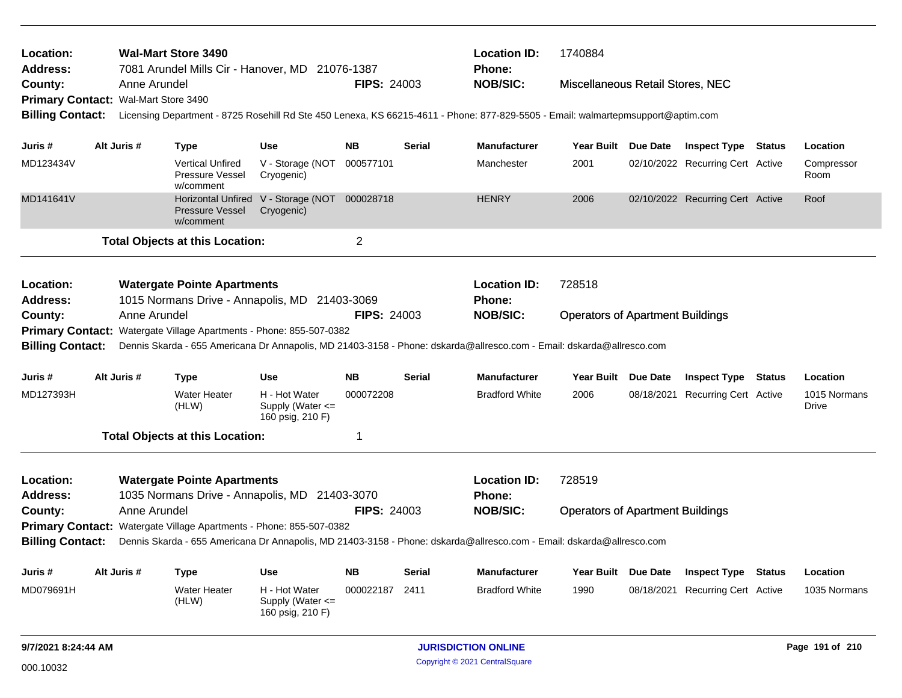| Location:<br><b>Address:</b><br>County:<br>Primary Contact: Wal-Mart Store 3490<br><b>Billing Contact:</b>                                                                                                                                                                                                                                                                                                                                                    |             | <b>Wal-Mart Store 3490</b><br>7081 Arundel Mills Cir - Hanover, MD 21076-1387<br>Anne Arundel                                                                                                                                                                                                       |                                                             | <b>FIPS: 24003</b> |                                         | <b>Location ID:</b><br>1740884<br><b>Phone:</b><br><b>NOB/SIC:</b><br>Miscellaneous Retail Stores, NEC<br>Licensing Department - 8725 Rosehill Rd Ste 450 Lenexa, KS 66215-4611 - Phone: 877-829-5505 - Email: walmartepmsupport@aptim.com |                                                   |  |                                  |               |                       |
|---------------------------------------------------------------------------------------------------------------------------------------------------------------------------------------------------------------------------------------------------------------------------------------------------------------------------------------------------------------------------------------------------------------------------------------------------------------|-------------|-----------------------------------------------------------------------------------------------------------------------------------------------------------------------------------------------------------------------------------------------------------------------------------------------------|-------------------------------------------------------------|--------------------|-----------------------------------------|--------------------------------------------------------------------------------------------------------------------------------------------------------------------------------------------------------------------------------------------|---------------------------------------------------|--|----------------------------------|---------------|-----------------------|
| Juris #                                                                                                                                                                                                                                                                                                                                                                                                                                                       | Alt Juris # | <b>Type</b>                                                                                                                                                                                                                                                                                         | <b>Use</b>                                                  | <b>NB</b>          | <b>Serial</b>                           | <b>Manufacturer</b>                                                                                                                                                                                                                        | Year Built Due Date                               |  | <b>Inspect Type Status</b>       |               | Location              |
| MD123434V                                                                                                                                                                                                                                                                                                                                                                                                                                                     |             | <b>Vertical Unfired</b><br>Pressure Vessel<br>w/comment                                                                                                                                                                                                                                             | V - Storage (NOT<br>Cryogenic)                              | 000577101          |                                         | Manchester                                                                                                                                                                                                                                 | 2001                                              |  | 02/10/2022 Recurring Cert Active |               | Compressor<br>Room    |
| MD141641V                                                                                                                                                                                                                                                                                                                                                                                                                                                     |             | Pressure Vessel<br>w/comment                                                                                                                                                                                                                                                                        | Horizontal Unfired V - Storage (NOT 000028718<br>Cryogenic) |                    |                                         | <b>HENRY</b>                                                                                                                                                                                                                               | 2006                                              |  | 02/10/2022 Recurring Cert Active |               | Roof                  |
|                                                                                                                                                                                                                                                                                                                                                                                                                                                               |             | <b>Total Objects at this Location:</b>                                                                                                                                                                                                                                                              |                                                             | $\overline{2}$     |                                         |                                                                                                                                                                                                                                            |                                                   |  |                                  |               |                       |
| Location:<br>Address:<br>County:<br><b>Billing Contact:</b>                                                                                                                                                                                                                                                                                                                                                                                                   |             | <b>Watergate Pointe Apartments</b><br>1015 Normans Drive - Annapolis, MD 21403-3069<br>Anne Arundel<br>Primary Contact: Watergate Village Apartments - Phone: 855-507-0382<br>Dennis Skarda - 655 Americana Dr Annapolis, MD 21403-3158 - Phone: dskarda@allresco.com - Email: dskarda@allresco.com |                                                             | <b>FIPS: 24003</b> |                                         | <b>Location ID:</b><br>Phone:<br><b>NOB/SIC:</b>                                                                                                                                                                                           | 728518<br><b>Operators of Apartment Buildings</b> |  |                                  |               |                       |
| Juris #                                                                                                                                                                                                                                                                                                                                                                                                                                                       | Alt Juris # | <b>Type</b>                                                                                                                                                                                                                                                                                         | <b>Use</b>                                                  | <b>NB</b>          | <b>Serial</b>                           | <b>Manufacturer</b>                                                                                                                                                                                                                        | Year Built Due Date                               |  | <b>Inspect Type</b>              | <b>Status</b> | Location              |
| MD127393H                                                                                                                                                                                                                                                                                                                                                                                                                                                     |             | <b>Water Heater</b><br>(HLW)                                                                                                                                                                                                                                                                        | H - Hot Water<br>Supply (Water $\leq$<br>160 psig, 210 F)   | 000072208          |                                         | <b>Bradford White</b>                                                                                                                                                                                                                      | 2006                                              |  | 08/18/2021 Recurring Cert Active |               | 1015 Normans<br>Drive |
|                                                                                                                                                                                                                                                                                                                                                                                                                                                               |             | <b>Total Objects at this Location:</b>                                                                                                                                                                                                                                                              |                                                             | 1                  |                                         |                                                                                                                                                                                                                                            |                                                   |  |                                  |               |                       |
| <b>Location ID:</b><br>728519<br>Location:<br><b>Watergate Pointe Apartments</b><br><b>Address:</b><br>1035 Normans Drive - Annapolis, MD 21403-3070<br>Phone:<br><b>FIPS: 24003</b><br>Anne Arundel<br><b>NOB/SIC:</b><br>County:<br>Primary Contact: Watergate Village Apartments - Phone: 855-507-0382<br><b>Billing Contact:</b><br>Dennis Skarda - 655 Americana Dr Annapolis, MD 21403-3158 - Phone: dskarda@allresco.com - Email: dskarda@allresco.com |             |                                                                                                                                                                                                                                                                                                     |                                                             |                    | <b>Operators of Apartment Buildings</b> |                                                                                                                                                                                                                                            |                                                   |  |                                  |               |                       |
|                                                                                                                                                                                                                                                                                                                                                                                                                                                               |             |                                                                                                                                                                                                                                                                                                     |                                                             |                    |                                         |                                                                                                                                                                                                                                            |                                                   |  |                                  |               |                       |
| Juris #                                                                                                                                                                                                                                                                                                                                                                                                                                                       | Alt Juris # | <b>Type</b>                                                                                                                                                                                                                                                                                         | <b>Use</b>                                                  | <b>NB</b>          | <b>Serial</b>                           | <b>Manufacturer</b>                                                                                                                                                                                                                        | Year Built Due Date                               |  | <b>Inspect Type</b>              | <b>Status</b> | Location              |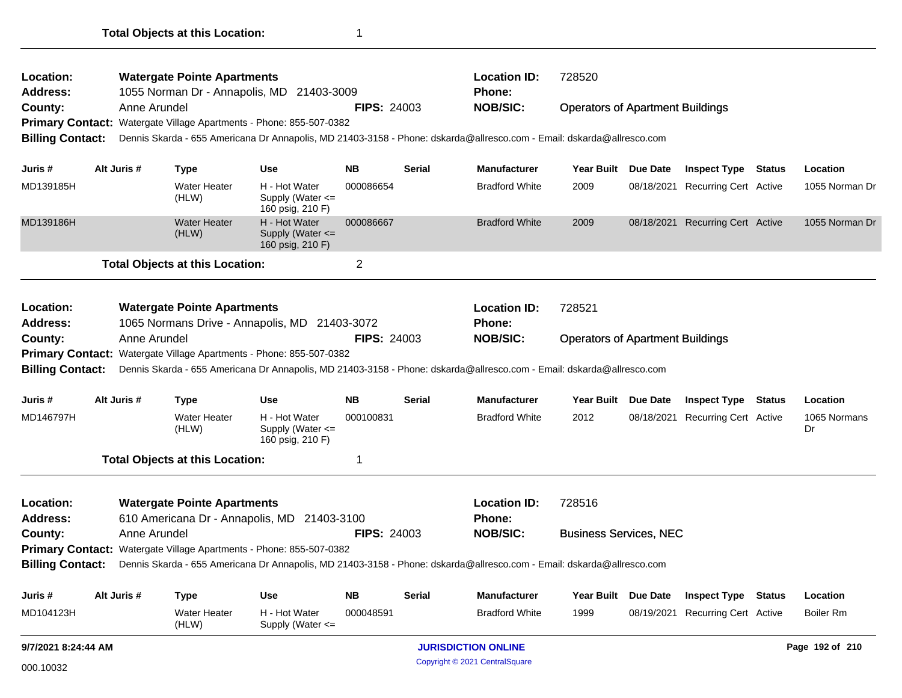| Location:<br>Address:   |                                                                     |              | <b>Watergate Pointe Apartments</b>     | 1055 Norman Dr - Annapolis, MD 21403-3009                           |                    |               | <b>Location ID:</b><br><b>Phone:</b>                                                                                  | 728520                                  |                     |                                  |               |                    |
|-------------------------|---------------------------------------------------------------------|--------------|----------------------------------------|---------------------------------------------------------------------|--------------------|---------------|-----------------------------------------------------------------------------------------------------------------------|-----------------------------------------|---------------------|----------------------------------|---------------|--------------------|
| County:                 |                                                                     | Anne Arundel |                                        |                                                                     | <b>FIPS: 24003</b> |               | <b>NOB/SIC:</b>                                                                                                       | <b>Operators of Apartment Buildings</b> |                     |                                  |               |                    |
|                         |                                                                     |              |                                        | Primary Contact: Watergate Village Apartments - Phone: 855-507-0382 |                    |               |                                                                                                                       |                                         |                     |                                  |               |                    |
| <b>Billing Contact:</b> |                                                                     |              |                                        |                                                                     |                    |               | Dennis Skarda - 655 Americana Dr Annapolis, MD 21403-3158 - Phone: dskarda@allresco.com - Email: dskarda@allresco.com |                                         |                     |                                  |               |                    |
| Juris #                 |                                                                     | Alt Juris #  | <b>Type</b>                            | <b>Use</b>                                                          | <b>NB</b>          | Serial        | <b>Manufacturer</b>                                                                                                   |                                         | Year Built Due Date | <b>Inspect Type Status</b>       |               | Location           |
| MD139185H               |                                                                     |              | <b>Water Heater</b><br>(HLW)           | H - Hot Water<br>Supply (Water $\leq$<br>160 psig, 210 F)           | 000086654          |               | <b>Bradford White</b>                                                                                                 | 2009                                    | 08/18/2021          | Recurring Cert Active            |               | 1055 Norman Dr     |
| MD139186H               |                                                                     |              | <b>Water Heater</b><br>(HLW)           | H - Hot Water<br>Supply (Water <=<br>160 psig, 210 F)               | 000086667          |               | <b>Bradford White</b>                                                                                                 | 2009                                    |                     | 08/18/2021 Recurring Cert Active |               | 1055 Norman Dr     |
|                         |                                                                     |              | <b>Total Objects at this Location:</b> |                                                                     | 2                  |               |                                                                                                                       |                                         |                     |                                  |               |                    |
| Location:               |                                                                     |              | <b>Watergate Pointe Apartments</b>     |                                                                     |                    |               | <b>Location ID:</b>                                                                                                   | 728521                                  |                     |                                  |               |                    |
| <b>Address:</b>         |                                                                     |              |                                        | 1065 Normans Drive - Annapolis, MD 21403-3072                       |                    |               | <b>Phone:</b>                                                                                                         |                                         |                     |                                  |               |                    |
| County:                 |                                                                     | Anne Arundel |                                        |                                                                     | <b>FIPS: 24003</b> |               | <b>NOB/SIC:</b>                                                                                                       | <b>Operators of Apartment Buildings</b> |                     |                                  |               |                    |
| <b>Billing Contact:</b> |                                                                     |              |                                        | Primary Contact: Watergate Village Apartments - Phone: 855-507-0382 |                    |               | Dennis Skarda - 655 Americana Dr Annapolis, MD 21403-3158 - Phone: dskarda@allresco.com - Email: dskarda@allresco.com |                                         |                     |                                  |               |                    |
|                         |                                                                     |              |                                        |                                                                     |                    |               |                                                                                                                       |                                         |                     |                                  |               |                    |
| Juris #                 |                                                                     | Alt Juris #  | <b>Type</b>                            | <b>Use</b>                                                          | <b>NB</b>          | Serial        | <b>Manufacturer</b>                                                                                                   |                                         | Year Built Due Date | <b>Inspect Type Status</b>       |               | Location           |
| MD146797H               |                                                                     |              | <b>Water Heater</b><br>(HLW)           | H - Hot Water<br>Supply (Water $\leq$<br>160 psig, 210 F)           | 000100831          |               | <b>Bradford White</b>                                                                                                 | 2012                                    | 08/18/2021          | Recurring Cert Active            |               | 1065 Normans<br>Dr |
|                         |                                                                     |              | <b>Total Objects at this Location:</b> |                                                                     | 1                  |               |                                                                                                                       |                                         |                     |                                  |               |                    |
| Location:               |                                                                     |              | <b>Watergate Pointe Apartments</b>     |                                                                     |                    |               | <b>Location ID:</b>                                                                                                   | 728516                                  |                     |                                  |               |                    |
| <b>Address:</b>         |                                                                     |              |                                        | 610 Americana Dr - Annapolis, MD 21403-3100                         |                    |               | Phone:                                                                                                                |                                         |                     |                                  |               |                    |
| County:                 |                                                                     | Anne Arundel |                                        |                                                                     | <b>FIPS: 24003</b> |               | <b>NOB/SIC:</b>                                                                                                       | <b>Business Services, NEC</b>           |                     |                                  |               |                    |
|                         | Primary Contact: Watergate Village Apartments - Phone: 855-507-0382 |              |                                        |                                                                     |                    |               |                                                                                                                       |                                         |                     |                                  |               |                    |
| <b>Billing Contact:</b> |                                                                     |              |                                        |                                                                     |                    |               | Dennis Skarda - 655 Americana Dr Annapolis, MD 21403-3158 - Phone: dskarda@allresco.com - Email: dskarda@allresco.com |                                         |                     |                                  |               |                    |
| Juris#                  |                                                                     | Alt Juris #  | <b>Type</b>                            | <b>Use</b>                                                          | <b>NB</b>          | <b>Serial</b> | <b>Manufacturer</b>                                                                                                   | <b>Year Built</b>                       | <b>Due Date</b>     | <b>Inspect Type</b>              | <b>Status</b> | Location           |
| MD104123H               |                                                                     |              | Water Heater<br>(HLW)                  | H - Hot Water<br>Supply (Water <=                                   | 000048591          |               | <b>Bradford White</b>                                                                                                 | 1999                                    | 08/19/2021          | Recurring Cert Active            |               | Boiler Rm          |
| 9/7/2021 8:24:44 AM     |                                                                     |              |                                        |                                                                     |                    |               | <b>JURISDICTION ONLINE</b>                                                                                            |                                         |                     |                                  |               | Page 192 of 210    |
| 000.10032               |                                                                     |              |                                        |                                                                     |                    |               | Copyright © 2021 CentralSquare                                                                                        |                                         |                     |                                  |               |                    |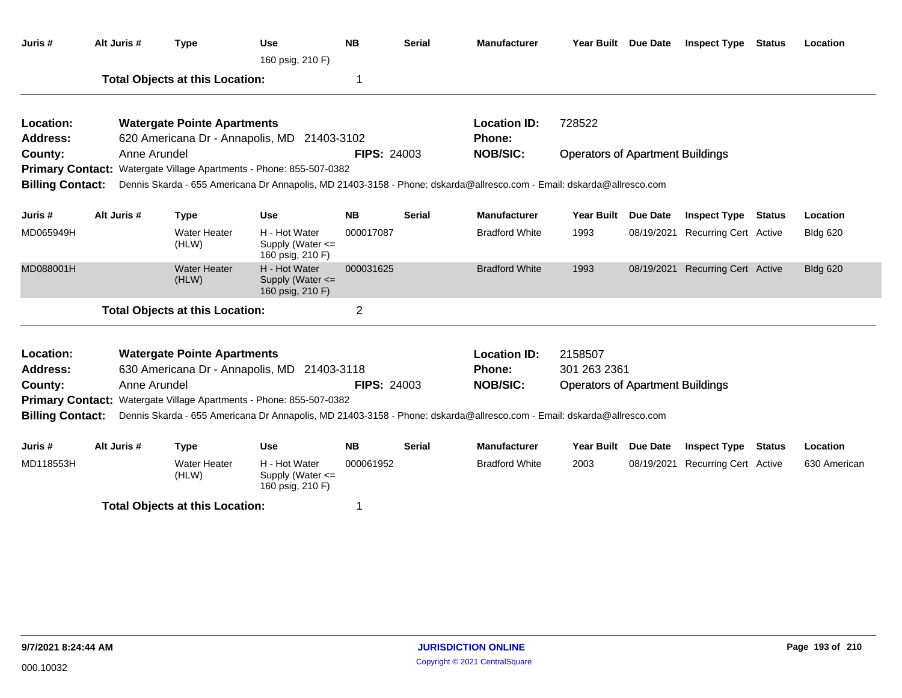| Juris #                 | Alt Juris # | <b>Type</b>                                                         | <b>Use</b><br>160 psig, 210 F)                            | <b>NB</b>          | <b>Serial</b> | <b>Manufacturer</b>                                                                                                   |                                         | Year Built Due Date | <b>Inspect Type</b>              | Status        | Location        |
|-------------------------|-------------|---------------------------------------------------------------------|-----------------------------------------------------------|--------------------|---------------|-----------------------------------------------------------------------------------------------------------------------|-----------------------------------------|---------------------|----------------------------------|---------------|-----------------|
|                         |             | <b>Total Objects at this Location:</b>                              |                                                           | 1                  |               |                                                                                                                       |                                         |                     |                                  |               |                 |
| Location:               |             | <b>Watergate Pointe Apartments</b>                                  |                                                           |                    |               | <b>Location ID:</b>                                                                                                   | 728522                                  |                     |                                  |               |                 |
| Address:                |             | 620 Americana Dr - Annapolis, MD 21403-3102                         |                                                           |                    |               | <b>Phone:</b>                                                                                                         |                                         |                     |                                  |               |                 |
| County:                 |             | Anne Arundel                                                        |                                                           | <b>FIPS: 24003</b> |               | <b>NOB/SIC:</b>                                                                                                       | <b>Operators of Apartment Buildings</b> |                     |                                  |               |                 |
|                         |             | Primary Contact: Watergate Village Apartments - Phone: 855-507-0382 |                                                           |                    |               |                                                                                                                       |                                         |                     |                                  |               |                 |
| <b>Billing Contact:</b> |             |                                                                     |                                                           |                    |               | Dennis Skarda - 655 Americana Dr Annapolis, MD 21403-3158 - Phone: dskarda@allresco.com - Email: dskarda@allresco.com |                                         |                     |                                  |               |                 |
| Juris #                 | Alt Juris # | <b>Type</b>                                                         | <b>Use</b>                                                | <b>NB</b>          | <b>Serial</b> | <b>Manufacturer</b>                                                                                                   | <b>Year Built</b>                       | <b>Due Date</b>     | <b>Inspect Type</b>              | Status        | Location        |
| MD065949H               |             | <b>Water Heater</b><br>(HLW)                                        | H - Hot Water<br>Supply (Water $\leq$<br>160 psig, 210 F) | 000017087          |               | <b>Bradford White</b>                                                                                                 | 1993                                    |                     | 08/19/2021 Recurring Cert Active |               | <b>Bldg 620</b> |
| MD088001H               |             | <b>Water Heater</b><br>(HLW)                                        | H - Hot Water<br>Supply (Water <=<br>160 psig, 210 F)     | 000031625          |               | <b>Bradford White</b>                                                                                                 | 1993                                    |                     | 08/19/2021 Recurring Cert Active |               | <b>Bldg 620</b> |
|                         |             | <b>Total Objects at this Location:</b>                              |                                                           | $\overline{2}$     |               |                                                                                                                       |                                         |                     |                                  |               |                 |
| Location:               |             | <b>Watergate Pointe Apartments</b>                                  |                                                           |                    |               | <b>Location ID:</b>                                                                                                   | 2158507                                 |                     |                                  |               |                 |
| <b>Address:</b>         |             | 630 Americana Dr - Annapolis, MD 21403-3118                         |                                                           |                    |               | Phone:                                                                                                                | 301 263 2361                            |                     |                                  |               |                 |
| County:                 |             | Anne Arundel                                                        |                                                           | <b>FIPS: 24003</b> |               | <b>NOB/SIC:</b>                                                                                                       | <b>Operators of Apartment Buildings</b> |                     |                                  |               |                 |
| <b>Primary Contact:</b> |             | Watergate Village Apartments - Phone: 855-507-0382                  |                                                           |                    |               |                                                                                                                       |                                         |                     |                                  |               |                 |
| <b>Billing Contact:</b> |             |                                                                     |                                                           |                    |               | Dennis Skarda - 655 Americana Dr Annapolis, MD 21403-3158 - Phone: dskarda@allresco.com - Email: dskarda@allresco.com |                                         |                     |                                  |               |                 |
| Juris #                 | Alt Juris # | <b>Type</b>                                                         | <b>Use</b>                                                | <b>NB</b>          | Serial        | <b>Manufacturer</b>                                                                                                   | Year Built Due Date                     |                     | <b>Inspect Type</b>              | <b>Status</b> | Location        |
| MD118553H               |             | <b>Water Heater</b><br>(HLW)                                        | H - Hot Water<br>Supply (Water <=<br>160 psig, 210 F)     | 000061952          |               | <b>Bradford White</b>                                                                                                 | 2003                                    |                     | 08/19/2021 Recurring Cert Active |               | 630 American    |
|                         |             | <b>Total Objects at this Location:</b>                              |                                                           | 1                  |               |                                                                                                                       |                                         |                     |                                  |               |                 |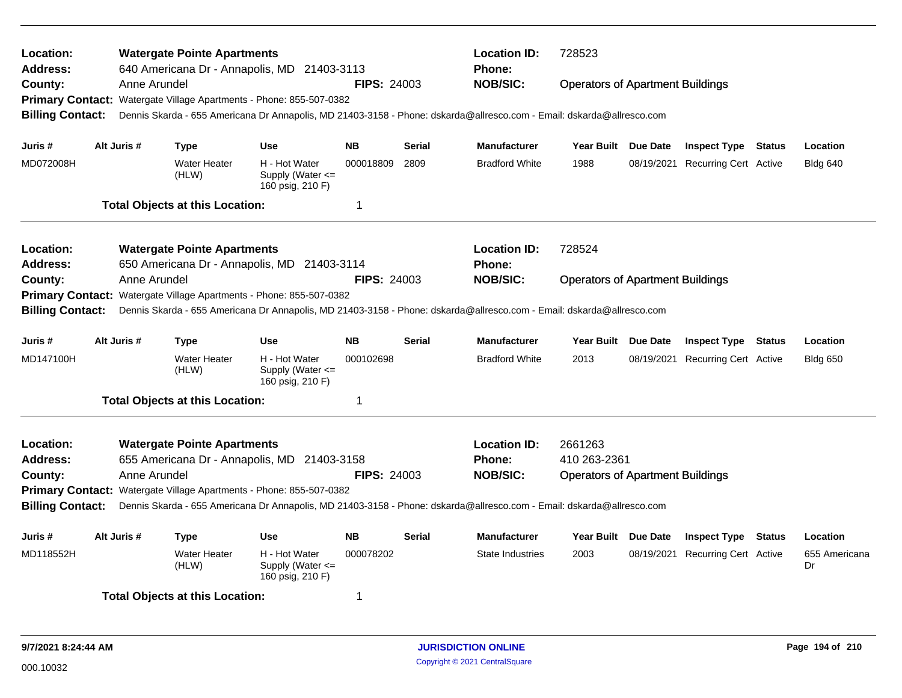| Location:<br><b>Address:</b><br>County:<br><b>Primary Contact:</b><br><b>Billing Contact:</b><br>Juris #<br>MD072008H                                                                                                                                                                                                                                                                                                            |  | Anne Arundel<br>Alt Juris # | <b>Watergate Pointe Apartments</b><br>Type<br><b>Water Heater</b><br>(HLW) | 640 Americana Dr - Annapolis, MD 21403-3113<br>Watergate Village Apartments - Phone: 855-507-0382<br><b>Use</b><br>H - Hot Water<br>Supply (Water $\leq$ | <b>FIPS: 24003</b><br><b>NB</b><br>000018809 | <b>Serial</b><br>2809 | <b>Location ID:</b><br><b>Phone:</b><br><b>NOB/SIC:</b><br>Dennis Skarda - 655 Americana Dr Annapolis, MD 21403-3158 - Phone: dskarda@allresco.com - Email: dskarda@allresco.com<br><b>Manufacturer</b><br><b>Bradford White</b> | 728523<br><b>Operators of Apartment Buildings</b><br>Year Built Due Date<br>1988 | <b>Inspect Type Status</b><br>08/19/2021 Recurring Cert Active |               | Location<br><b>Bldg 640</b>     |
|----------------------------------------------------------------------------------------------------------------------------------------------------------------------------------------------------------------------------------------------------------------------------------------------------------------------------------------------------------------------------------------------------------------------------------|--|-----------------------------|----------------------------------------------------------------------------|----------------------------------------------------------------------------------------------------------------------------------------------------------|----------------------------------------------|-----------------------|----------------------------------------------------------------------------------------------------------------------------------------------------------------------------------------------------------------------------------|----------------------------------------------------------------------------------|----------------------------------------------------------------|---------------|---------------------------------|
|                                                                                                                                                                                                                                                                                                                                                                                                                                  |  |                             | <b>Total Objects at this Location:</b>                                     | 160 psig, 210 F)                                                                                                                                         | $\mathbf 1$                                  |                       |                                                                                                                                                                                                                                  |                                                                                  |                                                                |               |                                 |
| Location:<br>Address:<br>County:<br><b>Primary Contact:</b><br><b>Billing Contact:</b>                                                                                                                                                                                                                                                                                                                                           |  | Anne Arundel                | <b>Watergate Pointe Apartments</b>                                         | 650 Americana Dr - Annapolis, MD 21403-3114<br>Watergate Village Apartments - Phone: 855-507-0382                                                        | <b>FIPS: 24003</b>                           |                       | <b>Location ID:</b><br>Phone:<br><b>NOB/SIC:</b><br>Dennis Skarda - 655 Americana Dr Annapolis, MD 21403-3158 - Phone: dskarda@allresco.com - Email: dskarda@allresco.com                                                        | 728524<br><b>Operators of Apartment Buildings</b>                                |                                                                |               |                                 |
| Juris #<br>MD147100H                                                                                                                                                                                                                                                                                                                                                                                                             |  | Alt Juris #                 | Type<br><b>Water Heater</b><br>(HLW)                                       | <b>Use</b><br>H - Hot Water<br>Supply (Water $\leq$<br>160 psig, 210 F)                                                                                  | <b>NB</b><br>000102698<br>$\overline{1}$     | <b>Serial</b>         | Manufacturer<br><b>Bradford White</b>                                                                                                                                                                                            | Year Built Due Date<br>2013                                                      | <b>Inspect Type Status</b><br>08/19/2021 Recurring Cert Active |               | Location<br><b>Bldg 650</b>     |
| <b>Total Objects at this Location:</b><br>Location:<br><b>Watergate Pointe Apartments</b><br>655 Americana Dr - Annapolis, MD 21403-3158<br>Address:<br>Anne Arundel<br><b>FIPS: 24003</b><br>County:<br>Primary Contact: Watergate Village Apartments - Phone: 855-507-0382<br><b>Billing Contact:</b><br>Dennis Skarda - 655 Americana Dr Annapolis, MD 21403-3158 - Phone: dskarda@allresco.com - Email: dskarda@allresco.com |  |                             |                                                                            |                                                                                                                                                          |                                              |                       | <b>Location ID:</b><br>Phone:<br><b>NOB/SIC:</b>                                                                                                                                                                                 | 2661263<br>410 263-2361<br><b>Operators of Apartment Buildings</b>               |                                                                |               |                                 |
| Juris #<br>MD118552H                                                                                                                                                                                                                                                                                                                                                                                                             |  | Alt Juris #                 | Type<br>Water Heater<br>(HLW)<br><b>Total Objects at this Location:</b>    | <b>Use</b><br>H - Hot Water<br>Supply (Water $\leq$<br>160 psig, 210 F)                                                                                  | <b>NB</b><br>000078202<br>-1                 | <b>Serial</b>         | <b>Manufacturer</b><br><b>State Industries</b>                                                                                                                                                                                   | Year Built Due Date<br>2003                                                      | <b>Inspect Type</b><br>08/19/2021 Recurring Cert Active        | <b>Status</b> | Location<br>655 Americana<br>Dr |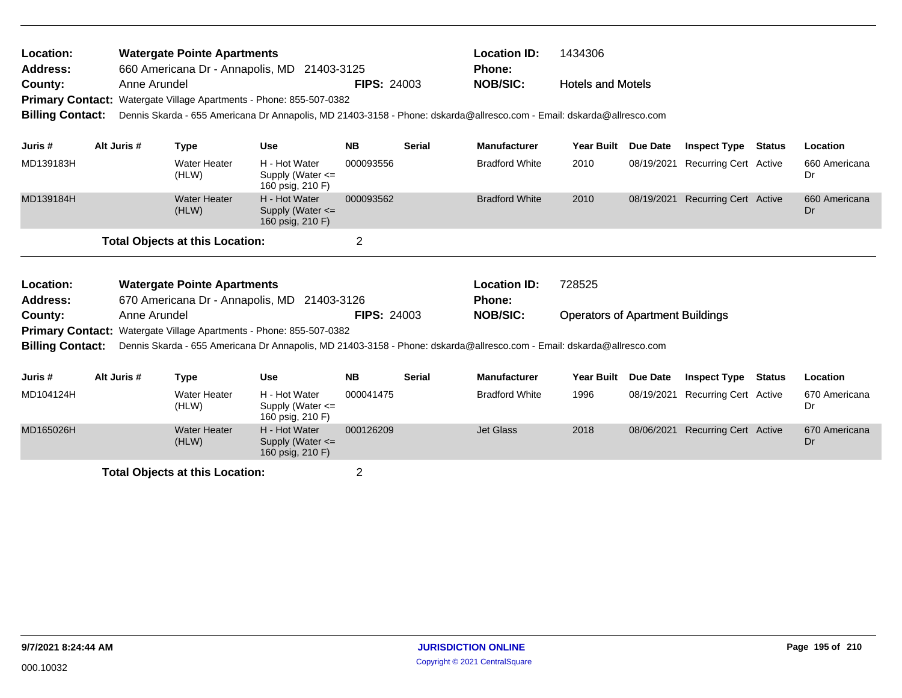| Location:<br><b>Address:</b><br>County:<br>Primary Contact: Watergate Village Apartments - Phone: 855-507-0382<br><b>Billing Contact:</b> | Anne Arundel                                                                                                                                                                                 | <b>Watergate Pointe Apartments</b>     | 660 Americana Dr - Annapolis, MD 21403-3125<br>Dennis Skarda - 655 Americana Dr Annapolis, MD 21403-3158 - Phone: dskarda@allresco.com - Email: dskarda@allresco.com | <b>FIPS: 24003</b> |               | <b>Location ID:</b><br><b>Phone:</b><br><b>NOB/SIC:</b> | 1434306<br><b>Hotels and Motels</b>     |                 |                              |               |                     |
|-------------------------------------------------------------------------------------------------------------------------------------------|----------------------------------------------------------------------------------------------------------------------------------------------------------------------------------------------|----------------------------------------|----------------------------------------------------------------------------------------------------------------------------------------------------------------------|--------------------|---------------|---------------------------------------------------------|-----------------------------------------|-----------------|------------------------------|---------------|---------------------|
| Juris #                                                                                                                                   | Alt Juris #                                                                                                                                                                                  | <b>Type</b>                            | <b>Use</b>                                                                                                                                                           | <b>NB</b>          | <b>Serial</b> | <b>Manufacturer</b>                                     | <b>Year Built</b>                       | <b>Due Date</b> | <b>Inspect Type</b>          | <b>Status</b> | Location            |
| MD139183H                                                                                                                                 |                                                                                                                                                                                              | <b>Water Heater</b><br>(HLW)           | H - Hot Water<br>Supply (Water $\leq$<br>160 psig, 210 F)                                                                                                            | 000093556          |               | <b>Bradford White</b>                                   | 2010                                    | 08/19/2021      | <b>Recurring Cert Active</b> |               | 660 Americana<br>Dr |
| MD139184H                                                                                                                                 |                                                                                                                                                                                              | <b>Water Heater</b><br>(HLW)           | H - Hot Water<br>Supply (Water $\leq$<br>160 psig, 210 F)                                                                                                            | 000093562          |               | <b>Bradford White</b>                                   | 2010                                    | 08/19/2021      | <b>Recurring Cert Active</b> |               | 660 Americana<br>Dr |
|                                                                                                                                           |                                                                                                                                                                                              | <b>Total Objects at this Location:</b> |                                                                                                                                                                      | $\overline{2}$     |               |                                                         |                                         |                 |                              |               |                     |
| Location:<br><b>Address:</b>                                                                                                              |                                                                                                                                                                                              | <b>Watergate Pointe Apartments</b>     | 670 Americana Dr - Annapolis, MD 21403-3126                                                                                                                          |                    |               | <b>Location ID:</b><br><b>Phone:</b>                    | 728525                                  |                 |                              |               |                     |
| County:                                                                                                                                   | Anne Arundel                                                                                                                                                                                 |                                        |                                                                                                                                                                      | <b>FIPS: 24003</b> |               | <b>NOB/SIC:</b>                                         | <b>Operators of Apartment Buildings</b> |                 |                              |               |                     |
| <b>Billing Contact:</b>                                                                                                                   | Primary Contact: Watergate Village Apartments - Phone: 855-507-0382<br>Dennis Skarda - 655 Americana Dr Annapolis, MD 21403-3158 - Phone: dskarda@allresco.com - Email: dskarda@allresco.com |                                        |                                                                                                                                                                      |                    |               |                                                         |                                         |                 |                              |               |                     |
| Juris #                                                                                                                                   | Alt Juris #                                                                                                                                                                                  | <b>Type</b>                            | <b>Use</b>                                                                                                                                                           | <b>NB</b>          | Serial        | <b>Manufacturer</b>                                     | Year Built Due Date                     |                 | <b>Inspect Type</b>          | Status        | Location            |
| MD104124H                                                                                                                                 |                                                                                                                                                                                              | <b>Water Heater</b><br>(HLW)           | H - Hot Water<br>Supply (Water $\leq$<br>160 psig, 210 F)                                                                                                            | 000041475          |               | <b>Bradford White</b>                                   | 1996                                    | 08/19/2021      | <b>Recurring Cert Active</b> |               | 670 Americana<br>Dr |
| MD165026H                                                                                                                                 |                                                                                                                                                                                              | <b>Water Heater</b><br>(HLW)           | H - Hot Water<br>Supply (Water $\leq$<br>160 psig, 210 F)                                                                                                            | 000126209          |               | <b>Jet Glass</b>                                        | 2018                                    | 08/06/2021      | <b>Recurring Cert Active</b> |               | 670 Americana<br>Dr |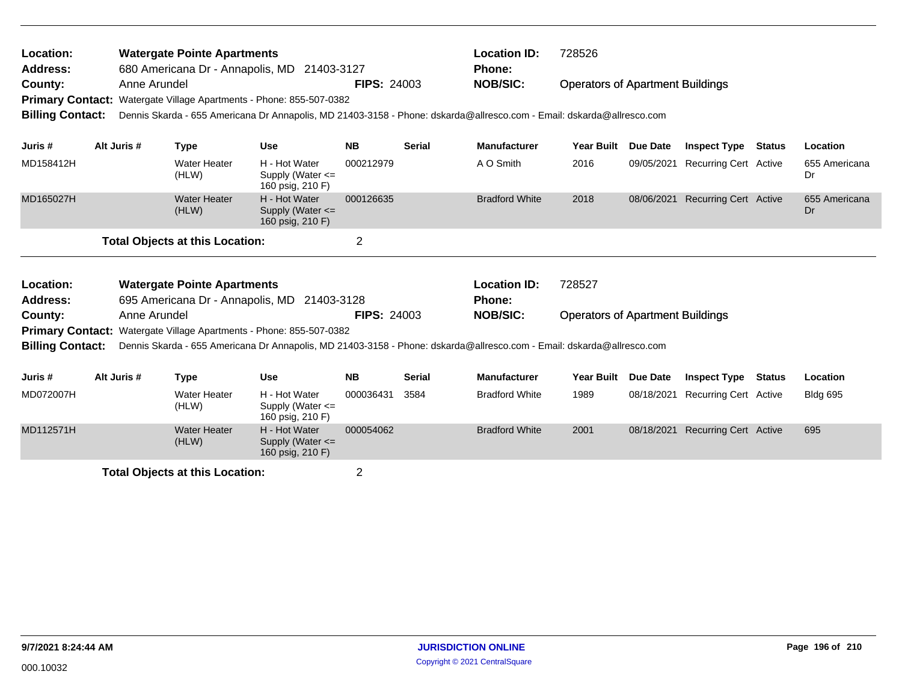| Location:<br>Address:<br>County:<br><b>Billing Contact:</b> | Anne Arundel | <b>Watergate Pointe Apartments</b>     | 680 Americana Dr - Annapolis, MD 21403-3127<br>Primary Contact: Watergate Village Apartments - Phone: 855-507-0382 | <b>FIPS: 24003</b> |               | <b>Location ID:</b><br>728526<br>Phone:<br><b>NOB/SIC:</b><br><b>Operators of Apartment Buildings</b><br>Dennis Skarda - 655 Americana Dr Annapolis, MD 21403-3158 - Phone: dskarda@allresco.com - Email: dskarda@allresco.com |                                         |                 |                              |        |                     |  |
|-------------------------------------------------------------|--------------|----------------------------------------|--------------------------------------------------------------------------------------------------------------------|--------------------|---------------|--------------------------------------------------------------------------------------------------------------------------------------------------------------------------------------------------------------------------------|-----------------------------------------|-----------------|------------------------------|--------|---------------------|--|
| Juris #                                                     | Alt Juris #  | <b>Type</b>                            | <b>Use</b>                                                                                                         | <b>NB</b>          | <b>Serial</b> | <b>Manufacturer</b>                                                                                                                                                                                                            | <b>Year Built</b>                       | Due Date        | <b>Inspect Type Status</b>   |        | Location            |  |
| MD158412H                                                   |              | Water Heater<br>(HLW)                  | H - Hot Water<br>Supply (Water <=<br>160 psig, 210 F)                                                              | 000212979          |               | A O Smith                                                                                                                                                                                                                      | 2016                                    | 09/05/2021      | Recurring Cert Active        |        | 655 Americana<br>Dr |  |
| MD165027H                                                   |              | <b>Water Heater</b><br>(HLW)           | H - Hot Water<br>Supply (Water $\leq$<br>160 psig, 210 F)                                                          | 000126635          |               | <b>Bradford White</b>                                                                                                                                                                                                          | 2018                                    | 08/06/2021      | <b>Recurring Cert Active</b> |        | 655 Americana<br>Dr |  |
|                                                             |              | <b>Total Objects at this Location:</b> |                                                                                                                    | $\overline{2}$     |               |                                                                                                                                                                                                                                |                                         |                 |                              |        |                     |  |
| Location:<br><b>Address:</b>                                |              | <b>Watergate Pointe Apartments</b>     | 695 Americana Dr - Annapolis, MD 21403-3128                                                                        |                    |               | <b>Location ID:</b><br><b>Phone:</b>                                                                                                                                                                                           | 728527                                  |                 |                              |        |                     |  |
| County:                                                     | Anne Arundel |                                        |                                                                                                                    | <b>FIPS: 24003</b> |               | <b>NOB/SIC:</b>                                                                                                                                                                                                                | <b>Operators of Apartment Buildings</b> |                 |                              |        |                     |  |
| <b>Primary Contact:</b><br><b>Billing Contact:</b>          |              |                                        | Watergate Village Apartments - Phone: 855-507-0382                                                                 |                    |               | Dennis Skarda - 655 Americana Dr Annapolis, MD 21403-3158 - Phone: dskarda@allresco.com - Email: dskarda@allresco.com                                                                                                          |                                         |                 |                              |        |                     |  |
| Juris #                                                     | Alt Juris #  | <b>Type</b>                            | <b>Use</b>                                                                                                         | <b>NB</b>          | <b>Serial</b> | <b>Manufacturer</b>                                                                                                                                                                                                            | <b>Year Built</b>                       | <b>Due Date</b> | <b>Inspect Type</b>          | Status | Location            |  |
| MD072007H                                                   |              | <b>Water Heater</b><br>(HLW)           | H - Hot Water<br>Supply (Water $\leq$<br>160 psig, 210 F)                                                          | 000036431          | 3584          | <b>Bradford White</b>                                                                                                                                                                                                          | 1989                                    | 08/18/2021      | <b>Recurring Cert Active</b> |        | <b>Bldg 695</b>     |  |
| MD112571H                                                   |              | <b>Water Heater</b><br>(HLW)           | H - Hot Water<br>Supply (Water <=<br>160 psig, 210 F)                                                              | 000054062          |               | <b>Bradford White</b>                                                                                                                                                                                                          | 2001                                    | 08/18/2021      | <b>Recurring Cert Active</b> |        | 695                 |  |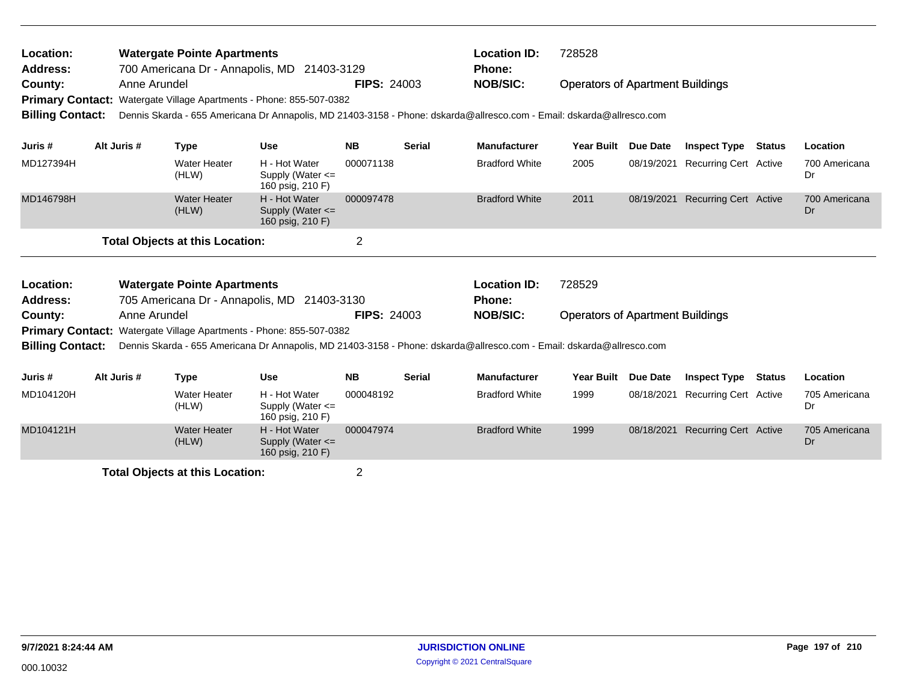| Location:<br><b>Address:</b>       |             |              | <b>Watergate Pointe Apartments</b><br>700 Americana Dr - Annapolis, MD 21403-3129 |                                                           |                    |               | <b>Location ID:</b><br><b>Phone:</b>                                                                                  | 728528                                  |                 |                                  |               |                     |
|------------------------------------|-------------|--------------|-----------------------------------------------------------------------------------|-----------------------------------------------------------|--------------------|---------------|-----------------------------------------------------------------------------------------------------------------------|-----------------------------------------|-----------------|----------------------------------|---------------|---------------------|
| County:<br><b>Primary Contact:</b> |             | Anne Arundel | Watergate Village Apartments - Phone: 855-507-0382                                |                                                           | <b>FIPS: 24003</b> |               | <b>NOB/SIC:</b>                                                                                                       | <b>Operators of Apartment Buildings</b> |                 |                                  |               |                     |
| <b>Billing Contact:</b>            |             |              |                                                                                   |                                                           |                    |               | Dennis Skarda - 655 Americana Dr Annapolis, MD 21403-3158 - Phone: dskarda@allresco.com - Email: dskarda@allresco.com |                                         |                 |                                  |               |                     |
| Juris #                            | Alt Juris # |              | <b>Type</b>                                                                       | <b>Use</b>                                                | <b>NB</b>          | <b>Serial</b> | <b>Manufacturer</b>                                                                                                   | <b>Year Built</b>                       | <b>Due Date</b> | <b>Inspect Type</b>              | <b>Status</b> | Location            |
| MD127394H                          |             |              | <b>Water Heater</b><br>(HLW)                                                      | H - Hot Water<br>Supply (Water <=<br>160 psig, 210 F)     | 000071138          |               | <b>Bradford White</b>                                                                                                 | 2005                                    | 08/19/2021      | <b>Recurring Cert Active</b>     |               | 700 Americana<br>Dr |
| MD146798H                          |             |              | <b>Water Heater</b><br>(HLW)                                                      | H - Hot Water<br>Supply (Water $\leq$<br>160 psig, 210 F) | 000097478          |               | <b>Bradford White</b>                                                                                                 | 2011                                    |                 | 08/19/2021 Recurring Cert Active |               | 700 Americana<br>Dr |
|                                    |             |              | <b>Total Objects at this Location:</b>                                            |                                                           | $\overline{2}$     |               |                                                                                                                       |                                         |                 |                                  |               |                     |
| Location:                          |             |              | <b>Watergate Pointe Apartments</b>                                                |                                                           |                    |               | <b>Location ID:</b>                                                                                                   | 728529                                  |                 |                                  |               |                     |
| Address:                           |             |              | 705 Americana Dr - Annapolis, MD 21403-3130                                       |                                                           |                    |               | Phone:                                                                                                                |                                         |                 |                                  |               |                     |
| County:                            |             | Anne Arundel |                                                                                   |                                                           | <b>FIPS: 24003</b> |               | <b>NOB/SIC:</b>                                                                                                       | <b>Operators of Apartment Buildings</b> |                 |                                  |               |                     |
|                                    |             |              | Primary Contact: Watergate Village Apartments - Phone: 855-507-0382               |                                                           |                    |               |                                                                                                                       |                                         |                 |                                  |               |                     |
| <b>Billing Contact:</b>            |             |              |                                                                                   |                                                           |                    |               | Dennis Skarda - 655 Americana Dr Annapolis, MD 21403-3158 - Phone: dskarda@allresco.com - Email: dskarda@allresco.com |                                         |                 |                                  |               |                     |
| Juris #                            | Alt Juris # |              | <b>Type</b>                                                                       | <b>Use</b>                                                | <b>NB</b>          | <b>Serial</b> | <b>Manufacturer</b>                                                                                                   | Year Built Due Date                     |                 | <b>Inspect Type</b>              | <b>Status</b> | Location            |
| MD104120H                          |             |              | <b>Water Heater</b><br>(HLW)                                                      | H - Hot Water<br>Supply (Water $\leq$<br>160 psig, 210 F) | 000048192          |               | <b>Bradford White</b>                                                                                                 | 1999                                    | 08/18/2021      | <b>Recurring Cert Active</b>     |               | 705 Americana<br>Dr |
| MD104121H                          |             |              | <b>Water Heater</b><br>(HLW)                                                      | H - Hot Water<br>Supply (Water $\leq$<br>160 psig, 210 F) | 000047974          |               | <b>Bradford White</b>                                                                                                 | 1999                                    |                 | 08/18/2021 Recurring Cert Active |               | 705 Americana<br>Dr |
|                                    |             |              |                                                                                   |                                                           |                    |               |                                                                                                                       |                                         |                 |                                  |               |                     |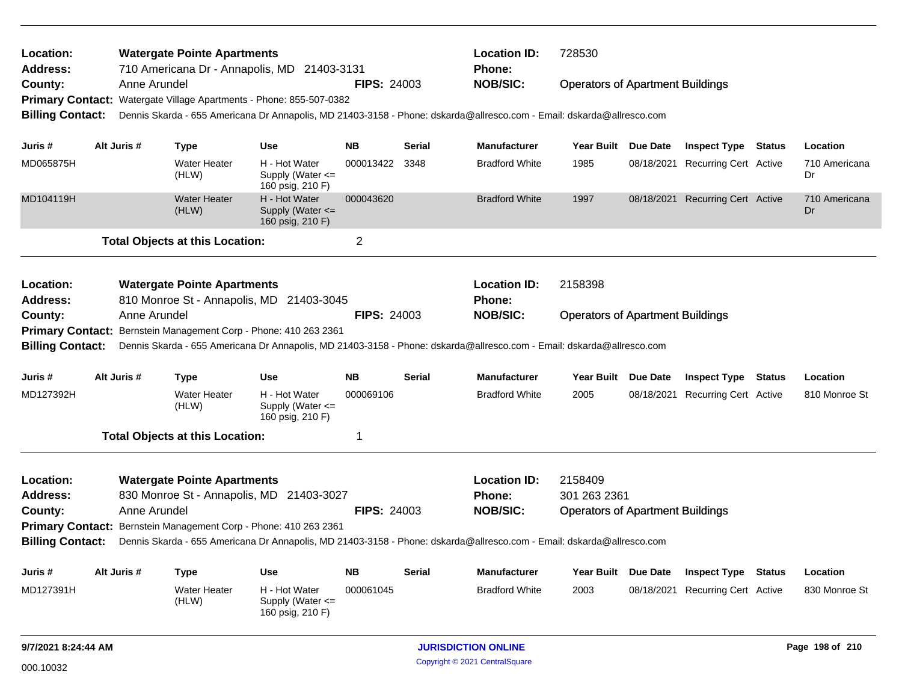| Location:<br>Address:<br>County:<br><b>Billing Contact:</b>        |                                                                                                                                                                                                                                                                                             | Anne Arundel | <b>Watergate Pointe Apartments</b><br>710 Americana Dr - Annapolis, MD 21403-3131<br>Primary Contact: Watergate Village Apartments - Phone: 855-507-0382 |                                                           | <b>FIPS: 24003</b> |                                                         | <b>Location ID:</b><br><b>Phone:</b><br><b>NOB/SIC:</b><br>Dennis Skarda - 655 Americana Dr Annapolis, MD 21403-3158 - Phone: dskarda@allresco.com - Email: dskarda@allresco.com | 728530                                  | <b>Operators of Apartment Buildings</b><br>Year Built Due Date<br><b>Inspect Type Status</b><br>08/18/2021 Recurring Cert Active |                                  |               |                     |  |
|--------------------------------------------------------------------|---------------------------------------------------------------------------------------------------------------------------------------------------------------------------------------------------------------------------------------------------------------------------------------------|--------------|----------------------------------------------------------------------------------------------------------------------------------------------------------|-----------------------------------------------------------|--------------------|---------------------------------------------------------|----------------------------------------------------------------------------------------------------------------------------------------------------------------------------------|-----------------------------------------|----------------------------------------------------------------------------------------------------------------------------------|----------------------------------|---------------|---------------------|--|
| Juris #                                                            |                                                                                                                                                                                                                                                                                             | Alt Juris #  | <b>Type</b>                                                                                                                                              | <b>Use</b>                                                | <b>NB</b>          | Serial                                                  | <b>Manufacturer</b>                                                                                                                                                              |                                         |                                                                                                                                  |                                  |               | Location            |  |
| MD065875H                                                          |                                                                                                                                                                                                                                                                                             |              | <b>Water Heater</b><br>(HLW)                                                                                                                             | H - Hot Water<br>Supply (Water $\leq$<br>160 psig, 210 F) | 000013422          | 3348                                                    | <b>Bradford White</b>                                                                                                                                                            | 1985                                    |                                                                                                                                  |                                  |               | 710 Americana<br>Dr |  |
| MD104119H                                                          |                                                                                                                                                                                                                                                                                             |              | <b>Water Heater</b><br>(HLW)                                                                                                                             | H - Hot Water<br>Supply (Water $\leq$<br>160 psig, 210 F) | 000043620          |                                                         | <b>Bradford White</b>                                                                                                                                                            | 1997                                    | 08/18/2021                                                                                                                       | <b>Recurring Cert Active</b>     |               | 710 Americana<br>Dr |  |
|                                                                    |                                                                                                                                                                                                                                                                                             |              | <b>Total Objects at this Location:</b>                                                                                                                   |                                                           | $\overline{2}$     |                                                         |                                                                                                                                                                                  |                                         |                                                                                                                                  |                                  |               |                     |  |
| Location:<br><b>Address:</b>                                       |                                                                                                                                                                                                                                                                                             |              | <b>Watergate Pointe Apartments</b><br>810 Monroe St - Annapolis, MD 21403-3045                                                                           |                                                           |                    |                                                         | <b>Location ID:</b><br><b>Phone:</b>                                                                                                                                             | 2158398                                 |                                                                                                                                  |                                  |               |                     |  |
| County:                                                            |                                                                                                                                                                                                                                                                                             | Anne Arundel | Primary Contact: Bernstein Management Corp - Phone: 410 263 2361                                                                                         |                                                           | <b>FIPS: 24003</b> |                                                         | <b>NOB/SIC:</b>                                                                                                                                                                  | <b>Operators of Apartment Buildings</b> |                                                                                                                                  |                                  |               |                     |  |
| <b>Billing Contact:</b>                                            |                                                                                                                                                                                                                                                                                             |              |                                                                                                                                                          |                                                           |                    |                                                         | Dennis Skarda - 655 Americana Dr Annapolis, MD 21403-3158 - Phone: dskarda@allresco.com - Email: dskarda@allresco.com                                                            |                                         |                                                                                                                                  |                                  |               |                     |  |
| Juris #                                                            |                                                                                                                                                                                                                                                                                             | Alt Juris #  | <b>Type</b>                                                                                                                                              | <b>Use</b>                                                | <b>NB</b>          | <b>Serial</b>                                           | <b>Manufacturer</b>                                                                                                                                                              | Year Built Due Date                     |                                                                                                                                  | <b>Inspect Type</b>              | <b>Status</b> | Location            |  |
| MD127392H                                                          |                                                                                                                                                                                                                                                                                             |              | <b>Water Heater</b><br>(HLW)                                                                                                                             | H - Hot Water<br>Supply (Water $\leq$<br>160 psig, 210 F) | 000069106          |                                                         | <b>Bradford White</b>                                                                                                                                                            | 2005                                    |                                                                                                                                  | 08/18/2021 Recurring Cert Active |               | 810 Monroe St       |  |
|                                                                    |                                                                                                                                                                                                                                                                                             |              | <b>Total Objects at this Location:</b>                                                                                                                   |                                                           | 1                  |                                                         |                                                                                                                                                                                  |                                         |                                                                                                                                  |                                  |               |                     |  |
| Location:<br><b>Address:</b><br>County:<br><b>Billing Contact:</b> | <b>Watergate Pointe Apartments</b><br>830 Monroe St - Annapolis, MD 21403-3027<br>Anne Arundel<br>Primary Contact: Bernstein Management Corp - Phone: 410 263 2361<br>Dennis Skarda - 655 Americana Dr Annapolis, MD 21403-3158 - Phone: dskarda@allresco.com - Email: dskarda@allresco.com |              |                                                                                                                                                          | <b>FIPS: 24003</b>                                        |                    | <b>Location ID:</b><br><b>Phone:</b><br><b>NOB/SIC:</b> | 2158409<br>301 263 2361<br><b>Operators of Apartment Buildings</b>                                                                                                               |                                         |                                                                                                                                  |                                  |               |                     |  |
| Juris #                                                            |                                                                                                                                                                                                                                                                                             | Alt Juris #  | <b>Type</b>                                                                                                                                              | Use                                                       | <b>NB</b>          | <b>Serial</b>                                           | <b>Manufacturer</b>                                                                                                                                                              | Year Built Due Date                     |                                                                                                                                  | <b>Inspect Type Status</b>       |               | Location            |  |
| MD127391H                                                          |                                                                                                                                                                                                                                                                                             |              | <b>Water Heater</b><br>(HLW)                                                                                                                             | H - Hot Water<br>Supply (Water $\leq$<br>160 psig, 210 F) | 000061045          |                                                         | <b>Bradford White</b>                                                                                                                                                            | 2003                                    |                                                                                                                                  | 08/18/2021 Recurring Cert Active |               | 830 Monroe St       |  |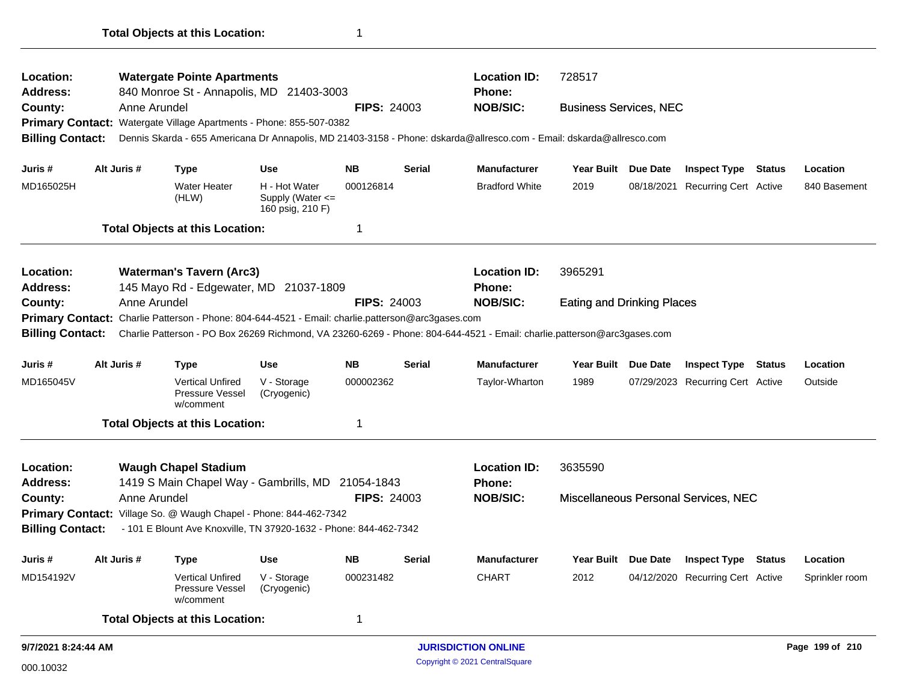| Location:<br><b>Address:</b> |              | <b>Watergate Pointe Apartments</b><br>840 Monroe St - Annapolis, MD 21403-3003                    |                                                           |                    |               | <b>Location ID:</b><br><b>Phone:</b>                                                                                    | 728517                            |                 |                                      |               |                 |
|------------------------------|--------------|---------------------------------------------------------------------------------------------------|-----------------------------------------------------------|--------------------|---------------|-------------------------------------------------------------------------------------------------------------------------|-----------------------------------|-----------------|--------------------------------------|---------------|-----------------|
| County:                      | Anne Arundel |                                                                                                   |                                                           | <b>FIPS: 24003</b> |               | <b>NOB/SIC:</b>                                                                                                         | <b>Business Services, NEC</b>     |                 |                                      |               |                 |
| <b>Primary Contact:</b>      |              | Watergate Village Apartments - Phone: 855-507-0382                                                |                                                           |                    |               |                                                                                                                         |                                   |                 |                                      |               |                 |
| <b>Billing Contact:</b>      |              |                                                                                                   |                                                           |                    |               | Dennis Skarda - 655 Americana Dr Annapolis, MD 21403-3158 - Phone: dskarda@allresco.com - Email: dskarda@allresco.com   |                                   |                 |                                      |               |                 |
|                              |              |                                                                                                   |                                                           |                    |               |                                                                                                                         |                                   |                 |                                      |               |                 |
| Juris #                      | Alt Juris #  | <b>Type</b>                                                                                       | <b>Use</b>                                                | <b>NB</b>          | <b>Serial</b> | <b>Manufacturer</b>                                                                                                     | Year Built Due Date               |                 | <b>Inspect Type Status</b>           |               | Location        |
| MD165025H                    |              | <b>Water Heater</b><br>(HLW)                                                                      | H - Hot Water<br>Supply (Water $\leq$<br>160 psig, 210 F) | 000126814          |               | <b>Bradford White</b>                                                                                                   | 2019                              | 08/18/2021      | <b>Recurring Cert Active</b>         |               | 840 Basement    |
|                              |              | <b>Total Objects at this Location:</b>                                                            |                                                           | 1                  |               |                                                                                                                         |                                   |                 |                                      |               |                 |
| Location:                    |              | <b>Waterman's Tavern (Arc3)</b>                                                                   |                                                           |                    |               | <b>Location ID:</b>                                                                                                     | 3965291                           |                 |                                      |               |                 |
| Address:                     |              | 145 Mayo Rd - Edgewater, MD 21037-1809                                                            |                                                           |                    |               | Phone:                                                                                                                  |                                   |                 |                                      |               |                 |
| County:                      | Anne Arundel |                                                                                                   |                                                           | <b>FIPS: 24003</b> |               | <b>NOB/SIC:</b>                                                                                                         | <b>Eating and Drinking Places</b> |                 |                                      |               |                 |
|                              |              | Primary Contact: Charlie Patterson - Phone: 804-644-4521 - Email: charlie.patterson@arc3gases.com |                                                           |                    |               |                                                                                                                         |                                   |                 |                                      |               |                 |
| <b>Billing Contact:</b>      |              |                                                                                                   |                                                           |                    |               | Charlie Patterson - PO Box 26269 Richmond, VA 23260-6269 - Phone: 804-644-4521 - Email: charlie.patterson@arc3gases.com |                                   |                 |                                      |               |                 |
| Juris #                      | Alt Juris #  | <b>Type</b>                                                                                       | <b>Use</b>                                                | <b>NB</b>          | <b>Serial</b> | <b>Manufacturer</b>                                                                                                     | <b>Year Built</b>                 | <b>Due Date</b> | <b>Inspect Type</b>                  | <b>Status</b> | Location        |
| MD165045V                    |              | <b>Vertical Unfired</b><br>Pressure Vessel<br>w/comment                                           | V - Storage<br>(Cryogenic)                                | 000002362          |               | Taylor-Wharton                                                                                                          | 1989                              |                 | 07/29/2023 Recurring Cert Active     |               | Outside         |
|                              |              | <b>Total Objects at this Location:</b>                                                            |                                                           | 1                  |               |                                                                                                                         |                                   |                 |                                      |               |                 |
| <b>Location:</b>             |              | <b>Waugh Chapel Stadium</b>                                                                       |                                                           |                    |               | <b>Location ID:</b>                                                                                                     | 3635590                           |                 |                                      |               |                 |
| <b>Address:</b>              |              | 1419 S Main Chapel Way - Gambrills, MD 21054-1843                                                 |                                                           |                    |               | Phone:                                                                                                                  |                                   |                 |                                      |               |                 |
| County:                      | Anne Arundel |                                                                                                   |                                                           | <b>FIPS: 24003</b> |               | <b>NOB/SIC:</b>                                                                                                         |                                   |                 | Miscellaneous Personal Services, NEC |               |                 |
|                              |              | Primary Contact: Village So. @ Waugh Chapel - Phone: 844-462-7342                                 |                                                           |                    |               |                                                                                                                         |                                   |                 |                                      |               |                 |
| <b>Billing Contact:</b>      |              | - 101 E Blount Ave Knoxville, TN 37920-1632 - Phone: 844-462-7342                                 |                                                           |                    |               |                                                                                                                         |                                   |                 |                                      |               |                 |
| Juris #                      | Alt Juris #  | <b>Type</b>                                                                                       | <b>Use</b>                                                | <b>NB</b>          | <b>Serial</b> | <b>Manufacturer</b>                                                                                                     | Year Built Due Date               |                 | <b>Inspect Type Status</b>           |               | Location        |
| MD154192V                    |              | <b>Vertical Unfired</b><br><b>Pressure Vessel</b><br>w/comment                                    | V - Storage<br>(Cryogenic)                                | 000231482          |               | <b>CHART</b>                                                                                                            | 2012                              |                 | 04/12/2020 Recurring Cert Active     |               | Sprinkler room  |
|                              |              | <b>Total Objects at this Location:</b>                                                            |                                                           | $\mathbf 1$        |               |                                                                                                                         |                                   |                 |                                      |               |                 |
| 9/7/2021 8:24:44 AM          |              |                                                                                                   |                                                           |                    |               | <b>JURISDICTION ONLINE</b>                                                                                              |                                   |                 |                                      |               | Page 199 of 210 |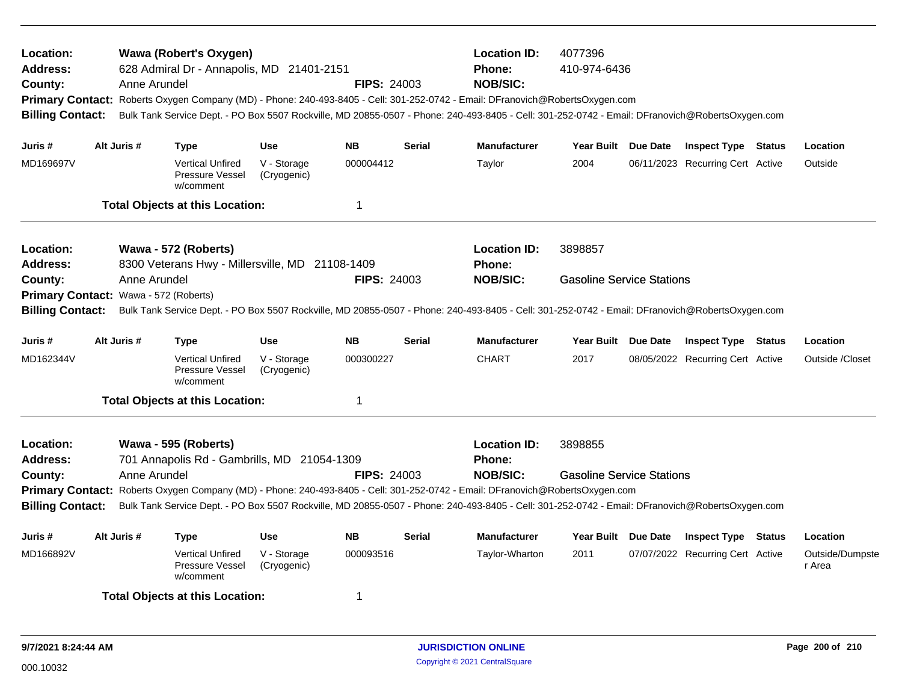| <b>Location:</b><br>Address:<br>County:<br><b>Billing Contact:</b>                     |                                                                                                                                                                                                                                                                                                                                                                                               | Anne Arundel | <b>Wawa (Robert's Oxygen)</b><br>628 Admiral Dr - Annapolis, MD 21401-2151 |                            | <b>FIPS: 24003</b> |               | <b>Location ID:</b><br><b>Phone:</b><br><b>NOB/SIC:</b><br>Primary Contact: Roberts Oxygen Company (MD) - Phone: 240-493-8405 - Cell: 301-252-0742 - Email: DFranovich@RobertsOxygen.com<br>Bulk Tank Service Dept. - PO Box 5507 Rockville, MD 20855-0507 - Phone: 240-493-8405 - Cell: 301-252-0742 - Email: DFranovich@RobertsOxygen.com | 4077396<br>410-974-6436                     |                                  |                           |
|----------------------------------------------------------------------------------------|-----------------------------------------------------------------------------------------------------------------------------------------------------------------------------------------------------------------------------------------------------------------------------------------------------------------------------------------------------------------------------------------------|--------------|----------------------------------------------------------------------------|----------------------------|--------------------|---------------|---------------------------------------------------------------------------------------------------------------------------------------------------------------------------------------------------------------------------------------------------------------------------------------------------------------------------------------------|---------------------------------------------|----------------------------------|---------------------------|
| Juris #                                                                                |                                                                                                                                                                                                                                                                                                                                                                                               | Alt Juris #  | <b>Type</b>                                                                | <b>Use</b>                 | <b>NB</b>          | <b>Serial</b> | <b>Manufacturer</b>                                                                                                                                                                                                                                                                                                                         | Year Built Due Date                         | <b>Inspect Type Status</b>       | Location                  |
| MD169697V                                                                              |                                                                                                                                                                                                                                                                                                                                                                                               |              | <b>Vertical Unfired</b><br>Pressure Vessel<br>w/comment                    | V - Storage<br>(Cryogenic) | 000004412          |               | Taylor                                                                                                                                                                                                                                                                                                                                      | 2004                                        | 06/11/2023 Recurring Cert Active | Outside                   |
|                                                                                        |                                                                                                                                                                                                                                                                                                                                                                                               |              | <b>Total Objects at this Location:</b>                                     |                            | 1                  |               |                                                                                                                                                                                                                                                                                                                                             |                                             |                                  |                           |
| Location:<br>Address:                                                                  |                                                                                                                                                                                                                                                                                                                                                                                               |              | Wawa - 572 (Roberts)<br>8300 Veterans Hwy - Millersville, MD 21108-1409    |                            |                    |               | <b>Location ID:</b><br><b>Phone:</b>                                                                                                                                                                                                                                                                                                        | 3898857                                     |                                  |                           |
| Anne Arundel<br><b>FIPS: 24003</b><br>County:<br>Primary Contact: Wawa - 572 (Roberts) |                                                                                                                                                                                                                                                                                                                                                                                               |              |                                                                            |                            |                    |               | <b>NOB/SIC:</b>                                                                                                                                                                                                                                                                                                                             | <b>Gasoline Service Stations</b>            |                                  |                           |
| <b>Billing Contact:</b>                                                                |                                                                                                                                                                                                                                                                                                                                                                                               |              |                                                                            |                            |                    |               | Bulk Tank Service Dept. - PO Box 5507 Rockville, MD 20855-0507 - Phone: 240-493-8405 - Cell: 301-252-0742 - Email: DFranovich@RobertsOxygen.com                                                                                                                                                                                             |                                             |                                  |                           |
| Juris #                                                                                |                                                                                                                                                                                                                                                                                                                                                                                               | Alt Juris #  | <b>Type</b>                                                                | <b>Use</b>                 | <b>NB</b>          | Serial        | <b>Manufacturer</b>                                                                                                                                                                                                                                                                                                                         | Year Built Due Date                         | <b>Inspect Type Status</b>       | Location                  |
| MD162344V                                                                              |                                                                                                                                                                                                                                                                                                                                                                                               |              | <b>Vertical Unfired</b><br>Pressure Vessel<br>w/comment                    | V - Storage<br>(Cryogenic) | 000300227          |               | <b>CHART</b>                                                                                                                                                                                                                                                                                                                                | 2017                                        | 08/05/2022 Recurring Cert Active | Outside /Closet           |
|                                                                                        |                                                                                                                                                                                                                                                                                                                                                                                               |              | <b>Total Objects at this Location:</b>                                     |                            | 1                  |               |                                                                                                                                                                                                                                                                                                                                             |                                             |                                  |                           |
| Location:<br><b>Address:</b><br>County:                                                | Wawa - 595 (Roberts)<br>701 Annapolis Rd - Gambrills, MD 21054-1309<br><b>FIPS: 24003</b><br>Anne Arundel<br>Primary Contact: Roberts Oxygen Company (MD) - Phone: 240-493-8405 - Cell: 301-252-0742 - Email: DFranovich@RobertsOxygen.com<br>Bulk Tank Service Dept. - PO Box 5507 Rockville, MD 20855-0507 - Phone: 240-493-8405 - Cell: 301-252-0742 - Email: DFranovich@RobertsOxygen.com |              |                                                                            |                            |                    |               | <b>Location ID:</b><br><b>Phone:</b><br><b>NOB/SIC:</b>                                                                                                                                                                                                                                                                                     | 3898855<br><b>Gasoline Service Stations</b> |                                  |                           |
| <b>Billing Contact:</b>                                                                |                                                                                                                                                                                                                                                                                                                                                                                               |              |                                                                            |                            |                    |               |                                                                                                                                                                                                                                                                                                                                             |                                             |                                  |                           |
| Juris #                                                                                |                                                                                                                                                                                                                                                                                                                                                                                               | Alt Juris #  | <b>Type</b>                                                                | <b>Use</b>                 | <b>NB</b>          | <b>Serial</b> | <b>Manufacturer</b>                                                                                                                                                                                                                                                                                                                         | Year Built Due Date                         | <b>Inspect Type Status</b>       | Location                  |
| MD166892V                                                                              |                                                                                                                                                                                                                                                                                                                                                                                               |              | <b>Vertical Unfired</b><br>Pressure Vessel<br>w/comment                    | V - Storage<br>(Cryogenic) | 000093516          |               | Taylor-Wharton                                                                                                                                                                                                                                                                                                                              | 2011                                        | 07/07/2022 Recurring Cert Active | Outside/Dumpste<br>r Area |
|                                                                                        |                                                                                                                                                                                                                                                                                                                                                                                               |              | <b>Total Objects at this Location:</b>                                     |                            | 1                  |               |                                                                                                                                                                                                                                                                                                                                             |                                             |                                  |                           |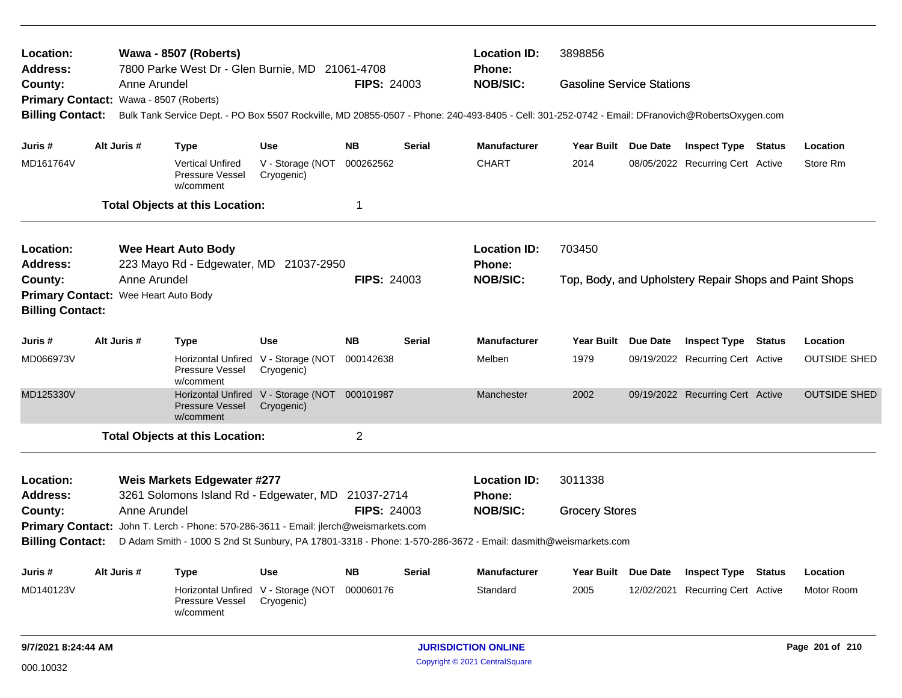| Location:<br><b>Address:</b>           |                                                                   | Wawa - 8507 (Roberts)<br>7800 Parke West Dr - Glen Burnie, MD 21061-4708 |                                                                                      |                                                             |                    | <b>Location ID:</b><br><b>Phone:</b> | 3898856                                                                                                                                         |                                                        |                                  |               |                     |
|----------------------------------------|-------------------------------------------------------------------|--------------------------------------------------------------------------|--------------------------------------------------------------------------------------|-------------------------------------------------------------|--------------------|--------------------------------------|-------------------------------------------------------------------------------------------------------------------------------------------------|--------------------------------------------------------|----------------------------------|---------------|---------------------|
| County:                                |                                                                   | Anne Arundel                                                             |                                                                                      |                                                             | <b>FIPS: 24003</b> |                                      | <b>NOB/SIC:</b>                                                                                                                                 | <b>Gasoline Service Stations</b>                       |                                  |               |                     |
| Primary Contact: Wawa - 8507 (Roberts) |                                                                   |                                                                          |                                                                                      |                                                             |                    |                                      |                                                                                                                                                 |                                                        |                                  |               |                     |
| <b>Billing Contact:</b>                |                                                                   |                                                                          |                                                                                      |                                                             |                    |                                      | Bulk Tank Service Dept. - PO Box 5507 Rockville, MD 20855-0507 - Phone: 240-493-8405 - Cell: 301-252-0742 - Email: DFranovich@RobertsOxygen.com |                                                        |                                  |               |                     |
| Juris #                                |                                                                   | Alt Juris #                                                              | Type                                                                                 | Use                                                         | <b>NB</b>          | Serial                               | <b>Manufacturer</b>                                                                                                                             | Year Built Due Date                                    | <b>Inspect Type Status</b>       |               | Location            |
| MD161764V                              |                                                                   |                                                                          | <b>Vertical Unfired</b><br>Pressure Vessel<br>w/comment                              | V - Storage (NOT<br>Cryogenic)                              | 000262562          |                                      | <b>CHART</b>                                                                                                                                    | 2014                                                   | 08/05/2022 Recurring Cert Active |               | Store Rm            |
|                                        |                                                                   |                                                                          | <b>Total Objects at this Location:</b>                                               |                                                             | 1                  |                                      |                                                                                                                                                 |                                                        |                                  |               |                     |
| Location:<br>Address:                  |                                                                   |                                                                          | <b>Wee Heart Auto Body</b>                                                           |                                                             |                    |                                      | <b>Location ID:</b><br><b>Phone:</b>                                                                                                            | 703450                                                 |                                  |               |                     |
|                                        | 223 Mayo Rd - Edgewater, MD 21037-2950<br>Anne Arundel<br>County: |                                                                          |                                                                                      | <b>FIPS: 24003</b>                                          |                    | <b>NOB/SIC:</b>                      |                                                                                                                                                 | Top, Body, and Upholstery Repair Shops and Paint Shops |                                  |               |                     |
| Primary Contact: Wee Heart Auto Body   |                                                                   |                                                                          |                                                                                      |                                                             |                    |                                      |                                                                                                                                                 |                                                        |                                  |               |                     |
| <b>Billing Contact:</b>                |                                                                   |                                                                          |                                                                                      |                                                             |                    |                                      |                                                                                                                                                 |                                                        |                                  |               |                     |
| Juris #                                |                                                                   | Alt Juris #                                                              | <b>Type</b>                                                                          | <b>Use</b>                                                  | <b>NB</b>          | <b>Serial</b>                        | <b>Manufacturer</b>                                                                                                                             | Year Built Due Date                                    | <b>Inspect Type Status</b>       |               | Location            |
| MD066973V                              |                                                                   |                                                                          | Horizontal Unfired<br>Pressure Vessel<br>w/comment                                   | V - Storage (NOT<br>Cryogenic)                              | 000142638          |                                      | Melben                                                                                                                                          | 1979                                                   | 09/19/2022 Recurring Cert Active |               | <b>OUTSIDE SHED</b> |
| MD125330V                              |                                                                   |                                                                          | <b>Pressure Vessel</b><br>w/comment                                                  | Horizontal Unfired V - Storage (NOT 000101987<br>Cryogenic) |                    |                                      | Manchester                                                                                                                                      | 2002                                                   | 09/19/2022 Recurring Cert Active |               | <b>OUTSIDE SHED</b> |
|                                        |                                                                   |                                                                          | <b>Total Objects at this Location:</b>                                               |                                                             | $\overline{c}$     |                                      |                                                                                                                                                 |                                                        |                                  |               |                     |
| Location:                              |                                                                   |                                                                          | Weis Markets Edgewater #277                                                          |                                                             |                    |                                      | <b>Location ID:</b>                                                                                                                             | 3011338                                                |                                  |               |                     |
| <b>Address:</b>                        |                                                                   |                                                                          | 3261 Solomons Island Rd - Edgewater, MD                                              |                                                             | 21037-2714         |                                      | Phone:                                                                                                                                          |                                                        |                                  |               |                     |
| County:                                |                                                                   | Anne Arundel                                                             |                                                                                      |                                                             | <b>FIPS: 24003</b> |                                      | <b>NOB/SIC:</b>                                                                                                                                 | <b>Grocery Stores</b>                                  |                                  |               |                     |
|                                        |                                                                   |                                                                          | Primary Contact: John T. Lerch - Phone: 570-286-3611 - Email: jlerch@weismarkets.com |                                                             |                    |                                      |                                                                                                                                                 |                                                        |                                  |               |                     |
| <b>Billing Contact:</b>                |                                                                   |                                                                          |                                                                                      |                                                             |                    |                                      | D Adam Smith - 1000 S 2nd St Sunbury, PA 17801-3318 - Phone: 1-570-286-3672 - Email: dasmith@weismarkets.com                                    |                                                        |                                  |               |                     |
| Juris #                                |                                                                   | Alt Juris #                                                              | <b>Type</b>                                                                          | <b>Use</b>                                                  | <b>NB</b>          | <b>Serial</b>                        | <b>Manufacturer</b>                                                                                                                             | Year Built Due Date                                    | <b>Inspect Type</b>              | <b>Status</b> | Location            |
| MD140123V                              |                                                                   |                                                                          | Pressure Vessel<br>w/comment                                                         | Horizontal Unfired V - Storage (NOT<br>Cryogenic)           | 000060176          |                                      | Standard                                                                                                                                        | 2005                                                   | 12/02/2021 Recurring Cert Active |               | Motor Room          |
|                                        |                                                                   |                                                                          |                                                                                      |                                                             |                    |                                      |                                                                                                                                                 |                                                        |                                  |               |                     |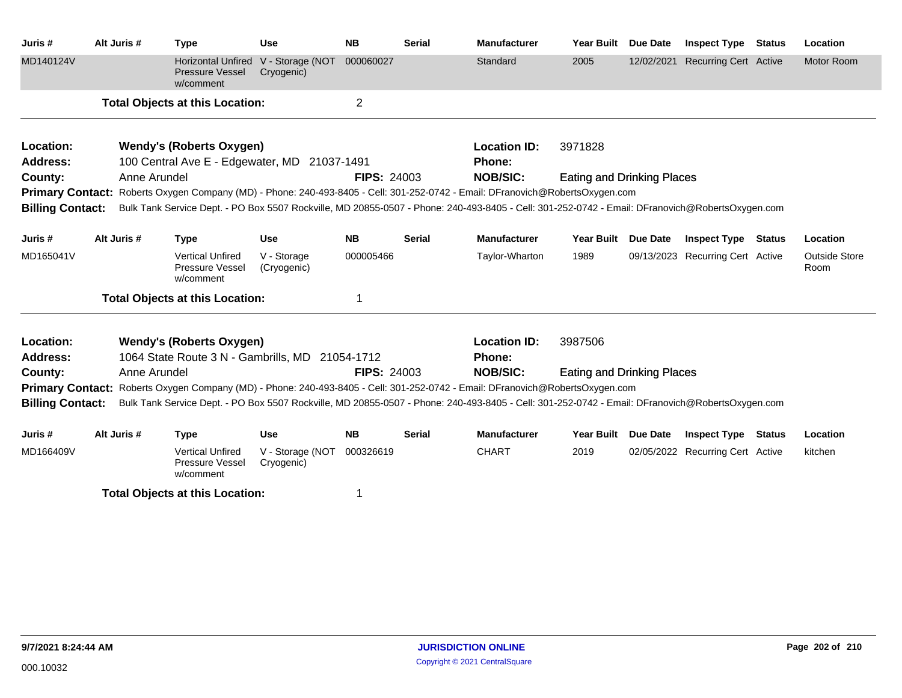| Juris #                 | Alt Juris # |              | <b>Type</b>                                                      | <b>Use</b>                     | <b>NB</b>          | <b>Serial</b> | <b>Manufacturer</b>                                                                                                                             | <b>Year Built</b>                 | <b>Due Date</b> | <b>Inspect Type</b>              | <b>Status</b> | Location                     |  |
|-------------------------|-------------|--------------|------------------------------------------------------------------|--------------------------------|--------------------|---------------|-------------------------------------------------------------------------------------------------------------------------------------------------|-----------------------------------|-----------------|----------------------------------|---------------|------------------------------|--|
| MD140124V               |             |              | <b>Horizontal Unfired</b><br><b>Pressure Vessel</b><br>w/comment | V - Storage (NOT<br>Cryogenic) | 000060027          |               | Standard                                                                                                                                        | 2005                              | 12/02/2021      | <b>Recurring Cert Active</b>     |               | Motor Room                   |  |
|                         |             |              | <b>Total Objects at this Location:</b>                           |                                | $\overline{2}$     |               |                                                                                                                                                 |                                   |                 |                                  |               |                              |  |
| Location:               |             |              | <b>Wendy's (Roberts Oxygen)</b>                                  |                                |                    |               | <b>Location ID:</b>                                                                                                                             | 3971828                           |                 |                                  |               |                              |  |
| Address:<br>County:     |             | Anne Arundel | 100 Central Ave E - Edgewater, MD 21037-1491                     |                                | <b>FIPS: 24003</b> |               | <b>Phone:</b><br><b>NOB/SIC:</b>                                                                                                                | Eating and Drinking Places        |                 |                                  |               |                              |  |
|                         |             |              |                                                                  |                                |                    |               | Primary Contact: Roberts Oxygen Company (MD) - Phone: 240-493-8405 - Cell: 301-252-0742 - Email: DFranovich@RobertsOxygen.com                   |                                   |                 |                                  |               |                              |  |
| <b>Billing Contact:</b> |             |              |                                                                  |                                |                    |               | Bulk Tank Service Dept. - PO Box 5507 Rockville, MD 20855-0507 - Phone: 240-493-8405 - Cell: 301-252-0742 - Email: DFranovich@RobertsOxygen.com |                                   |                 |                                  |               |                              |  |
|                         |             |              |                                                                  |                                |                    |               |                                                                                                                                                 |                                   |                 |                                  |               |                              |  |
| Juris #                 | Alt Juris # |              | <b>Type</b>                                                      | <b>Use</b>                     | <b>NB</b>          | <b>Serial</b> | <b>Manufacturer</b>                                                                                                                             | <b>Year Built</b>                 | <b>Due Date</b> | <b>Inspect Type Status</b>       |               | Location                     |  |
| MD165041V               |             |              | <b>Vertical Unfired</b><br>Pressure Vessel<br>w/comment          | V - Storage<br>(Cryogenic)     | 000005466          |               | Taylor-Wharton                                                                                                                                  | 1989                              |                 | 09/13/2023 Recurring Cert Active |               | <b>Outside Store</b><br>Room |  |
|                         |             |              | <b>Total Objects at this Location:</b>                           |                                | 1                  |               |                                                                                                                                                 |                                   |                 |                                  |               |                              |  |
| Location:               |             |              | <b>Wendy's (Roberts Oxygen)</b>                                  |                                |                    |               | <b>Location ID:</b>                                                                                                                             | 3987506                           |                 |                                  |               |                              |  |
| <b>Address:</b>         |             |              | 1064 State Route 3 N - Gambrills, MD 21054-1712                  |                                |                    |               | <b>Phone:</b>                                                                                                                                   |                                   |                 |                                  |               |                              |  |
| County:                 |             | Anne Arundel |                                                                  |                                | <b>FIPS: 24003</b> |               | <b>NOB/SIC:</b>                                                                                                                                 | <b>Eating and Drinking Places</b> |                 |                                  |               |                              |  |
|                         |             |              |                                                                  |                                |                    |               | Primary Contact: Roberts Oxygen Company (MD) - Phone: 240-493-8405 - Cell: 301-252-0742 - Email: DFranovich@RobertsOxygen.com                   |                                   |                 |                                  |               |                              |  |
| <b>Billing Contact:</b> |             |              |                                                                  |                                |                    |               | Bulk Tank Service Dept. - PO Box 5507 Rockville, MD 20855-0507 - Phone: 240-493-8405 - Cell: 301-252-0742 - Email: DFranovich@RobertsOxygen.com |                                   |                 |                                  |               |                              |  |
| Juris #                 | Alt Juris # |              | <b>Type</b>                                                      | <b>Use</b>                     | <b>NB</b>          | <b>Serial</b> | <b>Manufacturer</b>                                                                                                                             | <b>Year Built</b>                 | <b>Due Date</b> | <b>Inspect Type</b>              | Status        | Location                     |  |
| MD166409V               |             |              | <b>Vertical Unfired</b><br>Pressure Vessel<br>w/comment          | V - Storage (NOT<br>Cryogenic) | 000326619          |               | <b>CHART</b>                                                                                                                                    | 2019                              |                 | 02/05/2022 Recurring Cert Active |               | kitchen                      |  |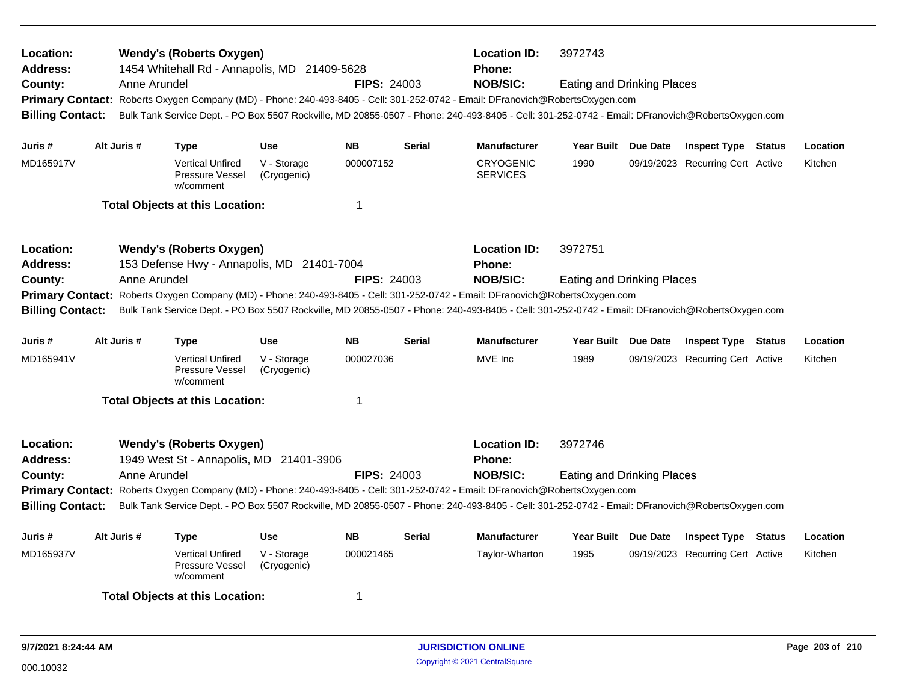| <b>Wendy's (Roberts Oxygen)</b><br>Location:<br><b>Address:</b><br>1454 Whitehall Rd - Annapolis, MD 21409-5628<br><b>FIPS: 24003</b><br>County:<br>Anne Arundel<br>Primary Contact: Roberts Oxygen Company (MD) - Phone: 240-493-8405 - Cell: 301-252-0742 - Email: DFranovich@RobertsOxygen.com<br><b>Billing Contact:</b><br><b>NB</b><br>Juris #<br>Alt Juris #<br><b>Type</b><br><b>Use</b> |             |                                                                               |                            |                    |               | <b>Location ID:</b><br>3972743<br>Phone:<br><b>NOB/SIC:</b><br><b>Eating and Drinking Places</b><br>Bulk Tank Service Dept. - PO Box 5507 Rockville, MD 20855-0507 - Phone: 240-493-8405 - Cell: 301-252-0742 - Email: DFranovich@RobertsOxygen.com |                                   |  |                                  |        |          |  |
|--------------------------------------------------------------------------------------------------------------------------------------------------------------------------------------------------------------------------------------------------------------------------------------------------------------------------------------------------------------------------------------------------|-------------|-------------------------------------------------------------------------------|----------------------------|--------------------|---------------|-----------------------------------------------------------------------------------------------------------------------------------------------------------------------------------------------------------------------------------------------------|-----------------------------------|--|----------------------------------|--------|----------|--|
|                                                                                                                                                                                                                                                                                                                                                                                                  |             |                                                                               |                            |                    | <b>Serial</b> | <b>Manufacturer</b>                                                                                                                                                                                                                                 | Year Built Due Date               |  | <b>Inspect Type Status</b>       |        | Location |  |
| MD165917V                                                                                                                                                                                                                                                                                                                                                                                        |             | <b>Vertical Unfired</b><br>Pressure Vessel<br>w/comment                       | V - Storage<br>(Cryogenic) | 000007152          |               | <b>CRYOGENIC</b><br><b>SERVICES</b>                                                                                                                                                                                                                 | 1990                              |  | 09/19/2023 Recurring Cert Active |        | Kitchen  |  |
|                                                                                                                                                                                                                                                                                                                                                                                                  |             | <b>Total Objects at this Location:</b>                                        |                            | $\mathbf 1$        |               |                                                                                                                                                                                                                                                     |                                   |  |                                  |        |          |  |
| Location:<br><b>Address:</b>                                                                                                                                                                                                                                                                                                                                                                     |             | <b>Wendy's (Roberts Oxygen)</b><br>153 Defense Hwy - Annapolis, MD 21401-7004 |                            |                    |               | <b>Location ID:</b><br><b>Phone:</b>                                                                                                                                                                                                                | 3972751                           |  |                                  |        |          |  |
| County:                                                                                                                                                                                                                                                                                                                                                                                          |             | Anne Arundel                                                                  |                            | <b>FIPS: 24003</b> |               | <b>NOB/SIC:</b><br><b>Eating and Drinking Places</b><br>Primary Contact: Roberts Oxygen Company (MD) - Phone: 240-493-8405 - Cell: 301-252-0742 - Email: DFranovich@RobertsOxygen.com                                                               |                                   |  |                                  |        |          |  |
| <b>Billing Contact:</b>                                                                                                                                                                                                                                                                                                                                                                          |             |                                                                               |                            |                    |               | Bulk Tank Service Dept. - PO Box 5507 Rockville, MD 20855-0507 - Phone: 240-493-8405 - Cell: 301-252-0742 - Email: DFranovich@RobertsOxygen.com                                                                                                     |                                   |  |                                  |        |          |  |
| Juris #                                                                                                                                                                                                                                                                                                                                                                                          | Alt Juris # | <b>Type</b>                                                                   | <b>Use</b>                 | <b>NB</b>          | <b>Serial</b> | <b>Manufacturer</b>                                                                                                                                                                                                                                 | Year Built Due Date               |  | <b>Inspect Type Status</b>       |        | Location |  |
| MD165941V                                                                                                                                                                                                                                                                                                                                                                                        |             | <b>Vertical Unfired</b><br>Pressure Vessel<br>w/comment                       | V - Storage<br>(Cryogenic) | 000027036          |               | MVE Inc                                                                                                                                                                                                                                             | 1989                              |  | 09/19/2023 Recurring Cert Active |        | Kitchen  |  |
|                                                                                                                                                                                                                                                                                                                                                                                                  |             | <b>Total Objects at this Location:</b>                                        |                            | $\overline{1}$     |               |                                                                                                                                                                                                                                                     |                                   |  |                                  |        |          |  |
| Location:<br>Address:                                                                                                                                                                                                                                                                                                                                                                            |             | <b>Wendy's (Roberts Oxygen)</b><br>1949 West St - Annapolis, MD 21401-3906    |                            |                    |               | <b>Location ID:</b><br><b>Phone:</b>                                                                                                                                                                                                                | 3972746                           |  |                                  |        |          |  |
| County:                                                                                                                                                                                                                                                                                                                                                                                          |             | Anne Arundel                                                                  |                            | <b>FIPS: 24003</b> |               | <b>NOB/SIC:</b><br>Primary Contact: Roberts Oxygen Company (MD) - Phone: 240-493-8405 - Cell: 301-252-0742 - Email: DFranovich@RobertsOxygen.com                                                                                                    | <b>Eating and Drinking Places</b> |  |                                  |        |          |  |
| <b>Billing Contact:</b>                                                                                                                                                                                                                                                                                                                                                                          |             |                                                                               |                            |                    |               | Bulk Tank Service Dept. - PO Box 5507 Rockville, MD 20855-0507 - Phone: 240-493-8405 - Cell: 301-252-0742 - Email: DFranovich@RobertsOxygen.com                                                                                                     |                                   |  |                                  |        |          |  |
| Juris #                                                                                                                                                                                                                                                                                                                                                                                          | Alt Juris # | Type                                                                          | <b>Use</b>                 | <b>NB</b>          | <b>Serial</b> | <b>Manufacturer</b>                                                                                                                                                                                                                                 | Year Built Due Date               |  | <b>Inspect Type</b>              | Status | Location |  |
| MD165937V                                                                                                                                                                                                                                                                                                                                                                                        |             | <b>Vertical Unfired</b><br>Pressure Vessel<br>w/comment                       | V - Storage<br>(Cryogenic) | 000021465          |               | Taylor-Wharton                                                                                                                                                                                                                                      | 1995                              |  | 09/19/2023 Recurring Cert Active |        | Kitchen  |  |
|                                                                                                                                                                                                                                                                                                                                                                                                  |             | <b>Total Objects at this Location:</b>                                        |                            | 1                  |               |                                                                                                                                                                                                                                                     |                                   |  |                                  |        |          |  |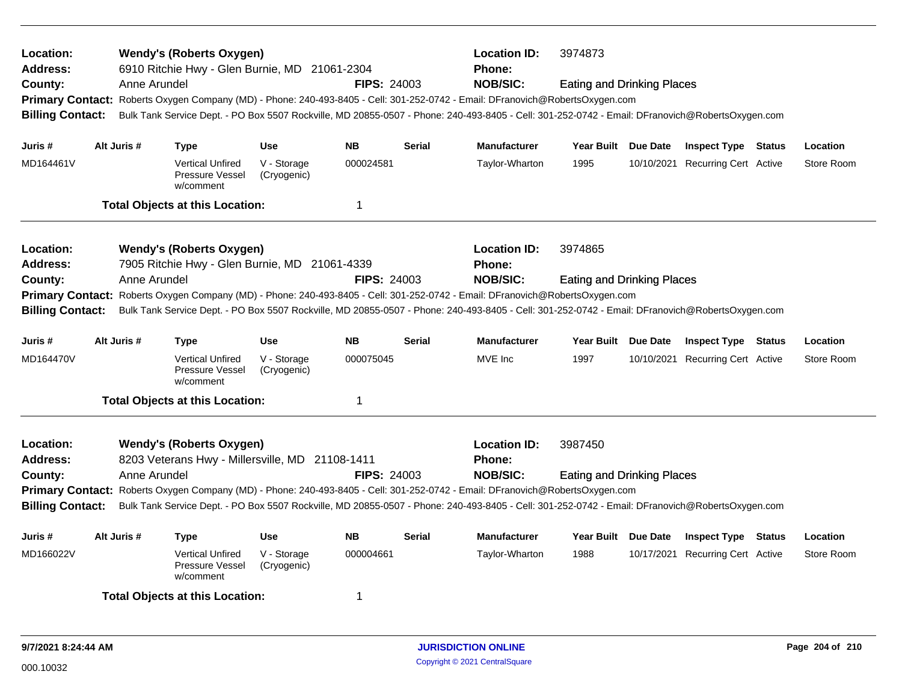| Location:<br><b>Address:</b>                                                                                                  | <b>Wendy's (Roberts Oxygen)</b><br>6910 Ritchie Hwy - Glen Burnie, MD 21061-2304 |              |                                                         |                            |                    |               | <b>Location ID:</b><br><b>Phone:</b>                                                                                                            | 3974873                           |  |                                  |  |            |  |  |
|-------------------------------------------------------------------------------------------------------------------------------|----------------------------------------------------------------------------------|--------------|---------------------------------------------------------|----------------------------|--------------------|---------------|-------------------------------------------------------------------------------------------------------------------------------------------------|-----------------------------------|--|----------------------------------|--|------------|--|--|
| County:                                                                                                                       |                                                                                  | Anne Arundel |                                                         |                            | <b>FIPS: 24003</b> |               | <b>NOB/SIC:</b>                                                                                                                                 | <b>Eating and Drinking Places</b> |  |                                  |  |            |  |  |
|                                                                                                                               |                                                                                  |              |                                                         |                            |                    |               | Primary Contact: Roberts Oxygen Company (MD) - Phone: 240-493-8405 - Cell: 301-252-0742 - Email: DFranovich@RobertsOxygen.com                   |                                   |  |                                  |  |            |  |  |
| <b>Billing Contact:</b>                                                                                                       |                                                                                  |              |                                                         |                            |                    |               | Bulk Tank Service Dept. - PO Box 5507 Rockville, MD 20855-0507 - Phone: 240-493-8405 - Cell: 301-252-0742 - Email: DFranovich@RobertsOxygen.com |                                   |  |                                  |  |            |  |  |
| Juris #                                                                                                                       | Alt Juris #                                                                      |              | <b>Type</b>                                             | <b>Use</b>                 | <b>NB</b>          | <b>Serial</b> | <b>Manufacturer</b>                                                                                                                             | Year Built Due Date               |  | <b>Inspect Type Status</b>       |  | Location   |  |  |
|                                                                                                                               |                                                                                  |              |                                                         |                            |                    |               |                                                                                                                                                 |                                   |  |                                  |  |            |  |  |
| MD164461V                                                                                                                     |                                                                                  |              | <b>Vertical Unfired</b><br>Pressure Vessel<br>w/comment | V - Storage<br>(Cryogenic) | 000024581          |               | Taylor-Wharton                                                                                                                                  | 1995                              |  | 10/10/2021 Recurring Cert Active |  | Store Room |  |  |
|                                                                                                                               |                                                                                  |              | <b>Total Objects at this Location:</b>                  |                            | $\mathbf 1$        |               |                                                                                                                                                 |                                   |  |                                  |  |            |  |  |
| Location:                                                                                                                     |                                                                                  |              | <b>Wendy's (Roberts Oxygen)</b>                         |                            |                    |               | <b>Location ID:</b>                                                                                                                             | 3974865                           |  |                                  |  |            |  |  |
| <b>Address:</b>                                                                                                               |                                                                                  |              | 7905 Ritchie Hwy - Glen Burnie, MD 21061-4339           |                            |                    |               | <b>Phone:</b>                                                                                                                                   |                                   |  |                                  |  |            |  |  |
| County:                                                                                                                       |                                                                                  | Anne Arundel |                                                         |                            | <b>FIPS: 24003</b> |               | <b>NOB/SIC:</b>                                                                                                                                 | <b>Eating and Drinking Places</b> |  |                                  |  |            |  |  |
| Primary Contact: Roberts Oxygen Company (MD) - Phone: 240-493-8405 - Cell: 301-252-0742 - Email: DFranovich@RobertsOxygen.com |                                                                                  |              |                                                         |                            |                    |               |                                                                                                                                                 |                                   |  |                                  |  |            |  |  |
| <b>Billing Contact:</b>                                                                                                       |                                                                                  |              |                                                         |                            |                    |               | Bulk Tank Service Dept. - PO Box 5507 Rockville, MD 20855-0507 - Phone: 240-493-8405 - Cell: 301-252-0742 - Email: DFranovich@RobertsOxygen.com |                                   |  |                                  |  |            |  |  |
| Juris #                                                                                                                       | Alt Juris #                                                                      |              | Type                                                    | <b>Use</b>                 | <b>NB</b>          | <b>Serial</b> | <b>Manufacturer</b>                                                                                                                             | Year Built Due Date               |  | <b>Inspect Type Status</b>       |  | Location   |  |  |
| MD164470V                                                                                                                     |                                                                                  |              | <b>Vertical Unfired</b><br>Pressure Vessel<br>w/comment | V - Storage<br>(Cryogenic) | 000075045          |               | MVE Inc                                                                                                                                         | 1997                              |  | 10/10/2021 Recurring Cert Active |  | Store Room |  |  |
|                                                                                                                               |                                                                                  |              | <b>Total Objects at this Location:</b>                  |                            | $\overline{1}$     |               |                                                                                                                                                 |                                   |  |                                  |  |            |  |  |
| Location:                                                                                                                     |                                                                                  |              | <b>Wendy's (Roberts Oxygen)</b>                         |                            |                    |               | <b>Location ID:</b>                                                                                                                             | 3987450                           |  |                                  |  |            |  |  |
| <b>Address:</b>                                                                                                               |                                                                                  |              | 8203 Veterans Hwy - Millersville, MD 21108-1411         |                            |                    |               | <b>Phone:</b>                                                                                                                                   |                                   |  |                                  |  |            |  |  |
| County:                                                                                                                       |                                                                                  | Anne Arundel |                                                         |                            | <b>FIPS: 24003</b> |               | <b>NOB/SIC:</b>                                                                                                                                 | <b>Eating and Drinking Places</b> |  |                                  |  |            |  |  |
|                                                                                                                               |                                                                                  |              |                                                         |                            |                    |               | Primary Contact: Roberts Oxygen Company (MD) - Phone: 240-493-8405 - Cell: 301-252-0742 - Email: DFranovich@RobertsOxygen.com                   |                                   |  |                                  |  |            |  |  |
| <b>Billing Contact:</b>                                                                                                       |                                                                                  |              |                                                         |                            |                    |               | Bulk Tank Service Dept. - PO Box 5507 Rockville, MD 20855-0507 - Phone: 240-493-8405 - Cell: 301-252-0742 - Email: DFranovich@RobertsOxygen.com |                                   |  |                                  |  |            |  |  |
| Juris #                                                                                                                       | Alt Juris #                                                                      |              | <b>Type</b>                                             | <b>Use</b>                 | <b>NB</b>          | <b>Serial</b> | <b>Manufacturer</b>                                                                                                                             | Year Built Due Date               |  | <b>Inspect Type Status</b>       |  | Location   |  |  |
| MD166022V                                                                                                                     |                                                                                  |              | <b>Vertical Unfired</b><br>Pressure Vessel<br>w/comment | V - Storage<br>(Cryogenic) | 000004661          |               | Taylor-Wharton                                                                                                                                  | 1988                              |  | 10/17/2021 Recurring Cert Active |  | Store Room |  |  |
|                                                                                                                               |                                                                                  |              | <b>Total Objects at this Location:</b>                  |                            | -1                 |               |                                                                                                                                                 |                                   |  |                                  |  |            |  |  |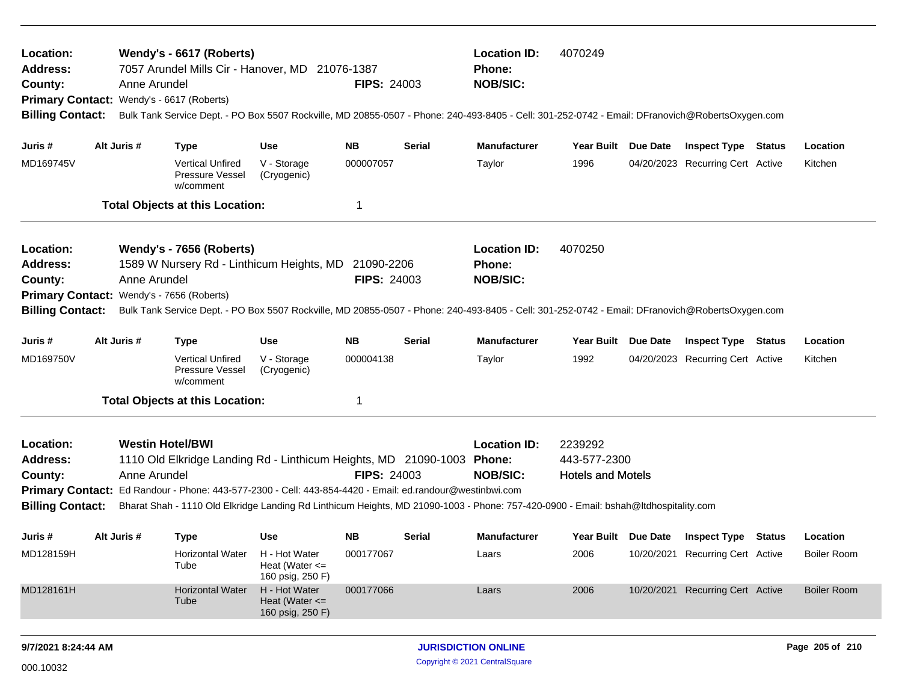| Location:<br>Wendy's - 6617 (Roberts)<br>7057 Arundel Mills Cir - Hanover, MD 21076-1387<br><b>Address:</b><br>County:<br>Anne Arundel<br><b>FIPS: 24003</b><br>Primary Contact: Wendy's - 6617 (Roberts)<br>Bulk Tank Service Dept. - PO Box 5507 Rockville, MD 20855-0507 - Phone: 240-493-8405 - Cell: 301-252-0742 - Email: DFranovich@RobertsOxygen.com<br><b>Billing Contact:</b>                                                                          |              |                                                                                                                                                                                                                                                                 |                                                         |                        |               | <b>Location ID:</b><br><b>Phone:</b><br><b>NOB/SIC:</b> | 4070249                                             |                 |                                                                |        |                     |
|------------------------------------------------------------------------------------------------------------------------------------------------------------------------------------------------------------------------------------------------------------------------------------------------------------------------------------------------------------------------------------------------------------------------------------------------------------------|--------------|-----------------------------------------------------------------------------------------------------------------------------------------------------------------------------------------------------------------------------------------------------------------|---------------------------------------------------------|------------------------|---------------|---------------------------------------------------------|-----------------------------------------------------|-----------------|----------------------------------------------------------------|--------|---------------------|
| Juris #<br>MD169745V                                                                                                                                                                                                                                                                                                                                                                                                                                             | Alt Juris #  | <b>Type</b><br><b>Vertical Unfired</b><br>Pressure Vessel                                                                                                                                                                                                       | <b>Use</b><br>V - Storage<br>(Cryogenic)                | <b>NB</b><br>000007057 | <b>Serial</b> | <b>Manufacturer</b><br>Taylor                           | Year Built Due Date<br>1996                         |                 | <b>Inspect Type Status</b><br>04/20/2023 Recurring Cert Active |        | Location<br>Kitchen |
|                                                                                                                                                                                                                                                                                                                                                                                                                                                                  |              | w/comment<br><b>Total Objects at this Location:</b>                                                                                                                                                                                                             |                                                         | $\mathbf 1$            |               |                                                         |                                                     |                 |                                                                |        |                     |
| Location:<br><b>Address:</b><br>County:<br><b>Primary Contact:</b><br><b>Billing Contact:</b>                                                                                                                                                                                                                                                                                                                                                                    | Anne Arundel | Wendy's - 7656 (Roberts)<br>1589 W Nursery Rd - Linthicum Heights, MD 21090-2206<br>Wendy's - 7656 (Roberts)<br>Bulk Tank Service Dept. - PO Box 5507 Rockville, MD 20855-0507 - Phone: 240-493-8405 - Cell: 301-252-0742 - Email: DFranovich@RobertsOxygen.com |                                                         | <b>FIPS: 24003</b>     |               | <b>Location ID:</b><br>Phone:<br><b>NOB/SIC:</b>        | 4070250                                             |                 |                                                                |        |                     |
| Juris #                                                                                                                                                                                                                                                                                                                                                                                                                                                          | Alt Juris #  | <b>Type</b>                                                                                                                                                                                                                                                     | <b>Use</b>                                              | <b>NB</b>              | <b>Serial</b> | <b>Manufacturer</b>                                     | <b>Year Built</b>                                   | <b>Due Date</b> | <b>Inspect Type Status</b>                                     |        | Location            |
| MD169750V                                                                                                                                                                                                                                                                                                                                                                                                                                                        |              | <b>Vertical Unfired</b><br>Pressure Vessel<br>w/comment                                                                                                                                                                                                         | V - Storage<br>(Cryogenic)                              | 000004138              |               | Taylor                                                  | 1992                                                |                 | 04/20/2023 Recurring Cert Active                               |        | Kitchen             |
|                                                                                                                                                                                                                                                                                                                                                                                                                                                                  |              | <b>Total Objects at this Location:</b>                                                                                                                                                                                                                          |                                                         | $\mathbf 1$            |               |                                                         |                                                     |                 |                                                                |        |                     |
| Location:<br><b>Westin Hotel/BWI</b><br><b>Address:</b><br>1110 Old Elkridge Landing Rd - Linthicum Heights, MD 21090-1003 Phone:<br><b>FIPS: 24003</b><br>Anne Arundel<br>County:<br>Primary Contact: Ed Randour - Phone: 443-577-2300 - Cell: 443-854-4420 - Email: ed.randour@westinbwi.com<br><b>Billing Contact:</b><br>Bharat Shah - 1110 Old Elkridge Landing Rd Linthicum Heights, MD 21090-1003 - Phone: 757-420-0900 - Email: bshah@ltdhospitality.com |              |                                                                                                                                                                                                                                                                 |                                                         |                        |               | <b>Location ID:</b><br><b>NOB/SIC:</b>                  | 2239292<br>443-577-2300<br><b>Hotels and Motels</b> |                 |                                                                |        |                     |
| Juris #                                                                                                                                                                                                                                                                                                                                                                                                                                                          | Alt Juris #  | <b>Type</b>                                                                                                                                                                                                                                                     | <b>Use</b>                                              | <b>NB</b>              | <b>Serial</b> | <b>Manufacturer</b>                                     | <b>Year Built</b>                                   | Due Date        | <b>Inspect Type</b>                                            | Status | Location            |
| MD128159H                                                                                                                                                                                                                                                                                                                                                                                                                                                        |              | <b>Horizontal Water</b><br>Tube                                                                                                                                                                                                                                 | H - Hot Water<br>Heat (Water $\leq$<br>160 psig, 250 F) | 000177067              |               | Laars                                                   | 2006                                                |                 | 10/20/2021 Recurring Cert Active                               |        | <b>Boiler Room</b>  |
| MD128161H                                                                                                                                                                                                                                                                                                                                                                                                                                                        |              | <b>Horizontal Water</b><br>Tube                                                                                                                                                                                                                                 | H - Hot Water<br>Heat (Water $\leq$<br>160 psig, 250 F) | 000177066              |               | Laars                                                   | 2006                                                |                 | 10/20/2021 Recurring Cert Active                               |        | <b>Boiler Room</b>  |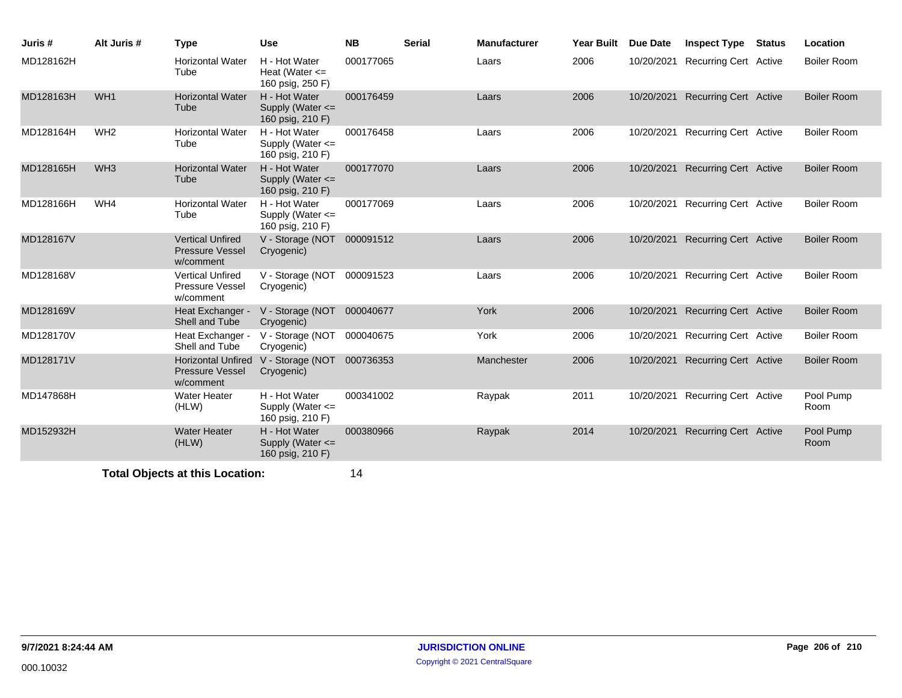| Juris #   | Alt Juris #     | <b>Type</b>                                                      | <b>Use</b>                                                | <b>NB</b> | <b>Serial</b> | <b>Manufacturer</b> | <b>Year Built</b> | Due Date   | <b>Inspect Type Status</b>       | Location           |
|-----------|-----------------|------------------------------------------------------------------|-----------------------------------------------------------|-----------|---------------|---------------------|-------------------|------------|----------------------------------|--------------------|
| MD128162H |                 | <b>Horizontal Water</b><br>Tube                                  | H - Hot Water<br>Heat (Water $\leq$<br>160 psig, 250 F)   | 000177065 |               | Laars               | 2006              | 10/20/2021 | <b>Recurring Cert Active</b>     | <b>Boiler Room</b> |
| MD128163H | WH <sub>1</sub> | <b>Horizontal Water</b><br>Tube                                  | H - Hot Water<br>Supply (Water $\leq$<br>160 psig, 210 F) | 000176459 |               | Laars               | 2006              | 10/20/2021 | <b>Recurring Cert Active</b>     | <b>Boiler Room</b> |
| MD128164H | WH <sub>2</sub> | <b>Horizontal Water</b><br>Tube                                  | H - Hot Water<br>Supply (Water $\leq$<br>160 psig, 210 F) | 000176458 |               | Laars               | 2006              |            | 10/20/2021 Recurring Cert Active | <b>Boiler Room</b> |
| MD128165H | WH <sub>3</sub> | <b>Horizontal Water</b><br>Tube                                  | H - Hot Water<br>Supply (Water $\leq$<br>160 psig, 210 F) | 000177070 |               | Laars               | 2006              | 10/20/2021 | <b>Recurring Cert Active</b>     | <b>Boiler Room</b> |
| MD128166H | WH4             | <b>Horizontal Water</b><br>Tube                                  | H - Hot Water<br>Supply (Water <=<br>160 psig, 210 F)     | 000177069 |               | Laars               | 2006              |            | 10/20/2021 Recurring Cert Active | <b>Boiler Room</b> |
| MD128167V |                 | <b>Vertical Unfired</b><br><b>Pressure Vessel</b><br>w/comment   | V - Storage (NOT 000091512<br>Cryogenic)                  |           |               | Laars               | 2006              | 10/20/2021 | <b>Recurring Cert Active</b>     | <b>Boiler Room</b> |
| MD128168V |                 | <b>Vertical Unfired</b><br><b>Pressure Vessel</b><br>w/comment   | V - Storage (NOT<br>Cryogenic)                            | 000091523 |               | Laars               | 2006              |            | 10/20/2021 Recurring Cert Active | <b>Boiler Room</b> |
| MD128169V |                 | Heat Exchanger -<br>Shell and Tube                               | V - Storage (NOT 000040677<br>Cryogenic)                  |           |               | York                | 2006              | 10/20/2021 | <b>Recurring Cert Active</b>     | <b>Boiler Room</b> |
| MD128170V |                 | Heat Exchanger -<br>Shell and Tube                               | V - Storage (NOT<br>Cryogenic)                            | 000040675 |               | York                | 2006              | 10/20/2021 | Recurring Cert Active            | <b>Boiler Room</b> |
| MD128171V |                 | <b>Horizontal Unfired</b><br><b>Pressure Vessel</b><br>w/comment | V - Storage (NOT<br>Cryogenic)                            | 000736353 |               | Manchester          | 2006              | 10/20/2021 | <b>Recurring Cert Active</b>     | <b>Boiler Room</b> |
| MD147868H |                 | Water Heater<br>(HLW)                                            | H - Hot Water<br>Supply (Water $\leq$<br>160 psig, 210 F) | 000341002 |               | Raypak              | 2011              |            | 10/20/2021 Recurring Cert Active | Pool Pump<br>Room  |
| MD152932H |                 | <b>Water Heater</b><br>(HLW)                                     | H - Hot Water<br>Supply (Water <=<br>160 psig, 210 F)     | 000380966 |               | Raypak              | 2014              | 10/20/2021 | <b>Recurring Cert Active</b>     | Pool Pump<br>Room  |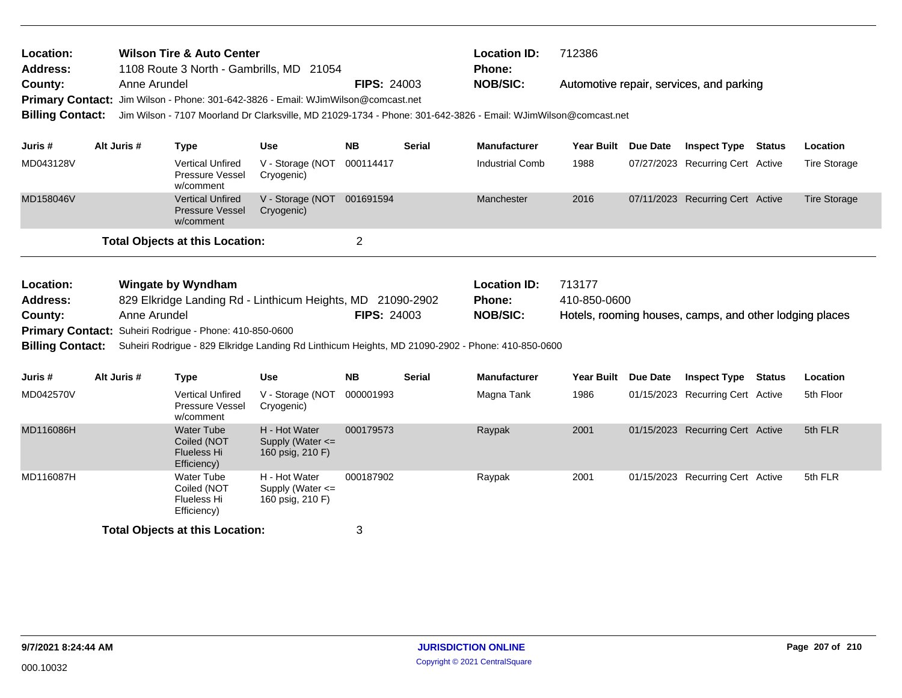| Location:<br><b>Address:</b><br>County:<br><b>Billing Contact:</b>                                                                                                                                                                                                                                                                            | <b>Wilson Tire &amp; Auto Center</b><br>1108 Route 3 North - Gambrills, MD 21054<br>Anne Arundel<br><b>FIPS: 24003</b><br>Primary Contact: Jim Wilson - Phone: 301-642-3826 - Email: WJimWilson@comcast.net<br>Jim Wilson - 7107 Moorland Dr Clarksville, MD 21029-1734 - Phone: 301-642-3826 - Email: WJimWilson@comcast.net |                                                                       |                        |                                                           |                |                                                         | <b>Location ID:</b><br><b>Phone:</b><br><b>NOB/SIC:</b> | 712386<br>Automotive repair, services, and parking |                                                         |                                  |  |                     |
|-----------------------------------------------------------------------------------------------------------------------------------------------------------------------------------------------------------------------------------------------------------------------------------------------------------------------------------------------|-------------------------------------------------------------------------------------------------------------------------------------------------------------------------------------------------------------------------------------------------------------------------------------------------------------------------------|-----------------------------------------------------------------------|------------------------|-----------------------------------------------------------|----------------|---------------------------------------------------------|---------------------------------------------------------|----------------------------------------------------|---------------------------------------------------------|----------------------------------|--|---------------------|
| Juris #                                                                                                                                                                                                                                                                                                                                       | Alt Juris #                                                                                                                                                                                                                                                                                                                   | <b>Type</b>                                                           |                        | Use                                                       | <b>NB</b>      | <b>Serial</b>                                           | <b>Manufacturer</b>                                     | Year Built Due Date                                |                                                         | <b>Inspect Type Status</b>       |  | Location            |
| MD043128V                                                                                                                                                                                                                                                                                                                                     |                                                                                                                                                                                                                                                                                                                               | <b>Vertical Unfired</b><br>w/comment                                  | Pressure Vessel        | V - Storage (NOT<br>Cryogenic)                            | 000114417      |                                                         | <b>Industrial Comb</b>                                  | 1988                                               |                                                         | 07/27/2023 Recurring Cert Active |  | <b>Tire Storage</b> |
| MD158046V                                                                                                                                                                                                                                                                                                                                     |                                                                                                                                                                                                                                                                                                                               | <b>Vertical Unfired</b><br>w/comment                                  | <b>Pressure Vessel</b> | V - Storage (NOT 001691594<br>Cryogenic)                  |                |                                                         | Manchester                                              | 2016                                               |                                                         | 07/11/2023 Recurring Cert Active |  | <b>Tire Storage</b> |
|                                                                                                                                                                                                                                                                                                                                               |                                                                                                                                                                                                                                                                                                                               | <b>Total Objects at this Location:</b>                                |                        |                                                           | $\overline{2}$ |                                                         |                                                         |                                                    |                                                         |                                  |  |                     |
| Location:<br><b>Wingate by Wyndham</b><br>829 Elkridge Landing Rd - Linthicum Heights, MD 21090-2902<br><b>Address:</b><br>Anne Arundel<br>County:<br>Primary Contact: Suheiri Rodrigue - Phone: 410-850-0600<br><b>Billing Contact:</b><br>Suheiri Rodrigue - 829 Elkridge Landing Rd Linthicum Heights, MD 21090-2902 - Phone: 410-850-0600 |                                                                                                                                                                                                                                                                                                                               |                                                                       |                        | <b>FIPS: 24003</b>                                        |                | <b>Location ID:</b><br><b>Phone:</b><br><b>NOB/SIC:</b> | 713177<br>410-850-0600                                  |                                                    | Hotels, rooming houses, camps, and other lodging places |                                  |  |                     |
| Juris #                                                                                                                                                                                                                                                                                                                                       | Alt Juris #                                                                                                                                                                                                                                                                                                                   | <b>Type</b>                                                           |                        | <b>Use</b>                                                | <b>NB</b>      | <b>Serial</b>                                           | <b>Manufacturer</b>                                     | <b>Year Built</b>                                  | <b>Due Date</b>                                         | <b>Inspect Type Status</b>       |  | Location            |
| MD042570V                                                                                                                                                                                                                                                                                                                                     |                                                                                                                                                                                                                                                                                                                               | <b>Vertical Unfired</b><br>w/comment                                  | Pressure Vessel        | V - Storage (NOT<br>Cryogenic)                            | 000001993      |                                                         | Magna Tank                                              | 1986                                               |                                                         | 01/15/2023 Recurring Cert Active |  | 5th Floor           |
| MD116086H                                                                                                                                                                                                                                                                                                                                     |                                                                                                                                                                                                                                                                                                                               | <b>Water Tube</b><br>Coiled (NOT<br><b>Flueless Hi</b><br>Efficiency) |                        | H - Hot Water<br>Supply (Water $\leq$<br>160 psig, 210 F) | 000179573      |                                                         | Raypak                                                  | 2001                                               |                                                         | 01/15/2023 Recurring Cert Active |  | 5th FLR             |
| MD116087H                                                                                                                                                                                                                                                                                                                                     |                                                                                                                                                                                                                                                                                                                               | <b>Water Tube</b><br>Coiled (NOT<br><b>Flueless Hi</b><br>Efficiency) |                        | H - Hot Water<br>Supply (Water <=<br>160 psig, 210 F)     | 000187902      |                                                         | Raypak                                                  | 2001                                               |                                                         | 01/15/2023 Recurring Cert Active |  | 5th FLR             |
|                                                                                                                                                                                                                                                                                                                                               |                                                                                                                                                                                                                                                                                                                               | <b>Total Objects at this Location:</b>                                |                        |                                                           | 3              |                                                         |                                                         |                                                    |                                                         |                                  |  |                     |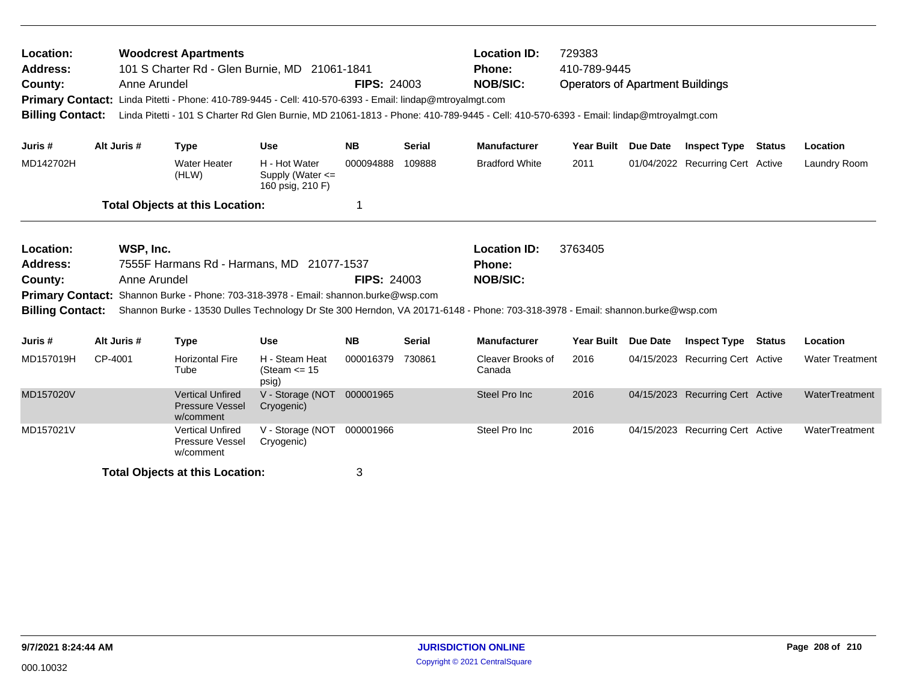| Location:<br>Address:<br>County:<br><b>Billing Contact:</b>                            |             | <b>Woodcrest Apartments</b><br>Anne Arundel                    | 101 S Charter Rd - Glen Burnie, MD 21061-1841<br>Primary Contact: Linda Pitetti - Phone: 410-789-9445 - Cell: 410-570-6393 - Email: lindap@mtroyalmgt.com | <b>FIPS: 24003</b> |               | <b>Location ID:</b><br>729383<br>410-789-9445<br><b>Phone:</b><br><b>NOB/SIC:</b><br><b>Operators of Apartment Buildings</b><br>Linda Pitetti - 101 S Charter Rd Glen Burnie, MD 21061-1813 - Phone: 410-789-9445 - Cell: 410-570-6393 - Email: lindap@mtroyalmgt.com |                                                                                                                                           |                 |                                  |  |                        |
|----------------------------------------------------------------------------------------|-------------|----------------------------------------------------------------|-----------------------------------------------------------------------------------------------------------------------------------------------------------|--------------------|---------------|-----------------------------------------------------------------------------------------------------------------------------------------------------------------------------------------------------------------------------------------------------------------------|-------------------------------------------------------------------------------------------------------------------------------------------|-----------------|----------------------------------|--|------------------------|
| Juris #                                                                                | Alt Juris # | <b>Type</b>                                                    | <b>Use</b>                                                                                                                                                | <b>NB</b>          | <b>Serial</b> | <b>Manufacturer</b>                                                                                                                                                                                                                                                   | Year Built Due Date                                                                                                                       |                 | <b>Inspect Type Status</b>       |  | Location               |
| MD142702H                                                                              |             | <b>Water Heater</b><br>(HLW)                                   | H - Hot Water<br>Supply (Water <=<br>160 psig, 210 F)                                                                                                     | 000094888          | 109888        | <b>Bradford White</b>                                                                                                                                                                                                                                                 | 2011                                                                                                                                      |                 | 01/04/2022 Recurring Cert Active |  | Laundry Room           |
|                                                                                        |             | <b>Total Objects at this Location:</b>                         |                                                                                                                                                           | 1                  |               |                                                                                                                                                                                                                                                                       |                                                                                                                                           |                 |                                  |  |                        |
| Location:<br>Address:<br>County:<br><b>Primary Contact:</b><br><b>Billing Contact:</b> |             | WSP, Inc.<br>Anne Arundel                                      | 7555F Harmans Rd - Harmans, MD 21077-1537<br>Shannon Burke - Phone: 703-318-3978 - Email: shannon.burke@wsp.com                                           | <b>FIPS: 24003</b> |               | <b>Location ID:</b><br><b>Phone:</b><br><b>NOB/SIC:</b>                                                                                                                                                                                                               | 3763405<br>Shannon Burke - 13530 Dulles Technology Dr Ste 300 Herndon, VA 20171-6148 - Phone: 703-318-3978 - Email: shannon.burke@wsp.com |                 |                                  |  |                        |
| Juris #                                                                                | Alt Juris # | <b>Type</b>                                                    | <b>Use</b>                                                                                                                                                | <b>NB</b>          | <b>Serial</b> | <b>Manufacturer</b>                                                                                                                                                                                                                                                   | <b>Year Built</b>                                                                                                                         | <b>Due Date</b> | <b>Inspect Type Status</b>       |  | Location               |
| MD157019H                                                                              | CP-4001     | <b>Horizontal Fire</b><br>Tube                                 | H - Steam Heat<br>(Steam $\le$ 15<br>psig)                                                                                                                | 000016379          | 730861        | Cleaver Brooks of<br>Canada                                                                                                                                                                                                                                           | 2016                                                                                                                                      |                 | 04/15/2023 Recurring Cert Active |  | <b>Water Treatment</b> |
| MD157020V                                                                              |             | <b>Vertical Unfired</b><br><b>Pressure Vessel</b><br>w/comment | V - Storage (NOT 000001965<br>Cryogenic)                                                                                                                  |                    |               | Steel Pro Inc                                                                                                                                                                                                                                                         | 2016                                                                                                                                      |                 | 04/15/2023 Recurring Cert Active |  | WaterTreatment         |
| MD157021V                                                                              |             | <b>Vertical Unfired</b><br>Pressure Vessel<br>w/comment        | V - Storage (NOT<br>Cryogenic)                                                                                                                            | 000001966          |               | Steel Pro Inc                                                                                                                                                                                                                                                         | 2016                                                                                                                                      |                 | 04/15/2023 Recurring Cert Active |  | WaterTreatment         |
|                                                                                        |             | <b>Total Objects at this Location:</b>                         |                                                                                                                                                           | 3                  |               |                                                                                                                                                                                                                                                                       |                                                                                                                                           |                 |                                  |  |                        |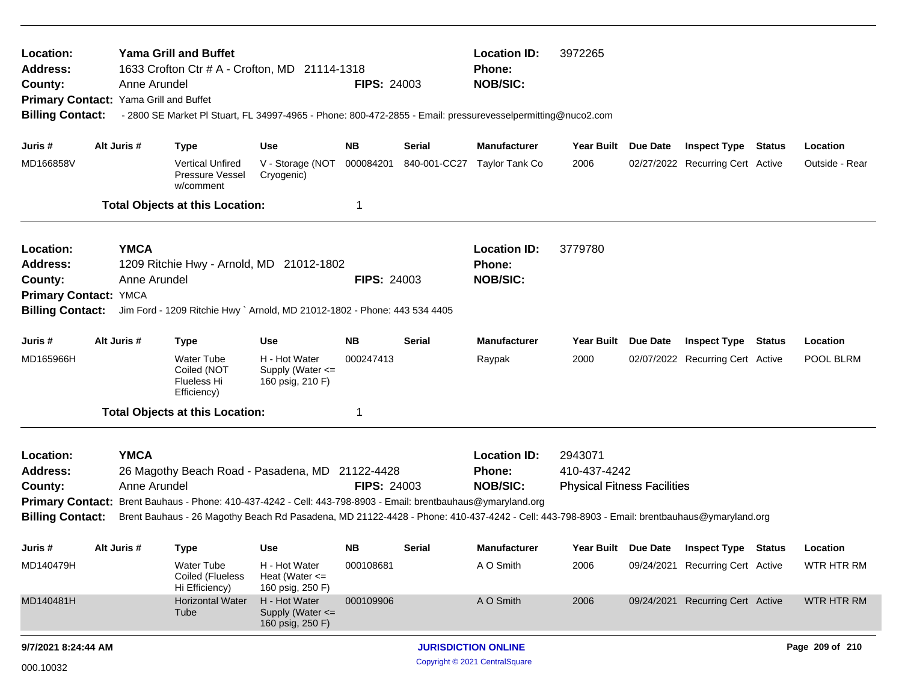| <b>Yama Grill and Buffet</b><br>Location:<br>1633 Crofton Ctr # A - Crofton, MD 21114-1318<br>Address:<br>Anne Arundel<br>County:<br>Primary Contact: Yama Grill and Buffet<br><b>Billing Contact:</b><br>- 2800 SE Market PI Stuart, FL 34997-4965 - Phone: 800-472-2855 - Email: pressurevesselpermitting@nuco2.com |  |                             |                                                                                                                                                                                                                                                                                                                |                                                         | <b>FIPS: 24003</b> |                                | <b>Location ID:</b><br>Phone:<br><b>NOB/SIC:</b>        | 3972265                                                       |          |                                  |  |                   |  |  |
|-----------------------------------------------------------------------------------------------------------------------------------------------------------------------------------------------------------------------------------------------------------------------------------------------------------------------|--|-----------------------------|----------------------------------------------------------------------------------------------------------------------------------------------------------------------------------------------------------------------------------------------------------------------------------------------------------------|---------------------------------------------------------|--------------------|--------------------------------|---------------------------------------------------------|---------------------------------------------------------------|----------|----------------------------------|--|-------------------|--|--|
| Juris #                                                                                                                                                                                                                                                                                                               |  | Alt Juris #                 | <b>Type</b>                                                                                                                                                                                                                                                                                                    | Use                                                     | NB.                | Serial                         | <b>Manufacturer</b>                                     | Year Built Due Date                                           |          | <b>Inspect Type Status</b>       |  | Location          |  |  |
| MD166858V                                                                                                                                                                                                                                                                                                             |  |                             | <b>Vertical Unfired</b><br>Pressure Vessel<br>w/comment                                                                                                                                                                                                                                                        | V - Storage (NOT<br>Cryogenic)                          | 000084201          | 840-001-CC27                   | Taylor Tank Co                                          | 2006                                                          |          | 02/27/2022 Recurring Cert Active |  | Outside - Rear    |  |  |
|                                                                                                                                                                                                                                                                                                                       |  |                             | <b>Total Objects at this Location:</b>                                                                                                                                                                                                                                                                         |                                                         | -1                 |                                |                                                         |                                                               |          |                                  |  |                   |  |  |
| Location:<br><b>Address:</b><br>County:<br>Primary Contact: YMCA<br><b>Billing Contact:</b>                                                                                                                                                                                                                           |  | <b>YMCA</b><br>Anne Arundel | 1209 Ritchie Hwy - Arnold, MD 21012-1802<br>Jim Ford - 1209 Ritchie Hwy ` Arnold, MD 21012-1802 - Phone: 443 534 4405                                                                                                                                                                                          |                                                         | <b>FIPS: 24003</b> |                                | <b>Location ID:</b><br><b>Phone:</b><br><b>NOB/SIC:</b> | 3779780                                                       |          |                                  |  |                   |  |  |
| Juris #                                                                                                                                                                                                                                                                                                               |  | Alt Juris #                 | <b>Type</b>                                                                                                                                                                                                                                                                                                    | Use                                                     | <b>NB</b>          | Serial                         | <b>Manufacturer</b>                                     | <b>Year Built</b>                                             | Due Date | <b>Inspect Type Status</b>       |  | Location          |  |  |
| MD165966H                                                                                                                                                                                                                                                                                                             |  |                             | <b>Water Tube</b><br>Coiled (NOT<br><b>Flueless Hi</b><br>Efficiency)                                                                                                                                                                                                                                          | H - Hot Water<br>Supply (Water <=<br>160 psig, 210 F)   | 000247413          |                                | Raypak                                                  | 2000                                                          |          | 02/07/2022 Recurring Cert Active |  | POOL BLRM         |  |  |
|                                                                                                                                                                                                                                                                                                                       |  |                             | <b>Total Objects at this Location:</b>                                                                                                                                                                                                                                                                         |                                                         | -1                 |                                |                                                         |                                                               |          |                                  |  |                   |  |  |
| Location:<br><b>Address:</b><br>County:<br><b>Billing Contact:</b>                                                                                                                                                                                                                                                    |  | <b>YMCA</b><br>Anne Arundel | 26 Magothy Beach Road - Pasadena, MD 21122-4428<br>Primary Contact: Brent Bauhaus - Phone: 410-437-4242 - Cell: 443-798-8903 - Email: brentbauhaus@ymaryland.org<br>Brent Bauhaus - 26 Magothy Beach Rd Pasadena, MD 21122-4428 - Phone: 410-437-4242 - Cell: 443-798-8903 - Email: brentbauhaus@ymaryland.org |                                                         | <b>FIPS: 24003</b> |                                | <b>Location ID:</b><br>Phone:<br><b>NOB/SIC:</b>        | 2943071<br>410-437-4242<br><b>Physical Fitness Facilities</b> |          |                                  |  |                   |  |  |
| Juris #                                                                                                                                                                                                                                                                                                               |  | Alt Juris #                 | Type                                                                                                                                                                                                                                                                                                           | Use                                                     | NΒ                 | Serial                         | <b>Manufacturer</b>                                     | Year Built Due Date                                           |          | <b>Inspect Type Status</b>       |  | Location          |  |  |
| MD140479H                                                                                                                                                                                                                                                                                                             |  |                             | <b>Water Tube</b><br>Coiled (Flueless<br>Hi Efficiency)                                                                                                                                                                                                                                                        | H - Hot Water<br>Heat (Water $\leq$<br>160 psig, 250 F) | 000108681          |                                | A O Smith                                               | 2006                                                          |          | 09/24/2021 Recurring Cert Active |  | <b>WTR HTR RM</b> |  |  |
| MD140481H                                                                                                                                                                                                                                                                                                             |  |                             | <b>Horizontal Water</b><br>Tube                                                                                                                                                                                                                                                                                | H - Hot Water<br>Supply (Water <=<br>160 psig, 250 F)   | 000109906          |                                | A O Smith                                               | 2006                                                          |          | 09/24/2021 Recurring Cert Active |  | <b>WTR HTR RM</b> |  |  |
| 9/7/2021 8:24:44 AM                                                                                                                                                                                                                                                                                                   |  |                             |                                                                                                                                                                                                                                                                                                                |                                                         |                    |                                | <b>JURISDICTION ONLINE</b>                              |                                                               |          |                                  |  | Page 209 of 210   |  |  |
| 000.10032                                                                                                                                                                                                                                                                                                             |  |                             |                                                                                                                                                                                                                                                                                                                |                                                         |                    | Copyright © 2021 CentralSquare |                                                         |                                                               |          |                                  |  |                   |  |  |